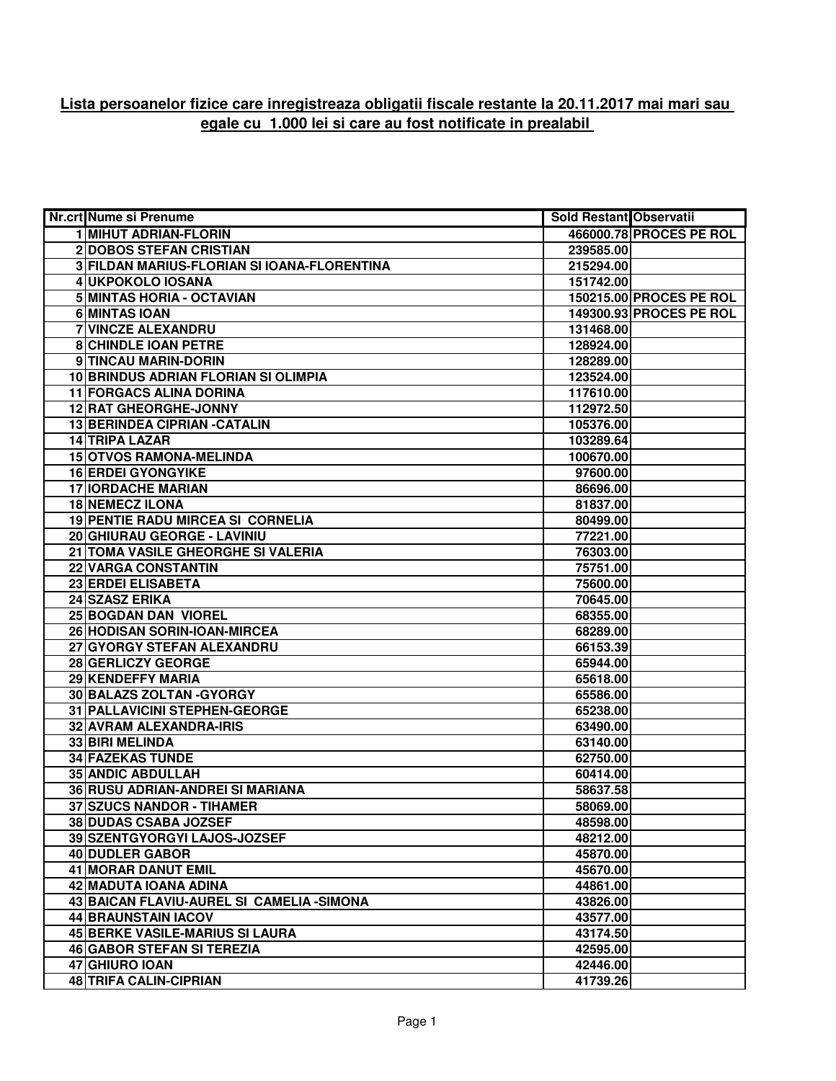## **Lista persoanelor fizice care inregistreaza obligatii fiscale restante la 20.11.2017 mai mari sau egale cu 1.000 lei si care au fost notificate in prealabil**

| <b>Nr.crt Nume si Prenume</b>               | Sold Restant Observatii |                         |
|---------------------------------------------|-------------------------|-------------------------|
| 1 MIHUT ADRIAN-FLORIN                       |                         | 466000.78 PROCES PE ROL |
| <b>2DOBOS STEFAN CRISTIAN</b>               | 239585.00               |                         |
| 3 FILDAN MARIUS-FLORIAN SI IOANA-FLORENTINA | 215294.00               |                         |
| 4 UKPOKOLO IOSANA                           | 151742.00               |                         |
| 5 MINTAS HORIA - OCTAVIAN                   |                         | 150215.00 PROCES PE ROL |
| 6 MINTAS IOAN                               |                         | 149300.93 PROCES PE ROL |
| 7 VINCZE ALEXANDRU                          | 131468.00               |                         |
| <b>8 CHINDLE IOAN PETRE</b>                 | 128924.00               |                         |
| 9 TINCAU MARIN-DORIN                        | 128289.00               |                         |
| 10 BRINDUS ADRIAN FLORIAN SI OLIMPIA        | 123524.00               |                         |
| 11 FORGACS ALINA DORINA                     | 117610.00               |                         |
| 12 RAT GHEORGHE-JONNY                       | 112972.50               |                         |
| 13 BERINDEA CIPRIAN - CATALIN               | 105376.00               |                         |
| 14 TRIPA LAZAR                              | 103289.64               |                         |
| <b>15 OTVOS RAMONA-MELINDA</b>              | 100670.00               |                         |
| <b>16 ERDEI GYONGYIKE</b>                   | 97600.00                |                         |
| <b>17 IORDACHE MARIAN</b>                   | 86696.00                |                         |
| <b>18 NEMECZ ILONA</b>                      | 81837.00                |                         |
| <b>19 PENTIE RADU MIRCEA SI CORNELIA</b>    | 80499.00                |                         |
| 20 GHIURAU GEORGE - LAVINIU                 | 77221.00                |                         |
| 21 TOMA VASILE GHEORGHE SI VALERIA          | 76303.00                |                         |
| <b>22 VARGA CONSTANTIN</b>                  | 75751.00                |                         |
| 23 ERDEI ELISABETA                          | 75600.00                |                         |
| 24 SZASZ ERIKA                              | 70645.00                |                         |
| 25 BOGDAN DAN VIOREL                        | 68355.00                |                         |
| 26 HODISAN SORIN-IOAN-MIRCEA                | 68289.00                |                         |
| 27 GYORGY STEFAN ALEXANDRU                  | 66153.39                |                         |
| 28 GERLICZY GEORGE                          | 65944.00                |                         |
| 29 KENDEFFY MARIA                           | 65618.00                |                         |
| 30 BALAZS ZOLTAN - GYORGY                   | 65586.00                |                         |
| 31 PALLAVICINI STEPHEN-GEORGE               | 65238.00                |                         |
| 32 AVRAM ALEXANDRA-IRIS                     | 63490.00                |                         |
| 33 BIRI MELINDA                             | 63140.00                |                         |
| <b>34 FAZEKAS TUNDE</b>                     | 62750.00                |                         |
| <b>35 ANDIC ABDULLAH</b>                    | 60414.00                |                         |
| 36 RUSU ADRIAN-ANDREI SI MARIANA            | 58637.58                |                         |
| 37 SZUCS NANDOR - TIHAMER                   | 58069.00                |                         |
| 38 DUDAS CSABA JOZSEF                       | 48598.00                |                         |
| 39 SZENTGYORGYI LAJOS-JOZSEF                | 48212.00                |                         |
| 40 DUDLER GABOR                             | 45870.00                |                         |
| <b>41 MORAR DANUT EMIL</b>                  | 45670.00                |                         |
| 42 MADUTA IOANA ADINA                       | 44861.00                |                         |
| 43 BAICAN FLAVIU-AUREL SI CAMELIA - SIMONA  | 43826.00                |                         |
| 44 BRAUNSTAIN IACOV                         | 43577.00                |                         |
| 45 BERKE VASILE-MARIUS SI LAURA             | 43174.50                |                         |
| <b>46 GABOR STEFAN SI TEREZIA</b>           | 42595.00                |                         |
| 47 GHIURO IOAN                              | 42446.00                |                         |
| <b>48 TRIFA CALIN-CIPRIAN</b>               | 41739.26                |                         |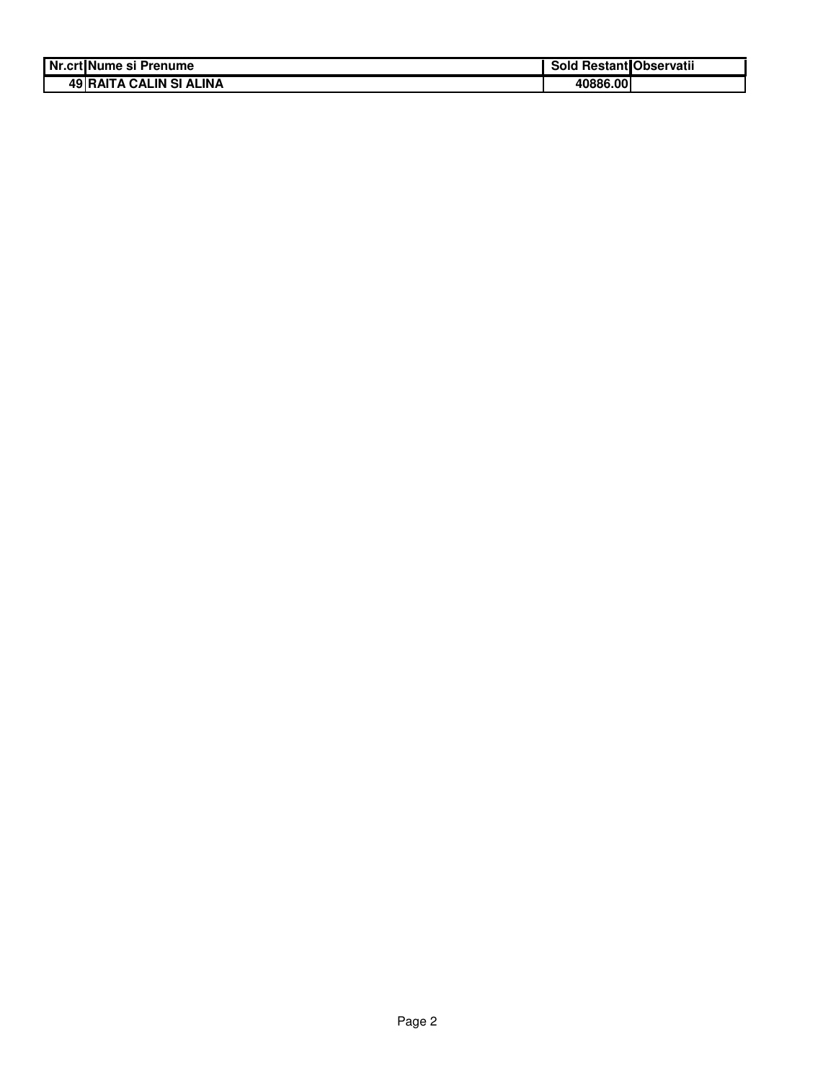| Nr.crt Nume si Prenume         | <b>1 Restant Observatii</b><br>Sold |
|--------------------------------|-------------------------------------|
| <b>49 RAITA CALIN SI ALINA</b> | 40886.00                            |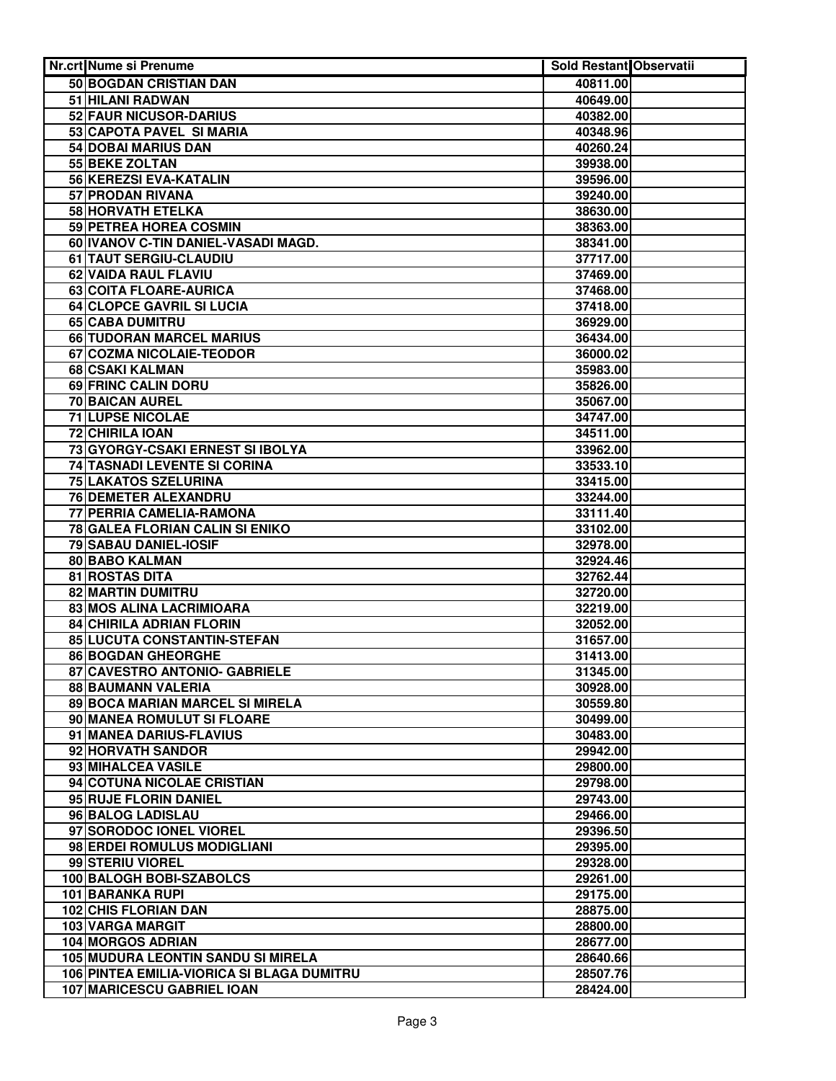| Nr.crt Nume si Prenume                     | Sold Restant Observatii |  |
|--------------------------------------------|-------------------------|--|
| 50 BOGDAN CRISTIAN DAN                     | 40811.00                |  |
| 51 HILANI RADWAN                           | 40649.00                |  |
| 52 FAUR NICUSOR-DARIUS                     | 40382.00                |  |
| 53 CAPOTA PAVEL SI MARIA                   | 40348.96                |  |
| 54 DOBAI MARIUS DAN                        | 40260.24                |  |
| 55 BEKE ZOLTAN                             | 39938.00                |  |
| 56 KEREZSI EVA-KATALIN                     | 39596.00                |  |
| 57 PRODAN RIVANA                           | 39240.00                |  |
| <b>58 HORVATH ETELKA</b>                   | 38630.00                |  |
| 59 PETREA HOREA COSMIN                     | 38363.00                |  |
| 60 IVANOV C-TIN DANIEL-VASADI MAGD.        | 38341.00                |  |
| 61 TAUT SERGIU-CLAUDIU                     | 37717.00                |  |
| 62 VAIDA RAUL FLAVIU                       | 37469.00                |  |
| 63 COITA FLOARE-AURICA                     | 37468.00                |  |
| 64 CLOPCE GAVRIL SI LUCIA                  | 37418.00                |  |
| 65 CABA DUMITRU                            | 36929.00                |  |
| 66 TUDORAN MARCEL MARIUS                   | 36434.00                |  |
| 67 COZMA NICOLAIE-TEODOR                   | 36000.02                |  |
| 68 CSAKI KALMAN                            | 35983.00                |  |
| 69 FRINC CALIN DORU                        | 35826.00                |  |
| 70 BAICAN AUREL                            | 35067.00                |  |
| 71 LUPSE NICOLAE                           | 34747.00                |  |
| 72 CHIRILA IOAN                            | 34511.00                |  |
| 73 GYORGY-CSAKI ERNEST SI IBOLYA           | 33962.00                |  |
| 74 TASNADI LEVENTE SI CORINA               | 33533.10                |  |
| 75 LAKATOS SZELURINA                       | 33415.00                |  |
| <b>76 DEMETER ALEXANDRU</b>                | 33244.00                |  |
| 77 PERRIA CAMELIA-RAMONA                   | 33111.40                |  |
| 78 GALEA FLORIAN CALIN SI ENIKO            | 33102.00                |  |
| 79 SABAU DANIEL-IOSIF<br>80 BABO KALMAN    | 32978.00<br>32924.46    |  |
| 81 ROSTAS DITA                             | 32762.44                |  |
| 82 MARTIN DUMITRU                          | 32720.00                |  |
| 83 MOS ALINA LACRIMIOARA                   | 32219.00                |  |
| <b>84 CHIRILA ADRIAN FLORIN</b>            | 32052.00                |  |
| 85 LUCUTA CONSTANTIN-STEFAN                | 31657.00                |  |
| 86 BOGDAN GHEORGHE                         | 31413.00                |  |
| 87 CAVESTRO ANTONIO- GABRIELE              | 31345.00                |  |
| 88 BAUMANN VALERIA                         | 30928.00                |  |
| 89 BOCA MARIAN MARCEL SI MIRELA            | 30559.80                |  |
| 90 MANEA ROMULUT SI FLOARE                 | 30499.00                |  |
| 91 MANEA DARIUS-FLAVIUS                    | 30483.00                |  |
| 92 HORVATH SANDOR                          | 29942.00                |  |
| 93 MIHALCEA VASILE                         | 29800.00                |  |
| 94 COTUNA NICOLAE CRISTIAN                 | 29798.00                |  |
| 95 RUJE FLORIN DANIEL                      | 29743.00                |  |
| 96 BALOG LADISLAU                          | 29466.00                |  |
| 97 SORODOC IONEL VIOREL                    | 29396.50                |  |
| 98 ERDEI ROMULUS MODIGLIANI                | 29395.00                |  |
| 99 STERIU VIOREL                           | 29328.00                |  |
| 100 BALOGH BOBI-SZABOLCS                   | 29261.00                |  |
| 101 BARANKA RUPI                           | 29175.00                |  |
| <b>102 CHIS FLORIAN DAN</b>                | 28875.00                |  |
| 103 VARGA MARGIT                           | 28800.00                |  |
| <b>104 MORGOS ADRIAN</b>                   | 28677.00                |  |
| <b>105 MUDURA LEONTIN SANDU SI MIRELA</b>  | 28640.66                |  |
| 106 PINTEA EMILIA-VIORICA SI BLAGA DUMITRU | 28507.76                |  |
| 107 MARICESCU GABRIEL IOAN                 | 28424.00                |  |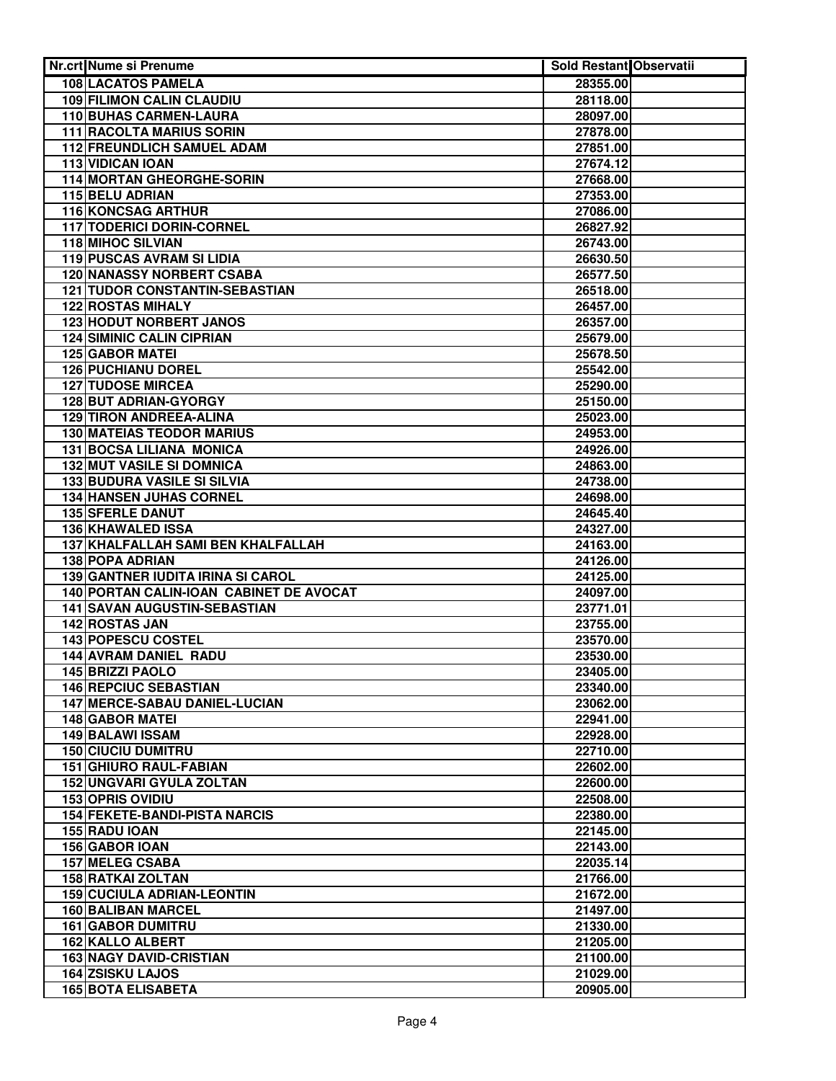| <b>Nr.crt Nume si Prenume</b>                                                       | <b>Sold Restant Observatii</b> |  |
|-------------------------------------------------------------------------------------|--------------------------------|--|
| 108 LACATOS PAMELA                                                                  | 28355.00                       |  |
| <b>109 FILIMON CALIN CLAUDIU</b>                                                    | 28118.00                       |  |
| 110 BUHAS CARMEN-LAURA                                                              | 28097.00                       |  |
| <b>111 RACOLTA MARIUS SORIN</b>                                                     | 27878.00                       |  |
| 112 FREUNDLICH SAMUEL ADAM                                                          | 27851.00                       |  |
| <b>113 VIDICAN IOAN</b>                                                             | 27674.12                       |  |
| 114 MORTAN GHEORGHE-SORIN                                                           | 27668.00                       |  |
| <b>115 BELU ADRIAN</b>                                                              | 27353.00                       |  |
| <b>116 KONCSAG ARTHUR</b>                                                           | 27086.00                       |  |
| 117 TODERICI DORIN-CORNEL                                                           | 26827.92                       |  |
| 118 MIHOC SILVIAN                                                                   | 26743.00                       |  |
| 119 PUSCAS AVRAM SI LIDIA                                                           | 26630.50                       |  |
| <b>120 NANASSY NORBERT CSABA</b>                                                    | 26577.50                       |  |
| <b>121 TUDOR CONSTANTIN-SEBASTIAN</b>                                               | 26518.00                       |  |
| <b>122 ROSTAS MIHALY</b>                                                            | 26457.00                       |  |
| <b>123 HODUT NORBERT JANOS</b>                                                      | 26357.00                       |  |
| <b>124 SIMINIC CALIN CIPRIAN</b>                                                    | 25679.00                       |  |
| <b>125 GABOR MATEI</b>                                                              | 25678.50                       |  |
| <b>126 PUCHIANU DOREL</b>                                                           | 25542.00                       |  |
| <b>127 TUDOSE MIRCEA</b>                                                            | 25290.00                       |  |
| 128 BUT ADRIAN-GYORGY                                                               | 25150.00                       |  |
| 129 TIRON ANDREEA-ALINA                                                             | 25023.00                       |  |
| <b>130 MATEIAS TEODOR MARIUS</b>                                                    | 24953.00                       |  |
| 131 BOCSA LILIANA MONICA                                                            | 24926.00                       |  |
| <b>132 MUT VASILE SI DOMNICA</b>                                                    | 24863.00                       |  |
| 133 BUDURA VASILE SI SILVIA                                                         | 24738.00                       |  |
| <b>134 HANSEN JUHAS CORNEL</b>                                                      | 24698.00                       |  |
| <b>135 SFERLE DANUT</b>                                                             | 24645.40                       |  |
| 136 KHAWALED ISSA                                                                   | 24327.00                       |  |
| 137 KHALFALLAH SAMI BEN KHALFALLAH                                                  | 24163.00                       |  |
| <b>138 POPA ADRIAN</b>                                                              | 24126.00                       |  |
| <b>139 GANTNER IUDITA IRINA SI CAROL</b><br>140 PORTAN CALIN-IOAN CABINET DE AVOCAT | 24125.00                       |  |
| <b>141 SAVAN AUGUSTIN-SEBASTIAN</b>                                                 | 24097.00                       |  |
| <b>142 ROSTAS JAN</b>                                                               | 23771.01<br>23755.00           |  |
| 143 POPESCU COSTEL                                                                  |                                |  |
| 144 AVRAM DANIEL RADU                                                               | 23570.00<br>23530.00           |  |
| 145 BRIZZI PAOLO                                                                    | 23405.00                       |  |
| <b>146 REPCIUC SEBASTIAN</b>                                                        | 23340.00                       |  |
| 147 MERCE-SABAU DANIEL-LUCIAN                                                       | 23062.00                       |  |
| <b>148 GABOR MATEL</b>                                                              | 22941.00                       |  |
| <b>149 BALAWI ISSAM</b>                                                             | 22928.00                       |  |
| <b>150 CIUCIU DUMITRU</b>                                                           | 22710.00                       |  |
| 151 GHIURO RAUL-FABIAN                                                              | 22602.00                       |  |
| 152 UNGVARI GYULA ZOLTAN                                                            | 22600.00                       |  |
| <b>153 OPRIS OVIDIU</b>                                                             | 22508.00                       |  |
| <b>154 FEKETE-BANDI-PISTA NARCIS</b>                                                | 22380.00                       |  |
| 155 RADU IOAN                                                                       | 22145.00                       |  |
| 156 GABOR IOAN                                                                      | 22143.00                       |  |
| <b>157 MELEG CSABA</b>                                                              | 22035.14                       |  |
| <b>158 RATKAI ZOLTAN</b>                                                            | 21766.00                       |  |
| <b>159 CUCIULA ADRIAN-LEONTIN</b>                                                   | 21672.00                       |  |
| <b>160 BALIBAN MARCEL</b>                                                           | 21497.00                       |  |
| <b>161 GABOR DUMITRU</b>                                                            | 21330.00                       |  |
| <b>162 KALLO ALBERT</b>                                                             | 21205.00                       |  |
| <b>163 NAGY DAVID-CRISTIAN</b>                                                      | 21100.00                       |  |
| <b>164 ZSISKU LAJOS</b>                                                             | 21029.00                       |  |
| <b>165 BOTA ELISABETA</b>                                                           | 20905.00                       |  |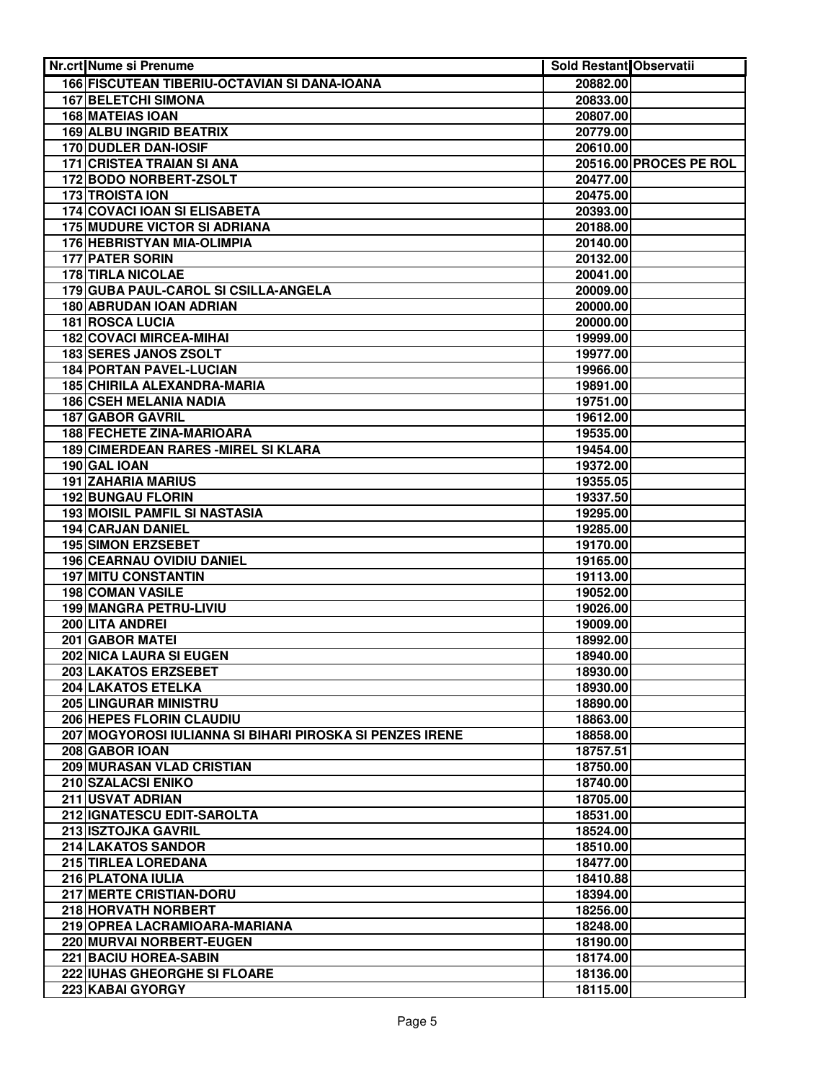| Nr.crt Nume si Prenume                                        | Sold Restant Observatii |                        |
|---------------------------------------------------------------|-------------------------|------------------------|
| 166 FISCUTEAN TIBERIU-OCTAVIAN SI DANA-IOANA                  | 20882.00                |                        |
| <b>167 BELETCHI SIMONA</b>                                    | 20833.00                |                        |
| <b>168 MATEIAS IOAN</b>                                       | 20807.00                |                        |
| <b>169 ALBU INGRID BEATRIX</b>                                | 20779.00                |                        |
| <b>170 DUDLER DAN-IOSIF</b>                                   | 20610.00                |                        |
| 171 CRISTEA TRAIAN SI ANA                                     |                         | 20516.00 PROCES PE ROL |
| 172 BODO NORBERT-ZSOLT                                        | 20477.00                |                        |
| <b>173 TROISTA ION</b>                                        | 20475.00                |                        |
| <b>174 COVACI IOAN SI ELISABETA</b>                           | 20393.00                |                        |
| <b>175 MUDURE VICTOR SI ADRIANA</b>                           | 20188.00                |                        |
| 176 HEBRISTYAN MIA-OLIMPIA                                    | 20140.00                |                        |
| 177 PATER SORIN                                               | 20132.00                |                        |
| <b>178 TIRLA NICOLAE</b>                                      | 20041.00                |                        |
| 179 GUBA PAUL-CAROL SI CSILLA-ANGELA                          | 20009.00                |                        |
| 180 ABRUDAN IOAN ADRIAN                                       | 20000.00                |                        |
| 181 ROSCA LUCIA                                               | 20000.00                |                        |
| 182 COVACI MIRCEA-MIHAI                                       | 19999.00                |                        |
| 183 SERES JANOS ZSOLT                                         | 19977.00                |                        |
| <b>184 PORTAN PAVEL-LUCIAN</b>                                | 19966.00                |                        |
| 185 CHIRILA ALEXANDRA-MARIA                                   | 19891.00                |                        |
| <b>186 CSEH MELANIA NADIA</b>                                 | 19751.00                |                        |
| <b>187 GABOR GAVRIL</b>                                       | 19612.00                |                        |
| <b>188 FECHETE ZINA-MARIOARA</b>                              | 19535.00                |                        |
| 189 CIMERDEAN RARES - MIREL SI KLARA                          | 19454.00                |                        |
| 190 GAL IOAN                                                  | 19372.00                |                        |
| <b>191 ZAHARIA MARIUS</b>                                     | 19355.05                |                        |
| <b>192 BUNGAU FLORIN</b>                                      | 19337.50                |                        |
| <b>193 MOISIL PAMFIL SI NASTASIA</b>                          | 19295.00                |                        |
| <b>194 CARJAN DANIEL</b>                                      | 19285.00                |                        |
| <b>195 SIMON ERZSEBET</b><br><b>196 CEARNAU OVIDIU DANIEL</b> | 19170.00<br>19165.00    |                        |
| <b>197 MITU CONSTANTIN</b>                                    | 19113.00                |                        |
| 198 COMAN VASILE                                              | 19052.00                |                        |
| <b>199 MANGRA PETRU-LIVIU</b>                                 | 19026.00                |                        |
| 200 LITA ANDREI                                               | 19009.00                |                        |
| 201 GABOR MATEI                                               | 18992.00                |                        |
| 202 NICA LAURA SI EUGEN                                       | 18940.00                |                        |
| 203 LAKATOS ERZSEBET                                          | 18930.00                |                        |
| 204 LAKATOS ETELKA                                            | 18930.00                |                        |
| 205 LINGURAR MINISTRU                                         | 18890.00                |                        |
| 206 HEPES FLORIN CLAUDIU                                      | 18863.00                |                        |
| 207 MOGYOROSI IULIANNA SI BIHARI PIROSKA SI PENZES IRENE      | 18858.00                |                        |
| 208 GABOR IOAN                                                | 18757.51                |                        |
| 209 MURASAN VLAD CRISTIAN                                     | 18750.00                |                        |
| 210 SZALACSI ENIKO                                            | 18740.00                |                        |
| 211 USVAT ADRIAN                                              | 18705.00                |                        |
| 212 IGNATESCU EDIT-SAROLTA                                    | 18531.00                |                        |
| 213 ISZTOJKA GAVRIL                                           | 18524.00                |                        |
| 214 LAKATOS SANDOR                                            | 18510.00                |                        |
| 215 TIRLEA LOREDANA                                           | 18477.00                |                        |
| 216 PLATONA IULIA                                             | 18410.88                |                        |
| 217 MERTE CRISTIAN-DORU                                       | 18394.00                |                        |
| 218 HORVATH NORBERT                                           | 18256.00                |                        |
| 219 OPREA LACRAMIOARA-MARIANA                                 | 18248.00                |                        |
| <b>220 MURVAI NORBERT-EUGEN</b>                               | 18190.00                |                        |
| <b>221 BACIU HOREA-SABIN</b>                                  | 18174.00                |                        |
| 222 IUHAS GHEORGHE SI FLOARE                                  | 18136.00                |                        |
| 223 KABAI GYORGY                                              | 18115.00                |                        |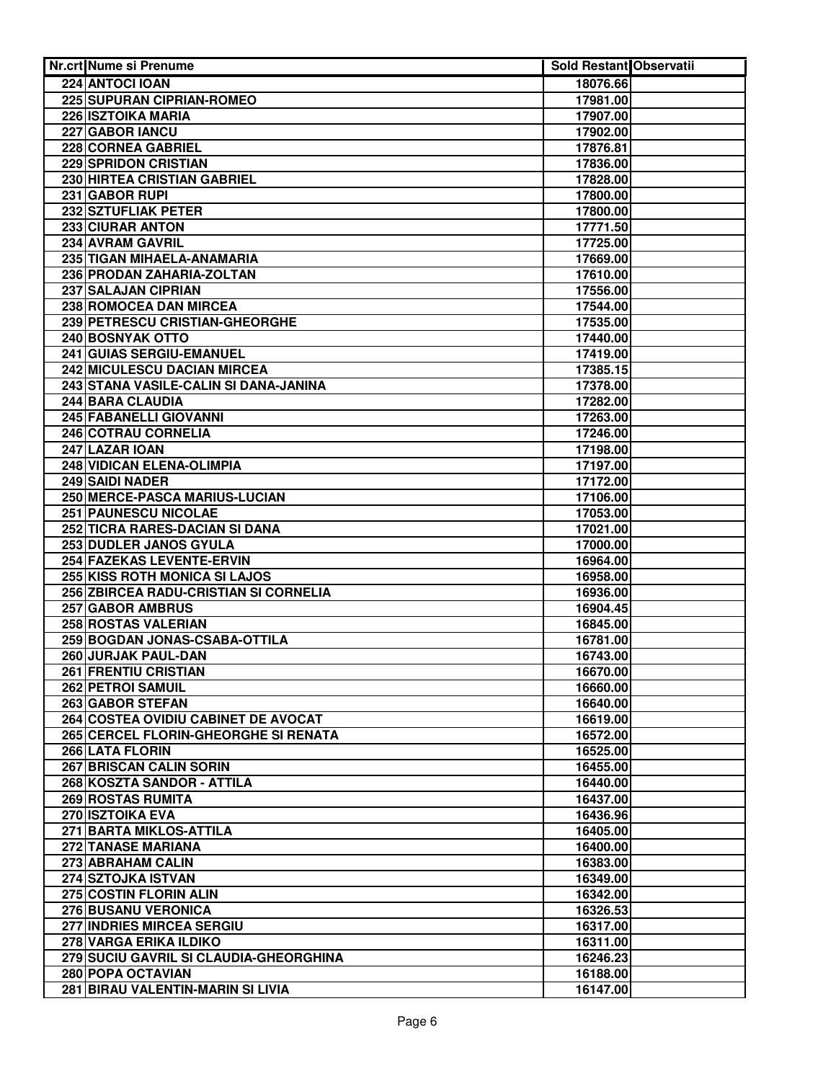| Nr.crt Nume si Prenume                             | Sold Restant Observatii |  |
|----------------------------------------------------|-------------------------|--|
| 224 ANTOCI IOAN                                    | 18076.66                |  |
| <b>225 SUPURAN CIPRIAN-ROMEO</b>                   | 17981.00                |  |
| 226 ISZTOIKA MARIA                                 | 17907.00                |  |
| 227 GABOR IANCU                                    | 17902.00                |  |
| 228 CORNEA GABRIEL                                 | 17876.81                |  |
| 229 SPRIDON CRISTIAN                               | 17836.00                |  |
| 230 HIRTEA CRISTIAN GABRIEL                        | 17828.00                |  |
| 231 GABOR RUPI                                     | 17800.00                |  |
| 232 SZTUFLIAK PETER                                | 17800.00                |  |
| 233 CIURAR ANTON                                   | 17771.50                |  |
| 234 AVRAM GAVRIL                                   | 17725.00                |  |
| 235 TIGAN MIHAELA-ANAMARIA                         | 17669.00                |  |
| 236 PRODAN ZAHARIA-ZOLTAN                          | 17610.00                |  |
| 237 SALAJAN CIPRIAN                                | 17556.00                |  |
| 238 ROMOCEA DAN MIRCEA                             | 17544.00                |  |
| 239 PETRESCU CRISTIAN-GHEORGHE                     | 17535.00                |  |
| 240 BOSNYAK OTTO                                   | 17440.00                |  |
| 241 GUIAS SERGIU-EMANUEL                           | 17419.00                |  |
| 242 MICULESCU DACIAN MIRCEA                        | 17385.15                |  |
| 243 STANA VASILE-CALIN SI DANA-JANINA              | 17378.00                |  |
| 244 BARA CLAUDIA                                   | 17282.00                |  |
| 245 FABANELLI GIOVANNI                             | 17263.00                |  |
| 246 COTRAU CORNELIA                                | 17246.00                |  |
| 247 LAZAR IOAN                                     | 17198.00                |  |
| 248 VIDICAN ELENA-OLIMPIA                          | 17197.00                |  |
| 249 SAIDI NADER                                    | 17172.00                |  |
| 250 MERCE-PASCA MARIUS-LUCIAN                      | 17106.00                |  |
| <b>251 PAUNESCU NICOLAE</b>                        | 17053.00                |  |
| 252 TICRA RARES-DACIAN SI DANA                     | 17021.00                |  |
| 253 DUDLER JANOS GYULA                             | 17000.00                |  |
| 254 FAZEKAS LEVENTE-ERVIN                          | 16964.00                |  |
| 255 KISS ROTH MONICA SI LAJOS                      | 16958.00                |  |
| 256 ZBIRCEA RADU-CRISTIAN SI CORNELIA              | 16936.00                |  |
| 257 GABOR AMBRUS                                   | 16904.45                |  |
| 258 ROSTAS VALERIAN                                | 16845.00                |  |
| 259 BOGDAN JONAS-CSABA-OTTILA                      | 16781.00                |  |
| 260 JURJAK PAUL-DAN<br><b>261 FRENTIU CRISTIAN</b> | 16743.00<br>16670.00    |  |
| 262 PETROI SAMUIL                                  | 16660.00                |  |
| 263 GABOR STEFAN                                   | 16640.00                |  |
| 264 COSTEA OVIDIU CABINET DE AVOCAT                | 16619.00                |  |
| 265 CERCEL FLORIN-GHEORGHE SI RENATA               | 16572.00                |  |
| 266 LATA FLORIN                                    | 16525.00                |  |
| <b>267 BRISCAN CALIN SORIN</b>                     | 16455.00                |  |
| 268 KOSZTA SANDOR - ATTILA                         | 16440.00                |  |
| 269 ROSTAS RUMITA                                  | 16437.00                |  |
| 270 ISZTOIKA EVA                                   | 16436.96                |  |
| 271 BARTA MIKLOS-ATTILA                            | 16405.00                |  |
| <b>272 TANASE MARIANA</b>                          | 16400.00                |  |
| 273 ABRAHAM CALIN                                  | 16383.00                |  |
| 274 SZTOJKA ISTVAN                                 | 16349.00                |  |
| 275 COSTIN FLORIN ALIN                             | 16342.00                |  |
| 276 BUSANU VERONICA                                | 16326.53                |  |
| 277 INDRIES MIRCEA SERGIU                          | 16317.00                |  |
| 278 VARGA ERIKA ILDIKO                             | 16311.00                |  |
| 279 SUCIU GAVRIL SI CLAUDIA-GHEORGHINA             | 16246.23                |  |
| 280 POPA OCTAVIAN                                  | 16188.00                |  |
| 281 BIRAU VALENTIN-MARIN SI LIVIA                  | 16147.00                |  |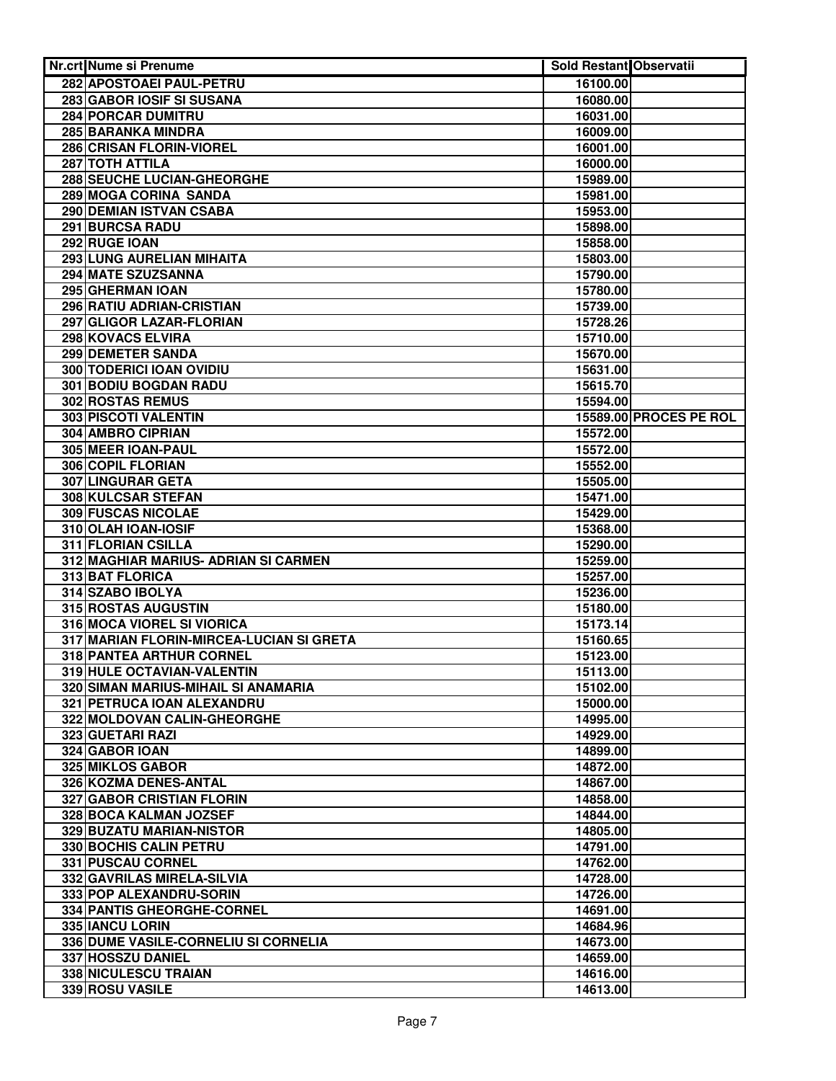| Nr.crt Nume si Prenume                    | <b>Sold Restant Observatii</b> |                        |
|-------------------------------------------|--------------------------------|------------------------|
| 282 APOSTOAEI PAUL-PETRU                  | 16100.00                       |                        |
| 283 GABOR IOSIF SI SUSANA                 | 16080.00                       |                        |
| 284 PORCAR DUMITRU                        | 16031.00                       |                        |
| <b>285 BARANKA MINDRA</b>                 | 16009.00                       |                        |
| 286 CRISAN FLORIN-VIOREL                  | 16001.00                       |                        |
| 287 TOTH ATTILA                           | 16000.00                       |                        |
| 288 SEUCHE LUCIAN-GHEORGHE                | 15989.00                       |                        |
| 289 MOGA CORINA SANDA                     | 15981.00                       |                        |
| 290 DEMIAN ISTVAN CSABA                   | 15953.00                       |                        |
| 291 BURCSA RADU                           | 15898.00                       |                        |
| 292 RUGE IOAN                             | 15858.00                       |                        |
| 293 LUNG AURELIAN MIHAITA                 | 15803.00                       |                        |
| 294 MATE SZUZSANNA                        | 15790.00                       |                        |
| 295 GHERMAN IOAN                          | 15780.00                       |                        |
| 296 RATIU ADRIAN-CRISTIAN                 | 15739.00                       |                        |
| 297 GLIGOR LAZAR-FLORIAN                  | 15728.26                       |                        |
| 298 KOVACS ELVIRA                         | 15710.00                       |                        |
| 299 DEMETER SANDA                         | 15670.00                       |                        |
| 300 TODERICI IOAN OVIDIU                  | 15631.00                       |                        |
| 301 BODIU BOGDAN RADU                     | 15615.70                       |                        |
| 302 ROSTAS REMUS                          | 15594.00                       |                        |
| 303 PISCOTI VALENTIN                      |                                | 15589.00 PROCES PE ROL |
| 304 AMBRO CIPRIAN                         | 15572.00                       |                        |
| 305 MEER IOAN-PAUL                        | 15572.00                       |                        |
| 306 COPIL FLORIAN                         | 15552.00                       |                        |
| 307 LINGURAR GETA                         | 15505.00                       |                        |
| 308 KULCSAR STEFAN                        | 15471.00                       |                        |
| 309 FUSCAS NICOLAE                        | 15429.00                       |                        |
| 310 OLAH IOAN-IOSIF<br>311 FLORIAN CSILLA | 15368.00                       |                        |
| 312 MAGHIAR MARIUS- ADRIAN SI CARMEN      | 15290.00<br>15259.00           |                        |
| 313 BAT FLORICA                           | 15257.00                       |                        |
| 314 SZABO IBOLYA                          | 15236.00                       |                        |
| 315 ROSTAS AUGUSTIN                       | 15180.00                       |                        |
| 316 MOCA VIOREL SI VIORICA                | 15173.14                       |                        |
| 317 MARIAN FLORIN-MIRCEA-LUCIAN SI GRETA  | 15160.65                       |                        |
| 318 PANTEA ARTHUR CORNEL                  | 15123.00                       |                        |
| 319 HULE OCTAVIAN-VALENTIN                | 15113.00                       |                        |
| 320 SIMAN MARIUS-MIHAIL SI ANAMARIA       | 15102.00                       |                        |
| 321 PETRUCA IOAN ALEXANDRU                | 15000.00                       |                        |
| 322 MOLDOVAN CALIN-GHEORGHE               | 14995.00                       |                        |
| 323 GUETARI RAZI                          | 14929.00                       |                        |
| 324 GABOR IOAN                            | 14899.00                       |                        |
| 325 MIKLOS GABOR                          | 14872.00                       |                        |
| 326 KOZMA DENES-ANTAL                     | 14867.00                       |                        |
| 327 GABOR CRISTIAN FLORIN                 | 14858.00                       |                        |
| 328 BOCA KALMAN JOZSEF                    | 14844.00                       |                        |
| 329 BUZATU MARIAN-NISTOR                  | 14805.00                       |                        |
| 330 BOCHIS CALIN PETRU                    | 14791.00                       |                        |
| 331 PUSCAU CORNEL                         | 14762.00                       |                        |
| 332 GAVRILAS MIRELA-SILVIA                | 14728.00                       |                        |
| 333 POP ALEXANDRU-SORIN                   | 14726.00                       |                        |
| 334 PANTIS GHEORGHE-CORNEL                | 14691.00                       |                        |
| 335 IANCU LORIN                           | 14684.96                       |                        |
| 336 DUME VASILE-CORNELIU SI CORNELIA      | 14673.00                       |                        |
| 337 HOSSZU DANIEL                         | 14659.00                       |                        |
| <b>338 NICULESCU TRAIAN</b>               | 14616.00                       |                        |
| 339 ROSU VASILE                           | 14613.00                       |                        |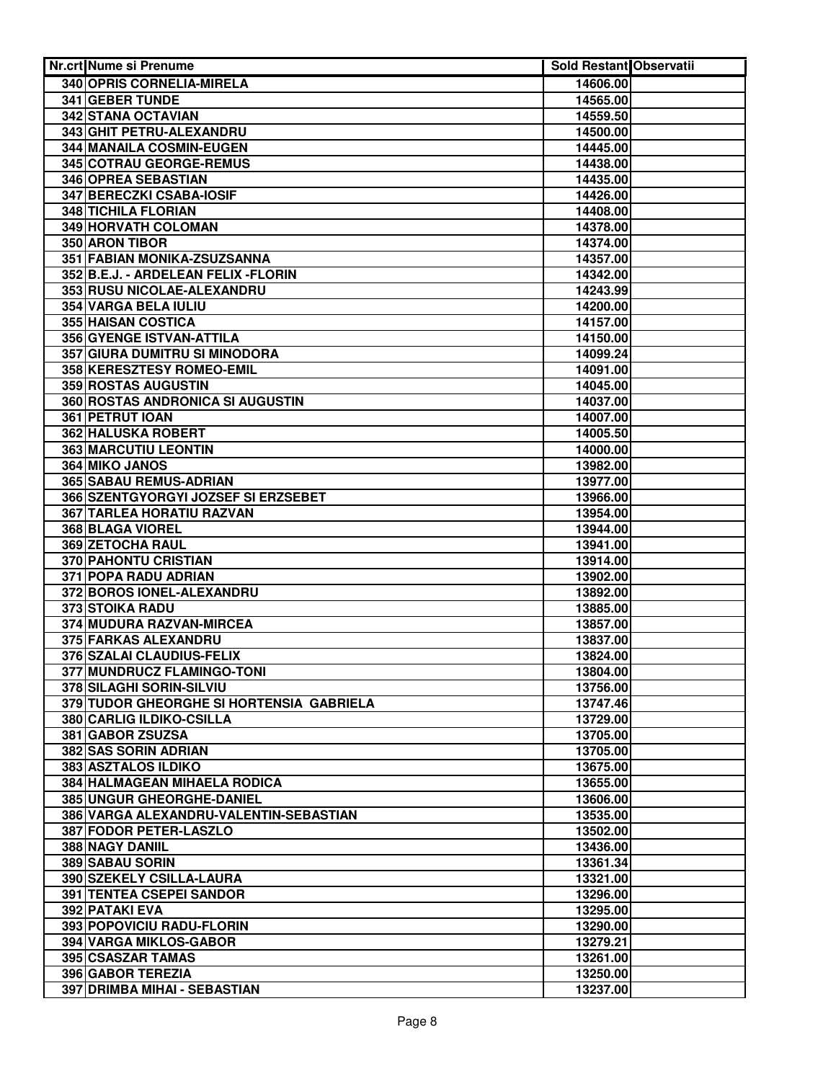| Nr.crt Nume si Prenume                                              | <b>Sold Restant Observatii</b> |  |
|---------------------------------------------------------------------|--------------------------------|--|
| 340 OPRIS CORNELIA-MIRELA                                           | 14606.00                       |  |
| <b>341 GEBER TUNDE</b>                                              | 14565.00                       |  |
| 342 STANA OCTAVIAN                                                  | 14559.50                       |  |
| 343 GHIT PETRU-ALEXANDRU                                            | 14500.00                       |  |
| 344 MANAILA COSMIN-EUGEN                                            | 14445.00                       |  |
| 345 COTRAU GEORGE-REMUS                                             | 14438.00                       |  |
| 346 OPREA SEBASTIAN                                                 | 14435.00                       |  |
| 347 BERECZKI CSABA-IOSIF                                            | 14426.00                       |  |
| 348 TICHILA FLORIAN                                                 | 14408.00                       |  |
| 349 HORVATH COLOMAN                                                 | 14378.00                       |  |
| 350 ARON TIBOR                                                      | 14374.00                       |  |
| 351 FABIAN MONIKA-ZSUZSANNA                                         | 14357.00                       |  |
| 352 B.E.J. - ARDELEAN FELIX - FLORIN                                | 14342.00                       |  |
| 353 RUSU NICOLAE-ALEXANDRU                                          | 14243.99                       |  |
| 354 VARGA BELA IULIU                                                | 14200.00                       |  |
| 355 HAISAN COSTICA                                                  | 14157.00                       |  |
| 356 GYENGE ISTVAN-ATTILA                                            | 14150.00                       |  |
| 357 GIURA DUMITRU SI MINODORA                                       | 14099.24                       |  |
| 358 KERESZTESY ROMEO-EMIL                                           | 14091.00                       |  |
| 359 ROSTAS AUGUSTIN                                                 | 14045.00                       |  |
| 360 ROSTAS ANDRONICA SI AUGUSTIN                                    | 14037.00                       |  |
| 361 PETRUT IOAN                                                     | 14007.00                       |  |
| 362 HALUSKA ROBERT                                                  | 14005.50                       |  |
| 363 MARCUTIU LEONTIN                                                | 14000.00                       |  |
| 364 MIKO JANOS                                                      | 13982.00                       |  |
| 365 SABAU REMUS-ADRIAN                                              | 13977.00                       |  |
| 366 SZENTGYORGYI JOZSEF SI ERZSEBET                                 | 13966.00                       |  |
| 367 TARLEA HORATIU RAZVAN                                           | 13954.00                       |  |
| <b>368 BLAGA VIOREL</b>                                             | 13944.00                       |  |
| 369 ZETOCHA RAUL                                                    | 13941.00                       |  |
| <b>370 PAHONTU CRISTIAN</b>                                         | 13914.00                       |  |
| 371 POPA RADU ADRIAN                                                | 13902.00                       |  |
| 372 BOROS IONEL-ALEXANDRU                                           | 13892.00                       |  |
| 373 STOIKA RADU                                                     | 13885.00                       |  |
| 374 MUDURA RAZVAN-MIRCEA                                            | 13857.00                       |  |
| 375 FARKAS ALEXANDRU                                                | 13837.00                       |  |
| 376 SZALAI CLAUDIUS-FELIX                                           | 13824.00                       |  |
| 377 MUNDRUCZ FLAMINGO-TONI                                          | 13804.00                       |  |
| 378 SILAGHI SORIN-SILVIU                                            | 13756.00                       |  |
| 379 TUDOR GHEORGHE SI HORTENSIA GABRIELA                            | 13747.46                       |  |
| 380 CARLIG ILDIKO-CSILLA                                            | 13729.00                       |  |
| 381 GABOR ZSUZSA                                                    | 13705.00                       |  |
| 382 SAS SORIN ADRIAN                                                | 13705.00                       |  |
| 383 ASZTALOS ILDIKO                                                 | 13675.00                       |  |
| 384 HALMAGEAN MIHAELA RODICA                                        | 13655.00                       |  |
| 385 UNGUR GHEORGHE-DANIEL<br>386 VARGA ALEXANDRU-VALENTIN-SEBASTIAN | 13606.00                       |  |
| 387 FODOR PETER-LASZLO                                              | 13535.00<br>13502.00           |  |
| 388 NAGY DANIIL                                                     | 13436.00                       |  |
| 389 SABAU SORIN                                                     | 13361.34                       |  |
| 390 SZEKELY CSILLA-LAURA                                            | 13321.00                       |  |
| <b>391 TENTEA CSEPEI SANDOR</b>                                     | 13296.00                       |  |
| 392 PATAKI EVA                                                      | 13295.00                       |  |
| 393 POPOVICIU RADU-FLORIN                                           | 13290.00                       |  |
| 394 VARGA MIKLOS-GABOR                                              | 13279.21                       |  |
| 395 CSASZAR TAMAS                                                   | 13261.00                       |  |
| 396 GABOR TEREZIA                                                   | 13250.00                       |  |
| 397 DRIMBA MIHAI - SEBASTIAN                                        | 13237.00                       |  |
|                                                                     |                                |  |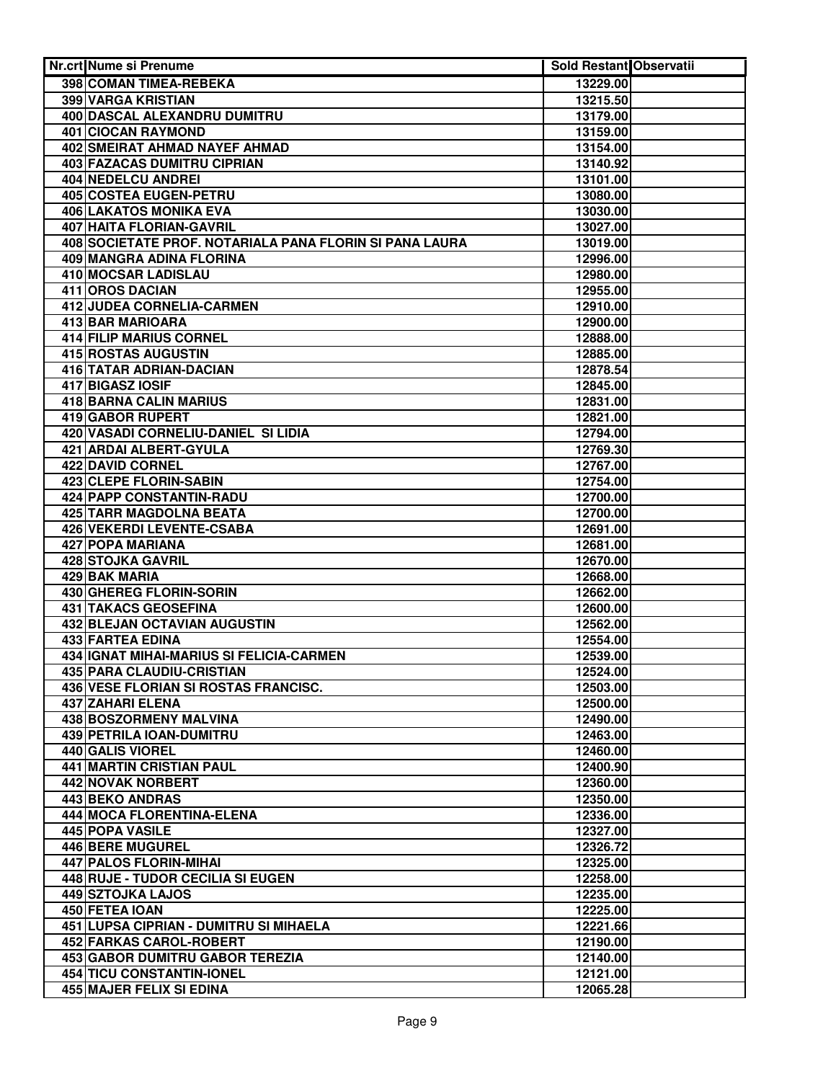| 398 COMAN TIMEA-REBEKA<br>13229.00<br>399 VARGA KRISTIAN<br>13215.50<br>400 DASCAL ALEXANDRU DUMITRU<br>13179.00<br>401 CIOCAN RAYMOND<br>13159.00<br>402 SMEIRAT AHMAD NAYEF AHMAD<br>13154.00<br>403 FAZACAS DUMITRU CIPRIAN<br>13140.92<br><b>404 NEDELCU ANDREI</b><br>13101.00<br>405 COSTEA EUGEN-PETRU<br>13080.00<br><b>406 LAKATOS MONIKA EVA</b><br>13030.00<br>407 HAITA FLORIAN-GAVRIL<br>13027.00<br>408 SOCIETATE PROF. NOTARIALA PANA FLORIN SI PANA LAURA<br>13019.00<br>409 MANGRA ADINA FLORINA<br>12996.00<br>410 MOCSAR LADISLAU<br>12980.00<br>411 OROS DACIAN<br>12955.00<br>412 JUDEA CORNELIA-CARMEN<br>12910.00<br>413 BAR MARIOARA<br>12900.00<br>414 FILIP MARIUS CORNEL<br>12888.00<br>415 ROSTAS AUGUSTIN<br>12885.00<br>416 TATAR ADRIAN-DACIAN<br>12878.54<br>417 BIGASZ IOSIF<br>12845.00<br>418 BARNA CALIN MARIUS<br>12831.00<br>419 GABOR RUPERT<br>12821.00<br>420 VASADI CORNELIU-DANIEL SI LIDIA<br>12794.00<br>421 ARDAI ALBERT-GYULA<br>12769.30<br>422 DAVID CORNEL<br>12767.00<br>423 CLEPE FLORIN-SABIN<br>12754.00<br>424 PAPP CONSTANTIN-RADU<br>12700.00<br><b>425 TARR MAGDOLNA BEATA</b><br>12700.00<br>426 VEKERDI LEVENTE-CSABA<br>12691.00<br><b>427 POPA MARIANA</b><br>12681.00<br>428 STOJKA GAVRIL<br>12670.00<br>429 BAK MARIA<br>12668.00<br>430 GHEREG FLORIN-SORIN<br>12662.00<br>431 TAKACS GEOSEFINA<br>12600.00<br>432 BLEJAN OCTAVIAN AUGUSTIN<br>12562.00<br><b>433 FARTEA EDINA</b><br>12554.00<br>434 IGNAT MIHAI-MARIUS SI FELICIA-CARMEN<br>12539.00<br><b>435 PARA CLAUDIU-CRISTIAN</b><br>12524.00<br>436 VESE FLORIAN SI ROSTAS FRANCISC.<br>12503.00<br>437 ZAHARI ELENA<br>12500.00<br>438 BOSZORMENY MALVINA<br>12490.00<br>439 PETRILA IOAN-DUMITRU<br>12463.00<br>440 GALIS VIOREL<br>12460.00<br>441 MARTIN CRISTIAN PAUL<br>12400.90<br>12360.00<br><b>442 NOVAK NORBERT</b><br>443 BEKO ANDRAS<br>12350.00<br>444 MOCA FLORENTINA-ELENA<br>12336.00<br>445 POPA VASILE<br>12327.00<br>446 BERE MUGUREL<br>12326.72<br>447 PALOS FLORIN-MIHAI<br>12325.00<br>448 RUJE - TUDOR CECILIA SI EUGEN<br>12258.00<br>449 SZTOJKA LAJOS<br>12235.00<br>450 FETEA IOAN<br>12225.00<br>451 LUPSA CIPRIAN - DUMITRU SI MIHAELA<br>12221.66<br>452 FARKAS CAROL-ROBERT<br>12190.00<br><b>453 GABOR DUMITRU GABOR TEREZIA</b><br>12140.00<br><b>454 TICU CONSTANTIN-IONEL</b><br>12121.00<br>455 MAJER FELIX SI EDINA<br>12065.28 | <b>Nr.crt Nume si Prenume</b> | <b>Sold Restant Observatii</b> |  |
|----------------------------------------------------------------------------------------------------------------------------------------------------------------------------------------------------------------------------------------------------------------------------------------------------------------------------------------------------------------------------------------------------------------------------------------------------------------------------------------------------------------------------------------------------------------------------------------------------------------------------------------------------------------------------------------------------------------------------------------------------------------------------------------------------------------------------------------------------------------------------------------------------------------------------------------------------------------------------------------------------------------------------------------------------------------------------------------------------------------------------------------------------------------------------------------------------------------------------------------------------------------------------------------------------------------------------------------------------------------------------------------------------------------------------------------------------------------------------------------------------------------------------------------------------------------------------------------------------------------------------------------------------------------------------------------------------------------------------------------------------------------------------------------------------------------------------------------------------------------------------------------------------------------------------------------------------------------------------------------------------------------------------------------------------------------------------------------------------------------------------------------------------------------------------------------------------------------------------------------------------------------------------------------------------------------------------------------------------------------------------------------------------|-------------------------------|--------------------------------|--|
|                                                                                                                                                                                                                                                                                                                                                                                                                                                                                                                                                                                                                                                                                                                                                                                                                                                                                                                                                                                                                                                                                                                                                                                                                                                                                                                                                                                                                                                                                                                                                                                                                                                                                                                                                                                                                                                                                                                                                                                                                                                                                                                                                                                                                                                                                                                                                                                                    |                               |                                |  |
|                                                                                                                                                                                                                                                                                                                                                                                                                                                                                                                                                                                                                                                                                                                                                                                                                                                                                                                                                                                                                                                                                                                                                                                                                                                                                                                                                                                                                                                                                                                                                                                                                                                                                                                                                                                                                                                                                                                                                                                                                                                                                                                                                                                                                                                                                                                                                                                                    |                               |                                |  |
|                                                                                                                                                                                                                                                                                                                                                                                                                                                                                                                                                                                                                                                                                                                                                                                                                                                                                                                                                                                                                                                                                                                                                                                                                                                                                                                                                                                                                                                                                                                                                                                                                                                                                                                                                                                                                                                                                                                                                                                                                                                                                                                                                                                                                                                                                                                                                                                                    |                               |                                |  |
|                                                                                                                                                                                                                                                                                                                                                                                                                                                                                                                                                                                                                                                                                                                                                                                                                                                                                                                                                                                                                                                                                                                                                                                                                                                                                                                                                                                                                                                                                                                                                                                                                                                                                                                                                                                                                                                                                                                                                                                                                                                                                                                                                                                                                                                                                                                                                                                                    |                               |                                |  |
|                                                                                                                                                                                                                                                                                                                                                                                                                                                                                                                                                                                                                                                                                                                                                                                                                                                                                                                                                                                                                                                                                                                                                                                                                                                                                                                                                                                                                                                                                                                                                                                                                                                                                                                                                                                                                                                                                                                                                                                                                                                                                                                                                                                                                                                                                                                                                                                                    |                               |                                |  |
|                                                                                                                                                                                                                                                                                                                                                                                                                                                                                                                                                                                                                                                                                                                                                                                                                                                                                                                                                                                                                                                                                                                                                                                                                                                                                                                                                                                                                                                                                                                                                                                                                                                                                                                                                                                                                                                                                                                                                                                                                                                                                                                                                                                                                                                                                                                                                                                                    |                               |                                |  |
|                                                                                                                                                                                                                                                                                                                                                                                                                                                                                                                                                                                                                                                                                                                                                                                                                                                                                                                                                                                                                                                                                                                                                                                                                                                                                                                                                                                                                                                                                                                                                                                                                                                                                                                                                                                                                                                                                                                                                                                                                                                                                                                                                                                                                                                                                                                                                                                                    |                               |                                |  |
|                                                                                                                                                                                                                                                                                                                                                                                                                                                                                                                                                                                                                                                                                                                                                                                                                                                                                                                                                                                                                                                                                                                                                                                                                                                                                                                                                                                                                                                                                                                                                                                                                                                                                                                                                                                                                                                                                                                                                                                                                                                                                                                                                                                                                                                                                                                                                                                                    |                               |                                |  |
|                                                                                                                                                                                                                                                                                                                                                                                                                                                                                                                                                                                                                                                                                                                                                                                                                                                                                                                                                                                                                                                                                                                                                                                                                                                                                                                                                                                                                                                                                                                                                                                                                                                                                                                                                                                                                                                                                                                                                                                                                                                                                                                                                                                                                                                                                                                                                                                                    |                               |                                |  |
|                                                                                                                                                                                                                                                                                                                                                                                                                                                                                                                                                                                                                                                                                                                                                                                                                                                                                                                                                                                                                                                                                                                                                                                                                                                                                                                                                                                                                                                                                                                                                                                                                                                                                                                                                                                                                                                                                                                                                                                                                                                                                                                                                                                                                                                                                                                                                                                                    |                               |                                |  |
|                                                                                                                                                                                                                                                                                                                                                                                                                                                                                                                                                                                                                                                                                                                                                                                                                                                                                                                                                                                                                                                                                                                                                                                                                                                                                                                                                                                                                                                                                                                                                                                                                                                                                                                                                                                                                                                                                                                                                                                                                                                                                                                                                                                                                                                                                                                                                                                                    |                               |                                |  |
|                                                                                                                                                                                                                                                                                                                                                                                                                                                                                                                                                                                                                                                                                                                                                                                                                                                                                                                                                                                                                                                                                                                                                                                                                                                                                                                                                                                                                                                                                                                                                                                                                                                                                                                                                                                                                                                                                                                                                                                                                                                                                                                                                                                                                                                                                                                                                                                                    |                               |                                |  |
|                                                                                                                                                                                                                                                                                                                                                                                                                                                                                                                                                                                                                                                                                                                                                                                                                                                                                                                                                                                                                                                                                                                                                                                                                                                                                                                                                                                                                                                                                                                                                                                                                                                                                                                                                                                                                                                                                                                                                                                                                                                                                                                                                                                                                                                                                                                                                                                                    |                               |                                |  |
|                                                                                                                                                                                                                                                                                                                                                                                                                                                                                                                                                                                                                                                                                                                                                                                                                                                                                                                                                                                                                                                                                                                                                                                                                                                                                                                                                                                                                                                                                                                                                                                                                                                                                                                                                                                                                                                                                                                                                                                                                                                                                                                                                                                                                                                                                                                                                                                                    |                               |                                |  |
|                                                                                                                                                                                                                                                                                                                                                                                                                                                                                                                                                                                                                                                                                                                                                                                                                                                                                                                                                                                                                                                                                                                                                                                                                                                                                                                                                                                                                                                                                                                                                                                                                                                                                                                                                                                                                                                                                                                                                                                                                                                                                                                                                                                                                                                                                                                                                                                                    |                               |                                |  |
|                                                                                                                                                                                                                                                                                                                                                                                                                                                                                                                                                                                                                                                                                                                                                                                                                                                                                                                                                                                                                                                                                                                                                                                                                                                                                                                                                                                                                                                                                                                                                                                                                                                                                                                                                                                                                                                                                                                                                                                                                                                                                                                                                                                                                                                                                                                                                                                                    |                               |                                |  |
|                                                                                                                                                                                                                                                                                                                                                                                                                                                                                                                                                                                                                                                                                                                                                                                                                                                                                                                                                                                                                                                                                                                                                                                                                                                                                                                                                                                                                                                                                                                                                                                                                                                                                                                                                                                                                                                                                                                                                                                                                                                                                                                                                                                                                                                                                                                                                                                                    |                               |                                |  |
|                                                                                                                                                                                                                                                                                                                                                                                                                                                                                                                                                                                                                                                                                                                                                                                                                                                                                                                                                                                                                                                                                                                                                                                                                                                                                                                                                                                                                                                                                                                                                                                                                                                                                                                                                                                                                                                                                                                                                                                                                                                                                                                                                                                                                                                                                                                                                                                                    |                               |                                |  |
|                                                                                                                                                                                                                                                                                                                                                                                                                                                                                                                                                                                                                                                                                                                                                                                                                                                                                                                                                                                                                                                                                                                                                                                                                                                                                                                                                                                                                                                                                                                                                                                                                                                                                                                                                                                                                                                                                                                                                                                                                                                                                                                                                                                                                                                                                                                                                                                                    |                               |                                |  |
|                                                                                                                                                                                                                                                                                                                                                                                                                                                                                                                                                                                                                                                                                                                                                                                                                                                                                                                                                                                                                                                                                                                                                                                                                                                                                                                                                                                                                                                                                                                                                                                                                                                                                                                                                                                                                                                                                                                                                                                                                                                                                                                                                                                                                                                                                                                                                                                                    |                               |                                |  |
|                                                                                                                                                                                                                                                                                                                                                                                                                                                                                                                                                                                                                                                                                                                                                                                                                                                                                                                                                                                                                                                                                                                                                                                                                                                                                                                                                                                                                                                                                                                                                                                                                                                                                                                                                                                                                                                                                                                                                                                                                                                                                                                                                                                                                                                                                                                                                                                                    |                               |                                |  |
|                                                                                                                                                                                                                                                                                                                                                                                                                                                                                                                                                                                                                                                                                                                                                                                                                                                                                                                                                                                                                                                                                                                                                                                                                                                                                                                                                                                                                                                                                                                                                                                                                                                                                                                                                                                                                                                                                                                                                                                                                                                                                                                                                                                                                                                                                                                                                                                                    |                               |                                |  |
|                                                                                                                                                                                                                                                                                                                                                                                                                                                                                                                                                                                                                                                                                                                                                                                                                                                                                                                                                                                                                                                                                                                                                                                                                                                                                                                                                                                                                                                                                                                                                                                                                                                                                                                                                                                                                                                                                                                                                                                                                                                                                                                                                                                                                                                                                                                                                                                                    |                               |                                |  |
|                                                                                                                                                                                                                                                                                                                                                                                                                                                                                                                                                                                                                                                                                                                                                                                                                                                                                                                                                                                                                                                                                                                                                                                                                                                                                                                                                                                                                                                                                                                                                                                                                                                                                                                                                                                                                                                                                                                                                                                                                                                                                                                                                                                                                                                                                                                                                                                                    |                               |                                |  |
|                                                                                                                                                                                                                                                                                                                                                                                                                                                                                                                                                                                                                                                                                                                                                                                                                                                                                                                                                                                                                                                                                                                                                                                                                                                                                                                                                                                                                                                                                                                                                                                                                                                                                                                                                                                                                                                                                                                                                                                                                                                                                                                                                                                                                                                                                                                                                                                                    |                               |                                |  |
|                                                                                                                                                                                                                                                                                                                                                                                                                                                                                                                                                                                                                                                                                                                                                                                                                                                                                                                                                                                                                                                                                                                                                                                                                                                                                                                                                                                                                                                                                                                                                                                                                                                                                                                                                                                                                                                                                                                                                                                                                                                                                                                                                                                                                                                                                                                                                                                                    |                               |                                |  |
|                                                                                                                                                                                                                                                                                                                                                                                                                                                                                                                                                                                                                                                                                                                                                                                                                                                                                                                                                                                                                                                                                                                                                                                                                                                                                                                                                                                                                                                                                                                                                                                                                                                                                                                                                                                                                                                                                                                                                                                                                                                                                                                                                                                                                                                                                                                                                                                                    |                               |                                |  |
|                                                                                                                                                                                                                                                                                                                                                                                                                                                                                                                                                                                                                                                                                                                                                                                                                                                                                                                                                                                                                                                                                                                                                                                                                                                                                                                                                                                                                                                                                                                                                                                                                                                                                                                                                                                                                                                                                                                                                                                                                                                                                                                                                                                                                                                                                                                                                                                                    |                               |                                |  |
|                                                                                                                                                                                                                                                                                                                                                                                                                                                                                                                                                                                                                                                                                                                                                                                                                                                                                                                                                                                                                                                                                                                                                                                                                                                                                                                                                                                                                                                                                                                                                                                                                                                                                                                                                                                                                                                                                                                                                                                                                                                                                                                                                                                                                                                                                                                                                                                                    |                               |                                |  |
|                                                                                                                                                                                                                                                                                                                                                                                                                                                                                                                                                                                                                                                                                                                                                                                                                                                                                                                                                                                                                                                                                                                                                                                                                                                                                                                                                                                                                                                                                                                                                                                                                                                                                                                                                                                                                                                                                                                                                                                                                                                                                                                                                                                                                                                                                                                                                                                                    |                               |                                |  |
|                                                                                                                                                                                                                                                                                                                                                                                                                                                                                                                                                                                                                                                                                                                                                                                                                                                                                                                                                                                                                                                                                                                                                                                                                                                                                                                                                                                                                                                                                                                                                                                                                                                                                                                                                                                                                                                                                                                                                                                                                                                                                                                                                                                                                                                                                                                                                                                                    |                               |                                |  |
|                                                                                                                                                                                                                                                                                                                                                                                                                                                                                                                                                                                                                                                                                                                                                                                                                                                                                                                                                                                                                                                                                                                                                                                                                                                                                                                                                                                                                                                                                                                                                                                                                                                                                                                                                                                                                                                                                                                                                                                                                                                                                                                                                                                                                                                                                                                                                                                                    |                               |                                |  |
|                                                                                                                                                                                                                                                                                                                                                                                                                                                                                                                                                                                                                                                                                                                                                                                                                                                                                                                                                                                                                                                                                                                                                                                                                                                                                                                                                                                                                                                                                                                                                                                                                                                                                                                                                                                                                                                                                                                                                                                                                                                                                                                                                                                                                                                                                                                                                                                                    |                               |                                |  |
|                                                                                                                                                                                                                                                                                                                                                                                                                                                                                                                                                                                                                                                                                                                                                                                                                                                                                                                                                                                                                                                                                                                                                                                                                                                                                                                                                                                                                                                                                                                                                                                                                                                                                                                                                                                                                                                                                                                                                                                                                                                                                                                                                                                                                                                                                                                                                                                                    |                               |                                |  |
|                                                                                                                                                                                                                                                                                                                                                                                                                                                                                                                                                                                                                                                                                                                                                                                                                                                                                                                                                                                                                                                                                                                                                                                                                                                                                                                                                                                                                                                                                                                                                                                                                                                                                                                                                                                                                                                                                                                                                                                                                                                                                                                                                                                                                                                                                                                                                                                                    |                               |                                |  |
|                                                                                                                                                                                                                                                                                                                                                                                                                                                                                                                                                                                                                                                                                                                                                                                                                                                                                                                                                                                                                                                                                                                                                                                                                                                                                                                                                                                                                                                                                                                                                                                                                                                                                                                                                                                                                                                                                                                                                                                                                                                                                                                                                                                                                                                                                                                                                                                                    |                               |                                |  |
|                                                                                                                                                                                                                                                                                                                                                                                                                                                                                                                                                                                                                                                                                                                                                                                                                                                                                                                                                                                                                                                                                                                                                                                                                                                                                                                                                                                                                                                                                                                                                                                                                                                                                                                                                                                                                                                                                                                                                                                                                                                                                                                                                                                                                                                                                                                                                                                                    |                               |                                |  |
|                                                                                                                                                                                                                                                                                                                                                                                                                                                                                                                                                                                                                                                                                                                                                                                                                                                                                                                                                                                                                                                                                                                                                                                                                                                                                                                                                                                                                                                                                                                                                                                                                                                                                                                                                                                                                                                                                                                                                                                                                                                                                                                                                                                                                                                                                                                                                                                                    |                               |                                |  |
|                                                                                                                                                                                                                                                                                                                                                                                                                                                                                                                                                                                                                                                                                                                                                                                                                                                                                                                                                                                                                                                                                                                                                                                                                                                                                                                                                                                                                                                                                                                                                                                                                                                                                                                                                                                                                                                                                                                                                                                                                                                                                                                                                                                                                                                                                                                                                                                                    |                               |                                |  |
|                                                                                                                                                                                                                                                                                                                                                                                                                                                                                                                                                                                                                                                                                                                                                                                                                                                                                                                                                                                                                                                                                                                                                                                                                                                                                                                                                                                                                                                                                                                                                                                                                                                                                                                                                                                                                                                                                                                                                                                                                                                                                                                                                                                                                                                                                                                                                                                                    |                               |                                |  |
|                                                                                                                                                                                                                                                                                                                                                                                                                                                                                                                                                                                                                                                                                                                                                                                                                                                                                                                                                                                                                                                                                                                                                                                                                                                                                                                                                                                                                                                                                                                                                                                                                                                                                                                                                                                                                                                                                                                                                                                                                                                                                                                                                                                                                                                                                                                                                                                                    |                               |                                |  |
|                                                                                                                                                                                                                                                                                                                                                                                                                                                                                                                                                                                                                                                                                                                                                                                                                                                                                                                                                                                                                                                                                                                                                                                                                                                                                                                                                                                                                                                                                                                                                                                                                                                                                                                                                                                                                                                                                                                                                                                                                                                                                                                                                                                                                                                                                                                                                                                                    |                               |                                |  |
|                                                                                                                                                                                                                                                                                                                                                                                                                                                                                                                                                                                                                                                                                                                                                                                                                                                                                                                                                                                                                                                                                                                                                                                                                                                                                                                                                                                                                                                                                                                                                                                                                                                                                                                                                                                                                                                                                                                                                                                                                                                                                                                                                                                                                                                                                                                                                                                                    |                               |                                |  |
|                                                                                                                                                                                                                                                                                                                                                                                                                                                                                                                                                                                                                                                                                                                                                                                                                                                                                                                                                                                                                                                                                                                                                                                                                                                                                                                                                                                                                                                                                                                                                                                                                                                                                                                                                                                                                                                                                                                                                                                                                                                                                                                                                                                                                                                                                                                                                                                                    |                               |                                |  |
|                                                                                                                                                                                                                                                                                                                                                                                                                                                                                                                                                                                                                                                                                                                                                                                                                                                                                                                                                                                                                                                                                                                                                                                                                                                                                                                                                                                                                                                                                                                                                                                                                                                                                                                                                                                                                                                                                                                                                                                                                                                                                                                                                                                                                                                                                                                                                                                                    |                               |                                |  |
|                                                                                                                                                                                                                                                                                                                                                                                                                                                                                                                                                                                                                                                                                                                                                                                                                                                                                                                                                                                                                                                                                                                                                                                                                                                                                                                                                                                                                                                                                                                                                                                                                                                                                                                                                                                                                                                                                                                                                                                                                                                                                                                                                                                                                                                                                                                                                                                                    |                               |                                |  |
|                                                                                                                                                                                                                                                                                                                                                                                                                                                                                                                                                                                                                                                                                                                                                                                                                                                                                                                                                                                                                                                                                                                                                                                                                                                                                                                                                                                                                                                                                                                                                                                                                                                                                                                                                                                                                                                                                                                                                                                                                                                                                                                                                                                                                                                                                                                                                                                                    |                               |                                |  |
|                                                                                                                                                                                                                                                                                                                                                                                                                                                                                                                                                                                                                                                                                                                                                                                                                                                                                                                                                                                                                                                                                                                                                                                                                                                                                                                                                                                                                                                                                                                                                                                                                                                                                                                                                                                                                                                                                                                                                                                                                                                                                                                                                                                                                                                                                                                                                                                                    |                               |                                |  |
|                                                                                                                                                                                                                                                                                                                                                                                                                                                                                                                                                                                                                                                                                                                                                                                                                                                                                                                                                                                                                                                                                                                                                                                                                                                                                                                                                                                                                                                                                                                                                                                                                                                                                                                                                                                                                                                                                                                                                                                                                                                                                                                                                                                                                                                                                                                                                                                                    |                               |                                |  |
|                                                                                                                                                                                                                                                                                                                                                                                                                                                                                                                                                                                                                                                                                                                                                                                                                                                                                                                                                                                                                                                                                                                                                                                                                                                                                                                                                                                                                                                                                                                                                                                                                                                                                                                                                                                                                                                                                                                                                                                                                                                                                                                                                                                                                                                                                                                                                                                                    |                               |                                |  |
|                                                                                                                                                                                                                                                                                                                                                                                                                                                                                                                                                                                                                                                                                                                                                                                                                                                                                                                                                                                                                                                                                                                                                                                                                                                                                                                                                                                                                                                                                                                                                                                                                                                                                                                                                                                                                                                                                                                                                                                                                                                                                                                                                                                                                                                                                                                                                                                                    |                               |                                |  |
|                                                                                                                                                                                                                                                                                                                                                                                                                                                                                                                                                                                                                                                                                                                                                                                                                                                                                                                                                                                                                                                                                                                                                                                                                                                                                                                                                                                                                                                                                                                                                                                                                                                                                                                                                                                                                                                                                                                                                                                                                                                                                                                                                                                                                                                                                                                                                                                                    |                               |                                |  |
|                                                                                                                                                                                                                                                                                                                                                                                                                                                                                                                                                                                                                                                                                                                                                                                                                                                                                                                                                                                                                                                                                                                                                                                                                                                                                                                                                                                                                                                                                                                                                                                                                                                                                                                                                                                                                                                                                                                                                                                                                                                                                                                                                                                                                                                                                                                                                                                                    |                               |                                |  |
|                                                                                                                                                                                                                                                                                                                                                                                                                                                                                                                                                                                                                                                                                                                                                                                                                                                                                                                                                                                                                                                                                                                                                                                                                                                                                                                                                                                                                                                                                                                                                                                                                                                                                                                                                                                                                                                                                                                                                                                                                                                                                                                                                                                                                                                                                                                                                                                                    |                               |                                |  |
|                                                                                                                                                                                                                                                                                                                                                                                                                                                                                                                                                                                                                                                                                                                                                                                                                                                                                                                                                                                                                                                                                                                                                                                                                                                                                                                                                                                                                                                                                                                                                                                                                                                                                                                                                                                                                                                                                                                                                                                                                                                                                                                                                                                                                                                                                                                                                                                                    |                               |                                |  |
|                                                                                                                                                                                                                                                                                                                                                                                                                                                                                                                                                                                                                                                                                                                                                                                                                                                                                                                                                                                                                                                                                                                                                                                                                                                                                                                                                                                                                                                                                                                                                                                                                                                                                                                                                                                                                                                                                                                                                                                                                                                                                                                                                                                                                                                                                                                                                                                                    |                               |                                |  |
|                                                                                                                                                                                                                                                                                                                                                                                                                                                                                                                                                                                                                                                                                                                                                                                                                                                                                                                                                                                                                                                                                                                                                                                                                                                                                                                                                                                                                                                                                                                                                                                                                                                                                                                                                                                                                                                                                                                                                                                                                                                                                                                                                                                                                                                                                                                                                                                                    |                               |                                |  |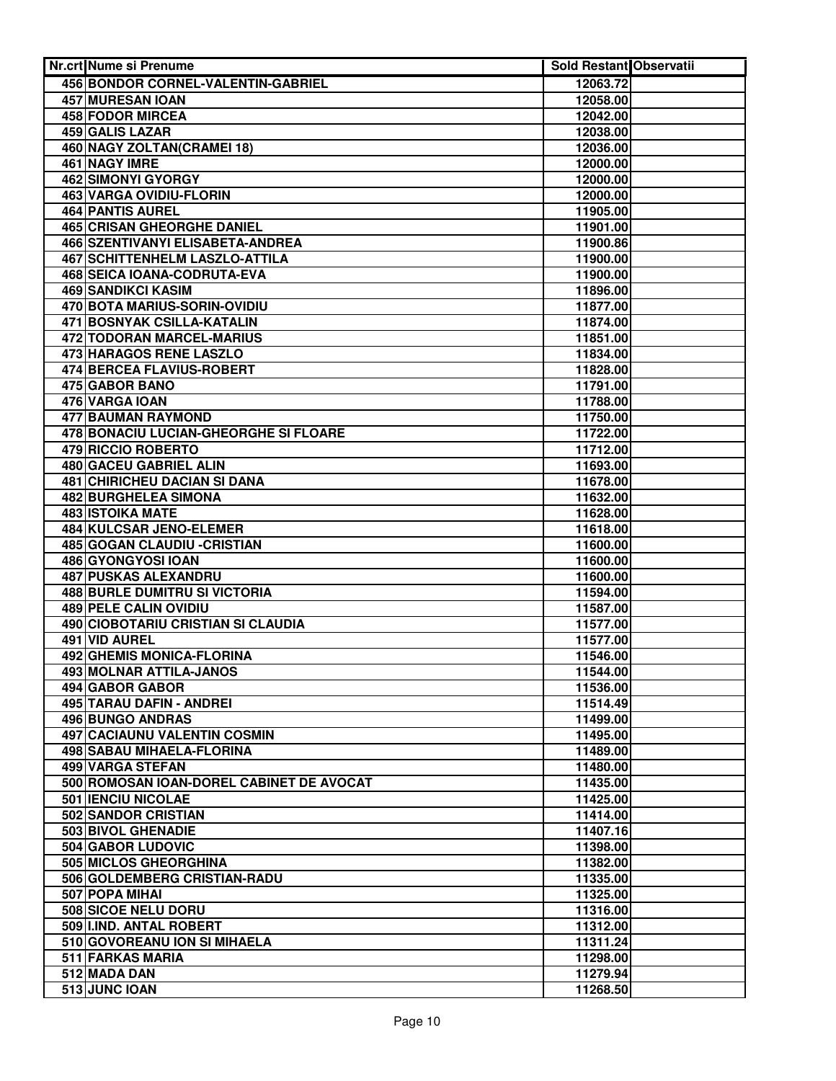| Nr.crt Nume si Prenume                                        | Sold Restant Observatii |  |
|---------------------------------------------------------------|-------------------------|--|
| 456 BONDOR CORNEL-VALENTIN-GABRIEL                            | 12063.72                |  |
| <b>457 MURESAN IOAN</b>                                       | 12058.00                |  |
| <b>458 FODOR MIRCEA</b>                                       | 12042.00                |  |
| 459 GALIS LAZAR                                               | 12038.00                |  |
| 460 NAGY ZOLTAN(CRAMEI 18)                                    | 12036.00                |  |
| 461 NAGY IMRE                                                 | 12000.00                |  |
| <b>462 SIMONYI GYORGY</b>                                     | 12000.00                |  |
| 463 VARGA OVIDIU-FLORIN                                       | 12000.00                |  |
| <b>464 PANTIS AUREL</b>                                       | 11905.00                |  |
| <b>465 CRISAN GHEORGHE DANIEL</b>                             | 11901.00                |  |
| 466 SZENTIVANYI ELISABETA-ANDREA                              | 11900.86                |  |
| <b>467 SCHITTENHELM LASZLO-ATTILA</b>                         | 11900.00                |  |
| 468 SEICA IOANA-CODRUTA-EVA                                   | 11900.00                |  |
| 469 SANDIKCI KASIM                                            | 11896.00                |  |
| 470 BOTA MARIUS-SORIN-OVIDIU                                  | 11877.00                |  |
| 471 BOSNYAK CSILLA-KATALIN                                    | 11874.00                |  |
| 472 TODORAN MARCEL-MARIUS                                     | 11851.00                |  |
| 473 HARAGOS RENE LASZLO                                       | 11834.00                |  |
| 474 BERCEA FLAVIUS-ROBERT                                     | 11828.00                |  |
| 475 GABOR BANO                                                | 11791.00                |  |
| 476 VARGA IOAN                                                | 11788.00                |  |
| 477 BAUMAN RAYMOND                                            | 11750.00                |  |
| 478 BONACIU LUCIAN-GHEORGHE SI FLOARE                         | 11722.00                |  |
| 479 RICCIO ROBERTO                                            | 11712.00                |  |
| 480 GACEU GABRIEL ALIN                                        | 11693.00                |  |
| 481 CHIRICHEU DACIAN SI DANA                                  | 11678.00                |  |
| 482 BURGHELEA SIMONA                                          | 11632.00                |  |
| <b>483 ISTOIKA MATE</b>                                       | 11628.00                |  |
| 484 KULCSAR JENO-ELEMER                                       | 11618.00                |  |
| <b>485 GOGAN CLAUDIU - CRISTIAN</b>                           | 11600.00                |  |
| <b>486 GYONGYOSI IOAN</b>                                     | 11600.00                |  |
| <b>487 PUSKAS ALEXANDRU</b>                                   | 11600.00                |  |
| <b>488 BURLE DUMITRU SI VICTORIA</b><br>489 PELE CALIN OVIDIU | 11594.00                |  |
| 490 CIOBOTARIU CRISTIAN SI CLAUDIA                            | 11587.00                |  |
| 491 VID AUREL                                                 | 11577.00                |  |
| 492 GHEMIS MONICA-FLORINA                                     | 11577.00                |  |
| <b>493 MOLNAR ATTILA-JANOS</b>                                | 11546.00<br>11544.00    |  |
| 494 GABOR GABOR                                               | 11536.00                |  |
| 495 TARAU DAFIN - ANDREI                                      | 11514.49                |  |
| 496 BUNGO ANDRAS                                              | 11499.00                |  |
| 497 CACIAUNU VALENTIN COSMIN                                  | 11495.00                |  |
| 498 SABAU MIHAELA-FLORINA                                     | 11489.00                |  |
| 499 VARGA STEFAN                                              | 11480.00                |  |
| 500 ROMOSAN IOAN-DOREL CABINET DE AVOCAT                      | 11435.00                |  |
| 501 IENCIU NICOLAE                                            | 11425.00                |  |
| 502 SANDOR CRISTIAN                                           | 11414.00                |  |
| 503 BIVOL GHENADIE                                            | 11407.16                |  |
| 504 GABOR LUDOVIC                                             | 11398.00                |  |
| 505 MICLOS GHEORGHINA                                         | 11382.00                |  |
| 506 GOLDEMBERG CRISTIAN-RADU                                  | 11335.00                |  |
| 507 POPA MIHAI                                                | 11325.00                |  |
| 508 SICOE NELU DORU                                           | 11316.00                |  |
| 509 IIND. ANTAL ROBERT                                        | 11312.00                |  |
| 510 GOVOREANU ION SI MIHAELA                                  | 11311.24                |  |
| <b>511 FARKAS MARIA</b>                                       | 11298.00                |  |
| 512 MADA DAN                                                  | 11279.94                |  |
| 513 JUNC IOAN                                                 | 11268.50                |  |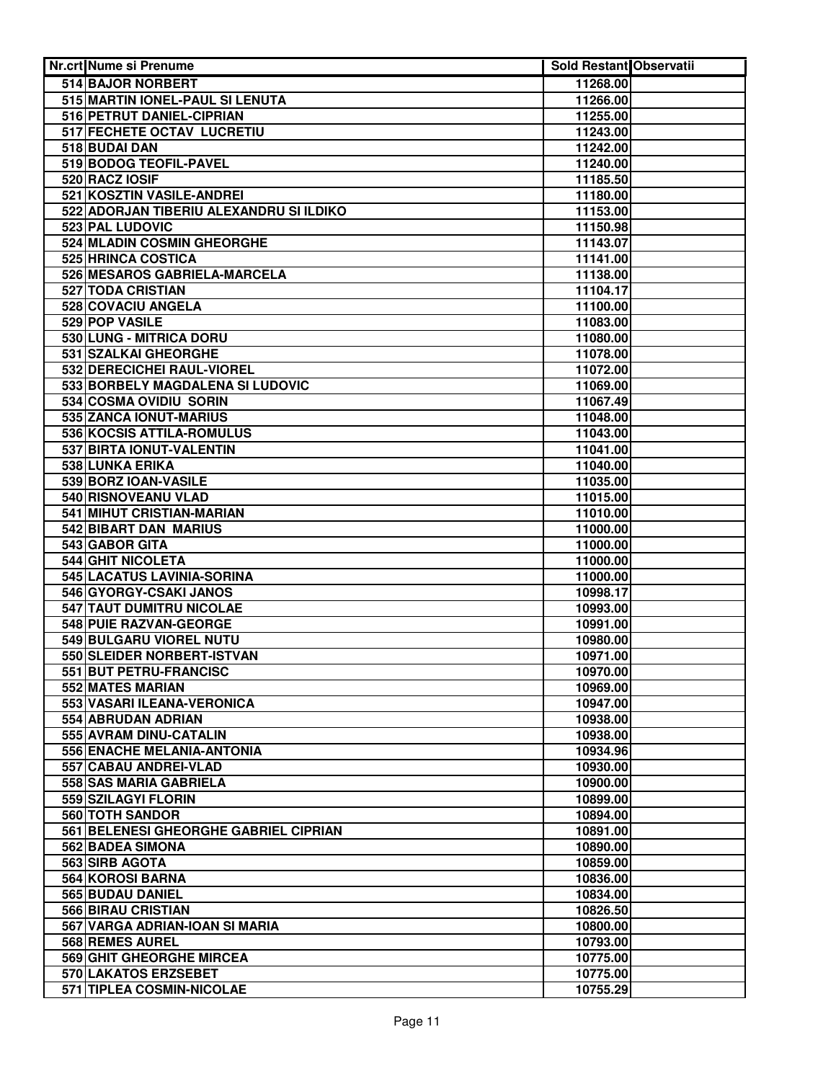| <b>Nr.crt Nume si Prenume</b>                        | Sold Restant Observatii |  |
|------------------------------------------------------|-------------------------|--|
| 514 BAJOR NORBERT                                    | 11268.00                |  |
| 515 MARTIN IONEL-PAUL SI LENUTA                      | 11266.00                |  |
| 516 PETRUT DANIEL-CIPRIAN                            | 11255.00                |  |
| 517 FECHETE OCTAV LUCRETIU                           | 11243.00                |  |
| 518 BUDAI DAN                                        | 11242.00                |  |
| 519 BODOG TEOFIL-PAVEL                               | 11240.00                |  |
| 520 RACZ IOSIF                                       | 11185.50                |  |
| 521 KOSZTIN VASILE-ANDREI                            | 11180.00                |  |
| 522 ADORJAN TIBERIU ALEXANDRU SI ILDIKO              | 11153.00                |  |
| 523 PAL LUDOVIC                                      | 11150.98                |  |
| 524 MLADIN COSMIN GHEORGHE                           | 11143.07                |  |
| 525 HRINCA COSTICA                                   | 11141.00                |  |
| 526 MESAROS GABRIELA-MARCELA                         | 11138.00                |  |
| 527 TODA CRISTIAN                                    | 11104.17                |  |
| 528 COVACIU ANGELA                                   | 11100.00                |  |
| 529 POP VASILE                                       | 11083.00                |  |
| 530 LUNG - MITRICA DORU                              | 11080.00                |  |
| 531 SZALKAI GHEORGHE                                 | 11078.00                |  |
| 532 DERECICHEI RAUL-VIOREL                           | 11072.00                |  |
| 533 BORBELY MAGDALENA SI LUDOVIC                     | 11069.00                |  |
| 534 COSMA OVIDIU SORIN                               | 11067.49                |  |
| 535 ZANCA IONUT-MARIUS                               | 11048.00                |  |
| 536 KOCSIS ATTILA-ROMULUS                            | 11043.00                |  |
| 537 BIRTA IONUT-VALENTIN                             | 11041.00                |  |
| 538 LUNKA ERIKA                                      | 11040.00                |  |
| 539 BORZ IOAN-VASILE                                 | 11035.00                |  |
| <b>540 RISNOVEANU VLAD</b>                           | 11015.00                |  |
| 541 MIHUT CRISTIAN-MARIAN                            | 11010.00                |  |
| 542 BIBART DAN MARIUS                                | 11000.00                |  |
| 543 GABOR GITA                                       | 11000.00                |  |
| 544 GHIT NICOLETA                                    | 11000.00                |  |
| 545 LACATUS LAVINIA-SORINA<br>546 GYORGY-CSAKI JANOS | 11000.00                |  |
| 547 TAUT DUMITRU NICOLAE                             | 10998.17<br>10993.00    |  |
| 548 PUIE RAZVAN-GEORGE                               | 10991.00                |  |
| 549 BULGARU VIOREL NUTU                              | 10980.00                |  |
| 550 SLEIDER NORBERT-ISTVAN                           | 10971.00                |  |
| 551 BUT PETRU-FRANCISC                               | 10970.00                |  |
| 552 MATES MARIAN                                     | 10969.00                |  |
| 553 VASARI ILEANA-VERONICA                           | 10947.00                |  |
| 554 ABRUDAN ADRIAN                                   | 10938.00                |  |
| 555 AVRAM DINU-CATALIN                               | 10938.00                |  |
| 556 ENACHE MELANIA-ANTONIA                           | 10934.96                |  |
| 557 CABAU ANDREI-VLAD                                | 10930.00                |  |
| 558 SAS MARIA GABRIELA                               | 10900.00                |  |
| 559 SZILAGYI FLORIN                                  | 10899.00                |  |
| 560 TOTH SANDOR                                      | 10894.00                |  |
| 561 BELENESI GHEORGHE GABRIEL CIPRIAN                | 10891.00                |  |
| 562 BADEA SIMONA                                     | 10890.00                |  |
| 563 SIRB AGOTA                                       | 10859.00                |  |
| 564 KOROSI BARNA                                     | 10836.00                |  |
| 565 BUDAU DANIEL                                     | 10834.00                |  |
| 566 BIRAU CRISTIAN                                   | 10826.50                |  |
| 567 VARGA ADRIAN-IOAN SI MARIA                       | 10800.00                |  |
| 568 REMES AUREL                                      | 10793.00                |  |
| 569 GHIT GHEORGHE MIRCEA                             | 10775.00                |  |
| <b>570 LAKATOS ERZSEBET</b>                          | 10775.00                |  |
| 571 TIPLEA COSMIN-NICOLAE                            | 10755.29                |  |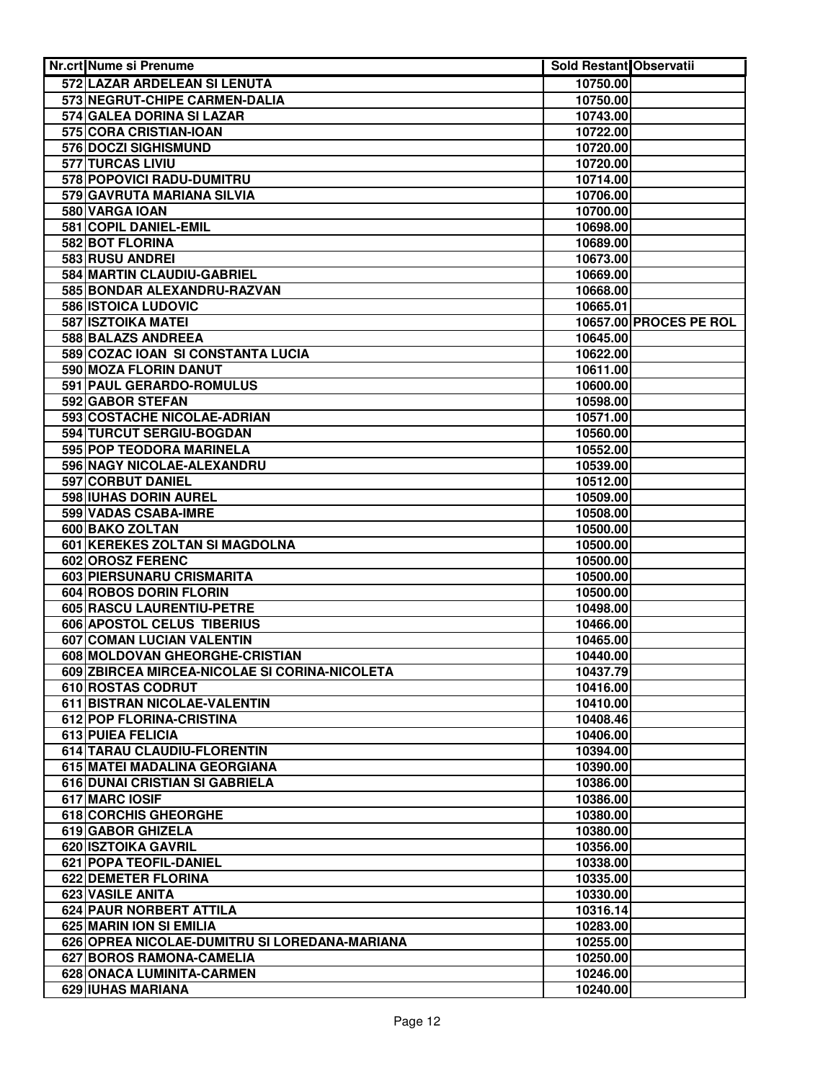| Nr.crt Nume si Prenume                                    | <b>Sold Restant Observatii</b> |                        |
|-----------------------------------------------------------|--------------------------------|------------------------|
| 572 LAZAR ARDELEAN SI LENUTA                              | 10750.00                       |                        |
| 573 NEGRUT-CHIPE CARMEN-DALIA                             | 10750.00                       |                        |
| 574 GALEA DORINA SI LAZAR                                 | 10743.00                       |                        |
| 575 CORA CRISTIAN-IOAN                                    | 10722.00                       |                        |
| 576 DOCZI SIGHISMUND                                      | 10720.00                       |                        |
| <b>577 TURCAS LIVIU</b>                                   | 10720.00                       |                        |
| 578 POPOVICI RADU-DUMITRU                                 | 10714.00                       |                        |
| 579 GAVRUTA MARIANA SILVIA                                | 10706.00                       |                        |
| 580 VARGA IOAN                                            | 10700.00                       |                        |
| 581 COPIL DANIEL-EMIL                                     | 10698.00                       |                        |
| 582 BOT FLORINA                                           | 10689.00                       |                        |
| 583 RUSU ANDREI                                           | 10673.00                       |                        |
| 584 MARTIN CLAUDIU-GABRIEL                                | 10669.00                       |                        |
| 585 BONDAR ALEXANDRU-RAZVAN                               | 10668.00                       |                        |
| 586 ISTOICA LUDOVIC                                       | 10665.01                       |                        |
| <b>587 ISZTOIKA MATEI</b>                                 |                                | 10657.00 PROCES PE ROL |
| 588 BALAZS ANDREEA                                        | 10645.00                       |                        |
| 589 COZAC IOAN SI CONSTANTA LUCIA                         | 10622.00                       |                        |
| 590 MOZA FLORIN DANUT                                     | 10611.00                       |                        |
| 591 PAUL GERARDO-ROMULUS                                  | 10600.00                       |                        |
| 592 GABOR STEFAN                                          | 10598.00                       |                        |
| 593 COSTACHE NICOLAE-ADRIAN                               | 10571.00                       |                        |
| 594 TURCUT SERGIU-BOGDAN                                  | 10560.00                       |                        |
| 595 POP TEODORA MARINELA                                  | 10552.00                       |                        |
| 596 NAGY NICOLAE-ALEXANDRU                                | 10539.00                       |                        |
| 597 CORBUT DANIEL                                         | 10512.00                       |                        |
| 598 IUHAS DORIN AUREL                                     | 10509.00                       |                        |
| 599 VADAS CSABA-IMRE                                      | 10508.00                       |                        |
| <b>600 BAKO ZOLTAN</b>                                    | 10500.00                       |                        |
| 601 KEREKES ZOLTAN SI MAGDOLNA<br><b>602 OROSZ FERENC</b> | 10500.00                       |                        |
| 603 PIERSUNARU CRISMARITA                                 | 10500.00<br>10500.00           |                        |
| 604 ROBOS DORIN FLORIN                                    | 10500.00                       |                        |
| 605 RASCU LAURENTIU-PETRE                                 | 10498.00                       |                        |
| 606 APOSTOL CELUS TIBERIUS                                | 10466.00                       |                        |
| 607 COMAN LUCIAN VALENTIN                                 | 10465.00                       |                        |
| 608 MOLDOVAN GHEORGHE-CRISTIAN                            | 10440.00                       |                        |
| 609 ZBIRCEA MIRCEA-NICOLAE SI CORINA-NICOLETA             | 10437.79                       |                        |
| 610 ROSTAS CODRUT                                         | 10416.00                       |                        |
| 611 BISTRAN NICOLAE-VALENTIN                              | 10410.00                       |                        |
| 612 POP FLORINA-CRISTINA                                  | 10408.46                       |                        |
| 613 PUIEA FELICIA                                         | 10406.00                       |                        |
| 614 TARAU CLAUDIU-FLORENTIN                               | 10394.00                       |                        |
| 615 MATEI MADALINA GEORGIANA                              | 10390.00                       |                        |
| 616 DUNAI CRISTIAN SI GABRIELA                            | 10386.00                       |                        |
| 617 MARC IOSIF                                            | 10386.00                       |                        |
| 618 CORCHIS GHEORGHE                                      | 10380.00                       |                        |
| 619 GABOR GHIZELA                                         | 10380.00                       |                        |
| 620 ISZTOIKA GAVRIL                                       | 10356.00                       |                        |
| 621 POPA TEOFIL-DANIEL                                    | 10338.00                       |                        |
| <b>622 DEMETER FLORINA</b>                                | 10335.00                       |                        |
| 623 VASILE ANITA                                          | 10330.00                       |                        |
| 624 PAUR NORBERT ATTILA                                   | 10316.14                       |                        |
| 625 MARIN ION SI EMILIA                                   | 10283.00                       |                        |
| 626 OPREA NICOLAE-DUMITRU SI LOREDANA-MARIANA             | 10255.00                       |                        |
| 627 BOROS RAMONA-CAMELIA                                  | 10250.00                       |                        |
| 628 ONACA LUMINITA-CARMEN                                 | 10246.00                       |                        |
| 629 IUHAS MARIANA                                         | 10240.00                       |                        |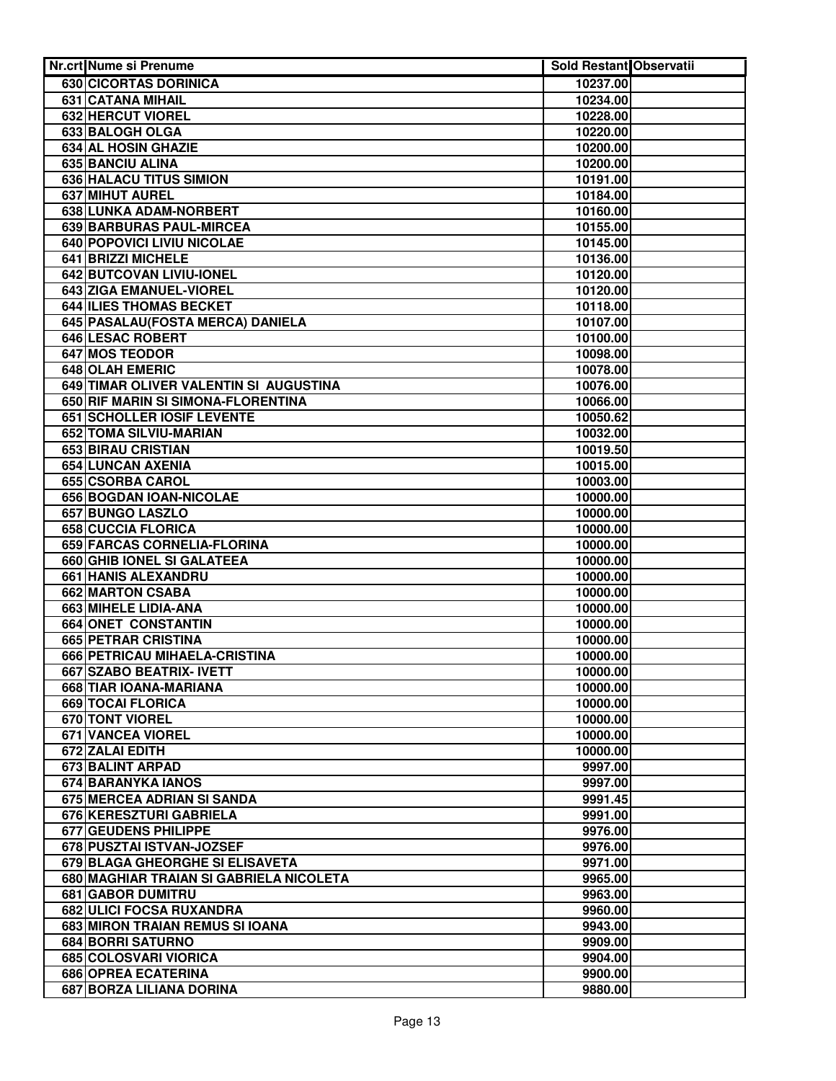| <b>Nr.crt Nume si Prenume</b>           | <b>Sold Restant Observatii</b> |  |
|-----------------------------------------|--------------------------------|--|
| 630 CICORTAS DORINICA                   | 10237.00                       |  |
| 631 CATANA MIHAIL                       | 10234.00                       |  |
| 632 HERCUT VIOREL                       | 10228.00                       |  |
| 633 BALOGH OLGA                         | 10220.00                       |  |
| 634 AL HOSIN GHAZIE                     | 10200.00                       |  |
| 635 BANCIU ALINA                        | 10200.00                       |  |
| 636 HALACU TITUS SIMION                 | 10191.00                       |  |
| <b>637 MIHUT AUREL</b>                  | 10184.00                       |  |
| <b>638 LUNKA ADAM-NORBERT</b>           | 10160.00                       |  |
| 639 BARBURAS PAUL-MIRCEA                | 10155.00                       |  |
| 640 POPOVICI LIVIU NICOLAE              | 10145.00                       |  |
| 641 BRIZZI MICHELE                      | 10136.00                       |  |
| 642 BUTCOVAN LIVIU-IONEL                | 10120.00                       |  |
| 643 ZIGA EMANUEL-VIOREL                 | 10120.00                       |  |
| 644 ILIES THOMAS BECKET                 | 10118.00                       |  |
| 645 PASALAU(FOSTA MERCA) DANIELA        | 10107.00                       |  |
| 646 LESAC ROBERT                        | 10100.00                       |  |
| 647 MOS TEODOR                          | 10098.00                       |  |
| 648 OLAH EMERIC                         | 10078.00                       |  |
| 649 TIMAR OLIVER VALENTIN SI AUGUSTINA  | 10076.00                       |  |
| 650 RIF MARIN SI SIMONA-FLORENTINA      | 10066.00                       |  |
| 651 SCHOLLER IOSIF LEVENTE              | 10050.62                       |  |
| 652 TOMA SILVIU-MARIAN                  | 10032.00                       |  |
| 653 BIRAU CRISTIAN                      | 10019.50                       |  |
| 654 LUNCAN AXENIA                       | 10015.00                       |  |
| 655 CSORBA CAROL                        | 10003.00                       |  |
| 656 BOGDAN IOAN-NICOLAE                 | 10000.00                       |  |
| 657 BUNGO LASZLO                        | 10000.00                       |  |
| <b>658 CUCCIA FLORICA</b>               | 10000.00                       |  |
| 659 FARCAS CORNELIA-FLORINA             | 10000.00                       |  |
| 660 GHIB IONEL SI GALATEEA              | 10000.00                       |  |
| <b>661 HANIS ALEXANDRU</b>              | 10000.00                       |  |
| 662 MARTON CSABA                        | 10000.00                       |  |
| 663 MIHELE LIDIA-ANA                    | 10000.00                       |  |
| 664 ONET CONSTANTIN                     | 10000.00                       |  |
| 665 PETRAR CRISTINA                     | 10000.00                       |  |
| 666 PETRICAU MIHAELA-CRISTINA           | 10000.00                       |  |
| 667 SZABO BEATRIX- IVETT                | 10000.00                       |  |
| 668 TIAR IOANA-MARIANA                  | 10000.00                       |  |
| 669 TOCAI FLORICA                       | 10000.00                       |  |
| 670 TONT VIOREL                         | 10000.00                       |  |
| 671 VANCEA VIOREL                       | 10000.00                       |  |
| 672 ZALAI EDITH                         | 10000.00                       |  |
| 673 BALINT ARPAD                        | 9997.00                        |  |
| 674 BARANYKA IANOS                      | 9997.00                        |  |
| 675 MERCEA ADRIAN SI SANDA              | 9991.45                        |  |
| 676 KERESZTURI GABRIELA                 | 9991.00                        |  |
| 677 GEUDENS PHILIPPE                    | 9976.00                        |  |
| 678 PUSZTAI ISTVAN-JOZSEF               | 9976.00                        |  |
| 679 BLAGA GHEORGHE SI ELISAVETA         | 9971.00                        |  |
| 680 MAGHIAR TRAIAN SI GABRIELA NICOLETA | 9965.00                        |  |
| <b>681 GABOR DUMITRU</b>                | 9963.00                        |  |
| 682 ULICI FOCSA RUXANDRA                | 9960.00                        |  |
| 683 MIRON TRAIAN REMUS SI IOANA         | 9943.00                        |  |
| 684 BORRI SATURNO                       | 9909.00                        |  |
| 685 COLOSVARI VIORICA                   | 9904.00                        |  |
| <b>686 OPREA ECATERINA</b>              | 9900.00                        |  |
| 687 BORZA LILIANA DORINA                | 9880.00                        |  |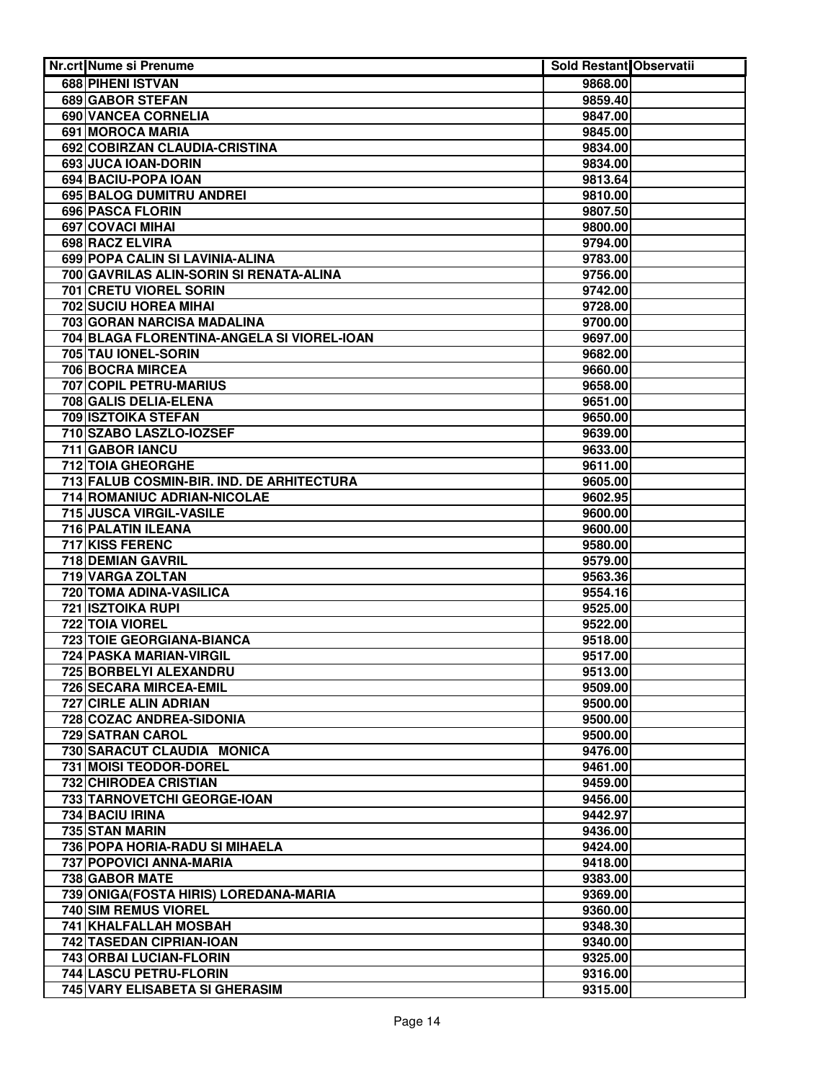| Nr.crt Nume si Prenume                       | Sold Restant Observatii |  |
|----------------------------------------------|-------------------------|--|
| 688 PIHENI ISTVAN                            | 9868.00                 |  |
| 689 GABOR STEFAN                             | 9859.40                 |  |
| 690 VANCEA CORNELIA                          | 9847.00                 |  |
| 691 MOROCA MARIA                             | 9845.00                 |  |
| 692 COBIRZAN CLAUDIA-CRISTINA                | 9834.00                 |  |
| 693 JUCA IOAN-DORIN                          | 9834.00                 |  |
| 694 BACIU-POPA IOAN                          | 9813.64                 |  |
| 695 BALOG DUMITRU ANDREI                     | 9810.00                 |  |
| <b>696 PASCA FLORIN</b>                      | 9807.50                 |  |
| <b>697 COVACI MIHAI</b>                      | 9800.00                 |  |
| 698 RACZ ELVIRA                              | 9794.00                 |  |
| 699 POPA CALIN SI LAVINIA-ALINA              | 9783.00                 |  |
| 700 GAVRILAS ALIN-SORIN SI RENATA-ALINA      | 9756.00                 |  |
| 701 CRETU VIOREL SORIN                       | 9742.00                 |  |
| 702 SUCIU HOREA MIHAI                        | 9728.00                 |  |
| 703 GORAN NARCISA MADALINA                   | 9700.00                 |  |
| 704 BLAGA FLORENTINA-ANGELA SI VIOREL-IOAN   | 9697.00                 |  |
| 705 TAU IONEL-SORIN                          | 9682.00                 |  |
| 706 BOCRA MIRCEA                             | 9660.00                 |  |
| 707 COPIL PETRU-MARIUS                       | 9658.00                 |  |
| 708 GALIS DELIA-ELENA                        | 9651.00                 |  |
| 709 ISZTOIKA STEFAN                          | 9650.00                 |  |
| 710 SZABO LASZLO-IOZSEF                      | 9639.00                 |  |
| 711 GABOR IANCU                              | 9633.00                 |  |
| 712 TOIA GHEORGHE                            | 9611.00                 |  |
| 713 FALUB COSMIN-BIR. IND. DE ARHITECTURA    | 9605.00                 |  |
| 714 ROMANIUC ADRIAN-NICOLAE                  | 9602.95                 |  |
| 715 JUSCA VIRGIL-VASILE                      | 9600.00                 |  |
| 716 PALATIN ILEANA<br><b>717 KISS FERENC</b> | 9600.00                 |  |
| 718 DEMIAN GAVRIL                            | 9580.00<br>9579.00      |  |
| 719 VARGA ZOLTAN                             | 9563.36                 |  |
| 720 TOMA ADINA-VASILICA                      | 9554.16                 |  |
| <b>721 ISZTOIKA RUPI</b>                     | 9525.00                 |  |
| 722 TOIA VIOREL                              | 9522.00                 |  |
| 723 TOIE GEORGIANA-BIANCA                    | 9518.00                 |  |
| 724 PASKA MARIAN-VIRGIL                      | 9517.00                 |  |
| 725 BORBELYI ALEXANDRU                       | 9513.00                 |  |
| 726 SECARA MIRCEA-EMIL                       | 9509.00                 |  |
| 727 CIRLE ALIN ADRIAN                        | 9500.00                 |  |
| 728 COZAC ANDREA-SIDONIA                     | 9500.00                 |  |
| 729 SATRAN CAROL                             | 9500.00                 |  |
| 730 SARACUT CLAUDIA MONICA                   | 9476.00                 |  |
| 731 MOISI TEODOR-DOREL                       | 9461.00                 |  |
| 732 CHIRODEA CRISTIAN                        | 9459.00                 |  |
| 733 TARNOVETCHI GEORGE-IOAN                  | 9456.00                 |  |
| 734 BACIU IRINA                              | 9442.97                 |  |
| 735 STAN MARIN                               | 9436.00                 |  |
| 736 POPA HORIA-RADU SI MIHAELA               | 9424.00                 |  |
| 737 POPOVICI ANNA-MARIA                      | 9418.00                 |  |
| 738 GABOR MATE                               | 9383.00                 |  |
| 739 ONIGA (FOSTA HIRIS) LOREDANA-MARIA       | 9369.00                 |  |
| 740 SIM REMUS VIOREL                         | 9360.00                 |  |
| 741 KHALFALLAH MOSBAH                        | 9348.30                 |  |
| 742 TASEDAN CIPRIAN-IOAN                     | 9340.00                 |  |
| 743 ORBAI LUCIAN-FLORIN                      | 9325.00                 |  |
| 744 LASCU PETRU-FLORIN                       | 9316.00                 |  |
| <b>745 VARY ELISABETA SI GHERASIM</b>        | 9315.00                 |  |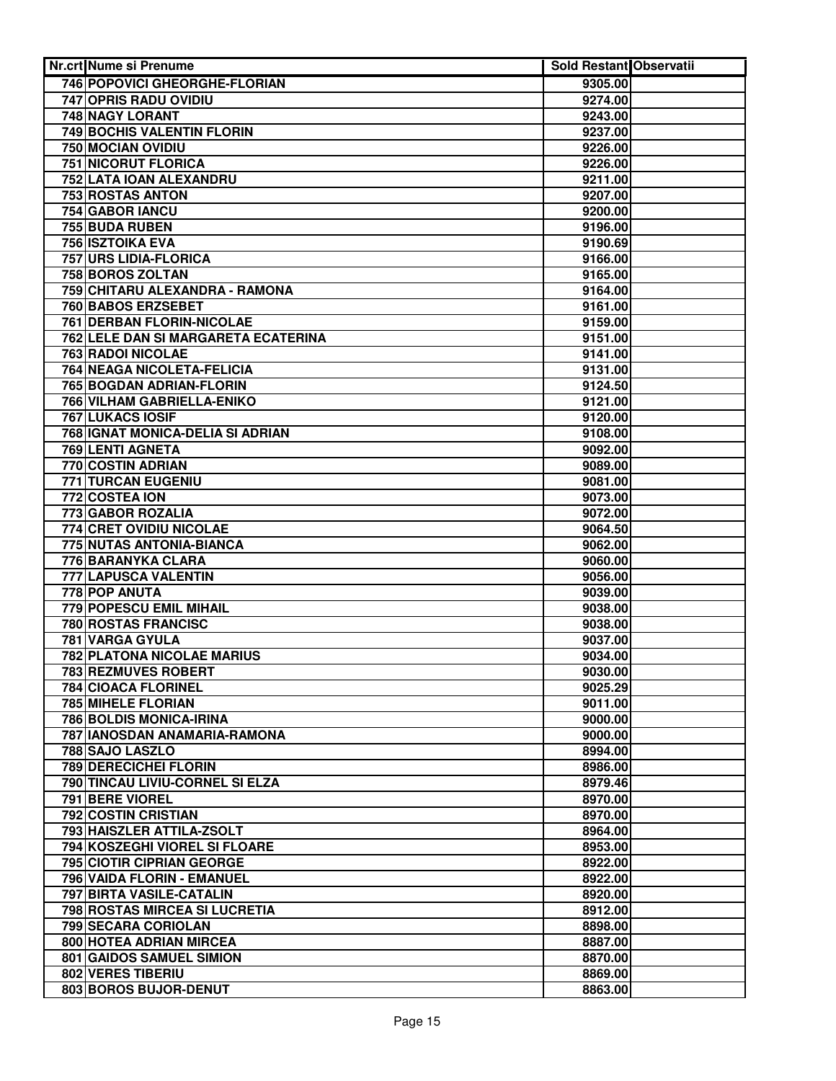| <b>Nr.crt Nume si Prenume</b>            | <b>Sold Restant Observatii</b> |  |
|------------------------------------------|--------------------------------|--|
| 746 POPOVICI GHEORGHE-FLORIAN            | 9305.00                        |  |
| <b>747 OPRIS RADU OVIDIU</b>             | 9274.00                        |  |
| <b>748 NAGY LORANT</b>                   | 9243.00                        |  |
| 749 BOCHIS VALENTIN FLORIN               | 9237.00                        |  |
| 750 MOCIAN OVIDIU                        | 9226.00                        |  |
| 751 NICORUT FLORICA                      | 9226.00                        |  |
| 752 LATA IOAN ALEXANDRU                  | 9211.00                        |  |
| <b>753 ROSTAS ANTON</b>                  | 9207.00                        |  |
| 754 GABOR IANCU                          | 9200.00                        |  |
| 755 BUDA RUBEN                           | 9196.00                        |  |
| 756 ISZTOIKA EVA                         | 9190.69                        |  |
| 757 URS LIDIA-FLORICA                    | 9166.00                        |  |
| 758 BOROS ZOLTAN                         | 9165.00                        |  |
| 759 CHITARU ALEXANDRA - RAMONA           | 9164.00                        |  |
| 760 BABOS ERZSEBET                       | 9161.00                        |  |
| 761 DERBAN FLORIN-NICOLAE                | 9159.00                        |  |
| 762 LELE DAN SI MARGARETA ECATERINA      | 9151.00                        |  |
| <b>763 RADOI NICOLAE</b>                 | 9141.00                        |  |
| 764 NEAGA NICOLETA-FELICIA               | 9131.00                        |  |
| 765 BOGDAN ADRIAN-FLORIN                 | 9124.50                        |  |
| 766 VILHAM GABRIELLA-ENIKO               | 9121.00                        |  |
| 767 LUKACS IOSIF                         | 9120.00                        |  |
| 768 IGNAT MONICA-DELIA SI ADRIAN         | 9108.00                        |  |
| 769 LENTI AGNETA                         | 9092.00                        |  |
| 770 COSTIN ADRIAN                        | 9089.00                        |  |
| 771 TURCAN EUGENIU                       | 9081.00                        |  |
| 772 COSTEA ION                           | 9073.00                        |  |
| 773 GABOR ROZALIA                        | 9072.00                        |  |
| 774 CRET OVIDIU NICOLAE                  | 9064.50                        |  |
| 775 NUTAS ANTONIA-BIANCA                 | 9062.00                        |  |
| <b>776 BARANYKA CLARA</b>                | 9060.00                        |  |
| 777 LAPUSCA VALENTIN                     | 9056.00                        |  |
| 778 POP ANUTA                            | 9039.00                        |  |
| <b>779 POPESCU EMIL MIHAIL</b>           | 9038.00                        |  |
| 780 ROSTAS FRANCISC                      | 9038.00                        |  |
| 781 VARGA GYULA                          | 9037.00                        |  |
| <b>782 PLATONA NICOLAE MARIUS</b>        | 9034.00                        |  |
| 783 REZMUVES ROBERT                      | 9030.00                        |  |
| 784 CIOACA FLORINEL                      | 9025.29                        |  |
| 785 MIHELE FLORIAN                       | 9011.00                        |  |
| 786 BOLDIS MONICA-IRINA                  | 9000.00                        |  |
| 787 IANOSDAN ANAMARIA-RAMONA             | 9000.00                        |  |
| 788 SAJO LASZLO<br>789 DERECICHEI FLORIN | 8994.00                        |  |
| 790 TINCAU LIVIU-CORNEL SI ELZA          | 8986.00<br>8979.46             |  |
| 791 BERE VIOREL                          | 8970.00                        |  |
| 792 COSTIN CRISTIAN                      | 8970.00                        |  |
| 793 HAISZLER ATTILA-ZSOLT                | 8964.00                        |  |
| 794 KOSZEGHI VIOREL SI FLOARE            | 8953.00                        |  |
| 795 CIOTIR CIPRIAN GEORGE                | 8922.00                        |  |
| 796 VAIDA FLORIN - EMANUEL               | 8922.00                        |  |
| 797 BIRTA VASILE-CATALIN                 | 8920.00                        |  |
| 798 ROSTAS MIRCEA SI LUCRETIA            | 8912.00                        |  |
| 799 SECARA CORIOLAN                      | 8898.00                        |  |
| 800 HOTEA ADRIAN MIRCEA                  | 8887.00                        |  |
| 801 GAIDOS SAMUEL SIMION                 | 8870.00                        |  |
| 802 VERES TIBERIU                        | 8869.00                        |  |
| 803 BOROS BUJOR-DENUT                    | 8863.00                        |  |
|                                          |                                |  |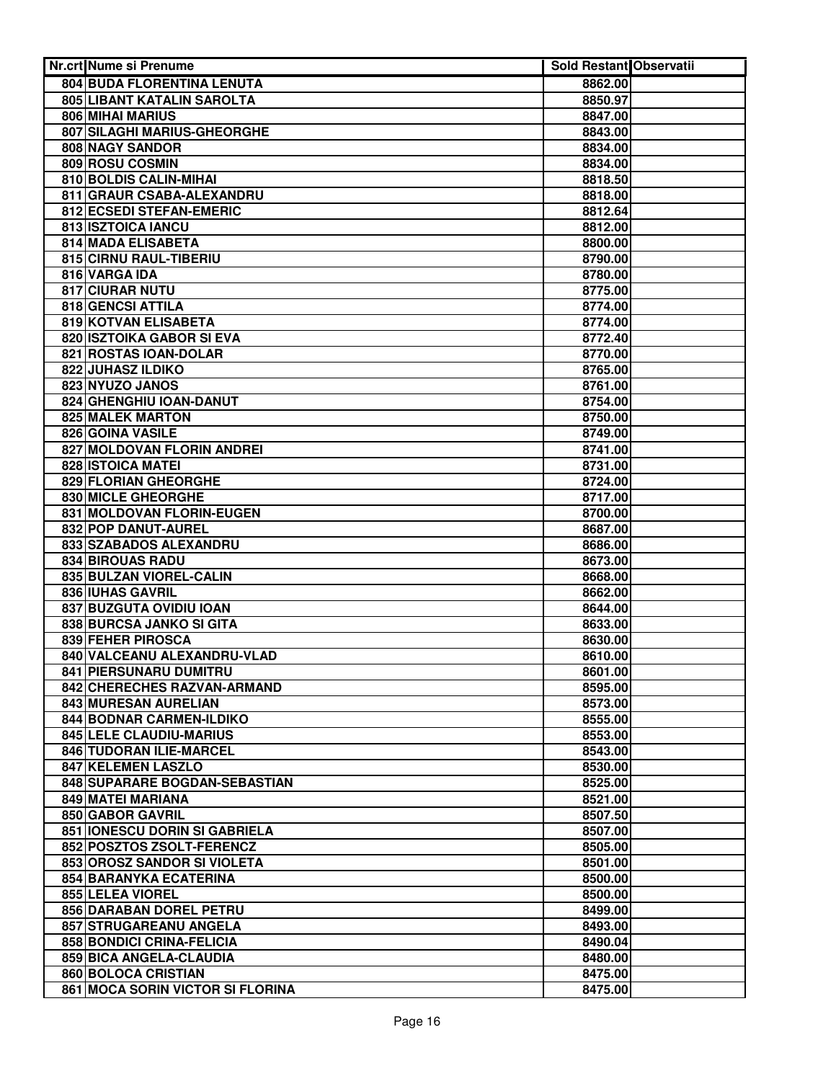| <b>Nr.crt Nume si Prenume</b>         | <b>Sold Restant Observatii</b> |  |
|---------------------------------------|--------------------------------|--|
| 804 BUDA FLORENTINA LENUTA            | 8862.00                        |  |
| 805 LIBANT KATALIN SAROLTA            | 8850.97                        |  |
| 806 MIHAI MARIUS                      | 8847.00                        |  |
| 807 SILAGHI MARIUS-GHEORGHE           | 8843.00                        |  |
| 808 NAGY SANDOR                       | 8834.00                        |  |
| 809 ROSU COSMIN                       | 8834.00                        |  |
| 810 BOLDIS CALIN-MIHAI                | 8818.50                        |  |
| 811 GRAUR CSABA-ALEXANDRU             | 8818.00                        |  |
| 812 ECSEDI STEFAN-EMERIC              | 8812.64                        |  |
| 813 ISZTOICA IANCU                    | 8812.00                        |  |
| 814 MADA ELISABETA                    | 8800.00                        |  |
| 815 CIRNU RAUL-TIBERIU                | 8790.00                        |  |
| 816 VARGA IDA                         | 8780.00                        |  |
| 817 CIURAR NUTU                       | 8775.00                        |  |
| 818 GENCSI ATTILA                     | 8774.00                        |  |
| 819 KOTVAN ELISABETA                  | 8774.00                        |  |
| 820 ISZTOIKA GABOR SI EVA             | 8772.40                        |  |
| 821 ROSTAS IOAN-DOLAR                 | 8770.00                        |  |
| 822 JUHASZ ILDIKO                     | 8765.00                        |  |
| 823 NYUZO JANOS                       | 8761.00                        |  |
| 824 GHENGHIU IOAN-DANUT               | 8754.00                        |  |
| 825 MALEK MARTON                      | 8750.00                        |  |
| 826 GOINA VASILE                      | 8749.00                        |  |
| 827 MOLDOVAN FLORIN ANDREI            | 8741.00                        |  |
| 828 ISTOICA MATEI                     | 8731.00                        |  |
| 829 FLORIAN GHEORGHE                  | 8724.00                        |  |
| 830 MICLE GHEORGHE                    | 8717.00                        |  |
| 831 MOLDOVAN FLORIN-EUGEN             | 8700.00                        |  |
| 832 POP DANUT-AUREL                   | 8687.00                        |  |
| 833 SZABADOS ALEXANDRU                | 8686.00                        |  |
| 834 BIROUAS RADU                      | 8673.00                        |  |
| 835 BULZAN VIOREL-CALIN               | 8668.00                        |  |
| <b>836 IUHAS GAVRIL</b>               | 8662.00                        |  |
| 837 BUZGUTA OVIDIU IOAN               | 8644.00                        |  |
| 838 BURCSA JANKO SI GITA              | 8633.00                        |  |
| 839 FEHER PIROSCA                     | 8630.00                        |  |
| 840 VALCEANU ALEXANDRU-VLAD           | 8610.00                        |  |
| 841 PIERSUNARU DUMITRU                | 8601.00                        |  |
| 842 CHERECHES RAZVAN-ARMAND           | 8595.00                        |  |
| 843 MURESAN AURELIAN                  | 8573.00                        |  |
| 844 BODNAR CARMEN-ILDIKO              | 8555.00                        |  |
| 845 LELE CLAUDIU-MARIUS               | 8553.00                        |  |
| 846 TUDORAN ILIE-MARCEL               | 8543.00                        |  |
| 847 KELEMEN LASZLO                    | 8530.00                        |  |
| 848 SUPARARE BOGDAN-SEBASTIAN         | 8525.00                        |  |
| 849 MATEI MARIANA<br>850 GABOR GAVRIL | 8521.00                        |  |
| 851 IONESCU DORIN SI GABRIELA         | 8507.50                        |  |
| 852 POSZTOS ZSOLT-FERENCZ             | 8507.00<br>8505.00             |  |
| 853 OROSZ SANDOR SI VIOLETA           | 8501.00                        |  |
| 854 BARANYKA ECATERINA                | 8500.00                        |  |
| 855 LELEA VIOREL                      | 8500.00                        |  |
| 856 DARABAN DOREL PETRU               | 8499.00                        |  |
| 857 STRUGAREANU ANGELA                | 8493.00                        |  |
| 858 BONDICI CRINA-FELICIA             | 8490.04                        |  |
| 859 BICA ANGELA-CLAUDIA               | 8480.00                        |  |
| 860 BOLOCA CRISTIAN                   | 8475.00                        |  |
| 861 MOCA SORIN VICTOR SI FLORINA      | 8475.00                        |  |
|                                       |                                |  |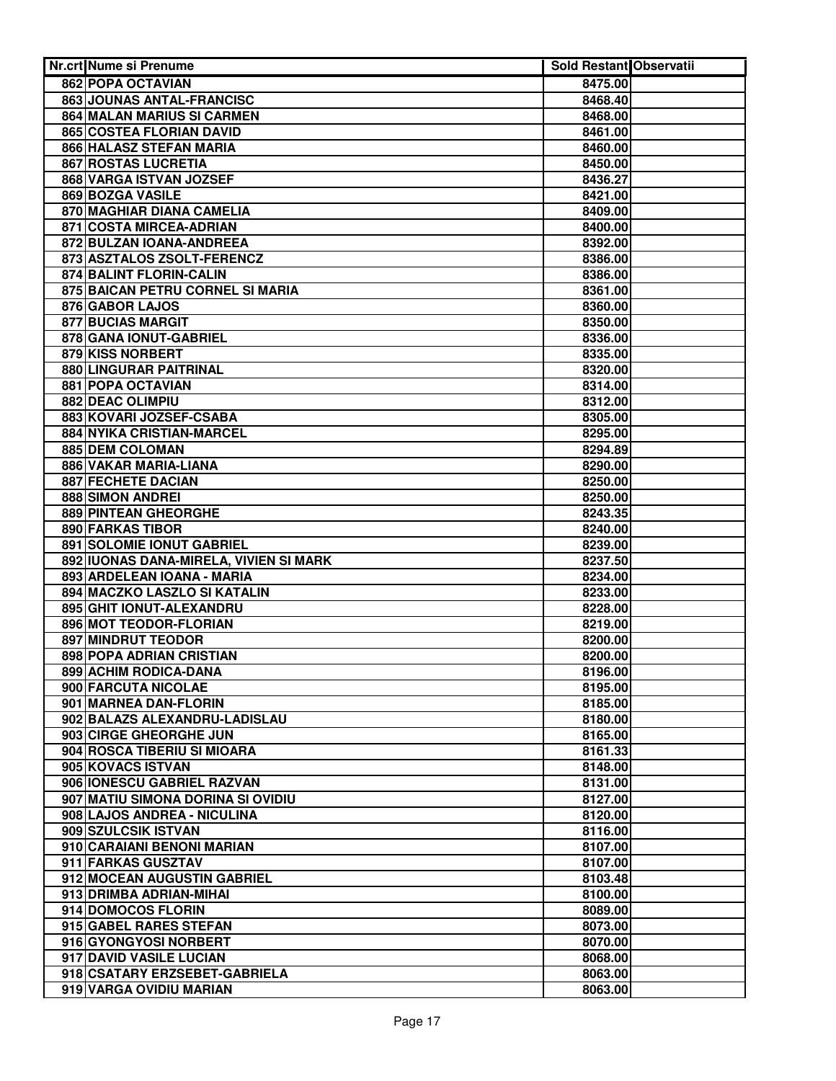| <b>Nr.crt Nume si Prenume</b>               | <b>Sold Restant Observatii</b> |  |
|---------------------------------------------|--------------------------------|--|
| 862 POPA OCTAVIAN                           | 8475.00                        |  |
| 863 JOUNAS ANTAL-FRANCISC                   | 8468.40                        |  |
| 864 MALAN MARIUS SI CARMEN                  | 8468.00                        |  |
| 865 COSTEA FLORIAN DAVID                    | 8461.00                        |  |
| 866 HALASZ STEFAN MARIA                     | 8460.00                        |  |
| 867 ROSTAS LUCRETIA                         | 8450.00                        |  |
| 868 VARGA ISTVAN JOZSEF                     | 8436.27                        |  |
| 869 BOZGA VASILE                            | 8421.00                        |  |
| 870 MAGHIAR DIANA CAMELIA                   | 8409.00                        |  |
| 871 COSTA MIRCEA-ADRIAN                     | 8400.00                        |  |
| 872 BULZAN IOANA-ANDREEA                    | 8392.00                        |  |
| 873 ASZTALOS ZSOLT-FERENCZ                  | 8386.00                        |  |
| 874 BALINT FLORIN-CALIN                     | 8386.00                        |  |
| 875 BAICAN PETRU CORNEL SI MARIA            | 8361.00                        |  |
| 876 GABOR LAJOS                             | 8360.00                        |  |
| <b>877 BUCIAS MARGIT</b>                    | 8350.00                        |  |
| 878 GANA IONUT-GABRIEL                      | 8336.00                        |  |
| 879 KISS NORBERT                            | 8335.00                        |  |
| 880 LINGURAR PAITRINAL                      | 8320.00                        |  |
| 881 POPA OCTAVIAN                           | 8314.00                        |  |
| 882 DEAC OLIMPIU                            | 8312.00                        |  |
| 883 KOVARI JOZSEF-CSABA                     |                                |  |
|                                             | 8305.00                        |  |
| 884 NYIKA CRISTIAN-MARCEL                   | 8295.00<br>8294.89             |  |
| 885 DEM COLOMAN                             | 8290.00                        |  |
| 886 VAKAR MARIA-LIANA<br>887 FECHETE DACIAN | 8250.00                        |  |
| 888 SIMON ANDREI                            | 8250.00                        |  |
| 889 PINTEAN GHEORGHE                        | 8243.35                        |  |
| <b>890 FARKAS TIBOR</b>                     | 8240.00                        |  |
| 891 SOLOMIE IONUT GABRIEL                   | 8239.00                        |  |
| 892 IUONAS DANA-MIRELA, VIVIEN SI MARK      | 8237.50                        |  |
| 893 ARDELEAN IOANA - MARIA                  | 8234.00                        |  |
| 894 MACZKO LASZLO SI KATALIN                | 8233.00                        |  |
| 895 GHIT IONUT-ALEXANDRU                    | 8228.00                        |  |
| 896 MOT TEODOR-FLORIAN                      | 8219.00                        |  |
| 897 MINDRUT TEODOR                          | 8200.00                        |  |
| 898 POPA ADRIAN CRISTIAN                    | 8200.00                        |  |
| 899 ACHIM RODICA-DANA                       | 8196.00                        |  |
| 900 FARCUTA NICOLAE                         | 8195.00                        |  |
| 901 MARNEA DAN-FLORIN                       | 8185.00                        |  |
| 902 BALAZS ALEXANDRU-LADISLAU               | 8180.00                        |  |
| 903 CIRGE GHEORGHE JUN                      | 8165.00                        |  |
| 904 ROSCA TIBERIU SI MIOARA                 | 8161.33                        |  |
| 905 KOVACS ISTVAN                           | 8148.00                        |  |
| 906 IONESCU GABRIEL RAZVAN                  | 8131.00                        |  |
| 907 MATIU SIMONA DORINA SI OVIDIU           | 8127.00                        |  |
| 908 LAJOS ANDREA - NICULINA                 | 8120.00                        |  |
| 909 SZULCSIK ISTVAN                         | 8116.00                        |  |
| 910 CARAIANI BENONI MARIAN                  | 8107.00                        |  |
| 911 FARKAS GUSZTAV                          | 8107.00                        |  |
| 912 MOCEAN AUGUSTIN GABRIEL                 | 8103.48                        |  |
| 913 DRIMBA ADRIAN-MIHAI                     | 8100.00                        |  |
| 914 DOMOCOS FLORIN                          | 8089.00                        |  |
| 915 GABEL RARES STEFAN                      | 8073.00                        |  |
| 916 GYONGYOSI NORBERT                       | 8070.00                        |  |
| 917 DAVID VASILE LUCIAN                     | 8068.00                        |  |
| 918 CSATARY ERZSEBET-GABRIELA               | 8063.00                        |  |
| 919 VARGA OVIDIU MARIAN                     | 8063.00                        |  |
|                                             |                                |  |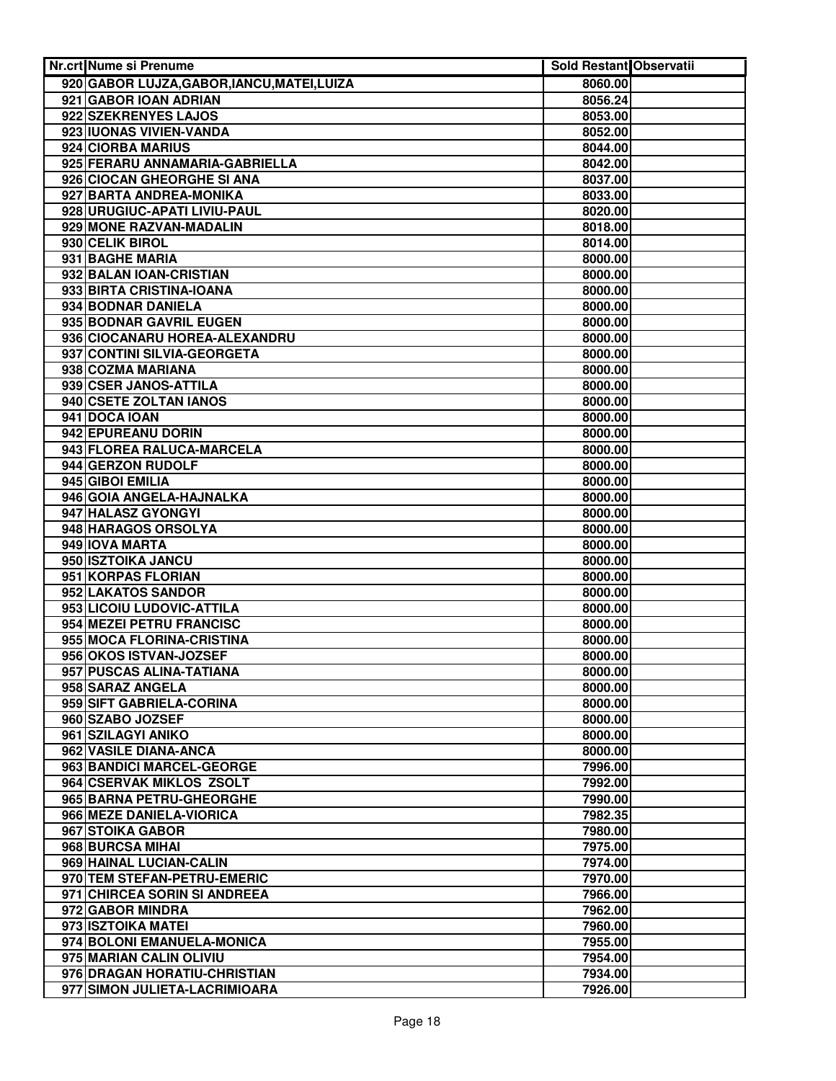| Nr.crt Nume si Prenume                          | <b>Sold Restant Observatii</b> |  |
|-------------------------------------------------|--------------------------------|--|
| 920 GABOR LUJZA, GABOR, IANCU, MATEI, LUIZA     | 8060.00                        |  |
| 921 GABOR IOAN ADRIAN                           | 8056.24                        |  |
| 922 SZEKRENYES LAJOS                            | 8053.00                        |  |
| 923 IUONAS VIVIEN-VANDA                         | 8052.00                        |  |
| 924 CIORBA MARIUS                               | 8044.00                        |  |
| 925 FERARU ANNAMARIA-GABRIELLA                  | 8042.00                        |  |
| 926 CIOCAN GHEORGHE SI ANA                      | 8037.00                        |  |
| 927 BARTA ANDREA-MONIKA                         | 8033.00                        |  |
| 928 URUGIUC-APATI LIVIU-PAUL                    | 8020.00                        |  |
| 929 MONE RAZVAN-MADALIN                         | 8018.00                        |  |
| 930 CELIK BIROL                                 | 8014.00                        |  |
| 931 BAGHE MARIA                                 | 8000.00                        |  |
| 932 BALAN IOAN-CRISTIAN                         | 8000.00                        |  |
| 933 BIRTA CRISTINA-IOANA                        | 8000.00                        |  |
| 934 BODNAR DANIELA                              | 8000.00                        |  |
| 935 BODNAR GAVRIL EUGEN                         | 8000.00                        |  |
| 936 CIOCANARU HOREA-ALEXANDRU                   | 8000.00                        |  |
| 937 CONTINI SILVIA-GEORGETA                     | 8000.00                        |  |
| 938 COZMA MARIANA                               | 8000.00                        |  |
| 939 CSER JANOS-ATTILA                           | 8000.00                        |  |
| 940 CSETE ZOLTAN IANOS                          | 8000.00                        |  |
| 941 DOCA IOAN                                   | 8000.00                        |  |
| 942 EPUREANU DORIN                              | 8000.00                        |  |
| 943 FLOREA RALUCA-MARCELA                       | 8000.00                        |  |
| 944 GERZON RUDOLF                               | 8000.00                        |  |
| 945 GIBOI EMILIA                                | 8000.00                        |  |
| 946 GOIA ANGELA-HAJNALKA                        | 8000.00                        |  |
| 947 HALASZ GYONGYI                              | 8000.00                        |  |
| 948 HARAGOS ORSOLYA                             | 8000.00                        |  |
| 949 IOVA MARTA                                  | 8000.00                        |  |
| 950 ISZTOIKA JANCU                              | 8000.00                        |  |
| 951 KORPAS FLORIAN                              | 8000.00<br>8000.00             |  |
| 952 LAKATOS SANDOR<br>953 LICOIU LUDOVIC-ATTILA | 8000.00                        |  |
| 954 MEZEI PETRU FRANCISC                        | 8000.00                        |  |
| 955 MOCA FLORINA-CRISTINA                       | 8000.00                        |  |
| 956 OKOS ISTVAN-JOZSEF                          | 8000.00                        |  |
| 957 PUSCAS ALINA-TATIANA                        | 8000.00                        |  |
| 958 SARAZ ANGELA                                | 8000.00                        |  |
| 959 SIFT GABRIELA-CORINA                        | 8000.00                        |  |
| 960 SZABO JOZSEF                                | 8000.00                        |  |
| 961 SZILAGYI ANIKO                              | 8000.00                        |  |
| 962 VASILE DIANA-ANCA                           | 8000.00                        |  |
| 963 BANDICI MARCEL-GEORGE                       | 7996.00                        |  |
| 964 CSERVAK MIKLOS ZSOLT                        | 7992.00                        |  |
| 965 BARNA PETRU-GHEORGHE                        | 7990.00                        |  |
| 966 MEZE DANIELA-VIORICA                        | 7982.35                        |  |
| 967 STOIKA GABOR                                | 7980.00                        |  |
| 968 BURCSA MIHAI                                | 7975.00                        |  |
| 969 HAINAL LUCIAN-CALIN                         | 7974.00                        |  |
| 970 TEM STEFAN-PETRU-EMERIC                     | 7970.00                        |  |
| 971 CHIRCEA SORIN SI ANDREEA                    | 7966.00                        |  |
| 972 GABOR MINDRA                                | 7962.00                        |  |
| 973 ISZTOIKA MATEI                              | 7960.00                        |  |
| 974 BOLONI EMANUELA-MONICA                      | 7955.00                        |  |
| 975 MARIAN CALIN OLIVIU                         | 7954.00                        |  |
| 976 DRAGAN HORATIU-CHRISTIAN                    | 7934.00                        |  |
| 977 SIMON JULIETA-LACRIMIOARA                   | 7926.00                        |  |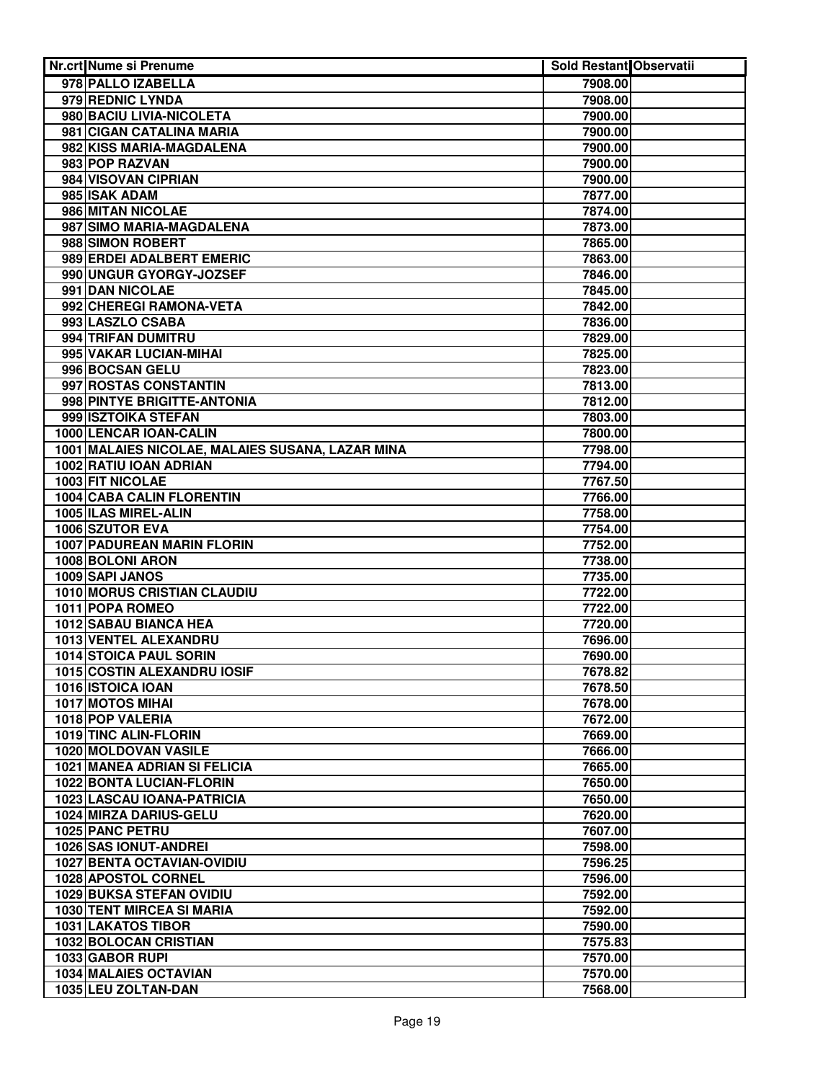| <b>Nr.crt Nume si Prenume</b>                        | Sold Restant Observatii |  |
|------------------------------------------------------|-------------------------|--|
| 978 PALLO IZABELLA                                   | 7908.00                 |  |
| 979 REDNIC LYNDA                                     | 7908.00                 |  |
| 980 BACIU LIVIA-NICOLETA                             | 7900.00                 |  |
| 981 CIGAN CATALINA MARIA                             | 7900.00                 |  |
| 982 KISS MARIA-MAGDALENA                             | 7900.00                 |  |
| 983 POP RAZVAN                                       | 7900.00                 |  |
| 984 VISOVAN CIPRIAN                                  | 7900.00                 |  |
| 985 ISAK ADAM                                        | 7877.00                 |  |
| 986 MITAN NICOLAE                                    | 7874.00                 |  |
| 987 SIMO MARIA-MAGDALENA                             | 7873.00                 |  |
| 988 SIMON ROBERT                                     | 7865.00                 |  |
| 989 ERDEI ADALBERT EMERIC                            | 7863.00                 |  |
| 990 UNGUR GYORGY-JOZSEF                              | 7846.00                 |  |
| 991 DAN NICOLAE                                      | 7845.00                 |  |
| 992 CHEREGI RAMONA-VETA                              | 7842.00                 |  |
| 993 LASZLO CSABA                                     | 7836.00                 |  |
| 994 TRIFAN DUMITRU                                   | 7829.00                 |  |
| 995 VAKAR LUCIAN-MIHAI                               | 7825.00                 |  |
| 996 BOCSAN GELU                                      | 7823.00                 |  |
| 997 ROSTAS CONSTANTIN                                | 7813.00                 |  |
| 998 PINTYE BRIGITTE-ANTONIA                          | 7812.00                 |  |
| 999 ISZTOIKA STEFAN                                  | 7803.00                 |  |
| 1000 LENCAR IOAN-CALIN                               | 7800.00                 |  |
| 1001 MALAIES NICOLAE, MALAIES SUSANA, LAZAR MINA     | 7798.00                 |  |
| 1002 RATIU IOAN ADRIAN                               | 7794.00                 |  |
| 1003 FIT NICOLAE                                     | 7767.50                 |  |
| <b>1004 CABA CALIN FLORENTIN</b>                     | 7766.00                 |  |
| 1005 ILAS MIREL-ALIN                                 | 7758.00                 |  |
| 1006 SZUTOR EVA<br><b>1007 PADUREAN MARIN FLORIN</b> | 7754.00                 |  |
| 1008 BOLONI ARON                                     | 7752.00<br>7738.00      |  |
| 1009 SAPI JANOS                                      | 7735.00                 |  |
| 1010 MORUS CRISTIAN CLAUDIU                          | 7722.00                 |  |
| 1011 POPA ROMEO                                      | 7722.00                 |  |
| 1012 SABAU BIANCA HEA                                | 7720.00                 |  |
| 1013 VENTEL ALEXANDRU                                | 7696.00                 |  |
| 1014 STOICA PAUL SORIN                               | 7690.00                 |  |
| 1015 COSTIN ALEXANDRU IOSIF                          | 7678.82                 |  |
| 1016 ISTOICA IOAN                                    | 7678.50                 |  |
| 1017 MOTOS MIHAI                                     | 7678.00                 |  |
| 1018 POP VALERIA                                     | 7672.00                 |  |
| 1019 TINC ALIN-FLORIN                                | 7669.00                 |  |
| 1020 MOLDOVAN VASILE                                 | 7666.00                 |  |
| 1021 MANEA ADRIAN SI FELICIA                         | 7665.00                 |  |
| 1022 BONTA LUCIAN-FLORIN                             | 7650.00                 |  |
| 1023 LASCAU IOANA-PATRICIA                           | 7650.00                 |  |
| 1024 MIRZA DARIUS-GELU                               | 7620.00                 |  |
| 1025 PANC PETRU                                      | 7607.00                 |  |
| 1026 SAS IONUT-ANDREI                                | 7598.00                 |  |
| <b>1027 BENTA OCTAVIAN-OVIDIU</b>                    | 7596.25                 |  |
| 1028 APOSTOL CORNEL                                  | 7596.00                 |  |
| 1029 BUKSA STEFAN OVIDIU                             | 7592.00                 |  |
| 1030 TENT MIRCEA SI MARIA                            | 7592.00                 |  |
| <b>1031 LAKATOS TIBOR</b>                            | 7590.00                 |  |
| 1032 BOLOCAN CRISTIAN                                | 7575.83                 |  |
| 1033 GABOR RUPI                                      | 7570.00                 |  |
| 1034 MALAIES OCTAVIAN                                | 7570.00                 |  |
| 1035 LEU ZOLTAN-DAN                                  | 7568.00                 |  |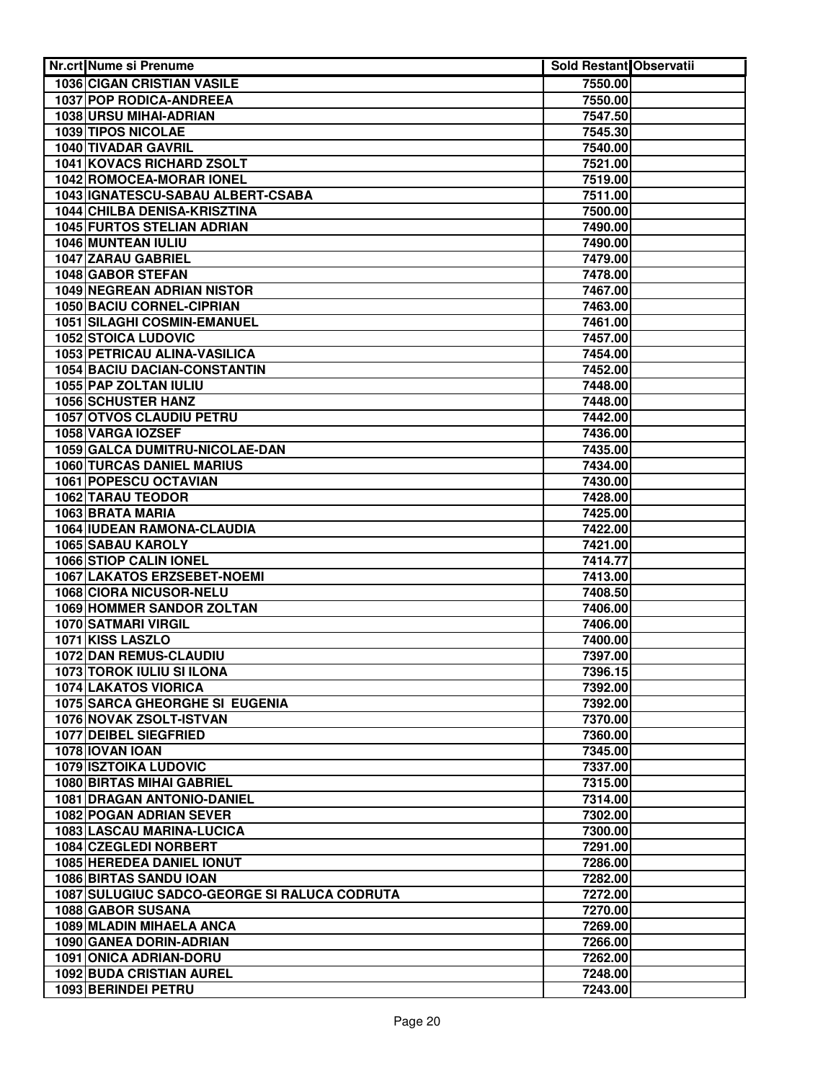| Nr.crt Nume si Prenume                                            | <b>Sold Restant Observatii</b> |  |
|-------------------------------------------------------------------|--------------------------------|--|
| <b>1036 CIGAN CRISTIAN VASILE</b>                                 | 7550.00                        |  |
| <b>1037 POP RODICA-ANDREEA</b>                                    | 7550.00                        |  |
| 1038 URSU MIHAI-ADRIAN                                            | 7547.50                        |  |
| 1039 TIPOS NICOLAE                                                | 7545.30                        |  |
| 1040 TIVADAR GAVRIL                                               | 7540.00                        |  |
| 1041 KOVACS RICHARD ZSOLT                                         | 7521.00                        |  |
| 1042 ROMOCEA-MORAR IONEL                                          | 7519.00                        |  |
| 1043 IGNATESCU-SABAU ALBERT-CSABA                                 | 7511.00                        |  |
| 1044 CHILBA DENISA-KRISZTINA                                      | 7500.00                        |  |
| <b>1045 FURTOS STELIAN ADRIAN</b>                                 | 7490.00                        |  |
| 1046 MUNTEAN IULIU                                                | 7490.00                        |  |
| 1047 ZARAU GABRIEL                                                | 7479.00                        |  |
| 1048 GABOR STEFAN                                                 | 7478.00                        |  |
| 1049 NEGREAN ADRIAN NISTOR                                        | 7467.00                        |  |
| 1050 BACIU CORNEL-CIPRIAN                                         | 7463.00                        |  |
| 1051 SILAGHI COSMIN-EMANUEL                                       | 7461.00                        |  |
| <b>1052 STOICA LUDOVIC</b>                                        | 7457.00                        |  |
| 1053 PETRICAU ALINA-VASILICA                                      | 7454.00                        |  |
| 1054 BACIU DACIAN-CONSTANTIN                                      | 7452.00                        |  |
| 1055 PAP ZOLTAN IULIU                                             | 7448.00                        |  |
| 1056 SCHUSTER HANZ                                                | 7448.00                        |  |
| 1057 OTVOS CLAUDIU PETRU                                          | 7442.00                        |  |
| 1058 VARGA IOZSEF                                                 | 7436.00                        |  |
| 1059 GALCA DUMITRU-NICOLAE-DAN                                    | 7435.00                        |  |
| <b>1060 TURCAS DANIEL MARIUS</b>                                  | 7434.00                        |  |
| 1061 POPESCU OCTAVIAN                                             | 7430.00                        |  |
| <b>1062 TARAU TEODOR</b>                                          | 7428.00                        |  |
| 1063 BRATA MARIA                                                  | 7425.00                        |  |
| 1064 IUDEAN RAMONA-CLAUDIA                                        | 7422.00                        |  |
| <b>1065 SABAU KAROLY</b>                                          | 7421.00                        |  |
| 1066 STIOP CALIN IONEL                                            | 7414.77                        |  |
| 1067 LAKATOS ERZSEBET-NOEMI                                       | 7413.00                        |  |
| <b>1068 CIORA NICUSOR-NELU</b>                                    | 7408.50                        |  |
| 1069 HOMMER SANDOR ZOLTAN                                         | 7406.00                        |  |
| <b>1070 SATMARI VIRGIL</b>                                        | 7406.00                        |  |
| 1071 KISS LASZLO                                                  | 7400.00                        |  |
| 1072 DAN REMUS-CLAUDIU                                            | 7397.00                        |  |
| 1073 TOROK IULIU SI ILONA                                         | 7396.15                        |  |
| 1074 LAKATOS VIORICA                                              | 7392.00                        |  |
| <b>1075 SARCA GHEORGHE SI EUGENIA</b>                             | 7392.00                        |  |
| 1076 NOVAK ZSOLT-ISTVAN                                           | 7370.00                        |  |
| 1077 DEIBEL SIEGFRIED                                             | 7360.00                        |  |
| 1078 IOVAN IOAN                                                   | 7345.00                        |  |
| <b>1079 ISZTOIKA LUDOVIC</b>                                      | 7337.00                        |  |
| 1080 BIRTAS MIHAI GABRIEL                                         | 7315.00                        |  |
| 1081 DRAGAN ANTONIO-DANIEL                                        | 7314.00                        |  |
| 1082 POGAN ADRIAN SEVER                                           | 7302.00                        |  |
| 1083 LASCAU MARINA-LUCICA                                         | 7300.00                        |  |
| 1084 CZEGLEDI NORBERT                                             | 7291.00                        |  |
| 1085 HEREDEA DANIEL IONUT                                         | 7286.00                        |  |
| 1086 BIRTAS SANDU IOAN                                            | 7282.00                        |  |
| 1087 SULUGIUC SADCO-GEORGE SI RALUCA CODRUTA<br>1088 GABOR SUSANA | 7272.00<br>7270.00             |  |
| 1089 MLADIN MIHAELA ANCA                                          | 7269.00                        |  |
| 1090 GANEA DORIN-ADRIAN                                           |                                |  |
| 1091 ONICA ADRIAN-DORU                                            | 7266.00<br>7262.00             |  |
| <b>1092 BUDA CRISTIAN AUREL</b>                                   | 7248.00                        |  |
| 1093 BERINDEI PETRU                                               | 7243.00                        |  |
|                                                                   |                                |  |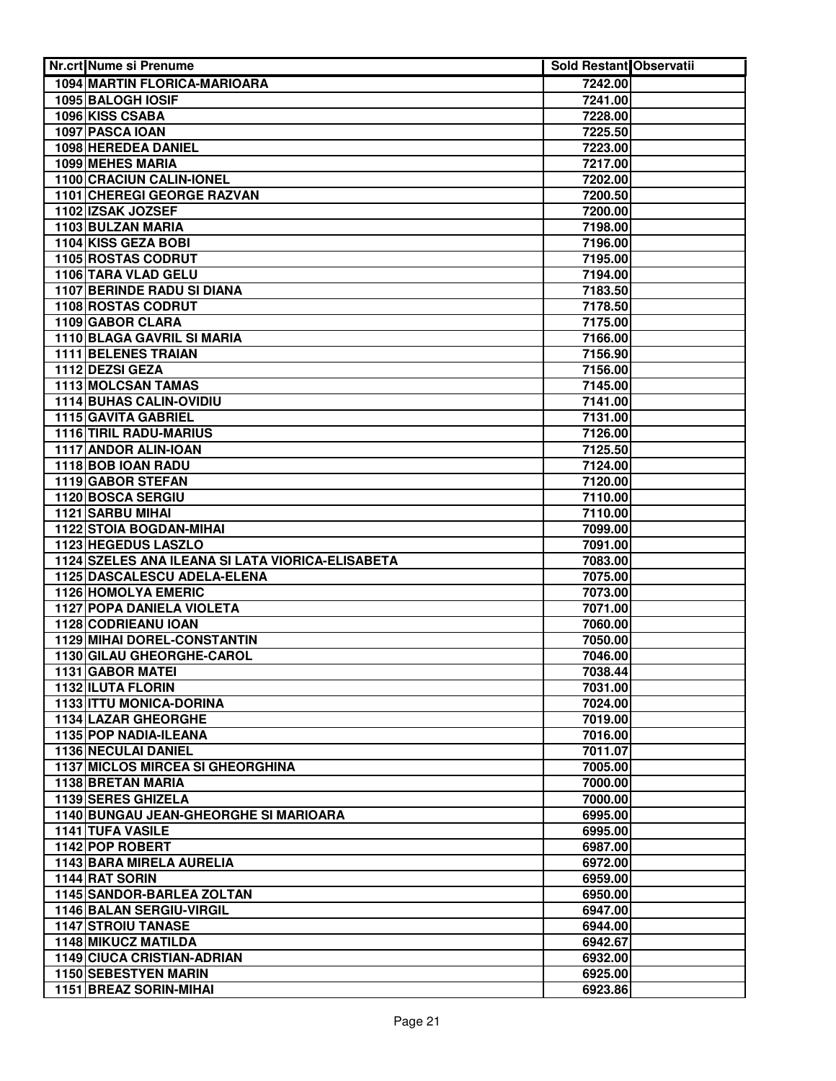| Nr.crt Nume si Prenume                                       | Sold Restant Observatii |  |
|--------------------------------------------------------------|-------------------------|--|
| 1094 MARTIN FLORICA-MARIOARA                                 | 7242.00                 |  |
| 1095 BALOGH IOSIF                                            | 7241.00                 |  |
| 1096 KISS CSABA                                              | 7228.00                 |  |
| 1097 PASCA IOAN                                              | 7225.50                 |  |
| 1098 HEREDEA DANIEL                                          | 7223.00                 |  |
| 1099 MEHES MARIA                                             | 7217.00                 |  |
| 1100 CRACIUN CALIN-IONEL                                     | 7202.00                 |  |
| 1101 CHEREGI GEORGE RAZVAN                                   | 7200.50                 |  |
| 1102 IZSAK JOZSEF                                            | 7200.00                 |  |
| 1103 BULZAN MARIA                                            | 7198.00                 |  |
| 1104 KISS GEZA BOBI                                          | 7196.00                 |  |
| 1105 ROSTAS CODRUT                                           | 7195.00                 |  |
| 1106 TARA VLAD GELU                                          | 7194.00                 |  |
| 1107 BERINDE RADU SI DIANA                                   | 7183.50                 |  |
| 1108 ROSTAS CODRUT                                           | 7178.50                 |  |
| 1109 GABOR CLARA                                             | 7175.00                 |  |
| 1110 BLAGA GAVRIL SI MARIA                                   | 7166.00                 |  |
| 1111 BELENES TRAIAN                                          | 7156.90                 |  |
| 1112 DEZSI GEZA                                              | 7156.00                 |  |
| 1113 MOLCSAN TAMAS                                           | 7145.00                 |  |
| 1114 BUHAS CALIN-OVIDIU                                      | 7141.00                 |  |
| 1115 GAVITA GABRIEL                                          | 7131.00                 |  |
| 1116 TIRIL RADU-MARIUS                                       | 7126.00                 |  |
| 1117 ANDOR ALIN-IOAN                                         | 7125.50                 |  |
| 1118 BOB IOAN RADU                                           | 7124.00                 |  |
| 1119 GABOR STEFAN                                            | 7120.00                 |  |
| 1120 BOSCA SERGIU                                            | 7110.00                 |  |
| 1121 SARBU MIHAI                                             | 7110.00                 |  |
| <b>1122 STOIA BOGDAN-MIHAI</b><br><b>1123 HEGEDUS LASZLO</b> | 7099.00                 |  |
| 1124 SZELES ANA ILEANA SI LATA VIORICA-ELISABETA             | 7091.00<br>7083.00      |  |
| 1125 DASCALESCU ADELA-ELENA                                  | 7075.00                 |  |
| 1126 HOMOLYA EMERIC                                          | 7073.00                 |  |
| 1127 POPA DANIELA VIOLETA                                    | 7071.00                 |  |
| <b>1128 CODRIEANU IOAN</b>                                   | 7060.00                 |  |
| <b>1129 MIHAI DOREL-CONSTANTIN</b>                           | 7050.00                 |  |
| 1130 GILAU GHEORGHE-CAROL                                    | 7046.00                 |  |
| 1131 GABOR MATEI                                             | 7038.44                 |  |
| 1132 ILUTA FLORIN                                            | 7031.00                 |  |
| 1133 ITTU MONICA-DORINA                                      | 7024.00                 |  |
| 1134 LAZAR GHEORGHE                                          | 7019.00                 |  |
| 1135 POP NADIA-ILEANA                                        | 7016.00                 |  |
| 1136 NECULAI DANIEL                                          | 7011.07                 |  |
| <b>1137 MICLOS MIRCEA SI GHEORGHINA</b>                      | 7005.00                 |  |
| 1138 BRETAN MARIA                                            | 7000.00                 |  |
| 1139 SERES GHIZELA                                           | 7000.00                 |  |
| 1140 BUNGAU JEAN-GHEORGHE SI MARIOARA                        | 6995.00                 |  |
| <b>1141 TUFA VASILE</b>                                      | 6995.00                 |  |
| 1142 POP ROBERT                                              | 6987.00                 |  |
| 1143 BARA MIRELA AURELIA                                     | 6972.00                 |  |
| 1144 RAT SORIN                                               | 6959.00                 |  |
| 1145 SANDOR-BARLEA ZOLTAN                                    | 6950.00                 |  |
| 1146 BALAN SERGIU-VIRGIL                                     | 6947.00                 |  |
| <b>1147 STROIU TANASE</b>                                    | 6944.00                 |  |
| <b>1148 MIKUCZ MATILDA</b>                                   | 6942.67                 |  |
| <b>1149 CIUCA CRISTIAN-ADRIAN</b>                            | 6932.00                 |  |
| <b>1150 SEBESTYEN MARIN</b>                                  | 6925.00                 |  |
| 1151 BREAZ SORIN-MIHAI                                       | 6923.86                 |  |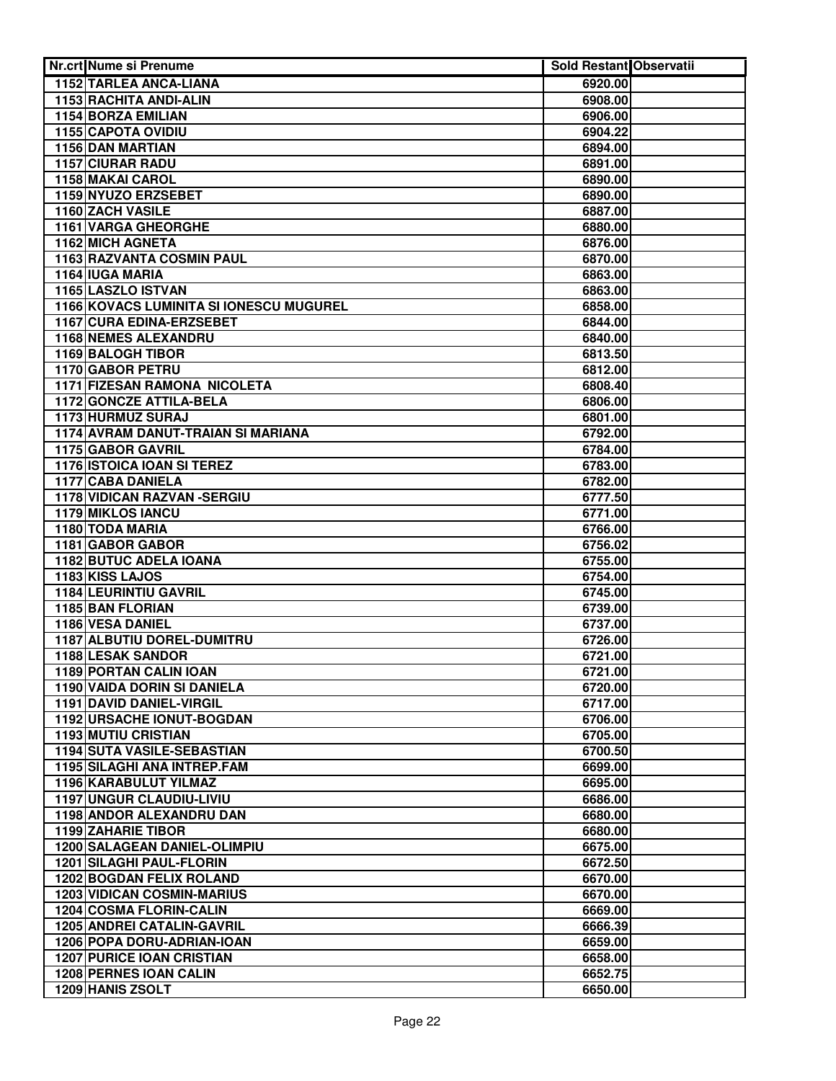| Nr.crt Nume si Prenume                  | <b>Sold Restant Observatii</b> |  |
|-----------------------------------------|--------------------------------|--|
| <b>1152 TARLEA ANCA-LIANA</b>           | 6920.00                        |  |
| 1153 RACHITA ANDI-ALIN                  | 6908.00                        |  |
| 1154 BORZA EMILIAN                      | 6906.00                        |  |
| 1155 CAPOTA OVIDIU                      | 6904.22                        |  |
| 1156 DAN MARTIAN                        | 6894.00                        |  |
| <b>1157 CIURAR RADU</b>                 | 6891.00                        |  |
| 1158 MAKAI CAROL                        | 6890.00                        |  |
| 1159 NYUZO ERZSEBET                     | 6890.00                        |  |
| 1160 ZACH VASILE                        | 6887.00                        |  |
| <b>1161 VARGA GHEORGHE</b>              | 6880.00                        |  |
| 1162 MICH AGNETA                        | 6876.00                        |  |
| 1163 RAZVANTA COSMIN PAUL               | 6870.00                        |  |
| 1164 IUGA MARIA                         | 6863.00                        |  |
| 1165 LASZLO ISTVAN                      | 6863.00                        |  |
| 1166 KOVACS LUMINITA SI IONESCU MUGUREL | 6858.00                        |  |
| 1167 CURA EDINA-ERZSEBET                | 6844.00                        |  |
| 1168 NEMES ALEXANDRU                    | 6840.00                        |  |
| 1169 BALOGH TIBOR                       | 6813.50                        |  |
| 1170 GABOR PETRU                        | 6812.00                        |  |
| 1171 FIZESAN RAMONA NICOLETA            | 6808.40                        |  |
| 1172 GONCZE ATTILA-BELA                 | 6806.00                        |  |
| 1173 HURMUZ SURAJ                       | 6801.00                        |  |
| 1174 AVRAM DANUT-TRAIAN SI MARIANA      | 6792.00                        |  |
| 1175 GABOR GAVRIL                       | 6784.00                        |  |
| 1176 ISTOICA IOAN SI TEREZ              | 6783.00                        |  |
| 1177 CABA DANIELA                       | 6782.00                        |  |
| <b>1178 VIDICAN RAZVAN -SERGIU</b>      | 6777.50                        |  |
| 1179 MIKLOS IANCU<br>1180 TODA MARIA    | 6771.00                        |  |
| 1181 GABOR GABOR                        | 6766.00<br>6756.02             |  |
| 1182 BUTUC ADELA IOANA                  | 6755.00                        |  |
| 1183 KISS LAJOS                         | 6754.00                        |  |
| 1184 LEURINTIU GAVRIL                   | 6745.00                        |  |
| 1185 BAN FLORIAN                        | 6739.00                        |  |
| 1186 VESA DANIEL                        | 6737.00                        |  |
| 1187 ALBUTIU DOREL-DUMITRU              | 6726.00                        |  |
| 1188 LESAK SANDOR                       | 6721.00                        |  |
| <b>1189 PORTAN CALIN IOAN</b>           | 6721.00                        |  |
| 1190 VAIDA DORIN SI DANIELA             | 6720.00                        |  |
| 1191 DAVID DANIEL-VIRGIL                | 6717.00                        |  |
| 1192 URSACHE IONUT-BOGDAN               | 6706.00                        |  |
| <b>1193 MUTIU CRISTIAN</b>              | 6705.00                        |  |
| 1194 SUTA VASILE-SEBASTIAN              | 6700.50                        |  |
| 1195 SILAGHI ANA INTREP.FAM             | 6699.00                        |  |
| 1196 KARABULUT YILMAZ                   | 6695.00                        |  |
| 1197 UNGUR CLAUDIU-LIVIU                | 6686.00                        |  |
| 1198 ANDOR ALEXANDRU DAN                | 6680.00                        |  |
| 1199 ZAHARIE TIBOR                      | 6680.00                        |  |
| 1200 SALAGEAN DANIEL-OLIMPIU            | 6675.00                        |  |
| 1201 SILAGHI PAUL-FLORIN                | 6672.50                        |  |
| <b>1202 BOGDAN FELIX ROLAND</b>         | 6670.00                        |  |
| <b>1203 VIDICAN COSMIN-MARIUS</b>       | 6670.00                        |  |
| 1204 COSMA FLORIN-CALIN                 | 6669.00                        |  |
| <b>1205 ANDREI CATALIN-GAVRIL</b>       | 6666.39                        |  |
| 1206 POPA DORU-ADRIAN-IOAN              | 6659.00                        |  |
| <b>1207 PURICE IOAN CRISTIAN</b>        | 6658.00                        |  |
| 1208 PERNES IOAN CALIN                  | 6652.75                        |  |
| 1209 HANIS ZSOLT                        | 6650.00                        |  |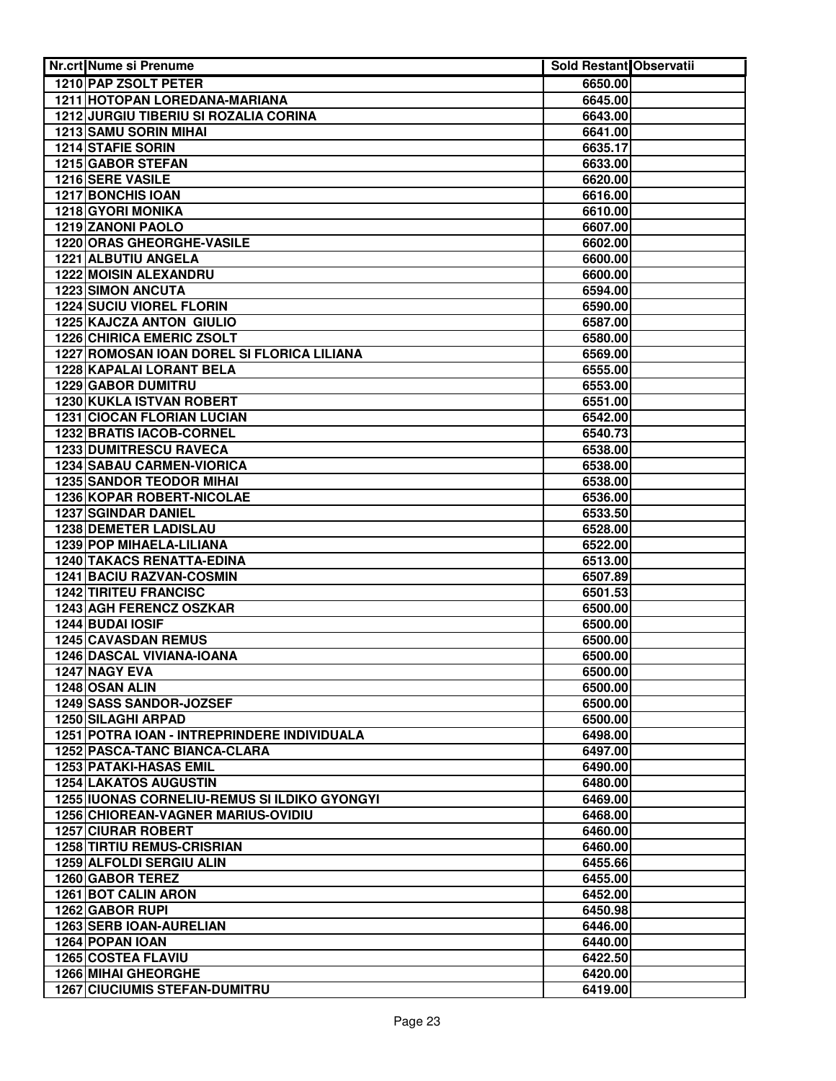| Nr.crt Nume si Prenume                                                              | Sold Restant Observatii |  |
|-------------------------------------------------------------------------------------|-------------------------|--|
| 1210 PAP ZSOLT PETER                                                                | 6650.00                 |  |
| 1211 HOTOPAN LOREDANA-MARIANA                                                       | 6645.00                 |  |
| 1212 JURGIU TIBERIU SI ROZALIA CORINA                                               | 6643.00                 |  |
| <b>1213 SAMU SORIN MIHAI</b>                                                        | 6641.00                 |  |
| 1214 STAFIE SORIN                                                                   | 6635.17                 |  |
| 1215 GABOR STEFAN                                                                   | 6633.00                 |  |
| 1216 SERE VASILE                                                                    | 6620.00                 |  |
| <b>1217 BONCHIS IOAN</b>                                                            | 6616.00                 |  |
| 1218 GYORI MONIKA                                                                   | 6610.00                 |  |
| <b>1219 ZANONI PAOLO</b>                                                            | 6607.00                 |  |
| 1220 ORAS GHEORGHE-VASILE                                                           | 6602.00                 |  |
| 1221 ALBUTIU ANGELA                                                                 | 6600.00                 |  |
| 1222 MOISIN ALEXANDRU                                                               | 6600.00                 |  |
| <b>1223 SIMON ANCUTA</b>                                                            | 6594.00                 |  |
| <b>1224 SUCIU VIOREL FLORIN</b>                                                     | 6590.00                 |  |
| <b>1225 KAJCZA ANTON GIULIO</b>                                                     | 6587.00                 |  |
| <b>1226 CHIRICA EMERIC ZSOLT</b>                                                    | 6580.00                 |  |
| 1227 ROMOSAN IOAN DOREL SI FLORICA LILIANA                                          | 6569.00                 |  |
| 1228 KAPALAI LORANT BELA                                                            | 6555.00                 |  |
| 1229 GABOR DUMITRU                                                                  | 6553.00                 |  |
| 1230 KUKLA ISTVAN ROBERT                                                            | 6551.00                 |  |
| <b>1231 CIOCAN FLORIAN LUCIAN</b>                                                   | 6542.00                 |  |
| 1232 BRATIS IACOB-CORNEL                                                            | 6540.73                 |  |
| 1233 DUMITRESCU RAVECA                                                              | 6538.00                 |  |
| 1234 SABAU CARMEN-VIORICA                                                           | 6538.00                 |  |
| <b>1235 SANDOR TEODOR MIHAI</b>                                                     | 6538.00                 |  |
| 1236 KOPAR ROBERT-NICOLAE                                                           | 6536.00                 |  |
| <b>1237 SGINDAR DANIEL</b>                                                          | 6533.50                 |  |
| <b>1238 DEMETER LADISLAU</b>                                                        | 6528.00                 |  |
| 1239 POP MIHAELA-LILIANA                                                            | 6522.00                 |  |
| <b>1240 TAKACS RENATTA-EDINA</b>                                                    | 6513.00                 |  |
| <b>1241 BACIU RAZVAN-COSMIN</b>                                                     | 6507.89                 |  |
| <b>1242 TIRITEU FRANCISC</b>                                                        | 6501.53                 |  |
| 1243 AGH FERENCZ OSZKAR                                                             | 6500.00                 |  |
| 1244 BUDAI IOSIF                                                                    | 6500.00                 |  |
| 1245 CAVASDAN REMUS                                                                 | 6500.00                 |  |
| 1246 DASCAL VIVIANA-IOANA                                                           | 6500.00                 |  |
| 1247 NAGY EVA                                                                       | 6500.00                 |  |
| 1248 OSAN ALIN                                                                      | 6500.00                 |  |
| <b>1249 SASS SANDOR-JOZSEF</b>                                                      | 6500.00                 |  |
| <b>1250 SILAGHI ARPAD</b>                                                           | 6500.00                 |  |
| 1251 POTRA IOAN - INTREPRINDERE INDIVIDUALA<br><b>1252 PASCA-TANC BIANCA-CLARA</b>  | 6498.00<br>6497.00      |  |
| 1253 PATAKI-HASAS EMIL                                                              |                         |  |
|                                                                                     | 6490.00                 |  |
| <b>1254 LAKATOS AUGUSTIN</b><br><b>1255 IUONAS CORNELIU-REMUS SI ILDIKO GYONGYI</b> | 6480.00<br>6469.00      |  |
| 1256 CHIOREAN-VAGNER MARIUS-OVIDIU                                                  | 6468.00                 |  |
| <b>1257 CIURAR ROBERT</b>                                                           | 6460.00                 |  |
| <b>1258 TIRTIU REMUS-CRISRIAN</b>                                                   | 6460.00                 |  |
| 1259 ALFOLDI SERGIU ALIN                                                            | 6455.66                 |  |
| 1260 GABOR TEREZ                                                                    | 6455.00                 |  |
| 1261 BOT CALIN ARON                                                                 | 6452.00                 |  |
| 1262 GABOR RUPI                                                                     | 6450.98                 |  |
| <b>1263 SERB IOAN-AURELIAN</b>                                                      | 6446.00                 |  |
| 1264 POPAN IOAN                                                                     | 6440.00                 |  |
| <b>1265 COSTEA FLAVIU</b>                                                           | 6422.50                 |  |
| <b>1266 MIHAI GHEORGHE</b>                                                          | 6420.00                 |  |
| <b>1267 CIUCIUMIS STEFAN-DUMITRU</b>                                                | 6419.00                 |  |
|                                                                                     |                         |  |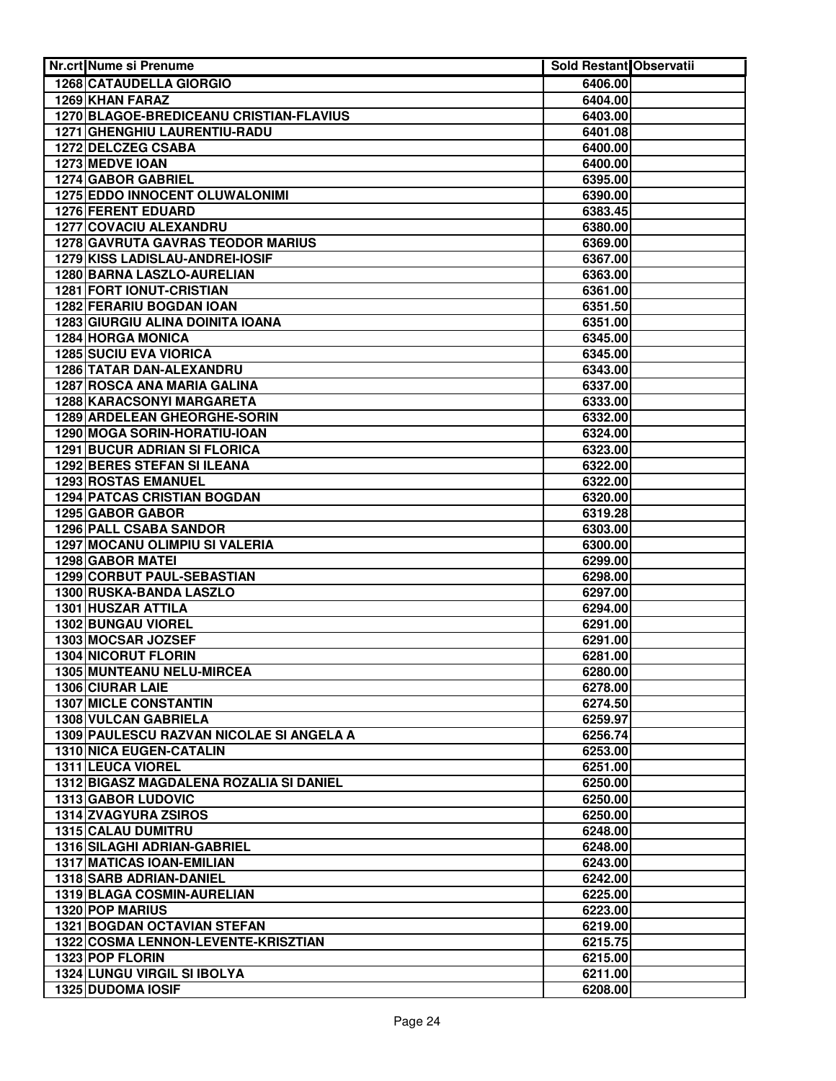| Nr.crt Nume si Prenume                   | Sold Restant Observatii |  |
|------------------------------------------|-------------------------|--|
| <b>1268 CATAUDELLA GIORGIO</b>           | 6406.00                 |  |
| 1269 KHAN FARAZ                          | 6404.00                 |  |
| 1270 BLAGOE-BREDICEANU CRISTIAN-FLAVIUS  | 6403.00                 |  |
| 1271 GHENGHIU LAURENTIU-RADU             | 6401.08                 |  |
| 1272 DELCZEG CSABA                       | 6400.00                 |  |
| 1273 MEDVE IOAN                          | 6400.00                 |  |
| 1274 GABOR GABRIEL                       | 6395.00                 |  |
| <b>1275 EDDO INNOCENT OLUWALONIMI</b>    | 6390.00                 |  |
| <b>1276 FERENT EDUARD</b>                | 6383.45                 |  |
| 1277 COVACIU ALEXANDRU                   | 6380.00                 |  |
| <b>1278 GAVRUTA GAVRAS TEODOR MARIUS</b> | 6369.00                 |  |
| 1279 KISS LADISLAU-ANDREI-IOSIF          | 6367.00                 |  |
| 1280 BARNA LASZLO-AURELIAN               | 6363.00                 |  |
| 1281 FORT IONUT-CRISTIAN                 | 6361.00                 |  |
| 1282 FERARIU BOGDAN IOAN                 | 6351.50                 |  |
| <b>1283 GIURGIU ALINA DOINITA IOANA</b>  | 6351.00                 |  |
| 1284 HORGA MONICA                        | 6345.00                 |  |
| <b>1285 SUCIU EVA VIORICA</b>            | 6345.00                 |  |
| 1286 TATAR DAN-ALEXANDRU                 | 6343.00                 |  |
| 1287 ROSCA ANA MARIA GALINA              | 6337.00                 |  |
| 1288 KARACSONYI MARGARETA                | 6333.00                 |  |
| 1289 ARDELEAN GHEORGHE-SORIN             | 6332.00                 |  |
| 1290 MOGA SORIN-HORATIU-IOAN             | 6324.00                 |  |
| 1291 BUCUR ADRIAN SI FLORICA             | 6323.00                 |  |
| <b>1292 BERES STEFAN SI ILEANA</b>       | 6322.00                 |  |
| 1293 ROSTAS EMANUEL                      | 6322.00                 |  |
| <b>1294 PATCAS CRISTIAN BOGDAN</b>       | 6320.00                 |  |
| 1295 GABOR GABOR                         | 6319.28                 |  |
| <b>1296 PALL CSABA SANDOR</b>            | 6303.00                 |  |
| 1297 MOCANU OLIMPIU SI VALERIA           | 6300.00                 |  |
| <b>1298 GABOR MATEI</b>                  | 6299.00                 |  |
| 1299 CORBUT PAUL-SEBASTIAN               | 6298.00                 |  |
| 1300 RUSKA-BANDA LASZLO                  | 6297.00                 |  |
| 1301 HUSZAR ATTILA                       | 6294.00                 |  |
| 1302 BUNGAU VIOREL                       | 6291.00                 |  |
| 1303 MOCSAR JOZSEF                       | 6291.00                 |  |
| <b>1304 NICORUT FLORIN</b>               | 6281.00                 |  |
| 1305 MUNTEANU NELU-MIRCEA                | 6280.00                 |  |
| <b>1306 CIURAR LAIE</b>                  | 6278.00                 |  |
| <b>1307 MICLE CONSTANTIN</b>             | 6274.50                 |  |
| <b>1308 VULCAN GABRIELA</b>              | 6259.97                 |  |
| 1309 PAULESCU RAZVAN NICOLAE SI ANGELA A | 6256.74                 |  |
| <b>1310 NICA EUGEN-CATALIN</b>           | 6253.00                 |  |
| 1311 LEUCA VIOREL                        | 6251.00                 |  |
| 1312 BIGASZ MAGDALENA ROZALIA SI DANIEL  | 6250.00                 |  |
| 1313 GABOR LUDOVIC                       | 6250.00                 |  |
| 1314 ZVAGYURA ZSIROS                     | 6250.00                 |  |
| 1315 CALAU DUMITRU                       | 6248.00                 |  |
| 1316 SILAGHI ADRIAN-GABRIEL              | 6248.00                 |  |
| 1317 MATICAS IOAN-EMILIAN                | 6243.00                 |  |
| 1318 SARB ADRIAN-DANIEL                  | 6242.00                 |  |
| 1319 BLAGA COSMIN-AURELIAN               | 6225.00                 |  |
| 1320 POP MARIUS                          | 6223.00                 |  |
| <b>1321 BOGDAN OCTAVIAN STEFAN</b>       | 6219.00                 |  |
| 1322 COSMA LENNON-LEVENTE-KRISZTIAN      | 6215.75                 |  |
| 1323 POP FLORIN                          | 6215.00                 |  |
| <b>1324 LUNGU VIRGIL SI IBOLYA</b>       | 6211.00                 |  |
| <b>1325 DUDOMA IOSIF</b>                 | 6208.00                 |  |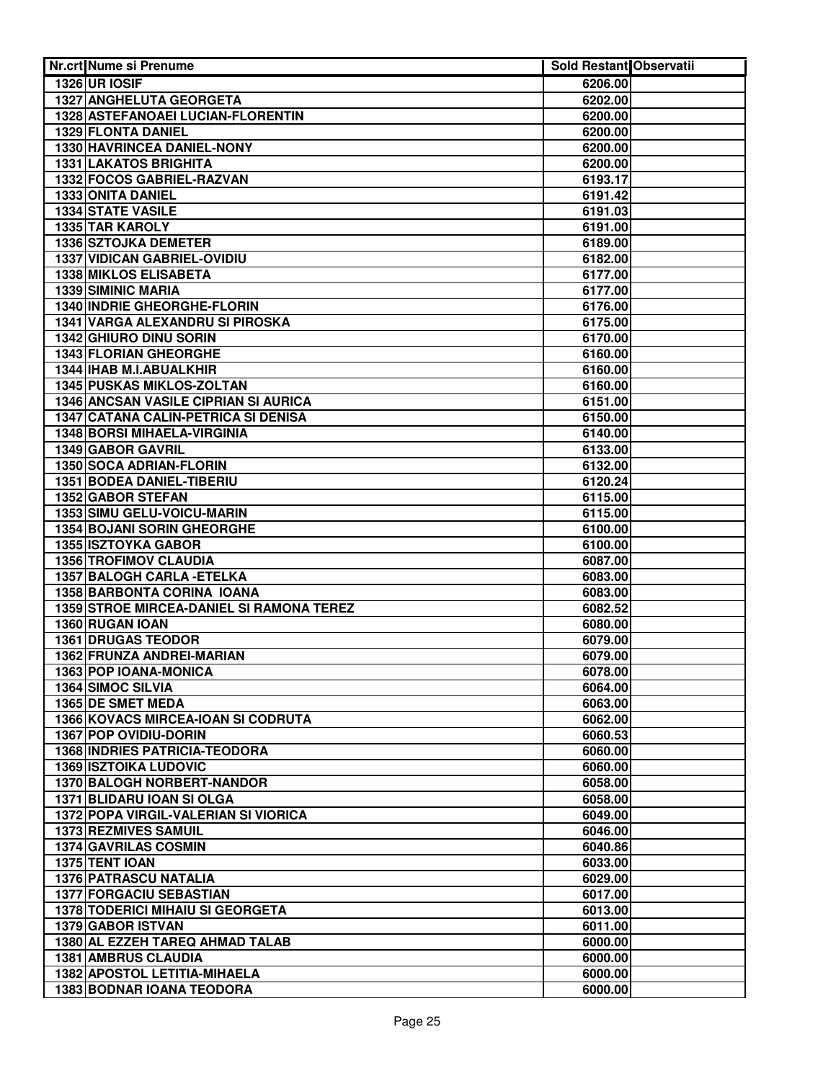| Nr.crt Nume si Prenume                                        | <b>Sold Restant Observatii</b> |  |
|---------------------------------------------------------------|--------------------------------|--|
| 1326 UR IOSIF                                                 | 6206.00                        |  |
| <b>1327 ANGHELUTA GEORGETA</b>                                | 6202.00                        |  |
| 1328 ASTEFANOAEI LUCIAN-FLORENTIN                             | 6200.00                        |  |
| 1329 FLONTA DANIEL                                            | 6200.00                        |  |
| 1330 HAVRINCEA DANIEL-NONY                                    | 6200.00                        |  |
| <b>1331 LAKATOS BRIGHITA</b>                                  | 6200.00                        |  |
| 1332 FOCOS GABRIEL-RAZVAN                                     | 6193.17                        |  |
| 1333 ONITA DANIEL                                             | 6191.42                        |  |
| <b>1334 STATE VASILE</b>                                      | 6191.03                        |  |
| <b>1335 TAR KAROLY</b>                                        | 6191.00                        |  |
| 1336 SZTOJKA DEMETER                                          | 6189.00                        |  |
| <b>1337 VIDICAN GABRIEL-OVIDIU</b>                            | 6182.00                        |  |
| 1338 MIKLOS ELISABETA                                         | 6177.00                        |  |
| 1339 SIMINIC MARIA                                            | 6177.00                        |  |
| 1340 INDRIE GHEORGHE-FLORIN                                   | 6176.00                        |  |
| 1341 VARGA ALEXANDRU SI PIROSKA                               | 6175.00                        |  |
| 1342 GHIURO DINU SORIN                                        | 6170.00                        |  |
| 1343 FLORIAN GHEORGHE                                         | 6160.00                        |  |
| 1344 IHAB M.I.ABUALKHIR                                       | 6160.00                        |  |
| 1345 PUSKAS MIKLOS-ZOLTAN                                     | 6160.00                        |  |
| 1346 ANCSAN VASILE CIPRIAN SI AURICA                          | 6151.00                        |  |
| 1347 CATANA CALIN-PETRICA SI DENISA                           | 6150.00                        |  |
| 1348 BORSI MIHAELA-VIRGINIA                                   | 6140.00                        |  |
| 1349 GABOR GAVRIL                                             | 6133.00                        |  |
| 1350 SOCA ADRIAN-FLORIN                                       | 6132.00                        |  |
| 1351 BODEA DANIEL-TIBERIU                                     | 6120.24                        |  |
| <b>1352 GABOR STEFAN</b>                                      | 6115.00                        |  |
| 1353 SIMU GELU-VOICU-MARIN                                    | 6115.00                        |  |
| <b>1354 BOJANI SORIN GHEORGHE</b>                             | 6100.00                        |  |
| <b>1355 ISZTOYKA GABOR</b>                                    | 6100.00                        |  |
| <b>1356 TROFIMOV CLAUDIA</b>                                  | 6087.00                        |  |
| 1357 BALOGH CARLA - ETELKA                                    | 6083.00                        |  |
| 1358 BARBONTA CORINA IOANA                                    | 6083.00                        |  |
| <b>1359 STROE MIRCEA-DANIEL SI RAMONA TEREZ</b>               | 6082.52                        |  |
| 1360 RUGAN IOAN                                               | 6080.00                        |  |
| 1361 DRUGAS TEODOR                                            | 6079.00                        |  |
| 1362 FRUNZA ANDREI-MARIAN                                     | 6079.00                        |  |
| 1363 POP IOANA-MONICA                                         | 6078.00                        |  |
| 1364 SIMOC SILVIA                                             | 6064.00                        |  |
| 1365 DE SMET MEDA                                             |                                |  |
| 1366 KOVACS MIRCEA-IOAN SI CODRUTA                            | 6063.00<br>6062.00             |  |
| 1367 POP OVIDIU-DORIN                                         | 6060.53                        |  |
| 1368 INDRIES PATRICIA-TEODORA                                 |                                |  |
| <b>1369 ISZTOIKA LUDOVIC</b>                                  | 6060.00<br>6060.00             |  |
| 1370 BALOGH NORBERT-NANDOR                                    | 6058.00                        |  |
| 1371 BLIDARU IOAN SI OLGA                                     | 6058.00                        |  |
| 1372 POPA VIRGIL-VALERIAN SI VIORICA                          | 6049.00                        |  |
|                                                               | 6046.00                        |  |
| 1373 REZMIVES SAMUIL<br><b>1374 GAVRILAS COSMIN</b>           | 6040.86                        |  |
| 1375 TENT IOAN                                                |                                |  |
| 1376 PATRASCU NATALIA                                         | 6033.00                        |  |
|                                                               | 6029.00                        |  |
| 1377 FORGACIU SEBASTIAN                                       | 6017.00                        |  |
| <b>1378 TODERICI MIHAIU SI GEORGETA</b><br>1379 GABOR ISTVAN  | 6013.00<br>6011.00             |  |
|                                                               |                                |  |
| 1380 AL EZZEH TAREQ AHMAD TALAB<br><b>1381 AMBRUS CLAUDIA</b> | 6000.00                        |  |
|                                                               | 6000.00                        |  |
| 1382 APOSTOL LETITIA-MIHAELA                                  | 6000.00                        |  |
| <b>1383 BODNAR IOANA TEODORA</b>                              | 6000.00                        |  |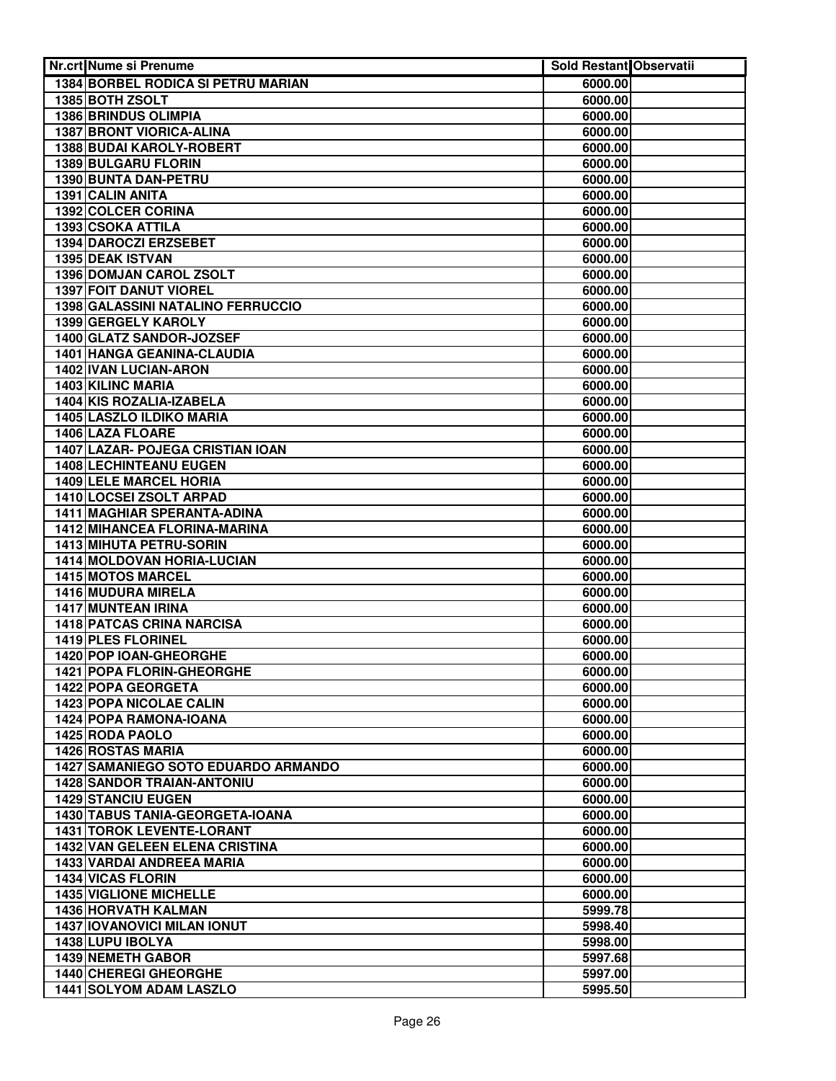| Nr.crt Nume si Prenume                                                 | Sold Restant Observatii |  |
|------------------------------------------------------------------------|-------------------------|--|
| 1384 BORBEL RODICA SI PETRU MARIAN                                     | 6000.00                 |  |
| 1385 BOTH ZSOLT                                                        | 6000.00                 |  |
| <b>1386 BRINDUS OLIMPIA</b>                                            | 6000.00                 |  |
| <b>1387 BRONT VIORICA-ALINA</b>                                        | 6000.00                 |  |
| 1388 BUDAI KAROLY-ROBERT                                               | 6000.00                 |  |
| <b>1389 BULGARU FLORIN</b>                                             | 6000.00                 |  |
| 1390 BUNTA DAN-PETRU                                                   | 6000.00                 |  |
| 1391 CALIN ANITA                                                       | 6000.00                 |  |
| 1392 COLCER CORINA                                                     | 6000.00                 |  |
| 1393 CSOKA ATTILA                                                      | 6000.00                 |  |
| 1394 DAROCZI ERZSEBET                                                  | 6000.00                 |  |
| 1395 DEAK ISTVAN                                                       | 6000.00                 |  |
| 1396 DOMJAN CAROL ZSOLT                                                | 6000.00                 |  |
| 1397 FOIT DANUT VIOREL                                                 | 6000.00                 |  |
| 1398 GALASSINI NATALINO FERRUCCIO                                      | 6000.00                 |  |
| 1399 GERGELY KAROLY                                                    | 6000.00                 |  |
| 1400 GLATZ SANDOR-JOZSEF                                               | 6000.00                 |  |
| 1401 HANGA GEANINA-CLAUDIA                                             | 6000.00                 |  |
| 1402 IVAN LUCIAN-ARON                                                  | 6000.00                 |  |
| 1403 KILINC MARIA                                                      | 6000.00                 |  |
| 1404 KIS ROZALIA-IZABELA                                               | 6000.00                 |  |
| 1405 LASZLO ILDIKO MARIA                                               | 6000.00                 |  |
| 1406 LAZA FLOARE                                                       | 6000.00                 |  |
| 1407 LAZAR- POJEGA CRISTIAN IOAN                                       | 6000.00                 |  |
| 1408 LECHINTEANU EUGEN                                                 | 6000.00                 |  |
| 1409 LELE MARCEL HORIA                                                 | 6000.00                 |  |
| 1410 LOCSEI ZSOLT ARPAD                                                | 6000.00                 |  |
| 1411 MAGHIAR SPERANTA-ADINA                                            | 6000.00                 |  |
| <b>1412 MIHANCEA FLORINA-MARINA</b>                                    | 6000.00                 |  |
| <b>1413 MIHUTA PETRU-SORIN</b>                                         | 6000.00                 |  |
| 1414 MOLDOVAN HORIA-LUCIAN                                             | 6000.00                 |  |
| <b>1415 MOTOS MARCEL</b>                                               | 6000.00                 |  |
| 1416 MUDURA MIRELA                                                     | 6000.00                 |  |
| <b>1417 MUNTEAN IRINA</b>                                              | 6000.00                 |  |
| <b>1418 PATCAS CRINA NARCISA</b>                                       | 6000.00                 |  |
| 1419 PLES FLORINEL                                                     | 6000.00                 |  |
| 1420 POP IOAN-GHEORGHE                                                 | 6000.00                 |  |
| 1421 POPA FLORIN-GHEORGHE                                              | 6000.00                 |  |
| 1422 POPA GEORGETA                                                     | 6000.00                 |  |
| 1423 POPA NICOLAE CALIN                                                | 6000.00                 |  |
| 1424 POPA RAMONA-IOANA                                                 | 6000.00<br>6000.00      |  |
| 1425 RODA PAOLO                                                        |                         |  |
| <b>1426 ROSTAS MARIA</b><br><b>1427 SAMANIEGO SOTO EDUARDO ARMANDO</b> | 6000.00<br>6000.00      |  |
| <b>1428 SANDOR TRAIAN-ANTONIU</b>                                      | 6000.00                 |  |
| <b>1429 STANCIU EUGEN</b>                                              | 6000.00                 |  |
| 1430 TABUS TANIA-GEORGETA-IOANA                                        | 6000.00                 |  |
| <b>1431 TOROK LEVENTE-LORANT</b>                                       | 6000.00                 |  |
| 1432 VAN GELEEN ELENA CRISTINA                                         | 6000.00                 |  |
| 1433 VARDAI ANDREEA MARIA                                              | 6000.00                 |  |
| <b>1434 VICAS FLORIN</b>                                               | 6000.00                 |  |
| <b>1435 VIGLIONE MICHELLE</b>                                          | 6000.00                 |  |
| <b>1436 HORVATH KALMAN</b>                                             | 5999.78                 |  |
| <b>1437 IOVANOVICI MILAN IONUT</b>                                     | 5998.40                 |  |
| 1438 LUPU IBOLYA                                                       | 5998.00                 |  |
| <b>1439 NEMETH GABOR</b>                                               | 5997.68                 |  |
| <b>1440 CHEREGI GHEORGHE</b>                                           | 5997.00                 |  |
| 1441 SOLYOM ADAM LASZLO                                                | 5995.50                 |  |
|                                                                        |                         |  |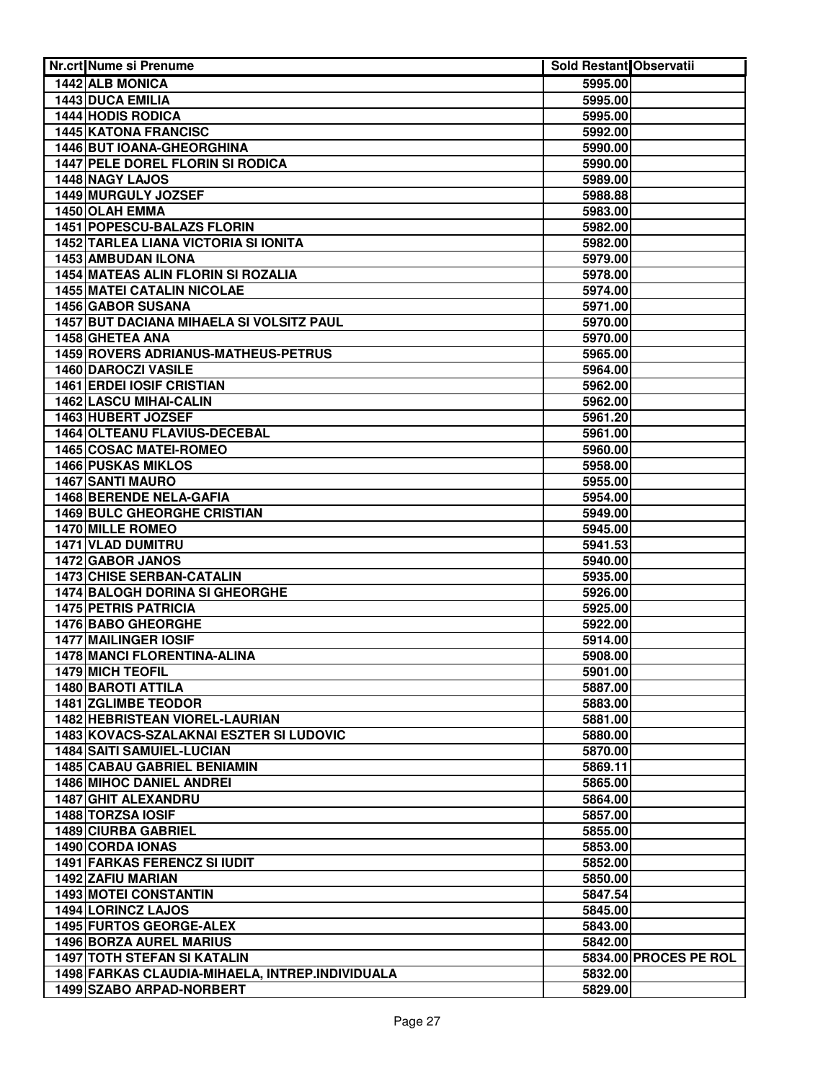| Nr.crt Nume si Prenume                          | Sold Restant Observatii |                       |
|-------------------------------------------------|-------------------------|-----------------------|
| 1442 ALB MONICA                                 | 5995.00                 |                       |
| 1443 DUCA EMILIA                                | 5995.00                 |                       |
| <b>1444 HODIS RODICA</b>                        | 5995.00                 |                       |
| <b>1445 KATONA FRANCISC</b>                     | 5992.00                 |                       |
| 1446 BUT IOANA-GHEORGHINA                       | 5990.00                 |                       |
| <b>1447 PELE DOREL FLORIN SI RODICA</b>         | 5990.00                 |                       |
| 1448 NAGY LAJOS                                 | 5989.00                 |                       |
| 1449 MURGULY JOZSEF                             | 5988.88                 |                       |
| 1450 OLAH EMMA                                  | 5983.00                 |                       |
| 1451 POPESCU-BALAZS FLORIN                      | 5982.00                 |                       |
| <b>1452 TARLEA LIANA VICTORIA SI IONITA</b>     | 5982.00                 |                       |
| 1453 AMBUDAN ILONA                              | 5979.00                 |                       |
| <b>1454 MATEAS ALIN FLORIN SI ROZALIA</b>       | 5978.00                 |                       |
| <b>1455 MATEI CATALIN NICOLAE</b>               | 5974.00                 |                       |
| 1456 GABOR SUSANA                               | 5971.00                 |                       |
| 1457 BUT DACIANA MIHAELA SI VOLSITZ PAUL        | 5970.00                 |                       |
| 1458 GHETEA ANA                                 | 5970.00                 |                       |
| 1459 ROVERS ADRIANUS-MATHEUS-PETRUS             | 5965.00                 |                       |
| 1460 DAROCZI VASILE                             | 5964.00                 |                       |
| <b>1461 ERDEI IOSIF CRISTIAN</b>                | 5962.00                 |                       |
| 1462 LASCU MIHAI-CALIN                          | 5962.00                 |                       |
| 1463 HUBERT JOZSEF                              | 5961.20                 |                       |
| 1464 OLTEANU FLAVIUS-DECEBAL                    | 5961.00                 |                       |
| 1465 COSAC MATEI-ROMEO                          | 5960.00                 |                       |
| <b>1466 PUSKAS MIKLOS</b>                       | 5958.00                 |                       |
| 1467 SANTI MAURO                                | 5955.00                 |                       |
| <b>1468 BERENDE NELA-GAFIA</b>                  | 5954.00                 |                       |
| <b>1469 BULC GHEORGHE CRISTIAN</b>              | 5949.00                 |                       |
| <b>1470 MILLE ROMEO</b>                         | 5945.00                 |                       |
| 1471 VLAD DUMITRU                               | 5941.53                 |                       |
| 1472 GABOR JANOS                                | 5940.00                 |                       |
| <b>1473 CHISE SERBAN-CATALIN</b>                | 5935.00                 |                       |
| <b>1474 BALOGH DORINA SI GHEORGHE</b>           | 5926.00                 |                       |
| <b>1475 PETRIS PATRICIA</b>                     | 5925.00                 |                       |
| <b>1476 BABO GHEORGHE</b>                       | 5922.00                 |                       |
| <b>1477 MAILINGER IOSIF</b>                     | 5914.00                 |                       |
| <b>1478 MANCI FLORENTINA-ALINA</b>              | 5908.00                 |                       |
| 1479 MICH TEOFIL                                | 5901.00                 |                       |
| 1480 BAROTI ATTILA                              | 5887.00                 |                       |
| <b>1481 ZGLIMBE TEODOR</b>                      | 5883.00                 |                       |
| 1482 HEBRISTEAN VIOREL-LAURIAN                  | 5881.00                 |                       |
| 1483 KOVACS-SZALAKNAI ESZTER SI LUDOVIC         | 5880.00                 |                       |
| 1484 SAITI SAMUIEL-LUCIAN                       | 5870.00                 |                       |
| <b>1485 CABAU GABRIEL BENIAMIN</b>              | 5869.11                 |                       |
| 1486 MIHOC DANIEL ANDREI                        | 5865.00                 |                       |
| 1487 GHIT ALEXANDRU                             | 5864.00                 |                       |
| 1488 TORZSA IOSIF                               | 5857.00                 |                       |
| 1489 CIURBA GABRIEL                             | 5855.00                 |                       |
| 1490 CORDA IONAS                                | 5853.00                 |                       |
| <b>1491 FARKAS FERENCZ SI IUDIT</b>             | 5852.00                 |                       |
| 1492 ZAFIU MARIAN                               | 5850.00                 |                       |
| <b>1493 MOTEI CONSTANTIN</b>                    | 5847.54                 |                       |
| 1494 LORINCZ LAJOS                              | 5845.00                 |                       |
| 1495 FURTOS GEORGE-ALEX                         | 5843.00                 |                       |
| 1496 BORZA AUREL MARIUS                         | 5842.00                 |                       |
| <b>1497 TOTH STEFAN SI KATALIN</b>              |                         | 5834.00 PROCES PE ROL |
| 1498 FARKAS CLAUDIA-MIHAELA, INTREP.INDIVIDUALA | 5832.00                 |                       |
| 1499 SZABO ARPAD-NORBERT                        | 5829.00                 |                       |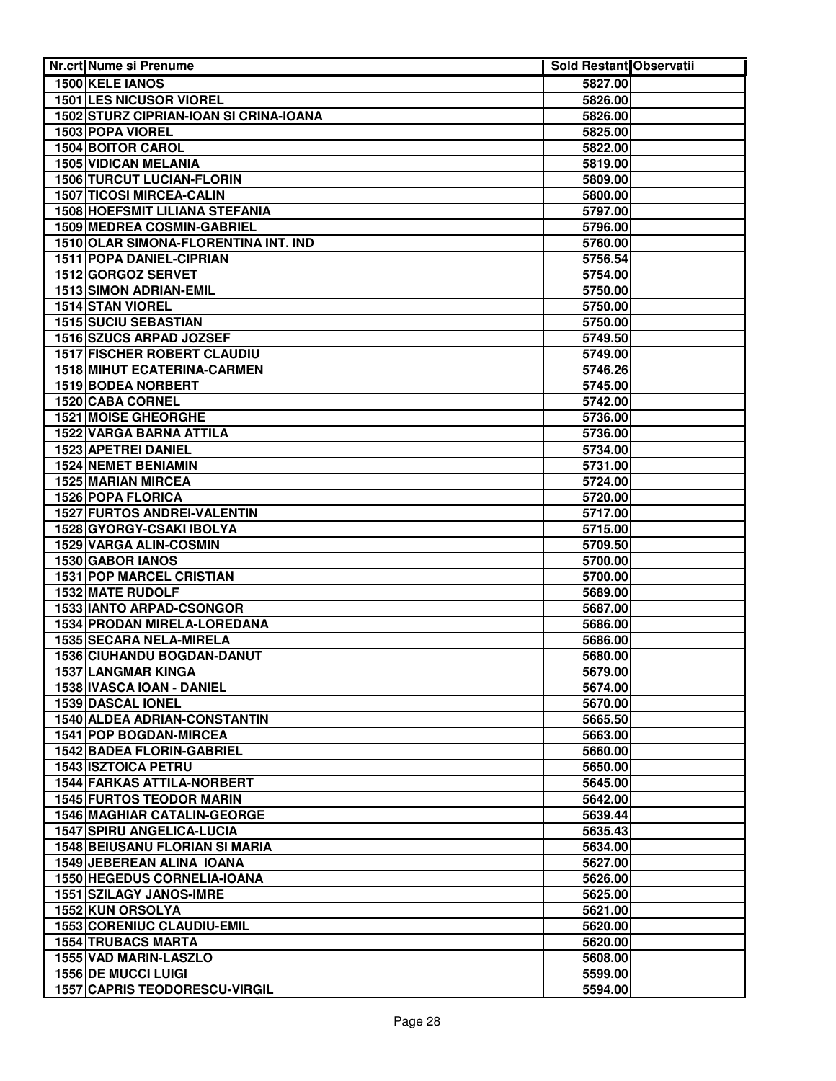| 1500 KELE IANOS<br>5827.00<br><b>1501 LES NICUSOR VIOREL</b><br>5826.00<br>1502 STURZ CIPRIAN-IOAN SI CRINA-IOANA<br>5826.00<br>1503 POPA VIOREL<br>5825.00<br><b>1504 BOITOR CAROL</b><br>5822.00<br><b>1505 VIDICAN MELANIA</b><br>5819.00<br><b>1506 TURCUT LUCIAN-FLORIN</b><br>5809.00<br><b>1507 TICOSI MIRCEA-CALIN</b><br>5800.00<br><b>1508 HOEFSMIT LILIANA STEFANIA</b><br>5797.00<br>1509 MEDREA COSMIN-GABRIEL<br>5796.00<br>1510 OLAR SIMONA-FLORENTINA INT. IND<br>5760.00<br>1511 POPA DANIEL-CIPRIAN<br>5756.54<br>1512 GORGOZ SERVET<br>5754.00<br>1513 SIMON ADRIAN-EMIL<br>5750.00<br>1514 STAN VIOREL<br>5750.00<br>1515 SUCIU SEBASTIAN<br>5750.00<br>1516 SZUCS ARPAD JOZSEF<br>5749.50<br><b>1517 FISCHER ROBERT CLAUDIU</b><br>5749.00<br>1518 MIHUT ECATERINA-CARMEN<br>5746.26<br>1519 BODEA NORBERT<br>5745.00<br>1520 CABA CORNEL<br>5742.00<br><b>1521 MOISE GHEORGHE</b><br>5736.00<br>1522 VARGA BARNA ATTILA<br>5736.00<br>1523 APETREI DANIEL<br>5734.00<br><b>1524 NEMET BENIAMIN</b><br>5731.00<br><b>1525 MARIAN MIRCEA</b><br>5724.00<br><b>1526 POPA FLORICA</b><br>5720.00<br><b>1527 FURTOS ANDREI-VALENTIN</b><br>5717.00<br><b>1528 GYORGY-CSAKI IBOLYA</b><br>5715.00<br>1529 VARGA ALIN-COSMIN<br>5709.50<br><b>1530 GABOR IANOS</b><br>5700.00<br><b>1531 POP MARCEL CRISTIAN</b><br>5700.00<br><b>1532 MATE RUDOLF</b><br>5689.00<br><b>1533 IANTO ARPAD-CSONGOR</b><br>5687.00<br>1534 PRODAN MIRELA-LOREDANA<br>5686.00<br>1535 SECARA NELA-MIRELA<br>5686.00<br>1536 CIUHANDU BOGDAN-DANUT<br>5680.00<br><b>1537 LANGMAR KINGA</b><br>5679.00<br>1538 IVASCA IOAN - DANIEL<br>5674.00<br>1539 DASCAL IONEL<br>5670.00<br><b>1540 ALDEA ADRIAN-CONSTANTIN</b><br>5665.50<br>5663.00<br><b>1541 POP BOGDAN-MIRCEA</b><br>1542 BADEA FLORIN-GABRIEL<br>5660.00<br><b>1543 ISZTOICA PETRU</b><br>5650.00<br><b>1544 FARKAS ATTILA-NORBERT</b><br>5645.00<br><b>1545 FURTOS TEODOR MARIN</b><br>5642.00<br><b>1546 MAGHIAR CATALIN-GEORGE</b><br>5639.44<br>1547 SPIRU ANGELICA-LUCIA<br>5635.43<br><b>1548 BEIUSANU FLORIAN SI MARIA</b><br>5634.00<br><b>1549 JEBEREAN ALINA IOANA</b><br>5627.00<br><b>1550 HEGEDUS CORNELIA-IOANA</b><br>5626.00<br><b>1551 SZILAGY JANOS-IMRE</b><br>5625.00<br><b>1552 KUN ORSOLYA</b><br>5621.00<br>1553 CORENIUC CLAUDIU-EMIL<br>5620.00<br><b>1554 TRUBACS MARTA</b><br>5620.00<br>1555 VAD MARIN-LASZLO<br>5608.00<br><b>1556 DE MUCCI LUIGI</b><br>5599.00<br><b>1557 CAPRIS TEODORESCU-VIRGIL</b><br>5594.00 | Nr.crt Nume si Prenume | <b>Sold Restant Observatii</b> |  |
|-------------------------------------------------------------------------------------------------------------------------------------------------------------------------------------------------------------------------------------------------------------------------------------------------------------------------------------------------------------------------------------------------------------------------------------------------------------------------------------------------------------------------------------------------------------------------------------------------------------------------------------------------------------------------------------------------------------------------------------------------------------------------------------------------------------------------------------------------------------------------------------------------------------------------------------------------------------------------------------------------------------------------------------------------------------------------------------------------------------------------------------------------------------------------------------------------------------------------------------------------------------------------------------------------------------------------------------------------------------------------------------------------------------------------------------------------------------------------------------------------------------------------------------------------------------------------------------------------------------------------------------------------------------------------------------------------------------------------------------------------------------------------------------------------------------------------------------------------------------------------------------------------------------------------------------------------------------------------------------------------------------------------------------------------------------------------------------------------------------------------------------------------------------------------------------------------------------------------------------------------------------------------------------------------------------------------------------------------------------------------------------------------------------------------------------------------------------------------------------------------------|------------------------|--------------------------------|--|
|                                                                                                                                                                                                                                                                                                                                                                                                                                                                                                                                                                                                                                                                                                                                                                                                                                                                                                                                                                                                                                                                                                                                                                                                                                                                                                                                                                                                                                                                                                                                                                                                                                                                                                                                                                                                                                                                                                                                                                                                                                                                                                                                                                                                                                                                                                                                                                                                                                                                                                       |                        |                                |  |
|                                                                                                                                                                                                                                                                                                                                                                                                                                                                                                                                                                                                                                                                                                                                                                                                                                                                                                                                                                                                                                                                                                                                                                                                                                                                                                                                                                                                                                                                                                                                                                                                                                                                                                                                                                                                                                                                                                                                                                                                                                                                                                                                                                                                                                                                                                                                                                                                                                                                                                       |                        |                                |  |
|                                                                                                                                                                                                                                                                                                                                                                                                                                                                                                                                                                                                                                                                                                                                                                                                                                                                                                                                                                                                                                                                                                                                                                                                                                                                                                                                                                                                                                                                                                                                                                                                                                                                                                                                                                                                                                                                                                                                                                                                                                                                                                                                                                                                                                                                                                                                                                                                                                                                                                       |                        |                                |  |
|                                                                                                                                                                                                                                                                                                                                                                                                                                                                                                                                                                                                                                                                                                                                                                                                                                                                                                                                                                                                                                                                                                                                                                                                                                                                                                                                                                                                                                                                                                                                                                                                                                                                                                                                                                                                                                                                                                                                                                                                                                                                                                                                                                                                                                                                                                                                                                                                                                                                                                       |                        |                                |  |
|                                                                                                                                                                                                                                                                                                                                                                                                                                                                                                                                                                                                                                                                                                                                                                                                                                                                                                                                                                                                                                                                                                                                                                                                                                                                                                                                                                                                                                                                                                                                                                                                                                                                                                                                                                                                                                                                                                                                                                                                                                                                                                                                                                                                                                                                                                                                                                                                                                                                                                       |                        |                                |  |
|                                                                                                                                                                                                                                                                                                                                                                                                                                                                                                                                                                                                                                                                                                                                                                                                                                                                                                                                                                                                                                                                                                                                                                                                                                                                                                                                                                                                                                                                                                                                                                                                                                                                                                                                                                                                                                                                                                                                                                                                                                                                                                                                                                                                                                                                                                                                                                                                                                                                                                       |                        |                                |  |
|                                                                                                                                                                                                                                                                                                                                                                                                                                                                                                                                                                                                                                                                                                                                                                                                                                                                                                                                                                                                                                                                                                                                                                                                                                                                                                                                                                                                                                                                                                                                                                                                                                                                                                                                                                                                                                                                                                                                                                                                                                                                                                                                                                                                                                                                                                                                                                                                                                                                                                       |                        |                                |  |
|                                                                                                                                                                                                                                                                                                                                                                                                                                                                                                                                                                                                                                                                                                                                                                                                                                                                                                                                                                                                                                                                                                                                                                                                                                                                                                                                                                                                                                                                                                                                                                                                                                                                                                                                                                                                                                                                                                                                                                                                                                                                                                                                                                                                                                                                                                                                                                                                                                                                                                       |                        |                                |  |
|                                                                                                                                                                                                                                                                                                                                                                                                                                                                                                                                                                                                                                                                                                                                                                                                                                                                                                                                                                                                                                                                                                                                                                                                                                                                                                                                                                                                                                                                                                                                                                                                                                                                                                                                                                                                                                                                                                                                                                                                                                                                                                                                                                                                                                                                                                                                                                                                                                                                                                       |                        |                                |  |
|                                                                                                                                                                                                                                                                                                                                                                                                                                                                                                                                                                                                                                                                                                                                                                                                                                                                                                                                                                                                                                                                                                                                                                                                                                                                                                                                                                                                                                                                                                                                                                                                                                                                                                                                                                                                                                                                                                                                                                                                                                                                                                                                                                                                                                                                                                                                                                                                                                                                                                       |                        |                                |  |
|                                                                                                                                                                                                                                                                                                                                                                                                                                                                                                                                                                                                                                                                                                                                                                                                                                                                                                                                                                                                                                                                                                                                                                                                                                                                                                                                                                                                                                                                                                                                                                                                                                                                                                                                                                                                                                                                                                                                                                                                                                                                                                                                                                                                                                                                                                                                                                                                                                                                                                       |                        |                                |  |
|                                                                                                                                                                                                                                                                                                                                                                                                                                                                                                                                                                                                                                                                                                                                                                                                                                                                                                                                                                                                                                                                                                                                                                                                                                                                                                                                                                                                                                                                                                                                                                                                                                                                                                                                                                                                                                                                                                                                                                                                                                                                                                                                                                                                                                                                                                                                                                                                                                                                                                       |                        |                                |  |
|                                                                                                                                                                                                                                                                                                                                                                                                                                                                                                                                                                                                                                                                                                                                                                                                                                                                                                                                                                                                                                                                                                                                                                                                                                                                                                                                                                                                                                                                                                                                                                                                                                                                                                                                                                                                                                                                                                                                                                                                                                                                                                                                                                                                                                                                                                                                                                                                                                                                                                       |                        |                                |  |
|                                                                                                                                                                                                                                                                                                                                                                                                                                                                                                                                                                                                                                                                                                                                                                                                                                                                                                                                                                                                                                                                                                                                                                                                                                                                                                                                                                                                                                                                                                                                                                                                                                                                                                                                                                                                                                                                                                                                                                                                                                                                                                                                                                                                                                                                                                                                                                                                                                                                                                       |                        |                                |  |
|                                                                                                                                                                                                                                                                                                                                                                                                                                                                                                                                                                                                                                                                                                                                                                                                                                                                                                                                                                                                                                                                                                                                                                                                                                                                                                                                                                                                                                                                                                                                                                                                                                                                                                                                                                                                                                                                                                                                                                                                                                                                                                                                                                                                                                                                                                                                                                                                                                                                                                       |                        |                                |  |
|                                                                                                                                                                                                                                                                                                                                                                                                                                                                                                                                                                                                                                                                                                                                                                                                                                                                                                                                                                                                                                                                                                                                                                                                                                                                                                                                                                                                                                                                                                                                                                                                                                                                                                                                                                                                                                                                                                                                                                                                                                                                                                                                                                                                                                                                                                                                                                                                                                                                                                       |                        |                                |  |
|                                                                                                                                                                                                                                                                                                                                                                                                                                                                                                                                                                                                                                                                                                                                                                                                                                                                                                                                                                                                                                                                                                                                                                                                                                                                                                                                                                                                                                                                                                                                                                                                                                                                                                                                                                                                                                                                                                                                                                                                                                                                                                                                                                                                                                                                                                                                                                                                                                                                                                       |                        |                                |  |
|                                                                                                                                                                                                                                                                                                                                                                                                                                                                                                                                                                                                                                                                                                                                                                                                                                                                                                                                                                                                                                                                                                                                                                                                                                                                                                                                                                                                                                                                                                                                                                                                                                                                                                                                                                                                                                                                                                                                                                                                                                                                                                                                                                                                                                                                                                                                                                                                                                                                                                       |                        |                                |  |
|                                                                                                                                                                                                                                                                                                                                                                                                                                                                                                                                                                                                                                                                                                                                                                                                                                                                                                                                                                                                                                                                                                                                                                                                                                                                                                                                                                                                                                                                                                                                                                                                                                                                                                                                                                                                                                                                                                                                                                                                                                                                                                                                                                                                                                                                                                                                                                                                                                                                                                       |                        |                                |  |
|                                                                                                                                                                                                                                                                                                                                                                                                                                                                                                                                                                                                                                                                                                                                                                                                                                                                                                                                                                                                                                                                                                                                                                                                                                                                                                                                                                                                                                                                                                                                                                                                                                                                                                                                                                                                                                                                                                                                                                                                                                                                                                                                                                                                                                                                                                                                                                                                                                                                                                       |                        |                                |  |
|                                                                                                                                                                                                                                                                                                                                                                                                                                                                                                                                                                                                                                                                                                                                                                                                                                                                                                                                                                                                                                                                                                                                                                                                                                                                                                                                                                                                                                                                                                                                                                                                                                                                                                                                                                                                                                                                                                                                                                                                                                                                                                                                                                                                                                                                                                                                                                                                                                                                                                       |                        |                                |  |
|                                                                                                                                                                                                                                                                                                                                                                                                                                                                                                                                                                                                                                                                                                                                                                                                                                                                                                                                                                                                                                                                                                                                                                                                                                                                                                                                                                                                                                                                                                                                                                                                                                                                                                                                                                                                                                                                                                                                                                                                                                                                                                                                                                                                                                                                                                                                                                                                                                                                                                       |                        |                                |  |
|                                                                                                                                                                                                                                                                                                                                                                                                                                                                                                                                                                                                                                                                                                                                                                                                                                                                                                                                                                                                                                                                                                                                                                                                                                                                                                                                                                                                                                                                                                                                                                                                                                                                                                                                                                                                                                                                                                                                                                                                                                                                                                                                                                                                                                                                                                                                                                                                                                                                                                       |                        |                                |  |
|                                                                                                                                                                                                                                                                                                                                                                                                                                                                                                                                                                                                                                                                                                                                                                                                                                                                                                                                                                                                                                                                                                                                                                                                                                                                                                                                                                                                                                                                                                                                                                                                                                                                                                                                                                                                                                                                                                                                                                                                                                                                                                                                                                                                                                                                                                                                                                                                                                                                                                       |                        |                                |  |
|                                                                                                                                                                                                                                                                                                                                                                                                                                                                                                                                                                                                                                                                                                                                                                                                                                                                                                                                                                                                                                                                                                                                                                                                                                                                                                                                                                                                                                                                                                                                                                                                                                                                                                                                                                                                                                                                                                                                                                                                                                                                                                                                                                                                                                                                                                                                                                                                                                                                                                       |                        |                                |  |
|                                                                                                                                                                                                                                                                                                                                                                                                                                                                                                                                                                                                                                                                                                                                                                                                                                                                                                                                                                                                                                                                                                                                                                                                                                                                                                                                                                                                                                                                                                                                                                                                                                                                                                                                                                                                                                                                                                                                                                                                                                                                                                                                                                                                                                                                                                                                                                                                                                                                                                       |                        |                                |  |
|                                                                                                                                                                                                                                                                                                                                                                                                                                                                                                                                                                                                                                                                                                                                                                                                                                                                                                                                                                                                                                                                                                                                                                                                                                                                                                                                                                                                                                                                                                                                                                                                                                                                                                                                                                                                                                                                                                                                                                                                                                                                                                                                                                                                                                                                                                                                                                                                                                                                                                       |                        |                                |  |
|                                                                                                                                                                                                                                                                                                                                                                                                                                                                                                                                                                                                                                                                                                                                                                                                                                                                                                                                                                                                                                                                                                                                                                                                                                                                                                                                                                                                                                                                                                                                                                                                                                                                                                                                                                                                                                                                                                                                                                                                                                                                                                                                                                                                                                                                                                                                                                                                                                                                                                       |                        |                                |  |
|                                                                                                                                                                                                                                                                                                                                                                                                                                                                                                                                                                                                                                                                                                                                                                                                                                                                                                                                                                                                                                                                                                                                                                                                                                                                                                                                                                                                                                                                                                                                                                                                                                                                                                                                                                                                                                                                                                                                                                                                                                                                                                                                                                                                                                                                                                                                                                                                                                                                                                       |                        |                                |  |
|                                                                                                                                                                                                                                                                                                                                                                                                                                                                                                                                                                                                                                                                                                                                                                                                                                                                                                                                                                                                                                                                                                                                                                                                                                                                                                                                                                                                                                                                                                                                                                                                                                                                                                                                                                                                                                                                                                                                                                                                                                                                                                                                                                                                                                                                                                                                                                                                                                                                                                       |                        |                                |  |
|                                                                                                                                                                                                                                                                                                                                                                                                                                                                                                                                                                                                                                                                                                                                                                                                                                                                                                                                                                                                                                                                                                                                                                                                                                                                                                                                                                                                                                                                                                                                                                                                                                                                                                                                                                                                                                                                                                                                                                                                                                                                                                                                                                                                                                                                                                                                                                                                                                                                                                       |                        |                                |  |
|                                                                                                                                                                                                                                                                                                                                                                                                                                                                                                                                                                                                                                                                                                                                                                                                                                                                                                                                                                                                                                                                                                                                                                                                                                                                                                                                                                                                                                                                                                                                                                                                                                                                                                                                                                                                                                                                                                                                                                                                                                                                                                                                                                                                                                                                                                                                                                                                                                                                                                       |                        |                                |  |
|                                                                                                                                                                                                                                                                                                                                                                                                                                                                                                                                                                                                                                                                                                                                                                                                                                                                                                                                                                                                                                                                                                                                                                                                                                                                                                                                                                                                                                                                                                                                                                                                                                                                                                                                                                                                                                                                                                                                                                                                                                                                                                                                                                                                                                                                                                                                                                                                                                                                                                       |                        |                                |  |
|                                                                                                                                                                                                                                                                                                                                                                                                                                                                                                                                                                                                                                                                                                                                                                                                                                                                                                                                                                                                                                                                                                                                                                                                                                                                                                                                                                                                                                                                                                                                                                                                                                                                                                                                                                                                                                                                                                                                                                                                                                                                                                                                                                                                                                                                                                                                                                                                                                                                                                       |                        |                                |  |
|                                                                                                                                                                                                                                                                                                                                                                                                                                                                                                                                                                                                                                                                                                                                                                                                                                                                                                                                                                                                                                                                                                                                                                                                                                                                                                                                                                                                                                                                                                                                                                                                                                                                                                                                                                                                                                                                                                                                                                                                                                                                                                                                                                                                                                                                                                                                                                                                                                                                                                       |                        |                                |  |
|                                                                                                                                                                                                                                                                                                                                                                                                                                                                                                                                                                                                                                                                                                                                                                                                                                                                                                                                                                                                                                                                                                                                                                                                                                                                                                                                                                                                                                                                                                                                                                                                                                                                                                                                                                                                                                                                                                                                                                                                                                                                                                                                                                                                                                                                                                                                                                                                                                                                                                       |                        |                                |  |
|                                                                                                                                                                                                                                                                                                                                                                                                                                                                                                                                                                                                                                                                                                                                                                                                                                                                                                                                                                                                                                                                                                                                                                                                                                                                                                                                                                                                                                                                                                                                                                                                                                                                                                                                                                                                                                                                                                                                                                                                                                                                                                                                                                                                                                                                                                                                                                                                                                                                                                       |                        |                                |  |
|                                                                                                                                                                                                                                                                                                                                                                                                                                                                                                                                                                                                                                                                                                                                                                                                                                                                                                                                                                                                                                                                                                                                                                                                                                                                                                                                                                                                                                                                                                                                                                                                                                                                                                                                                                                                                                                                                                                                                                                                                                                                                                                                                                                                                                                                                                                                                                                                                                                                                                       |                        |                                |  |
|                                                                                                                                                                                                                                                                                                                                                                                                                                                                                                                                                                                                                                                                                                                                                                                                                                                                                                                                                                                                                                                                                                                                                                                                                                                                                                                                                                                                                                                                                                                                                                                                                                                                                                                                                                                                                                                                                                                                                                                                                                                                                                                                                                                                                                                                                                                                                                                                                                                                                                       |                        |                                |  |
|                                                                                                                                                                                                                                                                                                                                                                                                                                                                                                                                                                                                                                                                                                                                                                                                                                                                                                                                                                                                                                                                                                                                                                                                                                                                                                                                                                                                                                                                                                                                                                                                                                                                                                                                                                                                                                                                                                                                                                                                                                                                                                                                                                                                                                                                                                                                                                                                                                                                                                       |                        |                                |  |
|                                                                                                                                                                                                                                                                                                                                                                                                                                                                                                                                                                                                                                                                                                                                                                                                                                                                                                                                                                                                                                                                                                                                                                                                                                                                                                                                                                                                                                                                                                                                                                                                                                                                                                                                                                                                                                                                                                                                                                                                                                                                                                                                                                                                                                                                                                                                                                                                                                                                                                       |                        |                                |  |
|                                                                                                                                                                                                                                                                                                                                                                                                                                                                                                                                                                                                                                                                                                                                                                                                                                                                                                                                                                                                                                                                                                                                                                                                                                                                                                                                                                                                                                                                                                                                                                                                                                                                                                                                                                                                                                                                                                                                                                                                                                                                                                                                                                                                                                                                                                                                                                                                                                                                                                       |                        |                                |  |
|                                                                                                                                                                                                                                                                                                                                                                                                                                                                                                                                                                                                                                                                                                                                                                                                                                                                                                                                                                                                                                                                                                                                                                                                                                                                                                                                                                                                                                                                                                                                                                                                                                                                                                                                                                                                                                                                                                                                                                                                                                                                                                                                                                                                                                                                                                                                                                                                                                                                                                       |                        |                                |  |
|                                                                                                                                                                                                                                                                                                                                                                                                                                                                                                                                                                                                                                                                                                                                                                                                                                                                                                                                                                                                                                                                                                                                                                                                                                                                                                                                                                                                                                                                                                                                                                                                                                                                                                                                                                                                                                                                                                                                                                                                                                                                                                                                                                                                                                                                                                                                                                                                                                                                                                       |                        |                                |  |
|                                                                                                                                                                                                                                                                                                                                                                                                                                                                                                                                                                                                                                                                                                                                                                                                                                                                                                                                                                                                                                                                                                                                                                                                                                                                                                                                                                                                                                                                                                                                                                                                                                                                                                                                                                                                                                                                                                                                                                                                                                                                                                                                                                                                                                                                                                                                                                                                                                                                                                       |                        |                                |  |
|                                                                                                                                                                                                                                                                                                                                                                                                                                                                                                                                                                                                                                                                                                                                                                                                                                                                                                                                                                                                                                                                                                                                                                                                                                                                                                                                                                                                                                                                                                                                                                                                                                                                                                                                                                                                                                                                                                                                                                                                                                                                                                                                                                                                                                                                                                                                                                                                                                                                                                       |                        |                                |  |
|                                                                                                                                                                                                                                                                                                                                                                                                                                                                                                                                                                                                                                                                                                                                                                                                                                                                                                                                                                                                                                                                                                                                                                                                                                                                                                                                                                                                                                                                                                                                                                                                                                                                                                                                                                                                                                                                                                                                                                                                                                                                                                                                                                                                                                                                                                                                                                                                                                                                                                       |                        |                                |  |
|                                                                                                                                                                                                                                                                                                                                                                                                                                                                                                                                                                                                                                                                                                                                                                                                                                                                                                                                                                                                                                                                                                                                                                                                                                                                                                                                                                                                                                                                                                                                                                                                                                                                                                                                                                                                                                                                                                                                                                                                                                                                                                                                                                                                                                                                                                                                                                                                                                                                                                       |                        |                                |  |
|                                                                                                                                                                                                                                                                                                                                                                                                                                                                                                                                                                                                                                                                                                                                                                                                                                                                                                                                                                                                                                                                                                                                                                                                                                                                                                                                                                                                                                                                                                                                                                                                                                                                                                                                                                                                                                                                                                                                                                                                                                                                                                                                                                                                                                                                                                                                                                                                                                                                                                       |                        |                                |  |
|                                                                                                                                                                                                                                                                                                                                                                                                                                                                                                                                                                                                                                                                                                                                                                                                                                                                                                                                                                                                                                                                                                                                                                                                                                                                                                                                                                                                                                                                                                                                                                                                                                                                                                                                                                                                                                                                                                                                                                                                                                                                                                                                                                                                                                                                                                                                                                                                                                                                                                       |                        |                                |  |
|                                                                                                                                                                                                                                                                                                                                                                                                                                                                                                                                                                                                                                                                                                                                                                                                                                                                                                                                                                                                                                                                                                                                                                                                                                                                                                                                                                                                                                                                                                                                                                                                                                                                                                                                                                                                                                                                                                                                                                                                                                                                                                                                                                                                                                                                                                                                                                                                                                                                                                       |                        |                                |  |
|                                                                                                                                                                                                                                                                                                                                                                                                                                                                                                                                                                                                                                                                                                                                                                                                                                                                                                                                                                                                                                                                                                                                                                                                                                                                                                                                                                                                                                                                                                                                                                                                                                                                                                                                                                                                                                                                                                                                                                                                                                                                                                                                                                                                                                                                                                                                                                                                                                                                                                       |                        |                                |  |
|                                                                                                                                                                                                                                                                                                                                                                                                                                                                                                                                                                                                                                                                                                                                                                                                                                                                                                                                                                                                                                                                                                                                                                                                                                                                                                                                                                                                                                                                                                                                                                                                                                                                                                                                                                                                                                                                                                                                                                                                                                                                                                                                                                                                                                                                                                                                                                                                                                                                                                       |                        |                                |  |
|                                                                                                                                                                                                                                                                                                                                                                                                                                                                                                                                                                                                                                                                                                                                                                                                                                                                                                                                                                                                                                                                                                                                                                                                                                                                                                                                                                                                                                                                                                                                                                                                                                                                                                                                                                                                                                                                                                                                                                                                                                                                                                                                                                                                                                                                                                                                                                                                                                                                                                       |                        |                                |  |
|                                                                                                                                                                                                                                                                                                                                                                                                                                                                                                                                                                                                                                                                                                                                                                                                                                                                                                                                                                                                                                                                                                                                                                                                                                                                                                                                                                                                                                                                                                                                                                                                                                                                                                                                                                                                                                                                                                                                                                                                                                                                                                                                                                                                                                                                                                                                                                                                                                                                                                       |                        |                                |  |
|                                                                                                                                                                                                                                                                                                                                                                                                                                                                                                                                                                                                                                                                                                                                                                                                                                                                                                                                                                                                                                                                                                                                                                                                                                                                                                                                                                                                                                                                                                                                                                                                                                                                                                                                                                                                                                                                                                                                                                                                                                                                                                                                                                                                                                                                                                                                                                                                                                                                                                       |                        |                                |  |
|                                                                                                                                                                                                                                                                                                                                                                                                                                                                                                                                                                                                                                                                                                                                                                                                                                                                                                                                                                                                                                                                                                                                                                                                                                                                                                                                                                                                                                                                                                                                                                                                                                                                                                                                                                                                                                                                                                                                                                                                                                                                                                                                                                                                                                                                                                                                                                                                                                                                                                       |                        |                                |  |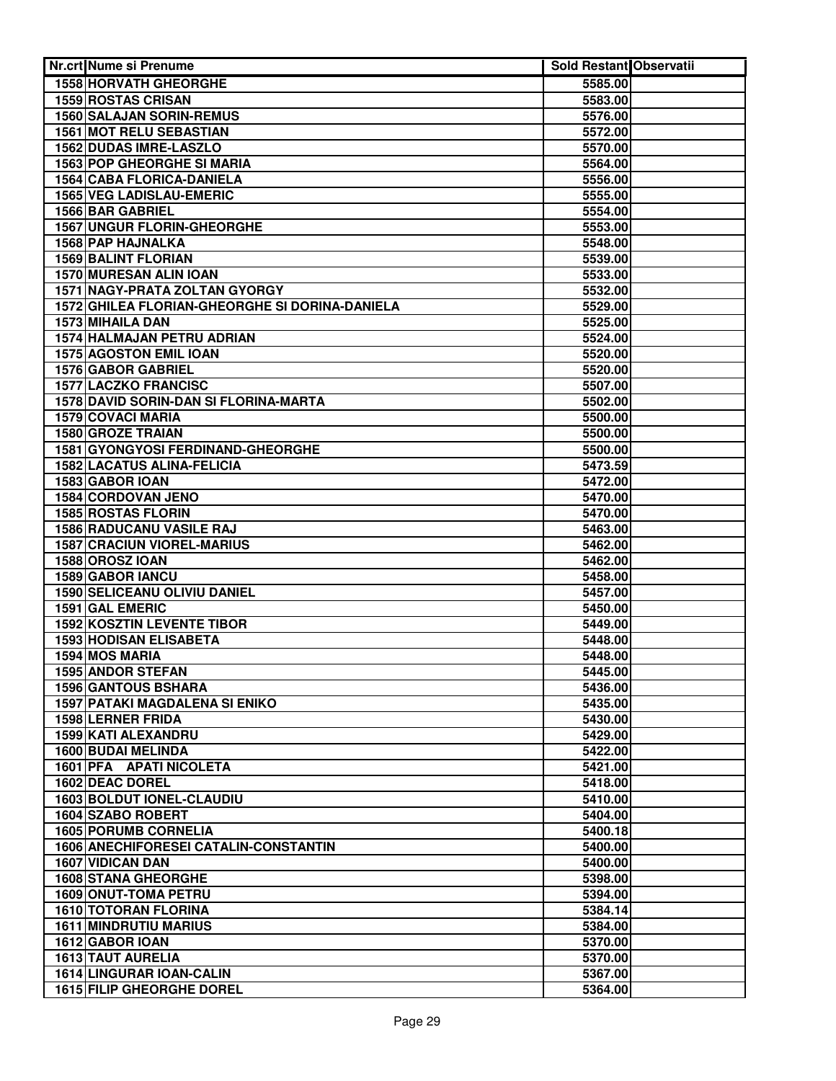| <b>Nr.crt Nume si Prenume</b>                        | <b>Sold Restant Observatii</b> |  |
|------------------------------------------------------|--------------------------------|--|
| 1558 HORVATH GHEORGHE                                | 5585.00                        |  |
| <b>1559 ROSTAS CRISAN</b>                            | 5583.00                        |  |
| <b>1560 SALAJAN SORIN-REMUS</b>                      | 5576.00                        |  |
| 1561 MOT RELU SEBASTIAN                              | 5572.00                        |  |
| <b>1562 DUDAS IMRE-LASZLO</b>                        | 5570.00                        |  |
| <b>1563 POP GHEORGHE SI MARIA</b>                    | 5564.00                        |  |
| 1564 CABA FLORICA-DANIELA                            | 5556.00                        |  |
| <b>1565 VEG LADISLAU-EMERIC</b>                      | 5555.00                        |  |
| 1566 BAR GABRIEL                                     | 5554.00                        |  |
| <b>1567 UNGUR FLORIN-GHEORGHE</b>                    | 5553.00                        |  |
| 1568 PAP HAJNALKA                                    | 5548.00                        |  |
| 1569 BALINT FLORIAN                                  | 5539.00                        |  |
| 1570 MURESAN ALIN IOAN                               | 5533.00                        |  |
| 1571 NAGY-PRATA ZOLTAN GYORGY                        | 5532.00                        |  |
| 1572 GHILEA FLORIAN-GHEORGHE SI DORINA-DANIELA       | 5529.00                        |  |
| 1573 MIHAILA DAN                                     | 5525.00                        |  |
| 1574 HALMAJAN PETRU ADRIAN                           | 5524.00                        |  |
| 1575 AGOSTON EMIL IOAN                               | 5520.00                        |  |
| 1576 GABOR GABRIEL                                   | 5520.00                        |  |
| <b>1577 LACZKO FRANCISC</b>                          | 5507.00                        |  |
| 1578 DAVID SORIN-DAN SI FLORINA-MARTA                | 5502.00                        |  |
| 1579 COVACI MARIA                                    | 5500.00                        |  |
| 1580 GROZE TRAIAN                                    | 5500.00                        |  |
| 1581 GYONGYOSI FERDINAND-GHEORGHE                    | 5500.00                        |  |
| <b>1582 LACATUS ALINA-FELICIA</b>                    | 5473.59                        |  |
| 1583 GABOR IOAN                                      | 5472.00                        |  |
| 1584 CORDOVAN JENO                                   | 5470.00                        |  |
| <b>1585 ROSTAS FLORIN</b>                            | 5470.00                        |  |
| <b>1586 RADUCANU VASILE RAJ</b>                      | 5463.00                        |  |
| <b>1587 CRACIUN VIOREL-MARIUS</b><br>1588 OROSZ IOAN | 5462.00                        |  |
| <b>1589 GABOR IANCU</b>                              | 5462.00<br>5458.00             |  |
| <b>1590 SELICEANU OLIVIU DANIEL</b>                  | 5457.00                        |  |
| 1591 GAL EMERIC                                      | 5450.00                        |  |
| <b>1592 KOSZTIN LEVENTE TIBOR</b>                    | 5449.00                        |  |
| 1593 HODISAN ELISABETA                               | 5448.00                        |  |
| 1594 MOS MARIA                                       | 5448.00                        |  |
| <b>1595 ANDOR STEFAN</b>                             | 5445.00                        |  |
| <b>1596 GANTOUS BSHARA</b>                           | 5436.00                        |  |
| <b>1597 PATAKI MAGDALENA SI ENIKO</b>                | 5435.00                        |  |
| 1598 LERNER FRIDA                                    | 5430.00                        |  |
| 1599 KATI ALEXANDRU                                  | 5429.00                        |  |
| 1600 BUDAI MELINDA                                   | 5422.00                        |  |
| 1601 PFA APATI NICOLETA                              | 5421.00                        |  |
| 1602 DEAC DOREL                                      | 5418.00                        |  |
| 1603 BOLDUT IONEL-CLAUDIU                            | 5410.00                        |  |
| 1604 SZABO ROBERT                                    | 5404.00                        |  |
| <b>1605 PORUMB CORNELIA</b>                          | 5400.18                        |  |
| <b>1606 ANECHIFORESEI CATALIN-CONSTANTIN</b>         | 5400.00                        |  |
| 1607 VIDICAN DAN                                     | 5400.00                        |  |
| <b>1608 STANA GHEORGHE</b>                           | 5398.00                        |  |
| 1609 ONUT-TOMA PETRU                                 | 5394.00                        |  |
| <b>1610 TOTORAN FLORINA</b>                          | 5384.14                        |  |
| <b>1611 MINDRUTIU MARIUS</b>                         | 5384.00                        |  |
| 1612 GABOR IOAN                                      | 5370.00                        |  |
| <b>1613 TAUT AURELIA</b>                             | 5370.00                        |  |
| 1614 LINGURAR IOAN-CALIN                             | 5367.00                        |  |
| <b>1615 FILIP GHEORGHE DOREL</b>                     | 5364.00                        |  |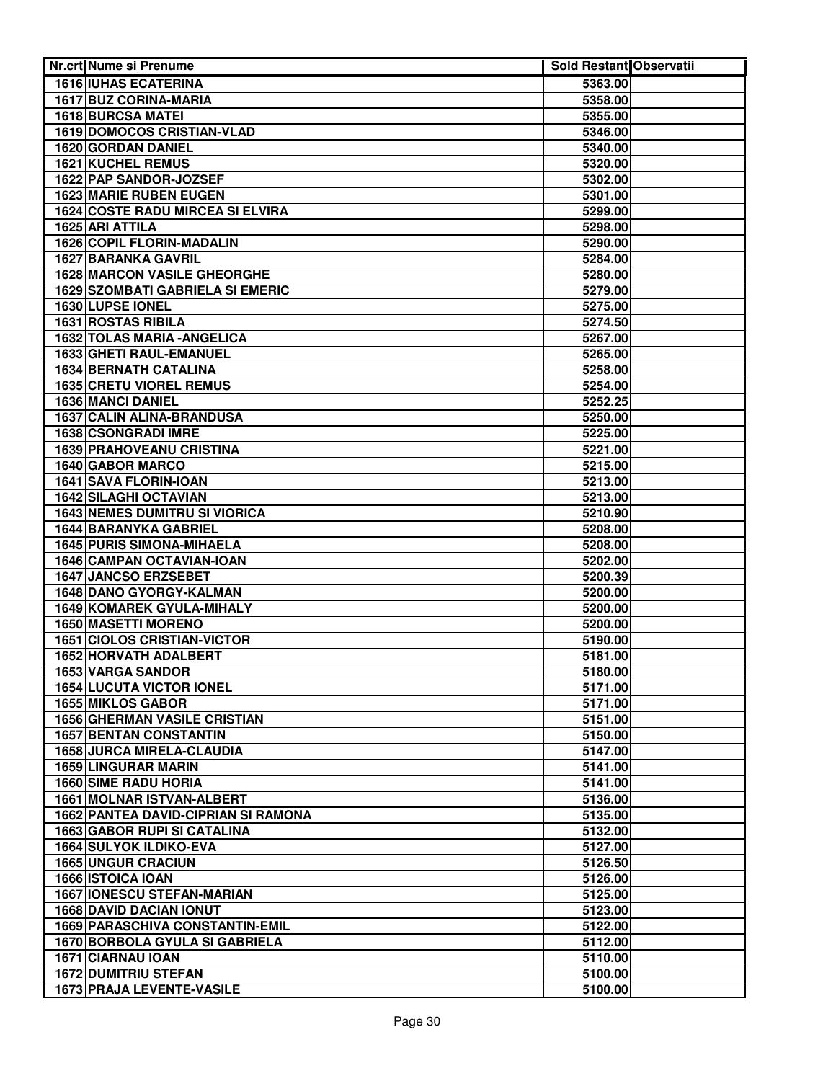| Nr.crt Nume si Prenume                     | Sold Restant Observatii |  |
|--------------------------------------------|-------------------------|--|
| <b>1616 IUHAS ECATERINA</b>                | 5363.00                 |  |
| 1617 BUZ CORINA-MARIA                      | 5358.00                 |  |
| <b>1618 BURCSA MATEI</b>                   | 5355.00                 |  |
| 1619 DOMOCOS CRISTIAN-VLAD                 | 5346.00                 |  |
| 1620 GORDAN DANIEL                         | 5340.00                 |  |
| <b>1621 KUCHEL REMUS</b>                   | 5320.00                 |  |
| 1622 PAP SANDOR-JOZSEF                     | 5302.00                 |  |
| <b>1623 MARIE RUBEN EUGEN</b>              | 5301.00                 |  |
| <b>1624 COSTE RADU MIRCEA SI ELVIRA</b>    | 5299.00                 |  |
| 1625 ARI ATTILA                            | 5298.00                 |  |
| <b>1626 COPIL FLORIN-MADALIN</b>           | 5290.00                 |  |
| 1627 BARANKA GAVRIL                        | 5284.00                 |  |
| <b>1628 MARCON VASILE GHEORGHE</b>         | 5280.00                 |  |
| <b>1629 SZOMBATI GABRIELA SI EMERIC</b>    | 5279.00                 |  |
| 1630 LUPSE IONEL                           | 5275.00                 |  |
| 1631 ROSTAS RIBILA                         | 5274.50                 |  |
| 1632 TOLAS MARIA - ANGELICA                | 5267.00                 |  |
| 1633 GHETI RAUL-EMANUEL                    | 5265.00                 |  |
| <b>1634 BERNATH CATALINA</b>               | 5258.00                 |  |
| <b>1635 CRETU VIOREL REMUS</b>             | 5254.00                 |  |
| 1636 MANCI DANIEL                          | 5252.25                 |  |
| 1637 CALIN ALINA-BRANDUSA                  | 5250.00                 |  |
| 1638 CSONGRADI IMRE                        | 5225.00                 |  |
| 1639 PRAHOVEANU CRISTINA                   | 5221.00                 |  |
| 1640 GABOR MARCO                           | 5215.00                 |  |
| 1641 SAVA FLORIN-IOAN                      | 5213.00                 |  |
| <b>1642 SILAGHI OCTAVIAN</b>               | 5213.00                 |  |
| <b>1643 NEMES DUMITRU SI VIORICA</b>       | 5210.90                 |  |
| <b>1644 BARANYKA GABRIEL</b>               | 5208.00                 |  |
| <b>1645 PURIS SIMONA-MIHAELA</b>           | 5208.00                 |  |
| 1646 CAMPAN OCTAVIAN-IOAN                  | 5202.00                 |  |
| <b>1647 JANCSO ERZSEBET</b>                | 5200.39                 |  |
| <b>1648 DANO GYORGY-KALMAN</b>             | 5200.00                 |  |
| <b>1649 KOMAREK GYULA-MIHALY</b>           | 5200.00                 |  |
| <b>1650 MASETTI MORENO</b>                 | 5200.00                 |  |
| <b>1651 CIOLOS CRISTIAN-VICTOR</b>         | 5190.00                 |  |
| 1652 HORVATH ADALBERT                      | 5181.00                 |  |
| 1653 VARGA SANDOR                          | 5180.00                 |  |
| <b>1654 LUCUTA VICTOR IONEL</b>            | 5171.00                 |  |
| <b>1655 MIKLOS GABOR</b>                   | 5171.00                 |  |
| <b>1656 GHERMAN VASILE CRISTIAN</b>        | 5151.00                 |  |
| <b>1657 BENTAN CONSTANTIN</b>              | 5150.00                 |  |
| <b>1658 JURCA MIRELA-CLAUDIA</b>           | 5147.00                 |  |
| 1659 LINGURAR MARIN                        | 5141.00                 |  |
| <b>1660 SIME RADU HORIA</b>                | 5141.00                 |  |
| <b>1661 MOLNAR ISTVAN-ALBERT</b>           | 5136.00                 |  |
| <b>1662 PANTEA DAVID-CIPRIAN SI RAMONA</b> | 5135.00                 |  |
| <b>1663 GABOR RUPI SI CATALINA</b>         | 5132.00                 |  |
| 1664 SULYOK ILDIKO-EVA                     | 5127.00                 |  |
| <b>1665 UNGUR CRACIUN</b>                  | 5126.50                 |  |
| 1666 ISTOICA IOAN                          | 5126.00                 |  |
| <b>1667 IONESCU STEFAN-MARIAN</b>          | 5125.00                 |  |
| <b>1668 DAVID DACIAN IONUT</b>             | 5123.00                 |  |
| <b>1669 PARASCHIVA CONSTANTIN-EMIL</b>     | 5122.00                 |  |
| <b>1670 BORBOLA GYULA SI GABRIELA</b>      | 5112.00                 |  |
| 1671 CIARNAU IOAN                          | 5110.00                 |  |
| <b>1672 DUMITRIU STEFAN</b>                | 5100.00                 |  |
| <b>1673 PRAJA LEVENTE-VASILE</b>           | 5100.00                 |  |
|                                            |                         |  |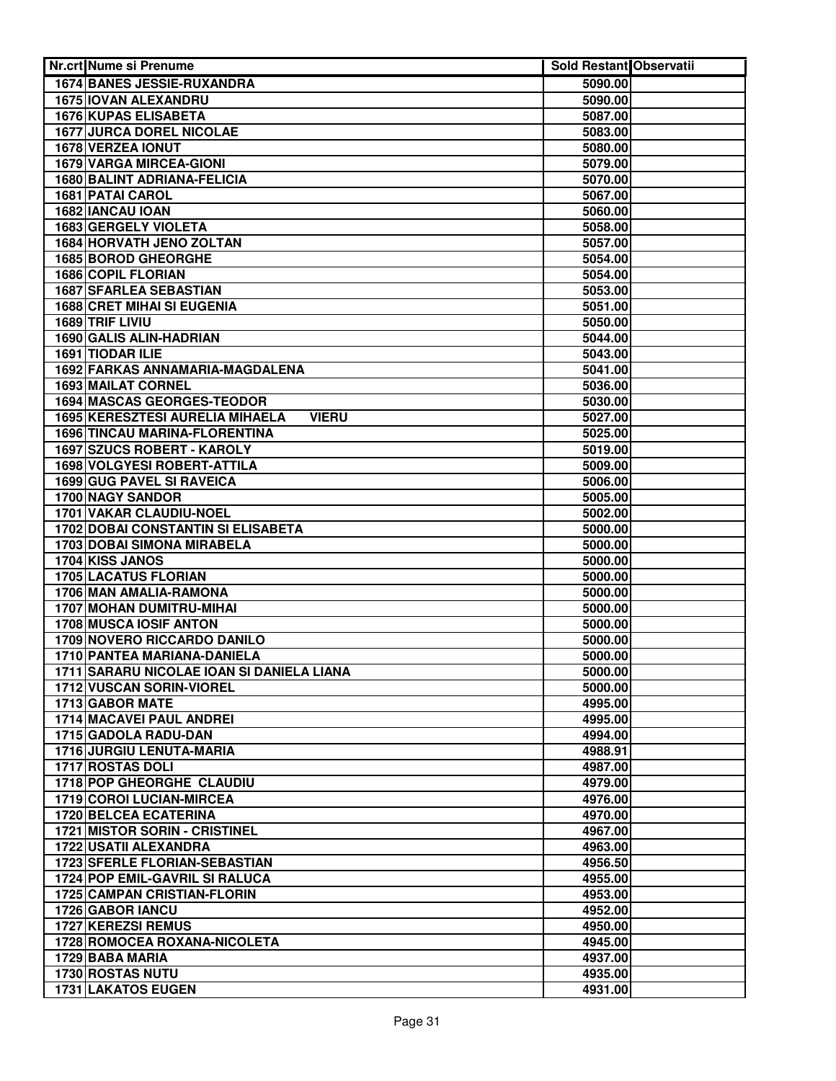| <b>Nr.crt Nume si Prenume</b>                      | Sold Restant Observatii |  |
|----------------------------------------------------|-------------------------|--|
| <b>1674 BANES JESSIE-RUXANDRA</b>                  | 5090.00                 |  |
| 1675 IOVAN ALEXANDRU                               | 5090.00                 |  |
| <b>1676 KUPAS ELISABETA</b>                        | 5087.00                 |  |
| <b>1677 JURCA DOREL NICOLAE</b>                    | 5083.00                 |  |
| <b>1678 VERZEA IONUT</b>                           | 5080.00                 |  |
| <b>1679 VARGA MIRCEA-GIONI</b>                     | 5079.00                 |  |
| <b>1680 BALINT ADRIANA-FELICIA</b>                 | 5070.00                 |  |
| <b>1681 PATAI CAROL</b>                            | 5067.00                 |  |
| 1682 IANCAU IOAN                                   | 5060.00                 |  |
| <b>1683 GERGELY VIOLETA</b>                        | 5058.00                 |  |
| 1684 HORVATH JENO ZOLTAN                           | 5057.00                 |  |
| 1685 BOROD GHEORGHE                                | 5054.00                 |  |
| 1686 COPIL FLORIAN                                 | 5054.00                 |  |
| <b>1687 SFARLEA SEBASTIAN</b>                      | 5053.00                 |  |
| <b>1688 CRET MIHAI SI EUGENIA</b>                  | 5051.00                 |  |
| 1689 TRIF LIVIU                                    | 5050.00                 |  |
| 1690 GALIS ALIN-HADRIAN                            | 5044.00                 |  |
| 1691 TIODAR ILIE                                   | 5043.00                 |  |
| 1692 FARKAS ANNAMARIA-MAGDALENA                    | 5041.00                 |  |
| 1693 MAILAT CORNEL                                 | 5036.00                 |  |
| 1694 MASCAS GEORGES-TEODOR                         | 5030.00                 |  |
| 1695 KERESZTESI AURELIA MIHAELA<br><b>VIERU</b>    | 5027.00                 |  |
| 1696 TINCAU MARINA-FLORENTINA                      | 5025.00                 |  |
| 1697 SZUCS ROBERT - KAROLY                         | 5019.00                 |  |
| <b>1698 VOLGYESI ROBERT-ATTILA</b>                 | 5009.00                 |  |
| 1699 GUG PAVEL SI RAVEICA                          | 5006.00                 |  |
| <b>1700 NAGY SANDOR</b>                            | 5005.00                 |  |
| 1701 VAKAR CLAUDIU-NOEL                            | 5002.00                 |  |
| <b>1702 DOBAI CONSTANTIN SI ELISABETA</b>          | 5000.00                 |  |
| <b>1703 DOBAI SIMONA MIRABELA</b>                  | 5000.00                 |  |
| 1704 KISS JANOS                                    | 5000.00                 |  |
| <b>1705 LACATUS FLORIAN</b>                        | 5000.00                 |  |
| 1706 MAN AMALIA-RAMONA<br>1707 MOHAN DUMITRU-MIHAI | 5000.00                 |  |
| 1708 MUSCA IOSIF ANTON                             | 5000.00                 |  |
| 1709 NOVERO RICCARDO DANILO                        | 5000.00                 |  |
| 1710 PANTEA MARIANA-DANIELA                        | 5000.00                 |  |
| 1711 SARARU NICOLAE IOAN SI DANIELA LIANA          | 5000.00<br>5000.00      |  |
| 1712 VUSCAN SORIN-VIOREL                           | 5000.00                 |  |
| 1713 GABOR MATE                                    | 4995.00                 |  |
| 1714 MACAVEI PAUL ANDREI                           | 4995.00                 |  |
| 1715 GADOLA RADU-DAN                               | 4994.00                 |  |
| 1716 JURGIU LENUTA-MARIA                           | 4988.91                 |  |
| 1717 ROSTAS DOLI                                   | 4987.00                 |  |
| 1718 POP GHEORGHE CLAUDIU                          | 4979.00                 |  |
| 1719 COROI LUCIAN-MIRCEA                           | 4976.00                 |  |
| 1720 BELCEA ECATERINA                              | 4970.00                 |  |
| <b>1721 MISTOR SORIN - CRISTINEL</b>               | 4967.00                 |  |
| 1722 USATII ALEXANDRA                              | 4963.00                 |  |
| 1723 SFERLE FLORIAN-SEBASTIAN                      | 4956.50                 |  |
| <b>1724 POP EMIL-GAVRIL SI RALUCA</b>              | 4955.00                 |  |
| <b>1725 CAMPAN CRISTIAN-FLORIN</b>                 | 4953.00                 |  |
| 1726 GABOR IANCU                                   | 4952.00                 |  |
| 1727 KEREZSI REMUS                                 | 4950.00                 |  |
| 1728 ROMOCEA ROXANA-NICOLETA                       | 4945.00                 |  |
| 1729 BABA MARIA                                    | 4937.00                 |  |
| 1730 ROSTAS NUTU                                   | 4935.00                 |  |
| <b>1731 LAKATOS EUGEN</b>                          | 4931.00                 |  |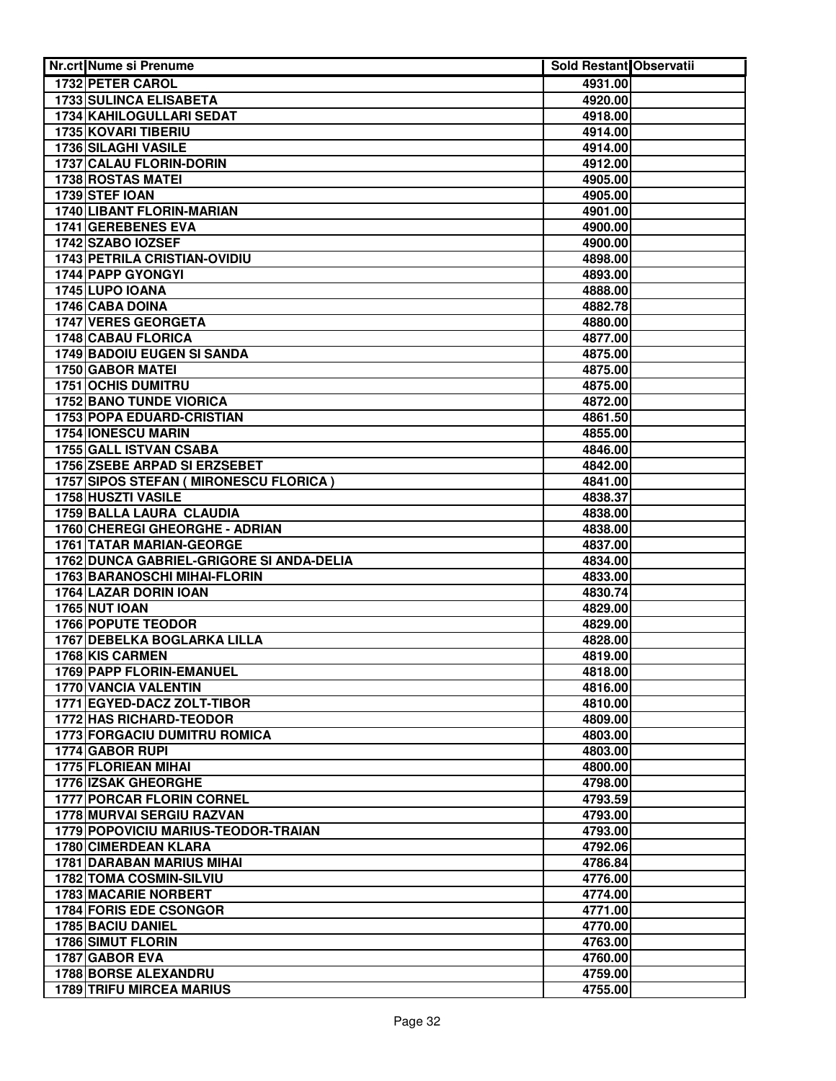| Nr.crt Nume si Prenume                                               | <b>Sold Restant Observatii</b> |  |
|----------------------------------------------------------------------|--------------------------------|--|
| 1732 PETER CAROL                                                     | 4931.00                        |  |
| <b>1733 SULINCA ELISABETA</b>                                        | 4920.00                        |  |
| 1734 KAHILOGULLARI SEDAT                                             | 4918.00                        |  |
| 1735 KOVARI TIBERIU                                                  | 4914.00                        |  |
| 1736 SILAGHI VASILE                                                  | 4914.00                        |  |
| 1737 CALAU FLORIN-DORIN                                              | 4912.00                        |  |
| 1738 ROSTAS MATEI                                                    | 4905.00                        |  |
| 1739 STEF IOAN                                                       | 4905.00                        |  |
| <b>1740 LIBANT FLORIN-MARIAN</b>                                     | 4901.00                        |  |
| 1741 GEREBENES EVA                                                   | 4900.00                        |  |
| 1742 SZABO IOZSEF                                                    | 4900.00                        |  |
| 1743 PETRILA CRISTIAN-OVIDIU                                         | 4898.00                        |  |
| 1744 PAPP GYONGYI                                                    | 4893.00                        |  |
| 1745 LUPO IOANA                                                      | 4888.00                        |  |
| 1746 CABA DOINA                                                      | 4882.78                        |  |
| 1747 VERES GEORGETA                                                  | 4880.00                        |  |
| 1748 CABAU FLORICA                                                   | 4877.00                        |  |
| 1749 BADOIU EUGEN SI SANDA                                           | 4875.00                        |  |
| 1750 GABOR MATEI                                                     | 4875.00                        |  |
| <b>1751 OCHIS DUMITRU</b>                                            | 4875.00                        |  |
| <b>1752 BANO TUNDE VIORICA</b>                                       | 4872.00                        |  |
| 1753 POPA EDUARD-CRISTIAN                                            | 4861.50                        |  |
| 1754 IONESCU MARIN                                                   | 4855.00                        |  |
| 1755 GALL ISTVAN CSABA                                               | 4846.00                        |  |
| 1756 ZSEBE ARPAD SI ERZSEBET                                         | 4842.00                        |  |
| 1757 SIPOS STEFAN ( MIRONESCU FLORICA )                              | 4841.00                        |  |
| 1758 HUSZTI VASILE                                                   | 4838.37                        |  |
| <b>1759 BALLA LAURA CLAUDIA</b>                                      | 4838.00                        |  |
| 1760 CHEREGI GHEORGHE - ADRIAN                                       | 4838.00                        |  |
| 1761 TATAR MARIAN-GEORGE<br>1762 DUNCA GABRIEL-GRIGORE SI ANDA-DELIA | 4837.00<br>4834.00             |  |
| <b>1763 BARANOSCHI MIHAI-FLORIN</b>                                  | 4833.00                        |  |
| 1764 LAZAR DORIN IOAN                                                | 4830.74                        |  |
| <b>1765 NUT IOAN</b>                                                 | 4829.00                        |  |
| <b>1766 POPUTE TEODOR</b>                                            | 4829.00                        |  |
| 1767 DEBELKA BOGLARKA LILLA                                          | 4828.00                        |  |
| <b>1768 KIS CARMEN</b>                                               | 4819.00                        |  |
| 1769 PAPP FLORIN-EMANUEL                                             | 4818.00                        |  |
| 1770 VANCIA VALENTIN                                                 | 4816.00                        |  |
| 1771 EGYED-DACZ ZOLT-TIBOR                                           | 4810.00                        |  |
| 1772 HAS RICHARD-TEODOR                                              | 4809.00                        |  |
| 1773 FORGACIU DUMITRU ROMICA                                         | 4803.00                        |  |
| 1774 GABOR RUPI                                                      | 4803.00                        |  |
| 1775 FLORIEAN MIHAI                                                  | 4800.00                        |  |
| 1776 IZSAK GHEORGHE                                                  | 4798.00                        |  |
| 1777 PORCAR FLORIN CORNEL                                            | 4793.59                        |  |
| 1778 MURVAI SERGIU RAZVAN                                            | 4793.00                        |  |
| 1779 POPOVICIU MARIUS-TEODOR-TRAIAN                                  | 4793.00                        |  |
| 1780 CIMERDEAN KLARA                                                 | 4792.06                        |  |
| <b>1781 DARABAN MARIUS MIHAI</b>                                     | 4786.84                        |  |
| <b>1782 TOMA COSMIN-SILVIU</b>                                       | 4776.00                        |  |
| 1783 MACARIE NORBERT                                                 | 4774.00                        |  |
| 1784 FORIS EDE CSONGOR                                               | 4771.00                        |  |
| 1785 BACIU DANIEL                                                    | 4770.00                        |  |
| 1786 SIMUT FLORIN                                                    | 4763.00                        |  |
| 1787 GABOR EVA                                                       | 4760.00                        |  |
| <b>1788 BORSE ALEXANDRU</b>                                          | 4759.00                        |  |
| <b>1789 TRIFU MIRCEA MARIUS</b>                                      | 4755.00                        |  |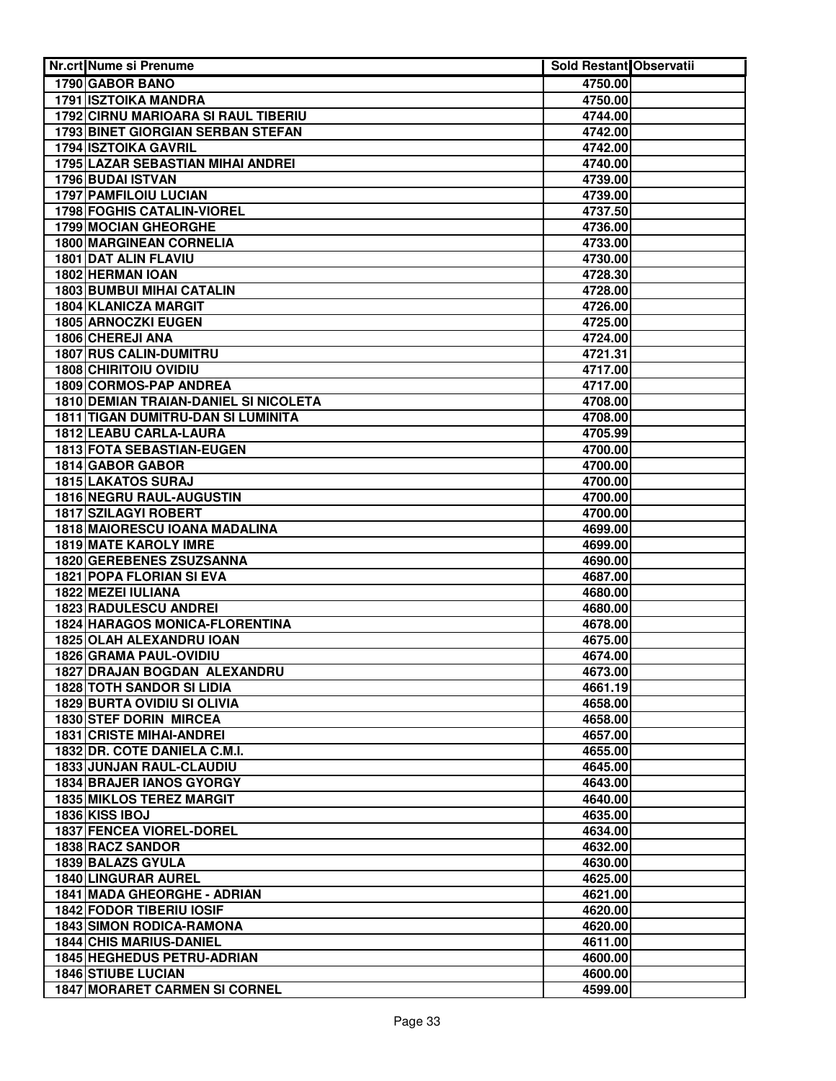| Nr.crt Nume si Prenume                                    | <b>Sold Restant Observatii</b> |  |
|-----------------------------------------------------------|--------------------------------|--|
| 1790 GABOR BANO                                           | 4750.00                        |  |
| <b>1791 ISZTOIKA MANDRA</b>                               | 4750.00                        |  |
| 1792 CIRNU MARIOARA SI RAUL TIBERIU                       | 4744.00                        |  |
| 1793 BINET GIORGIAN SERBAN STEFAN                         | 4742.00                        |  |
| <b>1794 ISZTOIKA GAVRIL</b>                               | 4742.00                        |  |
| <b>1795 LAZAR SEBASTIAN MIHAI ANDREI</b>                  | 4740.00                        |  |
| 1796 BUDAI ISTVAN                                         | 4739.00                        |  |
| <b>1797 PAMFILOIU LUCIAN</b>                              | 4739.00                        |  |
| <b>1798 FOGHIS CATALIN-VIOREL</b>                         | 4737.50                        |  |
| <b>1799 MOCIAN GHEORGHE</b>                               | 4736.00                        |  |
| <b>1800 MARGINEAN CORNELIA</b>                            | 4733.00                        |  |
| 1801 DAT ALIN FLAVIU                                      | 4730.00                        |  |
| 1802 HERMAN IOAN                                          | 4728.30                        |  |
| <b>1803 BUMBUI MIHAI CATALIN</b>                          | 4728.00                        |  |
| 1804 KLANICZA MARGIT                                      | 4726.00                        |  |
| 1805 ARNOCZKI EUGEN                                       | 4725.00                        |  |
| 1806 CHEREJI ANA                                          | 4724.00                        |  |
| 1807 RUS CALIN-DUMITRU                                    | 4721.31                        |  |
| <b>1808 CHIRITOIU OVIDIU</b>                              | 4717.00                        |  |
| 1809 CORMOS-PAP ANDREA                                    | 4717.00                        |  |
| 1810 DEMIAN TRAIAN-DANIEL SI NICOLETA                     | 4708.00                        |  |
| 1811 TIGAN DUMITRU-DAN SI LUMINITA                        | 4708.00                        |  |
| 1812 LEABU CARLA-LAURA                                    | 4705.99                        |  |
| 1813 FOTA SEBASTIAN-EUGEN                                 | 4700.00                        |  |
| 1814 GABOR GABOR                                          | 4700.00                        |  |
| <b>1815 LAKATOS SURAJ</b>                                 | 4700.00                        |  |
| <b>1816 NEGRU RAUL-AUGUSTIN</b>                           | 4700.00                        |  |
| <b>1817 SZILAGYI ROBERT</b>                               | 4700.00                        |  |
| 1818 MAIORESCU IOANA MADALINA                             | 4699.00                        |  |
| <b>1819 MATE KAROLY IMRE</b>                              | 4699.00                        |  |
| <b>1820 GEREBENES ZSUZSANNA</b>                           | 4690.00                        |  |
| 1821 POPA FLORIAN SI EVA                                  | 4687.00                        |  |
| <b>1822 MEZEI IULIANA</b><br><b>1823 RADULESCU ANDREI</b> | 4680.00                        |  |
| <b>1824 HARAGOS MONICA-FLORENTINA</b>                     | 4680.00                        |  |
|                                                           | 4678.00                        |  |
| 1825 OLAH ALEXANDRU IOAN<br>1826 GRAMA PAUL-OVIDIU        | 4675.00<br>4674.00             |  |
| 1827 DRAJAN BOGDAN ALEXANDRU                              | 4673.00                        |  |
| <b>1828 TOTH SANDOR SI LIDIA</b>                          | 4661.19                        |  |
| <b>1829 BURTA OVIDIU SI OLIVIA</b>                        | 4658.00                        |  |
| 1830 STEF DORIN MIRCEA                                    | 4658.00                        |  |
| <b>1831 CRISTE MIHAI-ANDREI</b>                           | 4657.00                        |  |
| 1832 DR. COTE DANIELA C.M.I.                              | 4655.00                        |  |
| 1833 JUNJAN RAUL-CLAUDIU                                  | 4645.00                        |  |
| <b>1834 BRAJER IANOS GYORGY</b>                           | 4643.00                        |  |
| <b>1835 MIKLOS TEREZ MARGIT</b>                           | 4640.00                        |  |
| 1836 KISS IBOJ                                            | 4635.00                        |  |
| 1837 FENCEA VIOREL-DOREL                                  | 4634.00                        |  |
| 1838 RACZ SANDOR                                          | 4632.00                        |  |
| 1839 BALAZS GYULA                                         | 4630.00                        |  |
| 1840 LINGURAR AUREL                                       | 4625.00                        |  |
| <b>1841 MADA GHEORGHE - ADRIAN</b>                        | 4621.00                        |  |
| 1842 FODOR TIBERIU IOSIF                                  | 4620.00                        |  |
| <b>1843 SIMON RODICA-RAMONA</b>                           | 4620.00                        |  |
| <b>1844 CHIS MARIUS-DANIEL</b>                            | 4611.00                        |  |
| <b>1845 HEGHEDUS PETRU-ADRIAN</b>                         | 4600.00                        |  |
| <b>1846 STIUBE LUCIAN</b>                                 | 4600.00                        |  |
| <b>1847 MORARET CARMEN SI CORNEL</b>                      | 4599.00                        |  |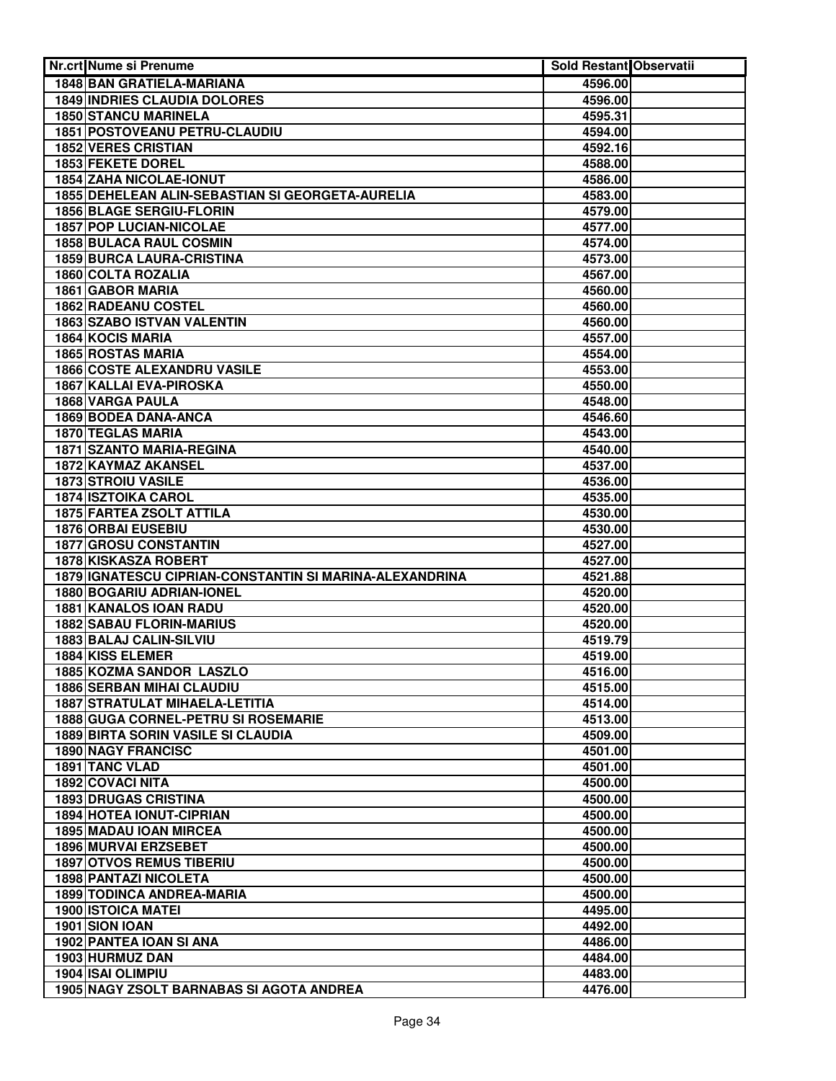| <b>Nr.crt Nume si Prenume</b>                                | Sold Restant Observatii |  |
|--------------------------------------------------------------|-------------------------|--|
| 1848 BAN GRATIELA-MARIANA                                    | 4596.00                 |  |
| <b>1849 INDRIES CLAUDIA DOLORES</b>                          | 4596.00                 |  |
| <b>1850 STANCU MARINELA</b>                                  | 4595.31                 |  |
| 1851 POSTOVEANU PETRU-CLAUDIU                                | 4594.00                 |  |
| <b>1852 VERES CRISTIAN</b>                                   | 4592.16                 |  |
| <b>1853 FEKETE DOREL</b>                                     | 4588.00                 |  |
| <b>1854 ZAHA NICOLAE-IONUT</b>                               | 4586.00                 |  |
| 1855 DEHELEAN ALIN-SEBASTIAN SI GEORGETA-AURELIA             | 4583.00                 |  |
| <b>1856 BLAGE SERGIU-FLORIN</b>                              | 4579.00                 |  |
| <b>1857 POP LUCIAN-NICOLAE</b>                               | 4577.00                 |  |
| <b>1858 BULACA RAUL COSMIN</b>                               | 4574.00                 |  |
| <b>1859 BURCA LAURA-CRISTINA</b>                             | 4573.00                 |  |
| 1860 COLTA ROZALIA                                           | 4567.00                 |  |
| 1861 GABOR MARIA                                             | 4560.00                 |  |
| 1862 RADEANU COSTEL                                          | 4560.00                 |  |
| 1863 SZABO ISTVAN VALENTIN                                   | 4560.00                 |  |
| 1864 KOCIS MARIA                                             | 4557.00                 |  |
| <b>1865 ROSTAS MARIA</b>                                     | 4554.00                 |  |
| 1866 COSTE ALEXANDRU VASILE                                  | 4553.00                 |  |
| 1867 KALLAI EVA-PIROSKA                                      | 4550.00                 |  |
| 1868 VARGA PAULA                                             | 4548.00                 |  |
| 1869 BODEA DANA-ANCA                                         | 4546.60                 |  |
| 1870 TEGLAS MARIA                                            | 4543.00                 |  |
| 1871 SZANTO MARIA-REGINA                                     | 4540.00                 |  |
| 1872 KAYMAZ AKANSEL                                          | 4537.00                 |  |
| 1873 STROIU VASILE                                           | 4536.00                 |  |
| <b>1874 ISZTOIKA CAROL</b>                                   | 4535.00                 |  |
| <b>1875 FARTEA ZSOLT ATTILA</b><br><b>1876 ORBAI EUSEBIU</b> | 4530.00                 |  |
| <b>1877 GROSU CONSTANTIN</b>                                 | 4530.00<br>4527.00      |  |
| 1878 KISKASZA ROBERT                                         | 4527.00                 |  |
| 1879 IGNATESCU CIPRIAN-CONSTANTIN SI MARINA-ALEXANDRINA      | 4521.88                 |  |
| 1880 BOGARIU ADRIAN-IONEL                                    | 4520.00                 |  |
| 1881 KANALOS IOAN RADU                                       | 4520.00                 |  |
| <b>1882 SABAU FLORIN-MARIUS</b>                              | 4520.00                 |  |
| 1883 BALAJ CALIN-SILVIU                                      | 4519.79                 |  |
| 1884 KISS ELEMER                                             | 4519.00                 |  |
| 1885 KOZMA SANDOR LASZLO                                     | 4516.00                 |  |
| <b>1886 SERBAN MIHAI CLAUDIU</b>                             | 4515.00                 |  |
| <b>1887 STRATULAT MIHAELA-LETITIA</b>                        | 4514.00                 |  |
| 1888 GUGA CORNEL-PETRU SI ROSEMARIE                          | 4513.00                 |  |
| <b>1889 BIRTA SORIN VASILE SI CLAUDIA</b>                    | 4509.00                 |  |
| <b>1890 NAGY FRANCISC</b>                                    | 4501.00                 |  |
| 1891 TANC VLAD                                               | 4501.00                 |  |
| 1892 COVACI NITA                                             | 4500.00                 |  |
| <b>1893 DRUGAS CRISTINA</b>                                  | 4500.00                 |  |
| 1894 HOTEA IONUT-CIPRIAN                                     | 4500.00                 |  |
| <b>1895 MADAU IOAN MIRCEA</b>                                | 4500.00                 |  |
| 1896 MURVAI ERZSEBET                                         | 4500.00                 |  |
| <b>1897 OTVOS REMUS TIBERIU</b>                              | 4500.00                 |  |
| 1898 PANTAZI NICOLETA                                        | 4500.00                 |  |
| <b>1899 TODINCA ANDREA-MARIA</b>                             | 4500.00                 |  |
| <b>1900 ISTOICA MATEI</b>                                    | 4495.00                 |  |
| 1901 SION IOAN                                               | 4492.00                 |  |
| 1902 PANTEA IOAN SI ANA                                      | 4486.00                 |  |
| 1903 HURMUZ DAN                                              | 4484.00                 |  |
| 1904 ISAI OLIMPIU                                            | 4483.00                 |  |
| 1905 NAGY ZSOLT BARNABAS SI AGOTA ANDREA                     | 4476.00                 |  |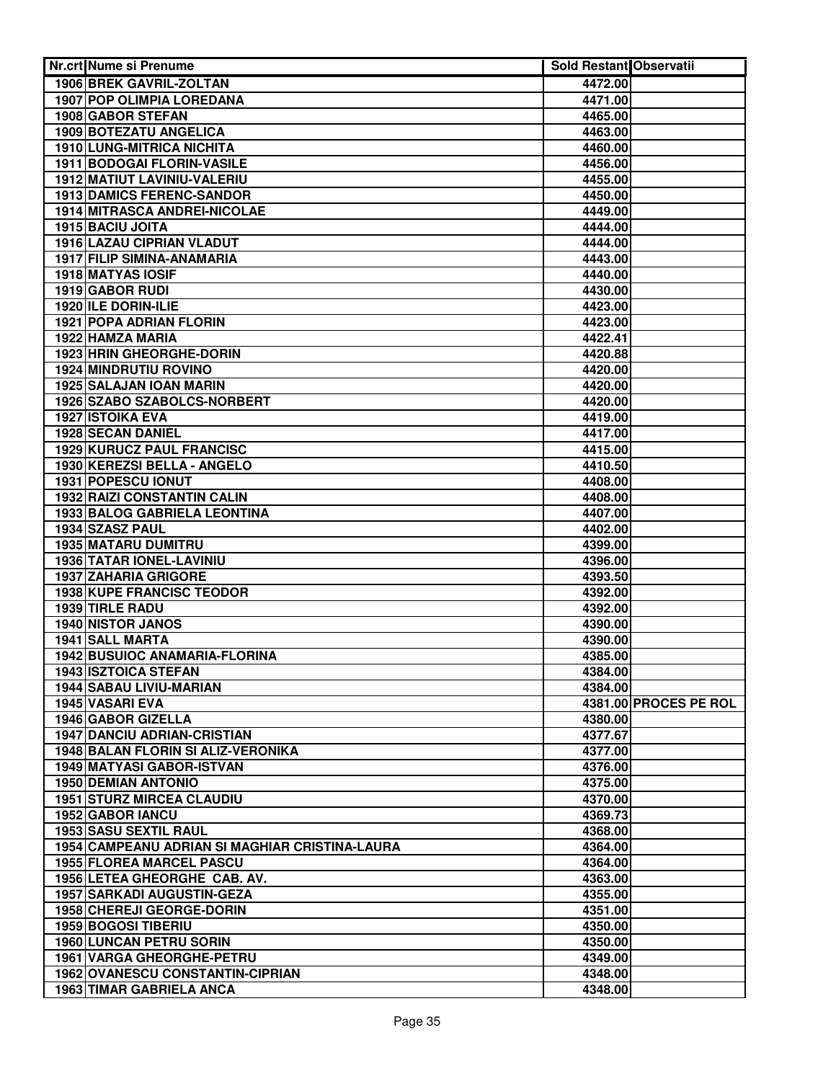| <b>Nr.crt Nume si Prenume</b>                  | Sold Restant Observatii |                       |
|------------------------------------------------|-------------------------|-----------------------|
| 1906 BREK GAVRIL-ZOLTAN                        | 4472.00                 |                       |
| 1907 POP OLIMPIA LOREDANA                      | 4471.00                 |                       |
| <b>1908 GABOR STEFAN</b>                       | 4465.00                 |                       |
| <b>1909 BOTEZATU ANGELICA</b>                  | 4463.00                 |                       |
| <b>1910 LUNG-MITRICA NICHITA</b>               | 4460.00                 |                       |
| 1911 BODOGAI FLORIN-VASILE                     | 4456.00                 |                       |
| 1912 MATIUT LAVINIU-VALERIU                    |                         |                       |
| <b>1913 DAMICS FERENC-SANDOR</b>               | 4455.00                 |                       |
|                                                | 4450.00                 |                       |
| 1914 MITRASCA ANDREI-NICOLAE                   | 4449.00                 |                       |
| 1915 BACIU JOITA                               | 4444.00                 |                       |
| 1916 LAZAU CIPRIAN VLADUT                      | 4444.00                 |                       |
| 1917 FILIP SIMINA-ANAMARIA                     | 4443.00                 |                       |
| 1918 MATYAS IOSIF                              | 4440.00                 |                       |
| 1919 GABOR RUDI                                | 4430.00                 |                       |
| 1920 ILE DORIN-ILIE                            | 4423.00                 |                       |
| 1921 POPA ADRIAN FLORIN                        | 4423.00                 |                       |
| 1922 HAMZA MARIA                               | 4422.41                 |                       |
| 1923 HRIN GHEORGHE-DORIN                       | 4420.88                 |                       |
| 1924 MINDRUTIU ROVINO                          | 4420.00                 |                       |
| 1925 SALAJAN IOAN MARIN                        | 4420.00                 |                       |
| 1926 SZABO SZABOLCS-NORBERT                    | 4420.00                 |                       |
| <b>1927 ISTOIKA EVA</b>                        | 4419.00                 |                       |
| 1928 SECAN DANIEL                              | 4417.00                 |                       |
| 1929 KURUCZ PAUL FRANCISC                      | 4415.00                 |                       |
| 1930 KEREZSI BELLA - ANGELO                    | 4410.50                 |                       |
| 1931 POPESCU IONUT                             | 4408.00                 |                       |
| <b>1932 RAIZI CONSTANTIN CALIN</b>             | 4408.00                 |                       |
| 1933 BALOG GABRIELA LEONTINA                   | 4407.00                 |                       |
| 1934 SZASZ PAUL                                | 4402.00                 |                       |
| <b>1935 MATARU DUMITRU</b>                     | 4399.00                 |                       |
| 1936 TATAR IONEL-LAVINIU                       | 4396.00                 |                       |
| <b>1937 ZAHARIA GRIGORE</b>                    | 4393.50                 |                       |
| <b>1938 KUPE FRANCISC TEODOR</b>               | 4392.00                 |                       |
| 1939 TIRLE RADU                                | 4392.00                 |                       |
| <b>1940 NISTOR JANOS</b>                       | 4390.00                 |                       |
| 1941 SALL MARTA                                | 4390.00                 |                       |
| 1942 BUSUIOC ANAMARIA-FLORINA                  | 4385.00                 |                       |
| <b>1943 ISZTOICA STEFAN</b>                    | 4384.00                 |                       |
| 1944 SABAU LIVIU-MARIAN                        | 4384.00                 |                       |
| 1945 VASARI EVA                                |                         | 4381.00 PROCES PE ROL |
| 1946 GABOR GIZELLA                             |                         |                       |
| <b>1947 DANCIU ADRIAN-CRISTIAN</b>             | 4380.00                 |                       |
| 1948 BALAN FLORIN SI ALIZ-VERONIKA             | 4377.67                 |                       |
|                                                | 4377.00                 |                       |
| 1949 MATYASI GABOR-ISTVAN                      | 4376.00                 |                       |
| <b>1950 DEMIAN ANTONIO</b>                     | 4375.00                 |                       |
| <b>1951 STURZ MIRCEA CLAUDIU</b>               | 4370.00                 |                       |
| 1952 GABOR IANCU                               | 4369.73                 |                       |
| 1953 SASU SEXTIL RAUL                          | 4368.00                 |                       |
| 1954 CAMPEANU ADRIAN SI MAGHIAR CRISTINA-LAURA | 4364.00                 |                       |
| <b>1955 FLOREA MARCEL PASCU</b>                | 4364.00                 |                       |
| 1956 LETEA GHEORGHE CAB. AV.                   | 4363.00                 |                       |
| <b>1957 SARKADI AUGUSTIN-GEZA</b>              | 4355.00                 |                       |
| 1958 CHEREJI GEORGE-DORIN                      | 4351.00                 |                       |
| 1959 BOGOSI TIBERIU                            | 4350.00                 |                       |
| <b>1960 LUNCAN PETRU SORIN</b>                 | 4350.00                 |                       |
| 1961 VARGA GHEORGHE-PETRU                      | 4349.00                 |                       |
| <b>1962 OVANESCU CONSTANTIN-CIPRIAN</b>        | 4348.00                 |                       |
| 1963 TIMAR GABRIELA ANCA                       | 4348.00                 |                       |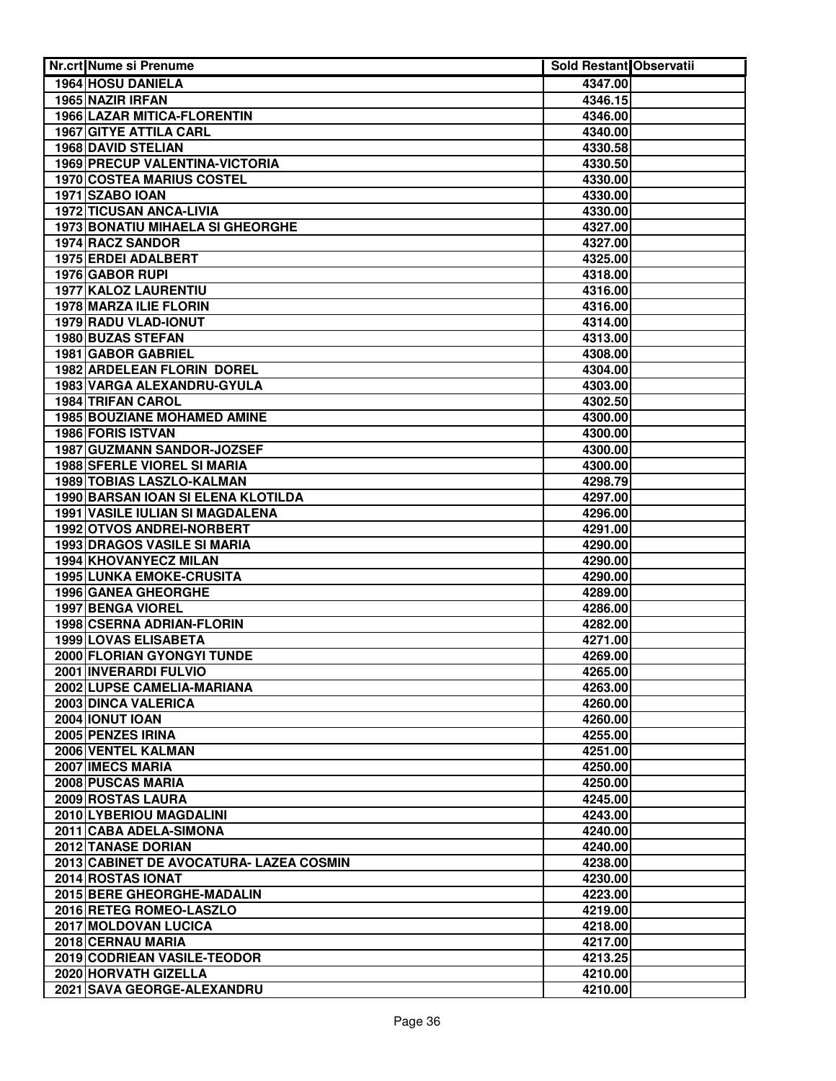| Nr.crt Nume si Prenume                  | <b>Sold Restant Observatii</b> |  |
|-----------------------------------------|--------------------------------|--|
| 1964 HOSU DANIELA                       | 4347.00                        |  |
| 1965 NAZIR IRFAN                        | 4346.15                        |  |
| <b>1966 LAZAR MITICA-FLORENTIN</b>      | 4346.00                        |  |
| <b>1967 GITYE ATTILA CARL</b>           | 4340.00                        |  |
| <b>1968 DAVID STELIAN</b>               | 4330.58                        |  |
| 1969 PRECUP VALENTINA-VICTORIA          | 4330.50                        |  |
| <b>1970 COSTEA MARIUS COSTEL</b>        | 4330.00                        |  |
| 1971 SZABO IOAN                         | 4330.00                        |  |
| <b>1972 TICUSAN ANCA-LIVIA</b>          | 4330.00                        |  |
| <b>1973 BONATIU MIHAELA SI GHEORGHE</b> | 4327.00                        |  |
| 1974 RACZ SANDOR                        | 4327.00                        |  |
| 1975 ERDEI ADALBERT                     | 4325.00                        |  |
| 1976 GABOR RUPI                         | 4318.00                        |  |
| 1977 KALOZ LAURENTIU                    | 4316.00                        |  |
| 1978 MARZA ILIE FLORIN                  | 4316.00                        |  |
| 1979 RADU VLAD-IONUT                    | 4314.00                        |  |
| 1980 BUZAS STEFAN                       | 4313.00                        |  |
| 1981 GABOR GABRIEL                      | 4308.00                        |  |
| 1982 ARDELEAN FLORIN DOREL              | 4304.00                        |  |
| 1983 VARGA ALEXANDRU-GYULA              | 4303.00                        |  |
| <b>1984 TRIFAN CAROL</b>                | 4302.50                        |  |
| 1985 BOUZIANE MOHAMED AMINE             | 4300.00                        |  |
| 1986 FORIS ISTVAN                       | 4300.00                        |  |
| 1987 GUZMANN SANDOR-JOZSEF              | 4300.00                        |  |
| 1988 SFERLE VIOREL SI MARIA             | 4300.00                        |  |
| 1989 TOBIAS LASZLO-KALMAN               | 4298.79                        |  |
| 1990 BARSAN IOAN SI ELENA KLOTILDA      | 4297.00                        |  |
| 1991 VASILE IULIAN SI MAGDALENA         | 4296.00                        |  |
| 1992 OTVOS ANDREI-NORBERT               | 4291.00                        |  |
| <b>1993 DRAGOS VASILE SI MARIA</b>      | 4290.00                        |  |
| 1994 KHOVANYECZ MILAN                   | 4290.00                        |  |
| <b>1995 LUNKA EMOKE-CRUSITA</b>         | 4290.00                        |  |
| 1996 GANEA GHEORGHE                     | 4289.00                        |  |
| <b>1997 BENGA VIOREL</b>                | 4286.00                        |  |
| 1998 CSERNA ADRIAN-FLORIN               | 4282.00                        |  |
| 1999 LOVAS ELISABETA                    | 4271.00                        |  |
| 2000 FLORIAN GYONGYI TUNDE              | 4269.00                        |  |
| 2001 INVERARDI FULVIO                   | 4265.00                        |  |
| 2002 LUPSE CAMELIA-MARIANA              | 4263.00                        |  |
| 2003 DINCA VALERICA                     | 4260.00                        |  |
| 2004 IONUT IOAN                         | 4260.00                        |  |
| 2005 PENZES IRINA                       | 4255.00                        |  |
| 2006 VENTEL KALMAN                      | 4251.00                        |  |
| 2007 IMECS MARIA                        | 4250.00                        |  |
| 2008 PUSCAS MARIA                       | 4250.00                        |  |
| 2009 ROSTAS LAURA                       | 4245.00                        |  |
| 2010 LYBERIOU MAGDALINI                 | 4243.00                        |  |
| 2011 CABA ADELA-SIMONA                  | 4240.00                        |  |
| 2012 TANASE DORIAN                      | 4240.00                        |  |
| 2013 CABINET DE AVOCATURA- LAZEA COSMIN | 4238.00                        |  |
| 2014 ROSTAS IONAT                       | 4230.00                        |  |
| 2015 BERE GHEORGHE-MADALIN              | 4223.00                        |  |
| 2016 RETEG ROMEO-LASZLO                 | 4219.00                        |  |
| 2017 MOLDOVAN LUCICA                    | 4218.00                        |  |
| 2018 CERNAU MARIA                       | 4217.00                        |  |
| 2019 CODRIEAN VASILE-TEODOR             | 4213.25                        |  |
| 2020 HORVATH GIZELLA                    | 4210.00                        |  |
| 2021 SAVA GEORGE-ALEXANDRU              | 4210.00                        |  |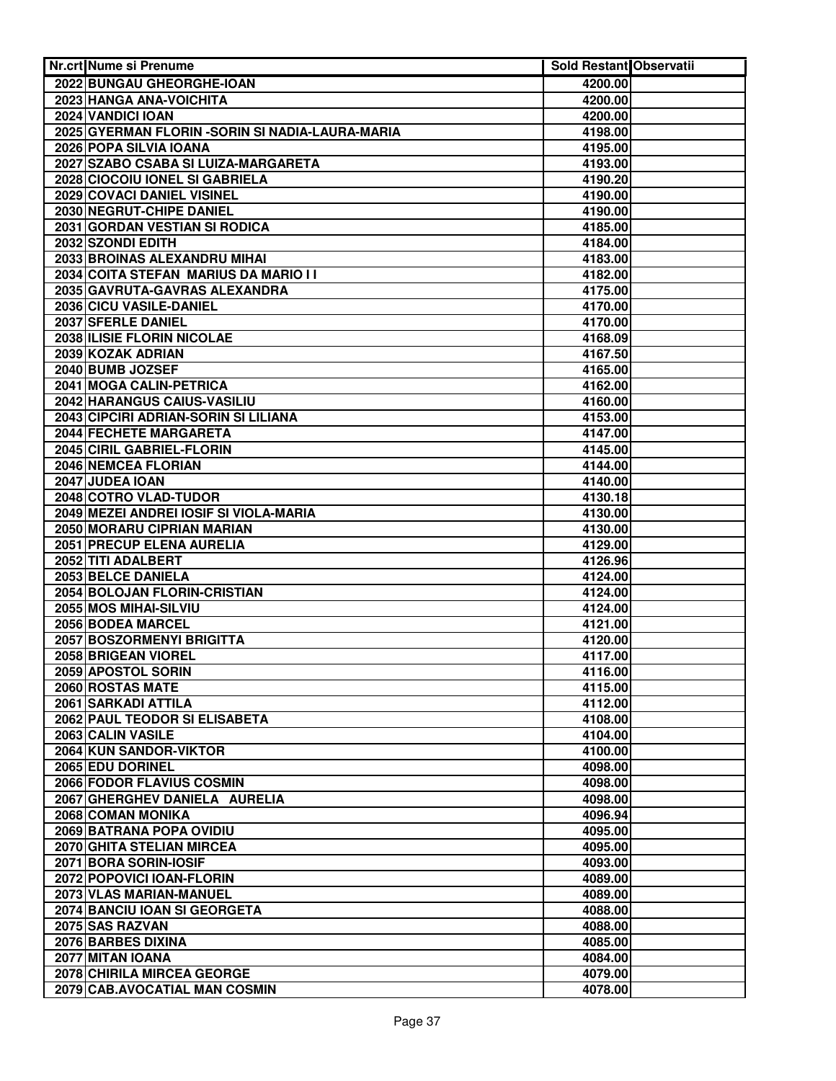| <b>Nr.crt Nume si Prenume</b>                    | Sold Restant Observatii |  |
|--------------------------------------------------|-------------------------|--|
| 2022 BUNGAU GHEORGHE-IOAN                        | 4200.00                 |  |
| 2023 HANGA ANA-VOICHITA                          | 4200.00                 |  |
| 2024 VANDICI IOAN                                | 4200.00                 |  |
| 2025 GYERMAN FLORIN - SORIN SI NADIA-LAURA-MARIA | 4198.00                 |  |
| 2026 POPA SILVIA IOANA                           | 4195.00                 |  |
| 2027 SZABO CSABA SI LUIZA-MARGARETA              | 4193.00                 |  |
| 2028 CIOCOIU IONEL SI GABRIELA                   | 4190.20                 |  |
| 2029 COVACI DANIEL VISINEL                       | 4190.00                 |  |
| 2030 NEGRUT-CHIPE DANIEL                         | 4190.00                 |  |
| 2031 GORDAN VESTIAN SI RODICA                    | 4185.00                 |  |
| 2032 SZONDI EDITH                                | 4184.00                 |  |
| 2033 BROINAS ALEXANDRU MIHAI                     | 4183.00                 |  |
| 2034 COITA STEFAN MARIUS DA MARIO I I            | 4182.00                 |  |
| 2035 GAVRUTA-GAVRAS ALEXANDRA                    | 4175.00                 |  |
| 2036 CICU VASILE-DANIEL                          | 4170.00                 |  |
| 2037 SFERLE DANIEL                               | 4170.00                 |  |
| 2038 ILISIE FLORIN NICOLAE                       | 4168.09                 |  |
| 2039 KOZAK ADRIAN                                | 4167.50                 |  |
| 2040 BUMB JOZSEF                                 | 4165.00                 |  |
| 2041 MOGA CALIN-PETRICA                          | 4162.00                 |  |
| 2042 HARANGUS CAIUS-VASILIU                      | 4160.00                 |  |
| 2043 CIPCIRI ADRIAN-SORIN SI LILIANA             | 4153.00                 |  |
| 2044 FECHETE MARGARETA                           | 4147.00                 |  |
| 2045 CIRIL GABRIEL-FLORIN                        | 4145.00                 |  |
| 2046 NEMCEA FLORIAN                              | 4144.00                 |  |
| 2047 JUDEA IOAN                                  | 4140.00                 |  |
| 2048 COTRO VLAD-TUDOR                            | 4130.18                 |  |
| 2049 MEZEI ANDREI IOSIF SI VIOLA-MARIA           | 4130.00                 |  |
| 2050 MORARU CIPRIAN MARIAN                       | 4130.00                 |  |
| 2051 PRECUP ELENA AURELIA                        | 4129.00                 |  |
| 2052 TITI ADALBERT                               | 4126.96                 |  |
| 2053 BELCE DANIELA                               | 4124.00                 |  |
| 2054 BOLOJAN FLORIN-CRISTIAN                     | 4124.00                 |  |
| 2055 MOS MIHAI-SILVIU                            | 4124.00                 |  |
| 2056 BODEA MARCEL                                | 4121.00                 |  |
| 2057 BOSZORMENYI BRIGITTA                        | 4120.00                 |  |
| 2058 BRIGEAN VIOREL                              | 4117.00                 |  |
| 2059 APOSTOL SORIN                               | 4116.00                 |  |
| 2060 ROSTAS MATE                                 | 4115.00                 |  |
| 2061 SARKADI ATTILA                              | 4112.00                 |  |
| 2062 PAUL TEODOR SI ELISABETA                    | 4108.00                 |  |
| 2063 CALIN VASILE                                | 4104.00                 |  |
| 2064 KUN SANDOR-VIKTOR                           | 4100.00                 |  |
| 2065 EDU DORINEL                                 | 4098.00                 |  |
| 2066 FODOR FLAVIUS COSMIN                        | 4098.00                 |  |
| 2067 GHERGHEV DANIELA AURELIA                    | 4098.00                 |  |
| 2068 COMAN MONIKA                                | 4096.94                 |  |
| 2069 BATRANA POPA OVIDIU                         | 4095.00                 |  |
| 2070 GHITA STELIAN MIRCEA                        | 4095.00                 |  |
| 2071 BORA SORIN-IOSIF                            | 4093.00                 |  |
| 2072 POPOVICI IOAN-FLORIN                        | 4089.00                 |  |
| 2073 VLAS MARIAN-MANUEL                          | 4089.00                 |  |
| 2074 BANCIU IOAN SI GEORGETA                     | 4088.00                 |  |
| 2075 SAS RAZVAN                                  | 4088.00                 |  |
| 2076 BARBES DIXINA                               | 4085.00                 |  |
| 2077 MITAN IOANA                                 | 4084.00                 |  |
| 2078 CHIRILA MIRCEA GEORGE                       | 4079.00                 |  |
| 2079 CAB.AVOCATIAL MAN COSMIN                    | 4078.00                 |  |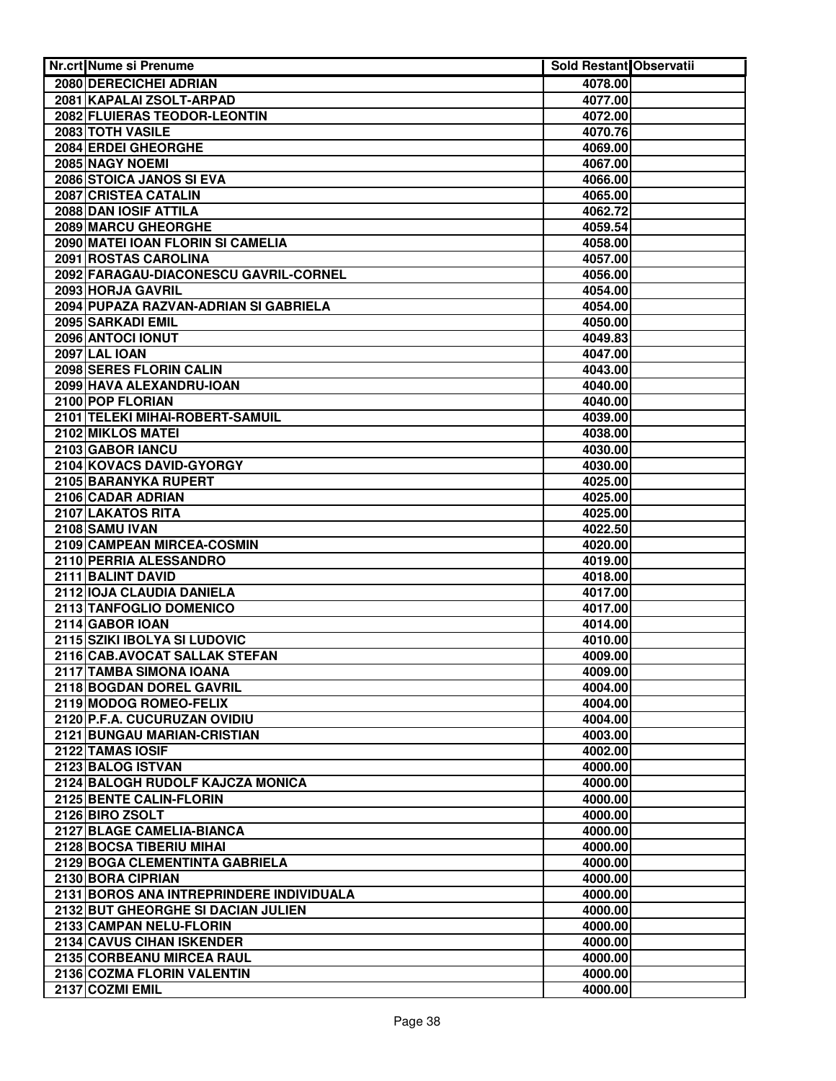| <b>Nr.crt Nume si Prenume</b>                      | Sold Restant Observatii |  |
|----------------------------------------------------|-------------------------|--|
| 2080 DERECICHEI ADRIAN                             | 4078.00                 |  |
| 2081 KAPALAI ZSOLT-ARPAD                           | 4077.00                 |  |
| 2082 FLUIERAS TEODOR-LEONTIN                       | 4072.00                 |  |
| 2083 TOTH VASILE                                   | 4070.76                 |  |
| 2084 ERDEI GHEORGHE                                | 4069.00                 |  |
| 2085 NAGY NOEMI                                    | 4067.00                 |  |
| 2086 STOICA JANOS SI EVA                           | 4066.00                 |  |
| 2087 CRISTEA CATALIN                               | 4065.00                 |  |
| 2088 DAN IOSIF ATTILA                              | 4062.72                 |  |
| <b>2089 MARCU GHEORGHE</b>                         | 4059.54                 |  |
| 2090 MATEI IOAN FLORIN SI CAMELIA                  | 4058.00                 |  |
| 2091 ROSTAS CAROLINA                               | 4057.00                 |  |
| 2092 FARAGAU-DIACONESCU GAVRIL-CORNEL              | 4056.00                 |  |
| 2093 HORJA GAVRIL                                  | 4054.00                 |  |
| 2094 PUPAZA RAZVAN-ADRIAN SI GABRIELA              | 4054.00                 |  |
| 2095 SARKADI EMIL                                  | 4050.00                 |  |
| 2096 ANTOCI IONUT                                  | 4049.83                 |  |
| <b>2097 LAL IOAN</b>                               | 4047.00                 |  |
| 2098 SERES FLORIN CALIN                            | 4043.00                 |  |
| 2099 HAVA ALEXANDRU-IOAN                           | 4040.00                 |  |
| 2100 POP FLORIAN                                   | 4040.00                 |  |
| 2101 TELEKI MIHAI-ROBERT-SAMUIL                    | 4039.00                 |  |
| 2102 MIKLOS MATEI                                  | 4038.00                 |  |
| 2103 GABOR IANCU                                   | 4030.00                 |  |
| 2104 KOVACS DAVID-GYORGY                           | 4030.00                 |  |
| 2105 BARANYKA RUPERT                               | 4025.00                 |  |
| 2106 CADAR ADRIAN                                  | 4025.00                 |  |
| 2107 LAKATOS RITA                                  | 4025.00                 |  |
| 2108 SAMU IVAN                                     | 4022.50                 |  |
| 2109 CAMPEAN MIRCEA-COSMIN                         | 4020.00                 |  |
| 2110 PERRIA ALESSANDRO                             | 4019.00                 |  |
| 2111 BALINT DAVID                                  | 4018.00                 |  |
| 2112 IOJA CLAUDIA DANIELA                          | 4017.00                 |  |
| 2113 TANFOGLIO DOMENICO                            | 4017.00                 |  |
| 2114 GABOR IOAN                                    | 4014.00                 |  |
| 2115 SZIKI IBOLYA SI LUDOVIC                       | 4010.00                 |  |
| 2116 CAB.AVOCAT SALLAK STEFAN                      | 4009.00                 |  |
| 2117 TAMBA SIMONA IOANA                            | 4009.00                 |  |
| 2118 BOGDAN DOREL GAVRIL<br>2119 MODOG ROMEO-FELIX | 4004.00<br>4004.00      |  |
| 2120 P.F.A. CUCURUZAN OVIDIU                       | 4004.00                 |  |
| 2121 BUNGAU MARIAN-CRISTIAN                        | 4003.00                 |  |
| 2122 TAMAS IOSIF                                   | 4002.00                 |  |
| 2123 BALOG ISTVAN                                  | 4000.00                 |  |
| 2124 BALOGH RUDOLF KAJCZA MONICA                   | 4000.00                 |  |
| 2125 BENTE CALIN-FLORIN                            | 4000.00                 |  |
| 2126 BIRO ZSOLT                                    | 4000.00                 |  |
| 2127 BLAGE CAMELIA-BIANCA                          | 4000.00                 |  |
| 2128 BOCSA TIBERIU MIHAI                           | 4000.00                 |  |
| 2129 BOGA CLEMENTINTA GABRIELA                     | 4000.00                 |  |
| 2130 BORA CIPRIAN                                  | 4000.00                 |  |
| 2131 BOROS ANA INTREPRINDERE INDIVIDUALA           | 4000.00                 |  |
| 2132 BUT GHEORGHE SI DACIAN JULIEN                 | 4000.00                 |  |
| 2133 CAMPAN NELU-FLORIN                            | 4000.00                 |  |
| 2134 CAVUS CIHAN ISKENDER                          | 4000.00                 |  |
| 2135 CORBEANU MIRCEA RAUL                          | 4000.00                 |  |
| 2136 COZMA FLORIN VALENTIN                         | 4000.00                 |  |
| 2137 COZMI EMIL                                    | 4000.00                 |  |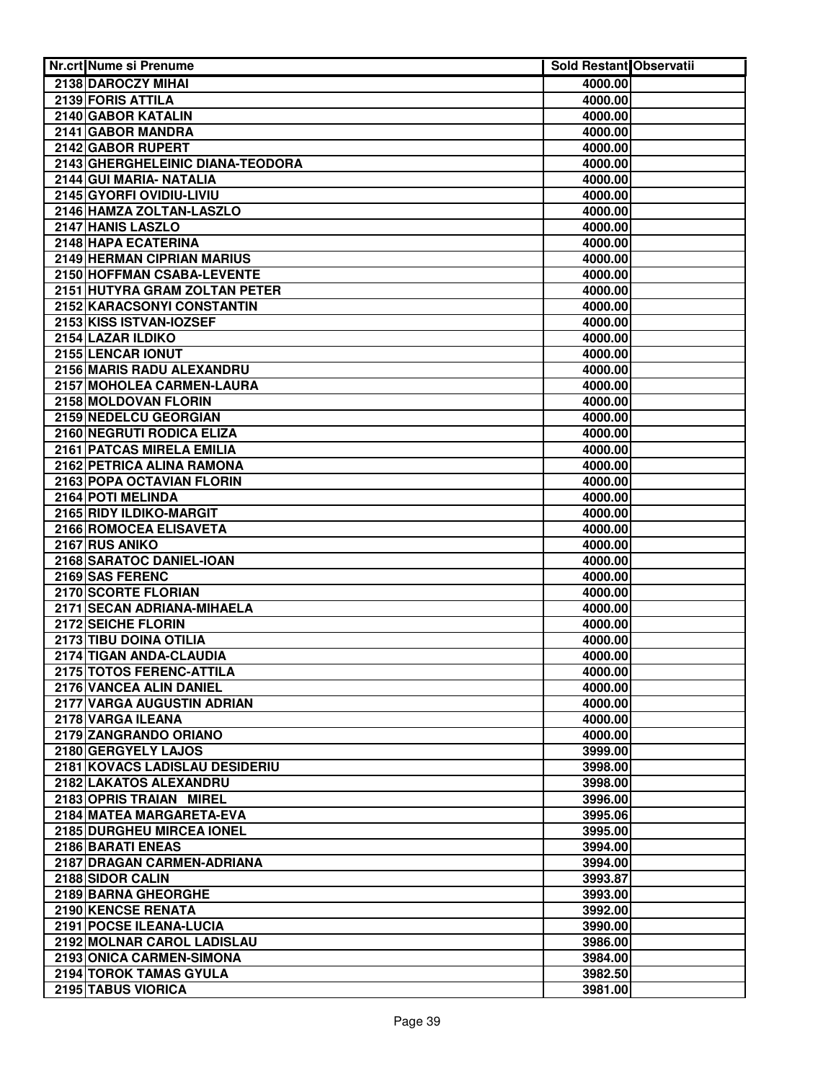| Nr.crt Nume si Prenume                   | Sold Restant Observatii |  |
|------------------------------------------|-------------------------|--|
| 2138 DAROCZY MIHAI                       | 4000.00                 |  |
| 2139 FORIS ATTILA                        | 4000.00                 |  |
| 2140 GABOR KATALIN                       | 4000.00                 |  |
| 2141 GABOR MANDRA                        | 4000.00                 |  |
| 2142 GABOR RUPERT                        | 4000.00                 |  |
| 2143 GHERGHELEINIC DIANA-TEODORA         | 4000.00                 |  |
| 2144 GUI MARIA- NATALIA                  | 4000.00                 |  |
| 2145 GYORFI OVIDIU-LIVIU                 | 4000.00                 |  |
| 2146 HAMZA ZOLTAN-LASZLO                 | 4000.00                 |  |
| 2147 HANIS LASZLO                        | 4000.00                 |  |
| 2148 HAPA ECATERINA                      | 4000.00                 |  |
| 2149 HERMAN CIPRIAN MARIUS               | 4000.00                 |  |
| 2150 HOFFMAN CSABA-LEVENTE               | 4000.00                 |  |
| 2151 HUTYRA GRAM ZOLTAN PETER            | 4000.00                 |  |
| 2152 KARACSONYI CONSTANTIN               | 4000.00                 |  |
| 2153 KISS ISTVAN-IOZSEF                  | 4000.00                 |  |
| 2154 LAZAR ILDIKO                        | 4000.00                 |  |
| 2155 LENCAR IONUT                        | 4000.00                 |  |
| 2156 MARIS RADU ALEXANDRU                | 4000.00                 |  |
| 2157 MOHOLEA CARMEN-LAURA                | 4000.00                 |  |
| 2158 MOLDOVAN FLORIN                     | 4000.00                 |  |
| 2159 NEDELCU GEORGIAN                    | 4000.00                 |  |
| 2160 NEGRUTI RODICA ELIZA                | 4000.00                 |  |
| 2161 PATCAS MIRELA EMILIA                | 4000.00                 |  |
| 2162 PETRICA ALINA RAMONA                | 4000.00                 |  |
| 2163 POPA OCTAVIAN FLORIN                | 4000.00                 |  |
| 2164 POTI MELINDA                        | 4000.00                 |  |
| 2165 RIDY ILDIKO-MARGIT                  | 4000.00                 |  |
| 2166 ROMOCEA ELISAVETA<br>2167 RUS ANIKO | 4000.00<br>4000.00      |  |
| 2168 SARATOC DANIEL-IOAN                 | 4000.00                 |  |
| 2169 SAS FERENC                          | 4000.00                 |  |
| 2170 SCORTE FLORIAN                      | 4000.00                 |  |
| 2171 SECAN ADRIANA-MIHAELA               | 4000.00                 |  |
| 2172 SEICHE FLORIN                       | 4000.00                 |  |
| 2173 TIBU DOINA OTILIA                   | 4000.00                 |  |
| 2174 TIGAN ANDA-CLAUDIA                  | 4000.00                 |  |
| 2175 TOTOS FERENC-ATTILA                 | 4000.00                 |  |
| 2176 VANCEA ALIN DANIEL                  | 4000.00                 |  |
| 2177 VARGA AUGUSTIN ADRIAN               | 4000.00                 |  |
| 2178 VARGA ILEANA                        | 4000.00                 |  |
| 2179 ZANGRANDO ORIANO                    | 4000.00                 |  |
| 2180 GERGYELY LAJOS                      | 3999.00                 |  |
| 2181 KOVACS LADISLAU DESIDERIU           | 3998.00                 |  |
| 2182 LAKATOS ALEXANDRU                   | 3998.00                 |  |
| 2183 OPRIS TRAIAN MIREL                  | 3996.00                 |  |
| 2184 MATEA MARGARETA-EVA                 | 3995.06                 |  |
| 2185 DURGHEU MIRCEA IONEL                | 3995.00                 |  |
| 2186 BARATI ENEAS                        | 3994.00                 |  |
| 2187 DRAGAN CARMEN-ADRIANA               | 3994.00                 |  |
| 2188 SIDOR CALIN                         | 3993.87                 |  |
| 2189 BARNA GHEORGHE                      | 3993.00                 |  |
| 2190 KENCSE RENATA                       | 3992.00                 |  |
| 2191 POCSE ILEANA-LUCIA                  | 3990.00                 |  |
| 2192 MOLNAR CAROL LADISLAU               | 3986.00                 |  |
| 2193 ONICA CARMEN-SIMONA                 | 3984.00                 |  |
| 2194 TOROK TAMAS GYULA                   | 3982.50                 |  |
| 2195 TABUS VIORICA                       | 3981.00                 |  |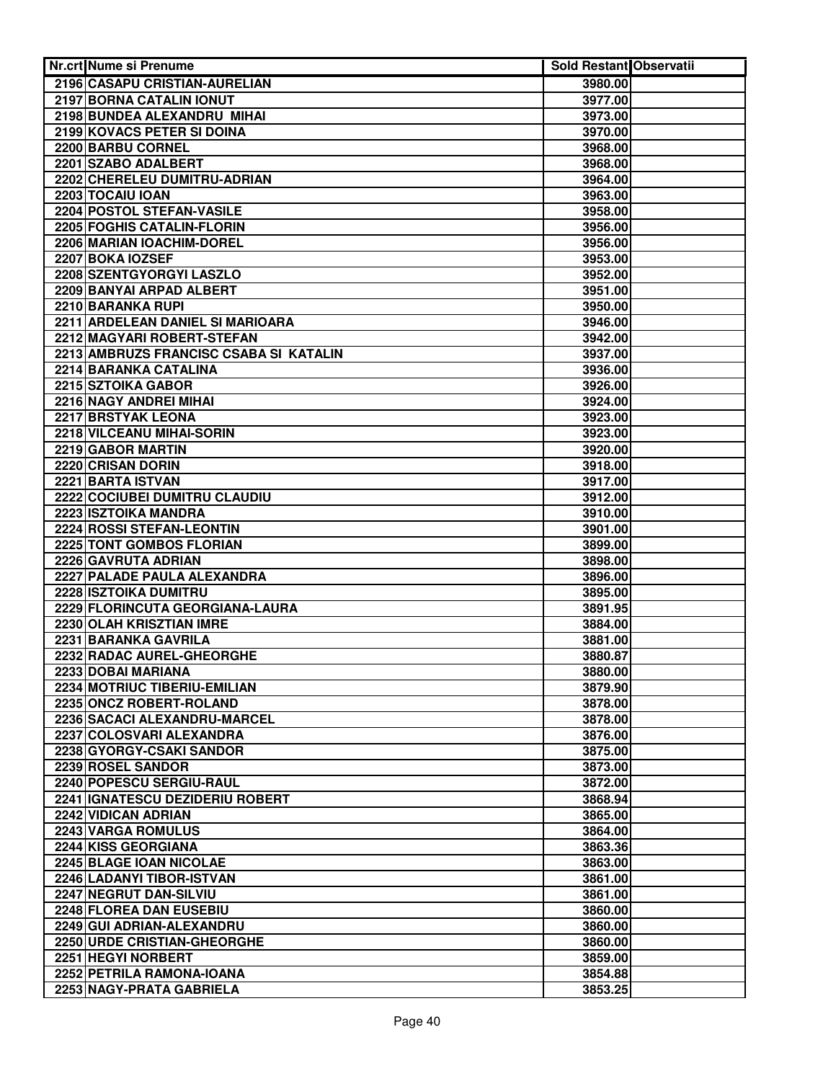| Nr.crt Nume si Prenume                          | <b>Sold Restant Observatii</b> |  |
|-------------------------------------------------|--------------------------------|--|
| 2196 CASAPU CRISTIAN-AURELIAN                   | 3980.00                        |  |
| 2197 BORNA CATALIN IONUT                        | 3977.00                        |  |
| 2198 BUNDEA ALEXANDRU MIHAI                     | 3973.00                        |  |
| 2199 KOVACS PETER SI DOINA                      | 3970.00                        |  |
| 2200 BARBU CORNEL                               | 3968.00                        |  |
| 2201 SZABO ADALBERT                             | 3968.00                        |  |
| 2202 CHERELEU DUMITRU-ADRIAN                    | 3964.00                        |  |
| 2203 TOCAIU IOAN                                | 3963.00                        |  |
| 2204 POSTOL STEFAN-VASILE                       | 3958.00                        |  |
| <b>2205 FOGHIS CATALIN-FLORIN</b>               | 3956.00                        |  |
| 2206 MARIAN IOACHIM-DOREL                       | 3956.00                        |  |
| 2207 BOKA IOZSEF                                | 3953.00                        |  |
| 2208 SZENTGYORGYI LASZLO                        | 3952.00                        |  |
| 2209 BANYAI ARPAD ALBERT                        | 3951.00                        |  |
| 2210 BARANKA RUPI                               | 3950.00                        |  |
| 2211 ARDELEAN DANIEL SI MARIOARA                | 3946.00                        |  |
| 2212 MAGYARI ROBERT-STEFAN                      | 3942.00                        |  |
| 2213 AMBRUZS FRANCISC CSABA SI KATALIN          | 3937.00                        |  |
| 2214 BARANKA CATALINA                           | 3936.00                        |  |
| 2215 SZTOIKA GABOR                              | 3926.00                        |  |
| 2216 NAGY ANDREI MIHAI                          | 3924.00                        |  |
| 2217 BRSTYAK LEONA                              | 3923.00                        |  |
| 2218 VILCEANU MIHAI-SORIN                       | 3923.00                        |  |
| 2219 GABOR MARTIN                               | 3920.00                        |  |
| 2220 CRISAN DORIN                               | 3918.00                        |  |
| 2221 BARTA ISTVAN                               | 3917.00                        |  |
| 2222 COCIUBEI DUMITRU CLAUDIU                   | 3912.00                        |  |
| 2223 ISZTOIKA MANDRA                            | 3910.00                        |  |
| 2224 ROSSI STEFAN-LEONTIN                       | 3901.00                        |  |
| 2225 TONT GOMBOS FLORIAN<br>2226 GAVRUTA ADRIAN | 3899.00                        |  |
| 2227 PALADE PAULA ALEXANDRA                     | 3898.00<br>3896.00             |  |
| 2228 ISZTOIKA DUMITRU                           | 3895.00                        |  |
| 2229 FLORINCUTA GEORGIANA-LAURA                 | 3891.95                        |  |
| 2230 OLAH KRISZTIAN IMRE                        | 3884.00                        |  |
| 2231 BARANKA GAVRILA                            | 3881.00                        |  |
| 2232 RADAC AUREL-GHEORGHE                       | 3880.87                        |  |
| 2233 DOBAI MARIANA                              | 3880.00                        |  |
| 2234 MOTRIUC TIBERIU-EMILIAN                    | 3879.90                        |  |
| 2235 ONCZ ROBERT-ROLAND                         | 3878.00                        |  |
| 2236 SACACI ALEXANDRU-MARCEL                    | 3878.00                        |  |
| 2237 COLOSVARI ALEXANDRA                        | 3876.00                        |  |
| 2238 GYORGY-CSAKI SANDOR                        | 3875.00                        |  |
| 2239 ROSEL SANDOR                               | 3873.00                        |  |
| 2240 POPESCU SERGIU-RAUL                        | 3872.00                        |  |
| 2241 IGNATESCU DEZIDERIU ROBERT                 | 3868.94                        |  |
| 2242 VIDICAN ADRIAN                             | 3865.00                        |  |
| 2243 VARGA ROMULUS                              | 3864.00                        |  |
| 2244 KISS GEORGIANA                             | 3863.36                        |  |
| 2245 BLAGE IOAN NICOLAE                         | 3863.00                        |  |
| 2246 LADANYI TIBOR-ISTVAN                       | 3861.00                        |  |
| 2247 NEGRUT DAN-SILVIU                          | 3861.00                        |  |
| 2248 FLOREA DAN EUSEBIU                         | 3860,00                        |  |
| 2249 GUI ADRIAN-ALEXANDRU                       | 3860.00                        |  |
| 2250 URDE CRISTIAN-GHEORGHE                     | 3860.00                        |  |
| 2251 HEGYI NORBERT                              | 3859.00                        |  |
| 2252 PETRILA RAMONA-IOANA                       | 3854.88                        |  |
| 2253 NAGY-PRATA GABRIELA                        | 3853.25                        |  |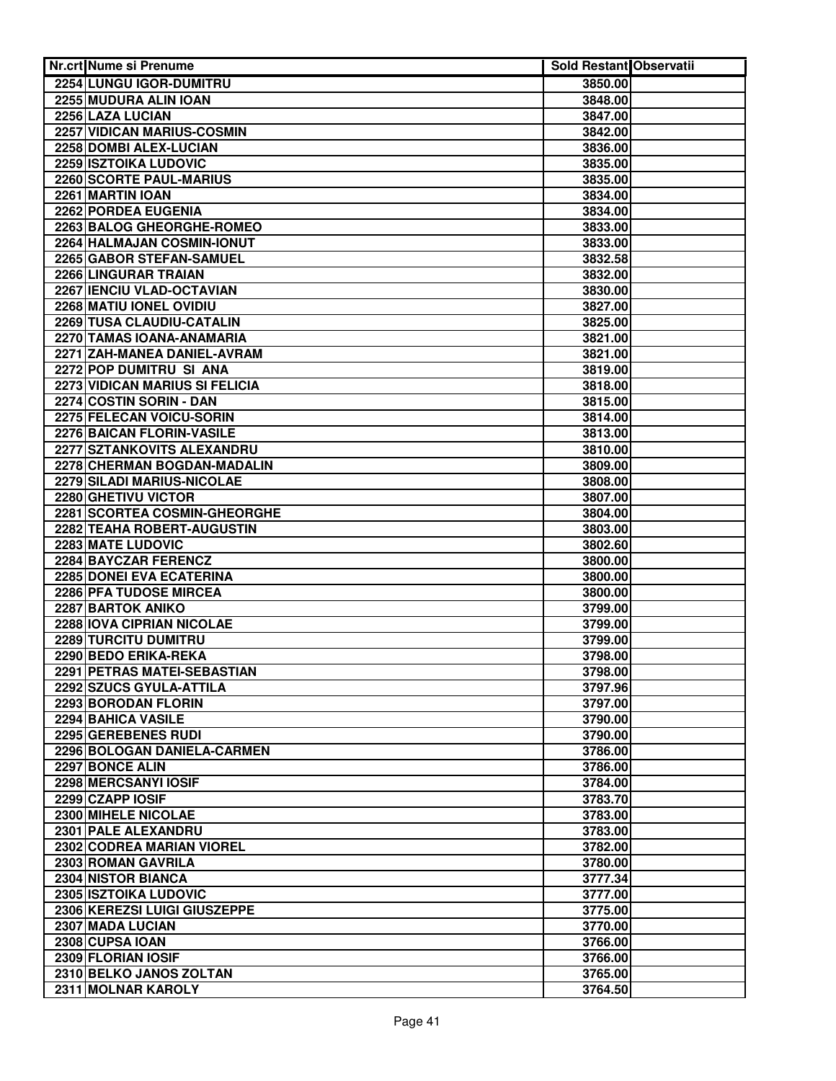| Nr.crt Nume si Prenume                              | <b>Sold Restant Observatii</b> |  |
|-----------------------------------------------------|--------------------------------|--|
| 2254 LUNGU IGOR-DUMITRU                             | 3850.00                        |  |
| 2255 MUDURA ALIN IOAN                               | 3848.00                        |  |
| 2256 LAZA LUCIAN                                    | 3847.00                        |  |
| 2257 VIDICAN MARIUS-COSMIN                          | 3842.00                        |  |
| 2258 DOMBI ALEX-LUCIAN                              | 3836.00                        |  |
| 2259 ISZTOIKA LUDOVIC                               | 3835.00                        |  |
| 2260 SCORTE PAUL-MARIUS                             | 3835.00                        |  |
| 2261 MARTIN IOAN                                    | 3834.00                        |  |
| 2262 PORDEA EUGENIA                                 | 3834.00                        |  |
| 2263 BALOG GHEORGHE-ROMEO                           | 3833.00                        |  |
| 2264 HALMAJAN COSMIN-IONUT                          | 3833.00                        |  |
| 2265 GABOR STEFAN-SAMUEL                            | 3832.58                        |  |
| 2266 LINGURAR TRAIAN                                | 3832.00                        |  |
| 2267 IENCIU VLAD-OCTAVIAN                           | 3830.00                        |  |
| 2268 MATIU IONEL OVIDIU                             | 3827.00                        |  |
| 2269 TUSA CLAUDIU-CATALIN                           | 3825.00                        |  |
| 2270 TAMAS IOANA-ANAMARIA                           | 3821.00                        |  |
| 2271 ZAH-MANEA DANIEL-AVRAM                         | 3821.00                        |  |
| 2272 POP DUMITRU SI ANA                             | 3819.00                        |  |
| 2273 VIDICAN MARIUS SI FELICIA                      | 3818.00                        |  |
| 2274 COSTIN SORIN - DAN                             | 3815.00                        |  |
| 2275 FELECAN VOICU-SORIN                            | 3814.00                        |  |
| 2276 BAICAN FLORIN-VASILE                           | 3813.00                        |  |
| 2277 SZTANKOVITS ALEXANDRU                          | 3810.00                        |  |
| 2278 CHERMAN BOGDAN-MADALIN                         | 3809.00                        |  |
| 2279 SILADI MARIUS-NICOLAE                          | 3808.00                        |  |
| 2280 GHETIVU VICTOR                                 | 3807.00                        |  |
| 2281 SCORTEA COSMIN-GHEORGHE                        | 3804.00                        |  |
| 2282 TEAHA ROBERT-AUGUSTIN                          | 3803.00                        |  |
| <b>2283 MATE LUDOVIC</b>                            | 3802.60                        |  |
| 2284 BAYCZAR FERENCZ                                | 3800.00                        |  |
| 2285 DONEI EVA ECATERINA                            | 3800.00                        |  |
| 2286 PFA TUDOSE MIRCEA<br><b>2287 BARTOK ANIKO</b>  | 3800.00                        |  |
|                                                     | 3799.00                        |  |
| 2288 IOVA CIPRIAN NICOLAE                           | 3799.00                        |  |
| 2289 TURCITU DUMITRU                                | 3799.00                        |  |
| 2290 BEDO ERIKA-REKA<br>2291 PETRAS MATEI-SEBASTIAN | 3798.00<br>3798.00             |  |
|                                                     | 3797.96                        |  |
| 2292 SZUCS GYULA-ATTILA<br>2293 BORODAN FLORIN      | 3797.00                        |  |
| 2294 BAHICA VASILE                                  | 3790.00                        |  |
| 2295 GEREBENES RUDI                                 | 3790.00                        |  |
| 2296 BOLOGAN DANIELA-CARMEN                         | 3786.00                        |  |
| 2297 BONCE ALIN                                     | 3786.00                        |  |
| 2298 MERCSANYI IOSIF                                | 3784.00                        |  |
| 2299 CZAPP IOSIF                                    | 3783.70                        |  |
| 2300 MIHELE NICOLAE                                 | 3783.00                        |  |
| 2301 PALE ALEXANDRU                                 | 3783.00                        |  |
| <b>2302 CODREA MARIAN VIOREL</b>                    | 3782.00                        |  |
| 2303 ROMAN GAVRILA                                  | 3780.00                        |  |
| 2304 NISTOR BIANCA                                  | 3777.34                        |  |
| 2305 ISZTOIKA LUDOVIC                               | 3777.00                        |  |
| 2306 KEREZSI LUIGI GIUSZEPPE                        | 3775.00                        |  |
| 2307 MADA LUCIAN                                    | 3770.00                        |  |
| 2308 CUPSA IOAN                                     | 3766.00                        |  |
| 2309 FLORIAN IOSIF                                  | 3766.00                        |  |
| 2310 BELKO JANOS ZOLTAN                             | 3765.00                        |  |
| 2311 MOLNAR KAROLY                                  | 3764.50                        |  |
|                                                     |                                |  |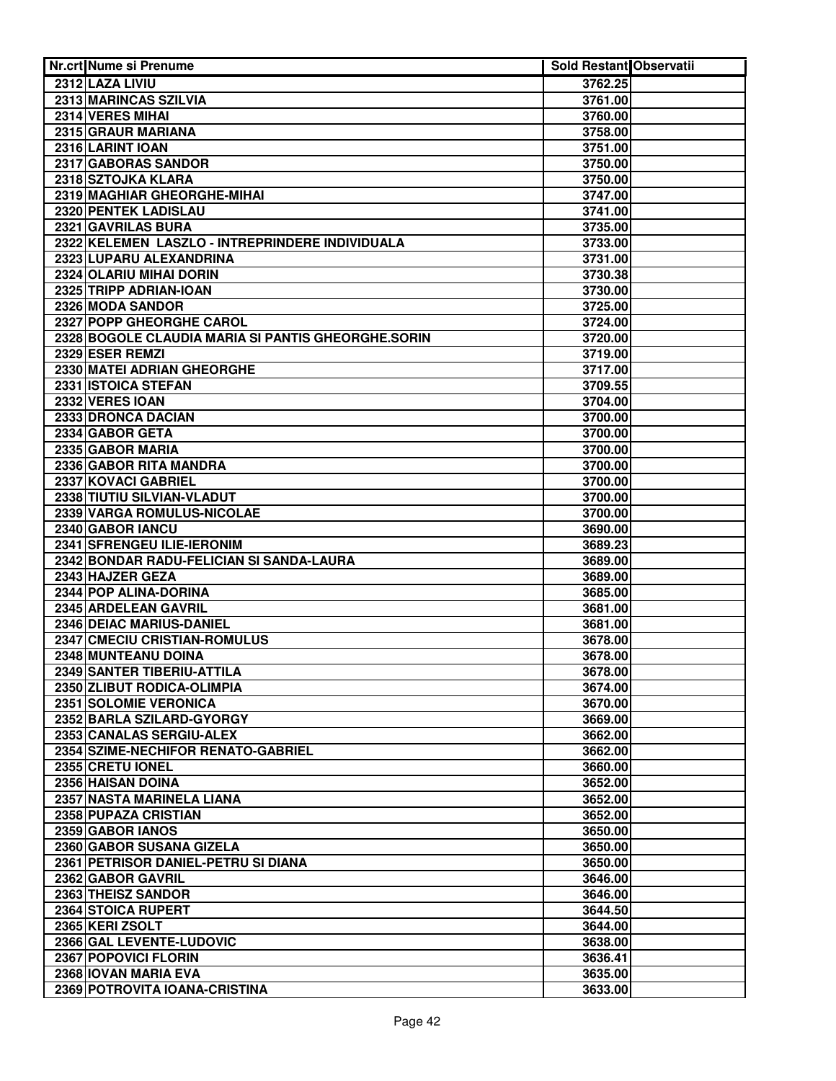| Nr.crt Nume si Prenume                                   | Sold Restant Observatii |  |
|----------------------------------------------------------|-------------------------|--|
| 2312 LAZA LIVIU                                          | 3762.25                 |  |
| 2313 MARINCAS SZILVIA                                    | 3761.00                 |  |
| 2314 VERES MIHAI                                         | 3760.00                 |  |
| 2315 GRAUR MARIANA                                       | 3758.00                 |  |
| 2316 LARINT IOAN                                         | 3751.00                 |  |
| 2317 GABORAS SANDOR                                      | 3750.00                 |  |
| 2318 SZTOJKA KLARA                                       | 3750.00                 |  |
| 2319 MAGHIAR GHEORGHE-MIHAI                              | 3747.00                 |  |
| 2320 PENTEK LADISLAU                                     | 3741.00                 |  |
| 2321 GAVRILAS BURA                                       | 3735.00                 |  |
| 2322 KELEMEN LASZLO - INTREPRINDERE INDIVIDUALA          | 3733.00                 |  |
| 2323 LUPARU ALEXANDRINA                                  | 3731.00                 |  |
| 2324 OLARIU MIHAI DORIN                                  | 3730.38                 |  |
| 2325 TRIPP ADRIAN-IOAN                                   | 3730.00                 |  |
| 2326 MODA SANDOR                                         | 3725.00                 |  |
| 2327 POPP GHEORGHE CAROL                                 | 3724.00                 |  |
| 2328 BOGOLE CLAUDIA MARIA SI PANTIS GHEORGHE.SORIN       | 3720.00                 |  |
| 2329 ESER REMZI                                          | 3719.00                 |  |
| 2330 MATEI ADRIAN GHEORGHE                               | 3717.00                 |  |
| 2331 ISTOICA STEFAN                                      | 3709.55                 |  |
| 2332 VERES IOAN                                          | 3704.00                 |  |
| 2333 DRONCA DACIAN                                       | 3700.00                 |  |
| 2334 GABOR GETA                                          | 3700.00                 |  |
| 2335 GABOR MARIA                                         | 3700.00                 |  |
| 2336 GABOR RITA MANDRA                                   | 3700.00                 |  |
| 2337 KOVACI GABRIEL                                      | 3700.00                 |  |
| 2338 TIUTIU SILVIAN-VLADUT                               | 3700.00                 |  |
| 2339 VARGA ROMULUS-NICOLAE                               | 3700.00                 |  |
| 2340 GABOR IANCU                                         | 3690.00                 |  |
| 2341 SFRENGEU ILIE-IERONIM                               | 3689.23                 |  |
| 2342 BONDAR RADU-FELICIAN SI SANDA-LAURA                 | 3689.00                 |  |
| 2343 HAJZER GEZA                                         | 3689.00                 |  |
| 2344 POP ALINA-DORINA                                    | 3685.00                 |  |
| 2345 ARDELEAN GAVRIL                                     | 3681.00                 |  |
| 2346 DEIAC MARIUS-DANIEL<br>2347 CMECIU CRISTIAN-ROMULUS | 3681.00                 |  |
| 2348 MUNTEANU DOINA                                      | 3678.00<br>3678.00      |  |
| 2349 SANTER TIBERIU-ATTILA                               | 3678.00                 |  |
| 2350 ZLIBUT RODICA-OLIMPIA                               | 3674.00                 |  |
| 2351 SOLOMIE VERONICA                                    | 3670.00                 |  |
| 2352 BARLA SZILARD-GYORGY                                | 3669.00                 |  |
| 2353 CANALAS SERGIU-ALEX                                 | 3662.00                 |  |
| 2354 SZIME-NECHIFOR RENATO-GABRIEL                       | 3662.00                 |  |
| 2355 CRETU IONEL                                         | 3660.00                 |  |
| 2356 HAISAN DOINA                                        | 3652.00                 |  |
| 2357 NASTA MARINELA LIANA                                | 3652.00                 |  |
| 2358 PUPAZA CRISTIAN                                     | 3652.00                 |  |
| 2359 GABOR IANOS                                         | 3650.00                 |  |
| 2360 GABOR SUSANA GIZELA                                 | 3650.00                 |  |
| 2361 PETRISOR DANIEL-PETRU SI DIANA                      | 3650.00                 |  |
| 2362 GABOR GAVRIL                                        | 3646.00                 |  |
| 2363 THEISZ SANDOR                                       | 3646.00                 |  |
| 2364 STOICA RUPERT                                       | 3644.50                 |  |
| 2365 KERI ZSOLT                                          | 3644.00                 |  |
| 2366 GAL LEVENTE-LUDOVIC                                 | 3638.00                 |  |
| 2367 POPOVICI FLORIN                                     | 3636.41                 |  |
| 2368 IOVAN MARIA EVA                                     | 3635.00                 |  |
| 2369 POTROVITA IOANA-CRISTINA                            | 3633.00                 |  |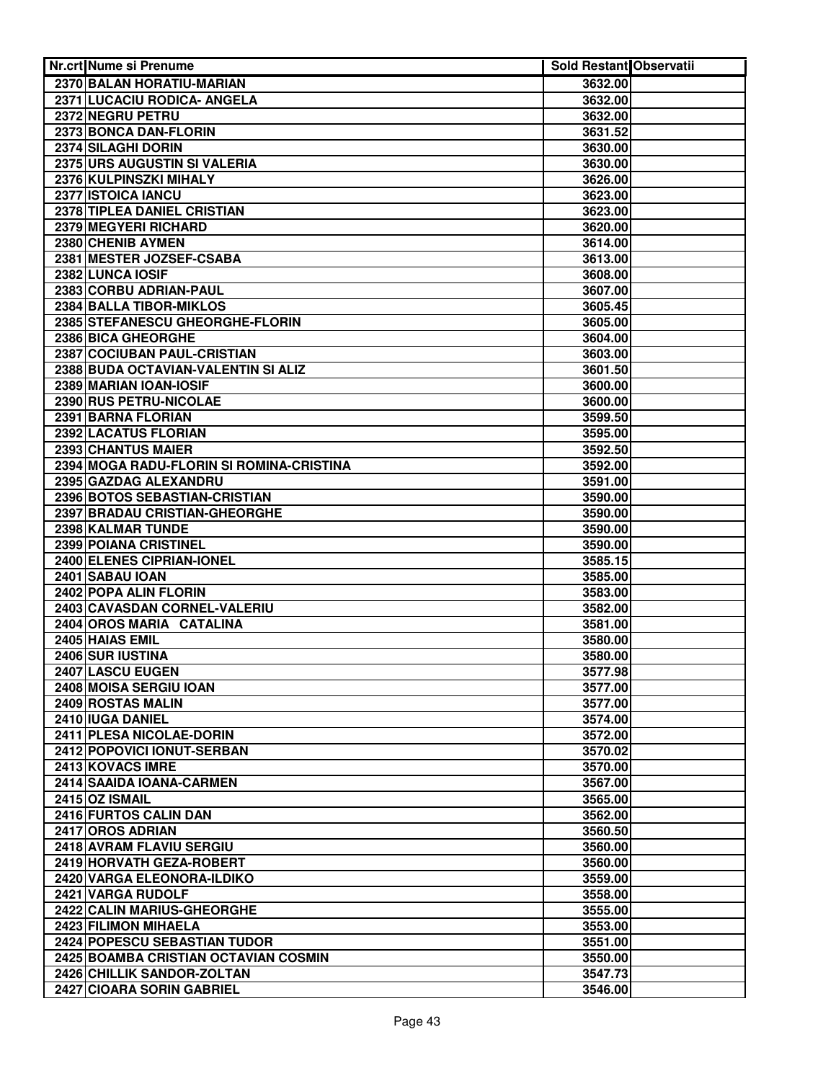| Nr.crt Nume si Prenume                   | Sold Restant Observatii |  |
|------------------------------------------|-------------------------|--|
| 2370 BALAN HORATIU-MARIAN                | 3632.00                 |  |
| 2371 LUCACIU RODICA- ANGELA              | 3632.00                 |  |
| 2372 NEGRU PETRU                         | 3632.00                 |  |
| 2373 BONCA DAN-FLORIN                    | 3631.52                 |  |
| 2374 SILAGHI DORIN                       | 3630.00                 |  |
| 2375 URS AUGUSTIN SI VALERIA             | 3630.00                 |  |
| 2376 KULPINSZKI MIHALY                   | 3626.00                 |  |
| 2377 ISTOICA IANCU                       | 3623.00                 |  |
| 2378 TIPLEA DANIEL CRISTIAN              | 3623.00                 |  |
| <b>2379 MEGYERI RICHARD</b>              | 3620.00                 |  |
| 2380 CHENIB AYMEN                        | 3614.00                 |  |
| 2381 MESTER JOZSEF-CSABA                 | 3613.00                 |  |
| 2382 LUNCA IOSIF                         | 3608.00                 |  |
| 2383 CORBU ADRIAN-PAUL                   | 3607.00                 |  |
| 2384 BALLA TIBOR-MIKLOS                  | 3605.45                 |  |
| 2385 STEFANESCU GHEORGHE-FLORIN          | 3605.00                 |  |
| 2386 BICA GHEORGHE                       | 3604.00                 |  |
| 2387 COCIUBAN PAUL-CRISTIAN              | 3603.00                 |  |
| 2388 BUDA OCTAVIAN-VALENTIN SI ALIZ      | 3601.50                 |  |
| 2389 MARIAN IOAN-IOSIF                   | 3600.00                 |  |
| 2390 RUS PETRU-NICOLAE                   | 3600.00                 |  |
| 2391 BARNA FLORIAN                       | 3599.50                 |  |
| 2392 LACATUS FLORIAN                     | 3595.00                 |  |
| 2393 CHANTUS MAIER                       | 3592.50                 |  |
| 2394 MOGA RADU-FLORIN SI ROMINA-CRISTINA | 3592.00                 |  |
| 2395 GAZDAG ALEXANDRU                    | 3591.00                 |  |
| 2396 BOTOS SEBASTIAN-CRISTIAN            | 3590.00                 |  |
| 2397 BRADAU CRISTIAN-GHEORGHE            | 3590.00                 |  |
| 2398 KALMAR TUNDE                        | 3590.00                 |  |
| 2399 POIANA CRISTINEL                    | 3590.00                 |  |
| 2400 ELENES CIPRIAN-IONEL                | 3585.15                 |  |
| 2401 SABAU IOAN                          | 3585.00                 |  |
| 2402 POPA ALIN FLORIN                    | 3583.00                 |  |
| 2403 CAVASDAN CORNEL-VALERIU             | 3582.00                 |  |
| 2404 OROS MARIA CATALINA                 | 3581.00                 |  |
| 2405 HAIAS EMIL                          | 3580.00                 |  |
| 2406 SUR IUSTINA                         | 3580.00                 |  |
| 2407 LASCU EUGEN                         | 3577.98                 |  |
| 2408 MOISA SERGIU IOAN                   | 3577.00                 |  |
| 2409 ROSTAS MALIN                        | 3577.00                 |  |
| 2410 IUGA DANIEL                         | 3574.00                 |  |
| 2411 PLESA NICOLAE-DORIN                 | 3572.00                 |  |
| 2412 POPOVICI IONUT-SERBAN               | 3570.02                 |  |
| 2413 KOVACS IMRE                         | 3570.00                 |  |
| 2414 SAAIDA IOANA-CARMEN                 | 3567.00                 |  |
| 2415 OZ ISMAIL                           | 3565.00                 |  |
| 2416 FURTOS CALIN DAN                    | 3562.00                 |  |
| 2417 OROS ADRIAN                         | 3560.50                 |  |
| 2418 AVRAM FLAVIU SERGIU                 | 3560.00                 |  |
| 2419 HORVATH GEZA-ROBERT                 | 3560.00                 |  |
| 2420 VARGA ELEONORA-ILDIKO               | 3559.00                 |  |
| 2421 VARGA RUDOLF                        | 3558.00                 |  |
| 2422 CALIN MARIUS-GHEORGHE               | 3555.00                 |  |
| 2423 FILIMON MIHAELA                     | 3553.00                 |  |
| 2424 POPESCU SEBASTIAN TUDOR             | 3551.00                 |  |
| 2425 BOAMBA CRISTIAN OCTAVIAN COSMIN     | 3550.00                 |  |
| 2426 CHILLIK SANDOR-ZOLTAN               | 3547.73                 |  |
| 2427 CIOARA SORIN GABRIEL                | 3546.00                 |  |
|                                          |                         |  |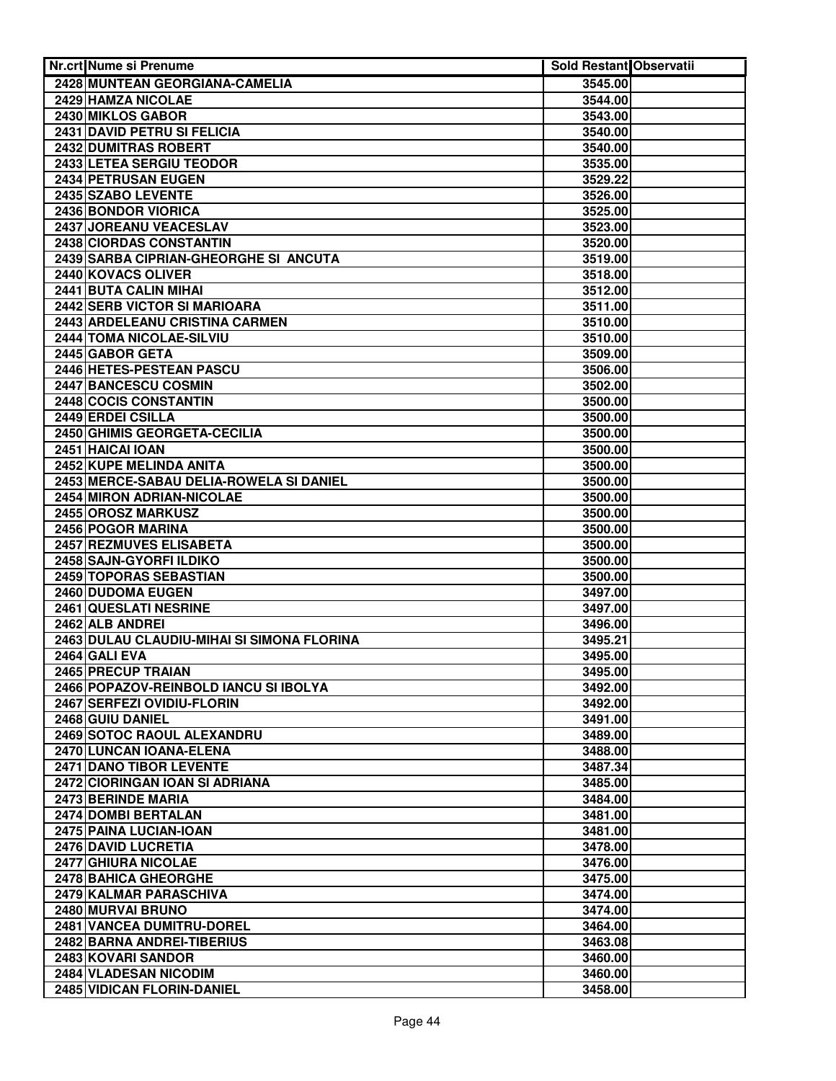| Nr.crt Nume si Prenume                      | Sold Restant Observatii |  |
|---------------------------------------------|-------------------------|--|
| 2428 MUNTEAN GEORGIANA-CAMELIA              | 3545.00                 |  |
| 2429 HAMZA NICOLAE                          | 3544.00                 |  |
| 2430 MIKLOS GABOR                           | 3543.00                 |  |
| 2431 DAVID PETRU SI FELICIA                 | 3540.00                 |  |
| 2432 DUMITRAS ROBERT                        | 3540.00                 |  |
| 2433 LETEA SERGIU TEODOR                    | 3535.00                 |  |
| 2434 PETRUSAN EUGEN                         | 3529.22                 |  |
| 2435 SZABO LEVENTE                          | 3526.00                 |  |
| 2436 BONDOR VIORICA                         | 3525.00                 |  |
| 2437 JOREANU VEACESLAV                      | 3523.00                 |  |
| 2438 CIORDAS CONSTANTIN                     | 3520.00                 |  |
| 2439 SARBA CIPRIAN-GHEORGHE SI ANCUTA       | 3519.00                 |  |
| 2440 KOVACS OLIVER                          | 3518.00                 |  |
| 2441 BUTA CALIN MIHAI                       | 3512.00                 |  |
| 2442 SERB VICTOR SI MARIOARA                | 3511.00                 |  |
| 2443 ARDELEANU CRISTINA CARMEN              | 3510.00                 |  |
| 2444 TOMA NICOLAE-SILVIU                    | 3510.00                 |  |
| 2445 GABOR GETA                             | 3509.00                 |  |
| 2446 HETES-PESTEAN PASCU                    | 3506.00                 |  |
| 2447 BANCESCU COSMIN                        | 3502.00                 |  |
| 2448 COCIS CONSTANTIN                       | 3500.00                 |  |
| 2449 ERDEI CSILLA                           | 3500.00                 |  |
| 2450 GHIMIS GEORGETA-CECILIA                | 3500.00                 |  |
| 2451 HAICAI IOAN                            | 3500.00                 |  |
| 2452 KUPE MELINDA ANITA                     | 3500.00                 |  |
| 2453 MERCE-SABAU DELIA-ROWELA SI DANIEL     | 3500.00                 |  |
| 2454 MIRON ADRIAN-NICOLAE                   | 3500.00                 |  |
| 2455 OROSZ MARKUSZ                          | 3500.00                 |  |
| 2456 POGOR MARINA                           | 3500.00                 |  |
| 2457 REZMUVES ELISABETA                     | 3500.00                 |  |
| 2458 SAJN-GYORFI ILDIKO                     | 3500.00                 |  |
| 2459 TOPORAS SEBASTIAN<br>2460 DUDOMA EUGEN | 3500.00<br>3497.00      |  |
| 2461 QUESLATI NESRINE                       |                         |  |
| 2462 ALB ANDREI                             | 3497.00<br>3496.00      |  |
| 2463 DULAU CLAUDIU-MIHAI SI SIMONA FLORINA  | 3495.21                 |  |
| 2464 GALI EVA                               | 3495.00                 |  |
| 2465 PRECUP TRAIAN                          | 3495.00                 |  |
| 2466 POPAZOV-REINBOLD IANCU SI IBOLYA       | 3492.00                 |  |
| 2467 SERFEZI OVIDIU-FLORIN                  | 3492.00                 |  |
| 2468 GUIU DANIEL                            | 3491.00                 |  |
| 2469 SOTOC RAOUL ALEXANDRU                  | 3489.00                 |  |
| 2470 LUNCAN IOANA-ELENA                     | 3488.00                 |  |
| 2471 DANO TIBOR LEVENTE                     | 3487.34                 |  |
| 2472 CIORINGAN IOAN SI ADRIANA              | 3485.00                 |  |
| 2473 BERINDE MARIA                          | 3484.00                 |  |
| 2474 DOMBI BERTALAN                         | 3481.00                 |  |
| 2475 PAINA LUCIAN-IOAN                      | 3481.00                 |  |
| 2476 DAVID LUCRETIA                         | 3478.00                 |  |
| 2477 GHIURA NICOLAE                         | 3476.00                 |  |
| 2478 BAHICA GHEORGHE                        | 3475.00                 |  |
| 2479 KALMAR PARASCHIVA                      | 3474.00                 |  |
| 2480 MURVAI BRUNO                           | 3474.00                 |  |
| 2481 VANCEA DUMITRU-DOREL                   | 3464.00                 |  |
| 2482 BARNA ANDREI-TIBERIUS                  | 3463.08                 |  |
| 2483 KOVARI SANDOR                          | 3460.00                 |  |
| 2484 VLADESAN NICODIM                       | 3460.00                 |  |
| 2485 VIDICAN FLORIN-DANIEL                  | 3458.00                 |  |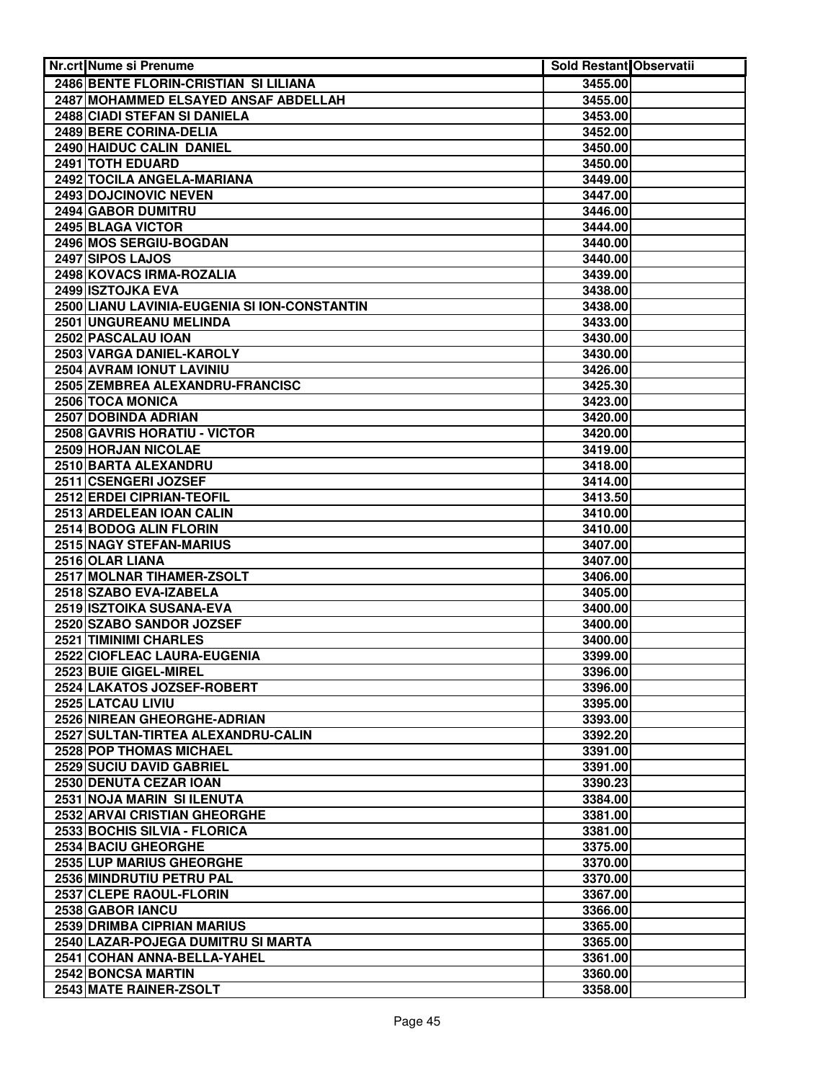| <b>Nr.crt Nume si Prenume</b>                    | Sold Restant Observatii |  |
|--------------------------------------------------|-------------------------|--|
| 2486 BENTE FLORIN-CRISTIAN SI LILIANA            | 3455.00                 |  |
| 2487 MOHAMMED ELSAYED ANSAF ABDELLAH             | 3455.00                 |  |
| 2488 CIADI STEFAN SI DANIELA                     | 3453.00                 |  |
| 2489 BERE CORINA-DELIA                           | 3452.00                 |  |
| 2490 HAIDUC CALIN DANIEL                         | 3450.00                 |  |
| 2491 TOTH EDUARD                                 | 3450.00                 |  |
| 2492 TOCILA ANGELA-MARIANA                       | 3449.00                 |  |
| 2493 DOJCINOVIC NEVEN                            | 3447.00                 |  |
| 2494 GABOR DUMITRU                               | 3446.00                 |  |
| 2495 BLAGA VICTOR                                | 3444.00                 |  |
| 2496 MOS SERGIU-BOGDAN                           | 3440.00                 |  |
| 2497 SIPOS LAJOS                                 | 3440.00                 |  |
| 2498 KOVACS IRMA-ROZALIA                         | 3439.00                 |  |
| 2499 ISZTOJKA EVA                                | 3438.00                 |  |
| 2500 LIANU LAVINIA-EUGENIA SI ION-CONSTANTIN     | 3438.00                 |  |
| 2501 UNGUREANU MELINDA                           | 3433.00                 |  |
| 2502 PASCALAU IOAN                               | 3430.00                 |  |
| 2503 VARGA DANIEL-KAROLY                         | 3430.00                 |  |
| 2504 AVRAM IONUT LAVINIU                         | 3426.00                 |  |
| 2505 ZEMBREA ALEXANDRU-FRANCISC                  | 3425.30                 |  |
| 2506 TOCA MONICA                                 | 3423.00                 |  |
| 2507 DOBINDA ADRIAN                              | 3420.00                 |  |
| 2508 GAVRIS HORATIU - VICTOR                     | 3420.00                 |  |
| 2509 HORJAN NICOLAE                              | 3419.00                 |  |
| 2510 BARTA ALEXANDRU                             | 3418.00                 |  |
| 2511 CSENGERI JOZSEF                             | 3414.00                 |  |
| 2512 ERDEI CIPRIAN-TEOFIL                        | 3413.50                 |  |
| 2513 ARDELEAN IOAN CALIN                         | 3410.00                 |  |
| 2514 BODOG ALIN FLORIN                           | 3410.00                 |  |
| 2515 NAGY STEFAN-MARIUS                          | 3407.00                 |  |
| 2516 OLAR LIANA                                  | 3407.00                 |  |
| 2517 MOLNAR TIHAMER-ZSOLT                        | 3406.00                 |  |
| 2518 SZABO EVA-IZABELA                           | 3405.00                 |  |
| 2519 ISZTOIKA SUSANA-EVA                         | 3400.00                 |  |
| 2520 SZABO SANDOR JOZSEF                         | 3400.00                 |  |
| 2521 TIMINIMI CHARLES                            | 3400.00                 |  |
| 2522 CIOFLEAC LAURA-EUGENIA                      | 3399.00                 |  |
| 2523 BUIE GIGEL-MIREL                            | 3396.00                 |  |
| 2524 LAKATOS JOZSEF-ROBERT                       | 3396.00                 |  |
| 2525 LATCAU LIVIU<br>2526 NIREAN GHEORGHE-ADRIAN | 3395.00<br>3393.00      |  |
| 2527 SULTAN-TIRTEA ALEXANDRU-CALIN               | 3392.20                 |  |
| 2528 POP THOMAS MICHAEL                          | 3391.00                 |  |
| 2529 SUCIU DAVID GABRIEL                         | 3391.00                 |  |
| 2530 DENUTA CEZAR IOAN                           | 3390.23                 |  |
| 2531 NOJA MARIN SI ILENUTA                       | 3384.00                 |  |
| 2532 ARVAI CRISTIAN GHEORGHE                     | 3381.00                 |  |
| 2533 BOCHIS SILVIA - FLORICA                     | 3381.00                 |  |
| 2534 BACIU GHEORGHE                              | 3375.00                 |  |
| 2535 LUP MARIUS GHEORGHE                         | 3370.00                 |  |
| 2536 MINDRUTIU PETRU PAL                         | 3370.00                 |  |
| 2537 CLEPE RAOUL-FLORIN                          | 3367.00                 |  |
| <b>2538 GABOR IANCU</b>                          | 3366.00                 |  |
| 2539 DRIMBA CIPRIAN MARIUS                       | 3365.00                 |  |
| 2540 LAZAR-POJEGA DUMITRU SI MARTA               | 3365.00                 |  |
| 2541 COHAN ANNA-BELLA-YAHEL                      | 3361.00                 |  |
| 2542 BONCSA MARTIN                               | 3360.00                 |  |
| 2543 MATE RAINER-ZSOLT                           | 3358.00                 |  |
|                                                  |                         |  |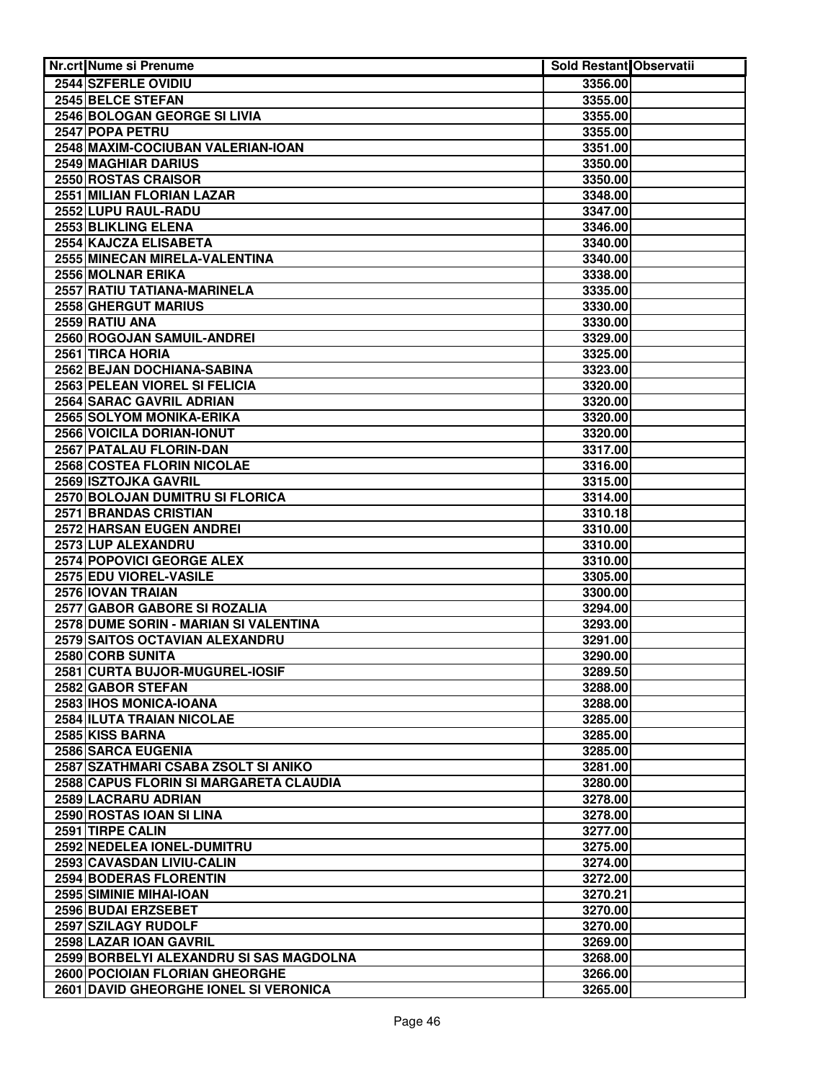| <b>Nr.crt Nume si Prenume</b>                       | Sold Restant Observatii |  |
|-----------------------------------------------------|-------------------------|--|
| 2544 SZFERLE OVIDIU                                 | 3356.00                 |  |
| 2545 BELCE STEFAN                                   | 3355.00                 |  |
| 2546 BOLOGAN GEORGE SI LIVIA                        | 3355.00                 |  |
| 2547 POPA PETRU                                     | 3355.00                 |  |
| 2548 MAXIM-COCIUBAN VALERIAN-IOAN                   | 3351.00                 |  |
| <b>2549 MAGHIAR DARIUS</b>                          | 3350.00                 |  |
| 2550 ROSTAS CRAISOR                                 | 3350.00                 |  |
| 2551 MILIAN FLORIAN LAZAR                           | 3348.00                 |  |
| 2552 LUPU RAUL-RADU                                 | 3347.00                 |  |
| 2553 BLIKLING ELENA                                 | 3346.00                 |  |
| 2554 KAJCZA ELISABETA                               | 3340.00                 |  |
| 2555 MINECAN MIRELA-VALENTINA                       | 3340.00                 |  |
| 2556 MOLNAR ERIKA                                   | 3338.00                 |  |
| 2557 RATIU TATIANA-MARINELA                         | 3335.00                 |  |
| 2558 GHERGUT MARIUS                                 | 3330.00                 |  |
| 2559 RATIU ANA                                      | 3330.00                 |  |
| 2560 ROGOJAN SAMUIL-ANDREI                          | 3329.00                 |  |
| 2561 TIRCA HORIA                                    | 3325.00                 |  |
| 2562 BEJAN DOCHIANA-SABINA                          | 3323.00                 |  |
| 2563 PELEAN VIOREL SI FELICIA                       | 3320.00                 |  |
| 2564 SARAC GAVRIL ADRIAN                            | 3320.00                 |  |
| 2565 SOLYOM MONIKA-ERIKA                            | 3320.00                 |  |
| 2566 VOICILA DORIAN-IONUT                           | 3320.00                 |  |
| 2567 PATALAU FLORIN-DAN                             | 3317.00                 |  |
| 2568 COSTEA FLORIN NICOLAE                          | 3316.00                 |  |
| 2569 ISZTOJKA GAVRIL                                | 3315.00                 |  |
| 2570 BOLOJAN DUMITRU SI FLORICA                     | 3314.00                 |  |
| <b>2571 BRANDAS CRISTIAN</b>                        | 3310.18                 |  |
| 2572 HARSAN EUGEN ANDREI                            | 3310.00                 |  |
| 2573 LUP ALEXANDRU                                  | 3310.00                 |  |
| <b>2574 POPOVICI GEORGE ALEX</b>                    | 3310.00                 |  |
| 2575 EDU VIOREL-VASILE                              | 3305.00                 |  |
| 2576 IOVAN TRAIAN                                   | 3300.00                 |  |
| <b>2577 GABOR GABORE SI ROZALIA</b>                 | 3294.00                 |  |
| 2578 DUME SORIN - MARIAN SI VALENTINA               | 3293.00                 |  |
| 2579 SAITOS OCTAVIAN ALEXANDRU                      | 3291.00                 |  |
| 2580 CORB SUNITA                                    | 3290.00                 |  |
| 2581 CURTA BUJOR-MUGUREL-IOSIF                      | 3289.50                 |  |
| 2582 GABOR STEFAN                                   | 3288.00<br>3288.00      |  |
| 2583 IHOS MONICA-IOANA<br>2584 ILUTA TRAIAN NICOLAE | 3285.00                 |  |
| 2585 KISS BARNA                                     | 3285.00                 |  |
| 2586 SARCA EUGENIA                                  | 3285.00                 |  |
| 2587 SZATHMARI CSABA ZSOLT SI ANIKO                 | 3281.00                 |  |
| 2588 CAPUS FLORIN SI MARGARETA CLAUDIA              | 3280.00                 |  |
| 2589 LACRARU ADRIAN                                 | 3278.00                 |  |
| 2590 ROSTAS IOAN SI LINA                            | 3278.00                 |  |
| 2591 TIRPE CALIN                                    | 3277.00                 |  |
| 2592 NEDELEA IONEL-DUMITRU                          | 3275.00                 |  |
| 2593 CAVASDAN LIVIU-CALIN                           | 3274.00                 |  |
| 2594 BODERAS FLORENTIN                              | 3272.00                 |  |
| 2595 SIMINIE MIHAI-IOAN                             | 3270.21                 |  |
| 2596 BUDAI ERZSEBET                                 | 3270.00                 |  |
| 2597 SZILAGY RUDOLF                                 | 3270.00                 |  |
| 2598 LAZAR IOAN GAVRIL                              | 3269.00                 |  |
| 2599 BORBELYI ALEXANDRU SI SAS MAGDOLNA             | 3268.00                 |  |
| 2600 POCIOIAN FLORIAN GHEORGHE                      | 3266.00                 |  |
| 2601 DAVID GHEORGHE IONEL SI VERONICA               | 3265.00                 |  |
|                                                     |                         |  |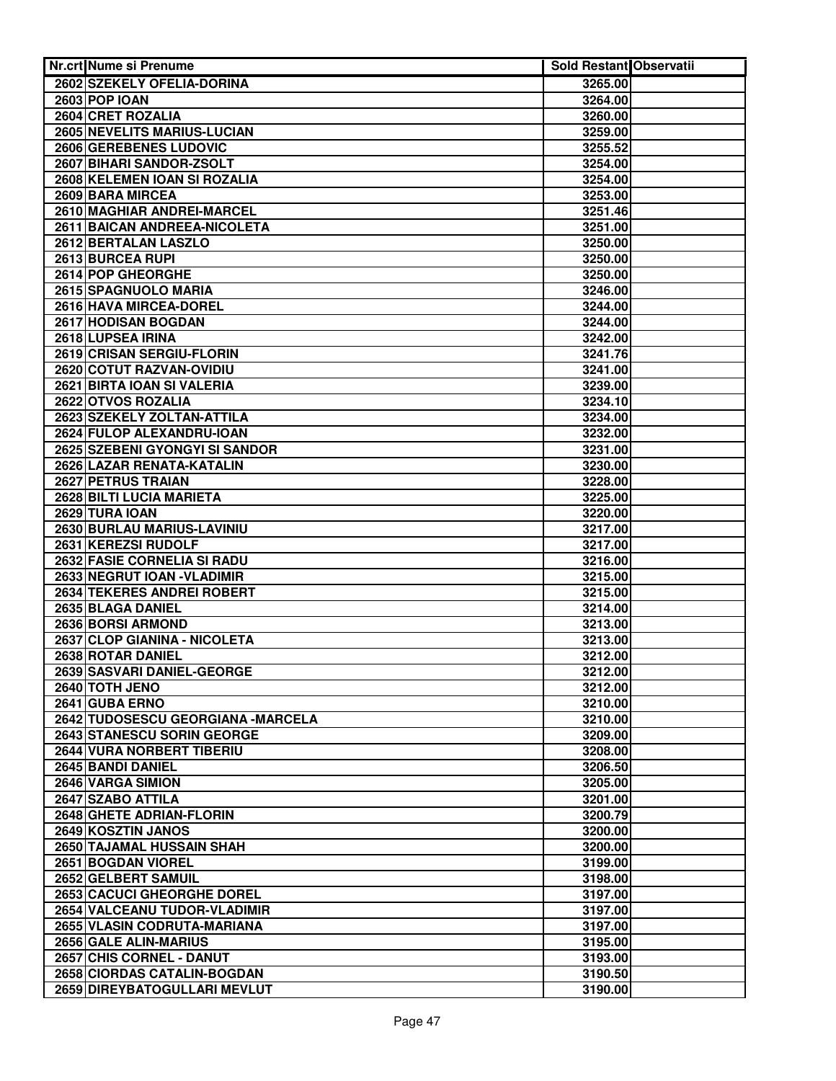| <b>Nr.crt Nume si Prenume</b>                     | Sold Restant Observatii |  |
|---------------------------------------------------|-------------------------|--|
| 2602 SZEKELY OFELIA-DORINA                        | 3265.00                 |  |
| <b>2603 POP IOAN</b>                              | 3264.00                 |  |
| 2604 CRET ROZALIA                                 | 3260.00                 |  |
| 2605 NEVELITS MARIUS-LUCIAN                       | 3259.00                 |  |
| <b>2606 GEREBENES LUDOVIC</b>                     | 3255.52                 |  |
| 2607 BIHARI SANDOR-ZSOLT                          | 3254.00                 |  |
| 2608 KELEMEN IOAN SI ROZALIA                      | 3254.00                 |  |
| 2609 BARA MIRCEA                                  | 3253.00                 |  |
| <b>2610 MAGHIAR ANDREI-MARCEL</b>                 | 3251.46                 |  |
| 2611 BAICAN ANDREEA-NICOLETA                      | 3251.00                 |  |
| 2612 BERTALAN LASZLO                              | 3250.00                 |  |
| 2613 BURCEA RUPI                                  | 3250.00                 |  |
| 2614 POP GHEORGHE                                 | 3250.00                 |  |
| 2615 SPAGNUOLO MARIA                              | 3246.00                 |  |
| 2616 HAVA MIRCEA-DOREL                            | 3244.00                 |  |
| 2617 HODISAN BOGDAN                               | 3244.00                 |  |
| 2618 LUPSEA IRINA                                 | 3242.00                 |  |
| 2619 CRISAN SERGIU-FLORIN                         | 3241.76                 |  |
| 2620 COTUT RAZVAN-OVIDIU                          | 3241.00                 |  |
| 2621 BIRTA IOAN SI VALERIA                        | 3239.00                 |  |
| 2622 OTVOS ROZALIA                                | 3234.10                 |  |
| 2623 SZEKELY ZOLTAN-ATTILA                        | 3234.00                 |  |
| 2624 FULOP ALEXANDRU-IOAN                         | 3232.00                 |  |
| 2625 SZEBENI GYONGYI SI SANDOR                    | 3231.00                 |  |
| 2626 LAZAR RENATA-KATALIN                         | 3230.00                 |  |
| 2627 PETRUS TRAIAN                                | 3228.00                 |  |
| 2628 BILTI LUCIA MARIETA                          | 3225.00                 |  |
| 2629 TURA IOAN                                    | 3220.00                 |  |
| 2630 BURLAU MARIUS-LAVINIU<br>2631 KEREZSI RUDOLF | 3217.00                 |  |
| <b>2632 FASIE CORNELIA SI RADU</b>                | 3217.00<br>3216.00      |  |
| 2633 NEGRUT IOAN - VLADIMIR                       | 3215.00                 |  |
| 2634 TEKERES ANDREI ROBERT                        | 3215.00                 |  |
| 2635 BLAGA DANIEL                                 | 3214.00                 |  |
| 2636 BORSI ARMOND                                 | 3213.00                 |  |
| 2637 CLOP GIANINA - NICOLETA                      | 3213.00                 |  |
| 2638 ROTAR DANIEL                                 | 3212.00                 |  |
| 2639 SASVARI DANIEL-GEORGE                        | 3212.00                 |  |
| 2640 TOTH JENO                                    | 3212.00                 |  |
| 2641 GUBA ERNO                                    | 3210.00                 |  |
| 2642 TUDOSESCU GEORGIANA -MARCELA                 | 3210.00                 |  |
| 2643 STANESCU SORIN GEORGE                        | 3209.00                 |  |
| 2644 VURA NORBERT TIBERIU                         | 3208.00                 |  |
| 2645 BANDI DANIEL                                 | 3206.50                 |  |
| 2646 VARGA SIMION                                 | 3205.00                 |  |
| 2647 SZABO ATTILA                                 | 3201.00                 |  |
| 2648 GHETE ADRIAN-FLORIN                          | 3200.79                 |  |
| 2649 KOSZTIN JANOS                                | 3200.00                 |  |
| 2650 TAJAMAL HUSSAIN SHAH                         | 3200.00                 |  |
| 2651 BOGDAN VIOREL                                | 3199.00                 |  |
| 2652 GELBERT SAMUIL                               | 3198.00                 |  |
| 2653 CACUCI GHEORGHE DOREL                        | 3197.00                 |  |
| 2654 VALCEANU TUDOR-VLADIMIR                      | 3197.00                 |  |
| 2655 VLASIN CODRUTA-MARIANA                       | 3197.00                 |  |
| 2656 GALE ALIN-MARIUS                             | 3195.00                 |  |
| 2657 CHIS CORNEL - DANUT                          | 3193.00                 |  |
| 2658 CIORDAS CATALIN-BOGDAN                       | 3190.50                 |  |
| 2659 DIREYBATOGULLARI MEVLUT                      | 3190.00                 |  |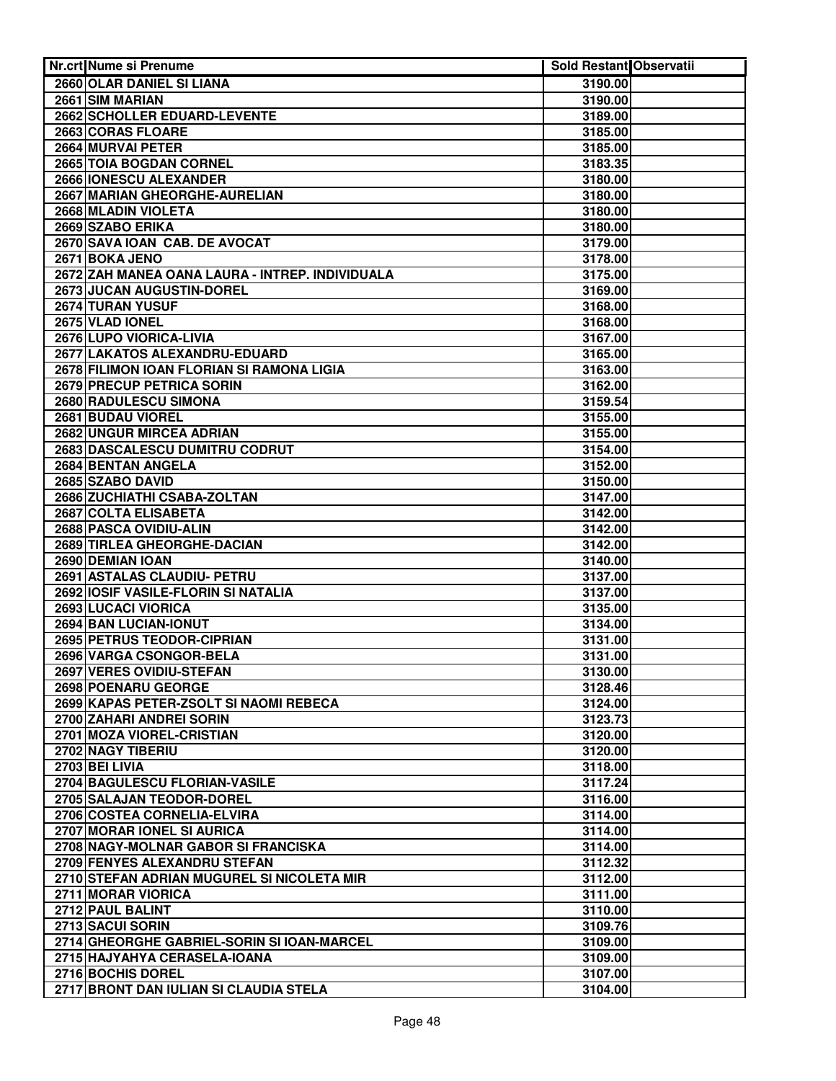| Nr.crt Nume si Prenume                                             | <b>Sold Restant Observatii</b> |  |
|--------------------------------------------------------------------|--------------------------------|--|
| 2660 OLAR DANIEL SI LIANA                                          | 3190.00                        |  |
| 2661 SIM MARIAN                                                    | 3190.00                        |  |
| 2662 SCHOLLER EDUARD-LEVENTE                                       | 3189.00                        |  |
| 2663 CORAS FLOARE                                                  | 3185.00                        |  |
| 2664 MURVAI PETER                                                  | 3185.00                        |  |
| 2665 TOIA BOGDAN CORNEL                                            | 3183.35                        |  |
| 2666 IONESCU ALEXANDER                                             | 3180.00                        |  |
| 2667 MARIAN GHEORGHE-AURELIAN                                      | 3180.00                        |  |
| 2668 MLADIN VIOLETA                                                | 3180.00                        |  |
| 2669 SZABO ERIKA                                                   | 3180.00                        |  |
| 2670 SAVA IOAN CAB. DE AVOCAT                                      | 3179.00                        |  |
| 2671 BOKA JENO                                                     | 3178.00                        |  |
| 2672 ZAH MANEA OANA LAURA - INTREP. INDIVIDUALA                    | 3175.00                        |  |
| 2673 JUCAN AUGUSTIN-DOREL                                          | 3169.00                        |  |
| 2674 TURAN YUSUF                                                   | 3168.00                        |  |
| 2675 VLAD IONEL                                                    | 3168.00                        |  |
| 2676 LUPO VIORICA-LIVIA                                            | 3167.00                        |  |
| 2677 LAKATOS ALEXANDRU-EDUARD                                      | 3165.00                        |  |
| 2678 FILIMON IOAN FLORIAN SI RAMONA LIGIA                          | 3163.00                        |  |
| 2679 PRECUP PETRICA SORIN                                          | 3162.00                        |  |
| 2680 RADULESCU SIMONA                                              | 3159.54                        |  |
| 2681 BUDAU VIOREL                                                  | 3155.00                        |  |
| 2682 UNGUR MIRCEA ADRIAN                                           | 3155.00                        |  |
| 2683 DASCALESCU DUMITRU CODRUT                                     | 3154.00                        |  |
| 2684 BENTAN ANGELA                                                 | 3152.00                        |  |
| 2685 SZABO DAVID                                                   | 3150.00                        |  |
| 2686 ZUCHIATHI CSABA-ZOLTAN                                        | 3147.00                        |  |
| 2687 COLTA ELISABETA                                               | 3142.00                        |  |
| 2688 PASCA OVIDIU-ALIN                                             | 3142.00                        |  |
| 2689 TIRLEA GHEORGHE-DACIAN                                        | 3142.00                        |  |
| 2690 DEMIAN IOAN                                                   | 3140.00                        |  |
| 2691 ASTALAS CLAUDIU- PETRU                                        | 3137.00                        |  |
| 2692 IOSIF VASILE-FLORIN SI NATALIA                                | 3137.00                        |  |
| 2693 LUCACI VIORICA                                                | 3135.00                        |  |
| 2694 BAN LUCIAN-IONUT                                              | 3134.00                        |  |
| 2695 PETRUS TEODOR-CIPRIAN                                         | 3131.00                        |  |
| 2696 VARGA CSONGOR-BELA                                            | 3131.00                        |  |
| 2697 VERES OVIDIU-STEFAN                                           | 3130.00                        |  |
| 2698 POENARU GEORGE                                                | 3128.46                        |  |
| 2699 KAPAS PETER-ZSOLT SI NAOMI REBECA<br>2700 ZAHARI ANDREI SORIN | 3124.00<br>3123.73             |  |
| 2701 MOZA VIOREL-CRISTIAN                                          | 3120.00                        |  |
| 2702 NAGY TIBERIU                                                  | 3120.00                        |  |
| 2703 BEI LIVIA                                                     | 3118.00                        |  |
| 2704 BAGULESCU FLORIAN-VASILE                                      | 3117.24                        |  |
| 2705 SALAJAN TEODOR-DOREL                                          | 3116.00                        |  |
| 2706 COSTEA CORNELIA-ELVIRA                                        | 3114.00                        |  |
| 2707 MORAR IONEL SI AURICA                                         | 3114.00                        |  |
| 2708 NAGY-MOLNAR GABOR SI FRANCISKA                                | 3114.00                        |  |
| 2709 FENYES ALEXANDRU STEFAN                                       | 3112.32                        |  |
| 2710 STEFAN ADRIAN MUGUREL SI NICOLETA MIR                         | 3112.00                        |  |
| 2711 MORAR VIORICA                                                 | 3111.00                        |  |
| 2712 PAUL BALINT                                                   | 3110.00                        |  |
| 2713 SACUI SORIN                                                   | 3109.76                        |  |
| 2714 GHEORGHE GABRIEL-SORIN SI IOAN-MARCEL                         | 3109.00                        |  |
| 2715 HAJYAHYA CERASELA-IOANA                                       | 3109.00                        |  |
| 2716 BOCHIS DOREL                                                  | 3107.00                        |  |
| 2717 BRONT DAN IULIAN SI CLAUDIA STELA                             | 3104.00                        |  |
|                                                                    |                                |  |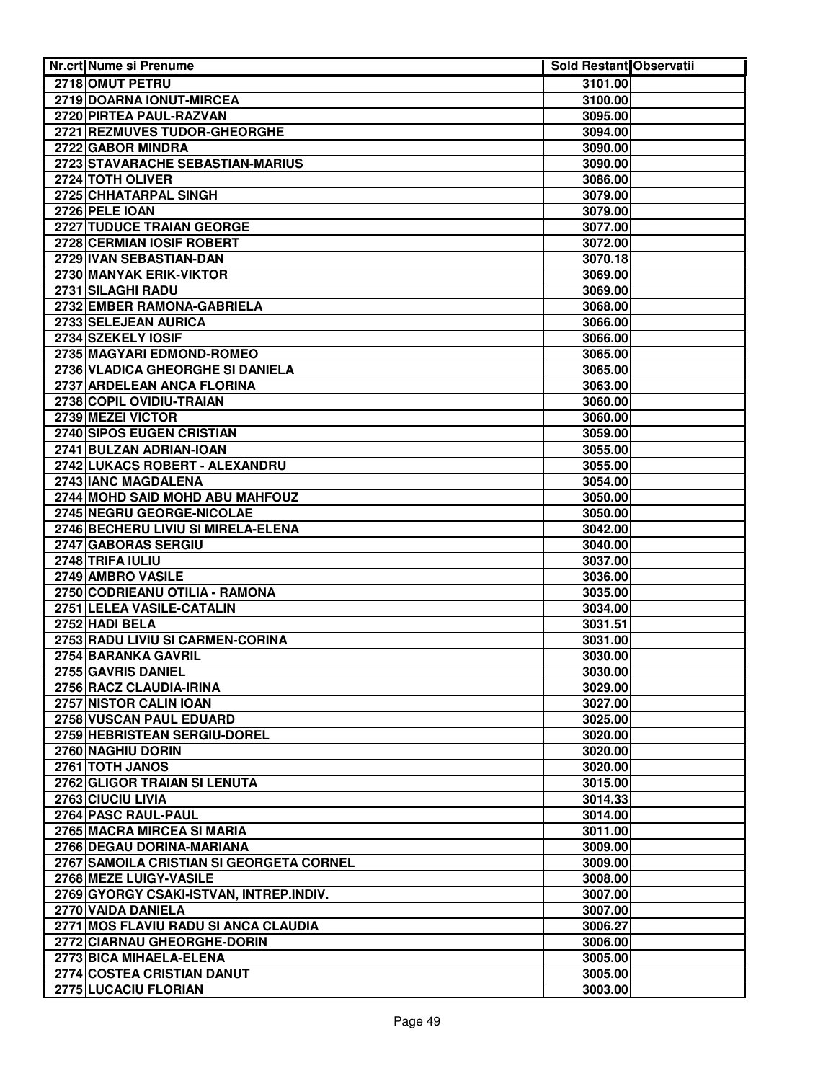| <b>Nr.crt Nume si Prenume</b>            | Sold Restant Observatii |  |
|------------------------------------------|-------------------------|--|
| 2718 OMUT PETRU                          | 3101.00                 |  |
| 2719 DOARNA IONUT-MIRCEA                 | 3100.00                 |  |
| 2720 PIRTEA PAUL-RAZVAN                  | 3095.00                 |  |
| 2721 REZMUVES TUDOR-GHEORGHE             | 3094.00                 |  |
| 2722 GABOR MINDRA                        | 3090.00                 |  |
| 2723 STAVARACHE SEBASTIAN-MARIUS         | 3090.00                 |  |
| 2724 TOTH OLIVER                         | 3086.00                 |  |
| 2725 CHHATARPAL SINGH                    | 3079.00                 |  |
| 2726 PELE IOAN                           | 3079.00                 |  |
| 2727 TUDUCE TRAIAN GEORGE                | 3077.00                 |  |
| 2728 CERMIAN IOSIF ROBERT                | 3072.00                 |  |
| 2729 IVAN SEBASTIAN-DAN                  | 3070.18                 |  |
| 2730 MANYAK ERIK-VIKTOR                  | 3069.00                 |  |
| 2731 SILAGHI RADU                        | 3069.00                 |  |
| 2732 EMBER RAMONA-GABRIELA               | 3068.00                 |  |
| 2733 SELEJEAN AURICA                     | 3066.00                 |  |
| 2734 SZEKELY IOSIF                       | 3066.00                 |  |
| 2735 MAGYARI EDMOND-ROMEO                | 3065.00                 |  |
| 2736 VLADICA GHEORGHE SI DANIELA         | 3065.00                 |  |
| 2737 ARDELEAN ANCA FLORINA               | 3063.00                 |  |
| 2738 COPIL OVIDIU-TRAIAN                 | 3060.00                 |  |
| 2739 MEZEI VICTOR                        | 3060.00                 |  |
| 2740 SIPOS EUGEN CRISTIAN                | 3059.00                 |  |
| 2741 BULZAN ADRIAN-IOAN                  | 3055.00                 |  |
| 2742 LUKACS ROBERT - ALEXANDRU           | 3055.00                 |  |
| 2743 IANC MAGDALENA                      | 3054.00                 |  |
| 2744 MOHD SAID MOHD ABU MAHFOUZ          | 3050.00                 |  |
| 2745 NEGRU GEORGE-NICOLAE                | 3050.00                 |  |
| 2746 BECHERU LIVIU SI MIRELA-ELENA       | 3042.00                 |  |
| 2747 GABORAS SERGIU                      | 3040.00                 |  |
| 2748 TRIFA IULIU                         | 3037.00                 |  |
| 2749 AMBRO VASILE                        | 3036.00                 |  |
| 2750 CODRIEANU OTILIA - RAMONA           | 3035.00                 |  |
| 2751 LELEA VASILE-CATALIN                | 3034.00                 |  |
| 2752 HADI BELA                           | 3031.51                 |  |
| 2753 RADU LIVIU SI CARMEN-CORINA         | 3031.00                 |  |
| 2754 BARANKA GAVRIL                      | 3030.00                 |  |
| 2755 GAVRIS DANIEL                       | 3030.00                 |  |
| 2756 RACZ CLAUDIA-IRINA                  | 3029.00                 |  |
| 2757 NISTOR CALIN IOAN                   | 3027.00                 |  |
| 2758 VUSCAN PAUL EDUARD                  | 3025.00                 |  |
| 2759 HEBRISTEAN SERGIU-DOREL             | 3020.00                 |  |
| 2760 NAGHIU DORIN                        | 3020.00                 |  |
| 2761 TOTH JANOS                          | 3020.00                 |  |
| 2762 GLIGOR TRAIAN SI LENUTA             | 3015.00                 |  |
| 2763 CIUCIU LIVIA                        | 3014.33                 |  |
| 2764 PASC RAUL-PAUL                      | 3014.00                 |  |
| 2765 MACRA MIRCEA SI MARIA               | 3011.00                 |  |
| 2766 DEGAU DORINA-MARIANA                | 3009.00                 |  |
| 2767 SAMOILA CRISTIAN SI GEORGETA CORNEL | 3009.00                 |  |
| 2768 MEZE LUIGY-VASILE                   | 3008.00                 |  |
| 2769 GYORGY CSAKI-ISTVAN, INTREP.INDIV.  | 3007.00                 |  |
| 2770 VAIDA DANIELA                       | 3007.00                 |  |
| 2771 MOS FLAVIU RADU SI ANCA CLAUDIA     | 3006.27                 |  |
| 2772 CIARNAU GHEORGHE-DORIN              | 3006.00                 |  |
| 2773 BICA MIHAELA-ELENA                  | 3005.00                 |  |
| 2774 COSTEA CRISTIAN DANUT               | 3005.00                 |  |
| 2775 LUCACIU FLORIAN                     | 3003.00                 |  |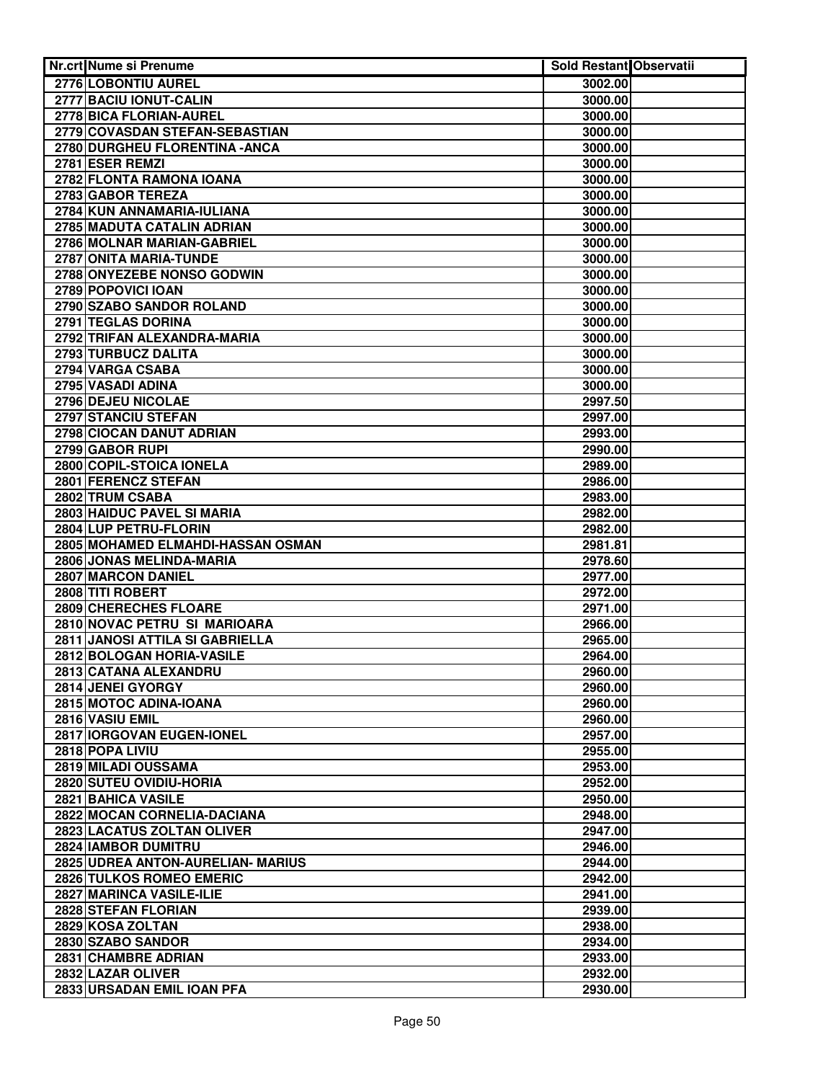| <b>Nr.crt Nume si Prenume</b>     | <b>Sold Restant Observatii</b> |  |
|-----------------------------------|--------------------------------|--|
| 2776 LOBONTIU AUREL               | 3002.00                        |  |
| 2777 BACIU IONUT-CALIN            | 3000.00                        |  |
| 2778 BICA FLORIAN-AUREL           | 3000.00                        |  |
| 2779 COVASDAN STEFAN-SEBASTIAN    | 3000.00                        |  |
| 2780 DURGHEU FLORENTINA - ANCA    | 3000.00                        |  |
| 2781 ESER REMZI                   | 3000.00                        |  |
| 2782 FLONTA RAMONA IOANA          | 3000.00                        |  |
| 2783 GABOR TEREZA                 | 3000.00                        |  |
| 2784 KUN ANNAMARIA-IULIANA        | 3000.00                        |  |
| 2785 MADUTA CATALIN ADRIAN        | 3000.00                        |  |
| 2786 MOLNAR MARIAN-GABRIEL        | 3000.00                        |  |
| 2787 ONITA MARIA-TUNDE            | 3000.00                        |  |
| 2788 ONYEZEBE NONSO GODWIN        | 3000.00                        |  |
| 2789 POPOVICI IOAN                | 3000.00                        |  |
| 2790 SZABO SANDOR ROLAND          | 3000.00                        |  |
| 2791 TEGLAS DORINA                | 3000.00                        |  |
| 2792 TRIFAN ALEXANDRA-MARIA       | 3000.00                        |  |
| 2793 TURBUCZ DALITA               | 3000.00                        |  |
| 2794 VARGA CSABA                  | 3000.00                        |  |
| 2795 VASADI ADINA                 | 3000.00                        |  |
| 2796 DEJEU NICOLAE                | 2997.50                        |  |
| 2797 STANCIU STEFAN               | 2997.00                        |  |
| 2798 CIOCAN DANUT ADRIAN          | 2993.00                        |  |
| 2799 GABOR RUPI                   | 2990.00                        |  |
| 2800 COPIL-STOICA IONELA          | 2989.00                        |  |
| 2801 FERENCZ STEFAN               | 2986.00                        |  |
| 2802 TRUM CSABA                   | 2983.00                        |  |
| 2803 HAIDUC PAVEL SI MARIA        | 2982.00                        |  |
| 2804 LUP PETRU-FLORIN             | 2982.00                        |  |
| 2805 MOHAMED ELMAHDI-HASSAN OSMAN | 2981.81                        |  |
| 2806 JONAS MELINDA-MARIA          | 2978.60                        |  |
| 2807 MARCON DANIEL                | 2977.00                        |  |
| 2808 TITI ROBERT                  | 2972.00                        |  |
| 2809 CHERECHES FLOARE             | 2971.00                        |  |
| 2810 NOVAC PETRU SI MARIOARA      | 2966.00                        |  |
| 2811 JANOSI ATTILA SI GABRIELLA   | 2965.00                        |  |
| 2812 BOLOGAN HORIA-VASILE         | 2964.00                        |  |
| 2813 CATANA ALEXANDRU             | 2960.00                        |  |
| 2814 JENEI GYORGY                 | 2960.00                        |  |
| 2815 MOTOC ADINA-IOANA            | 2960.00                        |  |
| 2816 VASIU EMIL                   | 2960.00                        |  |
| 2817 IORGOVAN EUGEN-IONEL         | 2957.00                        |  |
| 2818 POPA LIVIU                   | 2955.00                        |  |
| 2819 MILADI OUSSAMA               | 2953.00                        |  |
| 2820 SUTEU OVIDIU-HORIA           | 2952.00                        |  |
| 2821 BAHICA VASILE                | 2950.00                        |  |
| 2822 MOCAN CORNELIA-DACIANA       | 2948.00                        |  |
| 2823 LACATUS ZOLTAN OLIVER        | 2947.00                        |  |
| 2824 IAMBOR DUMITRU               | 2946.00                        |  |
| 2825 UDREA ANTON-AURELIAN- MARIUS | 2944.00                        |  |
| 2826 TULKOS ROMEO EMERIC          | 2942.00                        |  |
| 2827 MARINCA VASILE-ILIE          | 2941.00                        |  |
| 2828 STEFAN FLORIAN               | 2939.00                        |  |
| 2829 KOSA ZOLTAN                  | 2938.00                        |  |
| 2830 SZABO SANDOR                 | 2934.00                        |  |
| 2831 CHAMBRE ADRIAN               | 2933.00                        |  |
| 2832 LAZAR OLIVER                 | 2932.00                        |  |
| 2833 URSADAN EMIL IOAN PFA        | 2930.00                        |  |
|                                   |                                |  |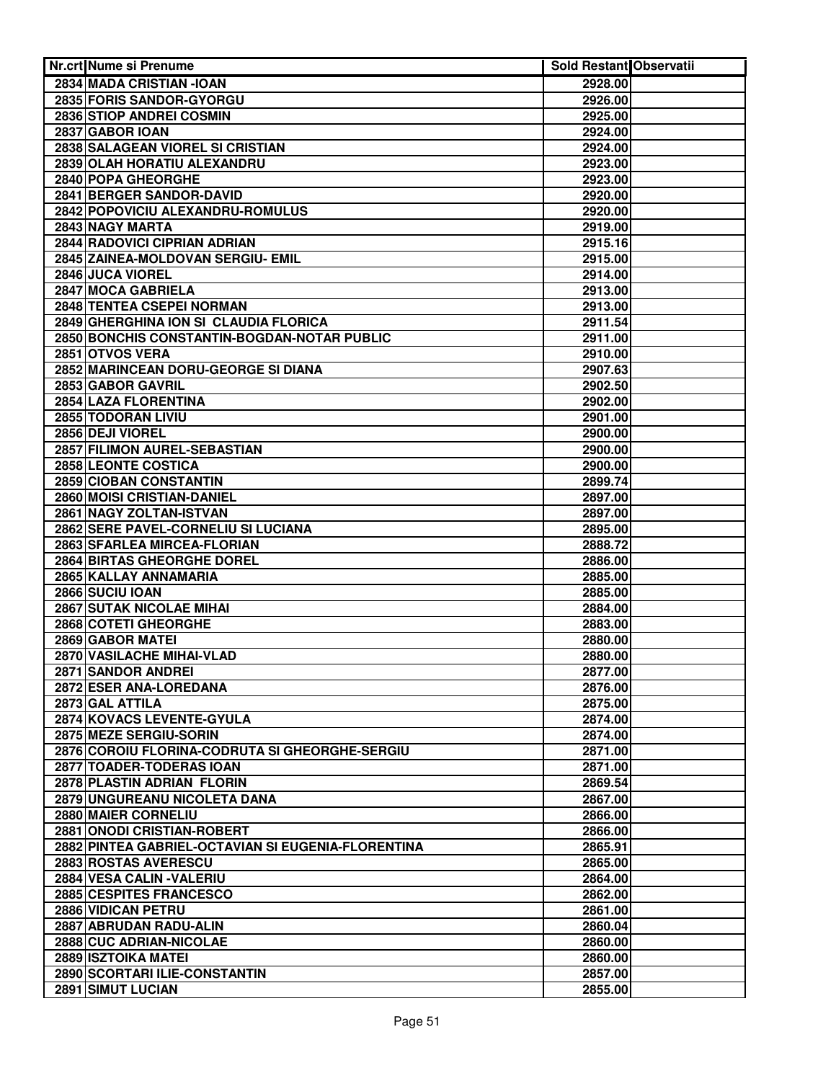| <b>Nr.crt Nume si Prenume</b>                               | Sold Restant Observatii |  |
|-------------------------------------------------------------|-------------------------|--|
| 2834 MADA CRISTIAN - IOAN                                   | 2928.00                 |  |
| 2835 FORIS SANDOR-GYORGU                                    | 2926.00                 |  |
| 2836 STIOP ANDREI COSMIN                                    | 2925.00                 |  |
| 2837 GABOR IOAN                                             | 2924.00                 |  |
| 2838 SALAGEAN VIOREL SI CRISTIAN                            | 2924.00                 |  |
| 2839 OLAH HORATIU ALEXANDRU                                 | 2923.00                 |  |
| 2840 POPA GHEORGHE                                          | 2923.00                 |  |
| <b>2841 BERGER SANDOR-DAVID</b>                             | 2920.00                 |  |
| 2842 POPOVICIU ALEXANDRU-ROMULUS                            | 2920.00                 |  |
| 2843 NAGY MARTA                                             | 2919.00                 |  |
| 2844 RADOVICI CIPRIAN ADRIAN                                | 2915.16                 |  |
| 2845 ZAINEA-MOLDOVAN SERGIU- EMIL                           | 2915.00                 |  |
| 2846 JUCA VIOREL                                            | 2914.00                 |  |
| 2847 MOCA GABRIELA                                          | 2913.00                 |  |
| 2848 TENTEA CSEPEI NORMAN                                   | 2913.00                 |  |
| 2849 GHERGHINA ION SI CLAUDIA FLORICA                       | 2911.54                 |  |
| 2850 BONCHIS CONSTANTIN-BOGDAN-NOTAR PUBLIC                 | 2911.00                 |  |
| 2851 OTVOS VERA                                             |                         |  |
| 2852 MARINCEAN DORU-GEORGE SI DIANA                         | 2910.00<br>2907.63      |  |
|                                                             |                         |  |
| 2853 GABOR GAVRIL<br>2854 LAZA FLORENTINA                   | 2902.50                 |  |
|                                                             | 2902.00                 |  |
| 2855 TODORAN LIVIU                                          | 2901.00                 |  |
| 2856 DEJI VIOREL<br>2857 FILIMON AUREL-SEBASTIAN            | 2900.00                 |  |
|                                                             | 2900.00                 |  |
| 2858 LEONTE COSTICA                                         | 2900.00                 |  |
| 2859 CIOBAN CONSTANTIN<br><b>2860 MOISI CRISTIAN-DANIEL</b> | 2899.74                 |  |
| 2861 NAGY ZOLTAN-ISTVAN                                     | 2897.00<br>2897.00      |  |
| 2862 SERE PAVEL-CORNELIU SI LUCIANA                         | 2895.00                 |  |
| 2863 SFARLEA MIRCEA-FLORIAN                                 | 2888.72                 |  |
| <b>2864 BIRTAS GHEORGHE DOREL</b>                           | 2886.00                 |  |
| 2865 KALLAY ANNAMARIA                                       | 2885.00                 |  |
| 2866 SUCIU IOAN                                             | 2885.00                 |  |
| 2867 SUTAK NICOLAE MIHAI                                    | 2884.00                 |  |
| 2868 COTETI GHEORGHE                                        | 2883.00                 |  |
| 2869 GABOR MATEI                                            |                         |  |
| 2870 VASILACHE MIHAI-VLAD                                   | 2880.00<br>2880.00      |  |
| 2871 SANDOR ANDREI                                          | 2877.00                 |  |
| 2872 ESER ANA-LOREDANA                                      |                         |  |
|                                                             | 2876.00                 |  |
| 2873 GAL ATTILA                                             | 2875.00                 |  |
| 2874 KOVACS LEVENTE-GYULA<br>2875 MEZE SERGIU-SORIN         | 2874.00                 |  |
|                                                             | 2874.00                 |  |
| 2876 COROIU FLORINA-CODRUTA SI GHEORGHE-SERGIU              | 2871.00                 |  |
| 2877 TOADER-TODERAS IOAN                                    | 2871.00                 |  |
| 2878 PLASTIN ADRIAN FLORIN                                  | 2869.54                 |  |
| 2879 UNGUREANU NICOLETA DANA                                | 2867.00                 |  |
| 2880 MAIER CORNELIU                                         | 2866.00                 |  |
| 2881 ONODI CRISTIAN-ROBERT                                  | 2866.00                 |  |
| 2882 PINTEA GABRIEL-OCTAVIAN SI EUGENIA-FLORENTINA          | 2865.91                 |  |
| 2883 ROSTAS AVERESCU<br>2884 VESA CALIN - VALERIU           | 2865.00                 |  |
|                                                             | 2864.00                 |  |
| 2885 CESPITES FRANCESCO<br>2886 VIDICAN PETRU               | 2862.00                 |  |
| 2887 ABRUDAN RADU-ALIN                                      | 2861.00<br>2860.04      |  |
| 2888 CUC ADRIAN-NICOLAE                                     |                         |  |
| <b>2889 ISZTOIKA MATEI</b>                                  | 2860.00                 |  |
| 2890 SCORTARI ILIE-CONSTANTIN                               | 2860.00<br>2857.00      |  |
| 2891 SIMUT LUCIAN                                           | 2855.00                 |  |
|                                                             |                         |  |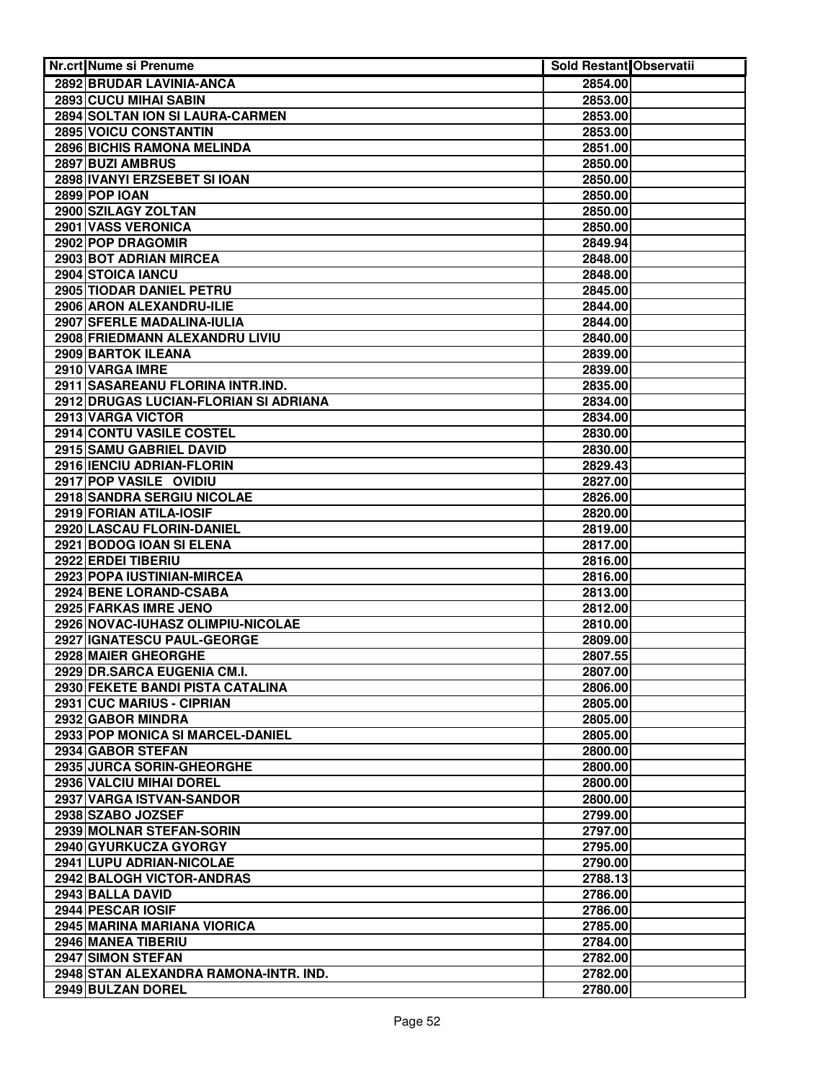| <b>Nr.crt Nume si Prenume</b>                  | Sold Restant Observatii |  |
|------------------------------------------------|-------------------------|--|
| 2892 BRUDAR LAVINIA-ANCA                       | 2854.00                 |  |
| 2893 CUCU MIHAI SABIN                          | 2853.00                 |  |
| 2894 SOLTAN ION SI LAURA-CARMEN                | 2853.00                 |  |
| 2895 VOICU CONSTANTIN                          | 2853.00                 |  |
| 2896 BICHIS RAMONA MELINDA                     | 2851.00                 |  |
| 2897 BUZI AMBRUS                               | 2850.00                 |  |
| 2898 IVANYI ERZSEBET SI IOAN                   | 2850.00                 |  |
| <b>2899 POP IOAN</b>                           | 2850.00                 |  |
| 2900 SZILAGY ZOLTAN                            | 2850.00                 |  |
| <b>2901 VASS VERONICA</b>                      | 2850.00                 |  |
| 2902 POP DRAGOMIR                              | 2849.94                 |  |
| 2903 BOT ADRIAN MIRCEA                         | 2848.00                 |  |
| 2904 STOICA IANCU                              | 2848.00                 |  |
| 2905 TIODAR DANIEL PETRU                       | 2845.00                 |  |
| 2906 ARON ALEXANDRU-ILIE                       | 2844.00                 |  |
| 2907 SFERLE MADALINA-IULIA                     | 2844.00                 |  |
| 2908 FRIEDMANN ALEXANDRU LIVIU                 | 2840.00                 |  |
| 2909 BARTOK ILEANA                             | 2839.00                 |  |
| 2910 VARGA IMRE                                | 2839.00                 |  |
| 2911 SASAREANU FLORINA INTR.IND.               | 2835.00                 |  |
| 2912 DRUGAS LUCIAN-FLORIAN SI ADRIANA          | 2834.00                 |  |
| 2913 VARGA VICTOR                              | 2834.00                 |  |
| 2914 CONTU VASILE COSTEL                       | 2830.00                 |  |
| 2915 SAMU GABRIEL DAVID                        | 2830.00                 |  |
| 2916 IENCIU ADRIAN-FLORIN                      | 2829.43                 |  |
| 2917 POP VASILE OVIDIU                         | 2827.00                 |  |
| <b>2918 SANDRA SERGIU NICOLAE</b>              | 2826.00                 |  |
| 2919 FORIAN ATILA-IOSIF                        | 2820.00                 |  |
| 2920 LASCAU FLORIN-DANIEL                      | 2819.00                 |  |
| 2921 BODOG IOAN SI ELENA<br>2922 ERDEI TIBERIU | 2817.00<br>2816.00      |  |
| 2923 POPA IUSTINIAN-MIRCEA                     | 2816.00                 |  |
| 2924 BENE LORAND-CSABA                         | 2813.00                 |  |
| 2925 FARKAS IMRE JENO                          | 2812.00                 |  |
| 2926 NOVAC-IUHASZ OLIMPIU-NICOLAE              | 2810.00                 |  |
| 2927 IGNATESCU PAUL-GEORGE                     | 2809.00                 |  |
| 2928 MAIER GHEORGHE                            | 2807.55                 |  |
| 2929 DR.SARCA EUGENIA CM.I.                    | 2807.00                 |  |
| 2930 FEKETE BANDI PISTA CATALINA               | 2806.00                 |  |
| 2931 CUC MARIUS - CIPRIAN                      | 2805.00                 |  |
| 2932 GABOR MINDRA                              | 2805.00                 |  |
| 2933 POP MONICA SI MARCEL-DANIEL               | 2805.00                 |  |
| 2934 GABOR STEFAN                              | 2800.00                 |  |
| 2935 JURCA SORIN-GHEORGHE                      | 2800.00                 |  |
| 2936 VALCIU MIHAI DOREL                        | 2800.00                 |  |
| 2937 VARGA ISTVAN-SANDOR                       | 2800.00                 |  |
| 2938 SZABO JOZSEF                              | 2799.00                 |  |
| 2939 MOLNAR STEFAN-SORIN                       | 2797.00                 |  |
| 2940 GYURKUCZA GYORGY                          | 2795.00                 |  |
| 2941 LUPU ADRIAN-NICOLAE                       | 2790.00                 |  |
| 2942 BALOGH VICTOR-ANDRAS                      | 2788.13                 |  |
| 2943 BALLA DAVID                               | 2786.00                 |  |
| 2944 PESCAR IOSIF                              | 2786.00                 |  |
| 2945 MARINA MARIANA VIORICA                    | 2785.00                 |  |
| 2946 MANEA TIBERIU                             | 2784.00                 |  |
| 2947 SIMON STEFAN                              | 2782.00                 |  |
| 2948 STAN ALEXANDRA RAMONA-INTR. IND.          | 2782.00                 |  |
| 2949 BULZAN DOREL                              | 2780.00                 |  |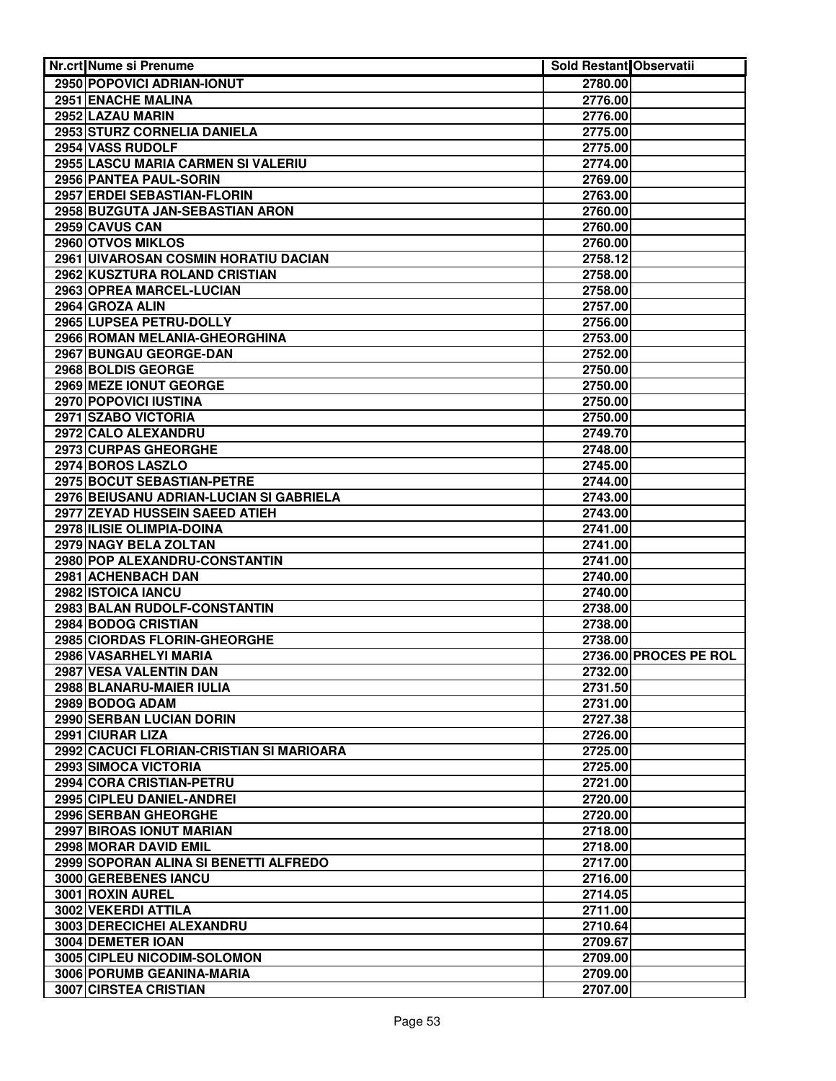| <b>Nr.crt Nume si Prenume</b>                               | Sold Restant Observatii |                       |
|-------------------------------------------------------------|-------------------------|-----------------------|
| 2950 POPOVICI ADRIAN-IONUT                                  | 2780.00                 |                       |
| 2951 ENACHE MALINA                                          | 2776.00                 |                       |
| 2952 LAZAU MARIN                                            | 2776.00                 |                       |
| 2953 STURZ CORNELIA DANIELA                                 | 2775.00                 |                       |
| 2954 VASS RUDOLF                                            | 2775.00                 |                       |
| 2955 LASCU MARIA CARMEN SI VALERIU                          | 2774.00                 |                       |
| 2956 PANTEA PAUL-SORIN                                      | 2769.00                 |                       |
| <b>2957 ERDEI SEBASTIAN-FLORIN</b>                          | 2763.00                 |                       |
| 2958 BUZGUTA JAN-SEBASTIAN ARON                             | 2760.00                 |                       |
| 2959 CAVUS CAN                                              | 2760.00                 |                       |
| 2960 OTVOS MIKLOS                                           | 2760.00                 |                       |
| 2961 UIVAROSAN COSMIN HORATIU DACIAN                        | 2758.12                 |                       |
| 2962 KUSZTURA ROLAND CRISTIAN                               | 2758.00                 |                       |
| 2963 OPREA MARCEL-LUCIAN                                    | 2758.00                 |                       |
| 2964 GROZA ALIN                                             | 2757.00                 |                       |
| 2965 LUPSEA PETRU-DOLLY                                     | 2756.00                 |                       |
| 2966 ROMAN MELANIA-GHEORGHINA                               | 2753.00                 |                       |
| 2967 BUNGAU GEORGE-DAN                                      | 2752.00                 |                       |
| 2968 BOLDIS GEORGE                                          | 2750.00                 |                       |
| 2969 MEZE IONUT GEORGE                                      | 2750.00                 |                       |
| 2970 POPOVICI IUSTINA                                       | 2750.00                 |                       |
| 2971 SZABO VICTORIA                                         | 2750.00                 |                       |
| 2972 CALO ALEXANDRU                                         | 2749.70                 |                       |
| 2973 CURPAS GHEORGHE                                        | 2748.00                 |                       |
| 2974 BOROS LASZLO                                           | 2745.00                 |                       |
| 2975 BOCUT SEBASTIAN-PETRE                                  | 2744.00                 |                       |
| 2976 BEIUSANU ADRIAN-LUCIAN SI GABRIELA                     | 2743.00                 |                       |
| 2977 ZEYAD HUSSEIN SAEED ATIEH<br>2978 ILISIE OLIMPIA-DOINA | 2743.00                 |                       |
| 2979 NAGY BELA ZOLTAN                                       | 2741.00                 |                       |
| 2980 POP ALEXANDRU-CONSTANTIN                               | 2741.00<br>2741.00      |                       |
| 2981 ACHENBACH DAN                                          | 2740.00                 |                       |
| 2982 ISTOICA IANCU                                          | 2740.00                 |                       |
| 2983 BALAN RUDOLF-CONSTANTIN                                | 2738.00                 |                       |
| 2984 BODOG CRISTIAN                                         | 2738.00                 |                       |
| 2985 CIORDAS FLORIN-GHEORGHE                                | 2738.00                 |                       |
| 2986 VASARHELYI MARIA                                       |                         | 2736.00 PROCES PE ROL |
| 2987 VESA VALENTIN DAN                                      | 2732.00                 |                       |
| 2988 BLANARU-MAIER IULIA                                    | 2731.50                 |                       |
| 2989 BODOG ADAM                                             | 2731.00                 |                       |
| 2990 SERBAN LUCIAN DORIN                                    | 2727.38                 |                       |
| 2991 CIURAR LIZA                                            | 2726.00                 |                       |
| 2992 CACUCI FLORIAN-CRISTIAN SI MARIOARA                    | 2725.00                 |                       |
| 2993 SIMOCA VICTORIA                                        | 2725.00                 |                       |
| 2994 CORA CRISTIAN-PETRU                                    | 2721.00                 |                       |
| 2995 CIPLEU DANIEL-ANDREI                                   | 2720.00                 |                       |
| 2996 SERBAN GHEORGHE                                        | 2720.00                 |                       |
| 2997 BIROAS IONUT MARIAN                                    | 2718.00                 |                       |
| 2998 MORAR DAVID EMIL                                       | 2718.00                 |                       |
| 2999 SOPORAN ALINA SI BENETTI ALFREDO                       | 2717.00                 |                       |
| 3000 GEREBENES IANCU                                        | 2716.00                 |                       |
| 3001 ROXIN AUREL                                            | 2714.05                 |                       |
| 3002 VEKERDI ATTILA                                         | 2711.00                 |                       |
| 3003 DERECICHEI ALEXANDRU                                   | 2710.64                 |                       |
| 3004 DEMETER IOAN                                           | 2709.67                 |                       |
| 3005 CIPLEU NICODIM-SOLOMON                                 | 2709.00                 |                       |
| 3006 PORUMB GEANINA-MARIA                                   | 2709.00                 |                       |
| <b>3007 CIRSTEA CRISTIAN</b>                                | 2707.00                 |                       |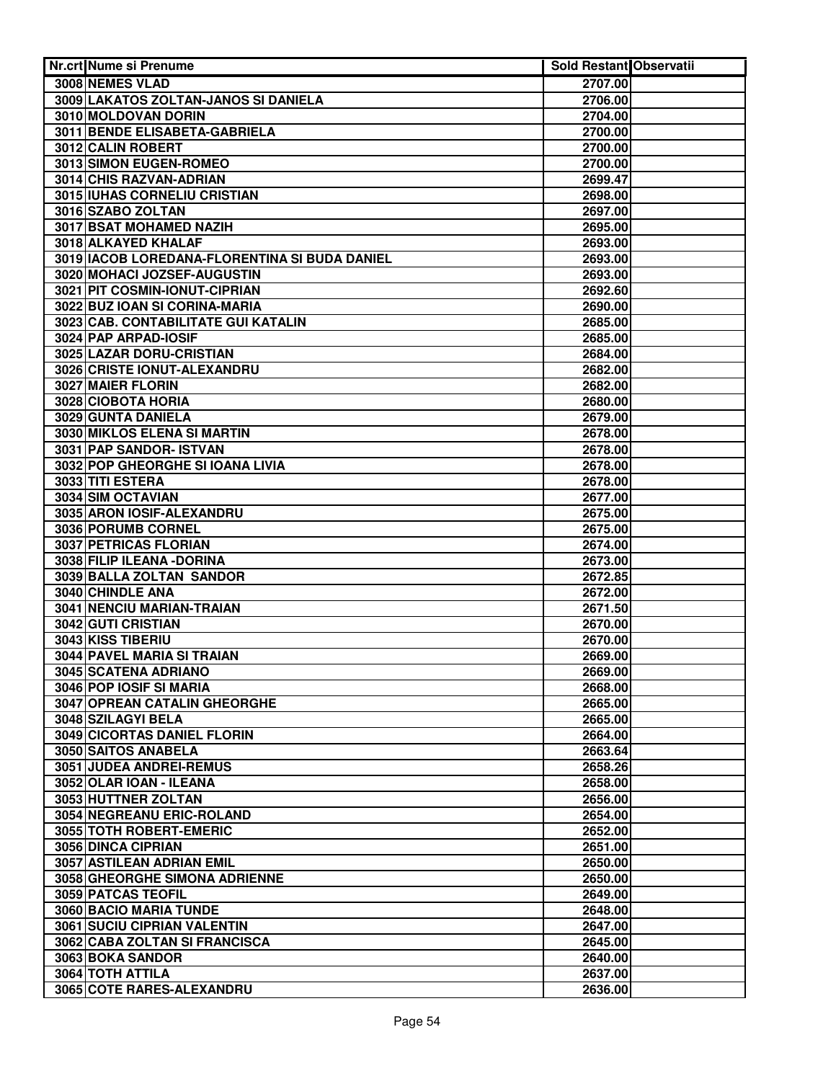| Nr.crt Nume si Prenume                        | <b>Sold Restant Observatii</b> |  |
|-----------------------------------------------|--------------------------------|--|
| 3008 NEMES VLAD                               | 2707.00                        |  |
| 3009 LAKATOS ZOLTAN-JANOS SI DANIELA          | 2706.00                        |  |
| 3010 MOLDOVAN DORIN                           | 2704.00                        |  |
| 3011 BENDE ELISABETA-GABRIELA                 | 2700.00                        |  |
| 3012 CALIN ROBERT                             | 2700.00                        |  |
| 3013 SIMON EUGEN-ROMEO                        | 2700.00                        |  |
| 3014 CHIS RAZVAN-ADRIAN                       | 2699.47                        |  |
| 3015 IUHAS CORNELIU CRISTIAN                  | 2698.00                        |  |
| 3016 SZABO ZOLTAN                             | 2697.00                        |  |
| <b>3017 BSAT MOHAMED NAZIH</b>                | 2695.00                        |  |
| 3018 ALKAYED KHALAF                           | 2693.00                        |  |
| 3019 IACOB LOREDANA-FLORENTINA SI BUDA DANIEL | 2693.00                        |  |
| 3020 MOHACI JOZSEF-AUGUSTIN                   | 2693.00                        |  |
| 3021 PIT COSMIN-IONUT-CIPRIAN                 | 2692.60                        |  |
| 3022 BUZ IOAN SI CORINA-MARIA                 | 2690.00                        |  |
| 3023 CAB. CONTABILITATE GUI KATALIN           | 2685.00                        |  |
| 3024 PAP ARPAD-IOSIF                          | 2685.00                        |  |
| 3025 LAZAR DORU-CRISTIAN                      | 2684.00                        |  |
| 3026 CRISTE IONUT-ALEXANDRU                   | 2682.00                        |  |
| 3027 MAIER FLORIN                             | 2682.00                        |  |
| 3028 CIOBOTA HORIA                            | 2680.00                        |  |
| 3029 GUNTA DANIELA                            | 2679.00                        |  |
| 3030 MIKLOS ELENA SI MARTIN                   | 2678.00                        |  |
| 3031 PAP SANDOR- ISTVAN                       | 2678.00                        |  |
| 3032 POP GHEORGHE SI IOANA LIVIA              | 2678.00                        |  |
| 3033 TITI ESTERA                              | 2678.00                        |  |
| 3034 SIM OCTAVIAN                             | 2677.00                        |  |
| 3035 ARON IOSIF-ALEXANDRU                     | 2675.00                        |  |
| 3036 PORUMB CORNEL<br>3037 PETRICAS FLORIAN   | 2675.00                        |  |
| 3038 FILIP ILEANA - DORINA                    | 2674.00<br>2673.00             |  |
| 3039 BALLA ZOLTAN SANDOR                      | 2672.85                        |  |
| 3040 CHINDLE ANA                              | 2672.00                        |  |
| 3041 NENCIU MARIAN-TRAIAN                     | 2671.50                        |  |
| <b>3042 GUTI CRISTIAN</b>                     | 2670.00                        |  |
| 3043 KISS TIBERIU                             | 2670.00                        |  |
| 3044 PAVEL MARIA SI TRAIAN                    | 2669.00                        |  |
| 3045 SCATENA ADRIANO                          | 2669.00                        |  |
| 3046 POP IOSIF SI MARIA                       | 2668.00                        |  |
| 3047 OPREAN CATALIN GHEORGHE                  | 2665.00                        |  |
| 3048 SZILAGYI BELA                            | 2665.00                        |  |
| 3049 CICORTAS DANIEL FLORIN                   | 2664.00                        |  |
| 3050 SAITOS ANABELA                           | 2663.64                        |  |
| 3051 JUDEA ANDREI-REMUS                       | 2658.26                        |  |
| 3052 OLAR IOAN - ILEANA                       | 2658.00                        |  |
| 3053 HUTTNER ZOLTAN                           | 2656.00                        |  |
| 3054 NEGREANU ERIC-ROLAND                     | 2654.00                        |  |
| 3055 TOTH ROBERT-EMERIC                       | 2652.00                        |  |
| 3056 DINCA CIPRIAN                            | 2651.00                        |  |
| 3057 ASTILEAN ADRIAN EMIL                     | 2650.00                        |  |
| 3058 GHEORGHE SIMONA ADRIENNE                 | 2650.00                        |  |
| 3059 PATCAS TEOFIL                            | 2649.00                        |  |
| 3060 BACIO MARIA TUNDE                        | 2648.00                        |  |
| 3061 SUCIU CIPRIAN VALENTIN                   | 2647.00                        |  |
| 3062 CABA ZOLTAN SI FRANCISCA                 | 2645.00                        |  |
| 3063 BOKA SANDOR                              | 2640.00                        |  |
| 3064 TOTH ATTILA                              | 2637.00                        |  |
| 3065 COTE RARES-ALEXANDRU                     | 2636.00                        |  |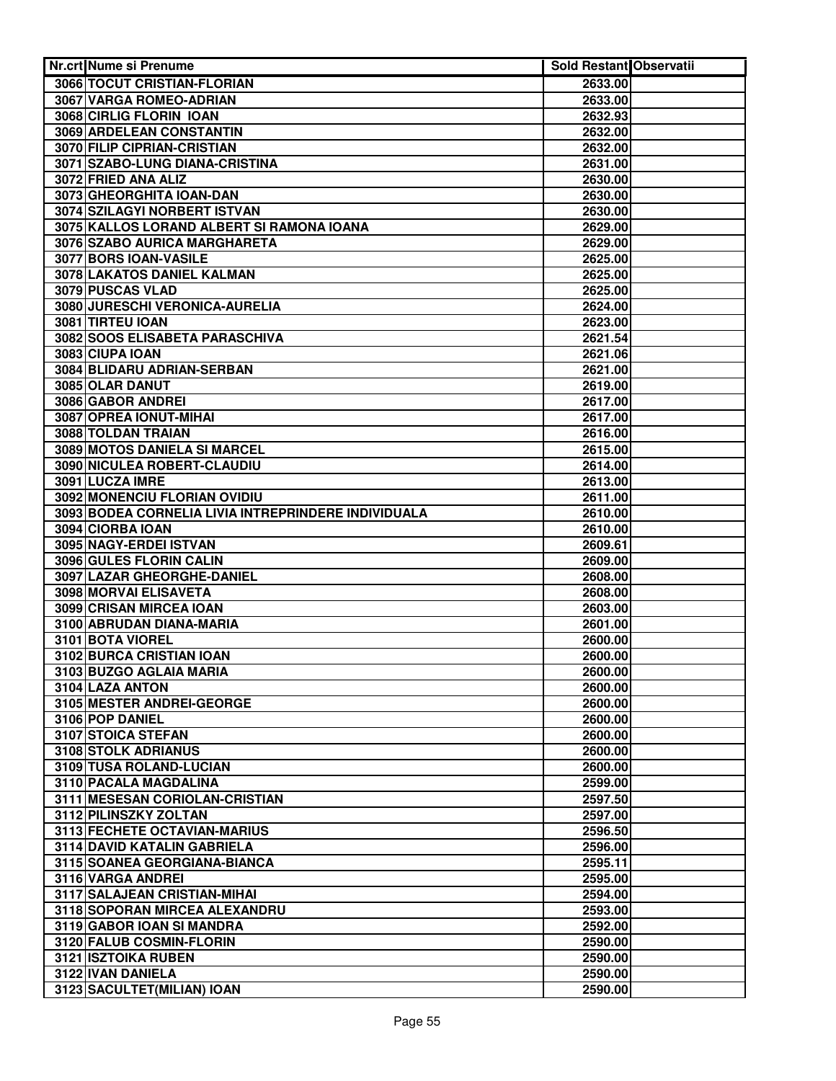| Nr.crt Nume si Prenume                              | <b>Sold Restant Observatii</b> |  |
|-----------------------------------------------------|--------------------------------|--|
| 3066 TOCUT CRISTIAN-FLORIAN                         | 2633.00                        |  |
| 3067 VARGA ROMEO-ADRIAN                             | 2633.00                        |  |
| 3068 CIRLIG FLORIN IOAN                             | 2632.93                        |  |
| <b>3069 ARDELEAN CONSTANTIN</b>                     | 2632.00                        |  |
| 3070 FILIP CIPRIAN-CRISTIAN                         | 2632.00                        |  |
| 3071 SZABO-LUNG DIANA-CRISTINA                      | 2631.00                        |  |
| 3072 FRIED ANA ALIZ                                 | 2630.00                        |  |
| 3073 GHEORGHITA IOAN-DAN                            | 2630.00                        |  |
| 3074 SZILAGYI NORBERT ISTVAN                        | 2630.00                        |  |
| 3075 KALLOS LORAND ALBERT SI RAMONA IOANA           | 2629.00                        |  |
| 3076 SZABO AURICA MARGHARETA                        | 2629.00                        |  |
| 3077 BORS IOAN-VASILE                               | 2625.00                        |  |
| 3078 LAKATOS DANIEL KALMAN                          | 2625.00                        |  |
| 3079 PUSCAS VLAD                                    | 2625.00                        |  |
| 3080 JURESCHI VERONICA-AURELIA                      | 2624.00                        |  |
| 3081 TIRTEU IOAN                                    | 2623.00                        |  |
| 3082 SOOS ELISABETA PARASCHIVA                      | 2621.54                        |  |
| 3083 CIUPA IOAN                                     | 2621.06                        |  |
| 3084 BLIDARU ADRIAN-SERBAN                          | 2621.00                        |  |
| 3085 OLAR DANUT                                     | 2619.00                        |  |
| 3086 GABOR ANDREI                                   | 2617.00                        |  |
| 3087 OPREA IONUT-MIHAI                              | 2617.00                        |  |
| 3088 TOLDAN TRAIAN                                  | 2616.00                        |  |
| 3089 MOTOS DANIELA SI MARCEL                        | 2615.00                        |  |
| 3090 NICULEA ROBERT-CLAUDIU                         | 2614.00                        |  |
| 3091 LUCZA IMRE                                     | 2613.00                        |  |
| 3092 MONENCIU FLORIAN OVIDIU                        | 2611.00                        |  |
| 3093 BODEA CORNELIA LIVIA INTREPRINDERE INDIVIDUALA | 2610.00                        |  |
| 3094 CIORBA IOAN                                    | 2610.00                        |  |
| 3095 NAGY-ERDEI ISTVAN                              | 2609.61                        |  |
| 3096 GULES FLORIN CALIN                             | 2609.00                        |  |
| 3097 LAZAR GHEORGHE-DANIEL                          | 2608.00                        |  |
| 3098 MORVAI ELISAVETA                               | 2608.00                        |  |
| 3099 CRISAN MIRCEA IOAN                             | 2603.00                        |  |
| 3100 ABRUDAN DIANA-MARIA                            | 2601.00                        |  |
| 3101 BOTA VIOREL                                    | 2600.00                        |  |
| 3102 BURCA CRISTIAN IOAN                            | 2600.00                        |  |
| 3103 BUZGO AGLAIA MARIA                             | 2600.00                        |  |
| 3104 LAZA ANTON                                     | 2600.00                        |  |
| 3105 MESTER ANDREI-GEORGE                           | 2600.00                        |  |
| 3106 POP DANIEL                                     | 2600.00                        |  |
| 3107 STOICA STEFAN                                  | 2600.00                        |  |
| 3108 STOLK ADRIANUS                                 | 2600.00                        |  |
| 3109 TUSA ROLAND-LUCIAN                             | 2600.00                        |  |
| 3110 PACALA MAGDALINA                               | 2599.00                        |  |
| 3111 MESESAN CORIOLAN-CRISTIAN                      | 2597.50                        |  |
| 3112 PILINSZKY ZOLTAN                               | 2597.00                        |  |
| 3113 FECHETE OCTAVIAN-MARIUS                        | 2596.50                        |  |
| 3114 DAVID KATALIN GABRIELA                         | 2596.00                        |  |
| 3115 SOANEA GEORGIANA-BIANCA                        | 2595.11                        |  |
| 3116 VARGA ANDREI                                   | 2595.00                        |  |
| 3117 SALAJEAN CRISTIAN-MIHAI                        | 2594.00                        |  |
| 3118 SOPORAN MIRCEA ALEXANDRU                       | 2593.00                        |  |
| 3119 GABOR IOAN SI MANDRA                           | 2592.00                        |  |
| 3120 FALUB COSMIN-FLORIN                            | 2590.00                        |  |
| 3121 ISZTOIKA RUBEN                                 | 2590.00                        |  |
| 3122 IVAN DANIELA                                   | 2590.00                        |  |
| 3123 SACULTET(MILIAN) IOAN                          | 2590.00                        |  |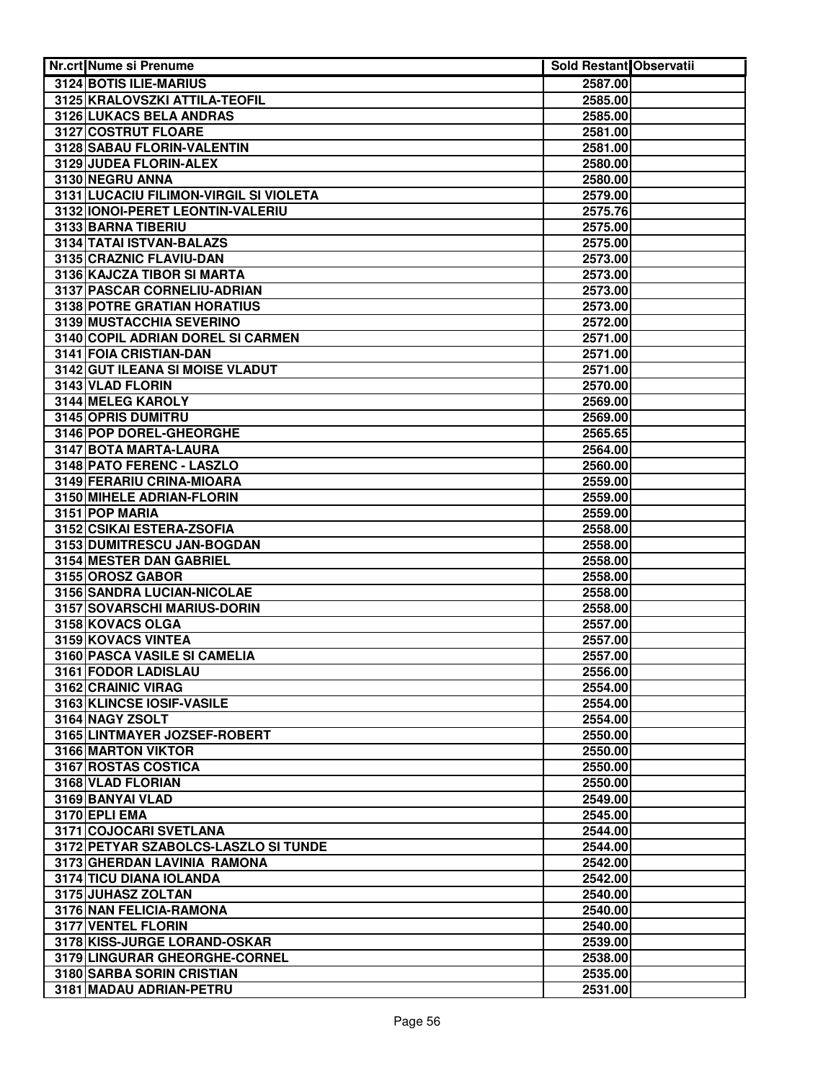| Nr.crt Nume si Prenume                                  | Sold Restant Observatii |  |
|---------------------------------------------------------|-------------------------|--|
| 3124 BOTIS ILIE-MARIUS                                  | 2587.00                 |  |
| 3125 KRALOVSZKI ATTILA-TEOFIL                           | 2585.00                 |  |
| 3126 LUKACS BELA ANDRAS                                 | 2585.00                 |  |
| 3127 COSTRUT FLOARE                                     | 2581.00                 |  |
| 3128 SABAU FLORIN-VALENTIN                              | 2581.00                 |  |
| 3129 JUDEA FLORIN-ALEX                                  | 2580.00                 |  |
| 3130 NEGRU ANNA                                         | 2580.00                 |  |
| 3131 LUCACIU FILIMON-VIRGIL SI VIOLETA                  | 2579.00                 |  |
| 3132 IONOI-PERET LEONTIN-VALERIU                        | 2575.76                 |  |
| 3133 BARNA TIBERIU                                      | 2575.00                 |  |
| 3134 TATAI ISTVAN-BALAZS                                | 2575.00                 |  |
| 3135 CRAZNIC FLAVIU-DAN                                 | 2573.00                 |  |
| 3136 KAJCZA TIBOR SI MARTA                              | 2573.00                 |  |
| 3137 PASCAR CORNELIU-ADRIAN                             | 2573.00                 |  |
| 3138 POTRE GRATIAN HORATIUS                             | 2573.00                 |  |
| 3139 MUSTACCHIA SEVERINO                                | 2572.00                 |  |
| 3140 COPIL ADRIAN DOREL SI CARMEN                       | 2571.00                 |  |
| 3141 FOIA CRISTIAN-DAN                                  | 2571.00                 |  |
| 3142 GUT ILEANA SI MOISE VLADUT                         | 2571.00                 |  |
| 3143 VLAD FLORIN                                        | 2570.00                 |  |
| 3144 MELEG KAROLY                                       | 2569.00                 |  |
| 3145 OPRIS DUMITRU                                      | 2569.00                 |  |
| 3146 POP DOREL-GHEORGHE                                 | 2565.65                 |  |
| 3147 BOTA MARTA-LAURA                                   | 2564.00                 |  |
| 3148 PATO FERENC - LASZLO                               | 2560.00                 |  |
| 3149 FERARIU CRINA-MIOARA                               | 2559.00                 |  |
| 3150 MIHELE ADRIAN-FLORIN                               | 2559.00                 |  |
| 3151 POP MARIA                                          | 2559.00                 |  |
| 3152 CSIKAI ESTERA-ZSOFIA<br>3153 DUMITRESCU JAN-BOGDAN | 2558.00<br>2558.00      |  |
| 3154 MESTER DAN GABRIEL                                 | 2558.00                 |  |
| 3155 OROSZ GABOR                                        | 2558.00                 |  |
| 3156 SANDRA LUCIAN-NICOLAE                              | 2558.00                 |  |
| 3157 SOVARSCHI MARIUS-DORIN                             | 2558.00                 |  |
| 3158 KOVACS OLGA                                        | 2557.00                 |  |
| 3159 KOVACS VINTEA                                      | 2557.00                 |  |
| 3160 PASCA VASILE SI CAMELIA                            | 2557.00                 |  |
| 3161 FODOR LADISLAU                                     | 2556.00                 |  |
| 3162 CRAINIC VIRAG                                      | 2554.00                 |  |
| 3163 KLINCSE IOSIF-VASILE                               | 2554.00                 |  |
| 3164 NAGY ZSOLT                                         | 2554.00                 |  |
| 3165 LINTMAYER JOZSEF-ROBERT                            | 2550.00                 |  |
| 3166 MARTON VIKTOR                                      | 2550.00                 |  |
| 3167 ROSTAS COSTICA                                     | 2550.00                 |  |
| 3168 VLAD FLORIAN                                       | 2550.00                 |  |
| 3169 BANYAI VLAD                                        | 2549.00                 |  |
| 3170 EPLI EMA                                           | 2545.00                 |  |
| 3171 COJOCARI SVETLANA                                  | 2544.00                 |  |
| 3172 PETYAR SZABOLCS-LASZLO SI TUNDE                    | 2544.00                 |  |
| 3173 GHERDAN LAVINIA RAMONA                             | 2542.00                 |  |
| 3174 TICU DIANA IOLANDA                                 | 2542.00                 |  |
| 3175 JUHASZ ZOLTAN                                      | 2540.00                 |  |
| 3176 NAN FELICIA-RAMONA                                 | 2540.00                 |  |
| 3177 VENTEL FLORIN                                      | 2540.00                 |  |
| 3178 KISS-JURGE LORAND-OSKAR                            | 2539.00                 |  |
| 3179 LINGURAR GHEORGHE-CORNEL                           | 2538.00                 |  |
| 3180 SARBA SORIN CRISTIAN                               | 2535.00                 |  |
| 3181 MADAU ADRIAN-PETRU                                 | 2531.00                 |  |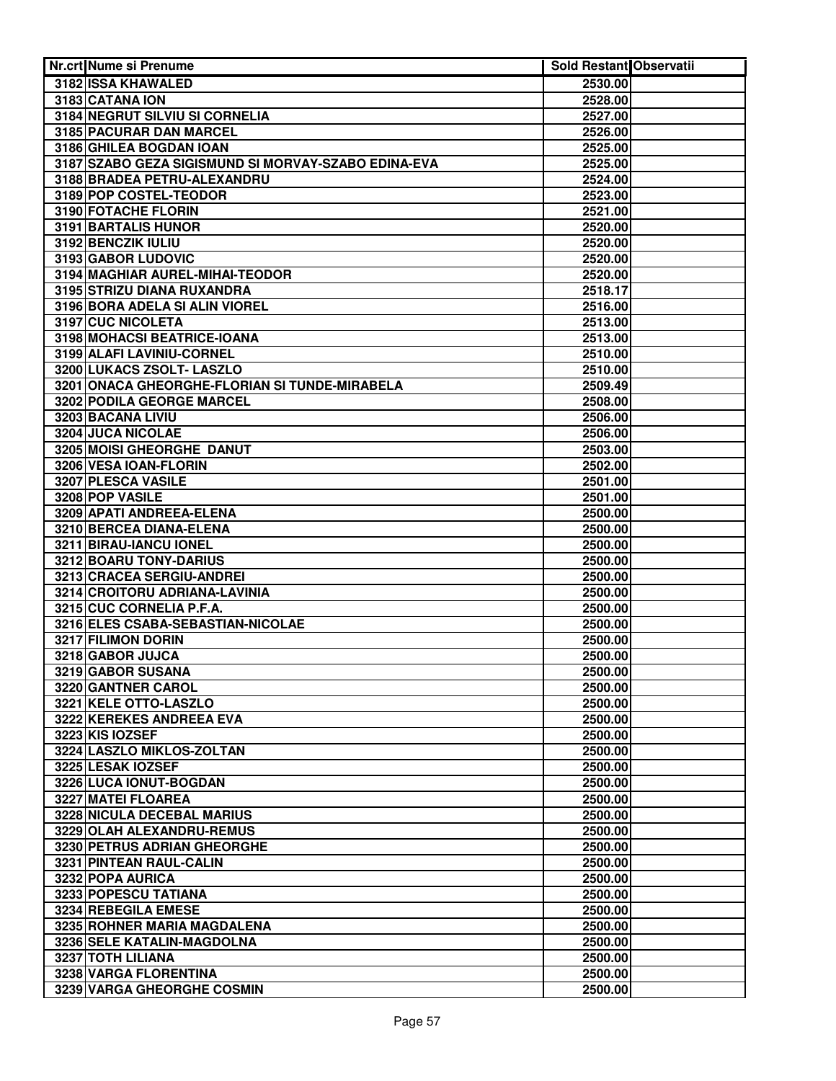| Nr.crt Nume si Prenume                              | <b>Sold Restant Observatii</b> |  |
|-----------------------------------------------------|--------------------------------|--|
| 3182 ISSA KHAWALED                                  | 2530.00                        |  |
| 3183 CATANA ION                                     | 2528.00                        |  |
| 3184 NEGRUT SILVIU SI CORNELIA                      | 2527.00                        |  |
| 3185 PACURAR DAN MARCEL                             | 2526.00                        |  |
| 3186 GHILEA BOGDAN IOAN                             | 2525.00                        |  |
| 3187 SZABO GEZA SIGISMUND SI MORVAY-SZABO EDINA-EVA | 2525.00                        |  |
| 3188 BRADEA PETRU-ALEXANDRU                         | 2524.00                        |  |
| 3189 POP COSTEL-TEODOR                              | 2523.00                        |  |
| 3190 FOTACHE FLORIN                                 | 2521.00                        |  |
| 3191 BARTALIS HUNOR                                 | 2520.00                        |  |
| 3192 BENCZIK IULIU                                  | 2520.00                        |  |
| 3193 GABOR LUDOVIC                                  | 2520.00                        |  |
| 3194 MAGHIAR AUREL-MIHAI-TEODOR                     | 2520.00                        |  |
| 3195 STRIZU DIANA RUXANDRA                          | 2518.17                        |  |
| 3196 BORA ADELA SI ALIN VIOREL                      | 2516.00                        |  |
| 3197 CUC NICOLETA                                   | 2513.00                        |  |
| 3198 MOHACSI BEATRICE-IOANA                         | 2513.00                        |  |
| 3199 ALAFI LAVINIU-CORNEL                           | 2510.00                        |  |
| 3200 LUKACS ZSOLT- LASZLO                           | 2510.00                        |  |
| 3201 ONACA GHEORGHE-FLORIAN SI TUNDE-MIRABELA       | 2509.49                        |  |
| 3202 PODILA GEORGE MARCEL                           | 2508.00                        |  |
| 3203 BACANA LIVIU                                   | 2506.00                        |  |
| 3204 JUCA NICOLAE                                   | 2506.00                        |  |
| 3205 MOISI GHEORGHE DANUT                           | 2503.00                        |  |
| 3206 VESA IOAN-FLORIN                               | 2502.00                        |  |
| 3207 PLESCA VASILE                                  | 2501.00                        |  |
| 3208 POP VASILE                                     | 2501.00                        |  |
| 3209 APATI ANDREEA-ELENA                            | 2500.00                        |  |
| 3210 BERCEA DIANA-ELENA                             | 2500.00                        |  |
| 3211 BIRAU-IANCU IONEL                              | 2500.00                        |  |
| 3212 BOARU TONY-DARIUS                              | 2500.00                        |  |
| 3213 CRACEA SERGIU-ANDREI                           | 2500.00                        |  |
| 3214 CROITORU ADRIANA-LAVINIA                       | 2500.00                        |  |
| 3215 CUC CORNELIA P.F.A.                            | 2500.00                        |  |
| 3216 ELES CSABA-SEBASTIAN-NICOLAE                   | 2500.00                        |  |
| 3217 FILIMON DORIN                                  | 2500.00                        |  |
| 3218 GABOR JUJCA                                    | 2500.00                        |  |
| 3219 GABOR SUSANA                                   | 2500.00                        |  |
| 3220 GANTNER CAROL                                  | 2500.00                        |  |
| 3221 KELE OTTO-LASZLO                               | 2500.00                        |  |
| 3222 KEREKES ANDREEA EVA                            | 2500.00                        |  |
| 3223 KIS IOZSEF                                     | 2500.00                        |  |
| 3224 LASZLO MIKLOS-ZOLTAN                           | 2500.00                        |  |
| 3225 LESAK IOZSEF                                   | 2500.00                        |  |
| 3226 LUCA IONUT-BOGDAN                              | 2500.00                        |  |
| 3227 MATEI FLOAREA                                  | 2500.00                        |  |
| 3228 NICULA DECEBAL MARIUS                          | 2500.00                        |  |
| 3229 OLAH ALEXANDRU-REMUS                           | 2500.00                        |  |
| 3230 PETRUS ADRIAN GHEORGHE                         | 2500.00                        |  |
| 3231 PINTEAN RAUL-CALIN                             | 2500.00                        |  |
| 3232 POPA AURICA                                    | 2500.00                        |  |
| 3233 POPESCU TATIANA                                | 2500.00                        |  |
| 3234 REBEGILA EMESE                                 | 2500.00                        |  |
| 3235 ROHNER MARIA MAGDALENA                         | 2500.00                        |  |
| 3236 SELE KATALIN-MAGDOLNA                          | 2500.00                        |  |
| 3237 TOTH LILIANA                                   | 2500.00                        |  |
| 3238 VARGA FLORENTINA                               | 2500.00                        |  |
| 3239 VARGA GHEORGHE COSMIN                          | 2500.00                        |  |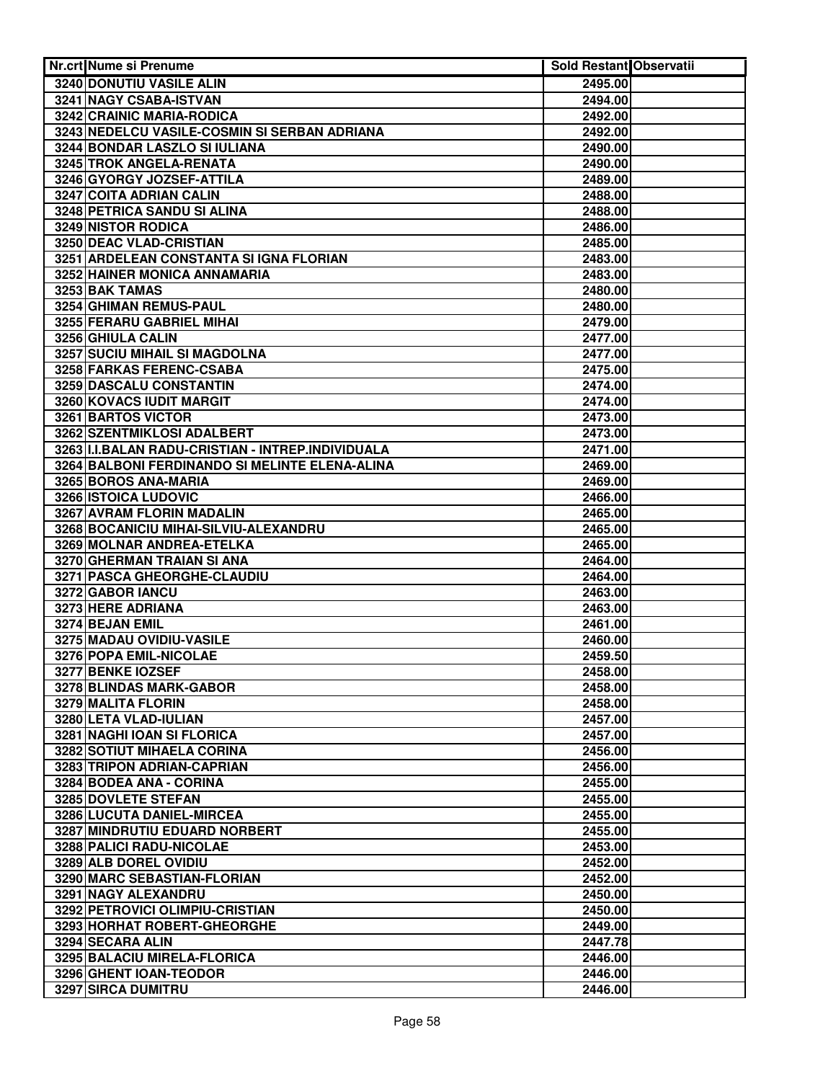| <b>Nr.crt Nume si Prenume</b>                     | <b>Sold Restant Observatii</b> |  |
|---------------------------------------------------|--------------------------------|--|
| 3240 DONUTIU VASILE ALIN                          | 2495.00                        |  |
| 3241 NAGY CSABA-ISTVAN                            | 2494.00                        |  |
| 3242 CRAINIC MARIA-RODICA                         | 2492.00                        |  |
| 3243 NEDELCU VASILE-COSMIN SI SERBAN ADRIANA      | 2492.00                        |  |
| 3244 BONDAR LASZLO SI IULIANA                     | 2490.00                        |  |
| 3245 TROK ANGELA-RENATA                           | 2490.00                        |  |
| 3246 GYORGY JOZSEF-ATTILA                         | 2489.00                        |  |
| 3247 COITA ADRIAN CALIN                           | 2488.00                        |  |
| 3248 PETRICA SANDU SI ALINA                       | 2488.00                        |  |
| 3249 NISTOR RODICA                                | 2486.00                        |  |
| 3250 DEAC VLAD-CRISTIAN                           | 2485.00                        |  |
| 3251 ARDELEAN CONSTANTA SI IGNA FLORIAN           | 2483.00                        |  |
| 3252 HAINER MONICA ANNAMARIA                      | 2483.00                        |  |
| 3253 BAK TAMAS                                    | 2480.00                        |  |
| 3254 GHIMAN REMUS-PAUL                            | 2480.00                        |  |
| 3255 FERARU GABRIEL MIHAI                         | 2479.00                        |  |
| 3256 GHIULA CALIN                                 | 2477.00                        |  |
| 3257 SUCIU MIHAIL SI MAGDOLNA                     | 2477.00                        |  |
| 3258 FARKAS FERENC-CSABA                          | 2475.00                        |  |
| 3259 DASCALU CONSTANTIN                           | 2474.00                        |  |
| 3260 KOVACS IUDIT MARGIT                          | 2474.00                        |  |
| 3261 BARTOS VICTOR                                | 2473.00                        |  |
| 3262 SZENTMIKLOSI ADALBERT                        | 2473.00                        |  |
| 3263 I.I.BALAN RADU-CRISTIAN - INTREP.INDIVIDUALA | 2471.00                        |  |
| 3264 BALBONI FERDINANDO SI MELINTE ELENA-ALINA    | 2469.00                        |  |
| 3265 BOROS ANA-MARIA                              | 2469.00                        |  |
| 3266 ISTOICA LUDOVIC                              | 2466.00                        |  |
| 3267 AVRAM FLORIN MADALIN                         | 2465.00                        |  |
| 3268 BOCANICIU MIHAI-SILVIU-ALEXANDRU             | 2465.00                        |  |
| 3269 MOLNAR ANDREA-ETELKA                         | 2465.00                        |  |
| 3270 GHERMAN TRAIAN SI ANA                        | 2464.00                        |  |
| 3271 PASCA GHEORGHE-CLAUDIU                       | 2464.00                        |  |
| 3272 GABOR IANCU                                  | 2463.00                        |  |
| 3273 HERE ADRIANA                                 | 2463.00                        |  |
| 3274 BEJAN EMIL                                   | 2461.00                        |  |
| 3275 MADAU OVIDIU-VASILE                          | 2460.00                        |  |
| 3276 POPA EMIL-NICOLAE                            | 2459.50                        |  |
| 3277 BENKE IOZSEF                                 | 2458.00                        |  |
| 3278 BLINDAS MARK-GABOR                           | 2458.00                        |  |
| 3279 MALITA FLORIN<br>3280 LETA VLAD-IULIAN       | 2458.00                        |  |
| 3281 NAGHI IOAN SI FLORICA                        | 2457.00<br>2457.00             |  |
| 3282 SOTIUT MIHAELA CORINA                        |                                |  |
| 3283 TRIPON ADRIAN-CAPRIAN                        | 2456.00<br>2456.00             |  |
| 3284 BODEA ANA - CORINA                           | 2455.00                        |  |
| 3285 DOVLETE STEFAN                               | 2455.00                        |  |
| 3286 LUCUTA DANIEL-MIRCEA                         | 2455.00                        |  |
| 3287 MINDRUTIU EDUARD NORBERT                     | 2455.00                        |  |
| 3288 PALICI RADU-NICOLAE                          | 2453.00                        |  |
| 3289 ALB DOREL OVIDIU                             | 2452.00                        |  |
| 3290 MARC SEBASTIAN-FLORIAN                       | 2452.00                        |  |
| 3291 NAGY ALEXANDRU                               | 2450.00                        |  |
| 3292 PETROVICI OLIMPIU-CRISTIAN                   | 2450.00                        |  |
| 3293 HORHAT ROBERT-GHEORGHE                       | 2449.00                        |  |
| 3294 SECARA ALIN                                  | 2447.78                        |  |
| 3295 BALACIU MIRELA-FLORICA                       | 2446.00                        |  |
| 3296 GHENT IOAN-TEODOR                            | 2446.00                        |  |
| 3297 SIRCA DUMITRU                                | 2446.00                        |  |
|                                                   |                                |  |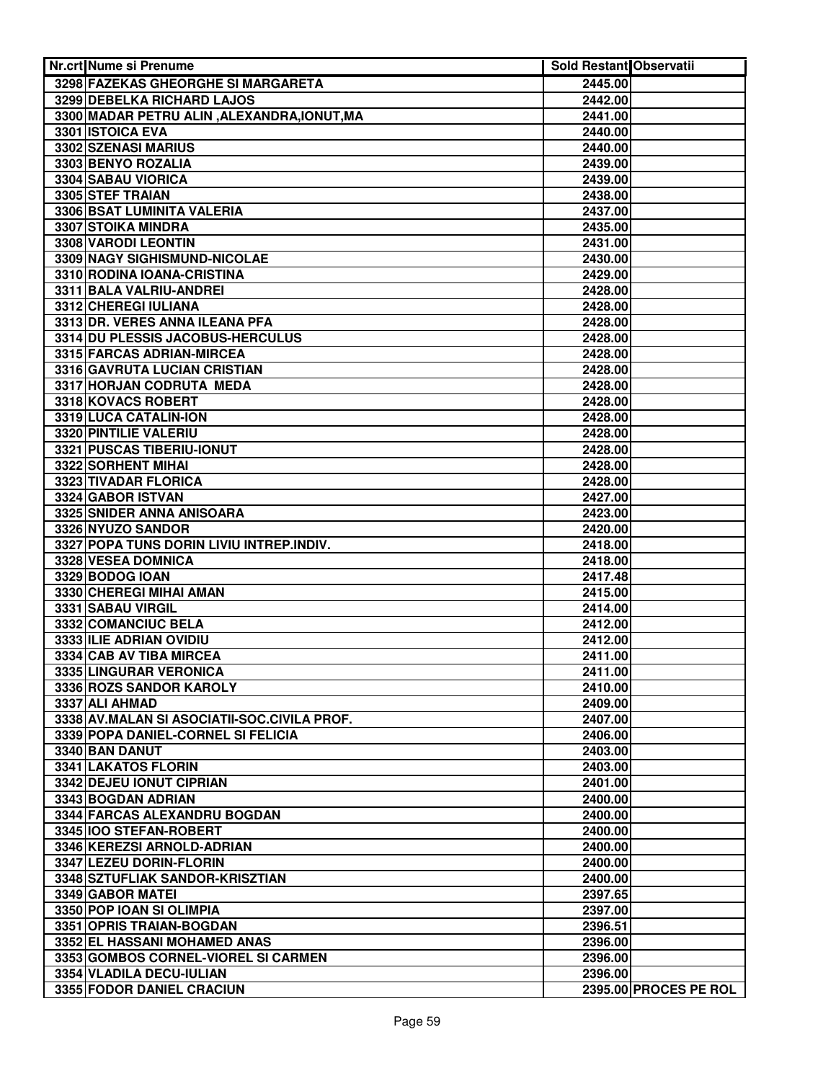| Nr.crt Nume si Prenume                      | Sold Restant Observatii |                       |
|---------------------------------------------|-------------------------|-----------------------|
| 3298 FAZEKAS GHEORGHE SI MARGARETA          | 2445.00                 |                       |
| 3299 DEBELKA RICHARD LAJOS                  | 2442.00                 |                       |
| 3300 MADAR PETRU ALIN, ALEXANDRA, IONUT, MA | 2441.00                 |                       |
| 3301 ISTOICA EVA                            | 2440.00                 |                       |
| 3302 SZENASI MARIUS                         | 2440.00                 |                       |
| 3303 BENYO ROZALIA                          | 2439.00                 |                       |
| 3304 SABAU VIORICA                          | 2439.00                 |                       |
| 3305 STEF TRAIAN                            | 2438.00                 |                       |
| 3306 BSAT LUMINITA VALERIA                  | 2437.00                 |                       |
| <b>3307 STOIKA MINDRA</b>                   | 2435.00                 |                       |
| 3308 VARODI LEONTIN                         | 2431.00                 |                       |
| 3309 NAGY SIGHISMUND-NICOLAE                | 2430.00                 |                       |
| 3310 RODINA IOANA-CRISTINA                  | 2429.00                 |                       |
| 3311 BALA VALRIU-ANDREI                     | 2428.00                 |                       |
| 3312 CHEREGI IULIANA                        | 2428.00                 |                       |
| 3313 DR. VERES ANNA ILEANA PFA              | 2428.00                 |                       |
| 3314 DU PLESSIS JACOBUS-HERCULUS            | 2428.00                 |                       |
| 3315 FARCAS ADRIAN-MIRCEA                   | 2428.00                 |                       |
| 3316 GAVRUTA LUCIAN CRISTIAN                | 2428.00                 |                       |
| 3317 HORJAN CODRUTA MEDA                    | 2428.00                 |                       |
| 3318 KOVACS ROBERT                          | 2428.00                 |                       |
| 3319 LUCA CATALIN-ION                       | 2428.00                 |                       |
| 3320 PINTILIE VALERIU                       | 2428.00                 |                       |
| 3321 PUSCAS TIBERIU-IONUT                   | 2428.00                 |                       |
| 3322 SORHENT MIHAI                          | 2428.00                 |                       |
| 3323 TIVADAR FLORICA                        | 2428.00                 |                       |
| 3324 GABOR ISTVAN                           | 2427.00                 |                       |
| 3325 SNIDER ANNA ANISOARA                   | 2423.00                 |                       |
| 3326 NYUZO SANDOR                           | 2420.00                 |                       |
| 3327 POPA TUNS DORIN LIVIU INTREP.INDIV.    | 2418.00                 |                       |
| 3328 VESEA DOMNICA                          | 2418.00                 |                       |
| 3329 BODOG IOAN                             | 2417.48                 |                       |
| 3330 CHEREGI MIHAI AMAN                     | 2415.00                 |                       |
| 3331 SABAU VIRGIL                           | 2414.00                 |                       |
| 3332 COMANCIUC BELA                         | 2412.00                 |                       |
| 3333 ILIE ADRIAN OVIDIU                     | 2412.00                 |                       |
| 3334 CAB AV TIBA MIRCEA                     | 2411.00                 |                       |
| 3335 LINGURAR VERONICA                      | 2411.00                 |                       |
| 3336 ROZS SANDOR KAROLY                     | 2410.00                 |                       |
| 3337 ALI AHMAD                              | 2409.00                 |                       |
| 3338 AV.MALAN SI ASOCIATII-SOC.CIVILA PROF. | 2407.00                 |                       |
| 3339 POPA DANIEL-CORNEL SI FELICIA          | 2406.00                 |                       |
| 3340 BAN DANUT                              | 2403.00                 |                       |
| 3341 LAKATOS FLORIN                         | 2403.00                 |                       |
| 3342 DEJEU IONUT CIPRIAN                    | 2401.00                 |                       |
| 3343 BOGDAN ADRIAN                          | 2400.00                 |                       |
| 3344 FARCAS ALEXANDRU BOGDAN                | 2400.00                 |                       |
| 3345 100 STEFAN-ROBERT                      | 2400.00                 |                       |
| 3346 KEREZSI ARNOLD-ADRIAN                  | 2400.00                 |                       |
| 3347 LEZEU DORIN-FLORIN                     | 2400.00                 |                       |
| 3348 SZTUFLIAK SANDOR-KRISZTIAN             | 2400.00                 |                       |
| 3349 GABOR MATEL                            | 2397.65                 |                       |
| 3350 POP IOAN SI OLIMPIA                    | 2397.00                 |                       |
| 3351 OPRIS TRAIAN-BOGDAN                    | 2396.51                 |                       |
| 3352 EL HASSANI MOHAMED ANAS                | 2396.00                 |                       |
| 3353 GOMBOS CORNEL-VIOREL SI CARMEN         | 2396.00                 |                       |
| 3354 VLADILA DECU-IULIAN                    | 2396.00                 |                       |
| 3355 FODOR DANIEL CRACIUN                   |                         | 2395.00 PROCES PE ROL |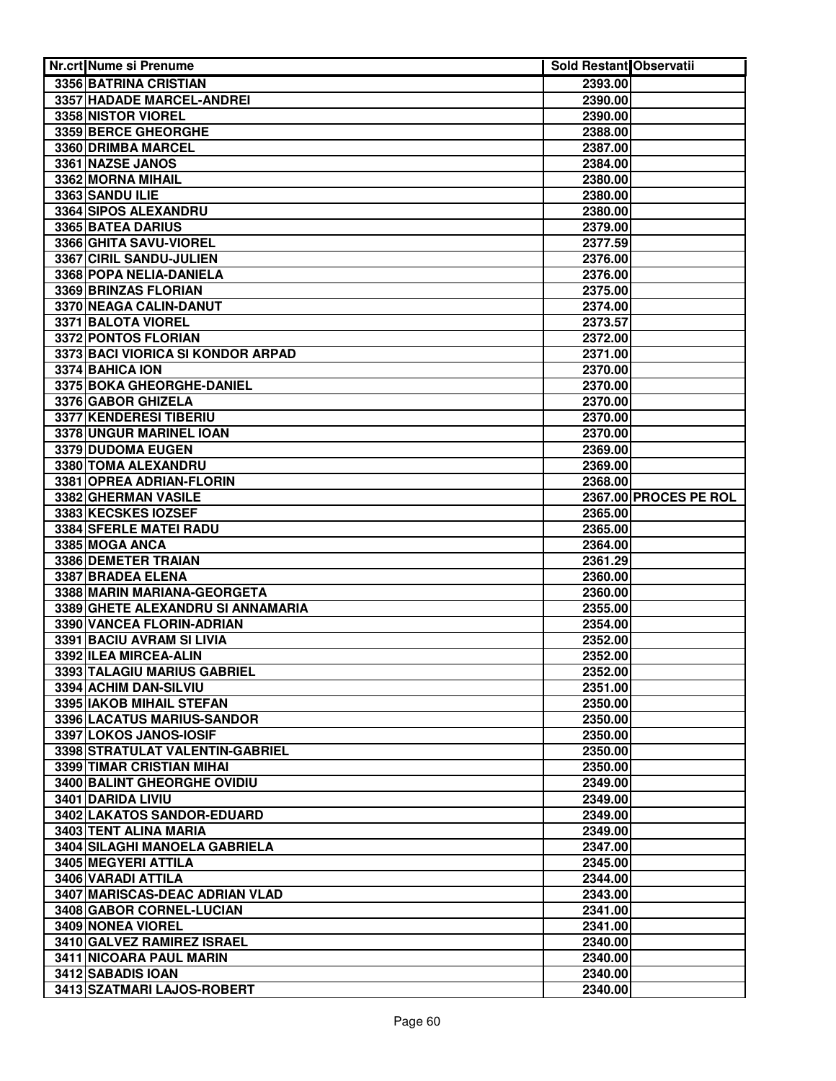| Nr.crt Nume si Prenume                                 | <b>Sold Restant Observatii</b> |                       |
|--------------------------------------------------------|--------------------------------|-----------------------|
| 3356 BATRINA CRISTIAN                                  | 2393.00                        |                       |
| <b>3357 HADADE MARCEL-ANDREI</b>                       | 2390.00                        |                       |
| 3358 NISTOR VIOREL                                     | 2390.00                        |                       |
| 3359 BERCE GHEORGHE                                    | 2388.00                        |                       |
| 3360 DRIMBA MARCEL                                     | 2387.00                        |                       |
| 3361 NAZSE JANOS                                       | 2384.00                        |                       |
| 3362 MORNA MIHAIL                                      | 2380.00                        |                       |
| 3363 SANDU ILIE                                        | 2380.00                        |                       |
| 3364 SIPOS ALEXANDRU                                   | 2380.00                        |                       |
| 3365 BATEA DARIUS                                      | 2379.00                        |                       |
| 3366 GHITA SAVU-VIOREL                                 | 2377.59                        |                       |
| 3367 CIRIL SANDU-JULIEN                                | 2376.00                        |                       |
| 3368 POPA NELIA-DANIELA                                | 2376.00                        |                       |
| 3369 BRINZAS FLORIAN                                   | 2375.00                        |                       |
| 3370 NEAGA CALIN-DANUT                                 | 2374.00                        |                       |
| 3371 BALOTA VIOREL                                     | 2373.57                        |                       |
| 3372 PONTOS FLORIAN                                    | 2372.00                        |                       |
| 3373 BACI VIORICA SI KONDOR ARPAD                      | 2371.00                        |                       |
| 3374 BAHICA ION                                        | 2370.00                        |                       |
| 3375 BOKA GHEORGHE-DANIEL                              | 2370.00                        |                       |
| 3376 GABOR GHIZELA                                     | 2370.00                        |                       |
| 3377 KENDERESI TIBERIU                                 | 2370.00                        |                       |
| 3378 UNGUR MARINEL IOAN                                | 2370.00                        |                       |
| 3379 DUDOMA EUGEN                                      | 2369.00                        |                       |
| 3380 TOMA ALEXANDRU                                    | 2369.00                        |                       |
| 3381 OPREA ADRIAN-FLORIN                               | 2368.00                        |                       |
| 3382 GHERMAN VASILE                                    |                                | 2367.00 PROCES PE ROL |
| 3383 KECSKES IOZSEF                                    | 2365.00                        |                       |
| 3384 SFERLE MATEI RADU                                 | 2365.00                        |                       |
| 3385 MOGA ANCA                                         | 2364.00                        |                       |
| 3386 DEMETER TRAIAN                                    | 2361.29                        |                       |
| 3387 BRADEA ELENA                                      | 2360.00                        |                       |
| 3388 MARIN MARIANA-GEORGETA                            | 2360.00                        |                       |
| 3389 GHETE ALEXANDRU SI ANNAMARIA                      | 2355.00                        |                       |
| 3390 VANCEA FLORIN-ADRIAN                              | 2354.00                        |                       |
| 3391 BACIU AVRAM SI LIVIA                              | 2352.00                        |                       |
| 3392 ILEA MIRCEA-ALIN                                  | 2352.00                        |                       |
| 3393 TALAGIU MARIUS GABRIEL                            | 2352.00                        |                       |
| 3394 ACHIM DAN-SILVIU                                  | 2351.00                        |                       |
| 3395 IAKOB MIHAIL STEFAN                               | 2350.00                        |                       |
| 3396 LACATUS MARIUS-SANDOR                             | 2350.00                        |                       |
| 3397 LOKOS JANOS-IOSIF                                 | 2350.00                        |                       |
| 3398 STRATULAT VALENTIN-GABRIEL                        | 2350.00                        |                       |
| 3399 TIMAR CRISTIAN MIHAI                              | 2350.00                        |                       |
| 3400 BALINT GHEORGHE OVIDIU                            | 2349.00                        |                       |
| 3401 DARIDA LIVIU                                      | 2349.00                        |                       |
| 3402 LAKATOS SANDOR-EDUARD                             | 2349.00                        |                       |
| 3403 TENT ALINA MARIA<br>3404 SILAGHI MANOELA GABRIELA | 2349.00<br>2347.00             |                       |
| 3405 MEGYERI ATTILA                                    |                                |                       |
| 3406 VARADI ATTILA                                     | 2345.00<br>2344.00             |                       |
| 3407 MARISCAS-DEAC ADRIAN VLAD                         | 2343.00                        |                       |
| 3408 GABOR CORNEL-LUCIAN                               | 2341.00                        |                       |
| 3409 NONEA VIOREL                                      | 2341.00                        |                       |
| 3410 GALVEZ RAMIREZ ISRAEL                             | 2340.00                        |                       |
| 3411 NICOARA PAUL MARIN                                | 2340.00                        |                       |
| 3412 SABADIS IOAN                                      | 2340.00                        |                       |
| 3413 SZATMARI LAJOS-ROBERT                             | 2340.00                        |                       |
|                                                        |                                |                       |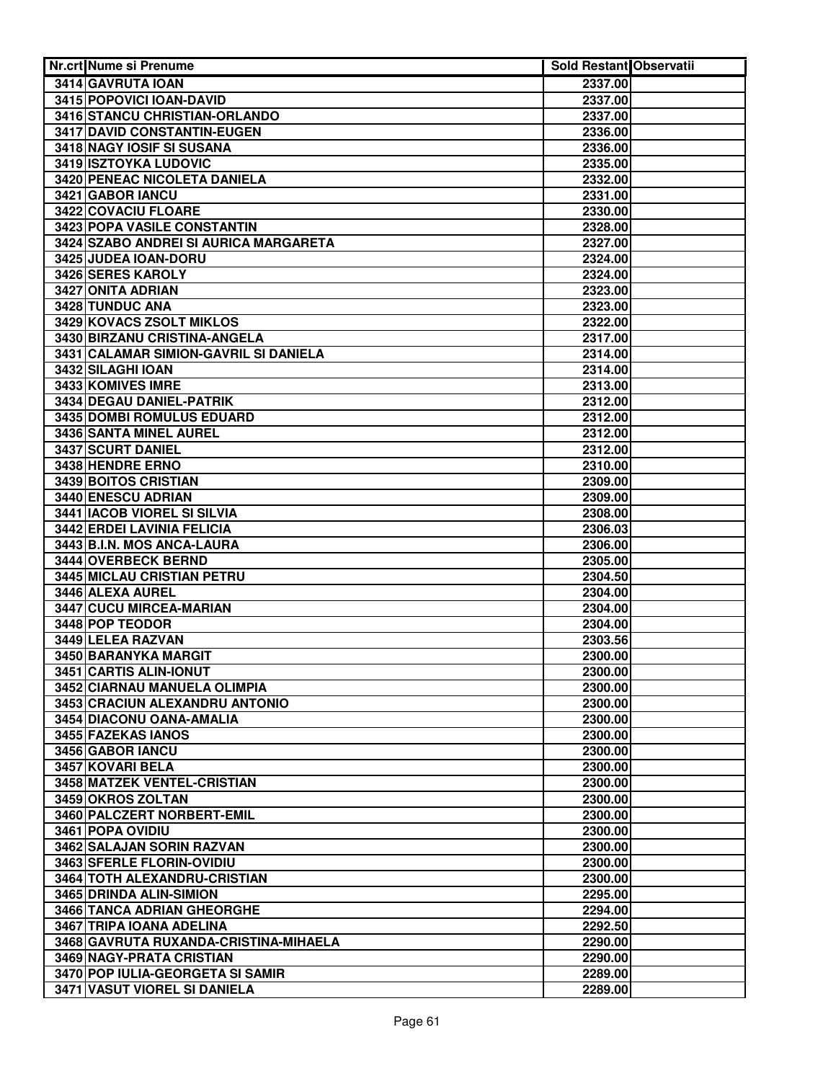| <b>Nr.crt Nume si Prenume</b>         | Sold Restant Observatii |  |
|---------------------------------------|-------------------------|--|
| 3414 GAVRUTA IOAN                     | 2337.00                 |  |
| 3415 POPOVICI IOAN-DAVID              | 2337.00                 |  |
| 3416 STANCU CHRISTIAN-ORLANDO         | 2337.00                 |  |
| 3417 DAVID CONSTANTIN-EUGEN           | 2336.00                 |  |
| 3418 NAGY IOSIF SI SUSANA             | 2336.00                 |  |
| <b>3419 ISZTOYKA LUDOVIC</b>          | 2335.00                 |  |
| 3420 PENEAC NICOLETA DANIELA          | 2332.00                 |  |
| 3421 GABOR IANCU                      | 2331.00                 |  |
| 3422 COVACIU FLOARE                   | 2330.00                 |  |
| 3423 POPA VASILE CONSTANTIN           | 2328.00                 |  |
| 3424 SZABO ANDREI SI AURICA MARGARETA | 2327.00                 |  |
| 3425 JUDEA IOAN-DORU                  | 2324.00                 |  |
| 3426 SERES KAROLY                     | 2324.00                 |  |
| 3427 ONITA ADRIAN                     | 2323.00                 |  |
| 3428 TUNDUC ANA                       | 2323.00                 |  |
| 3429 KOVACS ZSOLT MIKLOS              | 2322.00                 |  |
| 3430 BIRZANU CRISTINA-ANGELA          | 2317.00                 |  |
| 3431 CALAMAR SIMION-GAVRIL SI DANIELA | 2314.00                 |  |
| 3432 SILAGHI IOAN                     |                         |  |
| 3433 KOMIVES IMRE                     | 2314.00<br>2313.00      |  |
| 3434 DEGAU DANIEL-PATRIK              | 2312.00                 |  |
| 3435 DOMBI ROMULUS EDUARD             | 2312.00                 |  |
| 3436 SANTA MINEL AUREL                | 2312.00                 |  |
| 3437 SCURT DANIEL                     | 2312.00                 |  |
| 3438 HENDRE ERNO                      | 2310.00                 |  |
| 3439 BOITOS CRISTIAN                  | 2309.00                 |  |
| 3440 ENESCU ADRIAN                    | 2309.00                 |  |
| 3441 IACOB VIOREL SI SILVIA           | 2308.00                 |  |
| <b>3442 ERDEI LAVINIA FELICIA</b>     | 2306.03                 |  |
| 3443 B.I.N. MOS ANCA-LAURA            | 2306.00                 |  |
| 3444 OVERBECK BERND                   | 2305.00                 |  |
| <b>3445 MICLAU CRISTIAN PETRU</b>     | 2304.50                 |  |
| 3446 ALEXA AUREL                      | 2304.00                 |  |
| 3447 CUCU MIRCEA-MARIAN               | 2304.00                 |  |
| 3448 POP TEODOR                       | 2304.00                 |  |
| 3449 LELEA RAZVAN                     | 2303.56                 |  |
| 3450 BARANYKA MARGIT                  | 2300.00                 |  |
| 3451 CARTIS ALIN-IONUT                | 2300.00                 |  |
| 3452 CIARNAU MANUELA OLIMPIA          | 2300.00                 |  |
| 3453 CRACIUN ALEXANDRU ANTONIO        | 2300.00                 |  |
| 3454 DIACONU OANA-AMALIA              | 2300.00                 |  |
| 3455 FAZEKAS IANOS                    | 2300.00                 |  |
| 3456 GABOR IANCU                      | 2300.00                 |  |
| 3457 KOVARI BELA                      | 2300.00                 |  |
| 3458 MATZEK VENTEL-CRISTIAN           | 2300.00                 |  |
| 3459 OKROS ZOLTAN                     | 2300.00                 |  |
| 3460 PALCZERT NORBERT-EMIL            | 2300.00                 |  |
| 3461 POPA OVIDIU                      | 2300.00                 |  |
| 3462 SALAJAN SORIN RAZVAN             | 2300.00                 |  |
| 3463 SFERLE FLORIN-OVIDIU             | 2300.00                 |  |
| 3464 TOTH ALEXANDRU-CRISTIAN          | 2300.00                 |  |
| 3465 DRINDA ALIN-SIMION               | 2295.00                 |  |
| 3466 TANCA ADRIAN GHEORGHE            | 2294.00                 |  |
| 3467 TRIPA IOANA ADELINA              | 2292.50                 |  |
| 3468 GAVRUTA RUXANDA-CRISTINA-MIHAELA | 2290.00                 |  |
| 3469 NAGY-PRATA CRISTIAN              | 2290.00                 |  |
| 3470 POP IULIA-GEORGETA SI SAMIR      | 2289.00                 |  |
| 3471 VASUT VIOREL SI DANIELA          | 2289.00                 |  |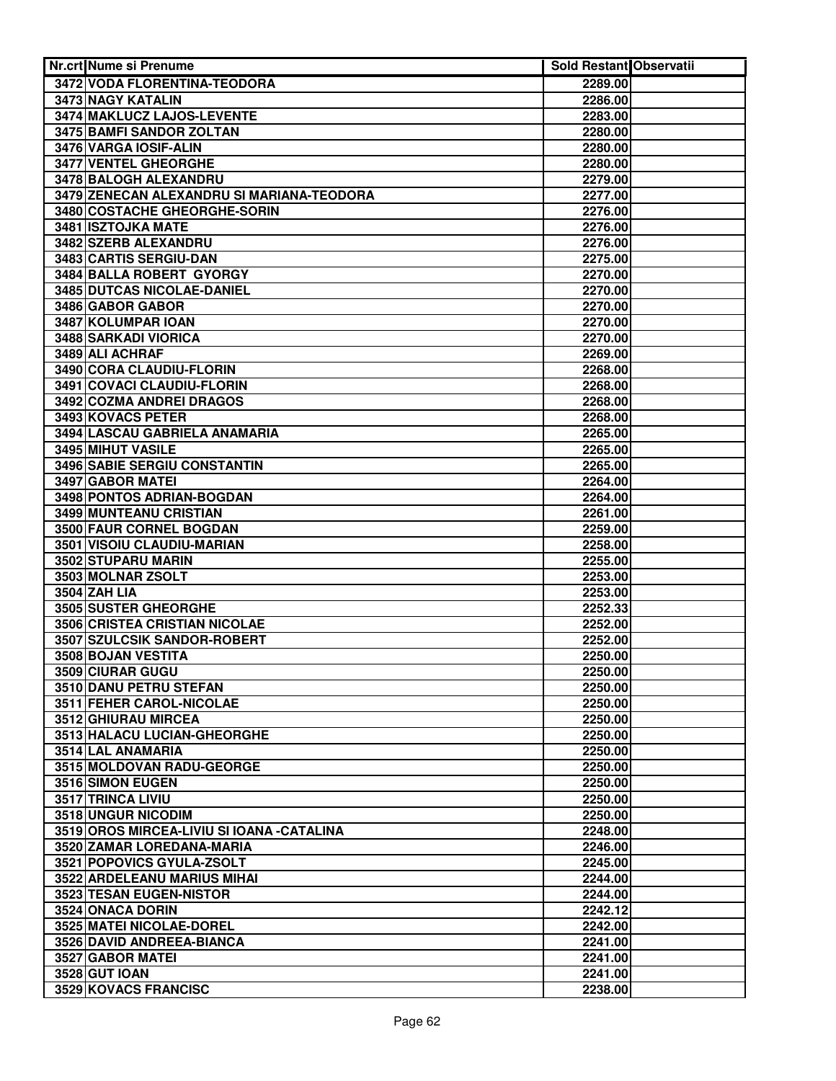| <b>Nr.crt Nume si Prenume</b>              | <b>Sold Restant Observatii</b> |  |
|--------------------------------------------|--------------------------------|--|
| 3472 VODA FLORENTINA-TEODORA               | 2289.00                        |  |
| <b>3473 NAGY KATALIN</b>                   | 2286.00                        |  |
| 3474 MAKLUCZ LAJOS-LEVENTE                 | 2283.00                        |  |
| 3475 BAMFI SANDOR ZOLTAN                   | 2280.00                        |  |
| 3476 VARGA IOSIF-ALIN                      | 2280.00                        |  |
| <b>3477 VENTEL GHEORGHE</b>                | 2280.00                        |  |
| 3478 BALOGH ALEXANDRU                      | 2279.00                        |  |
| 3479 ZENECAN ALEXANDRU SI MARIANA-TEODORA  | 2277.00                        |  |
| 3480 COSTACHE GHEORGHE-SORIN               | 2276.00                        |  |
| <b>3481 ISZTOJKA MATE</b>                  | 2276.00                        |  |
| 3482 SZERB ALEXANDRU                       | 2276.00                        |  |
| 3483 CARTIS SERGIU-DAN                     | 2275.00                        |  |
| 3484 BALLA ROBERT GYORGY                   | 2270.00                        |  |
| 3485 DUTCAS NICOLAE-DANIEL                 | 2270.00                        |  |
| 3486 GABOR GABOR                           | 2270.00                        |  |
| 3487 KOLUMPAR IOAN                         | 2270.00                        |  |
| 3488 SARKADI VIORICA                       | 2270.00                        |  |
| 3489 ALI ACHRAF                            | 2269.00                        |  |
| 3490 CORA CLAUDIU-FLORIN                   | 2268.00                        |  |
| 3491 COVACI CLAUDIU-FLORIN                 | 2268.00                        |  |
| 3492 COZMA ANDREI DRAGOS                   | 2268.00                        |  |
| 3493 KOVACS PETER                          | 2268.00                        |  |
| 3494 LASCAU GABRIELA ANAMARIA              | 2265.00                        |  |
| 3495 MIHUT VASILE                          | 2265.00                        |  |
| 3496 SABIE SERGIU CONSTANTIN               | 2265.00                        |  |
| 3497 GABOR MATEI                           | 2264.00                        |  |
| 3498 PONTOS ADRIAN-BOGDAN                  | 2264.00                        |  |
| <b>3499 MUNTEANU CRISTIAN</b>              | 2261.00                        |  |
| <b>3500 FAUR CORNEL BOGDAN</b>             | 2259.00                        |  |
| 3501 VISOIU CLAUDIU-MARIAN                 | 2258.00                        |  |
| 3502 STUPARU MARIN                         | 2255.00                        |  |
| 3503 MOLNAR ZSOLT                          | 2253.00                        |  |
| <b>3504 ZAH LIA</b>                        | 2253.00                        |  |
| 3505 SUSTER GHEORGHE                       | 2252.33                        |  |
| <b>3506 CRISTEA CRISTIAN NICOLAE</b>       | 2252.00                        |  |
| 3507 SZULCSIK SANDOR-ROBERT                | 2252.00                        |  |
| 3508 BOJAN VESTITA                         | 2250.00                        |  |
| 3509 CIURAR GUGU                           | 2250.00                        |  |
| 3510 DANU PETRU STEFAN                     | 2250.00                        |  |
| 3511 FEHER CAROL-NICOLAE                   | 2250.00                        |  |
| 3512 GHIURAU MIRCEA                        | 2250.00                        |  |
| 3513 HALACU LUCIAN-GHEORGHE                | 2250.00                        |  |
| 3514 LAL ANAMARIA                          | 2250.00                        |  |
| 3515 MOLDOVAN RADU-GEORGE                  | 2250.00                        |  |
| 3516 SIMON EUGEN                           | 2250.00                        |  |
| 3517 TRINCA LIVIU                          | 2250.00                        |  |
| 3518 UNGUR NICODIM                         | 2250.00                        |  |
| 3519 OROS MIRCEA-LIVIU SI IOANA - CATALINA | 2248.00                        |  |
| 3520 ZAMAR LOREDANA-MARIA                  | 2246.00                        |  |
| 3521 POPOVICS GYULA-ZSOLT                  | 2245.00                        |  |
| 3522 ARDELEANU MARIUS MIHAI                | 2244.00                        |  |
| <b>3523 TESAN EUGEN-NISTOR</b>             | 2244.00                        |  |
| 3524 ONACA DORIN                           | 2242.12                        |  |
| 3525 MATEI NICOLAE-DOREL                   | 2242.00                        |  |
| 3526 DAVID ANDREEA-BIANCA                  | 2241.00                        |  |
| 3527 GABOR MATEI                           | 2241.00                        |  |
| <b>3528 GUT IOAN</b>                       | 2241.00                        |  |
| 3529 KOVACS FRANCISC                       | 2238.00                        |  |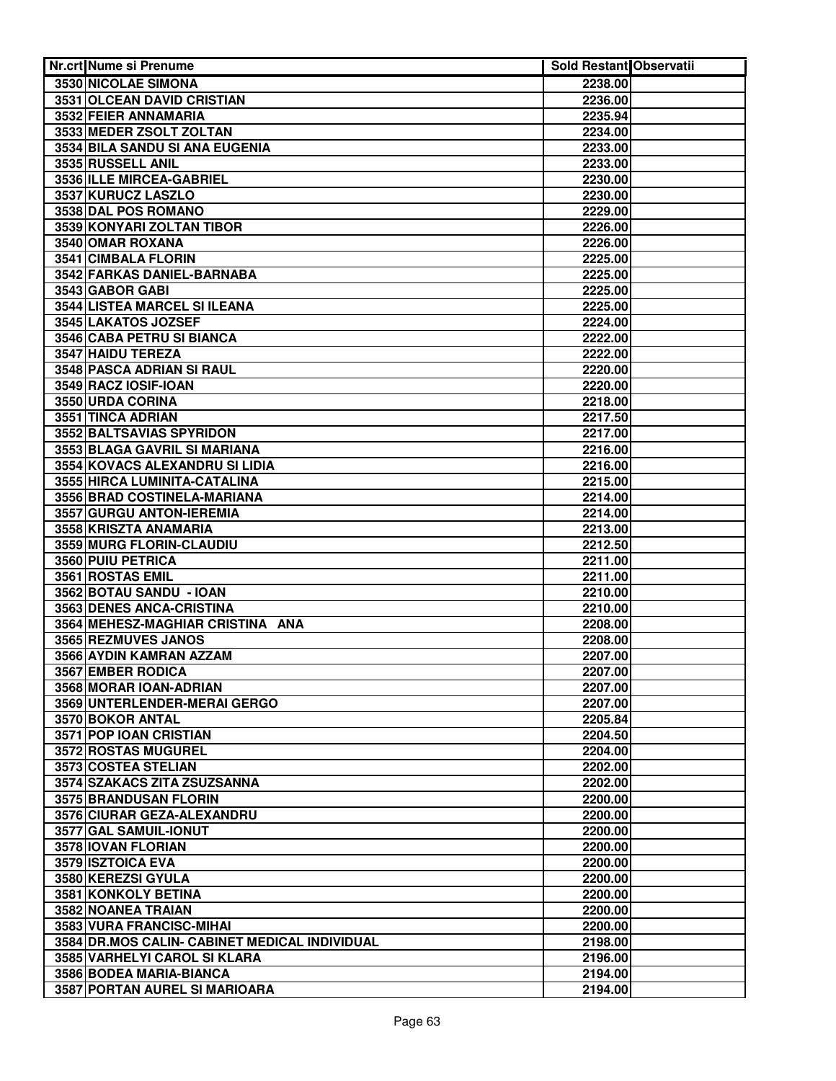| Nr.crt Nume si Prenume                        | <b>Sold Restant Observatii</b> |  |
|-----------------------------------------------|--------------------------------|--|
| 3530 NICOLAE SIMONA                           | 2238.00                        |  |
| <b>3531 OLCEAN DAVID CRISTIAN</b>             | 2236.00                        |  |
| 3532 FEIER ANNAMARIA                          | 2235.94                        |  |
| 3533 MEDER ZSOLT ZOLTAN                       | 2234.00                        |  |
| 3534 BILA SANDU SI ANA EUGENIA                | 2233.00                        |  |
| 3535 RUSSELL ANIL                             | 2233.00                        |  |
| 3536 ILLE MIRCEA-GABRIEL                      | 2230.00                        |  |
| 3537 KURUCZ LASZLO                            | 2230.00                        |  |
| 3538 DAL POS ROMANO                           | 2229.00                        |  |
| 3539 KONYARI ZOLTAN TIBOR                     | 2226.00                        |  |
| 3540 OMAR ROXANA                              | 2226.00                        |  |
| 3541 CIMBALA FLORIN                           | 2225.00                        |  |
| 3542 FARKAS DANIEL-BARNABA                    | 2225.00                        |  |
| 3543 GABOR GABI                               | 2225.00                        |  |
| 3544 LISTEA MARCEL SI ILEANA                  | 2225.00                        |  |
| 3545 LAKATOS JOZSEF                           | 2224.00                        |  |
| 3546 CABA PETRU SI BIANCA                     | 2222.00                        |  |
| 3547 HAIDU TEREZA                             | 2222.00                        |  |
| 3548 PASCA ADRIAN SI RAUL                     | 2220.00                        |  |
| 3549 RACZ IOSIF-IOAN                          | 2220.00                        |  |
| 3550 URDA CORINA                              | 2218.00                        |  |
| 3551 TINCA ADRIAN                             | 2217.50                        |  |
| 3552 BALTSAVIAS SPYRIDON                      | 2217.00                        |  |
| 3553 BLAGA GAVRIL SI MARIANA                  | 2216.00                        |  |
| 3554 KOVACS ALEXANDRU SI LIDIA                | 2216.00                        |  |
| 3555 HIRCA LUMINITA-CATALINA                  | 2215.00                        |  |
| 3556 BRAD COSTINELA-MARIANA                   | 2214.00                        |  |
| 3557 GURGU ANTON-IEREMIA                      | 2214.00                        |  |
| 3558 KRISZTA ANAMARIA                         | 2213.00                        |  |
| 3559 MURG FLORIN-CLAUDIU                      | 2212.50                        |  |
| 3560 PUIU PETRICA                             | 2211.00                        |  |
| 3561 ROSTAS EMIL                              | 2211.00                        |  |
| 3562 BOTAU SANDU - IOAN                       | 2210.00                        |  |
| 3563 DENES ANCA-CRISTINA                      | 2210.00                        |  |
| 3564 MEHESZ-MAGHIAR CRISTINA ANA              | 2208.00                        |  |
| 3565 REZMUVES JANOS                           | 2208.00                        |  |
| 3566 AYDIN KAMRAN AZZAM                       | 2207.00                        |  |
| 3567 EMBER RODICA                             | 2207.00                        |  |
| 3568 MORAR IOAN-ADRIAN                        | 2207.00                        |  |
| 3569 UNTERLENDER-MERAI GERGO                  | 2207.00                        |  |
| 3570 BOKOR ANTAL<br>3571 POP IOAN CRISTIAN    | 2205.84<br>2204.50             |  |
| 3572 ROSTAS MUGUREL                           |                                |  |
| 3573 COSTEA STELIAN                           | 2204.00<br>2202.00             |  |
| 3574 SZAKACS ZITA ZSUZSANNA                   | 2202.00                        |  |
| 3575 BRANDUSAN FLORIN                         | 2200.00                        |  |
| 3576 CIURAR GEZA-ALEXANDRU                    | 2200.00                        |  |
| 3577 GAL SAMUIL-IONUT                         | 2200.00                        |  |
| 3578 IOVAN FLORIAN                            | 2200.00                        |  |
| 3579 ISZTOICA EVA                             | 2200.00                        |  |
| 3580 KEREZSI GYULA                            | 2200.00                        |  |
| <b>3581 KONKOLY BETINA</b>                    | 2200.00                        |  |
| 3582 NOANEA TRAIAN                            | 2200.00                        |  |
| 3583 VURA FRANCISC-MIHAI                      | 2200.00                        |  |
| 3584 DR.MOS CALIN- CABINET MEDICAL INDIVIDUAL | 2198.00                        |  |
| 3585 VARHELYI CAROL SI KLARA                  | 2196.00                        |  |
| 3586 BODEA MARIA-BIANCA                       | 2194.00                        |  |
| 3587 PORTAN AUREL SI MARIOARA                 | 2194.00                        |  |
|                                               |                                |  |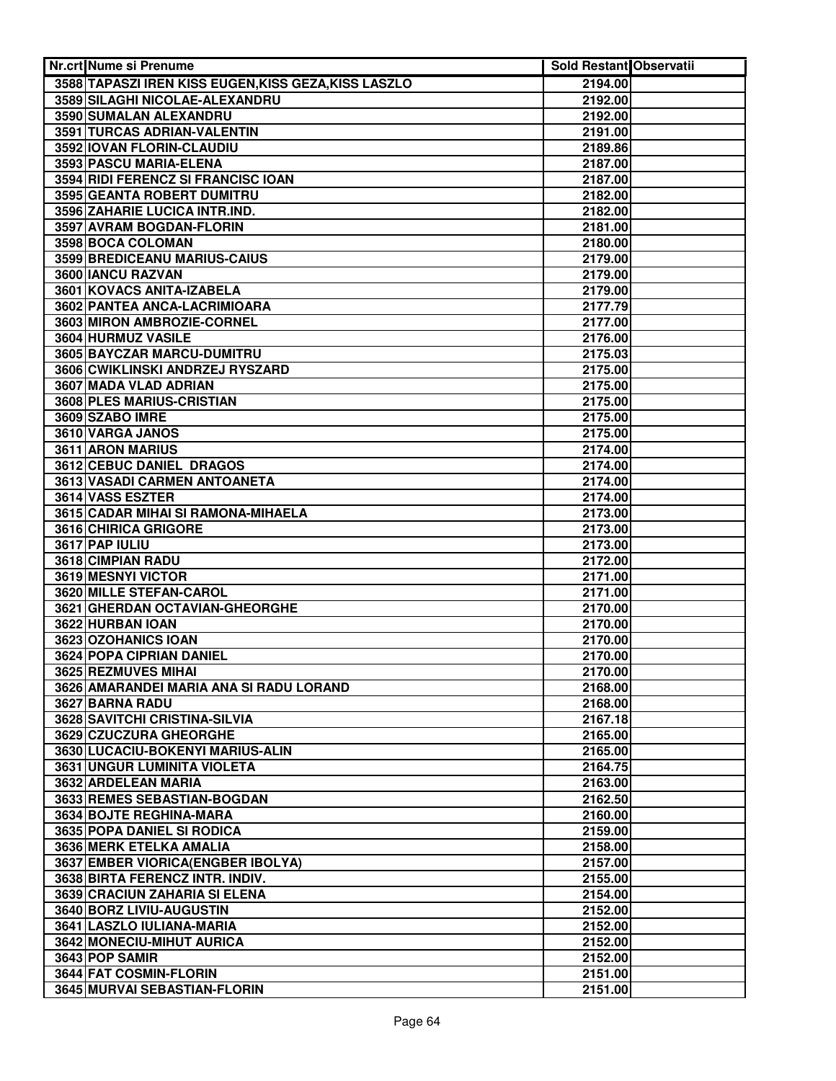| Nr.crt Nume si Prenume                               | Sold Restant Observatii |  |
|------------------------------------------------------|-------------------------|--|
| 3588 TAPASZI IREN KISS EUGEN, KISS GEZA, KISS LASZLO | 2194.00                 |  |
| 3589 SILAGHI NICOLAE-ALEXANDRU                       | 2192.00                 |  |
| 3590 SUMALAN ALEXANDRU                               | 2192.00                 |  |
| 3591 TURCAS ADRIAN-VALENTIN                          | 2191.00                 |  |
| 3592 IOVAN FLORIN-CLAUDIU                            | 2189.86                 |  |
| 3593 PASCU MARIA-ELENA                               | 2187.00                 |  |
| 3594 RIDI FERENCZ SI FRANCISC IOAN                   | 2187.00                 |  |
| 3595 GEANTA ROBERT DUMITRU                           | 2182.00                 |  |
| 3596 ZAHARIE LUCICA INTR.IND.                        | 2182.00                 |  |
| 3597 AVRAM BOGDAN-FLORIN                             | 2181.00                 |  |
| 3598 BOCA COLOMAN                                    | 2180.00                 |  |
| 3599 BREDICEANU MARIUS-CAIUS                         | 2179.00                 |  |
| 3600 IANCU RAZVAN                                    | 2179.00                 |  |
| 3601 KOVACS ANITA-IZABELA                            | 2179.00                 |  |
| 3602 PANTEA ANCA-LACRIMIOARA                         | 2177.79                 |  |
| 3603 MIRON AMBROZIE-CORNEL                           | 2177.00                 |  |
| 3604 HURMUZ VASILE                                   | 2176.00                 |  |
| 3605 BAYCZAR MARCU-DUMITRU                           | 2175.03                 |  |
| 3606 CWIKLINSKI ANDRZEJ RYSZARD                      | 2175.00                 |  |
| 3607 MADA VLAD ADRIAN                                | 2175.00                 |  |
| 3608 PLES MARIUS-CRISTIAN                            | 2175.00                 |  |
| 3609 SZABO IMRE                                      | 2175.00                 |  |
| 3610 VARGA JANOS                                     | 2175.00                 |  |
| 3611 ARON MARIUS                                     | 2174.00                 |  |
| 3612 CEBUC DANIEL DRAGOS                             | 2174.00                 |  |
| 3613 VASADI CARMEN ANTOANETA                         | 2174.00                 |  |
| 3614 VASS ESZTER                                     | 2174.00                 |  |
| 3615 CADAR MIHAI SI RAMONA-MIHAELA                   | 2173.00                 |  |
| 3616 CHIRICA GRIGORE                                 | 2173.00                 |  |
| 3617 PAP IULIU                                       | 2173.00                 |  |
| 3618 CIMPIAN RADU                                    | 2172.00                 |  |
| 3619 MESNYI VICTOR                                   | 2171.00                 |  |
| 3620 MILLE STEFAN-CAROL                              | 2171.00                 |  |
| 3621 GHERDAN OCTAVIAN-GHEORGHE                       | 2170.00                 |  |
| 3622 HURBAN IOAN                                     | 2170.00                 |  |
| 3623 OZOHANICS IOAN                                  | 2170.00                 |  |
| 3624 POPA CIPRIAN DANIEL                             | 2170.00                 |  |
| 3625 REZMUVES MIHAI                                  | 2170.00                 |  |
| 3626 AMARANDEI MARIA ANA SI RADU LORAND              | 2168.00                 |  |
| 3627 BARNA RADU                                      | 2168.00                 |  |
| 3628 SAVITCHI CRISTINA-SILVIA                        | 2167.18                 |  |
| 3629 CZUCZURA GHEORGHE                               | 2165.00                 |  |
| 3630 LUCACIU-BOKENYI MARIUS-ALIN                     | 2165.00                 |  |
| 3631 UNGUR LUMINITA VIOLETA                          | 2164.75                 |  |
| 3632 ARDELEAN MARIA                                  | 2163.00                 |  |
| 3633 REMES SEBASTIAN-BOGDAN                          | 2162.50                 |  |
| 3634 BOJTE REGHINA-MARA                              | 2160.00                 |  |
| 3635 POPA DANIEL SI RODICA                           | 2159.00                 |  |
| 3636 MERK ETELKA AMALIA                              | 2158.00                 |  |
| 3637 EMBER VIORICA (ENGBER IBOLYA)                   | 2157.00                 |  |
| 3638 BIRTA FERENCZ INTR. INDIV.                      | 2155.00                 |  |
| 3639 CRACIUN ZAHARIA SI ELENA                        | 2154.00                 |  |
| 3640 BORZ LIVIU-AUGUSTIN                             | 2152.00                 |  |
| 3641 LASZLO IULIANA-MARIA                            | 2152.00                 |  |
| 3642 MONECIU-MIHUT AURICA                            | 2152.00                 |  |
| 3643 POP SAMIR                                       | 2152.00                 |  |
| 3644 FAT COSMIN-FLORIN                               | 2151.00                 |  |
| 3645 MURVAI SEBASTIAN-FLORIN                         | 2151.00                 |  |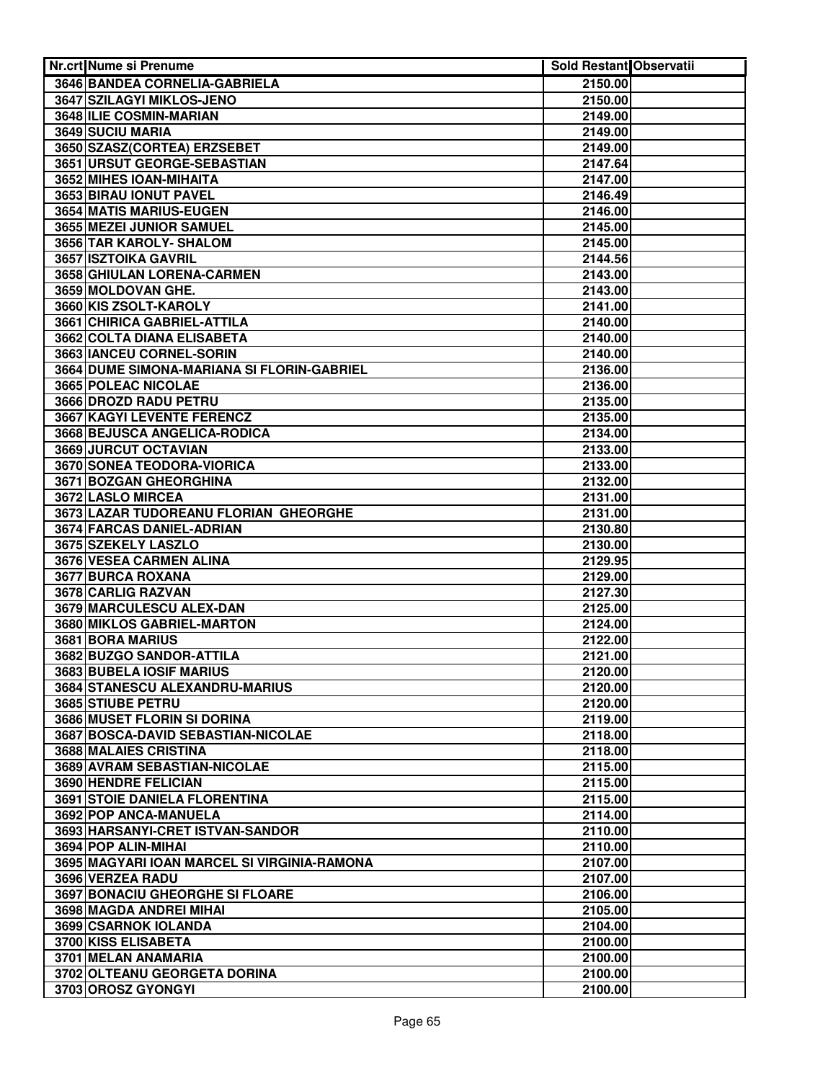| Nr.crt Nume si Prenume                                            | Sold Restant Observatii |  |
|-------------------------------------------------------------------|-------------------------|--|
| 3646 BANDEA CORNELIA-GABRIELA                                     | 2150.00                 |  |
| 3647 SZILAGYI MIKLOS-JENO                                         | 2150.00                 |  |
| 3648 ILIE COSMIN-MARIAN                                           | 2149.00                 |  |
| 3649 SUCIU MARIA                                                  | 2149.00                 |  |
| 3650 SZASZ(CORTEA) ERZSEBET                                       | 2149.00                 |  |
| 3651 URSUT GEORGE-SEBASTIAN                                       | 2147.64                 |  |
| 3652 MIHES IOAN-MIHAITA                                           | 2147.00                 |  |
| 3653 BIRAU IONUT PAVEL                                            | 2146.49                 |  |
| 3654 MATIS MARIUS-EUGEN                                           | 2146.00                 |  |
| 3655 MEZEI JUNIOR SAMUEL                                          | 2145.00                 |  |
| 3656 TAR KAROLY- SHALOM                                           | 2145.00                 |  |
| 3657 ISZTOIKA GAVRIL                                              | 2144.56                 |  |
| 3658 GHIULAN LORENA-CARMEN                                        | 2143.00                 |  |
| 3659 MOLDOVAN GHE.                                                | 2143.00                 |  |
| 3660 KIS ZSOLT-KAROLY                                             | 2141.00                 |  |
| 3661 CHIRICA GABRIEL-ATTILA                                       | 2140.00                 |  |
| 3662 COLTA DIANA ELISABETA                                        | 2140.00                 |  |
| 3663 IANCEU CORNEL-SORIN                                          | 2140.00                 |  |
| 3664 DUME SIMONA-MARIANA SI FLORIN-GABRIEL                        | 2136.00                 |  |
| 3665 POLEAC NICOLAE                                               | 2136.00                 |  |
| 3666 DROZD RADU PETRU                                             | 2135.00                 |  |
| 3667 KAGYI LEVENTE FERENCZ                                        | 2135.00                 |  |
| 3668 BEJUSCA ANGELICA-RODICA                                      | 2134.00                 |  |
| 3669 JURCUT OCTAVIAN                                              | 2133.00                 |  |
| 3670 SONEA TEODORA-VIORICA                                        | 2133.00                 |  |
| 3671 BOZGAN GHEORGHINA                                            | 2132.00                 |  |
| 3672 LASLO MIRCEA                                                 | 2131.00                 |  |
| 3673 LAZAR TUDOREANU FLORIAN GHEORGHE                             | 2131.00                 |  |
| 3674 FARCAS DANIEL-ADRIAN                                         | 2130.80                 |  |
| 3675 SZEKELY LASZLO                                               | 2130.00                 |  |
| 3676 VESEA CARMEN ALINA                                           | 2129.95                 |  |
| 3677 BURCA ROXANA                                                 | 2129.00                 |  |
| 3678 CARLIG RAZVAN                                                | 2127.30                 |  |
| 3679 MARCULESCU ALEX-DAN                                          | 2125.00                 |  |
| <b>3680 MIKLOS GABRIEL-MARTON</b>                                 | 2124.00                 |  |
| 3681 BORA MARIUS                                                  | 2122.00                 |  |
| 3682 BUZGO SANDOR-ATTILA                                          | 2121.00                 |  |
| <b>3683 BUBELA IOSIF MARIUS</b>                                   | 2120.00                 |  |
| 3684 STANESCU ALEXANDRU-MARIUS                                    | 2120.00                 |  |
| 3685 STIUBE PETRU                                                 | 2120.00                 |  |
| 3686 MUSET FLORIN SI DORINA<br>3687 BOSCA-DAVID SEBASTIAN-NICOLAE | 2119.00                 |  |
|                                                                   | 2118.00                 |  |
| 3688 MALAIES CRISTINA<br>3689 AVRAM SEBASTIAN-NICOLAE             | 2118.00<br>2115.00      |  |
| 3690 HENDRE FELICIAN                                              | 2115.00                 |  |
| 3691 STOIE DANIELA FLORENTINA                                     | 2115.00                 |  |
| 3692 POP ANCA-MANUELA                                             | 2114.00                 |  |
| 3693 HARSANYI-CRET ISTVAN-SANDOR                                  | 2110.00                 |  |
| 3694 POP ALIN-MIHAI                                               | 2110.00                 |  |
| 3695 MAGYARI IOAN MARCEL SI VIRGINIA-RAMONA                       | 2107.00                 |  |
| 3696 VERZEA RADU                                                  | 2107.00                 |  |
| 3697 BONACIU GHEORGHE SI FLOARE                                   | 2106.00                 |  |
| 3698 MAGDA ANDREI MIHAI                                           | 2105.00                 |  |
| 3699 CSARNOK IOLANDA                                              | 2104.00                 |  |
| 3700 KISS ELISABETA                                               | 2100.00                 |  |
| 3701 MELAN ANAMARIA                                               | 2100.00                 |  |
| 3702 OLTEANU GEORGETA DORINA                                      | 2100.00                 |  |
| 3703 OROSZ GYONGYI                                                | 2100.00                 |  |
|                                                                   |                         |  |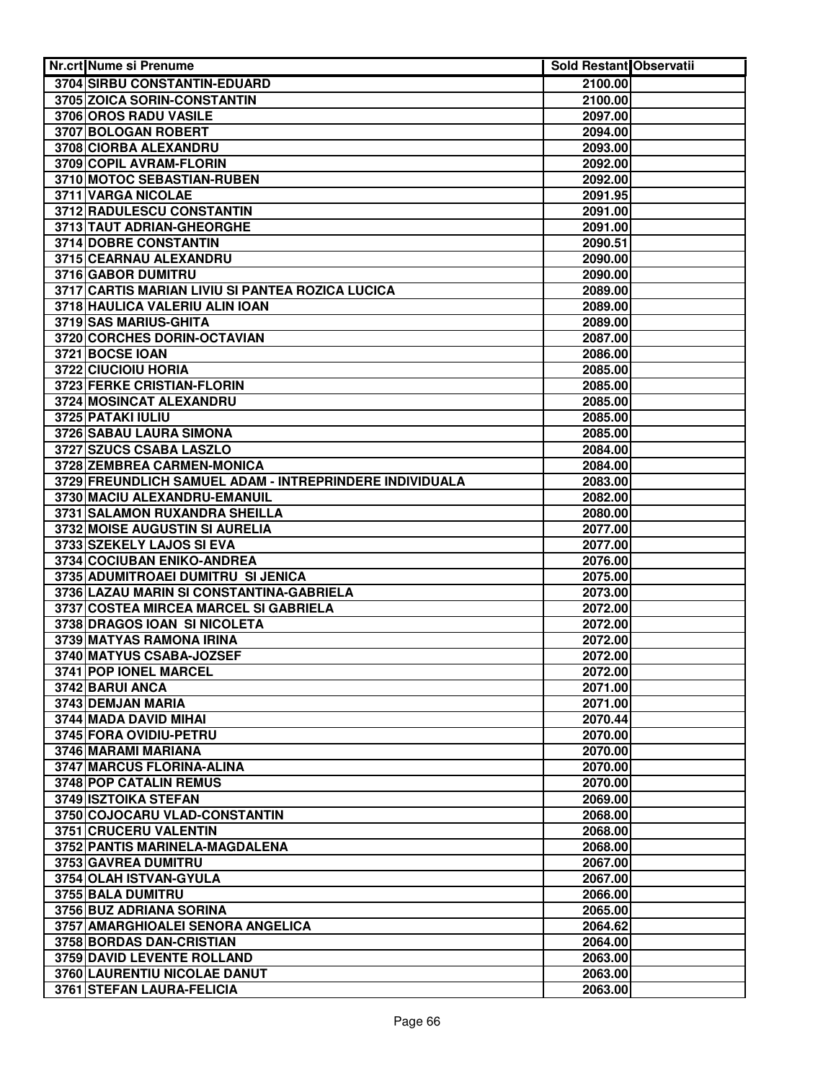| <b>Nr.crt Nume si Prenume</b>                           | <b>Sold Restant Observatii</b> |  |
|---------------------------------------------------------|--------------------------------|--|
| <b>3704 SIRBU CONSTANTIN-EDUARD</b>                     | 2100.00                        |  |
| 3705 ZOICA SORIN-CONSTANTIN                             | 2100.00                        |  |
| 3706 OROS RADU VASILE                                   | 2097.00                        |  |
| 3707 BOLOGAN ROBERT                                     | 2094.00                        |  |
| 3708 CIORBA ALEXANDRU                                   | 2093.00                        |  |
| 3709 COPIL AVRAM-FLORIN                                 | 2092.00                        |  |
| 3710 MOTOC SEBASTIAN-RUBEN                              | 2092.00                        |  |
| 3711 VARGA NICOLAE                                      | 2091.95                        |  |
| 3712 RADULESCU CONSTANTIN                               | 2091.00                        |  |
| 3713 TAUT ADRIAN-GHEORGHE                               | 2091.00                        |  |
| 3714 DOBRE CONSTANTIN                                   | 2090.51                        |  |
| 3715 CEARNAU ALEXANDRU                                  | 2090.00                        |  |
| 3716 GABOR DUMITRU                                      | 2090.00                        |  |
| 3717 CARTIS MARIAN LIVIU SI PANTEA ROZICA LUCICA        | 2089.00                        |  |
| 3718 HAULICA VALERIU ALIN IOAN                          | 2089.00                        |  |
| 3719 SAS MARIUS-GHITA                                   | 2089.00                        |  |
| 3720 CORCHES DORIN-OCTAVIAN                             | 2087.00                        |  |
| 3721 BOCSE IOAN                                         | 2086.00                        |  |
| 3722 CIUCIOIU HORIA                                     | 2085.00                        |  |
| 3723 FERKE CRISTIAN-FLORIN                              | 2085.00                        |  |
|                                                         |                                |  |
| 3724 MOSINCAT ALEXANDRU                                 | 2085.00                        |  |
| 3725 PATAKI IULIU                                       | 2085.00                        |  |
| 3726 SABAU LAURA SIMONA                                 | 2085.00                        |  |
| 3727 SZUCS CSABA LASZLO                                 | 2084.00                        |  |
| 3728 ZEMBREA CARMEN-MONICA                              | 2084.00                        |  |
| 3729 FREUNDLICH SAMUEL ADAM - INTREPRINDERE INDIVIDUALA | 2083.00                        |  |
| 3730 MACIU ALEXANDRU-EMANUIL                            | 2082.00                        |  |
| 3731 SALAMON RUXANDRA SHEILLA                           | 2080.00                        |  |
| 3732 MOISE AUGUSTIN SI AURELIA                          | 2077.00                        |  |
| 3733 SZEKELY LAJOS SI EVA                               | 2077.00                        |  |
| 3734 COCIUBAN ENIKO-ANDREA                              | 2076.00                        |  |
| 3735 ADUMITROAEI DUMITRU SI JENICA                      | 2075.00                        |  |
| 3736 LAZAU MARIN SI CONSTANTINA-GABRIELA                | 2073.00                        |  |
| 3737 COSTEA MIRCEA MARCEL SI GABRIELA                   | 2072.00                        |  |
| 3738 DRAGOS IOAN SI NICOLETA                            | 2072.00                        |  |
| 3739 MATYAS RAMONA IRINA                                | 2072.00                        |  |
| 3740 MATYUS CSABA-JOZSEF                                | 2072.00                        |  |
| 3741 POP IONEL MARCEL                                   | 2072.00                        |  |
| 3742 BARUI ANCA                                         | 2071.00                        |  |
| 3743 DEMJAN MARIA                                       | 2071.00                        |  |
| 3744 MADA DAVID MIHAI                                   | 2070.44                        |  |
| 3745 FORA OVIDIU-PETRU                                  | 2070.00                        |  |
| 3746 MARAMI MARIANA                                     | 2070.00                        |  |
| 3747 MARCUS FLORINA-ALINA                               | 2070.00                        |  |
| 3748 POP CATALIN REMUS                                  | 2070.00                        |  |
| 3749 ISZTOIKA STEFAN                                    | 2069.00                        |  |
| 3750 COJOCARU VLAD-CONSTANTIN                           | 2068.00                        |  |
| 3751 CRUCERU VALENTIN                                   | 2068.00                        |  |
| 3752 PANTIS MARINELA-MAGDALENA                          | 2068.00                        |  |
| 3753 GAVREA DUMITRU                                     | 2067.00                        |  |
| 3754 OLAH ISTVAN-GYULA                                  | 2067.00                        |  |
| 3755 BALA DUMITRU                                       | 2066.00                        |  |
| 3756 BUZ ADRIANA SORINA                                 | 2065.00                        |  |
| 3757 AMARGHIOALEI SENORA ANGELICA                       | 2064.62                        |  |
| 3758 BORDAS DAN-CRISTIAN                                | 2064.00                        |  |
| <b>3759 DAVID LEVENTE ROLLAND</b>                       | 2063.00                        |  |
| 3760 LAURENTIU NICOLAE DANUT                            | 2063.00                        |  |
| 3761 STEFAN LAURA-FELICIA                               | 2063.00                        |  |
|                                                         |                                |  |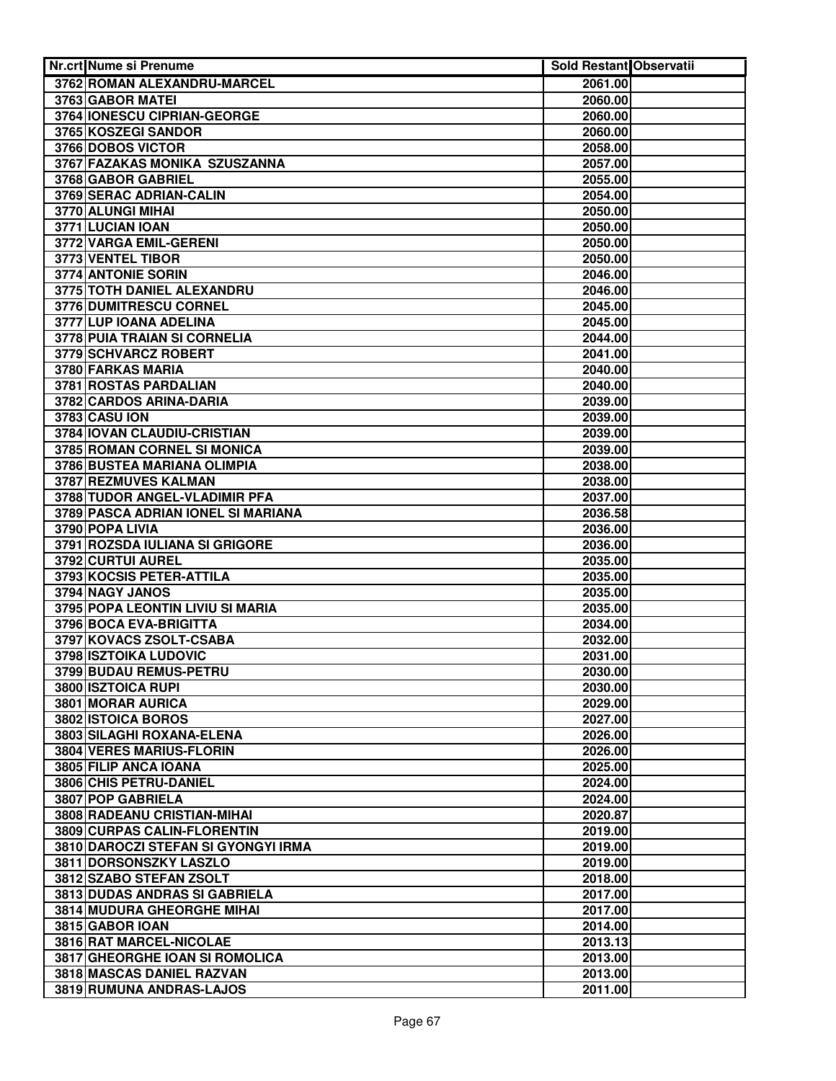| Nr.crt Nume si Prenume                          | Sold Restant Observatii |  |
|-------------------------------------------------|-------------------------|--|
| 3762 ROMAN ALEXANDRU-MARCEL                     | 2061.00                 |  |
| 3763 GABOR MATEI                                | 2060.00                 |  |
| 3764 IONESCU CIPRIAN-GEORGE                     | 2060.00                 |  |
| 3765 KOSZEGI SANDOR                             | 2060.00                 |  |
| 3766 DOBOS VICTOR                               | 2058.00                 |  |
| 3767 FAZAKAS MONIKA SZUSZANNA                   | 2057.00                 |  |
| 3768 GABOR GABRIEL                              | 2055.00                 |  |
| 3769 SERAC ADRIAN-CALIN                         | 2054.00                 |  |
| 3770 ALUNGI MIHAI                               | 2050.00                 |  |
| 3771 LUCIAN IOAN                                | 2050.00                 |  |
| 3772 VARGA EMIL-GERENI                          | 2050.00                 |  |
| 3773 VENTEL TIBOR                               | 2050.00                 |  |
| 3774 ANTONIE SORIN                              | 2046.00                 |  |
| 3775 TOTH DANIEL ALEXANDRU                      | 2046.00                 |  |
| 3776 DUMITRESCU CORNEL                          | 2045.00                 |  |
| 3777 LUP IOANA ADELINA                          | 2045.00                 |  |
| 3778 PUIA TRAIAN SI CORNELIA                    | 2044.00                 |  |
| 3779 SCHVARCZ ROBERT                            | 2041.00                 |  |
| 3780 FARKAS MARIA                               | 2040.00                 |  |
| 3781 ROSTAS PARDALIAN                           | 2040.00                 |  |
| 3782 CARDOS ARINA-DARIA                         | 2039.00                 |  |
| 3783 CASU ION                                   | 2039.00                 |  |
| 3784 IOVAN CLAUDIU-CRISTIAN                     | 2039.00                 |  |
| 3785 ROMAN CORNEL SI MONICA                     | 2039.00                 |  |
| 3786 BUSTEA MARIANA OLIMPIA                     | 2038.00                 |  |
| 3787 REZMUVES KALMAN                            | 2038.00                 |  |
| 3788 TUDOR ANGEL-VLADIMIR PFA                   | 2037.00                 |  |
| 3789 PASCA ADRIAN IONEL SI MARIANA              | 2036.58                 |  |
| 3790 POPA LIVIA                                 | 2036.00                 |  |
| 3791 ROZSDA IULIANA SI GRIGORE                  | 2036.00                 |  |
| 3792 CURTUI AUREL                               | 2035.00                 |  |
| 3793 KOCSIS PETER-ATTILA                        | 2035.00                 |  |
| 3794 NAGY JANOS                                 | 2035.00                 |  |
| 3795 POPA LEONTIN LIVIU SI MARIA                | 2035.00                 |  |
| 3796 BOCA EVA-BRIGITTA                          | 2034.00                 |  |
| 3797 KOVACS ZSOLT-CSABA                         | 2032.00                 |  |
| 3798 ISZTOIKA LUDOVIC<br>3799 BUDAU REMUS-PETRU | 2031.00<br>2030.00      |  |
| 3800 ISZTOICA RUPI                              |                         |  |
| 3801 MORAR AURICA                               | 2030.00                 |  |
| 3802 ISTOICA BOROS                              | 2029.00<br>2027.00      |  |
| 3803 SILAGHI ROXANA-ELENA                       | 2026.00                 |  |
| 3804 VERES MARIUS-FLORIN                        | 2026.00                 |  |
| 3805 FILIP ANCA IOANA                           | 2025.00                 |  |
| 3806 CHIS PETRU-DANIEL                          | 2024.00                 |  |
| 3807 POP GABRIELA                               | 2024.00                 |  |
| 3808 RADEANU CRISTIAN-MIHAI                     | 2020.87                 |  |
| 3809 CURPAS CALIN-FLORENTIN                     | 2019.00                 |  |
| 3810 DAROCZI STEFAN SI GYONGYI IRMA             | 2019.00                 |  |
| 3811 DORSONSZKY LASZLO                          | 2019.00                 |  |
| 3812 SZABO STEFAN ZSOLT                         | 2018.00                 |  |
| 3813 DUDAS ANDRAS SI GABRIELA                   | 2017.00                 |  |
| <b>3814 MUDURA GHEORGHE MIHAI</b>               | 2017.00                 |  |
| 3815 GABOR IOAN                                 | 2014.00                 |  |
| 3816 RAT MARCEL-NICOLAE                         | 2013.13                 |  |
| 3817 GHEORGHE IOAN SI ROMOLICA                  | 2013.00                 |  |
| 3818 MASCAS DANIEL RAZVAN                       | 2013.00                 |  |
| 3819 RUMUNA ANDRAS-LAJOS                        | 2011.00                 |  |
|                                                 |                         |  |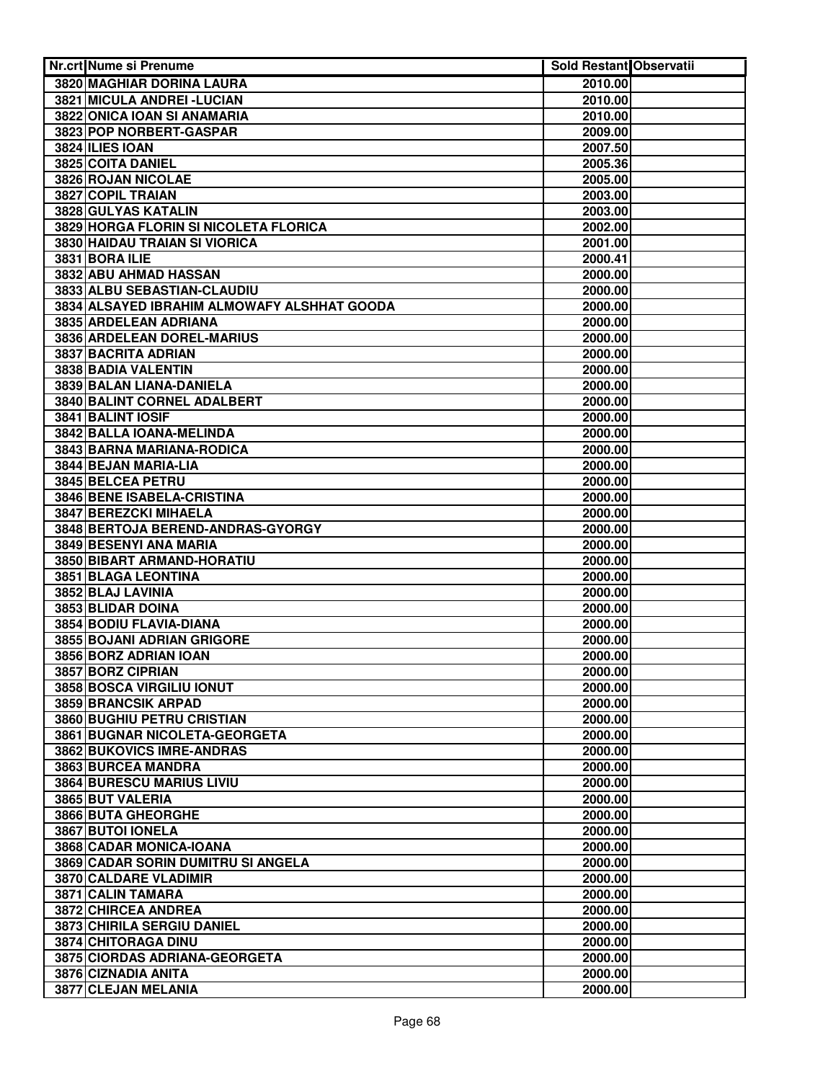| Nr.crt Nume si Prenume                      | Sold Restant Observatii |  |
|---------------------------------------------|-------------------------|--|
| 3820 MAGHIAR DORINA LAURA                   | 2010.00                 |  |
| 3821 MICULA ANDREI - LUCIAN                 | 2010.00                 |  |
| 3822 ONICA IOAN SI ANAMARIA                 | 2010.00                 |  |
| 3823 POP NORBERT-GASPAR                     | 2009.00                 |  |
| 3824 ILIES IOAN                             | 2007.50                 |  |
| 3825 COITA DANIEL                           | 2005.36                 |  |
| 3826 ROJAN NICOLAE                          | 2005.00                 |  |
| 3827 COPIL TRAIAN                           | 2003.00                 |  |
| 3828 GULYAS KATALIN                         | 2003.00                 |  |
| 3829 HORGA FLORIN SI NICOLETA FLORICA       | 2002.00                 |  |
| <b>3830 HAIDAU TRAIAN SI VIORICA</b>        | 2001.00                 |  |
| 3831 BORA ILIE                              | 2000.41                 |  |
| 3832 ABU AHMAD HASSAN                       | 2000.00                 |  |
| 3833 ALBU SEBASTIAN-CLAUDIU                 | 2000.00                 |  |
| 3834 ALSAYED IBRAHIM ALMOWAFY ALSHHAT GOODA | 2000.00                 |  |
| 3835 ARDELEAN ADRIANA                       | 2000.00                 |  |
| 3836 ARDELEAN DOREL-MARIUS                  | 2000.00                 |  |
| 3837 BACRITA ADRIAN                         | 2000.00                 |  |
| 3838 BADIA VALENTIN                         | 2000.00                 |  |
| 3839 BALAN LIANA-DANIELA                    | 2000.00                 |  |
| 3840 BALINT CORNEL ADALBERT                 | 2000.00                 |  |
| 3841 BALINT IOSIF                           | 2000.00                 |  |
| 3842 BALLA IOANA-MELINDA                    | 2000.00                 |  |
| 3843 BARNA MARIANA-RODICA                   | 2000.00                 |  |
| 3844 BEJAN MARIA-LIA                        | 2000.00                 |  |
| 3845 BELCEA PETRU                           | 2000.00                 |  |
| 3846 BENE ISABELA-CRISTINA                  | 2000.00                 |  |
| 3847 BEREZCKI MIHAELA                       | 2000.00                 |  |
| 3848 BERTOJA BEREND-ANDRAS-GYORGY           | 2000.00                 |  |
| 3849 BESENYI ANA MARIA                      | 2000.00                 |  |
| 3850 BIBART ARMAND-HORATIU                  | 2000.00                 |  |
| 3851 BLAGA LEONTINA                         | 2000.00                 |  |
| 3852 BLAJ LAVINIA                           | 2000.00                 |  |
| 3853 BLIDAR DOINA                           | 2000.00                 |  |
| 3854 BODIU FLAVIA-DIANA                     | 2000.00                 |  |
| 3855 BOJANI ADRIAN GRIGORE                  | 2000.00                 |  |
| 3856 BORZ ADRIAN IOAN                       | 2000.00                 |  |
| 3857 BORZ CIPRIAN                           | 2000.00                 |  |
| 3858 BOSCA VIRGILIU IONUT                   | 2000.00                 |  |
| 3859 BRANCSIK ARPAD                         | 2000.00                 |  |
| 3860 BUGHIU PETRU CRISTIAN                  | 2000.00                 |  |
| 3861 BUGNAR NICOLETA-GEORGETA               | 2000.00                 |  |
| 3862 BUKOVICS IMRE-ANDRAS                   |                         |  |
| 3863 BURCEA MANDRA                          | 2000.00<br>2000.00      |  |
| 3864 BURESCU MARIUS LIVIU                   | 2000.00                 |  |
| 3865 BUT VALERIA                            | 2000.00                 |  |
| 3866 BUTA GHEORGHE                          | 2000.00                 |  |
| 3867 BUTOI IONELA                           | 2000.00                 |  |
| 3868 CADAR MONICA-IOANA                     | 2000.00                 |  |
| 3869 CADAR SORIN DUMITRU SI ANGELA          | 2000.00                 |  |
| <b>3870 CALDARE VLADIMIR</b>                | 2000.00                 |  |
| 3871 CALIN TAMARA                           | 2000.00                 |  |
| 3872 CHIRCEA ANDREA                         | 2000.00                 |  |
| 3873 CHIRILA SERGIU DANIEL                  | 2000.00                 |  |
| 3874 CHITORAGA DINU                         | 2000.00                 |  |
| 3875 CIORDAS ADRIANA-GEORGETA               | 2000.00                 |  |
| 3876 CIZNADIA ANITA                         | 2000.00                 |  |
| 3877 CLEJAN MELANIA                         | 2000.00                 |  |
|                                             |                         |  |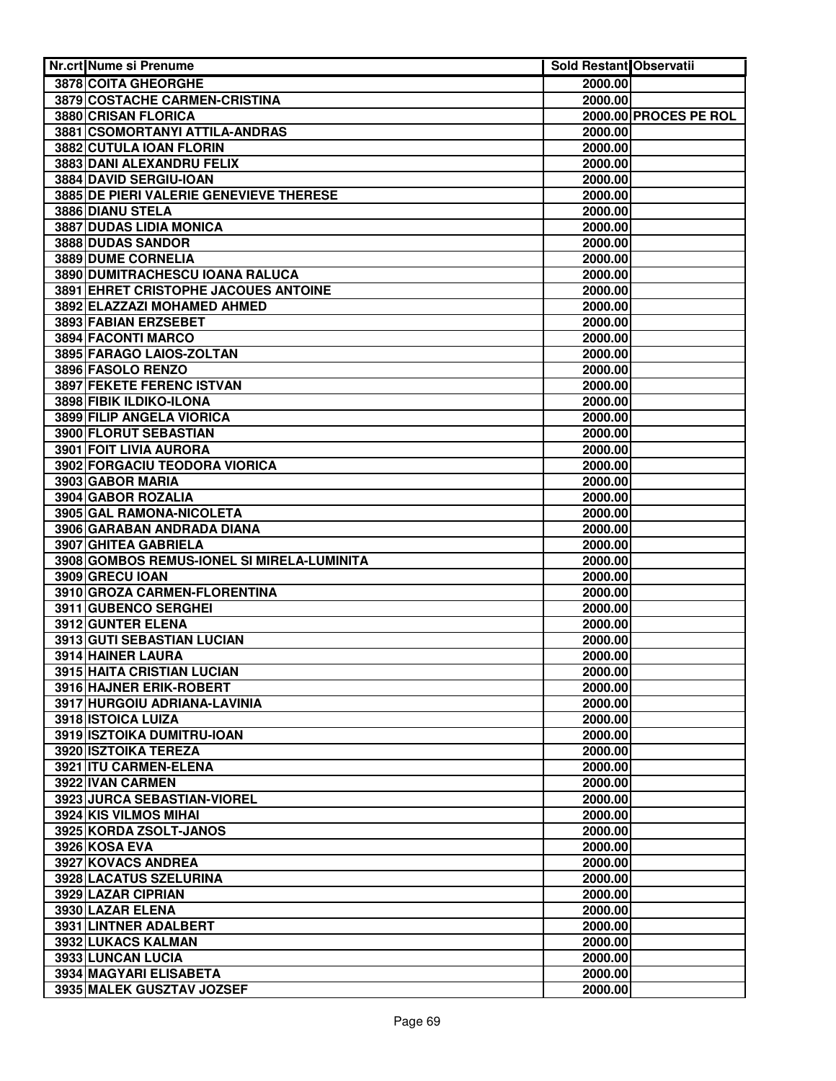| Nr.crt Nume si Prenume                                             | Sold Restant Observatii |                       |
|--------------------------------------------------------------------|-------------------------|-----------------------|
| <b>3878 COITA GHEORGHE</b>                                         | 2000.00                 |                       |
| 3879 COSTACHE CARMEN-CRISTINA                                      | 2000.00                 |                       |
| 3880 CRISAN FLORICA                                                |                         | 2000.00 PROCES PE ROL |
| 3881 CSOMORTANYI ATTILA-ANDRAS                                     | 2000.00                 |                       |
| 3882 CUTULA IOAN FLORIN                                            | 2000.00                 |                       |
| 3883 DANI ALEXANDRU FELIX                                          | 2000.00                 |                       |
| 3884 DAVID SERGIU-IOAN                                             | 2000.00                 |                       |
| 3885 DE PIERI VALERIE GENEVIEVE THERESE                            | 2000.00                 |                       |
| 3886 DIANU STELA                                                   | 2000.00                 |                       |
| 3887 DUDAS LIDIA MONICA                                            | 2000.00                 |                       |
| 3888 DUDAS SANDOR                                                  | 2000.00                 |                       |
| 3889 DUME CORNELIA                                                 | 2000.00                 |                       |
| 3890 DUMITRACHESCU IOANA RALUCA                                    | 2000.00                 |                       |
| 3891 EHRET CRISTOPHE JACOUES ANTOINE                               | 2000.00                 |                       |
| 3892 ELAZZAZI MOHAMED AHMED                                        | 2000.00                 |                       |
| 3893 FABIAN ERZSEBET                                               | 2000.00                 |                       |
| 3894 FACONTI MARCO                                                 | 2000.00                 |                       |
| 3895 FARAGO LAIOS-ZOLTAN                                           | 2000.00                 |                       |
| 3896 FASOLO RENZO                                                  | 2000.00                 |                       |
| 3897 FEKETE FERENC ISTVAN                                          | 2000.00                 |                       |
| 3898 FIBIK ILDIKO-ILONA                                            | 2000.00                 |                       |
| 3899 FILIP ANGELA VIORICA                                          | 2000.00                 |                       |
| 3900 FLORUT SEBASTIAN                                              | 2000.00                 |                       |
| 3901 FOIT LIVIA AURORA                                             | 2000.00                 |                       |
| 3902 FORGACIU TEODORA VIORICA                                      | 2000.00                 |                       |
| 3903 GABOR MARIA                                                   | 2000.00                 |                       |
| 3904 GABOR ROZALIA                                                 | 2000.00                 |                       |
| 3905 GAL RAMONA-NICOLETA                                           | 2000.00                 |                       |
| 3906 GARABAN ANDRADA DIANA                                         | 2000.00                 |                       |
| 3907 GHITEA GABRIELA<br>3908 GOMBOS REMUS-IONEL SI MIRELA-LUMINITA | 2000.00<br>2000.00      |                       |
| 3909 GRECU IOAN                                                    | 2000.00                 |                       |
| 3910 GROZA CARMEN-FLORENTINA                                       | 2000.00                 |                       |
| 3911 GUBENCO SERGHEI                                               | 2000.00                 |                       |
| 3912 GUNTER ELENA                                                  | 2000.00                 |                       |
| 3913 GUTI SEBASTIAN LUCIAN                                         | 2000.00                 |                       |
| 3914 HAINER LAURA                                                  | 2000.00                 |                       |
| 3915 HAITA CRISTIAN LUCIAN                                         | 2000.00                 |                       |
| 3916 HAJNER ERIK-ROBERT                                            | 2000.00                 |                       |
| 3917 HURGOIU ADRIANA-LAVINIA                                       | 2000.00                 |                       |
| 3918 ISTOICA LUIZA                                                 | 2000.00                 |                       |
| 3919 ISZTOIKA DUMITRU-IOAN                                         | 2000.00                 |                       |
| 3920 ISZTOIKA TEREZA                                               | 2000.00                 |                       |
| 3921 ITU CARMEN-ELENA                                              | 2000.00                 |                       |
| 3922 IVAN CARMEN                                                   | 2000.00                 |                       |
| 3923 JURCA SEBASTIAN-VIOREL                                        | 2000.00                 |                       |
| 3924 KIS VILMOS MIHAI                                              | 2000.00                 |                       |
| 3925 KORDA ZSOLT-JANOS                                             | 2000.00                 |                       |
| 3926 KOSA EVA                                                      | 2000.00                 |                       |
| 3927 KOVACS ANDREA                                                 | 2000.00                 |                       |
| 3928 LACATUS SZELURINA                                             | 2000.00                 |                       |
| 3929 LAZAR CIPRIAN                                                 | 2000.00                 |                       |
| 3930 LAZAR ELENA                                                   | 2000.00                 |                       |
| 3931 LINTNER ADALBERT                                              | 2000.00                 |                       |
| 3932 LUKACS KALMAN                                                 | 2000.00                 |                       |
| 3933 LUNCAN LUCIA                                                  | 2000.00                 |                       |
| 3934 MAGYARI ELISABETA                                             | 2000.00                 |                       |
| 3935 MALEK GUSZTAV JOZSEF                                          | 2000.00                 |                       |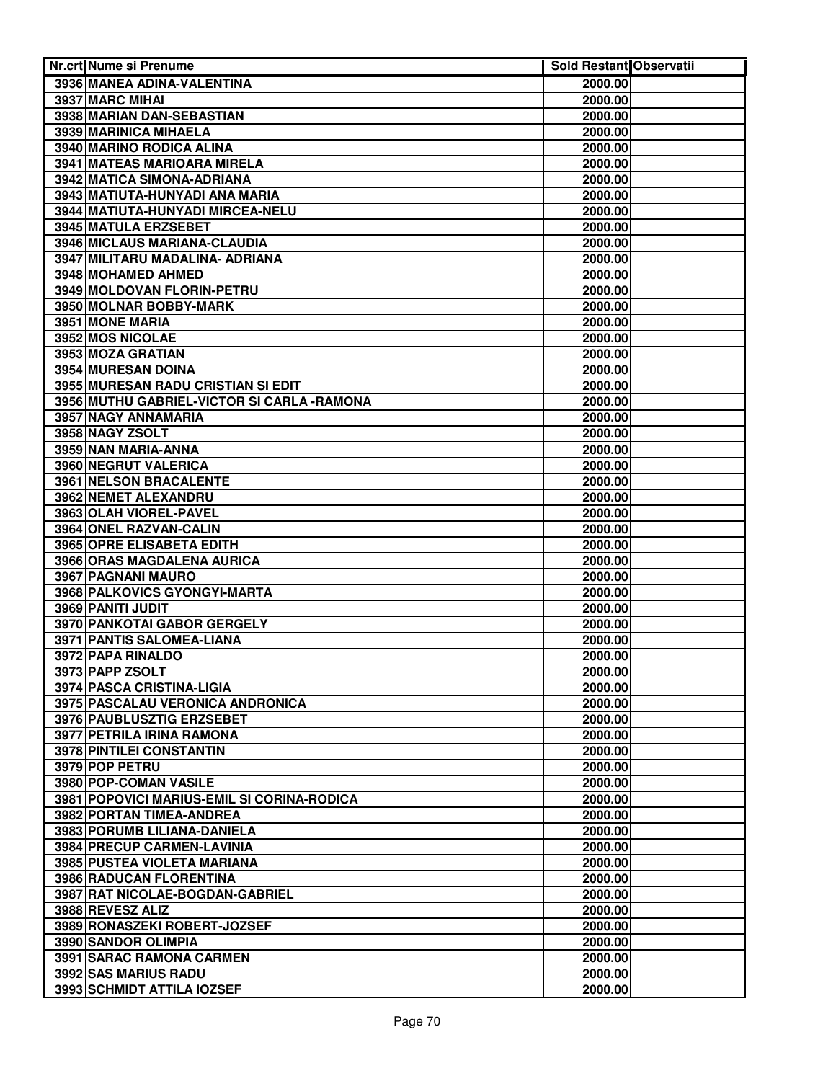| Nr.crt Nume si Prenume                              | <b>Sold Restant Observatii</b> |  |
|-----------------------------------------------------|--------------------------------|--|
| 3936 MANEA ADINA-VALENTINA                          | 2000.00                        |  |
| 3937 MARC MIHAI                                     | 2000.00                        |  |
| 3938 MARIAN DAN-SEBASTIAN                           | 2000.00                        |  |
| 3939 MARINICA MIHAELA                               | 2000.00                        |  |
| 3940 MARINO RODICA ALINA                            | 2000.00                        |  |
| 3941 MATEAS MARIOARA MIRELA                         | 2000.00                        |  |
| 3942 MATICA SIMONA-ADRIANA                          | 2000.00                        |  |
| 3943 MATIUTA-HUNYADI ANA MARIA                      | 2000.00                        |  |
| 3944 MATIUTA-HUNYADI MIRCEA-NELU                    | 2000.00                        |  |
| <b>3945 MATULA ERZSEBET</b>                         | 2000.00                        |  |
| 3946 MICLAUS MARIANA-CLAUDIA                        | 2000.00                        |  |
| 3947 MILITARU MADALINA- ADRIANA                     | 2000.00                        |  |
| 3948 MOHAMED AHMED                                  | 2000.00                        |  |
| 3949 MOLDOVAN FLORIN-PETRU                          | 2000.00                        |  |
| 3950 MOLNAR BOBBY-MARK                              | 2000.00                        |  |
| 3951 MONE MARIA                                     | 2000.00                        |  |
| 3952 MOS NICOLAE                                    | 2000.00                        |  |
| 3953 MOZA GRATIAN                                   | 2000.00                        |  |
| 3954 MURESAN DOINA                                  |                                |  |
| 3955 MURESAN RADU CRISTIAN SI EDIT                  | 2000.00                        |  |
| 3956 MUTHU GABRIEL-VICTOR SI CARLA - RAMONA         | 2000.00<br>2000.00             |  |
|                                                     |                                |  |
| 3957 NAGY ANNAMARIA                                 | 2000.00                        |  |
| 3958 NAGY ZSOLT                                     | 2000.00                        |  |
| 3959 NAN MARIA-ANNA                                 | 2000.00                        |  |
| 3960 NEGRUT VALERICA                                | 2000.00                        |  |
| 3961 NELSON BRACALENTE                              | 2000.00                        |  |
| 3962 NEMET ALEXANDRU                                | 2000.00                        |  |
| 3963 OLAH VIOREL-PAVEL                              | 2000.00                        |  |
| 3964 ONEL RAZVAN-CALIN<br>3965 OPRE ELISABETA EDITH | 2000.00                        |  |
| 3966 ORAS MAGDALENA AURICA                          | 2000.00                        |  |
| 3967 PAGNANI MAURO                                  | 2000.00<br>2000.00             |  |
| 3968 PALKOVICS GYONGYI-MARTA                        | 2000.00                        |  |
| 3969 PANITI JUDIT                                   |                                |  |
| 3970 PANKOTAI GABOR GERGELY                         | 2000.00                        |  |
|                                                     | 2000.00                        |  |
| 3971 PANTIS SALOMEA-LIANA                           | 2000.00                        |  |
| 3972 PAPA RINALDO                                   | 2000.00                        |  |
| 3973 PAPP ZSOLT                                     | 2000.00                        |  |
| 3974 PASCA CRISTINA-LIGIA                           | 2000.00                        |  |
| 3975 PASCALAU VERONICA ANDRONICA                    | 2000.00                        |  |
| 3976 PAUBLUSZTIG ERZSEBET                           | 2000.00                        |  |
| 3977 PETRILA IRINA RAMONA                           | 2000.00                        |  |
| 3978 PINTILEI CONSTANTIN                            | 2000.00                        |  |
| 3979 POP PETRU                                      | 2000.00                        |  |
| 3980 POP-COMAN VASILE                               | 2000.00                        |  |
| 3981 POPOVICI MARIUS-EMIL SI CORINA-RODICA          | 2000.00                        |  |
| 3982 PORTAN TIMEA-ANDREA                            | 2000.00                        |  |
| 3983 PORUMB LILIANA-DANIELA                         | 2000.00                        |  |
| 3984 PRECUP CARMEN-LAVINIA                          | 2000.00                        |  |
| 3985 PUSTEA VIOLETA MARIANA                         | 2000.00                        |  |
| 3986 RADUCAN FLORENTINA                             | 2000.00                        |  |
| 3987 RAT NICOLAE-BOGDAN-GABRIEL                     | 2000.00                        |  |
| 3988 REVESZ ALIZ                                    | 2000.00                        |  |
| 3989 RONASZEKI ROBERT-JOZSEF                        | 2000.00                        |  |
| 3990 SANDOR OLIMPIA                                 | 2000.00                        |  |
| 3991 SARAC RAMONA CARMEN                            | 2000.00                        |  |
| 3992 SAS MARIUS RADU                                | 2000.00                        |  |
| 3993 SCHMIDT ATTILA IOZSEF                          | 2000.00                        |  |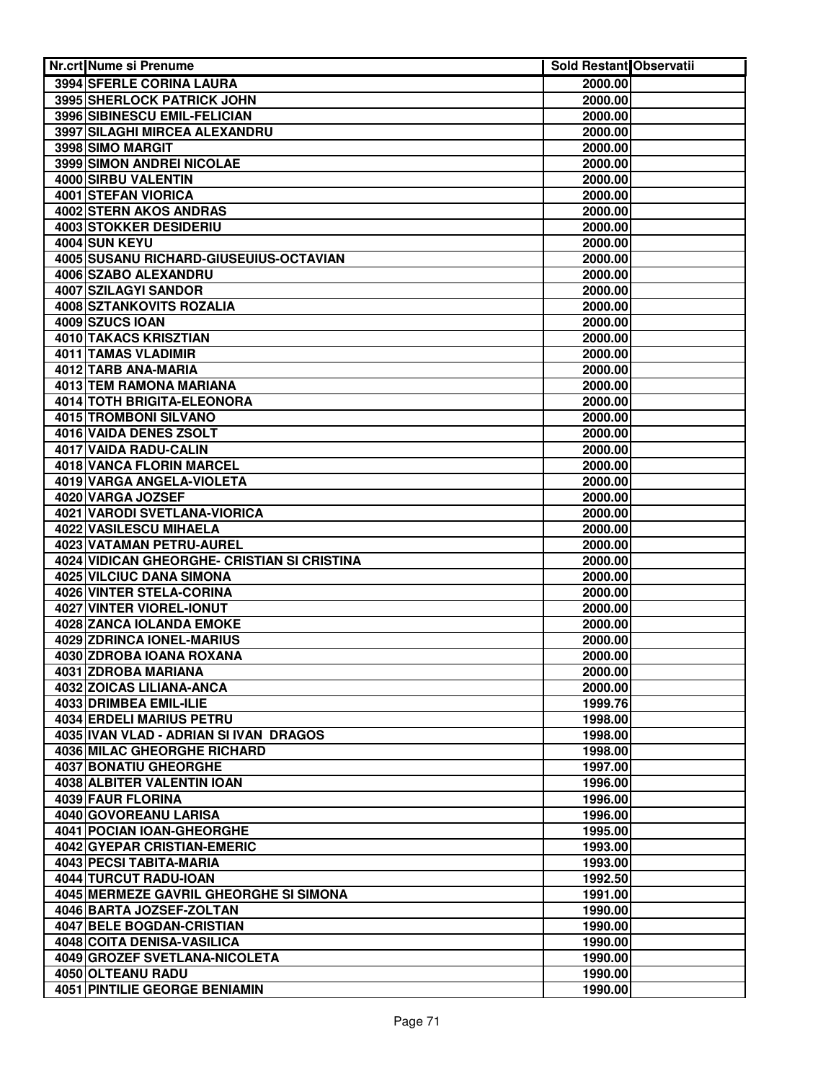| <b>Nr.crt Nume si Prenume</b>                        | Sold Restant Observatii |  |
|------------------------------------------------------|-------------------------|--|
| 3994 SFERLE CORINA LAURA                             | 2000.00                 |  |
| <b>3995 SHERLOCK PATRICK JOHN</b>                    | 2000.00                 |  |
| 3996 SIBINESCU EMIL-FELICIAN                         | 2000.00                 |  |
| 3997 SILAGHI MIRCEA ALEXANDRU                        | 2000.00                 |  |
| 3998 SIMO MARGIT                                     | 2000.00                 |  |
| <b>3999 SIMON ANDREI NICOLAE</b>                     | 2000.00                 |  |
| 4000 SIRBU VALENTIN                                  | 2000.00                 |  |
| 4001 STEFAN VIORICA                                  | 2000.00                 |  |
| 4002 STERN AKOS ANDRAS                               | 2000.00                 |  |
| 4003 STOKKER DESIDERIU                               | 2000.00                 |  |
| 4004 SUN KEYU                                        | 2000.00                 |  |
| 4005 SUSANU RICHARD-GIUSEUIUS-OCTAVIAN               | 2000.00                 |  |
| 4006 SZABO ALEXANDRU                                 | 2000.00                 |  |
| 4007 SZILAGYI SANDOR                                 | 2000.00                 |  |
| 4008 SZTANKOVITS ROZALIA                             | 2000.00                 |  |
| 4009 SZUCS IOAN                                      | 2000.00                 |  |
| 4010 TAKACS KRISZTIAN                                | 2000.00                 |  |
| 4011 TAMAS VLADIMIR                                  | 2000.00                 |  |
| 4012 TARB ANA-MARIA                                  | 2000.00                 |  |
| 4013 TEM RAMONA MARIANA                              | 2000.00                 |  |
| 4014 TOTH BRIGITA-ELEONORA                           | 2000.00                 |  |
| 4015 TROMBONI SILVANO                                | 2000.00                 |  |
| 4016 VAIDA DENES ZSOLT                               | 2000.00                 |  |
| 4017 VAIDA RADU-CALIN                                | 2000.00                 |  |
| 4018 VANCA FLORIN MARCEL                             | 2000.00                 |  |
| 4019 VARGA ANGELA-VIOLETA                            | 2000.00                 |  |
| 4020 VARGA JOZSEF                                    | 2000.00                 |  |
| <b>4021 VARODI SVETLANA-VIORICA</b>                  | 2000.00                 |  |
| <b>4022 VASILESCU MIHAELA</b>                        | 2000.00                 |  |
| <b>4023 VATAMAN PETRU-AUREL</b>                      | 2000.00                 |  |
| 4024 VIDICAN GHEORGHE- CRISTIAN SI CRISTINA          | 2000.00                 |  |
| <b>4025 VILCIUC DANA SIMONA</b>                      | 2000.00                 |  |
| 4026 VINTER STELA-CORINA<br>4027 VINTER VIOREL-IONUT | 2000.00                 |  |
| 4028 ZANCA IOLANDA EMOKE                             | 2000.00<br>2000.00      |  |
| 4029 ZDRINCA IONEL-MARIUS                            | 2000.00                 |  |
| 4030 ZDROBA IOANA ROXANA                             | 2000.00                 |  |
| 4031 ZDROBA MARIANA                                  | 2000.00                 |  |
| 4032 ZOICAS LILIANA-ANCA                             | 2000.00                 |  |
| 4033 DRIMBEA EMIL-ILIE                               | 1999.76                 |  |
| 4034 ERDELI MARIUS PETRU                             | 1998.00                 |  |
| 4035 IVAN VLAD - ADRIAN SI IVAN DRAGOS               | 1998.00                 |  |
| 4036 MILAC GHEORGHE RICHARD                          | 1998.00                 |  |
| 4037 BONATIU GHEORGHE                                | 1997.00                 |  |
| 4038 ALBITER VALENTIN IOAN                           | 1996.00                 |  |
| 4039 FAUR FLORINA                                    | 1996.00                 |  |
| 4040 GOVOREANU LARISA                                | 1996.00                 |  |
| 4041 POCIAN IOAN-GHEORGHE                            | 1995.00                 |  |
| 4042 GYEPAR CRISTIAN-EMERIC                          | 1993.00                 |  |
| 4043 PECSI TABITA-MARIA                              | 1993.00                 |  |
| 4044 TURCUT RADU-IOAN                                | 1992.50                 |  |
| 4045 MERMEZE GAVRIL GHEORGHE SI SIMONA               | 1991.00                 |  |
| 4046 BARTA JOZSEF-ZOLTAN                             | 1990.00                 |  |
| 4047 BELE BOGDAN-CRISTIAN                            | 1990.00                 |  |
| 4048 COITA DENISA-VASILICA                           | 1990.00                 |  |
| 4049 GROZEF SVETLANA-NICOLETA                        | 1990.00                 |  |
| 4050 OLTEANU RADU                                    | 1990.00                 |  |
| <b>4051 PINTILIE GEORGE BENIAMIN</b>                 | 1990.00                 |  |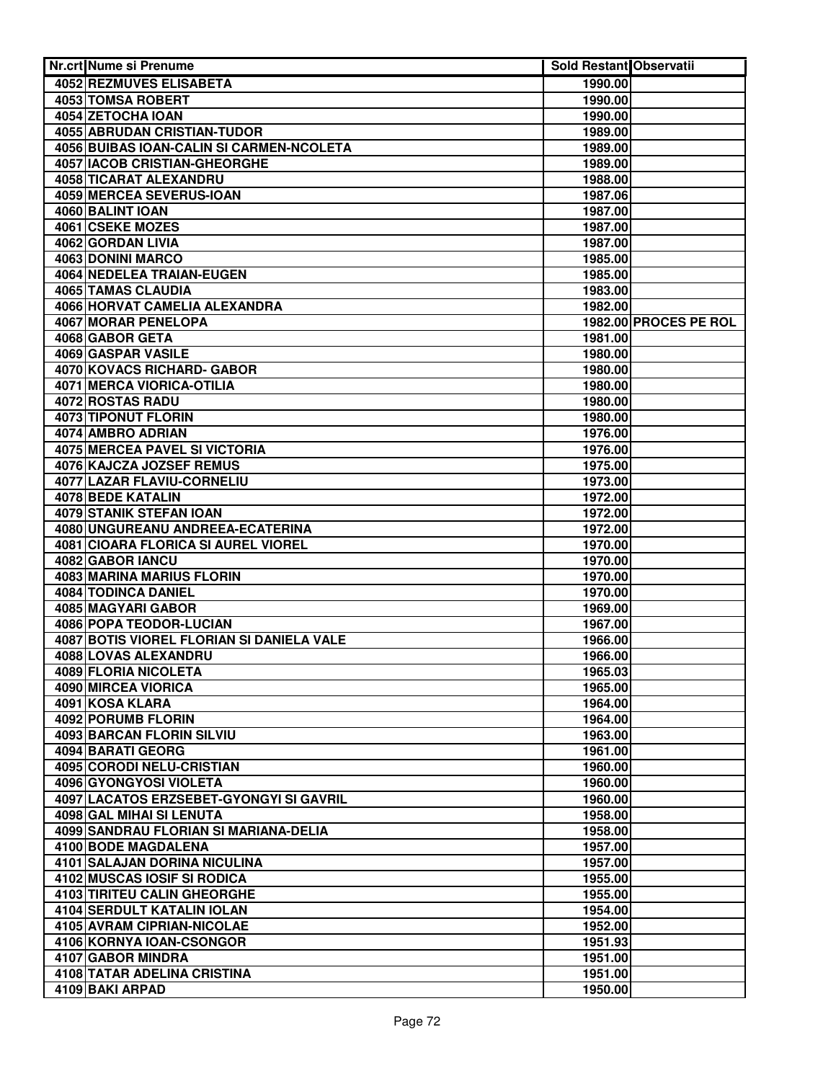| <b>Nr.crt Nume si Prenume</b>                 | Sold Restant Observatii |                       |
|-----------------------------------------------|-------------------------|-----------------------|
| 4052 REZMUVES ELISABETA                       | 1990.00                 |                       |
| 4053 TOMSA ROBERT                             | 1990.00                 |                       |
| 4054 ZETOCHA IOAN                             | 1990.00                 |                       |
| 4055 ABRUDAN CRISTIAN-TUDOR                   | 1989.00                 |                       |
| 4056 BUIBAS IOAN-CALIN SI CARMEN-NCOLETA      | 1989.00                 |                       |
| 4057 IACOB CRISTIAN-GHEORGHE                  | 1989.00                 |                       |
| 4058 TICARAT ALEXANDRU                        | 1988.00                 |                       |
| 4059 MERCEA SEVERUS-IOAN                      | 1987.06                 |                       |
| 4060 BALINT IOAN                              | 1987.00                 |                       |
| 4061 CSEKE MOZES                              | 1987.00                 |                       |
| 4062 GORDAN LIVIA                             | 1987.00                 |                       |
| 4063 DONINI MARCO                             | 1985.00                 |                       |
| 4064 NEDELEA TRAIAN-EUGEN                     | 1985.00                 |                       |
| 4065 TAMAS CLAUDIA                            | 1983.00                 |                       |
| 4066 HORVAT CAMELIA ALEXANDRA                 | 1982.00                 |                       |
| 4067 MORAR PENELOPA                           |                         | 1982.00 PROCES PE ROL |
| 4068 GABOR GETA                               | 1981.00                 |                       |
| 4069 GASPAR VASILE                            | 1980.00                 |                       |
| 4070 KOVACS RICHARD- GABOR                    | 1980.00                 |                       |
| 4071 MERCA VIORICA-OTILIA                     | 1980.00                 |                       |
| 4072 ROSTAS RADU                              | 1980.00                 |                       |
| 4073 TIPONUT FLORIN                           | 1980.00                 |                       |
| 4074 AMBRO ADRIAN                             | 1976.00                 |                       |
| 4075 MERCEA PAVEL SI VICTORIA                 | 1976.00                 |                       |
| 4076 KAJCZA JOZSEF REMUS                      | 1975.00                 |                       |
| 4077 LAZAR FLAVIU-CORNELIU                    | 1973.00                 |                       |
| 4078 BEDE KATALIN                             | 1972.00                 |                       |
| 4079 STANIK STEFAN IOAN                       | 1972.00                 |                       |
| 4080 UNGUREANU ANDREEA-ECATERINA              | 1972.00                 |                       |
| 4081 CIOARA FLORICA SI AUREL VIOREL           | 1970.00                 |                       |
| 4082 GABOR IANCU                              | 1970.00                 |                       |
| 4083 MARINA MARIUS FLORIN                     | 1970.00                 |                       |
| 4084 TODINCA DANIEL                           | 1970.00                 |                       |
| 4085 MAGYARI GABOR                            | 1969.00                 |                       |
| <b>4086 POPA TEODOR-LUCIAN</b>                | 1967.00                 |                       |
| 4087 BOTIS VIOREL FLORIAN SI DANIELA VALE     | 1966.00                 |                       |
| 4088 LOVAS ALEXANDRU                          | 1966.00                 |                       |
| 4089 FLORIA NICOLETA                          | 1965.03                 |                       |
| 4090 MIRCEA VIORICA                           | 1965.00                 |                       |
| 4091 KOSA KLARA                               | 1964.00                 |                       |
| 4092 PORUMB FLORIN                            | 1964.00                 |                       |
| 4093 BARCAN FLORIN SILVIU                     | 1963.00                 |                       |
| 4094 BARATI GEORG                             | 1961.00                 |                       |
| 4095 CORODI NELU-CRISTIAN                     | 1960.00                 |                       |
| 4096 GYONGYOSI VIOLETA                        | 1960.00                 |                       |
| 4097 LACATOS ERZSEBET-GYONGYI SI GAVRIL       | 1960.00                 |                       |
| 4098 GAL MIHAI SI LENUTA                      | 1958.00                 |                       |
| 4099 SANDRAU FLORIAN SI MARIANA-DELIA         | 1958.00                 |                       |
| 4100 BODE MAGDALENA                           | 1957.00                 |                       |
| 4101 SALAJAN DORINA NICULINA                  | 1957.00                 |                       |
| 4102 MUSCAS IOSIF SI RODICA                   | 1955.00                 |                       |
| 4103 TIRITEU CALIN GHEORGHE                   | 1955.00                 |                       |
| 4104 SERDULT KATALIN IOLAN                    |                         |                       |
| 4105 AVRAM CIPRIAN-NICOLAE                    | 1954.00<br>1952.00      |                       |
|                                               |                         |                       |
| 4106 KORNYA IOAN-CSONGOR<br>4107 GABOR MINDRA | 1951.93                 |                       |
|                                               | 1951.00                 |                       |
| 4108 TATAR ADELINA CRISTINA                   | 1951.00                 |                       |
| 4109 BAKI ARPAD                               | 1950.00                 |                       |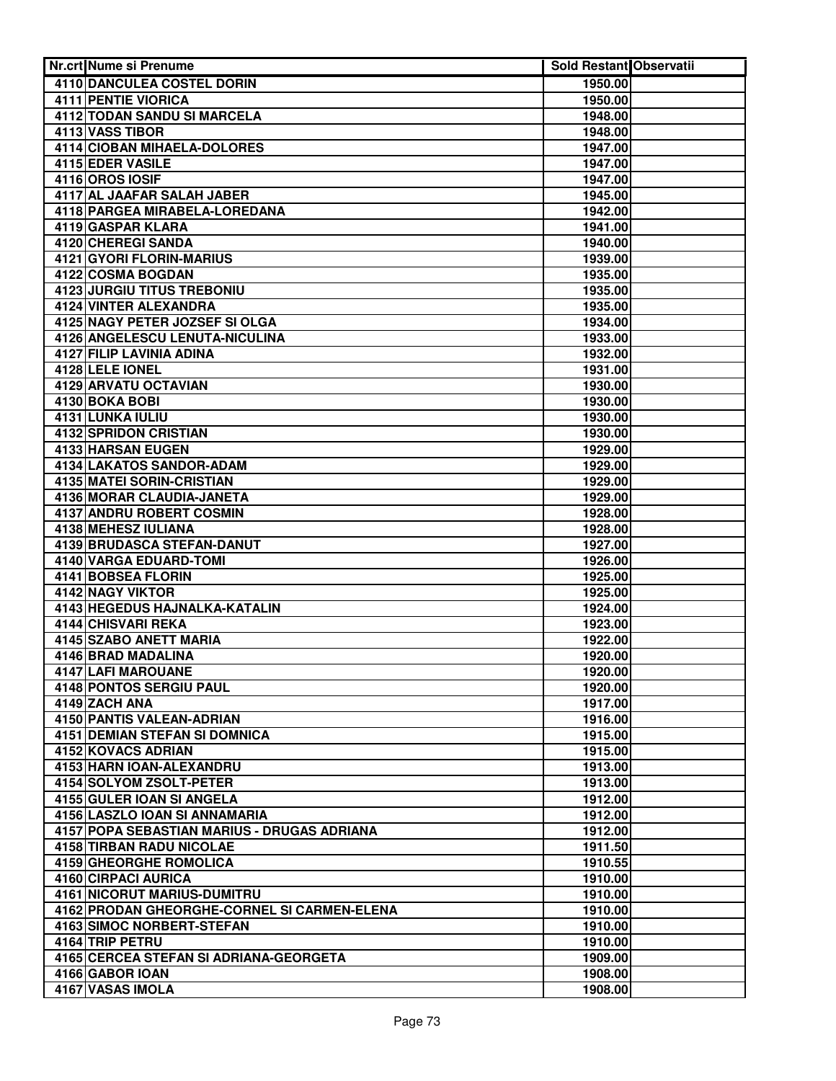| Nr.crt Nume si Prenume                              | Sold Restant Observatii |  |
|-----------------------------------------------------|-------------------------|--|
| 4110 DANCULEA COSTEL DORIN                          | 1950.00                 |  |
| 4111 PENTIE VIORICA                                 | 1950.00                 |  |
| 4112 TODAN SANDU SI MARCELA                         | 1948.00                 |  |
| 4113 VASS TIBOR                                     | 1948.00                 |  |
| 4114 CIOBAN MIHAELA-DOLORES                         | 1947.00                 |  |
| 4115 EDER VASILE                                    | 1947.00                 |  |
| 4116 OROS IOSIF                                     | 1947.00                 |  |
| 4117 AL JAAFAR SALAH JABER                          | 1945.00                 |  |
| 4118 PARGEA MIRABELA-LOREDANA                       | 1942.00                 |  |
| 4119 GASPAR KLARA                                   | 1941.00                 |  |
| 4120 CHEREGI SANDA                                  | 1940.00                 |  |
| 4121 GYORI FLORIN-MARIUS                            | 1939.00                 |  |
| 4122 COSMA BOGDAN                                   | 1935.00                 |  |
| 4123 JURGIU TITUS TREBONIU                          | 1935.00                 |  |
| 4124 VINTER ALEXANDRA                               | 1935.00                 |  |
| 4125 NAGY PETER JOZSEF SI OLGA                      | 1934.00                 |  |
| 4126 ANGELESCU LENUTA-NICULINA                      | 1933.00                 |  |
| 4127 FILIP LAVINIA ADINA                            | 1932.00                 |  |
| 4128 LELE IONEL                                     | 1931.00                 |  |
| 4129 ARVATU OCTAVIAN                                | 1930.00                 |  |
| 4130 BOKA BOBI                                      | 1930.00                 |  |
| 4131 LUNKA IULIU                                    | 1930.00                 |  |
| 4132 SPRIDON CRISTIAN                               | 1930.00                 |  |
| 4133 HARSAN EUGEN                                   | 1929.00                 |  |
| 4134 LAKATOS SANDOR-ADAM                            | 1929.00                 |  |
| 4135 MATEI SORIN-CRISTIAN                           | 1929.00                 |  |
| <b>4136 MORAR CLAUDIA-JANETA</b>                    | 1929.00                 |  |
| <b>4137 ANDRU ROBERT COSMIN</b>                     | 1928.00                 |  |
| 4138 MEHESZ IULIANA                                 | 1928.00                 |  |
| <b>4139 BRUDASCA STEFAN-DANUT</b>                   | 1927.00                 |  |
| 4140 VARGA EDUARD-TOMI                              | 1926.00                 |  |
| 4141 BOBSEA FLORIN                                  | 1925.00                 |  |
| 4142 NAGY VIKTOR                                    | 1925.00                 |  |
| 4143 HEGEDUS HAJNALKA-KATALIN<br>4144 CHISVARI REKA | 1924.00                 |  |
| 4145 SZABO ANETT MARIA                              | 1923.00                 |  |
| 4146 BRAD MADALINA                                  | 1922.00<br>1920.00      |  |
| 4147 LAFI MAROUANE                                  | 1920.00                 |  |
| 4148 PONTOS SERGIU PAUL                             | 1920.00                 |  |
| 4149 ZACH ANA                                       | 1917.00                 |  |
| 4150 PANTIS VALEAN-ADRIAN                           | 1916.00                 |  |
| 4151 DEMIAN STEFAN SI DOMNICA                       | 1915.00                 |  |
| 4152 KOVACS ADRIAN                                  | 1915.00                 |  |
| 4153 HARN IOAN-ALEXANDRU                            | 1913.00                 |  |
| 4154 SOLYOM ZSOLT-PETER                             | 1913.00                 |  |
| 4155 GULER IOAN SI ANGELA                           | 1912.00                 |  |
| 4156 LASZLO IOAN SI ANNAMARIA                       | 1912.00                 |  |
| 4157 POPA SEBASTIAN MARIUS - DRUGAS ADRIANA         | 1912.00                 |  |
| 4158 TIRBAN RADU NICOLAE                            | 1911.50                 |  |
| 4159 GHEORGHE ROMOLICA                              | 1910.55                 |  |
| 4160 CIRPACI AURICA                                 | 1910.00                 |  |
| 4161 NICORUT MARIUS-DUMITRU                         | 1910.00                 |  |
| 4162 PRODAN GHEORGHE-CORNEL SI CARMEN-ELENA         | 1910.00                 |  |
| 4163 SIMOC NORBERT-STEFAN                           | 1910.00                 |  |
| 4164 TRIP PETRU                                     | 1910.00                 |  |
| 4165 CERCEA STEFAN SI ADRIANA-GEORGETA              | 1909.00                 |  |
| 4166 GABOR IOAN                                     | 1908.00                 |  |
| 4167 VASAS IMOLA                                    | 1908.00                 |  |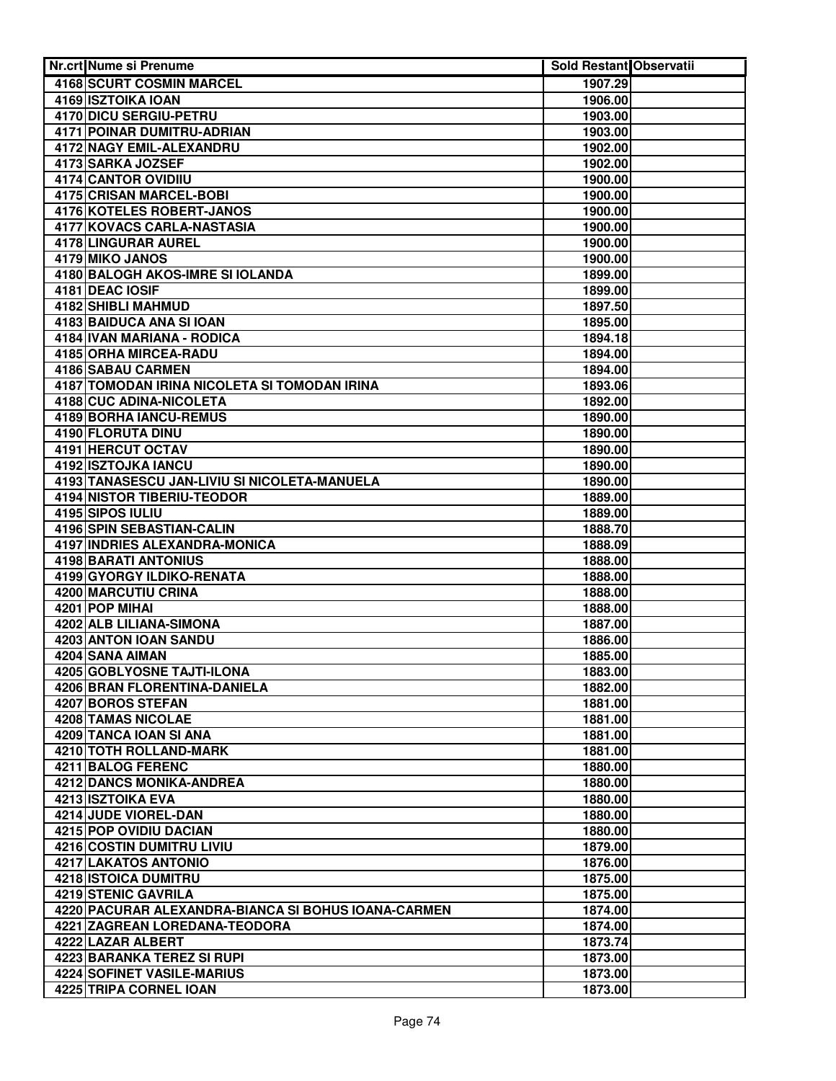| Nr.crt Nume si Prenume                                       | <b>Sold Restant Observatii</b> |  |
|--------------------------------------------------------------|--------------------------------|--|
| 4168 SCURT COSMIN MARCEL                                     | 1907.29                        |  |
| 4169 ISZTOIKA IOAN                                           | 1906.00                        |  |
| 4170 DICU SERGIU-PETRU                                       | 1903.00                        |  |
| 4171 POINAR DUMITRU-ADRIAN                                   | 1903.00                        |  |
| 4172 NAGY EMIL-ALEXANDRU                                     | 1902.00                        |  |
| 4173 SARKA JOZSEF                                            | 1902.00                        |  |
| 4174 CANTOR OVIDIIU                                          | 1900.00                        |  |
| 4175 CRISAN MARCEL-BOBI                                      | 1900.00                        |  |
| <b>4176 KOTELES ROBERT-JANOS</b>                             | 1900.00                        |  |
| 4177 KOVACS CARLA-NASTASIA                                   | 1900.00                        |  |
| 4178 LINGURAR AUREL                                          | 1900.00                        |  |
| 4179 MIKO JANOS                                              | 1900.00                        |  |
| 4180 BALOGH AKOS-IMRE SI IOLANDA                             | 1899.00                        |  |
| 4181 DEAC IOSIF                                              | 1899.00                        |  |
| 4182 SHIBLI MAHMUD                                           | 1897.50                        |  |
| 4183 BAIDUCA ANA SI IOAN                                     | 1895.00                        |  |
| 4184 IVAN MARIANA - RODICA                                   | 1894.18                        |  |
| 4185 ORHA MIRCEA-RADU                                        | 1894.00                        |  |
| 4186 SABAU CARMEN                                            | 1894.00                        |  |
| 4187 TOMODAN IRINA NICOLETA SI TOMODAN IRINA                 | 1893.06                        |  |
| 4188 CUC ADINA-NICOLETA                                      | 1892.00                        |  |
| 4189 BORHA IANCU-REMUS                                       | 1890.00                        |  |
| 4190 FLORUTA DINU                                            | 1890.00                        |  |
| 4191 HERCUT OCTAV                                            | 1890.00                        |  |
| 4192 ISZTOJKA IANCU                                          | 1890.00                        |  |
| 4193 TANASESCU JAN-LIVIU SI NICOLETA-MANUELA                 | 1890.00                        |  |
| <b>4194 NISTOR TIBERIU-TEODOR</b>                            | 1889.00                        |  |
| 4195 SIPOS IULIU                                             | 1889.00                        |  |
| <b>4196 SPIN SEBASTIAN-CALIN</b>                             | 1888.70                        |  |
| 4197 INDRIES ALEXANDRA-MONICA<br><b>4198 BARATI ANTONIUS</b> | 1888.09                        |  |
| <b>4199 GYORGY ILDIKO-RENATA</b>                             | 1888.00<br>1888.00             |  |
| <b>4200 MARCUTIU CRINA</b>                                   | 1888.00                        |  |
| 4201 POP MIHAI                                               | 1888.00                        |  |
| 4202 ALB LILIANA-SIMONA                                      | 1887.00                        |  |
| 4203 ANTON IOAN SANDU                                        | 1886.00                        |  |
| 4204 SANA AIMAN                                              | 1885.00                        |  |
| 4205 GOBLYOSNE TAJTI-ILONA                                   | 1883.00                        |  |
| 4206 BRAN FLORENTINA-DANIELA                                 | 1882.00                        |  |
| 4207 BOROS STEFAN                                            | 1881.00                        |  |
| 4208 TAMAS NICOLAE                                           | 1881.00                        |  |
| 4209 TANCA IOAN SI ANA                                       | 1881.00                        |  |
| 4210 TOTH ROLLAND-MARK                                       | 1881.00                        |  |
| 4211 BALOG FERENC                                            | 1880.00                        |  |
| 4212 DANCS MONIKA-ANDREA                                     | 1880.00                        |  |
| 4213 ISZTOIKA EVA                                            | 1880.00                        |  |
| 4214 JUDE VIOREL-DAN                                         | 1880.00                        |  |
| 4215 POP OVIDIU DACIAN                                       | 1880.00                        |  |
| 4216 COSTIN DUMITRU LIVIU                                    | 1879.00                        |  |
| 4217 LAKATOS ANTONIO                                         | 1876.00                        |  |
| 4218 ISTOICA DUMITRU                                         | 1875.00                        |  |
| 4219 STENIC GAVRILA                                          | 1875.00                        |  |
| 4220 PACURAR ALEXANDRA-BIANCA SI BOHUS IOANA-CARMEN          | 1874.00                        |  |
| 4221 ZAGREAN LOREDANA-TEODORA                                | 1874.00                        |  |
| 4222 LAZAR ALBERT                                            | 1873.74                        |  |
| 4223 BARANKA TEREZ SI RUPI                                   | 1873.00                        |  |
| 4224 SOFINET VASILE-MARIUS                                   | 1873.00                        |  |
| 4225 TRIPA CORNEL IOAN                                       | 1873.00                        |  |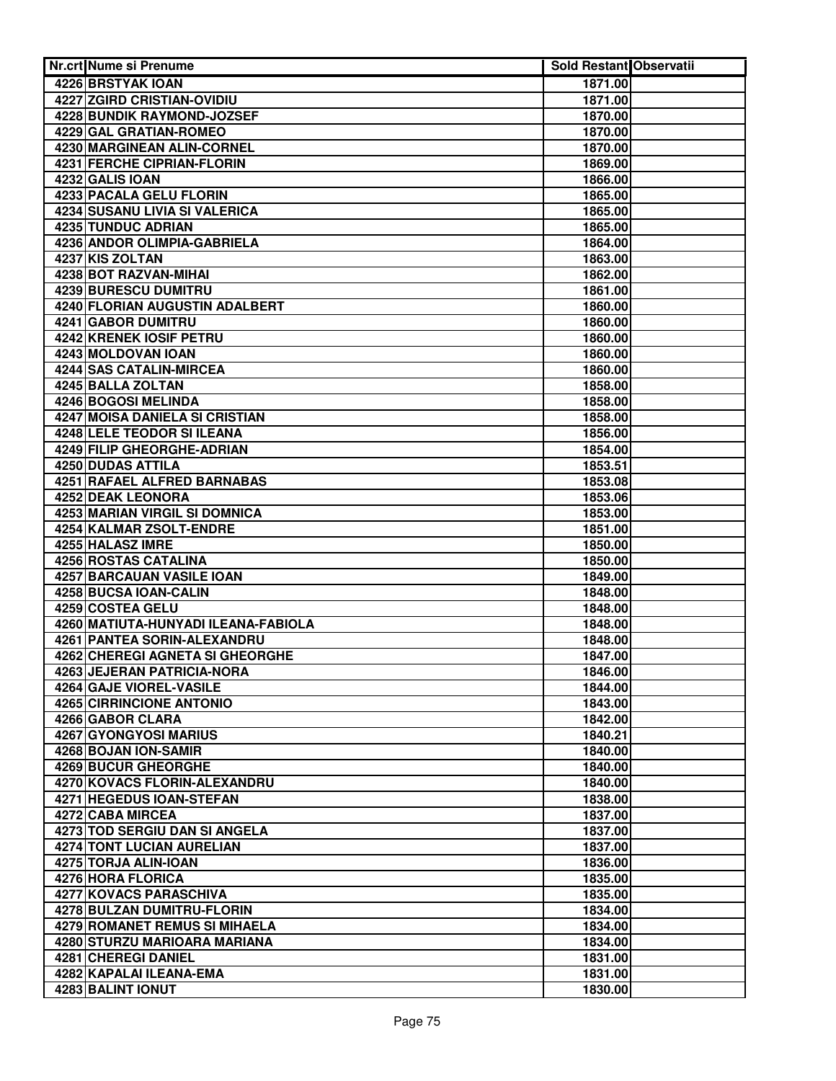| <b>Nr.crt Nume si Prenume</b>               | Sold Restant Observatii |  |
|---------------------------------------------|-------------------------|--|
| 4226 BRSTYAK IOAN                           | 1871.00                 |  |
| <b>4227 ZGIRD CRISTIAN-OVIDIU</b>           | 1871.00                 |  |
| <b>4228 BUNDIK RAYMOND-JOZSEF</b>           | 1870.00                 |  |
| 4229 GAL GRATIAN-ROMEO                      | 1870.00                 |  |
| 4230 MARGINEAN ALIN-CORNEL                  | 1870.00                 |  |
| <b>4231 FERCHE CIPRIAN-FLORIN</b>           | 1869.00                 |  |
| 4232 GALIS IOAN                             | 1866.00                 |  |
| 4233 PACALA GELU FLORIN                     | 1865.00                 |  |
| <b>4234 SUSANU LIVIA SI VALERICA</b>        | 1865.00                 |  |
| <b>4235 TUNDUC ADRIAN</b>                   | 1865.00                 |  |
| 4236 ANDOR OLIMPIA-GABRIELA                 | 1864.00                 |  |
| 4237 KIS ZOLTAN                             | 1863.00                 |  |
| 4238 BOT RAZVAN-MIHAI                       | 1862.00                 |  |
| 4239 BURESCU DUMITRU                        | 1861.00                 |  |
| 4240 FLORIAN AUGUSTIN ADALBERT              | 1860.00                 |  |
| 4241 GABOR DUMITRU                          | 1860.00                 |  |
| 4242 KRENEK IOSIF PETRU                     | 1860.00                 |  |
| 4243 MOLDOVAN IOAN                          | 1860.00                 |  |
| 4244 SAS CATALIN-MIRCEA                     | 1860.00                 |  |
| 4245 BALLA ZOLTAN                           | 1858.00                 |  |
| 4246 BOGOSI MELINDA                         | 1858.00                 |  |
| 4247 MOISA DANIELA SI CRISTIAN              | 1858.00                 |  |
| 4248 LELE TEODOR SI ILEANA                  | 1856.00                 |  |
| 4249 FILIP GHEORGHE-ADRIAN                  | 1854.00                 |  |
| 4250 DUDAS ATTILA                           | 1853.51                 |  |
| 4251 RAFAEL ALFRED BARNABAS                 | 1853.08                 |  |
| 4252 DEAK LEONORA                           | 1853.06                 |  |
| <b>4253 MARIAN VIRGIL SI DOMNICA</b>        | 1853.00                 |  |
| 4254 KALMAR ZSOLT-ENDRE<br>4255 HALASZ IMRE | 1851.00                 |  |
| <b>4256 ROSTAS CATALINA</b>                 | 1850.00<br>1850.00      |  |
| 4257 BARCAUAN VASILE IOAN                   | 1849.00                 |  |
| 4258 BUCSA IOAN-CALIN                       | 1848.00                 |  |
| 4259 COSTEA GELU                            | 1848.00                 |  |
| 4260 MATIUTA-HUNYADI ILEANA-FABIOLA         | 1848.00                 |  |
| 4261 PANTEA SORIN-ALEXANDRU                 | 1848.00                 |  |
| 4262 CHEREGI AGNETA SI GHEORGHE             | 1847.00                 |  |
| 4263 JEJERAN PATRICIA-NORA                  | 1846.00                 |  |
| 4264 GAJE VIOREL-VASILE                     | 1844.00                 |  |
| 4265 CIRRINCIONE ANTONIO                    | 1843.00                 |  |
| 4266 GABOR CLARA                            | 1842.00                 |  |
| 4267 GYONGYOSI MARIUS                       | 1840.21                 |  |
| 4268 BOJAN ION-SAMIR                        | 1840.00                 |  |
| 4269 BUCUR GHEORGHE                         | 1840.00                 |  |
| 4270 KOVACS FLORIN-ALEXANDRU                | 1840.00                 |  |
| 4271 HEGEDUS IOAN-STEFAN                    | 1838.00                 |  |
| 4272 CABA MIRCEA                            | 1837.00                 |  |
| 4273 TOD SERGIU DAN SI ANGELA               | 1837.00                 |  |
| <b>4274 TONT LUCIAN AURELIAN</b>            | 1837.00                 |  |
| 4275 TORJA ALIN-IOAN                        | 1836.00                 |  |
| 4276 HORA FLORICA                           | 1835.00                 |  |
| 4277 KOVACS PARASCHIVA                      | 1835.00                 |  |
| 4278 BULZAN DUMITRU-FLORIN                  | 1834.00                 |  |
| 4279 ROMANET REMUS SI MIHAELA               | 1834.00                 |  |
| 4280 STURZU MARIOARA MARIANA                | 1834.00                 |  |
| 4281 CHEREGI DANIEL                         | 1831.00                 |  |
| 4282 KAPALAI ILEANA-EMA                     | 1831.00                 |  |
| 4283 BALINT IONUT                           | 1830.00                 |  |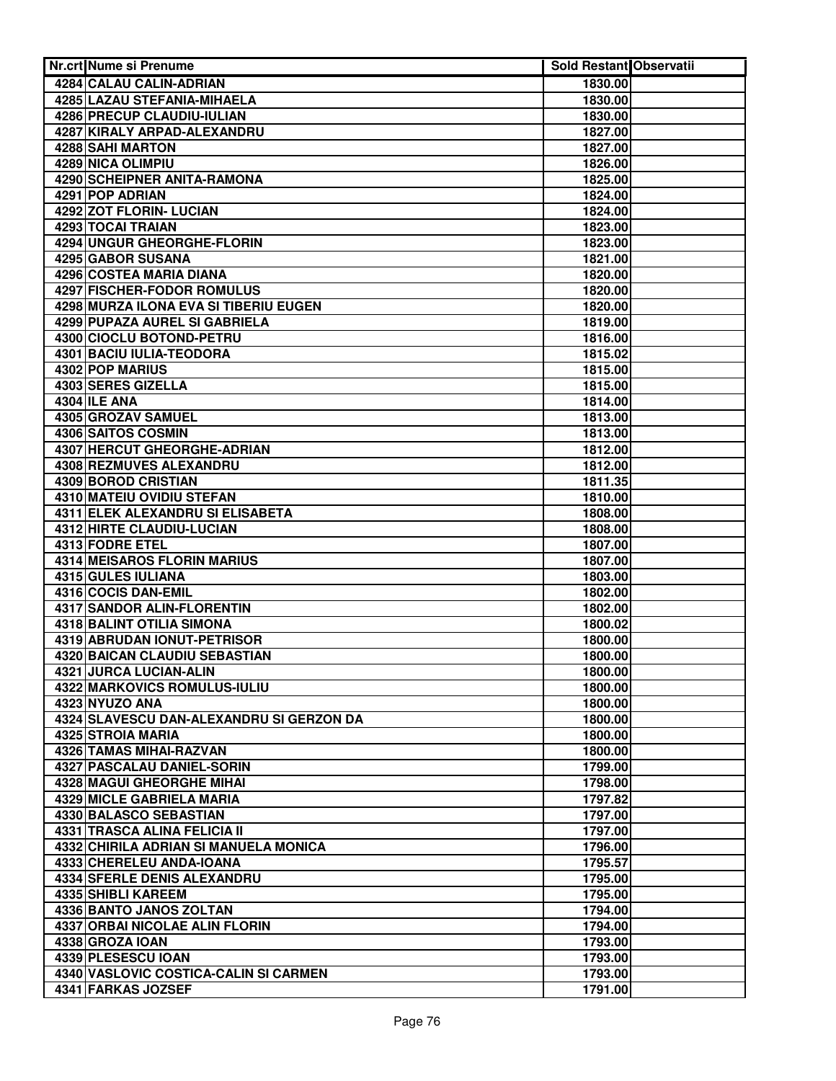| Nr.crt Nume si Prenume                   | <b>Sold Restant Observatii</b> |  |
|------------------------------------------|--------------------------------|--|
| 4284 CALAU CALIN-ADRIAN                  | 1830.00                        |  |
| 4285 LAZAU STEFANIA-MIHAELA              | 1830.00                        |  |
| 4286 PRECUP CLAUDIU-IULIAN               | 1830.00                        |  |
| 4287 KIRALY ARPAD-ALEXANDRU              | 1827.00                        |  |
| 4288 SAHI MARTON                         | 1827.00                        |  |
| <b>4289 NICA OLIMPIU</b>                 | 1826.00                        |  |
| 4290 SCHEIPNER ANITA-RAMONA              | 1825.00                        |  |
| 4291 POP ADRIAN                          | 1824.00                        |  |
| 4292 ZOT FLORIN- LUCIAN                  | 1824.00                        |  |
| <b>4293 TOCAI TRAIAN</b>                 | 1823.00                        |  |
| 4294 UNGUR GHEORGHE-FLORIN               | 1823.00                        |  |
| 4295 GABOR SUSANA                        | 1821.00                        |  |
| 4296 COSTEA MARIA DIANA                  | 1820.00                        |  |
| 4297 FISCHER-FODOR ROMULUS               | 1820.00                        |  |
| 4298 MURZA ILONA EVA SI TIBERIU EUGEN    | 1820.00                        |  |
| 4299 PUPAZA AUREL SI GABRIELA            | 1819.00                        |  |
| 4300 CIOCLU BOTOND-PETRU                 | 1816.00                        |  |
| 4301 BACIU IULIA-TEODORA                 | 1815.02                        |  |
| 4302 POP MARIUS                          | 1815.00                        |  |
| 4303 SERES GIZELLA                       | 1815.00                        |  |
| 4304 ILE ANA                             | 1814.00                        |  |
| 4305 GROZAV SAMUEL                       | 1813.00                        |  |
| 4306 SAITOS COSMIN                       | 1813.00                        |  |
| 4307 HERCUT GHEORGHE-ADRIAN              | 1812.00                        |  |
| 4308 REZMUVES ALEXANDRU                  | 1812.00                        |  |
| 4309 BOROD CRISTIAN                      | 1811.35                        |  |
| <b>4310 MATEIU OVIDIU STEFAN</b>         | 1810.00                        |  |
| 4311 ELEK ALEXANDRU SI ELISABETA         | 1808.00                        |  |
| <b>4312 HIRTE CLAUDIU-LUCIAN</b>         | 1808.00                        |  |
| 4313 FODRE ETEL                          | 1807.00                        |  |
| <b>4314 MEISAROS FLORIN MARIUS</b>       | 1807.00                        |  |
| 4315 GULES IULIANA                       | 1803.00                        |  |
| 4316 COCIS DAN-EMIL                      | 1802.00                        |  |
| 4317 SANDOR ALIN-FLORENTIN               | 1802.00                        |  |
| 4318 BALINT OTILIA SIMONA                | 1800.02                        |  |
| 4319 ABRUDAN IONUT-PETRISOR              | 1800.00                        |  |
| 4320 BAICAN CLAUDIU SEBASTIAN            | 1800.00                        |  |
| <b>4321 JURCA LUCIAN-ALIN</b>            | 1800.00                        |  |
| 4322 MARKOVICS ROMULUS-IULIU             | 1800.00                        |  |
| 4323 NYUZO ANA                           | 1800.00                        |  |
| 4324 SLAVESCU DAN-ALEXANDRU SI GERZON DA | 1800.00                        |  |
| 4325 STROIA MARIA                        | 1800.00                        |  |
| 4326 TAMAS MIHAI-RAZVAN                  | 1800.00                        |  |
| 4327 PASCALAU DANIEL-SORIN               | 1799.00                        |  |
| <b>4328 MAGUI GHEORGHE MIHAI</b>         | 1798.00                        |  |
| 4329 MICLE GABRIELA MARIA                | 1797.82                        |  |
| 4330 BALASCO SEBASTIAN                   | 1797.00                        |  |
| 4331 TRASCA ALINA FELICIA II             | 1797.00                        |  |
| 4332 CHIRILA ADRIAN SI MANUELA MONICA    | 1796.00                        |  |
| 4333 CHERELEU ANDA-IOANA                 | 1795.57                        |  |
| 4334 SFERLE DENIS ALEXANDRU              | 1795.00                        |  |
| 4335 SHIBLI KAREEM                       | 1795.00                        |  |
| 4336 BANTO JANOS ZOLTAN                  | 1794.00                        |  |
| 4337 ORBAI NICOLAE ALIN FLORIN           | 1794.00                        |  |
| 4338 GROZA IOAN                          | 1793.00                        |  |
| 4339 PLESESCU IOAN                       | 1793.00                        |  |
| 4340 VASLOVIC COSTICA-CALIN SI CARMEN    | 1793.00                        |  |
| 4341 FARKAS JOZSEF                       | 1791.00                        |  |
|                                          |                                |  |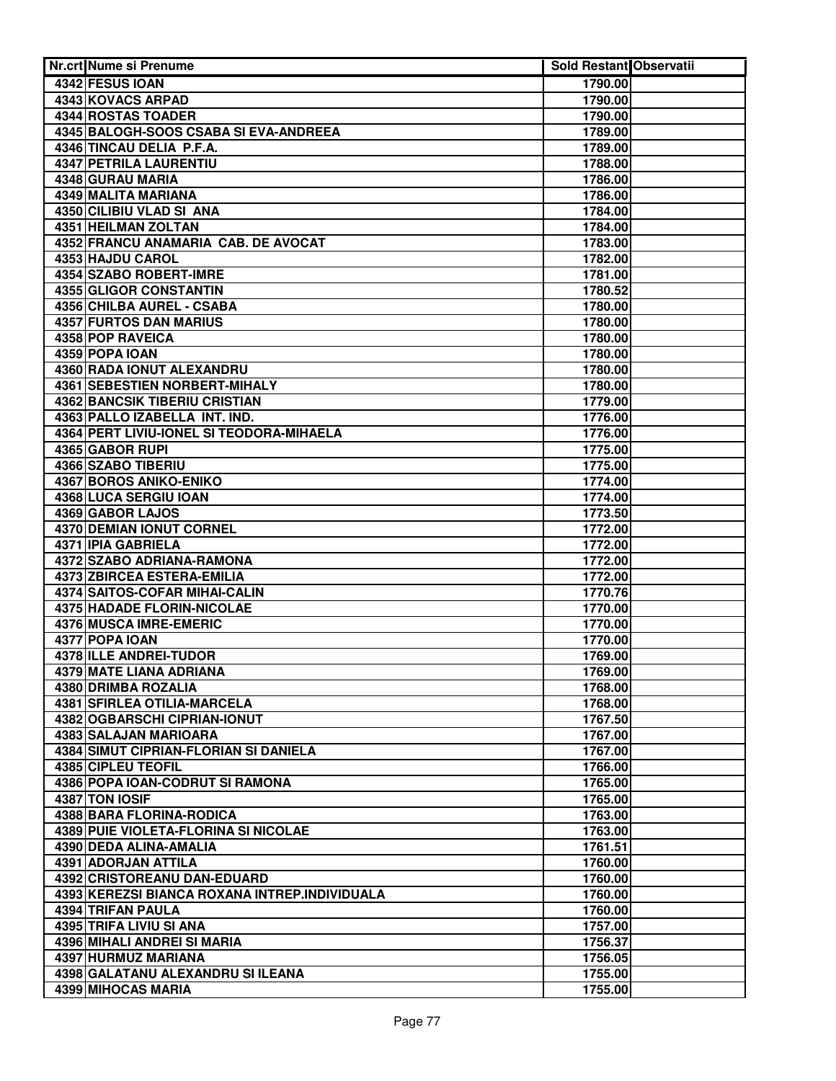| Nr.crt Nume si Prenume                                | Sold Restant Observatii |  |
|-------------------------------------------------------|-------------------------|--|
| 4342 FESUS IOAN                                       | 1790.00                 |  |
| 4343 KOVACS ARPAD                                     | 1790.00                 |  |
| 4344 ROSTAS TOADER                                    | 1790.00                 |  |
| 4345 BALOGH-SOOS CSABA SI EVA-ANDREEA                 | 1789.00                 |  |
| 4346 TINCAU DELIA P.F.A.                              | 1789.00                 |  |
| <b>4347 PETRILA LAURENTIU</b>                         | 1788.00                 |  |
| 4348 GURAU MARIA                                      | 1786.00                 |  |
| 4349 MALITA MARIANA                                   | 1786.00                 |  |
| 4350 CILIBIU VLAD SI ANA                              | 1784.00                 |  |
| 4351 HEILMAN ZOLTAN                                   | 1784.00                 |  |
| 4352 FRANCU ANAMARIA CAB. DE AVOCAT                   | 1783.00                 |  |
| 4353 HAJDU CAROL                                      | 1782.00                 |  |
| 4354 SZABO ROBERT-IMRE                                | 1781.00                 |  |
| 4355 GLIGOR CONSTANTIN                                | 1780.52                 |  |
| 4356 CHILBA AUREL - CSABA                             | 1780.00                 |  |
| 4357 FURTOS DAN MARIUS                                | 1780.00                 |  |
| 4358 POP RAVEICA                                      | 1780.00                 |  |
| 4359 POPA IOAN                                        | 1780.00                 |  |
| 4360 RADA IONUT ALEXANDRU                             | 1780.00                 |  |
| 4361 SEBESTIEN NORBERT-MIHALY                         | 1780.00                 |  |
| 4362 BANCSIK TIBERIU CRISTIAN                         | 1779.00                 |  |
| 4363 PALLO IZABELLA INT. IND.                         | 1776.00                 |  |
| 4364 PERT LIVIU-IONEL SI TEODORA-MIHAELA              | 1776.00                 |  |
| 4365 GABOR RUPI                                       | 1775.00                 |  |
| 4366 SZABO TIBERIU                                    | 1775.00                 |  |
| 4367 BOROS ANIKO-ENIKO                                | 1774.00                 |  |
| 4368 LUCA SERGIU IOAN                                 | 1774.00                 |  |
| 4369 GABOR LAJOS                                      | 1773.50                 |  |
| 4370 DEMIAN IONUT CORNEL<br><b>4371 IPIA GABRIELA</b> | 1772.00<br>1772.00      |  |
| 4372 SZABO ADRIANA-RAMONA                             | 1772.00                 |  |
| <b>4373 ZBIRCEA ESTERA-EMILIA</b>                     | 1772.00                 |  |
| 4374 SAITOS-COFAR MIHAI-CALIN                         | 1770.76                 |  |
| <b>4375 HADADE FLORIN-NICOLAE</b>                     | 1770.00                 |  |
| <b>4376 MUSCA IMRE-EMERIC</b>                         | 1770.00                 |  |
| 4377 POPA IOAN                                        | 1770.00                 |  |
| 4378 ILLE ANDREI-TUDOR                                | 1769.00                 |  |
| 4379 MATE LIANA ADRIANA                               | 1769.00                 |  |
| 4380 DRIMBA ROZALIA                                   | 1768.00                 |  |
| 4381 SFIRLEA OTILIA-MARCELA                           | 1768.00                 |  |
| 4382 OGBARSCHI CIPRIAN-IONUT                          | 1767.50                 |  |
| 4383 SALAJAN MARIOARA                                 | 1767.00                 |  |
| 4384 SIMUT CIPRIAN-FLORIAN SI DANIELA                 | 1767.00                 |  |
| 4385 CIPLEU TEOFIL                                    | 1766.00                 |  |
| 4386 POPA IOAN-CODRUT SI RAMONA                       | 1765.00                 |  |
| 4387 TON IOSIF                                        | 1765.00                 |  |
| 4388 BARA FLORINA-RODICA                              | 1763.00                 |  |
| 4389 PUIE VIOLETA-FLORINA SI NICOLAE                  | 1763.00                 |  |
| 4390 DEDA ALINA-AMALIA                                | 1761.51                 |  |
| 4391 ADORJAN ATTILA                                   | 1760.00                 |  |
| 4392 CRISTOREANU DAN-EDUARD                           | 1760.00                 |  |
| 4393 KEREZSI BIANCA ROXANA INTREP.INDIVIDUALA         | 1760.00                 |  |
| 4394 TRIFAN PAULA                                     | 1760.00                 |  |
| 4395 TRIFA LIVIU SI ANA                               | 1757.00                 |  |
| 4396 MIHALI ANDREI SI MARIA                           | 1756.37                 |  |
| 4397 HURMUZ MARIANA                                   | 1756.05                 |  |
| 4398 GALATANU ALEXANDRU SI ILEANA                     | 1755.00                 |  |
| <b>4399 MIHOCAS MARIA</b>                             | 1755.00                 |  |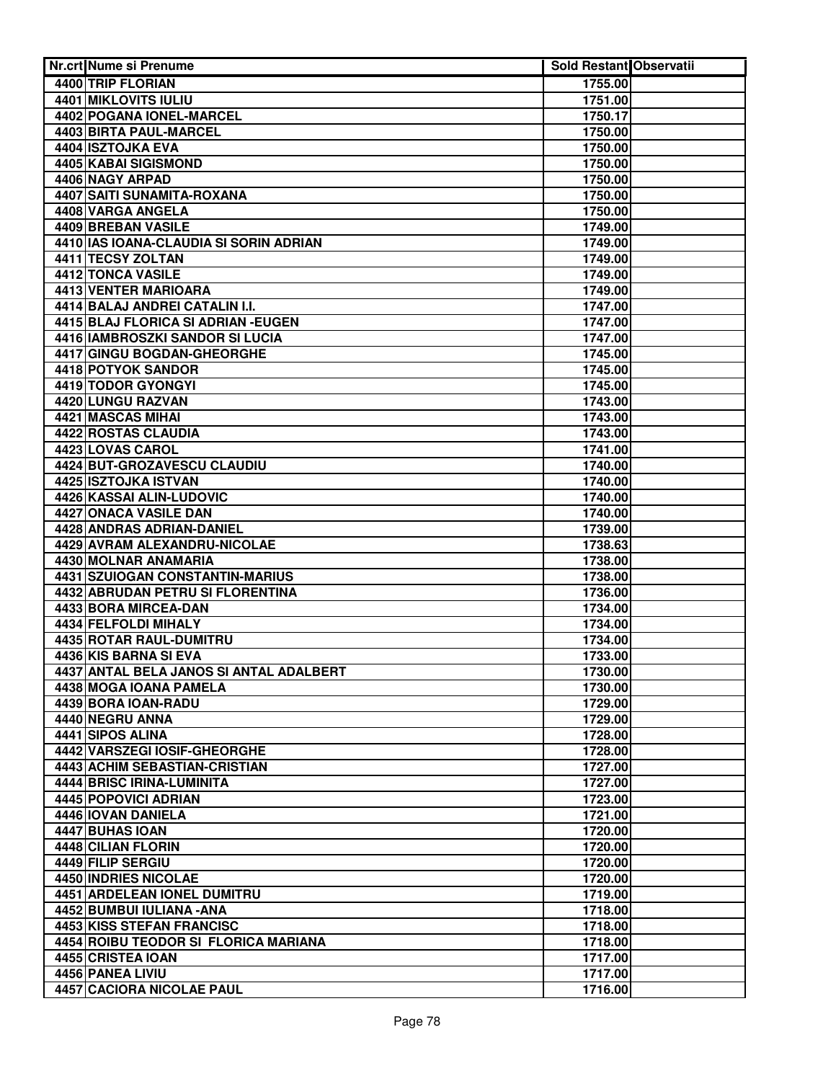| Nr.crt Nume si Prenume                                           | Sold Restant Observatii |  |
|------------------------------------------------------------------|-------------------------|--|
| 4400 TRIP FLORIAN                                                | 1755.00                 |  |
| <b>4401 MIKLOVITS IULIU</b>                                      | 1751.00                 |  |
| 4402 POGANA IONEL-MARCEL                                         | 1750.17                 |  |
| 4403 BIRTA PAUL-MARCEL                                           | 1750.00                 |  |
| 4404 ISZTOJKA EVA                                                | 1750.00                 |  |
| 4405 KABAI SIGISMOND                                             | 1750.00                 |  |
| 4406 NAGY ARPAD                                                  | 1750.00                 |  |
| 4407 SAITI SUNAMITA-ROXANA                                       | 1750.00                 |  |
| 4408 VARGA ANGELA                                                | 1750.00                 |  |
| 4409 BREBAN VASILE                                               | 1749.00                 |  |
| 4410 IAS IOANA-CLAUDIA SI SORIN ADRIAN                           | 1749.00                 |  |
| 4411 TECSY ZOLTAN                                                | 1749.00                 |  |
| 4412 TONCA VASILE                                                | 1749.00                 |  |
| 4413 VENTER MARIOARA                                             | 1749.00                 |  |
| 4414 BALAJ ANDREI CATALIN I.I.                                   | 1747.00                 |  |
| 4415 BLAJ FLORICA SI ADRIAN - EUGEN                              | 1747.00                 |  |
| 4416 IAMBROSZKI SANDOR SI LUCIA                                  | 1747.00                 |  |
| 4417 GINGU BOGDAN-GHEORGHE                                       | 1745.00                 |  |
| 4418 POTYOK SANDOR                                               | 1745.00                 |  |
| 4419 TODOR GYONGYI                                               | 1745.00                 |  |
| 4420 LUNGU RAZVAN                                                | 1743.00                 |  |
| 4421 MASCAS MIHAI                                                | 1743.00                 |  |
| 4422 ROSTAS CLAUDIA                                              | 1743.00                 |  |
| 4423 LOVAS CAROL                                                 | 1741.00                 |  |
| 4424 BUT-GROZAVESCU CLAUDIU                                      | 1740.00                 |  |
| 4425 ISZTOJKA ISTVAN                                             | 1740.00                 |  |
| 4426 KASSAI ALIN-LUDOVIC                                         | 1740.00                 |  |
| 4427 ONACA VASILE DAN                                            | 1740.00                 |  |
| <b>4428 ANDRAS ADRIAN-DANIEL</b><br>4429 AVRAM ALEXANDRU-NICOLAE | 1739.00<br>1738.63      |  |
| 4430 MOLNAR ANAMARIA                                             | 1738.00                 |  |
| 4431 SZUIOGAN CONSTANTIN-MARIUS                                  | 1738.00                 |  |
| <b>4432 ABRUDAN PETRU SI FLORENTINA</b>                          | 1736.00                 |  |
| 4433 BORA MIRCEA-DAN                                             | 1734.00                 |  |
| 4434 FELFOLDI MIHALY                                             | 1734.00                 |  |
| 4435 ROTAR RAUL-DUMITRU                                          | 1734.00                 |  |
| 4436 KIS BARNA SI EVA                                            | 1733.00                 |  |
| 4437 ANTAL BELA JANOS SI ANTAL ADALBERT                          | 1730.00                 |  |
| 4438 MOGA IOANA PAMELA                                           | 1730.00                 |  |
| 4439 BORA IOAN-RADU                                              | 1729.00                 |  |
| 4440 NEGRU ANNA                                                  | 1729.00                 |  |
| 4441 SIPOS ALINA                                                 | 1728.00                 |  |
| 4442 VARSZEGI IOSIF-GHEORGHE                                     | 1728.00                 |  |
| 4443 ACHIM SEBASTIAN-CRISTIAN                                    | 1727.00                 |  |
| 4444 BRISC IRINA-LUMINITA                                        | 1727.00                 |  |
| 4445 POPOVICI ADRIAN                                             | 1723.00                 |  |
| 4446 IOVAN DANIELA                                               | 1721.00                 |  |
| 4447 BUHAS IOAN                                                  | 1720.00                 |  |
| 4448 CILIAN FLORIN                                               | 1720.00                 |  |
| 4449 FILIP SERGIU                                                | 1720.00                 |  |
| 4450 INDRIES NICOLAE                                             | 1720.00                 |  |
| 4451 ARDELEAN IONEL DUMITRU                                      | 1719.00                 |  |
| 4452 BUMBUI IULIANA - ANA                                        | 1718.00                 |  |
| 4453 KISS STEFAN FRANCISC                                        | 1718.00                 |  |
| 4454 ROIBU TEODOR SI FLORICA MARIANA                             | 1718.00                 |  |
| 4455 CRISTEA IOAN                                                | 1717.00                 |  |
| 4456 PANEA LIVIU                                                 | 1717.00                 |  |
| 4457 CACIORA NICOLAE PAUL                                        | 1716.00                 |  |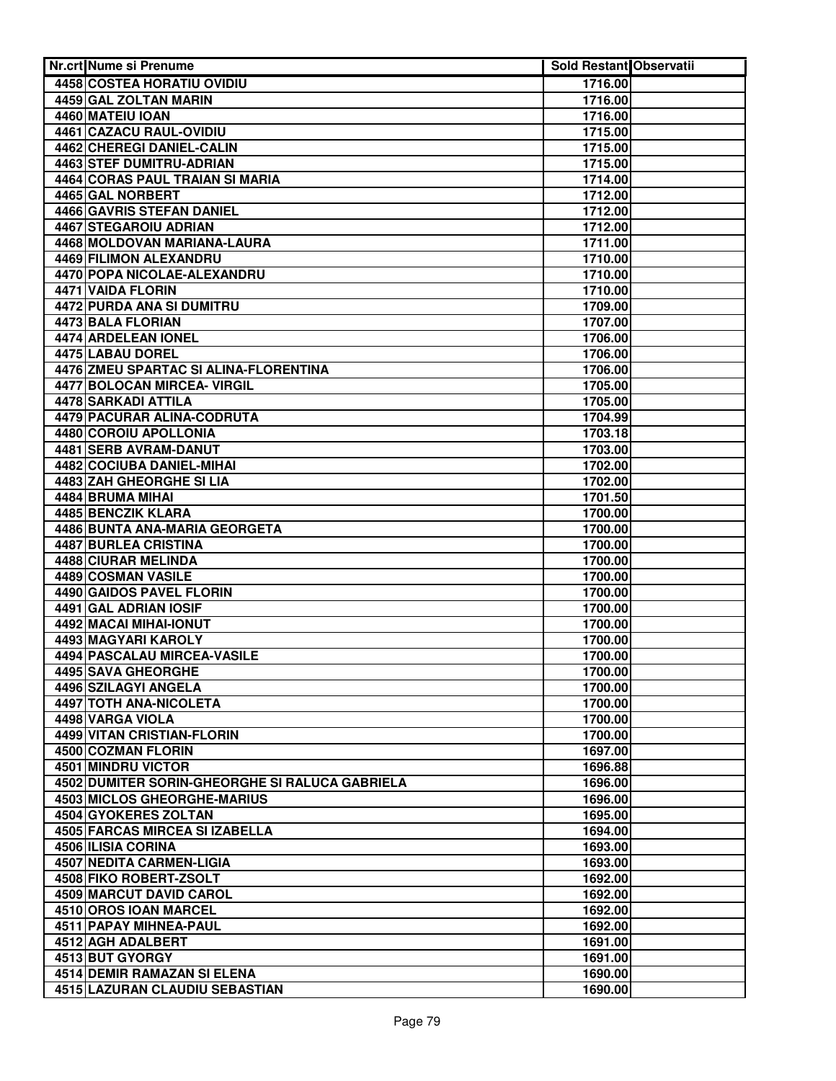| Nr.crt Nume si Prenume                                                               | <b>Sold Restant Observatii</b> |  |
|--------------------------------------------------------------------------------------|--------------------------------|--|
| <b>4458 COSTEA HORATIU OVIDIU</b>                                                    | 1716.00                        |  |
| 4459 GAL ZOLTAN MARIN                                                                | 1716.00                        |  |
| 4460 MATEIU IOAN                                                                     | 1716.00                        |  |
| 4461 CAZACU RAUL-OVIDIU                                                              | 1715.00                        |  |
| 4462 CHEREGI DANIEL-CALIN                                                            | 1715.00                        |  |
| <b>4463 STEF DUMITRU-ADRIAN</b>                                                      | 1715.00                        |  |
| 4464 CORAS PAUL TRAIAN SI MARIA                                                      | 1714.00                        |  |
| 4465 GAL NORBERT                                                                     | 1712.00                        |  |
| <b>4466 GAVRIS STEFAN DANIEL</b>                                                     | 1712.00                        |  |
| 4467 STEGAROIU ADRIAN                                                                | 1712.00                        |  |
| 4468 MOLDOVAN MARIANA-LAURA                                                          | 1711.00                        |  |
| 4469 FILIMON ALEXANDRU                                                               | 1710.00                        |  |
| 4470 POPA NICOLAE-ALEXANDRU                                                          | 1710.00                        |  |
| 4471 VAIDA FLORIN                                                                    | 1710.00                        |  |
| 4472 PURDA ANA SI DUMITRU                                                            | 1709.00                        |  |
| 4473 BALA FLORIAN                                                                    | 1707.00                        |  |
| 4474 ARDELEAN IONEL                                                                  | 1706.00                        |  |
| 4475 LABAU DOREL                                                                     | 1706.00                        |  |
| 4476 ZMEU SPARTAC SI ALINA-FLORENTINA                                                | 1706.00                        |  |
| 4477 BOLOCAN MIRCEA- VIRGIL                                                          | 1705.00                        |  |
| 4478 SARKADI ATTILA                                                                  | 1705.00                        |  |
| 4479 PACURAR ALINA-CODRUTA                                                           | 1704.99                        |  |
| 4480 COROIU APOLLONIA                                                                | 1703.18                        |  |
| 4481 SERB AVRAM-DANUT                                                                | 1703.00                        |  |
| 4482 COCIUBA DANIEL-MIHAI                                                            | 1702.00                        |  |
| 4483 ZAH GHEORGHE SI LIA                                                             | 1702.00                        |  |
| 4484 BRUMA MIHAI                                                                     | 1701.50                        |  |
| 4485 BENCZIK KLARA                                                                   | 1700.00                        |  |
| 4486 BUNTA ANA-MARIA GEORGETA                                                        | 1700.00                        |  |
| 4487 BURLEA CRISTINA                                                                 | 1700.00                        |  |
| <b>4488 CIURAR MELINDA</b>                                                           | 1700.00                        |  |
| 4489 COSMAN VASILE                                                                   | 1700.00                        |  |
| <b>4490 GAIDOS PAVEL FLORIN</b>                                                      | 1700.00                        |  |
| 4491 GAL ADRIAN IOSIF                                                                | 1700.00                        |  |
| 4492 MACAI MIHAI-IONUT                                                               | 1700.00                        |  |
| 4493 MAGYARI KAROLY                                                                  | 1700.00                        |  |
| 4494 PASCALAU MIRCEA-VASILE                                                          | 1700.00                        |  |
| 4495 SAVA GHEORGHE                                                                   | 1700.00                        |  |
| 4496 SZILAGYI ANGELA                                                                 | 1700.00                        |  |
| 4497 TOTH ANA-NICOLETA                                                               | 1700.00                        |  |
| 4498 VARGA VIOLA                                                                     | 1700.00                        |  |
| 4499 VITAN CRISTIAN-FLORIN                                                           | 1700.00                        |  |
| 4500 COZMAN FLORIN                                                                   | 1697.00                        |  |
| 4501 MINDRU VICTOR                                                                   | 1696.88<br>1696.00             |  |
| 4502 DUMITER SORIN-GHEORGHE SI RALUCA GABRIELA<br><b>4503 MICLOS GHEORGHE-MARIUS</b> | 1696.00                        |  |
| 4504 GYOKERES ZOLTAN                                                                 | 1695.00                        |  |
| 4505 FARCAS MIRCEA SI IZABELLA                                                       | 1694.00                        |  |
| 4506 ILISIA CORINA                                                                   | 1693.00                        |  |
| 4507 NEDITA CARMEN-LIGIA                                                             | 1693.00                        |  |
| 4508 FIKO ROBERT-ZSOLT                                                               | 1692.00                        |  |
| <b>4509 MARCUT DAVID CAROL</b>                                                       | 1692.00                        |  |
| 4510 OROS IOAN MARCEL                                                                | 1692.00                        |  |
| 4511 PAPAY MIHNEA-PAUL                                                               | 1692.00                        |  |
| 4512 AGH ADALBERT                                                                    | 1691.00                        |  |
| 4513 BUT GYORGY                                                                      | 1691.00                        |  |
| <b>4514 DEMIR RAMAZAN SI ELENA</b>                                                   | 1690.00                        |  |
| <b>4515 LAZURAN CLAUDIU SEBASTIAN</b>                                                | 1690.00                        |  |
|                                                                                      |                                |  |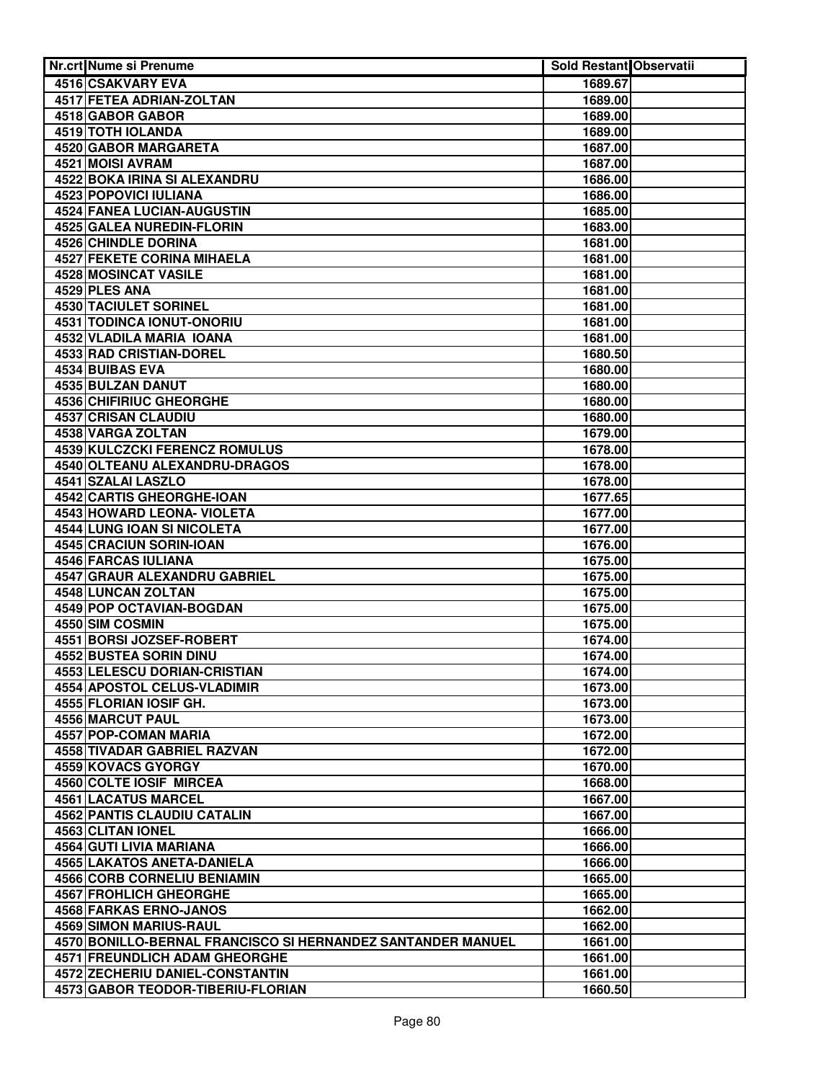| <b>Nr.crt Nume si Prenume</b>                               | <b>Sold Restant Observatii</b> |  |
|-------------------------------------------------------------|--------------------------------|--|
| 4516 CSAKVARY EVA                                           | 1689.67                        |  |
| 4517 FETEA ADRIAN-ZOLTAN                                    | 1689.00                        |  |
| 4518 GABOR GABOR                                            | 1689.00                        |  |
| 4519 TOTH IOLANDA                                           | 1689.00                        |  |
| 4520 GABOR MARGARETA                                        | 1687.00                        |  |
| 4521 MOISI AVRAM                                            | 1687.00                        |  |
| <b>4522 BOKA IRINA SI ALEXANDRU</b>                         | 1686.00                        |  |
| <b>4523 POPOVICI IULIANA</b>                                | 1686.00                        |  |
| 4524 FANEA LUCIAN-AUGUSTIN                                  | 1685.00                        |  |
| 4525 GALEA NUREDIN-FLORIN                                   | 1683.00                        |  |
| 4526 CHINDLE DORINA                                         | 1681.00                        |  |
| 4527 FEKETE CORINA MIHAELA                                  | 1681.00                        |  |
| 4528 MOSINCAT VASILE                                        | 1681.00                        |  |
| 4529 PLES ANA                                               | 1681.00                        |  |
| 4530 TACIULET SORINEL                                       | 1681.00                        |  |
| 4531 TODINCA IONUT-ONORIU                                   | 1681.00                        |  |
| 4532 VLADILA MARIA IOANA                                    | 1681.00                        |  |
| 4533 RAD CRISTIAN-DOREL                                     | 1680.50                        |  |
| 4534 BUIBAS EVA                                             | 1680.00                        |  |
| 4535 BULZAN DANUT                                           | 1680.00                        |  |
| 4536 CHIFIRIUC GHEORGHE                                     | 1680.00                        |  |
| 4537 CRISAN CLAUDIU                                         | 1680.00                        |  |
| 4538 VARGA ZOLTAN                                           | 1679.00                        |  |
| 4539 KULCZCKI FERENCZ ROMULUS                               | 1678.00                        |  |
| 4540 OLTEANU ALEXANDRU-DRAGOS                               | 1678.00                        |  |
| 4541 SZALAI LASZLO                                          | 1678.00                        |  |
| <b>4542 CARTIS GHEORGHE-IOAN</b>                            | 1677.65                        |  |
| 4543 HOWARD LEONA- VIOLETA                                  | 1677.00                        |  |
| <b>4544 LUNG IOAN SI NICOLETA</b>                           | 1677.00                        |  |
| 4545 CRACIUN SORIN-IOAN                                     | 1676.00                        |  |
| <b>4546 FARCAS IULIANA</b>                                  | 1675.00                        |  |
| <b>4547 GRAUR ALEXANDRU GABRIEL</b>                         | 1675.00                        |  |
| 4548 LUNCAN ZOLTAN                                          | 1675.00                        |  |
| 4549 POP OCTAVIAN-BOGDAN                                    | 1675.00                        |  |
| 4550 SIM COSMIN                                             | 1675.00                        |  |
| 4551 BORSI JOZSEF-ROBERT                                    | 1674.00                        |  |
| 4552 BUSTEA SORIN DINU                                      | 1674.00                        |  |
| <b>4553 LELESCU DORIAN-CRISTIAN</b>                         | 1674.00                        |  |
| 4554 APOSTOL CELUS-VLADIMIR                                 | 1673.00                        |  |
| 4555 FLORIAN IOSIF GH.                                      | 1673.00                        |  |
| 4556 MARCUT PAUL                                            | 1673.00                        |  |
| 4557 POP-COMAN MARIA                                        | 1672.00                        |  |
| 4558 TIVADAR GABRIEL RAZVAN                                 | 1672.00                        |  |
| 4559 KOVACS GYORGY                                          | 1670.00                        |  |
| 4560 COLTE IOSIF MIRCEA                                     | 1668.00                        |  |
| 4561 LACATUS MARCEL                                         | 1667.00                        |  |
| 4562 PANTIS CLAUDIU CATALIN                                 | 1667.00                        |  |
| 4563 CLITAN IONEL                                           | 1666.00                        |  |
| 4564 GUTI LIVIA MARIANA                                     | 1666.00                        |  |
| 4565 LAKATOS ANETA-DANIELA                                  | 1666.00                        |  |
| <b>4566 CORB CORNELIU BENIAMIN</b>                          | 1665.00                        |  |
| 4567 FROHLICH GHEORGHE                                      | 1665.00                        |  |
| 4568 FARKAS ERNO-JANOS                                      | 1662.00                        |  |
| 4569 SIMON MARIUS-RAUL                                      | 1662.00                        |  |
| 4570 BONILLO-BERNAL FRANCISCO SI HERNANDEZ SANTANDER MANUEL | 1661.00                        |  |
| <b>4571 FREUNDLICH ADAM GHEORGHE</b>                        | 1661.00                        |  |
| <b>4572 ZECHERIU DANIEL-CONSTANTIN</b>                      | 1661.00                        |  |
| 4573 GABOR TEODOR-TIBERIU-FLORIAN                           | 1660.50                        |  |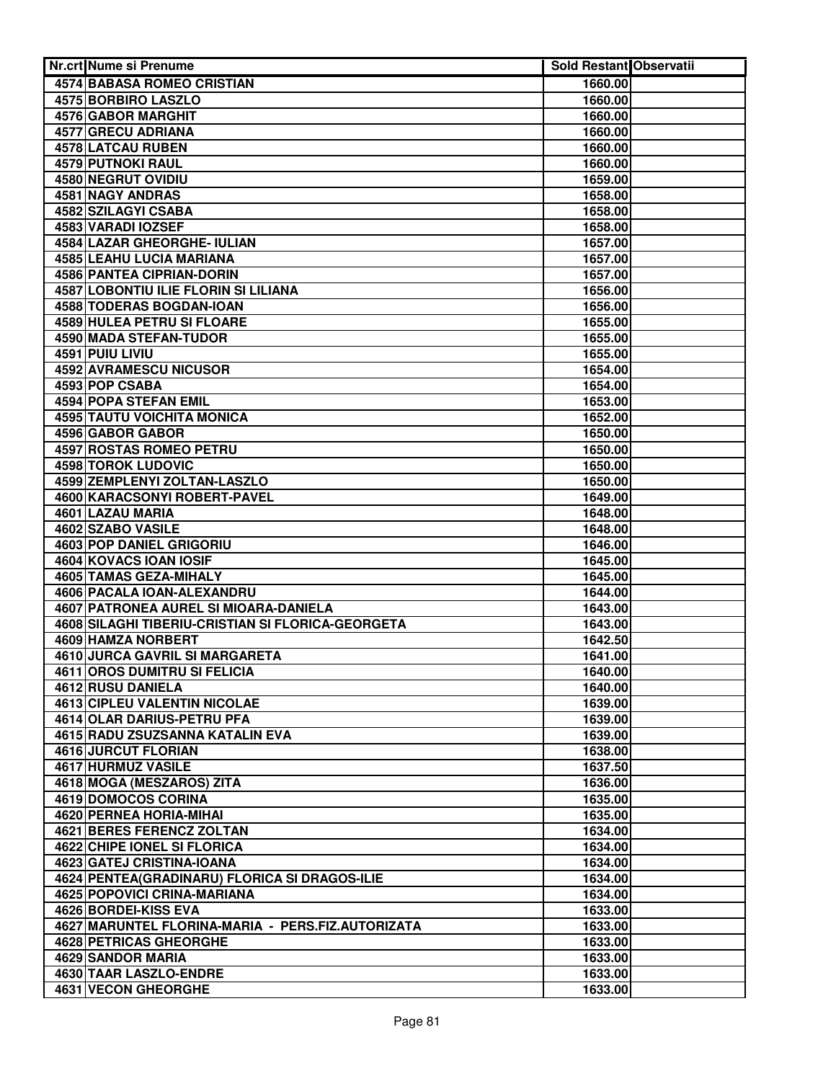| <b>Nr.crt Nume si Prenume</b>                     | <b>Sold Restant Observatii</b> |  |
|---------------------------------------------------|--------------------------------|--|
| 4574 BABASA ROMEO CRISTIAN                        | 1660.00                        |  |
| <b>4575 BORBIRO LASZLO</b>                        | 1660.00                        |  |
| 4576 GABOR MARGHIT                                | 1660.00                        |  |
| 4577 GRECU ADRIANA                                | 1660.00                        |  |
| 4578 LATCAU RUBEN                                 | 1660.00                        |  |
| 4579 PUTNOKI RAUL                                 | 1660.00                        |  |
| 4580 NEGRUT OVIDIU                                | 1659.00                        |  |
| <b>4581 NAGY ANDRAS</b>                           | 1658.00                        |  |
| 4582 SZILAGYI CSABA                               | 1658.00                        |  |
| 4583 VARADI IOZSEF                                | 1658.00                        |  |
| 4584 LAZAR GHEORGHE- IULIAN                       | 1657.00                        |  |
| 4585 LEAHU LUCIA MARIANA                          | 1657.00                        |  |
| 4586 PANTEA CIPRIAN-DORIN                         | 1657.00                        |  |
| 4587 LOBONTIU ILIE FLORIN SI LILIANA              | 1656.00                        |  |
| 4588 TODERAS BOGDAN-IOAN                          | 1656.00                        |  |
| 4589 HULEA PETRU SI FLOARE                        | 1655.00                        |  |
| 4590 MADA STEFAN-TUDOR                            | 1655.00                        |  |
| 4591 PUIU LIVIU                                   | 1655.00                        |  |
| 4592 AVRAMESCU NICUSOR                            | 1654.00                        |  |
| 4593 POP CSABA                                    | 1654.00                        |  |
| 4594 POPA STEFAN EMIL                             | 1653.00                        |  |
| <b>4595 TAUTU VOICHITA MONICA</b>                 | 1652.00                        |  |
| 4596 GABOR GABOR                                  | 1650.00                        |  |
| 4597 ROSTAS ROMEO PETRU                           | 1650.00                        |  |
| 4598 TOROK LUDOVIC                                | 1650.00                        |  |
| 4599 ZEMPLENYI ZOLTAN-LASZLO                      | 1650.00                        |  |
| 4600 KARACSONYI ROBERT-PAVEL                      | 1649.00                        |  |
| 4601 LAZAU MARIA                                  | 1648.00                        |  |
| 4602 SZABO VASILE                                 | 1648.00                        |  |
| 4603 POP DANIEL GRIGORIU                          | 1646.00                        |  |
| 4604 KOVACS IOAN IOSIF                            | 1645.00                        |  |
| <b>4605 TAMAS GEZA-MIHALY</b>                     | 1645.00                        |  |
| 4606 PACALA IOAN-ALEXANDRU                        | 1644.00                        |  |
| 4607 PATRONEA AUREL SI MIOARA-DANIELA             | 1643.00                        |  |
| 4608 SILAGHI TIBERIU-CRISTIAN SI FLORICA-GEORGETA | 1643.00                        |  |
| 4609 HAMZA NORBERT                                | 1642.50                        |  |
| 4610 JURCA GAVRIL SI MARGARETA                    | 1641.00                        |  |
| 4611 OROS DUMITRU SI FELICIA                      | 1640.00                        |  |
| 4612 RUSU DANIELA                                 | 1640.00                        |  |
| <b>4613 CIPLEU VALENTIN NICOLAE</b>               | 1639.00                        |  |
| 4614 OLAR DARIUS-PETRU PFA                        | 1639.00                        |  |
| 4615 RADU ZSUZSANNA KATALIN EVA                   | 1639.00                        |  |
| 4616 JURCUT FLORIAN                               | 1638.00                        |  |
| 4617 HURMUZ VASILE                                | 1637.50                        |  |
| 4618 MOGA (MESZAROS) ZITA                         | 1636.00                        |  |
| 4619 DOMOCOS CORINA                               | 1635.00                        |  |
| 4620 PERNEA HORIA-MIHAI                           | 1635.00                        |  |
| 4621 BERES FERENCZ ZOLTAN                         | 1634.00                        |  |
| <b>4622 CHIPE IONEL SI FLORICA</b>                | 1634.00                        |  |
| 4623 GATEJ CRISTINA-IOANA                         | 1634.00                        |  |
| 4624 PENTEA (GRADINARU) FLORICA SI DRAGOS-ILIE    | 1634.00                        |  |
| 4625 POPOVICI CRINA-MARIANA                       | 1634.00                        |  |
| 4626 BORDEI-KISS EVA                              | 1633.00                        |  |
| 4627 MARUNTEL FLORINA-MARIA - PERS.FIZ.AUTORIZATA | 1633.00                        |  |
| <b>4628 PETRICAS GHEORGHE</b>                     | 1633.00                        |  |
| 4629 SANDOR MARIA                                 | 1633.00                        |  |
| 4630 TAAR LASZLO-ENDRE                            | 1633.00                        |  |
| 4631 VECON GHEORGHE                               | 1633.00                        |  |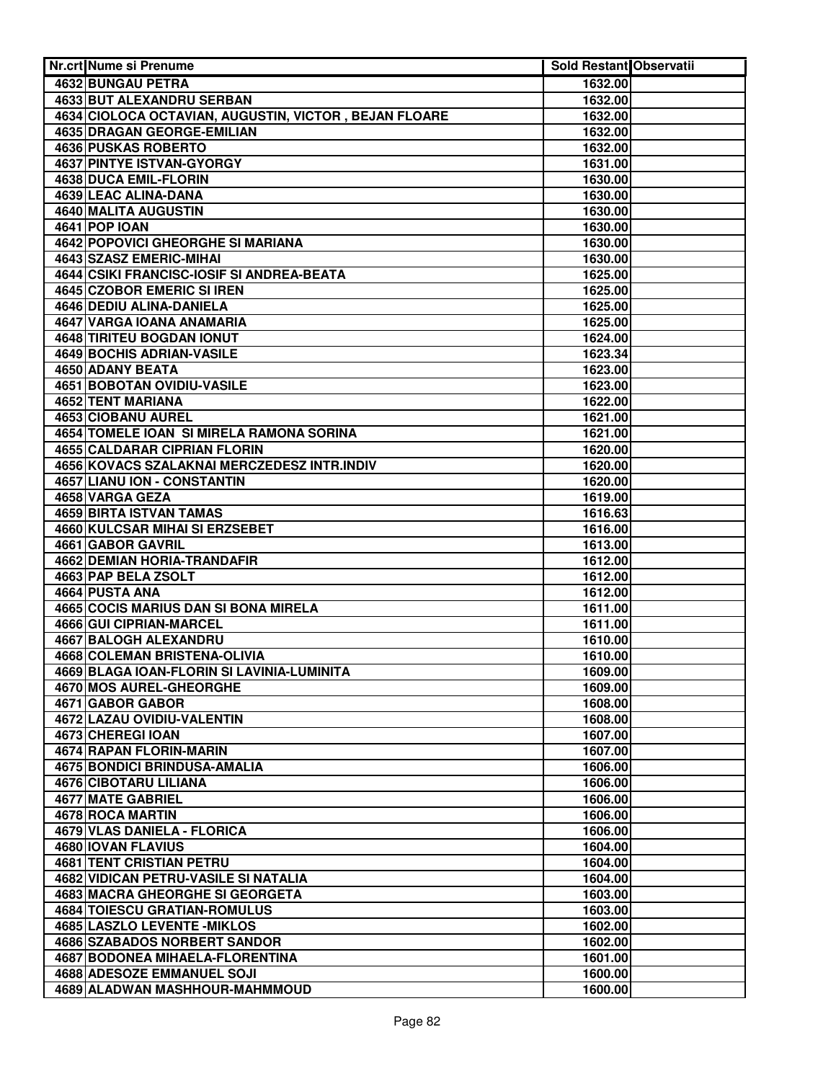| Nr.crt Nume si Prenume                                | Sold Restant Observatii |  |
|-------------------------------------------------------|-------------------------|--|
| 4632 BUNGAU PETRA                                     | 1632.00                 |  |
| 4633 BUT ALEXANDRU SERBAN                             | 1632.00                 |  |
| 4634 CIOLOCA OCTAVIAN, AUGUSTIN, VICTOR, BEJAN FLOARE | 1632.00                 |  |
| <b>4635 DRAGAN GEORGE-EMILIAN</b>                     | 1632.00                 |  |
| <b>4636 PUSKAS ROBERTO</b>                            | 1632.00                 |  |
| <b>4637 PINTYE ISTVAN-GYORGY</b>                      | 1631.00                 |  |
| 4638 DUCA EMIL-FLORIN                                 | 1630.00                 |  |
| 4639 LEAC ALINA-DANA                                  | 1630.00                 |  |
| 4640 MALITA AUGUSTIN                                  | 1630.00                 |  |
| <b>4641 POP IOAN</b>                                  | 1630.00                 |  |
| 4642 POPOVICI GHEORGHE SI MARIANA                     | 1630.00                 |  |
| 4643 SZASZ EMERIC-MIHAI                               | 1630.00                 |  |
| 4644 CSIKI FRANCISC-IOSIF SI ANDREA-BEATA             | 1625.00                 |  |
| 4645 CZOBOR EMERIC SI IREN                            | 1625.00                 |  |
| 4646 DEDIU ALINA-DANIELA                              | 1625.00                 |  |
| 4647 VARGA IOANA ANAMARIA                             | 1625.00                 |  |
| 4648 TIRITEU BOGDAN IONUT                             | 1624.00                 |  |
| 4649 BOCHIS ADRIAN-VASILE                             | 1623.34                 |  |
| 4650 ADANY BEATA                                      | 1623.00                 |  |
| 4651 BOBOTAN OVIDIU-VASILE                            | 1623.00                 |  |
| 4652 TENT MARIANA                                     | 1622.00                 |  |
| 4653 CIOBANU AUREL                                    | 1621.00                 |  |
| 4654 TOMELE IOAN SI MIRELA RAMONA SORINA              | 1621.00                 |  |
| 4655 CALDARAR CIPRIAN FLORIN                          | 1620.00                 |  |
| 4656 KOVACS SZALAKNAI MERCZEDESZ INTR.INDIV           | 1620.00                 |  |
| <b>4657 LIANU ION - CONSTANTIN</b>                    | 1620.00                 |  |
| 4658 VARGA GEZA                                       | 1619.00                 |  |
| 4659 BIRTA ISTVAN TAMAS                               | 1616.63                 |  |
| 4660 KULCSAR MIHAI SI ERZSEBET                        | 1616.00                 |  |
| 4661 GABOR GAVRIL                                     | 1613.00                 |  |
| 4662 DEMIAN HORIA-TRANDAFIR                           | 1612.00                 |  |
| 4663 PAP BELA ZSOLT                                   | 1612.00                 |  |
| 4664 PUSTA ANA                                        | 1612.00                 |  |
| 4665 COCIS MARIUS DAN SI BONA MIRELA                  | 1611.00                 |  |
| 4666 GUI CIPRIAN-MARCEL                               | 1611.00                 |  |
| 4667 BALOGH ALEXANDRU                                 | 1610.00                 |  |
| 4668 COLEMAN BRISTENA-OLIVIA                          | 1610.00                 |  |
| 4669 BLAGA IOAN-FLORIN SI LAVINIA-LUMINITA            | 1609.00                 |  |
| 4670 MOS AUREL-GHEORGHE                               | 1609.00                 |  |
| 4671 GABOR GABOR                                      | 1608.00                 |  |
| 4672 LAZAU OVIDIU-VALENTIN<br>4673 CHEREGI IOAN       | 1608.00                 |  |
| 4674 RAPAN FLORIN-MARIN                               | 1607.00<br>1607.00      |  |
| 4675 BONDICI BRINDUSA-AMALIA                          | 1606.00                 |  |
| 4676 CIBOTARU LILIANA                                 | 1606.00                 |  |
| 4677 MATE GABRIEL                                     | 1606.00                 |  |
| 4678 ROCA MARTIN                                      | 1606.00                 |  |
| 4679 VLAS DANIELA - FLORICA                           | 1606.00                 |  |
| 4680 IOVAN FLAVIUS                                    | 1604.00                 |  |
| 4681 TENT CRISTIAN PETRU                              | 1604.00                 |  |
| 4682 VIDICAN PETRU-VASILE SI NATALIA                  | 1604.00                 |  |
| <b>4683 MACRA GHEORGHE SI GEORGETA</b>                | 1603.00                 |  |
| 4684 TOIESCU GRATIAN-ROMULUS                          | 1603.00                 |  |
| 4685 LASZLO LEVENTE - MIKLOS                          | 1602.00                 |  |
| 4686 SZABADOS NORBERT SANDOR                          | 1602.00                 |  |
| 4687 BODONEA MIHAELA-FLORENTINA                       | 1601.00                 |  |
| <b>4688 ADESOZE EMMANUEL SOJI</b>                     | 1600.00                 |  |
| 4689 ALADWAN MASHHOUR-MAHMMOUD                        | 1600.00                 |  |
|                                                       |                         |  |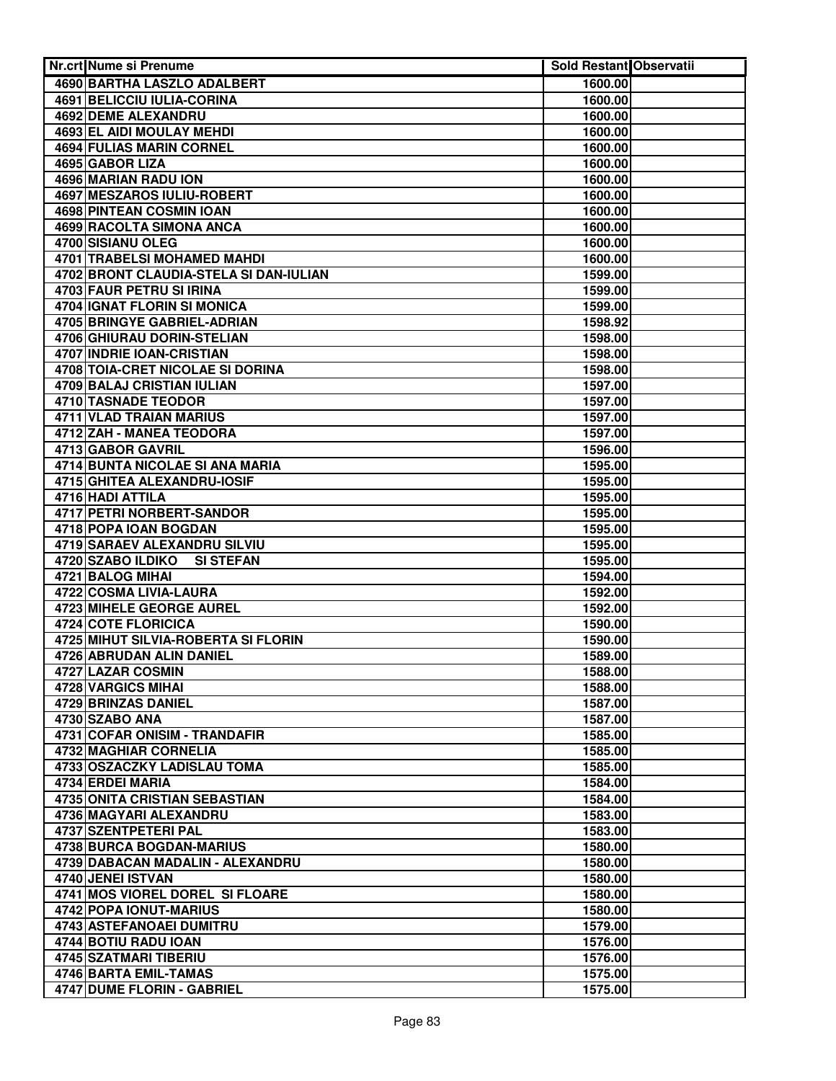| <b>Nr.crt Nume si Prenume</b>              | Sold Restant Observatii |  |
|--------------------------------------------|-------------------------|--|
| 4690 BARTHA LASZLO ADALBERT                | 1600.00                 |  |
| 4691 BELICCIU IULIA-CORINA                 | 1600.00                 |  |
| <b>4692 DEME ALEXANDRU</b>                 | 1600.00                 |  |
| 4693 EL AIDI MOULAY MEHDI                  | 1600.00                 |  |
| <b>4694 FULIAS MARIN CORNEL</b>            | 1600.00                 |  |
| 4695 GABOR LIZA                            | 1600.00                 |  |
| <b>4696 MARIAN RADU ION</b>                | 1600.00                 |  |
| <b>4697 MESZAROS IULIU-ROBERT</b>          | 1600.00                 |  |
| <b>4698 PINTEAN COSMIN IOAN</b>            | 1600.00                 |  |
| <b>4699 RACOLTA SIMONA ANCA</b>            | 1600.00                 |  |
| 4700 SISIANU OLEG                          | 1600.00                 |  |
| 4701 TRABELSI MOHAMED MAHDI                | 1600.00                 |  |
| 4702 BRONT CLAUDIA-STELA SI DAN-IULIAN     | 1599.00                 |  |
| 4703 FAUR PETRU SI IRINA                   | 1599.00                 |  |
| 4704 IGNAT FLORIN SI MONICA                | 1599.00                 |  |
| 4705 BRINGYE GABRIEL-ADRIAN                | 1598.92                 |  |
| 4706 GHIURAU DORIN-STELIAN                 | 1598.00                 |  |
| <b>4707 INDRIE IOAN-CRISTIAN</b>           | 1598.00                 |  |
| 4708 TOIA-CRET NICOLAE SI DORINA           | 1598.00                 |  |
| 4709 BALAJ CRISTIAN IULIAN                 | 1597.00                 |  |
| 4710 TASNADE TEODOR                        | 1597.00                 |  |
| 4711 VLAD TRAIAN MARIUS                    | 1597.00                 |  |
| 4712 ZAH - MANEA TEODORA                   | 1597.00                 |  |
| 4713 GABOR GAVRIL                          | 1596.00                 |  |
| 4714 BUNTA NICOLAE SI ANA MARIA            | 1595.00                 |  |
| 4715 GHITEA ALEXANDRU-IOSIF                | 1595.00                 |  |
| 4716 HADI ATTILA                           | 1595.00                 |  |
| <b>4717 PETRI NORBERT-SANDOR</b>           | 1595.00                 |  |
| 4718 POPA IOAN BOGDAN                      | 1595.00                 |  |
| 4719 SARAEV ALEXANDRU SILVIU               | 1595.00                 |  |
| 4720 SZABO ILDIKO<br><b>SI STEFAN</b>      | 1595.00                 |  |
| 4721 BALOG MIHAI<br>4722 COSMA LIVIA-LAURA | 1594.00                 |  |
| 4723 MIHELE GEORGE AUREL                   | 1592.00<br>1592.00      |  |
| 4724 COTE FLORICICA                        | 1590.00                 |  |
| 4725 MIHUT SILVIA-ROBERTA SI FLORIN        | 1590.00                 |  |
| 4726 ABRUDAN ALIN DANIEL                   | 1589.00                 |  |
| 4727 LAZAR COSMIN                          | 1588.00                 |  |
| 4728 VARGICS MIHAI                         | 1588.00                 |  |
| 4729 BRINZAS DANIEL                        | 1587.00                 |  |
| 4730 SZABO ANA                             | 1587.00                 |  |
| 4731 COFAR ONISIM - TRANDAFIR              | 1585.00                 |  |
| 4732 MAGHIAR CORNELIA                      | 1585.00                 |  |
| 4733 OSZACZKY LADISLAU TOMA                | 1585.00                 |  |
| 4734 ERDEI MARIA                           | 1584.00                 |  |
| 4735 ONITA CRISTIAN SEBASTIAN              | 1584.00                 |  |
| 4736 MAGYARI ALEXANDRU                     | 1583.00                 |  |
| 4737 SZENTPETERI PAL                       | 1583.00                 |  |
| 4738 BURCA BOGDAN-MARIUS                   | 1580.00                 |  |
| 4739 DABACAN MADALIN - ALEXANDRU           | 1580.00                 |  |
| 4740 JENEI ISTVAN                          | 1580.00                 |  |
| 4741 MOS VIOREL DOREL SI FLOARE            | 1580.00                 |  |
| 4742 POPA IONUT-MARIUS                     | 1580.00                 |  |
| 4743 ASTEFANOAEI DUMITRU                   | 1579.00                 |  |
| 4744 BOTIU RADU IOAN                       | 1576.00                 |  |
| 4745 SZATMARI TIBERIU                      | 1576.00                 |  |
| <b>4746 BARTA EMIL-TAMAS</b>               | 1575.00                 |  |
| <b>4747 DUME FLORIN - GABRIEL</b>          | 1575.00                 |  |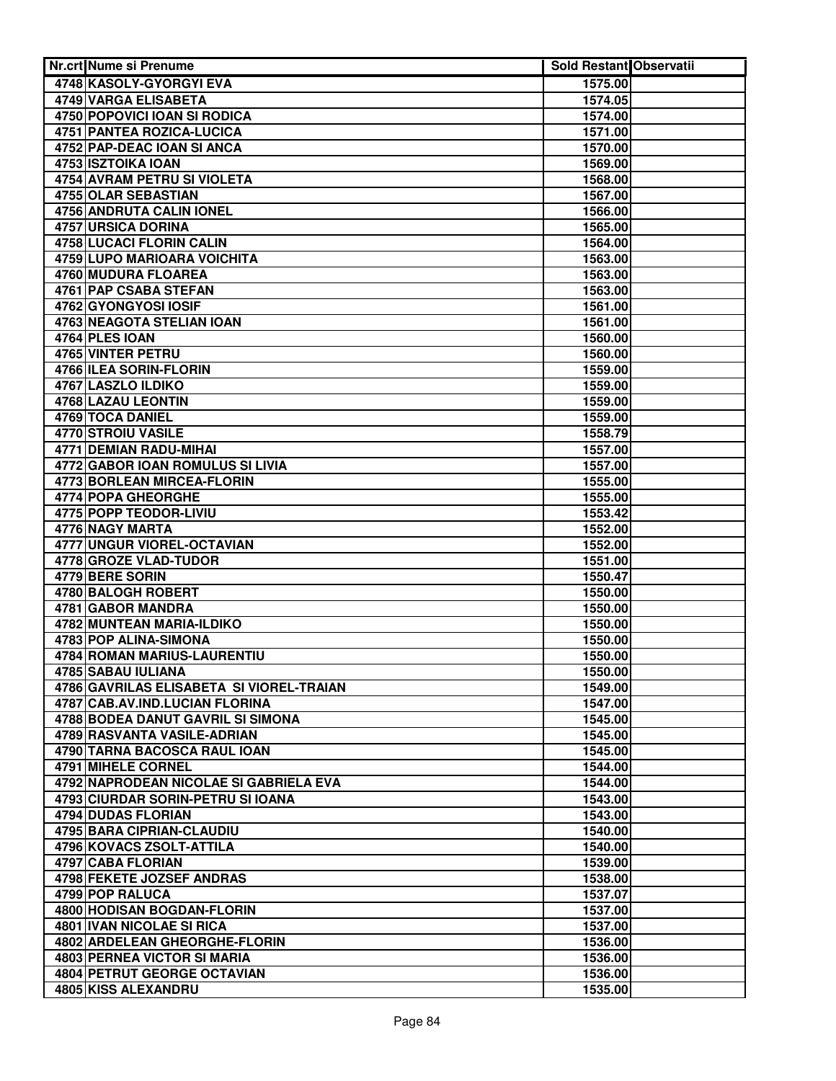| Nr.crt Nume si Prenume                                           | <b>Sold Restant Observatii</b> |  |
|------------------------------------------------------------------|--------------------------------|--|
| 4748 KASOLY-GYORGYI EVA                                          | 1575.00                        |  |
| 4749 VARGA ELISABETA                                             | 1574.05                        |  |
| 4750 POPOVICI IOAN SI RODICA                                     | 1574.00                        |  |
| <b>4751 PANTEA ROZICA-LUCICA</b>                                 | 1571.00                        |  |
| 4752 PAP-DEAC IOAN SI ANCA                                       | 1570.00                        |  |
| 4753 ISZTOIKA IOAN                                               | 1569.00                        |  |
| <b>4754 AVRAM PETRU SI VIOLETA</b>                               | 1568.00                        |  |
| 4755 OLAR SEBASTIAN                                              | 1567.00                        |  |
| 4756 ANDRUTA CALIN IONEL                                         | 1566.00                        |  |
| 4757 URSICA DORINA                                               | 1565.00                        |  |
| 4758 LUCACI FLORIN CALIN                                         | 1564.00                        |  |
| 4759 LUPO MARIOARA VOICHITA                                      | 1563.00                        |  |
| 4760 MUDURA FLOAREA                                              | 1563.00                        |  |
| 4761 PAP CSABA STEFAN                                            | 1563.00                        |  |
| 4762 GYONGYOSI IOSIF                                             | 1561.00                        |  |
| 4763 NEAGOTA STELIAN IOAN                                        | 1561.00                        |  |
| 4764 PLES IOAN                                                   | 1560.00                        |  |
| 4765 VINTER PETRU                                                | 1560.00                        |  |
| 4766 ILEA SORIN-FLORIN                                           | 1559.00                        |  |
| 4767 LASZLO ILDIKO                                               | 1559.00                        |  |
| 4768 LAZAU LEONTIN                                               | 1559.00                        |  |
| 4769 TOCA DANIEL                                                 | 1559.00                        |  |
| 4770 STROIU VASILE                                               | 1558.79                        |  |
| 4771 DEMIAN RADU-MIHAI                                           | 1557.00                        |  |
| 4772 GABOR IOAN ROMULUS SI LIVIA                                 | 1557.00                        |  |
| 4773 BORLEAN MIRCEA-FLORIN                                       | 1555.00                        |  |
| 4774 POPA GHEORGHE                                               | 1555.00                        |  |
| 4775 POPP TEODOR-LIVIU                                           | 1553.42                        |  |
| 4776 NAGY MARTA                                                  | 1552.00                        |  |
| 4777 UNGUR VIOREL-OCTAVIAN                                       | 1552.00                        |  |
| 4778 GROZE VLAD-TUDOR                                            | 1551.00                        |  |
| 4779 BERE SORIN                                                  | 1550.47                        |  |
| 4780 BALOGH ROBERT                                               | 1550.00                        |  |
| 4781 GABOR MANDRA                                                | 1550.00                        |  |
| 4782 MUNTEAN MARIA-ILDIKO                                        | 1550.00                        |  |
| 4783 POP ALINA-SIMONA                                            | 1550.00                        |  |
| 4784 ROMAN MARIUS-LAURENTIU                                      | 1550.00                        |  |
| 4785 SABAU IULIANA                                               | 1550.00                        |  |
| 4786 GAVRILAS ELISABETA SI VIOREL-TRAIAN                         | 1549.00                        |  |
| 4787 CAB.AV.IND.LUCIAN FLORINA                                   | 1547.00                        |  |
| 4788 BODEA DANUT GAVRIL SI SIMONA<br>4789 RASVANTA VASILE-ADRIAN | 1545.00                        |  |
| 4790 TARNA BACOSCA RAUL IOAN                                     | 1545.00<br>1545.00             |  |
| 4791 MIHELE CORNEL                                               | 1544.00                        |  |
| 4792 NAPRODEAN NICOLAE SI GABRIELA EVA                           | 1544.00                        |  |
| 4793 CIURDAR SORIN-PETRU SI IOANA                                | 1543.00                        |  |
| 4794 DUDAS FLORIAN                                               | 1543.00                        |  |
| 4795 BARA CIPRIAN-CLAUDIU                                        | 1540.00                        |  |
| 4796 KOVACS ZSOLT-ATTILA                                         | 1540.00                        |  |
| 4797 CABA FLORIAN                                                | 1539.00                        |  |
| 4798 FEKETE JOZSEF ANDRAS                                        | 1538.00                        |  |
| 4799 POP RALUCA                                                  | 1537.07                        |  |
| 4800 HODISAN BOGDAN-FLORIN                                       | 1537.00                        |  |
| 4801 IVAN NICOLAE SI RICA                                        | 1537.00                        |  |
| 4802 ARDELEAN GHEORGHE-FLORIN                                    | 1536.00                        |  |
| 4803 PERNEA VICTOR SI MARIA                                      | 1536.00                        |  |
| 4804 PETRUT GEORGE OCTAVIAN                                      | 1536.00                        |  |
| <b>4805 KISS ALEXANDRU</b>                                       | 1535.00                        |  |
|                                                                  |                                |  |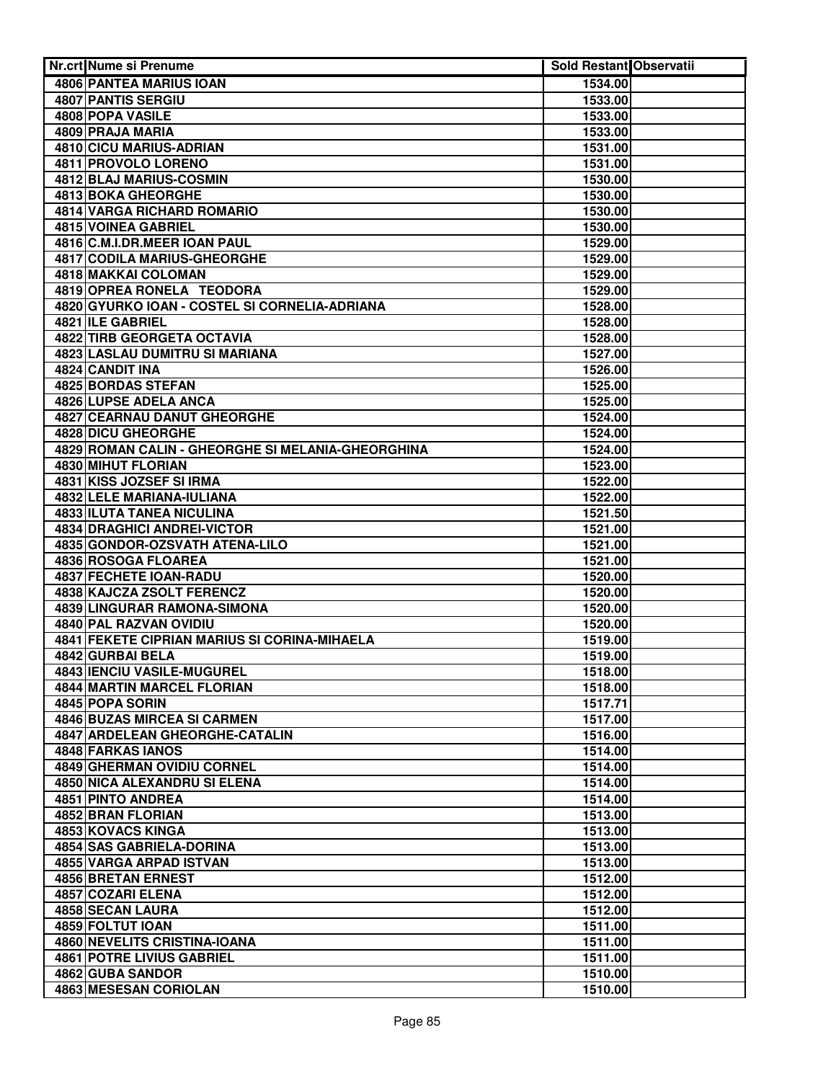| Nr.crt Nume si Prenume                                     | Sold Restant Observatii |  |
|------------------------------------------------------------|-------------------------|--|
| <b>4806 PANTEA MARIUS IOAN</b>                             | 1534.00                 |  |
| 4807 PANTIS SERGIU                                         | 1533.00                 |  |
| <b>4808 POPA VASILE</b>                                    | 1533.00                 |  |
| 4809 PRAJA MARIA                                           | 1533.00                 |  |
| 4810 CICU MARIUS-ADRIAN                                    | 1531.00                 |  |
| 4811 PROVOLO LORENO                                        | 1531.00                 |  |
| <b>4812 BLAJ MARIUS-COSMIN</b>                             | 1530.00                 |  |
| <b>4813 BOKA GHEORGHE</b>                                  | 1530.00                 |  |
| <b>4814 VARGA RICHARD ROMARIO</b>                          | 1530.00                 |  |
| 4815 VOINEA GABRIEL                                        | 1530.00                 |  |
| 4816 C.M.I.DR.MEER IOAN PAUL                               | 1529.00                 |  |
| 4817 CODILA MARIUS-GHEORGHE                                | 1529.00                 |  |
| 4818 MAKKAI COLOMAN                                        | 1529.00                 |  |
| 4819 OPREA RONELA TEODORA                                  | 1529.00                 |  |
| 4820 GYURKO IOAN - COSTEL SI CORNELIA-ADRIANA              | 1528.00                 |  |
| 4821 ILE GABRIEL                                           | 1528.00                 |  |
| 4822 TIRB GEORGETA OCTAVIA                                 | 1528.00                 |  |
| 4823 LASLAU DUMITRU SI MARIANA                             | 1527.00                 |  |
| 4824 CANDIT INA                                            | 1526.00                 |  |
| 4825 BORDAS STEFAN                                         | 1525.00                 |  |
| 4826 LUPSE ADELA ANCA                                      | 1525.00                 |  |
| 4827 CEARNAU DANUT GHEORGHE                                | 1524.00                 |  |
| 4828 DICU GHEORGHE                                         | 1524.00                 |  |
| 4829 ROMAN CALIN - GHEORGHE SI MELANIA-GHEORGHINA          | 1524.00                 |  |
| 4830 MIHUT FLORIAN                                         | 1523.00                 |  |
| 4831 KISS JOZSEF SI IRMA                                   | 1522.00                 |  |
| <b>4832 LELE MARIANA-IULIANA</b>                           | 1522.00                 |  |
| <b>4833 ILUTA TANEA NICULINA</b>                           | 1521.50                 |  |
| <b>4834 DRAGHICI ANDREI-VICTOR</b>                         | 1521.00                 |  |
| 4835 GONDOR-OZSVATH ATENA-LILO                             | 1521.00                 |  |
| 4836 ROSOGA FLOAREA                                        | 1521.00                 |  |
| <b>4837 FECHETE IOAN-RADU</b><br>4838 KAJCZA ZSOLT FERENCZ | 1520.00                 |  |
| 4839 LINGURAR RAMONA-SIMONA                                | 1520.00<br>1520.00      |  |
| 4840 PAL RAZVAN OVIDIU                                     | 1520.00                 |  |
| 4841 FEKETE CIPRIAN MARIUS SI CORINA-MIHAELA               | 1519.00                 |  |
| 4842 GURBAI BELA                                           | 1519.00                 |  |
| 4843 IENCIU VASILE-MUGUREL                                 | 1518.00                 |  |
| 4844 MARTIN MARCEL FLORIAN                                 | 1518.00                 |  |
| 4845 POPA SORIN                                            | 1517.71                 |  |
| 4846 BUZAS MIRCEA SI CARMEN                                | 1517.00                 |  |
| 4847 ARDELEAN GHEORGHE-CATALIN                             | 1516.00                 |  |
| 4848 FARKAS IANOS                                          | 1514.00                 |  |
| <b>4849 GHERMAN OVIDIU CORNEL</b>                          | 1514.00                 |  |
| 4850 NICA ALEXANDRU SI ELENA                               | 1514.00                 |  |
| 4851 PINTO ANDREA                                          | 1514.00                 |  |
| 4852 BRAN FLORIAN                                          | 1513.00                 |  |
| 4853 KOVACS KINGA                                          | 1513.00                 |  |
| 4854 SAS GABRIELA-DORINA                                   | 1513.00                 |  |
| 4855 VARGA ARPAD ISTVAN                                    | 1513.00                 |  |
| 4856 BRETAN ERNEST                                         | 1512.00                 |  |
| 4857 COZARI ELENA                                          | 1512.00                 |  |
| 4858 SECAN LAURA                                           | 1512.00                 |  |
| 4859 FOLTUT IOAN                                           | 1511.00                 |  |
| 4860 NEVELITS CRISTINA-IOANA                               | 1511.00                 |  |
| <b>4861 POTRE LIVIUS GABRIEL</b>                           | 1511.00                 |  |
| 4862 GUBA SANDOR                                           | 1510.00                 |  |
| 4863 MESESAN CORIOLAN                                      | 1510.00                 |  |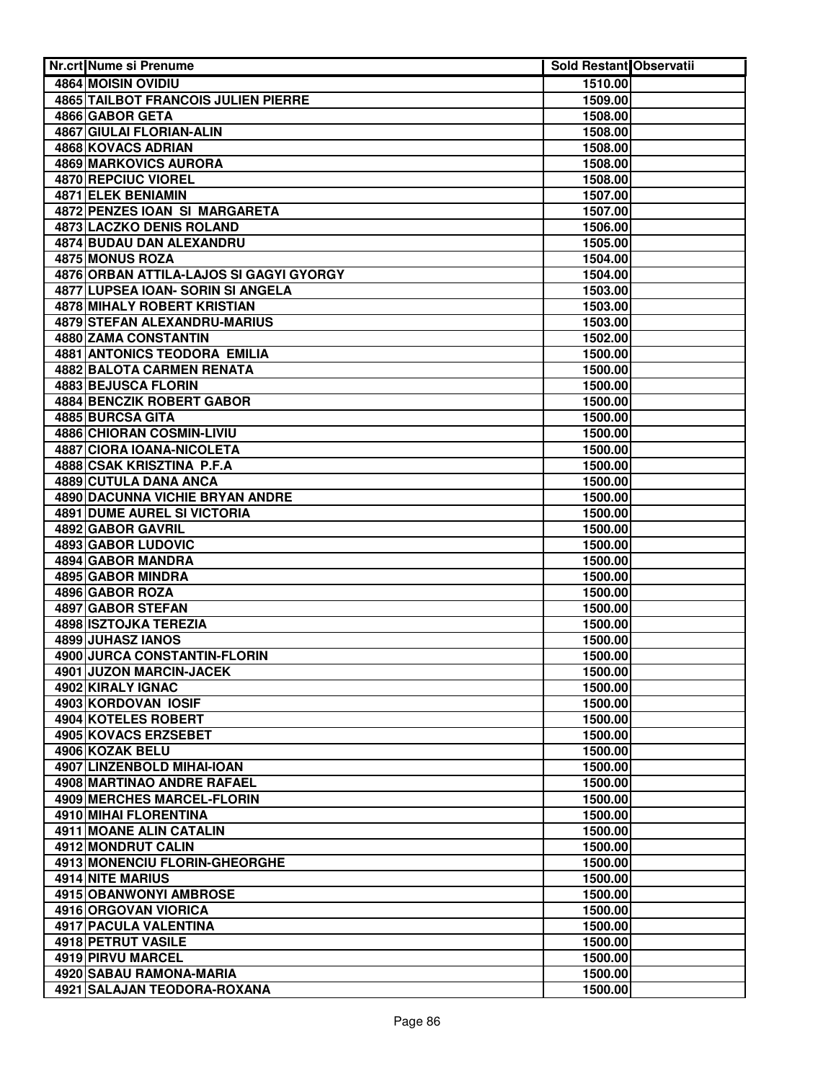| Nr.crt Nume si Prenume                  | Sold Restant Observatii |  |
|-----------------------------------------|-------------------------|--|
| 4864 MOISIN OVIDIU                      | 1510.00                 |  |
| 4865 TAILBOT FRANCOIS JULIEN PIERRE     | 1509.00                 |  |
| 4866 GABOR GETA                         | 1508.00                 |  |
| 4867 GIULAI FLORIAN-ALIN                | 1508.00                 |  |
| <b>4868 KOVACS ADRIAN</b>               | 1508.00                 |  |
| 4869 MARKOVICS AURORA                   | 1508.00                 |  |
| 4870 REPCIUC VIOREL                     | 1508.00                 |  |
| 4871 ELEK BENIAMIN                      | 1507.00                 |  |
| 4872 PENZES IOAN SI MARGARETA           | 1507.00                 |  |
| <b>4873 LACZKO DENIS ROLAND</b>         | 1506.00                 |  |
| 4874 BUDAU DAN ALEXANDRU                | 1505.00                 |  |
| 4875 MONUS ROZA                         | 1504.00                 |  |
| 4876 ORBAN ATTILA-LAJOS SI GAGYI GYORGY | 1504.00                 |  |
| 4877 LUPSEA IOAN- SORIN SI ANGELA       | 1503.00                 |  |
| 4878 MIHALY ROBERT KRISTIAN             | 1503.00                 |  |
| 4879 STEFAN ALEXANDRU-MARIUS            | 1503.00                 |  |
| 4880 ZAMA CONSTANTIN                    | 1502.00                 |  |
| 4881 ANTONICS TEODORA EMILIA            | 1500.00                 |  |
| <b>4882 BALOTA CARMEN RENATA</b>        | 1500.00                 |  |
| 4883 BEJUSCA FLORIN                     | 1500.00                 |  |
| <b>4884 BENCZIK ROBERT GABOR</b>        | 1500.00                 |  |
| 4885 BURCSA GITA                        | 1500.00                 |  |
| 4886 CHIORAN COSMIN-LIVIU               | 1500.00                 |  |
| 4887 CIORA IOANA-NICOLETA               | 1500.00                 |  |
| 4888 CSAK KRISZTINA P.F.A               | 1500.00                 |  |
| 4889 CUTULA DANA ANCA                   | 1500.00                 |  |
| <b>4890 DACUNNA VICHIE BRYAN ANDRE</b>  | 1500.00                 |  |
| <b>4891 DUME AUREL SI VICTORIA</b>      | 1500.00                 |  |
| 4892 GABOR GAVRIL<br>4893 GABOR LUDOVIC | 1500.00                 |  |
| 4894 GABOR MANDRA                       | 1500.00<br>1500.00      |  |
| 4895 GABOR MINDRA                       | 1500.00                 |  |
| 4896 GABOR ROZA                         | 1500.00                 |  |
| <b>4897 GABOR STEFAN</b>                | 1500.00                 |  |
| 4898 ISZTOJKA TEREZIA                   | 1500.00                 |  |
| 4899 JUHASZ IANOS                       | 1500.00                 |  |
| 4900 JURCA CONSTANTIN-FLORIN            | 1500.00                 |  |
| 4901 JUZON MARCIN-JACEK                 | 1500.00                 |  |
| 4902 KIRALY IGNAC                       | 1500.00                 |  |
| 4903 KORDOVAN IOSIF                     | 1500.00                 |  |
| 4904 KOTELES ROBERT                     | 1500.00                 |  |
| 4905 KOVACS ERZSEBET                    | 1500.00                 |  |
| 4906 KOZAK BELU                         | 1500.00                 |  |
| 4907 LINZENBOLD MIHAI-IOAN              | 1500.00                 |  |
| 4908 MARTINAO ANDRE RAFAEL              | 1500.00                 |  |
| 4909 MERCHES MARCEL-FLORIN              | 1500.00                 |  |
| 4910 MIHAI FLORENTINA                   | 1500.00                 |  |
| 4911 MOANE ALIN CATALIN                 | 1500.00                 |  |
| 4912 MONDRUT CALIN                      | 1500.00                 |  |
| 4913 MONENCIU FLORIN-GHEORGHE           | 1500.00                 |  |
| 4914 NITE MARIUS                        | 1500.00                 |  |
| 4915 OBANWONYI AMBROSE                  | 1500.00                 |  |
| 4916 ORGOVAN VIORICA                    | 1500.00                 |  |
| 4917 PACULA VALENTINA                   | 1500.00                 |  |
| 4918 PETRUT VASILE                      | 1500.00                 |  |
| 4919 PIRVU MARCEL                       | 1500.00                 |  |
| 4920 SABAU RAMONA-MARIA                 | 1500.00                 |  |
| 4921 SALAJAN TEODORA-ROXANA             | 1500.00                 |  |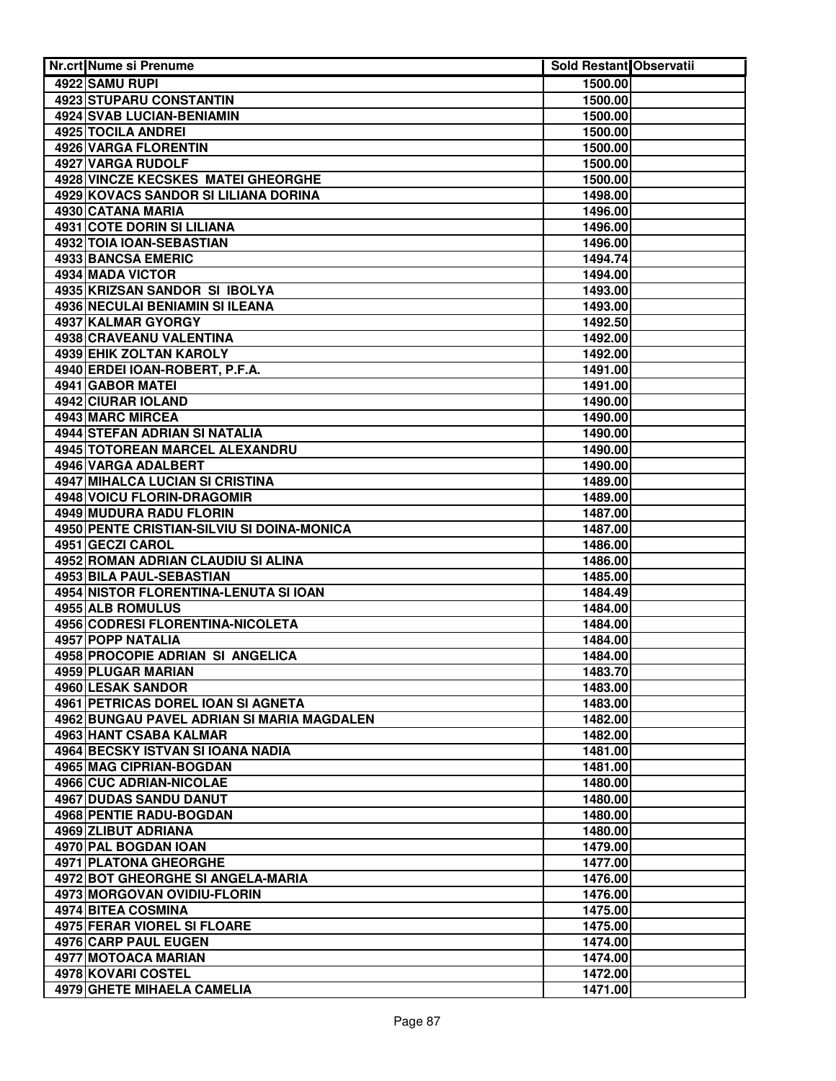| <b>Nr.crt Nume si Prenume</b>              | Sold Restant Observatii |  |
|--------------------------------------------|-------------------------|--|
| 4922 SAMU RUPI                             | 1500.00                 |  |
| <b>4923 STUPARU CONSTANTIN</b>             | 1500.00                 |  |
| 4924 SVAB LUCIAN-BENIAMIN                  | 1500.00                 |  |
| 4925 TOCILA ANDREI                         | 1500.00                 |  |
| 4926 VARGA FLORENTIN                       | 1500.00                 |  |
| 4927 VARGA RUDOLF                          | 1500.00                 |  |
| 4928 VINCZE KECSKES MATEI GHEORGHE         | 1500.00                 |  |
| 4929 KOVACS SANDOR SI LILIANA DORINA       | 1498.00                 |  |
| 4930 CATANA MARIA                          | 1496.00                 |  |
| 4931 COTE DORIN SI LILIANA                 | 1496.00                 |  |
| 4932 TOIA IOAN-SEBASTIAN                   | 1496.00                 |  |
| 4933 BANCSA EMERIC                         | 1494.74                 |  |
| 4934 MADA VICTOR                           | 1494.00                 |  |
| 4935 KRIZSAN SANDOR SI IBOLYA              | 1493.00                 |  |
| 4936 NECULAI BENIAMIN SI ILEANA            | 1493.00                 |  |
| 4937 KALMAR GYORGY                         | 1492.50                 |  |
| 4938 CRAVEANU VALENTINA                    | 1492.00                 |  |
| 4939 EHIK ZOLTAN KAROLY                    | 1492.00                 |  |
| 4940 ERDEI IOAN-ROBERT, P.F.A.             | 1491.00                 |  |
| 4941 GABOR MATEI                           | 1491.00                 |  |
| 4942 CIURAR IOLAND                         | 1490.00                 |  |
| 4943 MARC MIRCEA                           | 1490.00                 |  |
| 4944 STEFAN ADRIAN SI NATALIA              | 1490.00                 |  |
| 4945 TOTOREAN MARCEL ALEXANDRU             | 1490.00                 |  |
| 4946 VARGA ADALBERT                        | 1490.00                 |  |
| 4947 MIHALCA LUCIAN SI CRISTINA            | 1489.00                 |  |
| 4948 VOICU FLORIN-DRAGOMIR                 | 1489.00                 |  |
| <b>4949 MUDURA RADU FLORIN</b>             | 1487.00                 |  |
| 4950 PENTE CRISTIAN-SILVIU SI DOINA-MONICA | 1487.00                 |  |
| 4951 GECZI CAROL                           | 1486.00                 |  |
| 4952 ROMAN ADRIAN CLAUDIU SI ALINA         | 1486.00                 |  |
| <b>4953 BILA PAUL-SEBASTIAN</b>            | 1485.00                 |  |
| 4954 NISTOR FLORENTINA-LENUTA SI IOAN      | 1484.49                 |  |
| 4955 ALB ROMULUS                           | 1484.00                 |  |
| 4956 CODRESI FLORENTINA-NICOLETA           | 1484.00                 |  |
| 4957 POPP NATALIA                          | 1484.00                 |  |
| 4958 PROCOPIE ADRIAN SI ANGELICA           | 1484.00                 |  |
| 4959 PLUGAR MARIAN                         | 1483.70                 |  |
| 4960 LESAK SANDOR                          | 1483.00                 |  |
| 4961 PETRICAS DOREL IOAN SI AGNETA         | 1483.00                 |  |
| 4962 BUNGAU PAVEL ADRIAN SI MARIA MAGDALEN | 1482.00                 |  |
| 4963 HANT CSABA KALMAR                     | 1482.00                 |  |
| 4964 BECSKY ISTVAN SI IOANA NADIA          | 1481.00                 |  |
| 4965 MAG CIPRIAN-BOGDAN                    | 1481.00                 |  |
| 4966 CUC ADRIAN-NICOLAE                    | 1480.00                 |  |
| 4967 DUDAS SANDU DANUT                     | 1480.00                 |  |
| 4968 PENTIE RADU-BOGDAN                    | 1480.00                 |  |
| 4969 ZLIBUT ADRIANA                        | 1480.00                 |  |
| 4970 PAL BOGDAN IOAN                       | 1479.00                 |  |
| 4971 PLATONA GHEORGHE                      | 1477.00                 |  |
| 4972 BOT GHEORGHE SI ANGELA-MARIA          | 1476.00                 |  |
| 4973 MORGOVAN OVIDIU-FLORIN                | 1476.00                 |  |
| 4974 BITEA COSMINA                         | 1475.00                 |  |
| 4975 FERAR VIOREL SI FLOARE                | 1475.00                 |  |
| 4976 CARP PAUL EUGEN                       | 1474.00                 |  |
| <b>4977 MOTOACA MARIAN</b>                 | 1474.00                 |  |
| 4978 KOVARI COSTEL                         | 1472.00                 |  |
| <b>4979 GHETE MIHAELA CAMELIA</b>          | 1471.00                 |  |
|                                            |                         |  |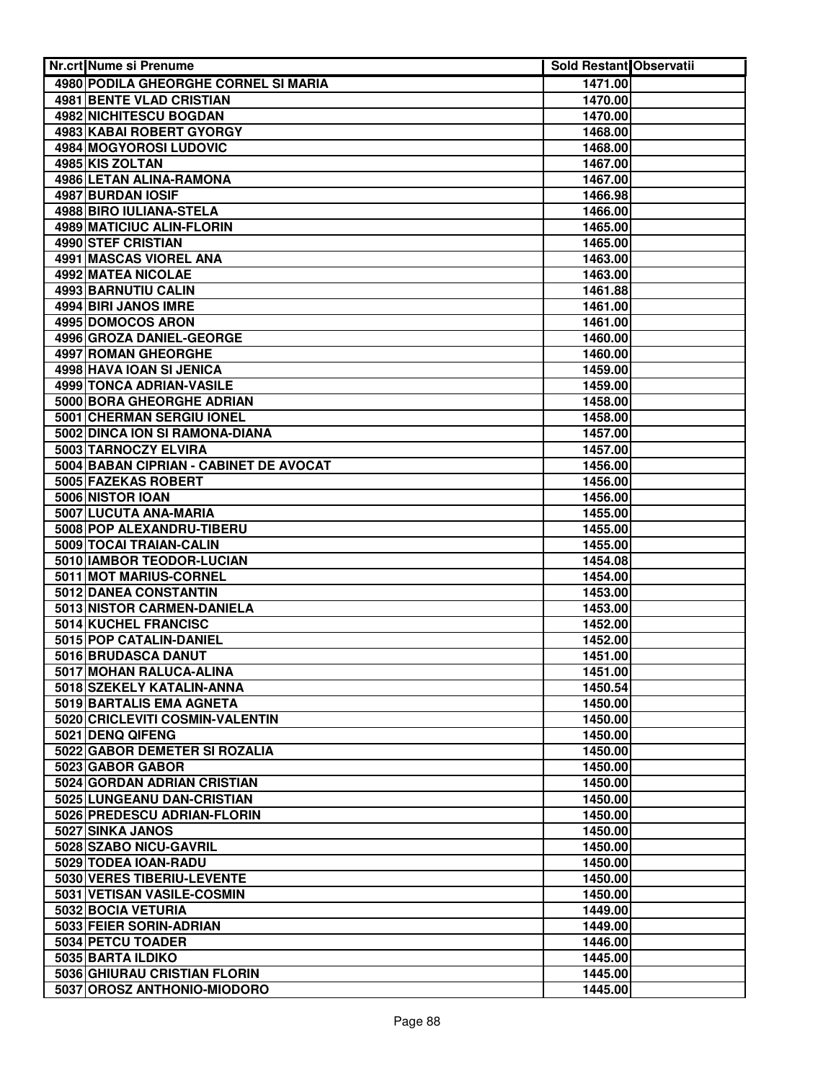| Nr.crt Nume si Prenume                                | <b>Sold Restant Observatii</b> |  |
|-------------------------------------------------------|--------------------------------|--|
| 4980 PODILA GHEORGHE CORNEL SI MARIA                  | 1471.00                        |  |
| <b>4981 BENTE VLAD CRISTIAN</b>                       | 1470.00                        |  |
| 4982 NICHITESCU BOGDAN                                | 1470.00                        |  |
| 4983 KABAI ROBERT GYORGY                              | 1468.00                        |  |
| 4984 MOGYOROSI LUDOVIC                                | 1468.00                        |  |
| 4985 KIS ZOLTAN                                       | 1467.00                        |  |
| 4986 LETAN ALINA-RAMONA                               | 1467.00                        |  |
| <b>4987 BURDAN IOSIF</b>                              | 1466.98                        |  |
| 4988 BIRO IULIANA-STELA                               | 1466.00                        |  |
| 4989 MATICIUC ALIN-FLORIN                             | 1465.00                        |  |
| 4990 STEF CRISTIAN                                    | 1465.00                        |  |
| 4991 MASCAS VIOREL ANA                                | 1463.00                        |  |
| 4992 MATEA NICOLAE                                    | 1463.00                        |  |
| 4993 BARNUTIU CALIN                                   | 1461.88                        |  |
| 4994 BIRI JANOS IMRE                                  | 1461.00                        |  |
| 4995 DOMOCOS ARON                                     | 1461.00                        |  |
| 4996 GROZA DANIEL-GEORGE                              | 1460.00                        |  |
| 4997 ROMAN GHEORGHE                                   | 1460.00                        |  |
| 4998 HAVA IOAN SI JENICA                              | 1459.00                        |  |
| 4999 TONCA ADRIAN-VASILE                              | 1459.00                        |  |
| 5000 BORA GHEORGHE ADRIAN                             | 1458.00                        |  |
| 5001 CHERMAN SERGIU IONEL                             | 1458.00                        |  |
| 5002 DINCA ION SI RAMONA-DIANA                        | 1457.00                        |  |
| 5003 TARNOCZY ELVIRA                                  | 1457.00                        |  |
| 5004 BABAN CIPRIAN - CABINET DE AVOCAT                | 1456.00                        |  |
| 5005 FAZEKAS ROBERT                                   | 1456.00                        |  |
| 5006 NISTOR IOAN                                      | 1456.00                        |  |
| 5007 LUCUTA ANA-MARIA                                 | 1455.00                        |  |
| 5008 POP ALEXANDRU-TIBERU                             | 1455.00                        |  |
| 5009 TOCAI TRAIAN-CALIN                               | 1455.00                        |  |
| 5010 IAMBOR TEODOR-LUCIAN                             | 1454.08                        |  |
| 5011 MOT MARIUS-CORNEL                                | 1454.00                        |  |
| 5012 DANEA CONSTANTIN                                 | 1453.00                        |  |
| 5013 NISTOR CARMEN-DANIELA                            | 1453.00                        |  |
| 5014 KUCHEL FRANCISC                                  | 1452.00                        |  |
| 5015 POP CATALIN-DANIEL                               | 1452.00                        |  |
| 5016 BRUDASCA DANUT                                   | 1451.00                        |  |
| 5017 MOHAN RALUCA-ALINA                               | 1451.00                        |  |
| 5018 SZEKELY KATALIN-ANNA<br>5019 BARTALIS EMA AGNETA | 1450.54                        |  |
| 5020 CRICLEVITI COSMIN-VALENTIN                       | 1450.00<br>1450.00             |  |
| 5021 DENQ QIFENG                                      | 1450.00                        |  |
| 5022 GABOR DEMETER SI ROZALIA                         | 1450.00                        |  |
| 5023 GABOR GABOR                                      | 1450.00                        |  |
| 5024 GORDAN ADRIAN CRISTIAN                           | 1450.00                        |  |
| 5025 LUNGEANU DAN-CRISTIAN                            | 1450.00                        |  |
| 5026 PREDESCU ADRIAN-FLORIN                           | 1450.00                        |  |
| 5027 SINKA JANOS                                      | 1450.00                        |  |
| 5028 SZABO NICU-GAVRIL                                | 1450.00                        |  |
| 5029 TODEA IOAN-RADU                                  | 1450.00                        |  |
| 5030 VERES TIBERIU-LEVENTE                            | 1450.00                        |  |
| 5031 VETISAN VASILE-COSMIN                            | 1450.00                        |  |
| 5032 BOCIA VETURIA                                    | 1449.00                        |  |
| 5033 FEIER SORIN-ADRIAN                               | 1449.00                        |  |
| 5034 PETCU TOADER                                     | 1446.00                        |  |
| 5035 BARTA ILDIKO                                     | 1445.00                        |  |
| 5036 GHIURAU CRISTIAN FLORIN                          | 1445.00                        |  |
| 5037 OROSZ ANTHONIO-MIODORO                           | 1445.00                        |  |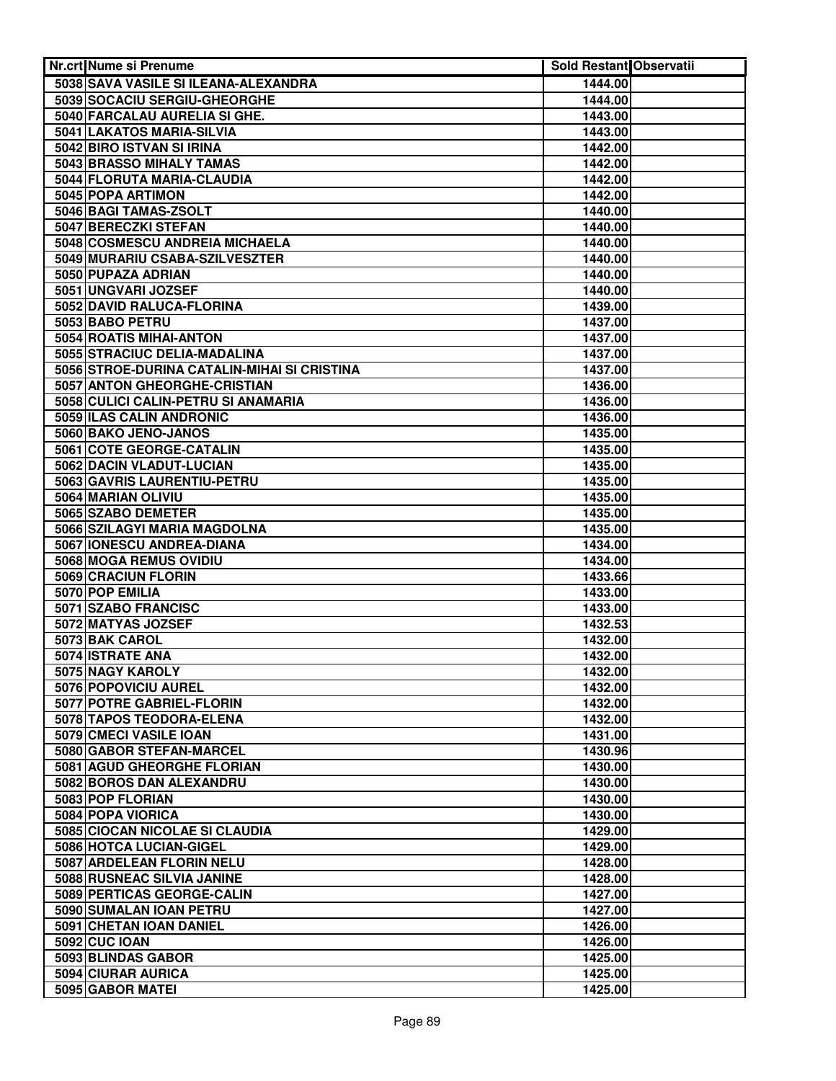| Nr.crt Nume si Prenume                      | <b>Sold Restant Observatii</b> |  |
|---------------------------------------------|--------------------------------|--|
| 5038 SAVA VASILE SI ILEANA-ALEXANDRA        | 1444.00                        |  |
| 5039 SOCACIU SERGIU-GHEORGHE                | 1444.00                        |  |
| 5040 FARCALAU AURELIA SI GHE.               | 1443.00                        |  |
| 5041 LAKATOS MARIA-SILVIA                   | 1443.00                        |  |
| 5042 BIRO ISTVAN SI IRINA                   | 1442.00                        |  |
| 5043 BRASSO MIHALY TAMAS                    | 1442.00                        |  |
| 5044 FLORUTA MARIA-CLAUDIA                  | 1442.00                        |  |
| 5045 POPA ARTIMON                           | 1442.00                        |  |
| 5046 BAGI TAMAS-ZSOLT                       | 1440.00                        |  |
| 5047 BERECZKI STEFAN                        | 1440.00                        |  |
| 5048 COSMESCU ANDREIA MICHAELA              | 1440.00                        |  |
| 5049 MURARIU CSABA-SZILVESZTER              | 1440.00                        |  |
| 5050 PUPAZA ADRIAN                          | 1440.00                        |  |
| 5051 UNGVARI JOZSEF                         | 1440.00                        |  |
| 5052 DAVID RALUCA-FLORINA                   | 1439.00                        |  |
| 5053 BABO PETRU                             | 1437.00                        |  |
| 5054 ROATIS MIHAI-ANTON                     | 1437.00                        |  |
| 5055 STRACIUC DELIA-MADALINA                | 1437.00                        |  |
| 5056 STROE-DURINA CATALIN-MIHAI SI CRISTINA | 1437.00                        |  |
| 5057 ANTON GHEORGHE-CRISTIAN                | 1436.00                        |  |
| 5058 CULICI CALIN-PETRU SI ANAMARIA         | 1436.00                        |  |
| 5059 ILAS CALIN ANDRONIC                    | 1436.00                        |  |
| 5060 BAKO JENO-JANOS                        | 1435.00                        |  |
| 5061 COTE GEORGE-CATALIN                    | 1435.00                        |  |
| 5062 DACIN VLADUT-LUCIAN                    | 1435.00                        |  |
| 5063 GAVRIS LAURENTIU-PETRU                 | 1435.00                        |  |
| 5064 MARIAN OLIVIU                          | 1435.00                        |  |
| 5065 SZABO DEMETER                          | 1435.00                        |  |
| 5066 SZILAGYI MARIA MAGDOLNA                | 1435.00                        |  |
| 5067 IONESCU ANDREA-DIANA                   | 1434.00                        |  |
| 5068 MOGA REMUS OVIDIU                      | 1434.00                        |  |
| 5069 CRACIUN FLORIN                         | 1433.66                        |  |
| 5070 POP EMILIA                             | 1433.00                        |  |
| 5071 SZABO FRANCISC                         | 1433.00                        |  |
| 5072 MATYAS JOZSEF                          | 1432.53                        |  |
| 5073 BAK CAROL                              | 1432.00                        |  |
| 5074 ISTRATE ANA                            | 1432.00                        |  |
| 5075 NAGY KAROLY                            | 1432.00                        |  |
| 5076 POPOVICIU AUREL                        | 1432.00                        |  |
| 5077 POTRE GABRIEL-FLORIN                   | 1432.00                        |  |
| 5078 TAPOS TEODORA-ELENA                    | 1432.00                        |  |
| 5079 CMECI VASILE IOAN                      | 1431.00                        |  |
| 5080 GABOR STEFAN-MARCEL                    | 1430.96                        |  |
| 5081 AGUD GHEORGHE FLORIAN                  | 1430.00                        |  |
| 5082 BOROS DAN ALEXANDRU                    | 1430.00                        |  |
| 5083 POP FLORIAN                            | 1430.00                        |  |
| 5084 POPA VIORICA                           | 1430.00                        |  |
| 5085 CIOCAN NICOLAE SI CLAUDIA              | 1429.00                        |  |
| 5086 HOTCA LUCIAN-GIGEL                     | 1429.00                        |  |
| 5087 ARDELEAN FLORIN NELU                   | 1428.00                        |  |
| 5088 RUSNEAC SILVIA JANINE                  | 1428.00                        |  |
| 5089 PERTICAS GEORGE-CALIN                  | 1427.00                        |  |
| 5090 SUMALAN IOAN PETRU                     | 1427.00                        |  |
| 5091 CHETAN IOAN DANIEL                     | 1426.00                        |  |
| <b>5092 CUC IOAN</b>                        | 1426.00                        |  |
| 5093 BLINDAS GABOR                          | 1425.00                        |  |
| 5094 CIURAR AURICA                          | 1425.00                        |  |
| 5095 GABOR MATEI                            | 1425.00                        |  |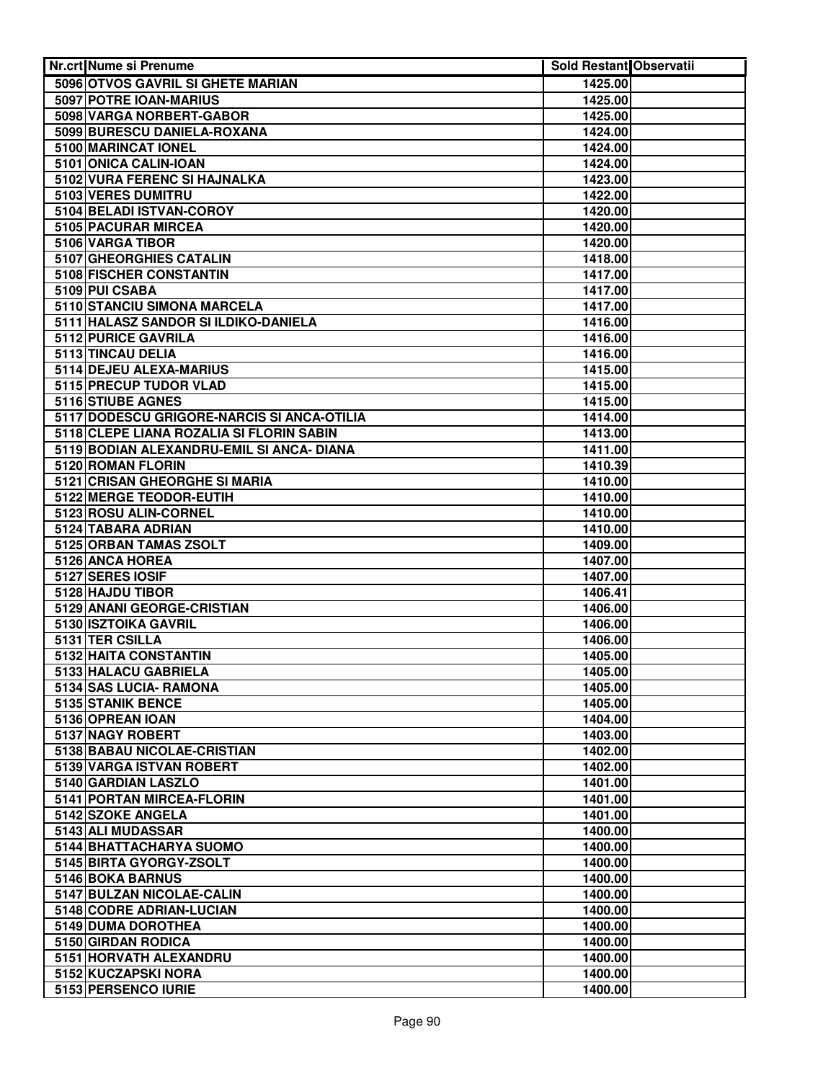| Nr.crt Nume si Prenume                     | <b>Sold Restant Observatii</b> |  |
|--------------------------------------------|--------------------------------|--|
| 5096 OTVOS GAVRIL SI GHETE MARIAN          | 1425.00                        |  |
| 5097 POTRE IOAN-MARIUS                     | 1425.00                        |  |
| 5098 VARGA NORBERT-GABOR                   | 1425.00                        |  |
| 5099 BURESCU DANIELA-ROXANA                | 1424.00                        |  |
| 5100 MARINCAT IONEL                        | 1424.00                        |  |
| 5101 ONICA CALIN-IOAN                      | 1424.00                        |  |
| 5102 VURA FERENC SI HAJNALKA               | 1423.00                        |  |
| 5103 VERES DUMITRU                         | 1422.00                        |  |
| 5104 BELADI ISTVAN-COROY                   | 1420.00                        |  |
| 5105 PACURAR MIRCEA                        | 1420.00                        |  |
| 5106 VARGA TIBOR                           | 1420.00                        |  |
| 5107 GHEORGHIES CATALIN                    | 1418.00                        |  |
| 5108 FISCHER CONSTANTIN                    | 1417.00                        |  |
| 5109 PUI CSABA                             | 1417.00                        |  |
| 5110 STANCIU SIMONA MARCELA                | 1417.00                        |  |
| 5111 HALASZ SANDOR SI ILDIKO-DANIELA       | 1416.00                        |  |
| 5112 PURICE GAVRILA                        | 1416.00                        |  |
| 5113 TINCAU DELIA                          | 1416.00                        |  |
| 5114 DEJEU ALEXA-MARIUS                    | 1415.00                        |  |
| 5115 PRECUP TUDOR VLAD                     | 1415.00                        |  |
| 5116 STIUBE AGNES                          | 1415.00                        |  |
| 5117 DODESCU GRIGORE-NARCIS SI ANCA-OTILIA | 1414.00                        |  |
| 5118 CLEPE LIANA ROZALIA SI FLORIN SABIN   | 1413.00                        |  |
| 5119 BODIAN ALEXANDRU-EMIL SI ANCA- DIANA  | 1411.00                        |  |
| 5120 ROMAN FLORIN                          | 1410.39                        |  |
| 5121 CRISAN GHEORGHE SI MARIA              | 1410.00                        |  |
| 5122 MERGE TEODOR-EUTIH                    | 1410.00                        |  |
| 5123 ROSU ALIN-CORNEL                      | 1410.00                        |  |
| 5124 TABARA ADRIAN                         | 1410.00                        |  |
| 5125 ORBAN TAMAS ZSOLT                     | 1409.00                        |  |
| 5126 ANCA HOREA                            | 1407.00                        |  |
| 5127 SERES IOSIF                           | 1407.00                        |  |
| 5128 HAJDU TIBOR                           | 1406.41                        |  |
| 5129 ANANI GEORGE-CRISTIAN                 | 1406.00                        |  |
| 5130 ISZTOIKA GAVRIL                       | 1406.00                        |  |
| 5131 TER CSILLA                            | 1406.00                        |  |
| 5132 HAITA CONSTANTIN                      | 1405.00                        |  |
| 5133 HALACU GABRIELA                       | 1405.00                        |  |
| 5134 SAS LUCIA- RAMONA                     | 1405.00                        |  |
| 5135 STANIK BENCE                          | 1405.00                        |  |
| 5136 OPREAN IOAN                           | 1404.00                        |  |
| 5137 NAGY ROBERT                           | 1403.00                        |  |
| 5138 BABAU NICOLAE-CRISTIAN                | 1402.00                        |  |
| 5139 VARGA ISTVAN ROBERT                   | 1402.00                        |  |
| 5140 GARDIAN LASZLO                        | 1401.00                        |  |
| 5141 PORTAN MIRCEA-FLORIN                  | 1401.00                        |  |
| 5142 SZOKE ANGELA                          | 1401.00                        |  |
| 5143 ALI MUDASSAR                          | 1400.00                        |  |
| 5144 BHATTACHARYA SUOMO                    | 1400.00                        |  |
| 5145 BIRTA GYORGY-ZSOLT                    | 1400.00                        |  |
|                                            |                                |  |
| 5146 BOKA BARNUS                           | 1400.00                        |  |
| 5147 BULZAN NICOLAE-CALIN                  | 1400.00                        |  |
| 5148 CODRE ADRIAN-LUCIAN                   | 1400.00                        |  |
| 5149 DUMA DOROTHEA                         | 1400.00                        |  |
| 5150 GIRDAN RODICA                         | 1400.00                        |  |
| 5151 HORVATH ALEXANDRU                     | 1400.00                        |  |
| 5152 KUCZAPSKI NORA                        | 1400.00                        |  |
| 5153 PERSENCO IURIE                        | 1400.00                        |  |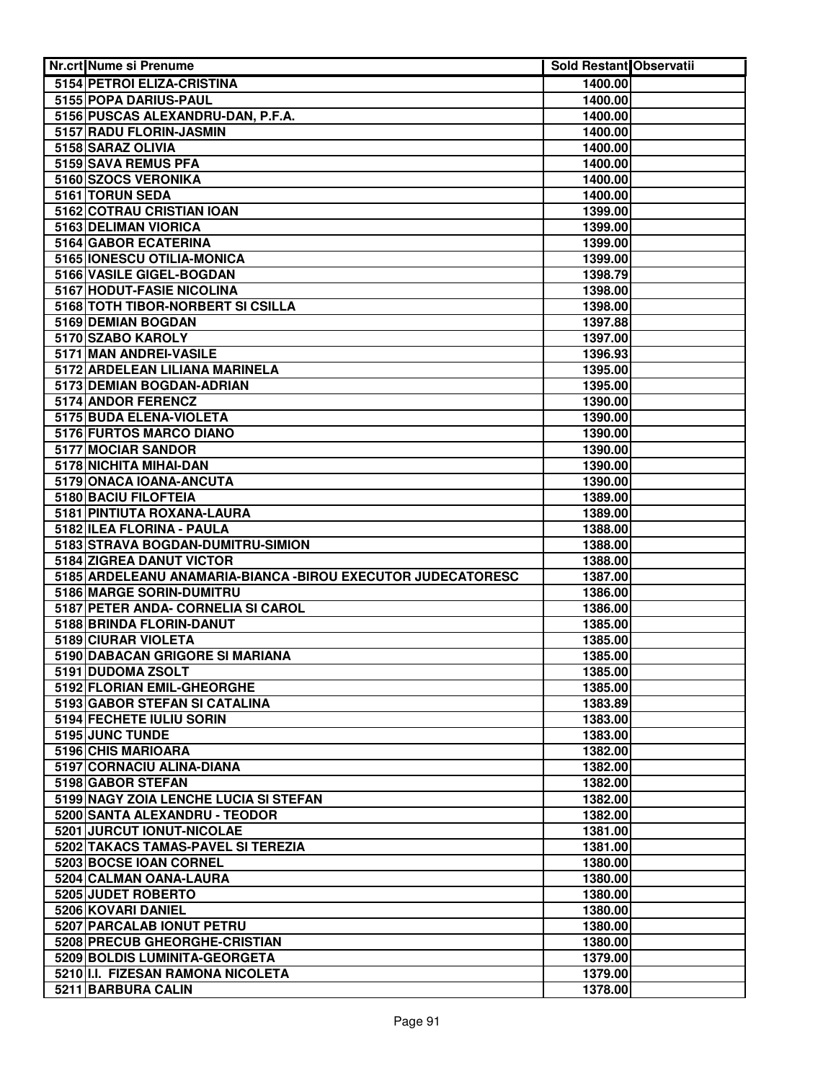| Nr.crt Nume si Prenume                                       | Sold Restant Observatii |  |
|--------------------------------------------------------------|-------------------------|--|
| 5154 PETROI ELIZA-CRISTINA                                   | 1400.00                 |  |
| 5155 POPA DARIUS-PAUL                                        | 1400.00                 |  |
| 5156 PUSCAS ALEXANDRU-DAN, P.F.A.                            | 1400.00                 |  |
| 5157 RADU FLORIN-JASMIN                                      | 1400.00                 |  |
| 5158 SARAZ OLIVIA                                            | 1400.00                 |  |
| 5159 SAVA REMUS PFA                                          | 1400.00                 |  |
| 5160 SZOCS VERONIKA                                          | 1400.00                 |  |
| 5161 TORUN SEDA                                              | 1400.00                 |  |
| 5162 COTRAU CRISTIAN IOAN                                    | 1399.00                 |  |
| 5163 DELIMAN VIORICA                                         | 1399.00                 |  |
| 5164 GABOR ECATERINA                                         | 1399.00                 |  |
| 5165 IONESCU OTILIA-MONICA                                   | 1399.00                 |  |
| 5166 VASILE GIGEL-BOGDAN                                     | 1398.79                 |  |
| 5167 HODUT-FASIE NICOLINA                                    | 1398.00                 |  |
| 5168 TOTH TIBOR-NORBERT SI CSILLA                            | 1398.00                 |  |
| 5169 DEMIAN BOGDAN                                           | 1397.88                 |  |
| 5170 SZABO KAROLY                                            | 1397.00                 |  |
| 5171 MAN ANDREI-VASILE                                       | 1396.93                 |  |
| 5172 ARDELEAN LILIANA MARINELA                               | 1395.00                 |  |
| 5173 DEMIAN BOGDAN-ADRIAN                                    | 1395.00                 |  |
| 5174 ANDOR FERENCZ                                           | 1390.00                 |  |
| 5175 BUDA ELENA-VIOLETA                                      | 1390.00                 |  |
| 5176 FURTOS MARCO DIANO                                      | 1390.00                 |  |
| 5177 MOCIAR SANDOR                                           | 1390.00                 |  |
| 5178 NICHITA MIHAI-DAN                                       | 1390.00                 |  |
| 5179 ONACA IOANA-ANCUTA                                      | 1390.00                 |  |
| 5180 BACIU FILOFTEIA                                         | 1389.00                 |  |
| 5181 PINTIUTA ROXANA-LAURA                                   | 1389.00                 |  |
| 5182 ILEA FLORINA - PAULA                                    | 1388.00                 |  |
| 5183 STRAVA BOGDAN-DUMITRU-SIMION                            | 1388.00                 |  |
| 5184 ZIGREA DANUT VICTOR                                     | 1388.00                 |  |
| 5185 ARDELEANU ANAMARIA-BIANCA - BIROU EXECUTOR JUDECATORESC | 1387.00                 |  |
| 5186 MARGE SORIN-DUMITRU                                     | 1386.00                 |  |
| 5187 PETER ANDA- CORNELIA SI CAROL                           | 1386.00                 |  |
| 5188 BRINDA FLORIN-DANUT                                     | 1385.00                 |  |
| 5189 CIURAR VIOLETA                                          | 1385.00                 |  |
| 5190 DABACAN GRIGORE SI MARIANA                              | 1385.00                 |  |
| 5191 DUDOMA ZSOLT                                            | 1385.00                 |  |
| 5192 FLORIAN EMIL-GHEORGHE                                   | 1385.00                 |  |
| 5193 GABOR STEFAN SI CATALINA                                | 1383.89                 |  |
| 5194 FECHETE IULIU SORIN                                     | 1383.00                 |  |
| 5195 JUNC TUNDE                                              | 1383.00                 |  |
| 5196 CHIS MARIOARA                                           | 1382.00                 |  |
| 5197 CORNACIU ALINA-DIANA                                    | 1382.00                 |  |
| 5198 GABOR STEFAN                                            | 1382.00                 |  |
| 5199 NAGY ZOIA LENCHE LUCIA SI STEFAN                        | 1382.00                 |  |
| 5200 SANTA ALEXANDRU - TEODOR                                | 1382.00                 |  |
| 5201 JURCUT IONUT-NICOLAE                                    | 1381.00                 |  |
| 5202 TAKACS TAMAS-PAVEL SI TEREZIA                           | 1381.00                 |  |
| 5203 BOCSE IOAN CORNEL                                       | 1380.00                 |  |
| 5204 CALMAN OANA-LAURA<br>5205 JUDET ROBERTO                 | 1380.00<br>1380.00      |  |
| 5206 KOVARI DANIEL                                           | 1380.00                 |  |
| 5207 PARCALAB IONUT PETRU                                    | 1380.00                 |  |
| 5208 PRECUB GHEORGHE-CRISTIAN                                | 1380.00                 |  |
| 5209 BOLDIS LUMINITA-GEORGETA                                | 1379.00                 |  |
| 5210 I.I. FIZESAN RAMONA NICOLETA                            | 1379.00                 |  |
| 5211 BARBURA CALIN                                           | 1378.00                 |  |
|                                                              |                         |  |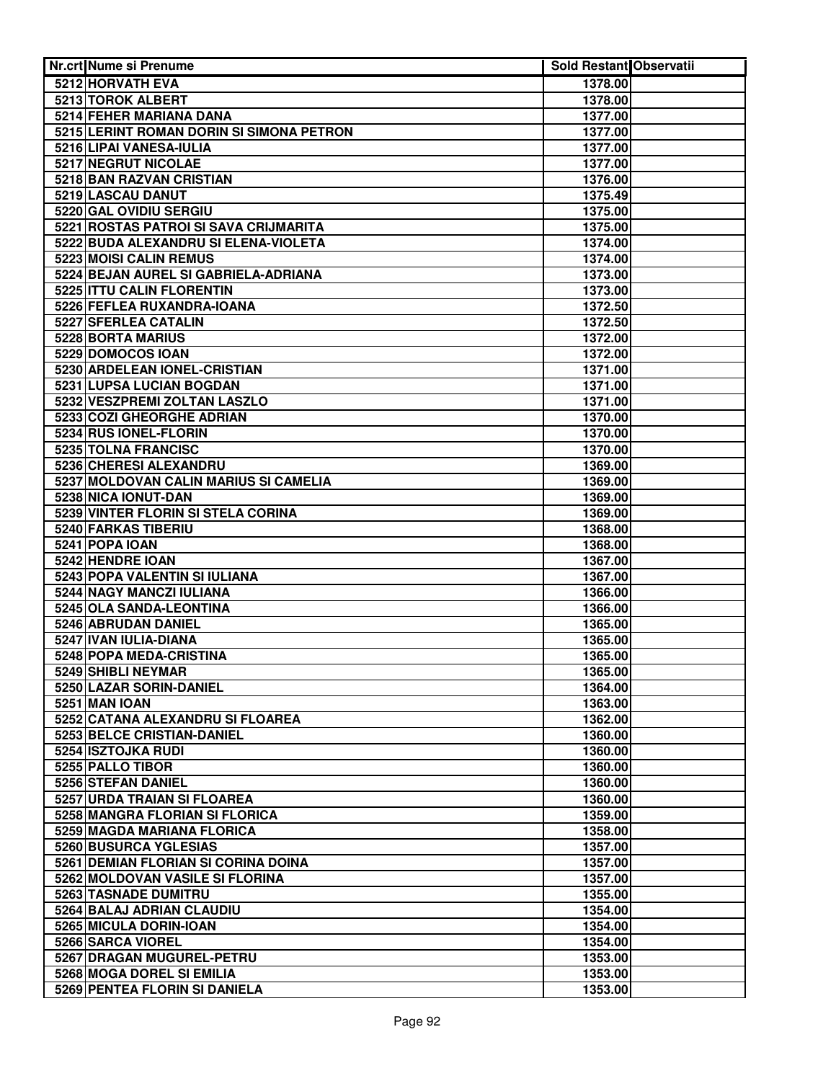| <b>Nr.crt Nume si Prenume</b>            | Sold Restant Observatii |  |
|------------------------------------------|-------------------------|--|
| 5212 HORVATH EVA                         | 1378.00                 |  |
| 5213 TOROK ALBERT                        | 1378.00                 |  |
| 5214 FEHER MARIANA DANA                  | 1377.00                 |  |
| 5215 LERINT ROMAN DORIN SI SIMONA PETRON | 1377.00                 |  |
| 5216 LIPAI VANESA-IULIA                  | 1377.00                 |  |
| 5217 NEGRUT NICOLAE                      | 1377.00                 |  |
| 5218 BAN RAZVAN CRISTIAN                 | 1376.00                 |  |
| 5219 LASCAU DANUT                        | 1375.49                 |  |
| 5220 GAL OVIDIU SERGIU                   | 1375.00                 |  |
| 5221 ROSTAS PATROI SI SAVA CRIJMARITA    | 1375.00                 |  |
| 5222 BUDA ALEXANDRU SI ELENA-VIOLETA     | 1374.00                 |  |
| 5223 MOISI CALIN REMUS                   | 1374.00                 |  |
| 5224 BEJAN AUREL SI GABRIELA-ADRIANA     | 1373.00                 |  |
| 5225 ITTU CALIN FLORENTIN                | 1373.00                 |  |
| 5226 FEFLEA RUXANDRA-IOANA               | 1372.50                 |  |
| 5227 SFERLEA CATALIN                     | 1372.50                 |  |
| 5228 BORTA MARIUS                        | 1372.00                 |  |
| 5229 DOMOCOS IOAN                        | 1372.00                 |  |
| 5230 ARDELEAN IONEL-CRISTIAN             | 1371.00                 |  |
| 5231 LUPSA LUCIAN BOGDAN                 | 1371.00                 |  |
| 5232 VESZPREMI ZOLTAN LASZLO             | 1371.00                 |  |
| 5233 COZI GHEORGHE ADRIAN                | 1370.00                 |  |
| 5234 RUS IONEL-FLORIN                    | 1370.00                 |  |
| 5235 TOLNA FRANCISC                      | 1370.00                 |  |
| 5236 CHERESI ALEXANDRU                   | 1369.00                 |  |
| 5237 MOLDOVAN CALIN MARIUS SI CAMELIA    | 1369.00                 |  |
| 5238 NICA IONUT-DAN                      | 1369.00                 |  |
| 5239 VINTER FLORIN SI STELA CORINA       | 1369.00                 |  |
| 5240 FARKAS TIBERIU                      | 1368.00                 |  |
| 5241 POPA IOAN                           | 1368.00                 |  |
| 5242 HENDRE IOAN                         | 1367.00                 |  |
| 5243 POPA VALENTIN SI IULIANA            | 1367.00                 |  |
| <b>5244 NAGY MANCZI IULIANA</b>          | 1366.00                 |  |
| 5245 OLA SANDA-LEONTINA                  | 1366.00                 |  |
| 5246 ABRUDAN DANIEL                      | 1365.00                 |  |
| 5247 IVAN IULIA-DIANA                    | 1365.00                 |  |
| 5248 POPA MEDA-CRISTINA                  | 1365.00                 |  |
| 5249 SHIBLI NEYMAR                       | 1365.00                 |  |
| 5250 LAZAR SORIN-DANIEL                  | 1364.00                 |  |
| <b>5251 MAN IOAN</b>                     | 1363.00                 |  |
| 5252 CATANA ALEXANDRU SI FLOAREA         | 1362.00                 |  |
| 5253 BELCE CRISTIAN-DANIEL               | 1360.00                 |  |
| 5254 ISZTOJKA RUDI                       | 1360.00                 |  |
| 5255 PALLO TIBOR                         | 1360.00                 |  |
| 5256 STEFAN DANIEL                       | 1360.00                 |  |
| 5257 URDA TRAIAN SI FLOAREA              | 1360.00                 |  |
| 5258 MANGRA FLORIAN SI FLORICA           | 1359.00                 |  |
| 5259 MAGDA MARIANA FLORICA               | 1358.00                 |  |
| 5260 BUSURCA YGLESIAS                    | 1357.00                 |  |
| 5261 DEMIAN FLORIAN SI CORINA DOINA      | 1357.00                 |  |
| 5262 MOLDOVAN VASILE SI FLORINA          | 1357.00                 |  |
| 5263 TASNADE DUMITRU                     | 1355.00                 |  |
| 5264 BALAJ ADRIAN CLAUDIU                | 1354.00                 |  |
| 5265 MICULA DORIN-IOAN                   | 1354.00                 |  |
| 5266 SARCA VIOREL                        | 1354.00                 |  |
| 5267 DRAGAN MUGUREL-PETRU                | 1353.00                 |  |
| <b>5268 MOGA DOREL SI EMILIA</b>         | 1353.00                 |  |
| 5269 PENTEA FLORIN SI DANIELA            | 1353.00                 |  |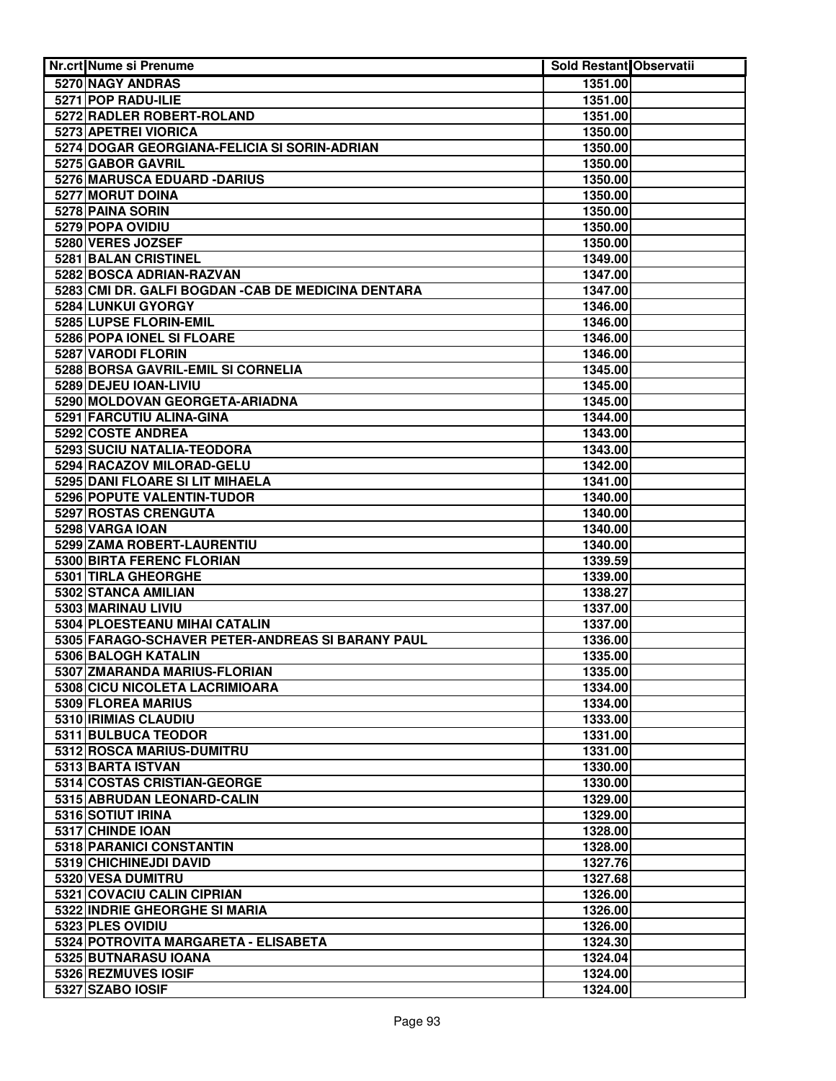| <b>Nr.crt Nume si Prenume</b>                       | Sold Restant Observatii |  |
|-----------------------------------------------------|-------------------------|--|
| 5270 NAGY ANDRAS                                    | 1351.00                 |  |
| 5271 POP RADU-ILIE                                  | 1351.00                 |  |
| 5272 RADLER ROBERT-ROLAND                           | 1351.00                 |  |
| 5273 APETREI VIORICA                                | 1350.00                 |  |
| 5274 DOGAR GEORGIANA-FELICIA SI SORIN-ADRIAN        | 1350.00                 |  |
| 5275 GABOR GAVRIL                                   | 1350.00                 |  |
| 5276 MARUSCA EDUARD - DARIUS                        | 1350.00                 |  |
| 5277 MORUT DOINA                                    | 1350.00                 |  |
| 5278 PAINA SORIN                                    | 1350.00                 |  |
| 5279 POPA OVIDIU                                    | 1350.00                 |  |
| 5280 VERES JOZSEF                                   | 1350.00                 |  |
| 5281 BALAN CRISTINEL                                | 1349.00                 |  |
| 5282 BOSCA ADRIAN-RAZVAN                            | 1347.00                 |  |
| 5283 CMI DR. GALFI BOGDAN - CAB DE MEDICINA DENTARA | 1347.00                 |  |
| 5284 LUNKUI GYORGY                                  | 1346.00                 |  |
| 5285 LUPSE FLORIN-EMIL                              | 1346.00                 |  |
| 5286 POPA IONEL SI FLOARE                           | 1346.00                 |  |
| 5287 VARODI FLORIN                                  | 1346.00                 |  |
| 5288 BORSA GAVRIL-EMIL SI CORNELIA                  | 1345.00                 |  |
| 5289 DEJEU IOAN-LIVIU                               | 1345.00                 |  |
| 5290 MOLDOVAN GEORGETA-ARIADNA                      | 1345.00                 |  |
| 5291 FARCUTIU ALINA-GINA                            | 1344.00                 |  |
| 5292 COSTE ANDREA                                   | 1343.00                 |  |
| 5293 SUCIU NATALIA-TEODORA                          | 1343.00                 |  |
| 5294 RACAZOV MILORAD-GELU                           | 1342.00                 |  |
| 5295 DANI FLOARE SI LIT MIHAELA                     | 1341.00                 |  |
| 5296 POPUTE VALENTIN-TUDOR                          | 1340.00                 |  |
| 5297 ROSTAS CRENGUTA                                | 1340.00                 |  |
| 5298 VARGA IOAN                                     | 1340.00                 |  |
| 5299 ZAMA ROBERT-LAURENTIU                          | 1340.00                 |  |
| 5300 BIRTA FERENC FLORIAN                           | 1339.59                 |  |
| 5301 TIRLA GHEORGHE                                 | 1339.00                 |  |
| 5302 STANCA AMILIAN                                 | 1338.27                 |  |
| 5303 MARINAU LIVIU                                  | 1337.00                 |  |
| 5304 PLOESTEANU MIHAI CATALIN                       | 1337.00                 |  |
| 5305 FARAGO-SCHAVER PETER-ANDREAS SI BARANY PAUL    | 1336.00                 |  |
| 5306 BALOGH KATALIN                                 | 1335.00                 |  |
| 5307 ZMARANDA MARIUS-FLORIAN                        | 1335.00                 |  |
| 5308 CICU NICOLETA LACRIMIOARA                      | 1334.00                 |  |
| 5309 FLOREA MARIUS                                  | 1334.00                 |  |
| 5310 IRIMIAS CLAUDIU                                | 1333.00                 |  |
| 5311 BULBUCA TEODOR                                 | 1331.00                 |  |
| 5312 ROSCA MARIUS-DUMITRU                           | 1331.00                 |  |
| 5313 BARTA ISTVAN                                   | 1330.00                 |  |
| 5314 COSTAS CRISTIAN-GEORGE                         | 1330.00                 |  |
| 5315 ABRUDAN LEONARD-CALIN                          | 1329.00                 |  |
| 5316 SOTIUT IRINA                                   | 1329.00                 |  |
| 5317 CHINDE IOAN                                    | 1328.00                 |  |
| 5318 PARANICI CONSTANTIN                            | 1328.00                 |  |
| 5319 CHICHINEJDI DAVID                              | 1327.76                 |  |
| 5320 VESA DUMITRU                                   | 1327.68                 |  |
| 5321 COVACIU CALIN CIPRIAN                          | 1326.00                 |  |
| 5322 INDRIE GHEORGHE SI MARIA                       | 1326.00                 |  |
| 5323 PLES OVIDIU                                    | 1326.00                 |  |
| 5324 POTROVITA MARGARETA - ELISABETA                | 1324.30                 |  |
| 5325 BUTNARASU IOANA                                | 1324.04                 |  |
| 5326 REZMUVES IOSIF                                 | 1324.00                 |  |
| 5327 SZABO IOSIF                                    | 1324.00                 |  |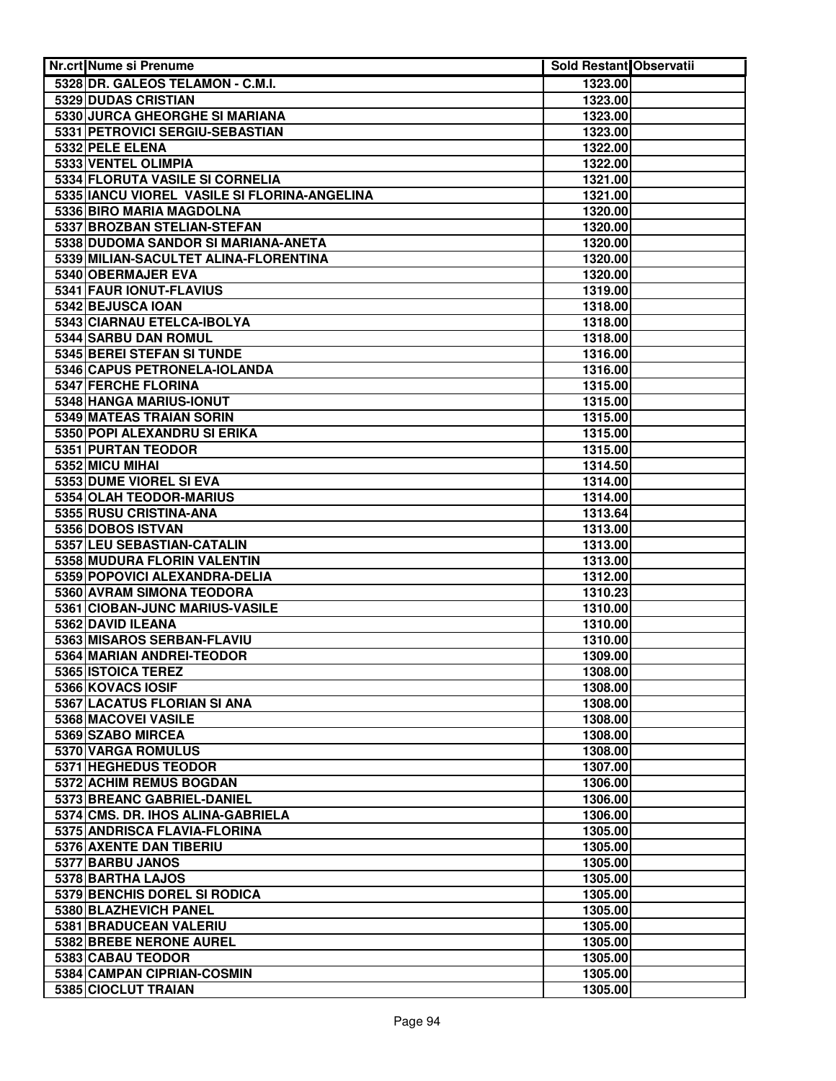| Nr.crt Nume si Prenume                          | <b>Sold Restant Observatii</b> |  |
|-------------------------------------------------|--------------------------------|--|
| 5328 DR. GALEOS TELAMON - C.M.I.                | 1323.00                        |  |
| 5329 DUDAS CRISTIAN                             | 1323.00                        |  |
| 5330 JURCA GHEORGHE SI MARIANA                  | 1323.00                        |  |
| 5331 PETROVICI SERGIU-SEBASTIAN                 | 1323.00                        |  |
| 5332 PELE ELENA                                 | 1322.00                        |  |
| 5333 VENTEL OLIMPIA                             | 1322.00                        |  |
| 5334 FLORUTA VASILE SI CORNELIA                 | 1321.00                        |  |
| 5335 IANCU VIOREL VASILE SI FLORINA-ANGELINA    | 1321.00                        |  |
| 5336 BIRO MARIA MAGDOLNA                        | 1320.00                        |  |
| 5337 BROZBAN STELIAN-STEFAN                     | 1320.00                        |  |
| 5338 DUDOMA SANDOR SI MARIANA-ANETA             | 1320.00                        |  |
| 5339 MILIAN-SACULTET ALINA-FLORENTINA           | 1320.00                        |  |
| 5340 OBERMAJER EVA                              | 1320.00                        |  |
| 5341 FAUR IONUT-FLAVIUS                         | 1319.00                        |  |
| 5342 BEJUSCA IOAN                               | 1318.00                        |  |
| 5343 CIARNAU ETELCA-IBOLYA                      | 1318.00                        |  |
| 5344 SARBU DAN ROMUL                            | 1318.00                        |  |
| 5345 BEREI STEFAN SI TUNDE                      | 1316.00                        |  |
| 5346 CAPUS PETRONELA-IOLANDA                    | 1316.00                        |  |
| 5347 FERCHE FLORINA                             | 1315.00                        |  |
| 5348 HANGA MARIUS-IONUT                         | 1315.00                        |  |
| 5349 MATEAS TRAIAN SORIN                        | 1315.00                        |  |
| 5350 POPI ALEXANDRU SI ERIKA                    | 1315.00                        |  |
| 5351 PURTAN TEODOR                              | 1315.00                        |  |
| 5352 MICU MIHAI                                 | 1314.50                        |  |
| 5353 DUME VIOREL SI EVA                         | 1314.00                        |  |
| 5354 OLAH TEODOR-MARIUS                         | 1314.00                        |  |
| 5355 RUSU CRISTINA-ANA                          | 1313.64                        |  |
| 5356 DOBOS ISTVAN<br>5357 LEU SEBASTIAN-CATALIN | 1313.00                        |  |
| 5358 MUDURA FLORIN VALENTIN                     | 1313.00<br>1313.00             |  |
| 5359 POPOVICI ALEXANDRA-DELIA                   | 1312.00                        |  |
| 5360 AVRAM SIMONA TEODORA                       | 1310.23                        |  |
| 5361 CIOBAN-JUNC MARIUS-VASILE                  | 1310.00                        |  |
| 5362 DAVID ILEANA                               | 1310.00                        |  |
| 5363 MISAROS SERBAN-FLAVIU                      | 1310.00                        |  |
| 5364 MARIAN ANDREI-TEODOR                       | 1309.00                        |  |
| 5365 ISTOICA TEREZ                              | 1308.00                        |  |
| 5366 KOVACS IOSIF                               | 1308.00                        |  |
| 5367 LACATUS FLORIAN SI ANA                     | 1308.00                        |  |
| 5368 MACOVEI VASILE                             | 1308.00                        |  |
| 5369 SZABO MIRCEA                               | 1308.00                        |  |
| 5370 VARGA ROMULUS                              | 1308.00                        |  |
| 5371 HEGHEDUS TEODOR                            | 1307.00                        |  |
| 5372 ACHIM REMUS BOGDAN                         | 1306.00                        |  |
| 5373 BREANC GABRIEL-DANIEL                      | 1306.00                        |  |
| 5374 CMS. DR. IHOS ALINA-GABRIELA               | 1306.00                        |  |
| 5375 ANDRISCA FLAVIA-FLORINA                    | 1305.00                        |  |
| 5376 AXENTE DAN TIBERIU                         | 1305.00                        |  |
| 5377 BARBU JANOS                                | 1305.00                        |  |
| 5378 BARTHA LAJOS                               | 1305.00                        |  |
| 5379 BENCHIS DOREL SI RODICA                    | 1305.00                        |  |
| 5380 BLAZHEVICH PANEL                           | 1305.00                        |  |
| 5381 BRADUCEAN VALERIU                          | 1305.00                        |  |
| 5382 BREBE NERONE AUREL                         | 1305.00                        |  |
| 5383 CABAU TEODOR                               | 1305.00                        |  |
| 5384 CAMPAN CIPRIAN-COSMIN                      | 1305.00                        |  |
| 5385 CIOCLUT TRAIAN                             | 1305.00                        |  |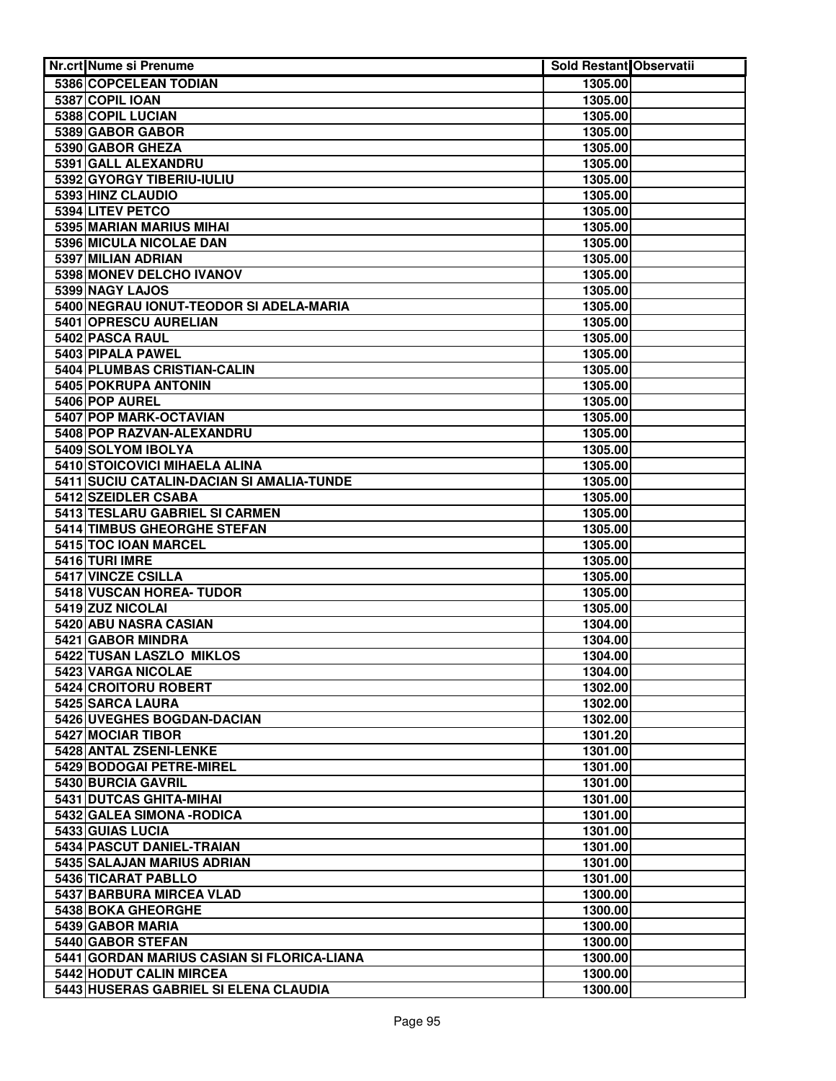| Nr.crt Nume si Prenume                     | <b>Sold Restant Observatii</b> |  |
|--------------------------------------------|--------------------------------|--|
| 5386 COPCELEAN TODIAN                      | 1305.00                        |  |
| 5387 COPIL IOAN                            | 1305.00                        |  |
| 5388 COPIL LUCIAN                          | 1305.00                        |  |
| 5389 GABOR GABOR                           | 1305.00                        |  |
| 5390 GABOR GHEZA                           | 1305.00                        |  |
| 5391 GALL ALEXANDRU                        | 1305.00                        |  |
| 5392 GYORGY TIBERIU-IULIU                  | 1305.00                        |  |
| 5393 HINZ CLAUDIO                          | 1305.00                        |  |
| 5394 LITEV PETCO                           | 1305.00                        |  |
| 5395 MARIAN MARIUS MIHAI                   | 1305.00                        |  |
| 5396 MICULA NICOLAE DAN                    | 1305.00                        |  |
| 5397 MILIAN ADRIAN                         | 1305.00                        |  |
| 5398 MONEV DELCHO IVANOV                   | 1305.00                        |  |
| 5399 NAGY LAJOS                            | 1305.00                        |  |
| 5400 NEGRAU IONUT-TEODOR SI ADELA-MARIA    | 1305.00                        |  |
| 5401 OPRESCU AURELIAN                      | 1305.00                        |  |
| 5402 PASCA RAUL                            | 1305.00                        |  |
| 5403 PIPALA PAWEL                          | 1305.00                        |  |
| 5404 PLUMBAS CRISTIAN-CALIN                | 1305.00                        |  |
| 5405 POKRUPA ANTONIN                       | 1305.00                        |  |
| 5406 POP AUREL                             | 1305.00                        |  |
| 5407 POP MARK-OCTAVIAN                     | 1305.00                        |  |
| 5408 POP RAZVAN-ALEXANDRU                  | 1305.00                        |  |
| 5409 SOLYOM IBOLYA                         | 1305.00                        |  |
| 5410 STOICOVICI MIHAELA ALINA              | 1305.00                        |  |
| 5411 SUCIU CATALIN-DACIAN SI AMALIA-TUNDE  | 1305.00                        |  |
| 5412 SZEIDLER CSABA                        | 1305.00                        |  |
| 5413 TESLARU GABRIEL SI CARMEN             | 1305.00                        |  |
| 5414 TIMBUS GHEORGHE STEFAN                | 1305.00                        |  |
| 5415 TOC IOAN MARCEL                       | 1305.00                        |  |
| 5416 TURI IMRE                             | 1305.00                        |  |
| 5417 VINCZE CSILLA                         | 1305.00                        |  |
| 5418 VUSCAN HOREA- TUDOR                   | 1305.00                        |  |
| 5419 ZUZ NICOLAI                           | 1305.00                        |  |
| 5420 ABU NASRA CASIAN                      | 1304.00                        |  |
| 5421 GABOR MINDRA                          | 1304.00                        |  |
| 5422 TUSAN LASZLO MIKLOS                   | 1304.00                        |  |
| 5423 VARGA NICOLAE                         | 1304.00                        |  |
| 5424 CROITORU ROBERT                       | 1302.00                        |  |
| 5425 SARCA LAURA                           | 1302.00                        |  |
| 5426 UVEGHES BOGDAN-DACIAN                 | 1302.00                        |  |
| 5427 MOCIAR TIBOR                          | 1301.20                        |  |
| 5428 ANTAL ZSENI-LENKE                     | 1301.00                        |  |
| 5429 BODOGAI PETRE-MIREL                   | 1301.00                        |  |
| 5430 BURCIA GAVRIL                         | 1301.00                        |  |
| 5431 DUTCAS GHITA-MIHAI                    | 1301.00                        |  |
| 5432 GALEA SIMONA - RODICA                 | 1301.00                        |  |
| 5433 GUIAS LUCIA                           | 1301.00                        |  |
| 5434 PASCUT DANIEL-TRAIAN                  | 1301.00                        |  |
| 5435 SALAJAN MARIUS ADRIAN                 | 1301.00                        |  |
| 5436 TICARAT PABLLO                        | 1301.00                        |  |
| 5437 BARBURA MIRCEA VLAD                   | 1300.00                        |  |
| 5438 BOKA GHEORGHE                         | 1300.00                        |  |
| 5439 GABOR MARIA                           | 1300.00                        |  |
| 5440 GABOR STEFAN                          | 1300.00                        |  |
| 5441 GORDAN MARIUS CASIAN SI FLORICA-LIANA | 1300.00                        |  |
| 5442 HODUT CALIN MIRCEA                    | 1300.00                        |  |
| 5443 HUSERAS GABRIEL SI ELENA CLAUDIA      | 1300.00                        |  |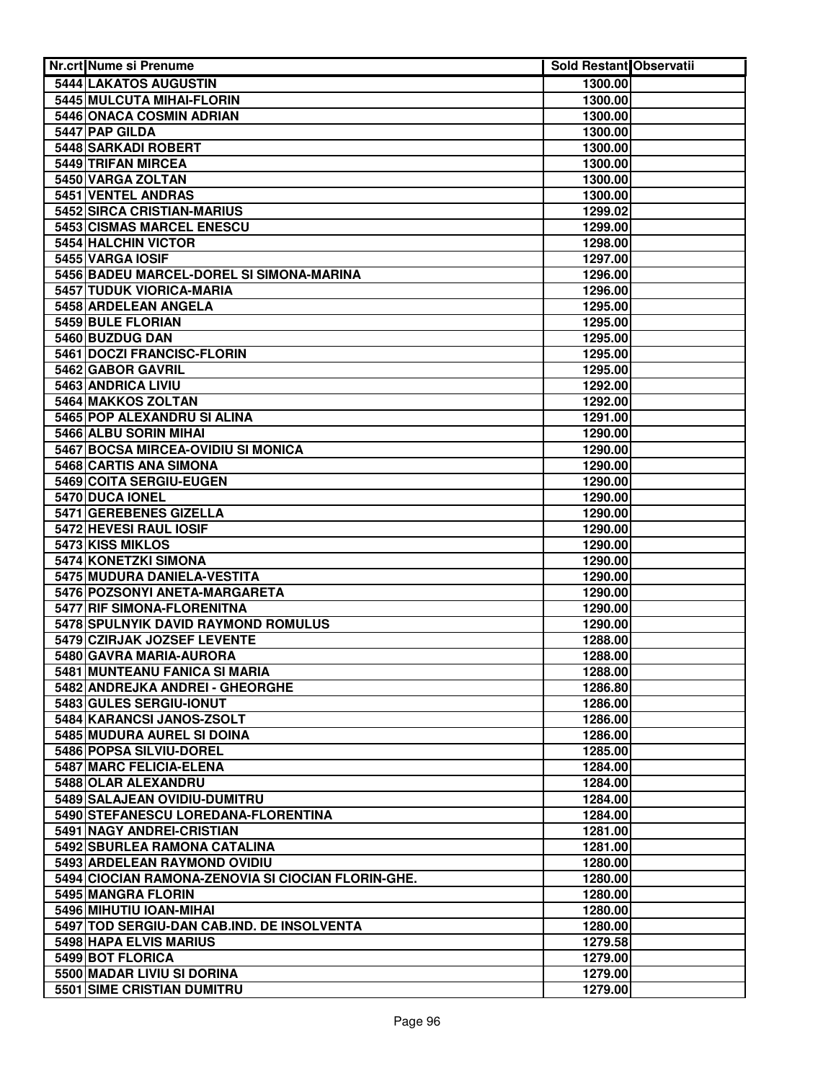| <b>Nr.crt Nume si Prenume</b>                      | Sold Restant Observatii |  |
|----------------------------------------------------|-------------------------|--|
| 5444 LAKATOS AUGUSTIN                              | 1300.00                 |  |
| 5445 MULCUTA MIHAI-FLORIN                          | 1300.00                 |  |
| 5446 ONACA COSMIN ADRIAN                           | 1300.00                 |  |
| 5447 PAP GILDA                                     | 1300.00                 |  |
| 5448 SARKADI ROBERT                                | 1300.00                 |  |
| 5449 TRIFAN MIRCEA                                 | 1300.00                 |  |
| 5450 VARGA ZOLTAN                                  | 1300.00                 |  |
| 5451 VENTEL ANDRAS                                 | 1300.00                 |  |
| 5452 SIRCA CRISTIAN-MARIUS                         | 1299.02                 |  |
| <b>5453 CISMAS MARCEL ENESCU</b>                   | 1299.00                 |  |
| 5454 HALCHIN VICTOR                                | 1298.00                 |  |
| 5455 VARGA IOSIF                                   | 1297.00                 |  |
| 5456 BADEU MARCEL-DOREL SI SIMONA-MARINA           | 1296.00                 |  |
| 5457 TUDUK VIORICA-MARIA                           | 1296.00                 |  |
| 5458 ARDELEAN ANGELA                               | 1295.00                 |  |
| 5459 BULE FLORIAN                                  | 1295.00                 |  |
| 5460 BUZDUG DAN                                    | 1295.00                 |  |
| 5461 DOCZI FRANCISC-FLORIN                         | 1295.00                 |  |
| 5462 GABOR GAVRIL                                  | 1295.00                 |  |
| 5463 ANDRICA LIVIU                                 | 1292.00                 |  |
| 5464 MAKKOS ZOLTAN                                 | 1292.00                 |  |
| 5465 POP ALEXANDRU SI ALINA                        | 1291.00                 |  |
| 5466 ALBU SORIN MIHAI                              | 1290.00                 |  |
| 5467 BOCSA MIRCEA-OVIDIU SI MONICA                 | 1290.00                 |  |
| 5468 CARTIS ANA SIMONA<br>5469 COITA SERGIU-EUGEN  | 1290.00                 |  |
| 5470 DUCA IONEL                                    | 1290.00<br>1290.00      |  |
| 5471 GEREBENES GIZELLA                             | 1290.00                 |  |
| 5472 HEVESI RAUL IOSIF                             | 1290.00                 |  |
| 5473 KISS MIKLOS                                   | 1290.00                 |  |
| 5474 KONETZKI SIMONA                               | 1290.00                 |  |
| 5475 MUDURA DANIELA-VESTITA                        | 1290.00                 |  |
| 5476 POZSONYI ANETA-MARGARETA                      | 1290.00                 |  |
| 5477 RIF SIMONA-FLORENITNA                         | 1290.00                 |  |
| 5478 SPULNYIK DAVID RAYMOND ROMULUS                | 1290.00                 |  |
| 5479 CZIRJAK JOZSEF LEVENTE                        | 1288.00                 |  |
| 5480 GAVRA MARIA-AURORA                            | 1288.00                 |  |
| 5481 MUNTEANU FANICA SI MARIA                      | 1288.00                 |  |
| 5482 ANDREJKA ANDREI - GHEORGHE                    | 1286.80                 |  |
| 5483 GULES SERGIU-IONUT                            | 1286.00                 |  |
| 5484 KARANCSI JANOS-ZSOLT                          | 1286.00                 |  |
| 5485 MUDURA AUREL SI DOINA                         | 1286.00                 |  |
| 5486 POPSA SILVIU-DOREL                            | 1285.00                 |  |
| 5487 MARC FELICIA-ELENA                            | 1284.00                 |  |
| 5488 OLAR ALEXANDRU                                | 1284.00                 |  |
| 5489 SALAJEAN OVIDIU-DUMITRU                       | 1284.00                 |  |
| 5490 STEFANESCU LOREDANA-FLORENTINA                | 1284.00                 |  |
| 5491 NAGY ANDREI-CRISTIAN                          | 1281.00                 |  |
| 5492 SBURLEA RAMONA CATALINA                       | 1281.00                 |  |
| 5493 ARDELEAN RAYMOND OVIDIU                       | 1280.00                 |  |
| 5494 CIOCIAN RAMONA-ZENOVIA SI CIOCIAN FLORIN-GHE. | 1280.00                 |  |
| 5495 MANGRA FLORIN                                 | 1280.00                 |  |
| 5496 MIHUTIU IOAN-MIHAI                            | 1280.00                 |  |
| 5497 TOD SERGIU-DAN CAB.IND. DE INSOLVENTA         | 1280.00                 |  |
| 5498 HAPA ELVIS MARIUS                             | 1279.58                 |  |
| <b>5499 BOT FLORICA</b>                            | 1279.00                 |  |
| 5500 MADAR LIVIU SI DORINA                         | 1279.00                 |  |
| <b>5501 SIME CRISTIAN DUMITRU</b>                  | 1279.00                 |  |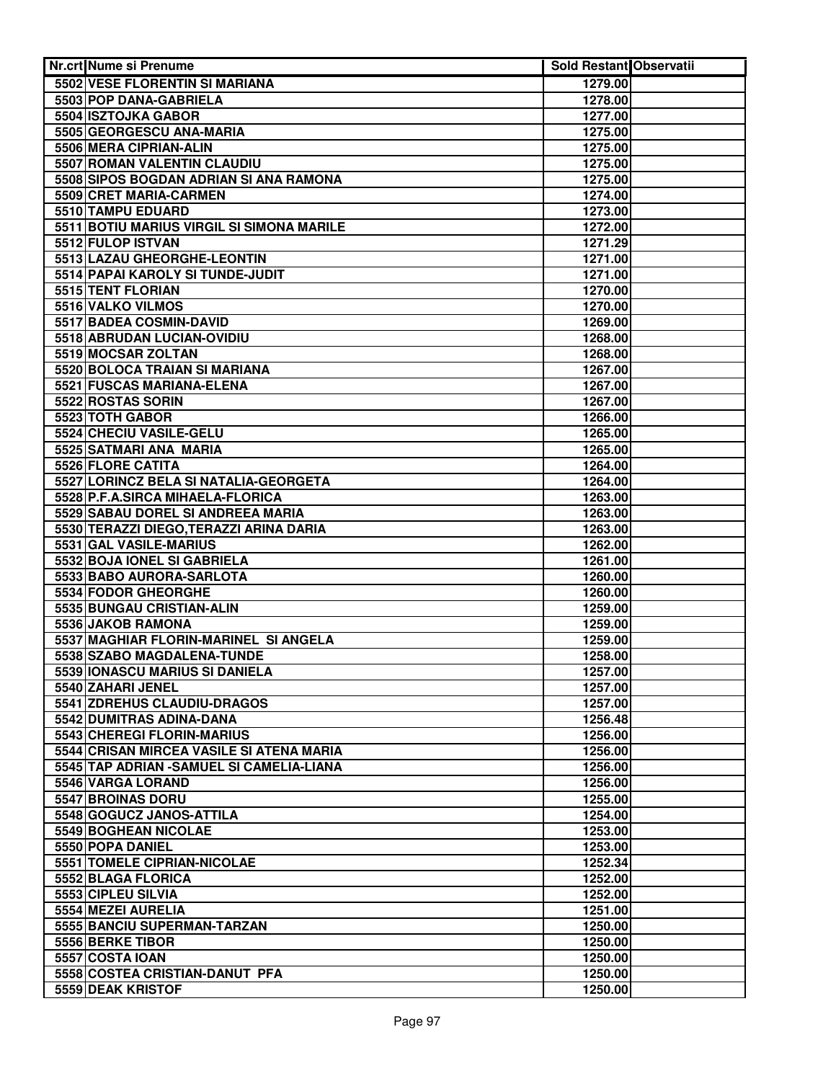| Nr.crt Nume si Prenume                                         | <b>Sold Restant Observatii</b> |  |
|----------------------------------------------------------------|--------------------------------|--|
| 5502 VESE FLORENTIN SI MARIANA                                 | 1279.00                        |  |
| 5503 POP DANA-GABRIELA                                         | 1278.00                        |  |
| 5504 ISZTOJKA GABOR                                            | 1277.00                        |  |
| 5505 GEORGESCU ANA-MARIA                                       | 1275.00                        |  |
| 5506 MERA CIPRIAN-ALIN                                         | 1275.00                        |  |
| 5507 ROMAN VALENTIN CLAUDIU                                    | 1275.00                        |  |
| 5508 SIPOS BOGDAN ADRIAN SI ANA RAMONA                         | 1275.00                        |  |
| 5509 CRET MARIA-CARMEN                                         | 1274.00                        |  |
| 5510 TAMPU EDUARD                                              | 1273.00                        |  |
| 5511 BOTIU MARIUS VIRGIL SI SIMONA MARILE                      | 1272.00                        |  |
| 5512 FULOP ISTVAN                                              | 1271.29                        |  |
| 5513 LAZAU GHEORGHE-LEONTIN                                    | 1271.00                        |  |
| 5514 PAPAI KAROLY SI TUNDE-JUDIT                               | 1271.00                        |  |
| 5515 TENT FLORIAN                                              | 1270.00                        |  |
| 5516 VALKO VILMOS                                              | 1270.00                        |  |
| 5517 BADEA COSMIN-DAVID                                        | 1269.00                        |  |
| 5518 ABRUDAN LUCIAN-OVIDIU                                     | 1268.00                        |  |
| 5519 MOCSAR ZOLTAN                                             | 1268.00                        |  |
| 5520 BOLOCA TRAIAN SI MARIANA                                  | 1267.00                        |  |
| 5521 FUSCAS MARIANA-ELENA                                      | 1267.00                        |  |
| 5522 ROSTAS SORIN                                              | 1267.00                        |  |
| 5523 TOTH GABOR                                                | 1266.00                        |  |
| 5524 CHECIU VASILE-GELU                                        | 1265.00                        |  |
| 5525 SATMARI ANA MARIA                                         | 1265.00                        |  |
| 5526 FLORE CATITA                                              | 1264.00                        |  |
| 5527 LORINCZ BELA SI NATALIA-GEORGETA                          | 1264.00                        |  |
| 5528 P.F.A.SIRCA MIHAELA-FLORICA                               | 1263.00                        |  |
| 5529 SABAU DOREL SI ANDREEA MARIA                              | 1263.00                        |  |
| 5530 TERAZZI DIEGO, TERAZZI ARINA DARIA                        | 1263.00                        |  |
| 5531 GAL VASILE-MARIUS                                         | 1262.00                        |  |
| 5532 BOJA IONEL SI GABRIELA                                    | 1261.00                        |  |
| 5533 BABO AURORA-SARLOTA                                       | 1260.00                        |  |
| 5534 FODOR GHEORGHE                                            | 1260.00                        |  |
| 5535 BUNGAU CRISTIAN-ALIN                                      | 1259.00                        |  |
| 5536 JAKOB RAMONA                                              | 1259.00                        |  |
| 5537 MAGHIAR FLORIN-MARINEL SI ANGELA                          | 1259.00                        |  |
| 5538 SZABO MAGDALENA-TUNDE                                     | 1258.00                        |  |
| 5539 IONASCU MARIUS SI DANIELA                                 | 1257.00                        |  |
| 5540 ZAHARI JENEL                                              | 1257.00                        |  |
| 5541 ZDREHUS CLAUDIU-DRAGOS                                    | 1257.00                        |  |
| 5542 DUMITRAS ADINA-DANA<br>5543 CHEREGI FLORIN-MARIUS         | 1256.48                        |  |
| 5544 CRISAN MIRCEA VASILE SI ATENA MARIA                       | 1256.00                        |  |
|                                                                | 1256.00                        |  |
| 5545 TAP ADRIAN - SAMUEL SI CAMELIA-LIANA<br>5546 VARGA LORAND | 1256.00<br>1256.00             |  |
| 5547 BROINAS DORU                                              | 1255.00                        |  |
| 5548 GOGUCZ JANOS-ATTILA                                       | 1254.00                        |  |
| 5549 BOGHEAN NICOLAE                                           | 1253.00                        |  |
| 5550 POPA DANIEL                                               | 1253.00                        |  |
| 5551 TOMELE CIPRIAN-NICOLAE                                    | 1252.34                        |  |
| 5552 BLAGA FLORICA                                             | 1252.00                        |  |
| 5553 CIPLEU SILVIA                                             | 1252.00                        |  |
| 5554 MEZEI AURELIA                                             | 1251.00                        |  |
| 5555 BANCIU SUPERMAN-TARZAN                                    | 1250.00                        |  |
| 5556 BERKE TIBOR                                               | 1250.00                        |  |
| 5557 COSTA IOAN                                                | 1250.00                        |  |
| 5558 COSTEA CRISTIAN-DANUT PFA                                 | 1250.00                        |  |
| 5559 DEAK KRISTOF                                              | 1250.00                        |  |
|                                                                |                                |  |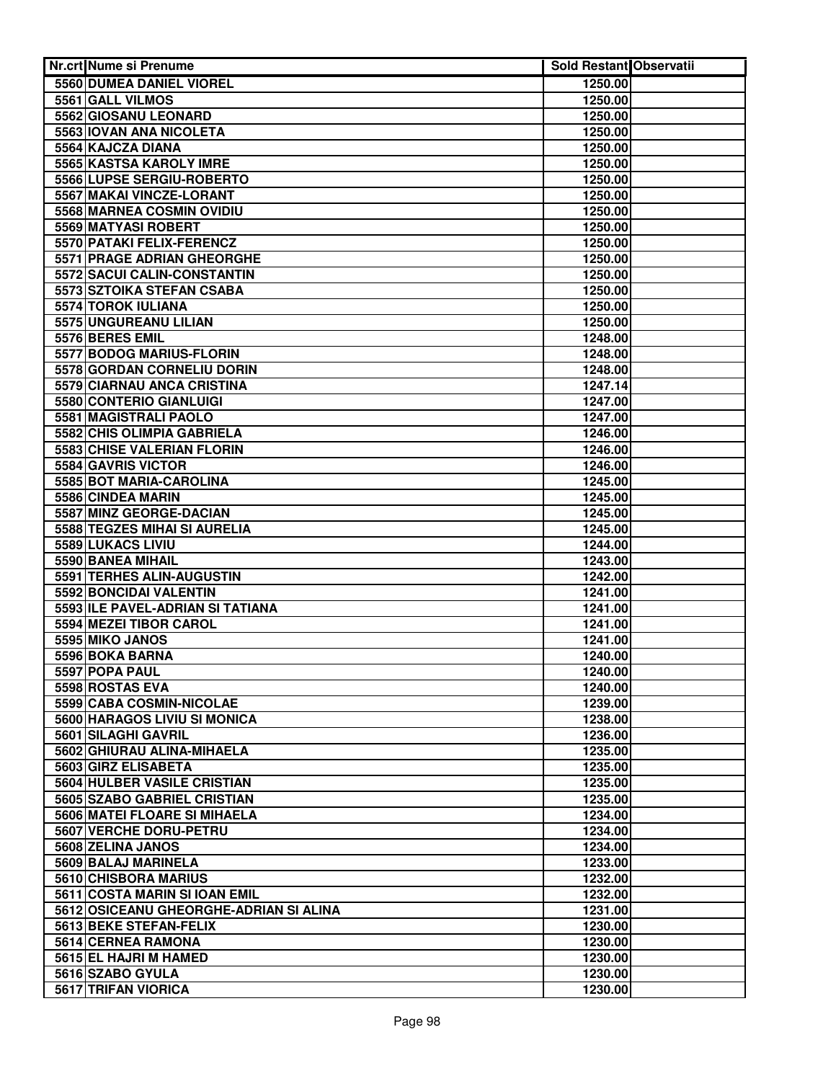| Nr.crt Nume si Prenume                                     | Sold Restant Observatii |  |
|------------------------------------------------------------|-------------------------|--|
| 5560 DUMEA DANIEL VIOREL                                   | 1250.00                 |  |
| 5561 GALL VILMOS                                           | 1250.00                 |  |
| 5562 GIOSANU LEONARD                                       | 1250.00                 |  |
| 5563 IOVAN ANA NICOLETA                                    | 1250.00                 |  |
| 5564 KAJCZA DIANA                                          | 1250.00                 |  |
| 5565 KASTSA KAROLY IMRE                                    | 1250.00                 |  |
| 5566 LUPSE SERGIU-ROBERTO                                  | 1250.00                 |  |
| <b>5567 MAKAI VINCZE-LORANT</b>                            | 1250.00                 |  |
| 5568 MARNEA COSMIN OVIDIU                                  | 1250.00                 |  |
| 5569 MATYASI ROBERT                                        | 1250.00                 |  |
| <b>5570 PATAKI FELIX-FERENCZ</b>                           | 1250.00                 |  |
| 5571 PRAGE ADRIAN GHEORGHE                                 | 1250.00                 |  |
| 5572 SACUI CALIN-CONSTANTIN                                | 1250.00                 |  |
| 5573 SZTOIKA STEFAN CSABA                                  | 1250.00                 |  |
| 5574 TOROK IULIANA                                         | 1250.00                 |  |
| 5575 UNGUREANU LILIAN                                      | 1250.00                 |  |
| 5576 BERES EMIL                                            | 1248.00                 |  |
| 5577 BODOG MARIUS-FLORIN                                   | 1248.00                 |  |
| 5578 GORDAN CORNELIU DORIN                                 | 1248.00                 |  |
| 5579 CIARNAU ANCA CRISTINA                                 | 1247.14                 |  |
| 5580 CONTERIO GIANLUIGI                                    | 1247.00                 |  |
| 5581 MAGISTRALI PAOLO                                      | 1247.00                 |  |
| 5582 CHIS OLIMPIA GABRIELA                                 | 1246.00                 |  |
| 5583 CHISE VALERIAN FLORIN                                 | 1246.00                 |  |
| 5584 GAVRIS VICTOR                                         | 1246.00                 |  |
| 5585 BOT MARIA-CAROLINA                                    | 1245.00                 |  |
| 5586 CINDEA MARIN                                          | 1245.00                 |  |
| 5587 MINZ GEORGE-DACIAN                                    | 1245.00                 |  |
| 5588 TEGZES MIHAI SI AURELIA                               | 1245.00                 |  |
| 5589 LUKACS LIVIU                                          | 1244.00                 |  |
| 5590 BANEA MIHAIL                                          | 1243.00                 |  |
| 5591 TERHES ALIN-AUGUSTIN                                  | 1242.00                 |  |
| 5592 BONCIDAI VALENTIN<br>5593 ILE PAVEL-ADRIAN SI TATIANA | 1241.00                 |  |
|                                                            | 1241.00                 |  |
| 5594 MEZEI TIBOR CAROL<br>5595 MIKO JANOS                  | 1241.00                 |  |
| 5596 BOKA BARNA                                            | 1241.00                 |  |
| 5597 POPA PAUL                                             | 1240.00<br>1240.00      |  |
| 5598 ROSTAS EVA                                            | 1240.00                 |  |
| 5599 CABA COSMIN-NICOLAE                                   | 1239.00                 |  |
| 5600 HARAGOS LIVIU SI MONICA                               | 1238.00                 |  |
| 5601 SILAGHI GAVRIL                                        | 1236.00                 |  |
| 5602 GHIURAU ALINA-MIHAELA                                 | 1235.00                 |  |
| 5603 GIRZ ELISABETA                                        | 1235.00                 |  |
| 5604 HULBER VASILE CRISTIAN                                | 1235.00                 |  |
| 5605 SZABO GABRIEL CRISTIAN                                | 1235.00                 |  |
| 5606 MATEI FLOARE SI MIHAELA                               | 1234.00                 |  |
| 5607 VERCHE DORU-PETRU                                     | 1234.00                 |  |
| 5608 ZELINA JANOS                                          | 1234.00                 |  |
| 5609 BALAJ MARINELA                                        | 1233.00                 |  |
| 5610 CHISBORA MARIUS                                       | 1232.00                 |  |
| 5611 COSTA MARIN SI IOAN EMIL                              | 1232.00                 |  |
| 5612 OSICEANU GHEORGHE-ADRIAN SI ALINA                     | 1231.00                 |  |
| 5613 BEKE STEFAN-FELIX                                     | 1230.00                 |  |
| 5614 CERNEA RAMONA                                         | 1230.00                 |  |
| 5615 EL HAJRI M HAMED                                      | 1230.00                 |  |
| 5616 SZABO GYULA                                           | 1230.00                 |  |
| 5617 TRIFAN VIORICA                                        | 1230.00                 |  |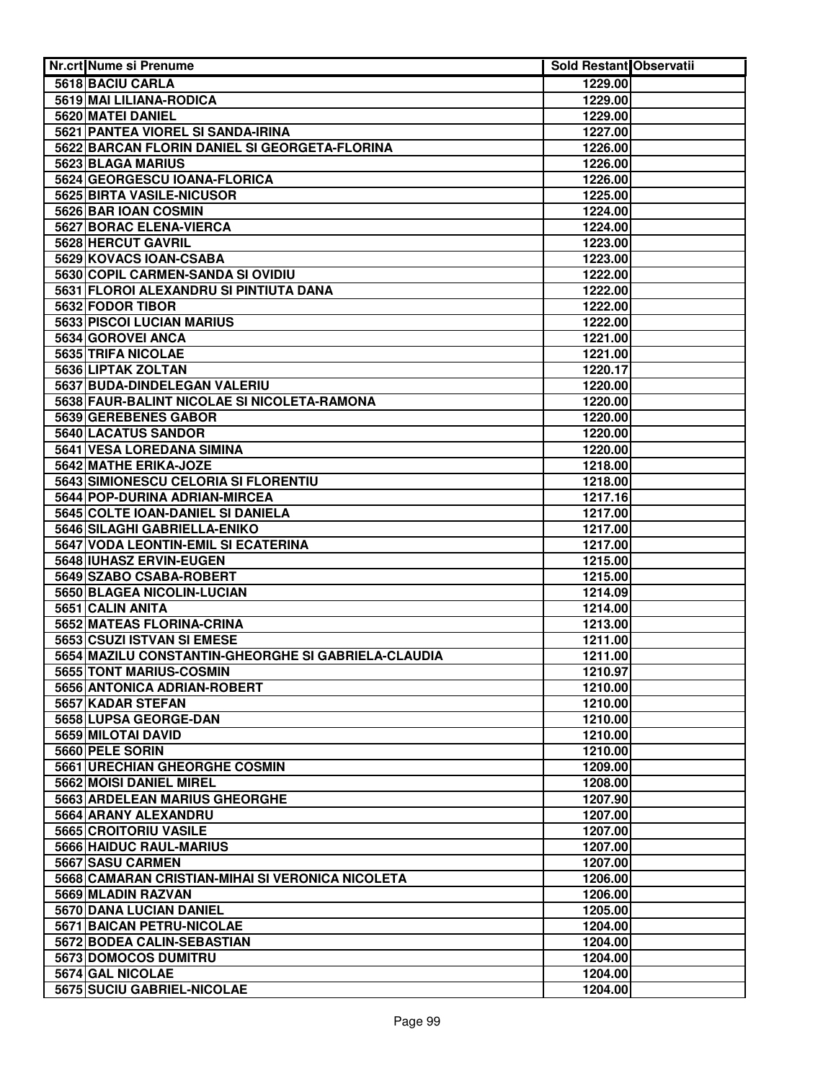| <b>Nr.crt Nume si Prenume</b>                       | <b>Sold Restant Observatii</b> |  |
|-----------------------------------------------------|--------------------------------|--|
| 5618 BACIU CARLA                                    | 1229.00                        |  |
| 5619 MAI LILIANA-RODICA                             | 1229.00                        |  |
| 5620 MATEI DANIEL                                   | 1229.00                        |  |
| 5621 PANTEA VIOREL SI SANDA-IRINA                   | 1227.00                        |  |
| 5622 BARCAN FLORIN DANIEL SI GEORGETA-FLORINA       | 1226.00                        |  |
| 5623 BLAGA MARIUS                                   | 1226.00                        |  |
| 5624 GEORGESCU IOANA-FLORICA                        | 1226.00                        |  |
| 5625 BIRTA VASILE-NICUSOR                           | 1225.00                        |  |
| 5626 BAR IOAN COSMIN                                | 1224.00                        |  |
| <b>5627 BORAC ELENA-VIERCA</b>                      | 1224.00                        |  |
| 5628 HERCUT GAVRIL                                  | 1223.00                        |  |
| 5629 KOVACS IOAN-CSABA                              | 1223.00                        |  |
| 5630 COPIL CARMEN-SANDA SI OVIDIU                   | 1222.00                        |  |
| 5631 FLOROI ALEXANDRU SI PINTIUTA DANA              | 1222.00                        |  |
| 5632 FODOR TIBOR                                    | 1222.00                        |  |
| 5633 PISCOI LUCIAN MARIUS                           | 1222.00                        |  |
| 5634 GOROVEI ANCA                                   | 1221.00                        |  |
| 5635 TRIFA NICOLAE                                  | 1221.00                        |  |
| 5636 LIPTAK ZOLTAN                                  | 1220.17                        |  |
| 5637 BUDA-DINDELEGAN VALERIU                        | 1220.00                        |  |
| 5638 FAUR-BALINT NICOLAE SI NICOLETA-RAMONA         | 1220.00                        |  |
| 5639 GEREBENES GABOR                                | 1220.00                        |  |
| 5640 LACATUS SANDOR                                 | 1220.00                        |  |
| 5641 VESA LOREDANA SIMINA                           | 1220.00                        |  |
| 5642 MATHE ERIKA-JOZE                               | 1218.00                        |  |
| 5643 SIMIONESCU CELORIA SI FLORENTIU                | 1218.00                        |  |
| 5644 POP-DURINA ADRIAN-MIRCEA                       | 1217.16                        |  |
| 5645 COLTE IOAN-DANIEL SI DANIELA                   | 1217.00                        |  |
| 5646 SILAGHI GABRIELLA-ENIKO                        | 1217.00                        |  |
| 5647 VODA LEONTIN-EMIL SI ECATERINA                 | 1217.00                        |  |
| 5648 IUHASZ ERVIN-EUGEN                             | 1215.00                        |  |
| 5649 SZABO CSABA-ROBERT                             | 1215.00                        |  |
| 5650 BLAGEA NICOLIN-LUCIAN                          | 1214.09                        |  |
| 5651 CALIN ANITA                                    | 1214.00                        |  |
| 5652 MATEAS FLORINA-CRINA                           | 1213.00                        |  |
| 5653 CSUZI ISTVAN SI EMESE                          | 1211.00                        |  |
| 5654 MAZILU CONSTANTIN-GHEORGHE SI GABRIELA-CLAUDIA | 1211.00                        |  |
| 5655 TONT MARIUS-COSMIN                             | 1210.97                        |  |
| 5656 ANTONICA ADRIAN-ROBERT                         | 1210.00                        |  |
| 5657 KADAR STEFAN                                   | 1210.00                        |  |
| 5658 LUPSA GEORGE-DAN                               | 1210.00                        |  |
| 5659 MILOTAI DAVID                                  | 1210.00                        |  |
| 5660 PELE SORIN                                     | 1210.00                        |  |
| 5661 URECHIAN GHEORGHE COSMIN                       | 1209.00                        |  |
| 5662 MOISI DANIEL MIREL                             | 1208.00                        |  |
| 5663 ARDELEAN MARIUS GHEORGHE                       | 1207.90                        |  |
| 5664 ARANY ALEXANDRU                                | 1207.00                        |  |
| 5665 CROITORIU VASILE                               | 1207.00                        |  |
| 5666 HAIDUC RAUL-MARIUS                             | 1207.00                        |  |
| 5667 SASU CARMEN                                    | 1207.00                        |  |
| 5668 CAMARAN CRISTIAN-MIHAI SI VERONICA NICOLETA    | 1206.00                        |  |
| 5669 MLADIN RAZVAN                                  | 1206.00                        |  |
| 5670 DANA LUCIAN DANIEL                             | 1205.00                        |  |
| 5671 BAICAN PETRU-NICOLAE                           | 1204.00                        |  |
| 5672 BODEA CALIN-SEBASTIAN                          | 1204.00                        |  |
| 5673 DOMOCOS DUMITRU                                | 1204.00                        |  |
| 5674 GAL NICOLAE                                    | 1204.00                        |  |
| 5675 SUCIU GABRIEL-NICOLAE                          | 1204.00                        |  |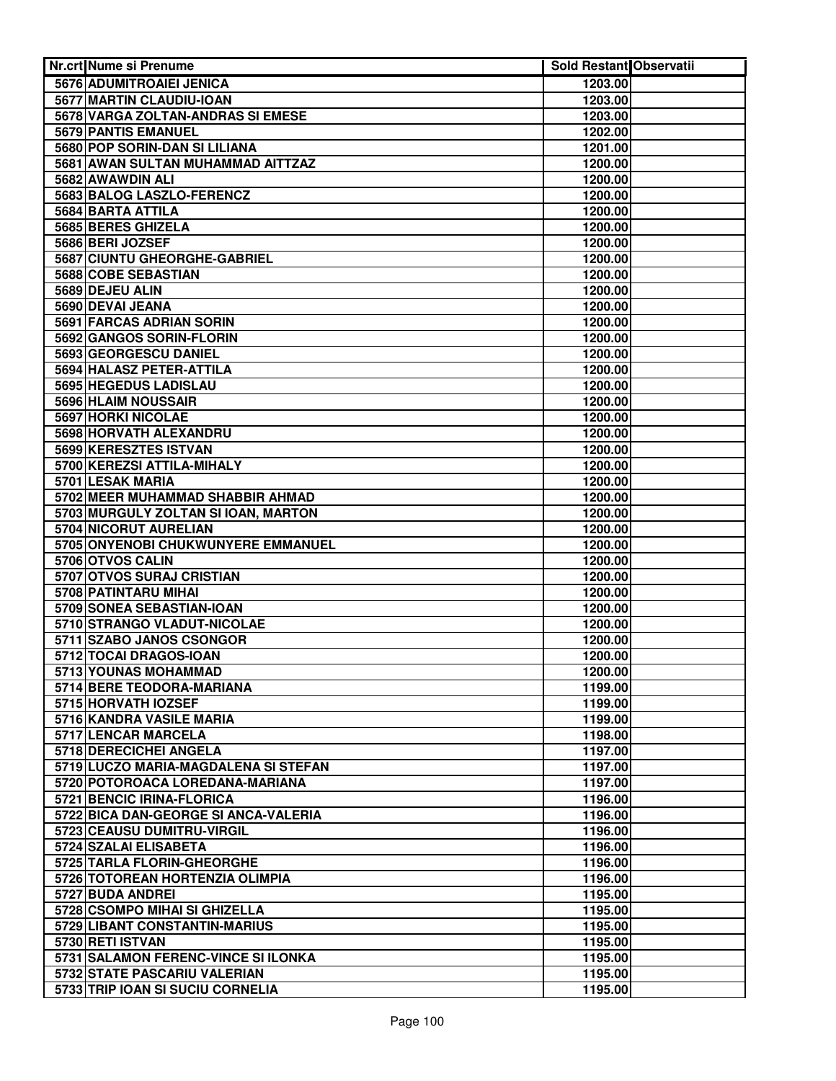| <b>Nr.crt Nume si Prenume</b>                   | <b>Sold Restant Observatii</b> |  |
|-------------------------------------------------|--------------------------------|--|
| 5676 ADUMITROAIEI JENICA                        | 1203.00                        |  |
| 5677 MARTIN CLAUDIU-IOAN                        | 1203.00                        |  |
| 5678 VARGA ZOLTAN-ANDRAS SI EMESE               | 1203.00                        |  |
| 5679 PANTIS EMANUEL                             | 1202.00                        |  |
| 5680 POP SORIN-DAN SI LILIANA                   | 1201.00                        |  |
| 5681 AWAN SULTAN MUHAMMAD AITTZAZ               | 1200.00                        |  |
| 5682 AWAWDIN ALI                                | 1200.00                        |  |
| 5683 BALOG LASZLO-FERENCZ                       | 1200.00                        |  |
| 5684 BARTA ATTILA                               | 1200.00                        |  |
| 5685 BERES GHIZELA                              | 1200.00                        |  |
| 5686 BERI JOZSEF                                | 1200.00                        |  |
| 5687 CIUNTU GHEORGHE-GABRIEL                    | 1200.00                        |  |
| 5688 COBE SEBASTIAN                             | 1200.00                        |  |
| 5689 DEJEU ALIN                                 | 1200.00                        |  |
| 5690 DEVAI JEANA                                | 1200.00                        |  |
| 5691 FARCAS ADRIAN SORIN                        | 1200.00                        |  |
| 5692 GANGOS SORIN-FLORIN                        | 1200.00                        |  |
| 5693 GEORGESCU DANIEL                           | 1200.00                        |  |
| 5694 HALASZ PETER-ATTILA                        | 1200.00                        |  |
| 5695 HEGEDUS LADISLAU                           | 1200.00                        |  |
| 5696 HLAIM NOUSSAIR                             | 1200.00                        |  |
| 5697 HORKI NICOLAE                              | 1200.00                        |  |
| 5698 HORVATH ALEXANDRU                          | 1200.00                        |  |
| 5699 KERESZTES ISTVAN                           | 1200.00                        |  |
| 5700 KEREZSI ATTILA-MIHALY                      | 1200.00                        |  |
| 5701 LESAK MARIA                                | 1200.00                        |  |
| 5702 MEER MUHAMMAD SHABBIR AHMAD                | 1200.00                        |  |
| 5703 MURGULY ZOLTAN SI IOAN, MARTON             | 1200.00                        |  |
| 5704 NICORUT AURELIAN                           | 1200.00                        |  |
| 5705 ONYENOBI CHUKWUNYERE EMMANUEL              | 1200.00                        |  |
| 5706 OTVOS CALIN                                | 1200.00                        |  |
| 5707 OTVOS SURAJ CRISTIAN                       | 1200.00                        |  |
| 5708 PATINTARU MIHAI                            | 1200.00                        |  |
| 5709 SONEA SEBASTIAN-IOAN                       | 1200.00                        |  |
| 5710 STRANGO VLADUT-NICOLAE                     | 1200.00                        |  |
| 5711 SZABO JANOS CSONGOR                        | 1200.00                        |  |
| 5712 TOCAI DRAGOS-IOAN                          | 1200.00                        |  |
| 5713 YOUNAS MOHAMMAD                            | 1200.00                        |  |
| 5714 BERE TEODORA-MARIANA                       | 1199.00                        |  |
| 5715 HORVATH IOZSEF                             | 1199.00                        |  |
| 5716 KANDRA VASILE MARIA<br>5717 LENCAR MARCELA | 1199.00                        |  |
| 5718 DERECICHEI ANGELA                          | 1198.00<br>1197.00             |  |
| 5719 LUCZO MARIA-MAGDALENA SI STEFAN            | 1197.00                        |  |
| 5720 POTOROACA LOREDANA-MARIANA                 | 1197.00                        |  |
| 5721 BENCIC IRINA-FLORICA                       | 1196.00                        |  |
| 5722 BICA DAN-GEORGE SI ANCA-VALERIA            | 1196.00                        |  |
| 5723 CEAUSU DUMITRU-VIRGIL                      | 1196.00                        |  |
| 5724 SZALAI ELISABETA                           | 1196.00                        |  |
| 5725 TARLA FLORIN-GHEORGHE                      | 1196.00                        |  |
| 5726 TOTOREAN HORTENZIA OLIMPIA                 | 1196.00                        |  |
| 5727 BUDA ANDREI                                | 1195.00                        |  |
| 5728 CSOMPO MIHAI SI GHIZELLA                   | 1195.00                        |  |
| 5729 LIBANT CONSTANTIN-MARIUS                   | 1195.00                        |  |
| 5730 RETI ISTVAN                                | 1195.00                        |  |
| 5731 SALAMON FERENC-VINCE SI ILONKA             | 1195.00                        |  |
| 5732 STATE PASCARIU VALERIAN                    | 1195.00                        |  |
| 5733 TRIP IOAN SI SUCIU CORNELIA                | 1195.00                        |  |
|                                                 |                                |  |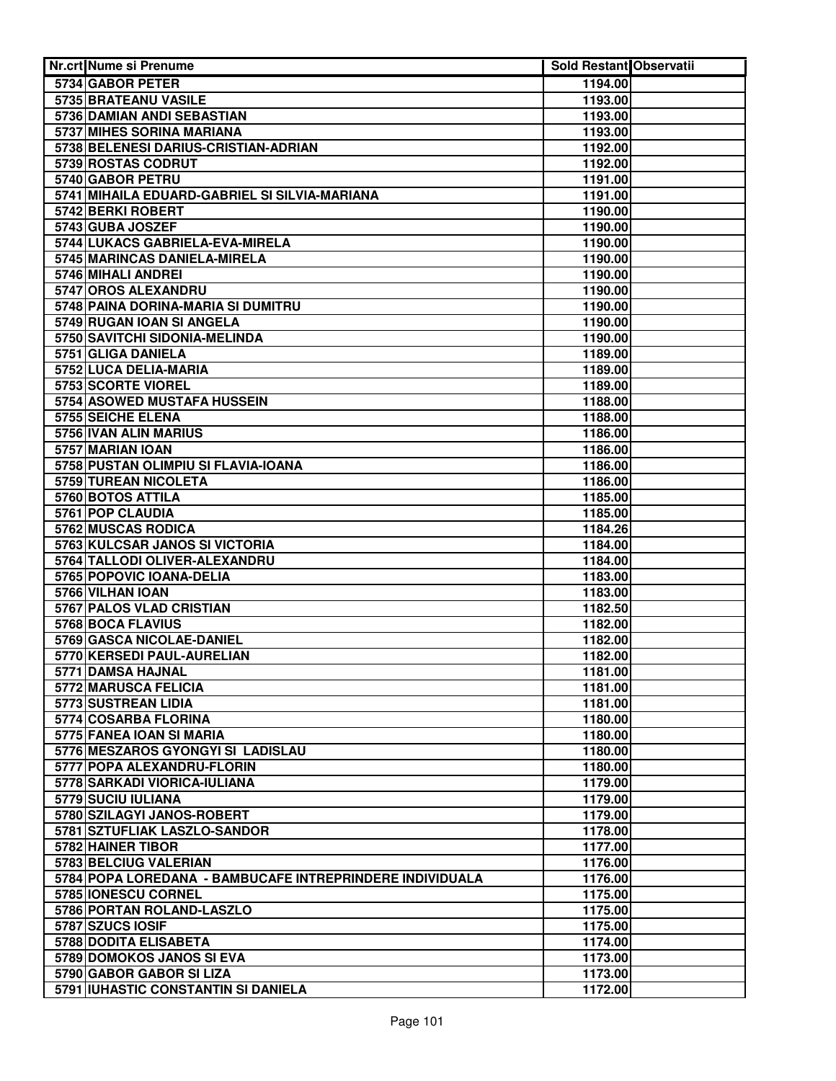| <b>Nr.crt Nume si Prenume</b>                             | Sold Restant Observatii |  |
|-----------------------------------------------------------|-------------------------|--|
| 5734 GABOR PETER                                          | 1194.00                 |  |
| 5735 BRATEANU VASILE                                      | 1193.00                 |  |
| 5736 DAMIAN ANDI SEBASTIAN                                | 1193.00                 |  |
| 5737 MIHES SORINA MARIANA                                 | 1193.00                 |  |
| 5738 BELENESI DARIUS-CRISTIAN-ADRIAN                      | 1192.00                 |  |
| 5739 ROSTAS CODRUT                                        | 1192.00                 |  |
| 5740 GABOR PETRU                                          | 1191.00                 |  |
| 5741 MIHAILA EDUARD-GABRIEL SI SILVIA-MARIANA             | 1191.00                 |  |
| 5742 BERKI ROBERT                                         | 1190.00                 |  |
| 5743 GUBA JOSZEF                                          | 1190.00                 |  |
| 5744 LUKACS GABRIELA-EVA-MIRELA                           | 1190.00                 |  |
| 5745 MARINCAS DANIELA-MIRELA                              | 1190.00                 |  |
| 5746 MIHALI ANDREI                                        | 1190.00                 |  |
| 5747 OROS ALEXANDRU                                       | 1190.00                 |  |
| 5748 PAINA DORINA-MARIA SI DUMITRU                        | 1190.00                 |  |
| 5749 RUGAN IOAN SI ANGELA                                 | 1190.00                 |  |
| 5750 SAVITCHI SIDONIA-MELINDA                             | 1190.00                 |  |
| 5751 GLIGA DANIELA                                        | 1189.00                 |  |
| 5752 LUCA DELIA-MARIA                                     | 1189.00                 |  |
| 5753 SCORTE VIOREL                                        | 1189.00                 |  |
| 5754 ASOWED MUSTAFA HUSSEIN                               | 1188.00                 |  |
| 5755 SEICHE ELENA                                         | 1188.00                 |  |
| 5756 IVAN ALIN MARIUS                                     | 1186.00                 |  |
| 5757 MARIAN IOAN                                          | 1186.00                 |  |
| 5758 PUSTAN OLIMPIU SI FLAVIA-IOANA                       | 1186.00                 |  |
| 5759 TUREAN NICOLETA                                      | 1186.00                 |  |
| 5760 BOTOS ATTILA                                         | 1185.00                 |  |
| 5761 POP CLAUDIA                                          | 1185.00                 |  |
| 5762 MUSCAS RODICA                                        | 1184.26                 |  |
| 5763 KULCSAR JANOS SI VICTORIA                            | 1184.00                 |  |
| 5764 TALLODI OLIVER-ALEXANDRU<br>5765 POPOVIC IOANA-DELIA | 1184.00<br>1183.00      |  |
| 5766 VILHAN IOAN                                          | 1183.00                 |  |
| 5767 PALOS VLAD CRISTIAN                                  | 1182.50                 |  |
| 5768 BOCA FLAVIUS                                         | 1182.00                 |  |
| 5769 GASCA NICOLAE-DANIEL                                 | 1182.00                 |  |
| 5770 KERSEDI PAUL-AURELIAN                                | 1182.00                 |  |
| 5771 DAMSA HAJNAL                                         | 1181.00                 |  |
| 5772 MARUSCA FELICIA                                      | 1181.00                 |  |
| 5773 SUSTREAN LIDIA                                       | 1181.00                 |  |
| 5774 COSARBA FLORINA                                      | 1180.00                 |  |
| 5775 FANEA IOAN SI MARIA                                  | 1180.00                 |  |
| 5776 MESZAROS GYONGYI SI LADISLAU                         | 1180.00                 |  |
| 5777 POPA ALEXANDRU-FLORIN                                | 1180.00                 |  |
| 5778 SARKADI VIORICA-IULIANA                              | 1179.00                 |  |
| 5779 SUCIU IULIANA                                        | 1179.00                 |  |
| 5780 SZILAGYI JANOS-ROBERT                                | 1179.00                 |  |
| 5781 SZTUFLIAK LASZLO-SANDOR                              | 1178.00                 |  |
| 5782 HAINER TIBOR                                         | 1177.00                 |  |
| 5783 BELCIUG VALERIAN                                     | 1176.00                 |  |
| 5784 POPA LOREDANA - BAMBUCAFE INTREPRINDERE INDIVIDUALA  | 1176.00                 |  |
| 5785 IONESCU CORNEL                                       | 1175.00                 |  |
| 5786 PORTAN ROLAND-LASZLO                                 | 1175.00                 |  |
| 5787 SZUCS IOSIF                                          | 1175.00                 |  |
| 5788 DODITA ELISABETA                                     | 1174.00                 |  |
| 5789 DOMOKOS JANOS SI EVA                                 | 1173.00                 |  |
| 5790 GABOR GABOR SI LIZA                                  | 1173.00                 |  |
| 5791 IUHASTIC CONSTANTIN SI DANIELA                       | 1172.00                 |  |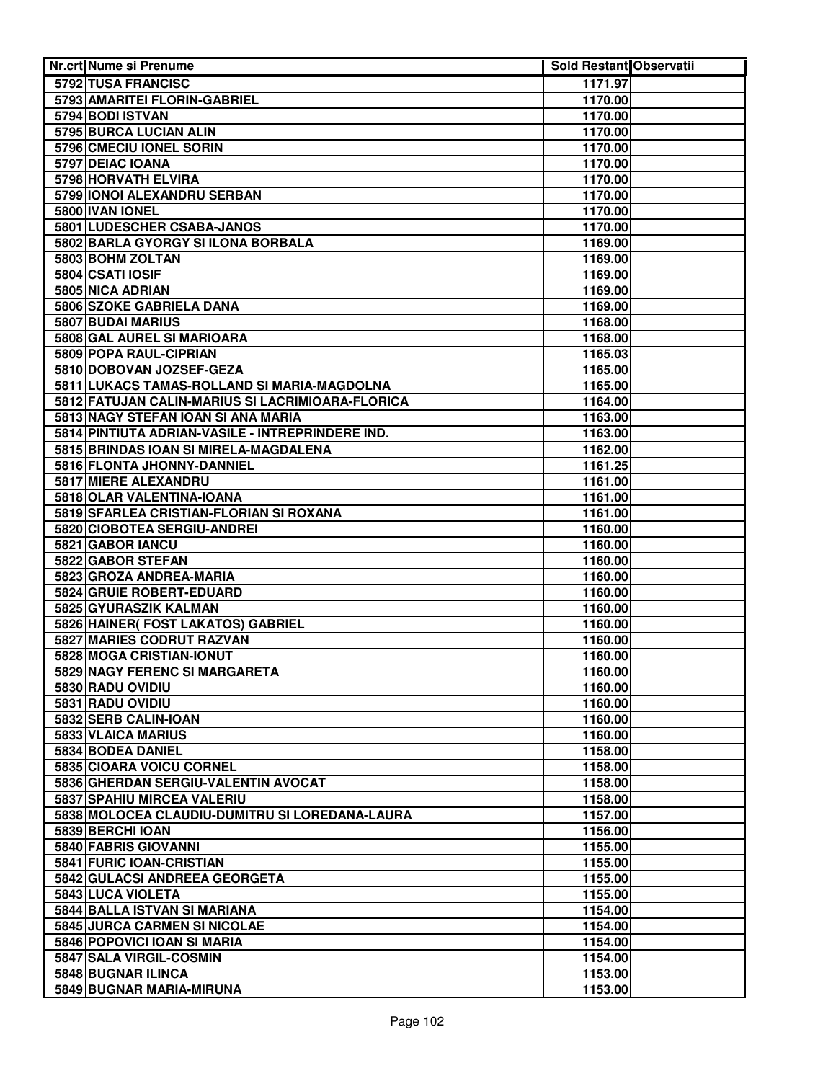| Nr.crt Nume si Prenume                                    | Sold Restant Observatii |  |
|-----------------------------------------------------------|-------------------------|--|
| 5792 TUSA FRANCISC                                        | 1171.97                 |  |
| 5793 AMARITEI FLORIN-GABRIEL                              | 1170.00                 |  |
| 5794 BODI ISTVAN                                          | 1170.00                 |  |
| 5795 BURCA LUCIAN ALIN                                    | 1170.00                 |  |
| 5796 CMECIU IONEL SORIN                                   | 1170.00                 |  |
| 5797 DEIAC IOANA                                          | 1170.00                 |  |
| 5798 HORVATH ELVIRA                                       | 1170.00                 |  |
| 5799 IONOI ALEXANDRU SERBAN                               | 1170.00                 |  |
| 5800 IVAN IONEL                                           | 1170.00                 |  |
| 5801 LUDESCHER CSABA-JANOS                                | 1170.00                 |  |
| 5802 BARLA GYORGY SI ILONA BORBALA                        | 1169.00                 |  |
| 5803 BOHM ZOLTAN                                          | 1169.00                 |  |
| 5804 CSATI IOSIF                                          | 1169.00                 |  |
| 5805 NICA ADRIAN                                          | 1169.00                 |  |
| 5806 SZOKE GABRIELA DANA                                  | 1169.00                 |  |
| 5807 BUDAI MARIUS                                         | 1168.00                 |  |
| 5808 GAL AUREL SI MARIOARA                                | 1168.00                 |  |
| 5809 POPA RAUL-CIPRIAN                                    | 1165.03                 |  |
| 5810 DOBOVAN JOZSEF-GEZA                                  | 1165.00                 |  |
| 5811 LUKACS TAMAS-ROLLAND SI MARIA-MAGDOLNA               | 1165.00                 |  |
| 5812 FATUJAN CALIN-MARIUS SI LACRIMIOARA-FLORICA          | 1164.00                 |  |
| 5813 NAGY STEFAN IOAN SI ANA MARIA                        | 1163.00                 |  |
| 5814 PINTIUTA ADRIAN-VASILE - INTREPRINDERE IND.          | 1163.00                 |  |
| 5815 BRINDAS IOAN SI MIRELA-MAGDALENA                     | 1162.00                 |  |
| 5816 FLONTA JHONNY-DANNIEL                                | 1161.25                 |  |
| 5817 MIERE ALEXANDRU                                      | 1161.00                 |  |
| 5818 OLAR VALENTINA-IOANA                                 | 1161.00                 |  |
| 5819 SFARLEA CRISTIAN-FLORIAN SI ROXANA                   | 1161.00                 |  |
| 5820 CIOBOTEA SERGIU-ANDREI                               | 1160.00                 |  |
| 5821 GABOR IANCU                                          | 1160.00                 |  |
| 5822 GABOR STEFAN                                         | 1160.00                 |  |
| 5823 GROZA ANDREA-MARIA                                   | 1160.00                 |  |
| 5824 GRUIE ROBERT-EDUARD                                  | 1160.00                 |  |
| 5825 GYURASZIK KALMAN                                     | 1160.00                 |  |
| 5826 HAINER( FOST LAKATOS) GABRIEL                        | 1160.00                 |  |
| 5827 MARIES CODRUT RAZVAN                                 | 1160.00                 |  |
| 5828 MOGA CRISTIAN-IONUT<br>5829 NAGY FERENC SI MARGARETA | 1160.00<br>1160.00      |  |
| 5830 RADU OVIDIU                                          | 1160.00                 |  |
| 5831 RADU OVIDIU                                          | 1160.00                 |  |
| 5832 SERB CALIN-IOAN                                      | 1160.00                 |  |
| 5833 VLAICA MARIUS                                        | 1160.00                 |  |
| 5834 BODEA DANIEL                                         | 1158.00                 |  |
| 5835 CIOARA VOICU CORNEL                                  | 1158.00                 |  |
| 5836 GHERDAN SERGIU-VALENTIN AVOCAT                       | 1158.00                 |  |
| 5837 SPAHIU MIRCEA VALERIU                                | 1158.00                 |  |
| 5838 MOLOCEA CLAUDIU-DUMITRU SI LOREDANA-LAURA            | 1157.00                 |  |
| 5839 BERCHI IOAN                                          | 1156.00                 |  |
| 5840 FABRIS GIOVANNI                                      | 1155.00                 |  |
| 5841 FURIC IOAN-CRISTIAN                                  | 1155.00                 |  |
| 5842 GULACSI ANDREEA GEORGETA                             | 1155.00                 |  |
| 5843 LUCA VIOLETA                                         | 1155.00                 |  |
| 5844 BALLA ISTVAN SI MARIANA                              | 1154.00                 |  |
| 5845 JURCA CARMEN SI NICOLAE                              | 1154.00                 |  |
| 5846 POPOVICI IOAN SI MARIA                               | 1154.00                 |  |
| 5847 SALA VIRGIL-COSMIN                                   | 1154.00                 |  |
| 5848 BUGNAR ILINCA                                        | 1153.00                 |  |
| 5849 BUGNAR MARIA-MIRUNA                                  | 1153.00                 |  |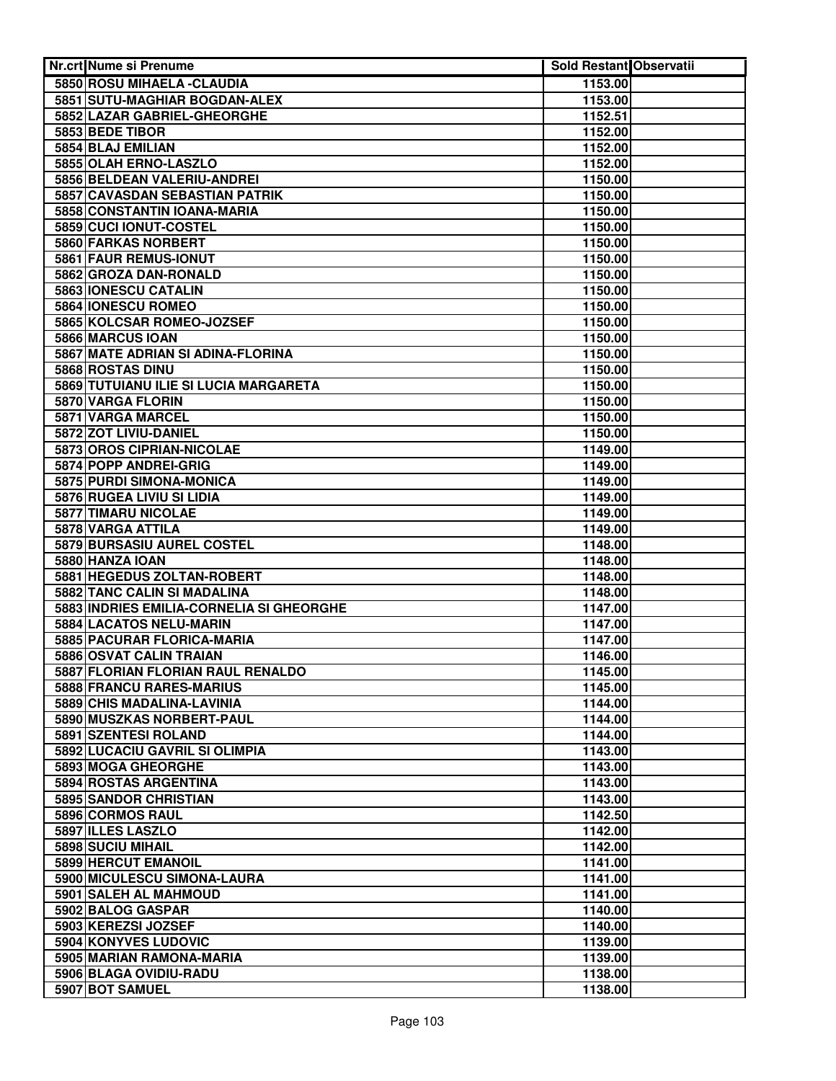| Nr.crt Nume si Prenume                   | <b>Sold Restant Observatii</b> |  |
|------------------------------------------|--------------------------------|--|
| 5850 ROSU MIHAELA - CLAUDIA              | 1153.00                        |  |
| 5851 SUTU-MAGHIAR BOGDAN-ALEX            | 1153.00                        |  |
| 5852 LAZAR GABRIEL-GHEORGHE              | 1152.51                        |  |
| 5853 BEDE TIBOR                          | 1152.00                        |  |
| 5854 BLAJ EMILIAN                        | 1152.00                        |  |
| 5855 OLAH ERNO-LASZLO                    | 1152.00                        |  |
| 5856 BELDEAN VALERIU-ANDREI              | 1150.00                        |  |
| 5857 CAVASDAN SEBASTIAN PATRIK           | 1150.00                        |  |
| 5858 CONSTANTIN IOANA-MARIA              | 1150.00                        |  |
| 5859 CUCI IONUT-COSTEL                   | 1150.00                        |  |
| 5860 FARKAS NORBERT                      | 1150.00                        |  |
| 5861 FAUR REMUS-IONUT                    | 1150.00                        |  |
| 5862 GROZA DAN-RONALD                    | 1150.00                        |  |
| 5863 IONESCU CATALIN                     | 1150.00                        |  |
| 5864 IONESCU ROMEO                       | 1150.00                        |  |
| 5865 KOLCSAR ROMEO-JOZSEF                | 1150.00                        |  |
| 5866 MARCUS IOAN                         | 1150.00                        |  |
| 5867 MATE ADRIAN SI ADINA-FLORINA        | 1150.00                        |  |
| 5868 ROSTAS DINU                         | 1150.00                        |  |
| 5869 TUTUIANU ILIE SI LUCIA MARGARETA    | 1150.00                        |  |
| 5870 VARGA FLORIN                        | 1150.00                        |  |
| 5871 VARGA MARCEL                        | 1150.00                        |  |
| 5872 ZOT LIVIU-DANIEL                    | 1150.00                        |  |
| 5873 OROS CIPRIAN-NICOLAE                | 1149.00                        |  |
| 5874 POPP ANDREI-GRIG                    | 1149.00                        |  |
| 5875 PURDI SIMONA-MONICA                 | 1149.00                        |  |
| 5876 RUGEA LIVIU SI LIDIA                | 1149.00                        |  |
| 5877 TIMARU NICOLAE                      | 1149.00                        |  |
| 5878 VARGA ATTILA                        | 1149.00                        |  |
| 5879 BURSASIU AUREL COSTEL               | 1148.00                        |  |
| 5880 HANZA IOAN                          | 1148.00                        |  |
| 5881 HEGEDUS ZOLTAN-ROBERT               | 1148.00                        |  |
| 5882 TANC CALIN SI MADALINA              | 1148.00                        |  |
| 5883 INDRIES EMILIA-CORNELIA SI GHEORGHE | 1147.00                        |  |
| 5884 LACATOS NELU-MARIN                  | 1147.00                        |  |
| 5885 PACURAR FLORICA-MARIA               | 1147.00                        |  |
| 5886 OSVAT CALIN TRAIAN                  | 1146.00                        |  |
| 5887 FLORIAN FLORIAN RAUL RENALDO        | 1145.00                        |  |
| 5888 FRANCU RARES-MARIUS                 | 1145.00                        |  |
| 5889 CHIS MADALINA-LAVINIA               | 1144.00                        |  |
| 5890 MUSZKAS NORBERT-PAUL                | 1144.00                        |  |
| 5891 SZENTESI ROLAND                     | 1144.00                        |  |
| 5892 LUCACIU GAVRIL SI OLIMPIA           | 1143.00                        |  |
| 5893 MOGA GHEORGHE                       | 1143.00                        |  |
| 5894 ROSTAS ARGENTINA                    | 1143.00                        |  |
| 5895 SANDOR CHRISTIAN                    | 1143.00                        |  |
| 5896 CORMOS RAUL                         | 1142.50                        |  |
| 5897 ILLES LASZLO                        | 1142.00                        |  |
| 5898 SUCIU MIHAIL                        | 1142.00                        |  |
| 5899 HERCUT EMANOIL                      | 1141.00                        |  |
| 5900 MICULESCU SIMONA-LAURA              | 1141.00                        |  |
| <b>5901 SALEH AL MAHMOUD</b>             | 1141.00                        |  |
| 5902 BALOG GASPAR                        | 1140.00                        |  |
| 5903 KEREZSI JOZSEF                      | 1140.00                        |  |
| 5904 KONYVES LUDOVIC                     | 1139.00                        |  |
| 5905 MARIAN RAMONA-MARIA                 | 1139.00                        |  |
| 5906 BLAGA OVIDIU-RADU                   | 1138.00                        |  |
| 5907 BOT SAMUEL                          | 1138.00                        |  |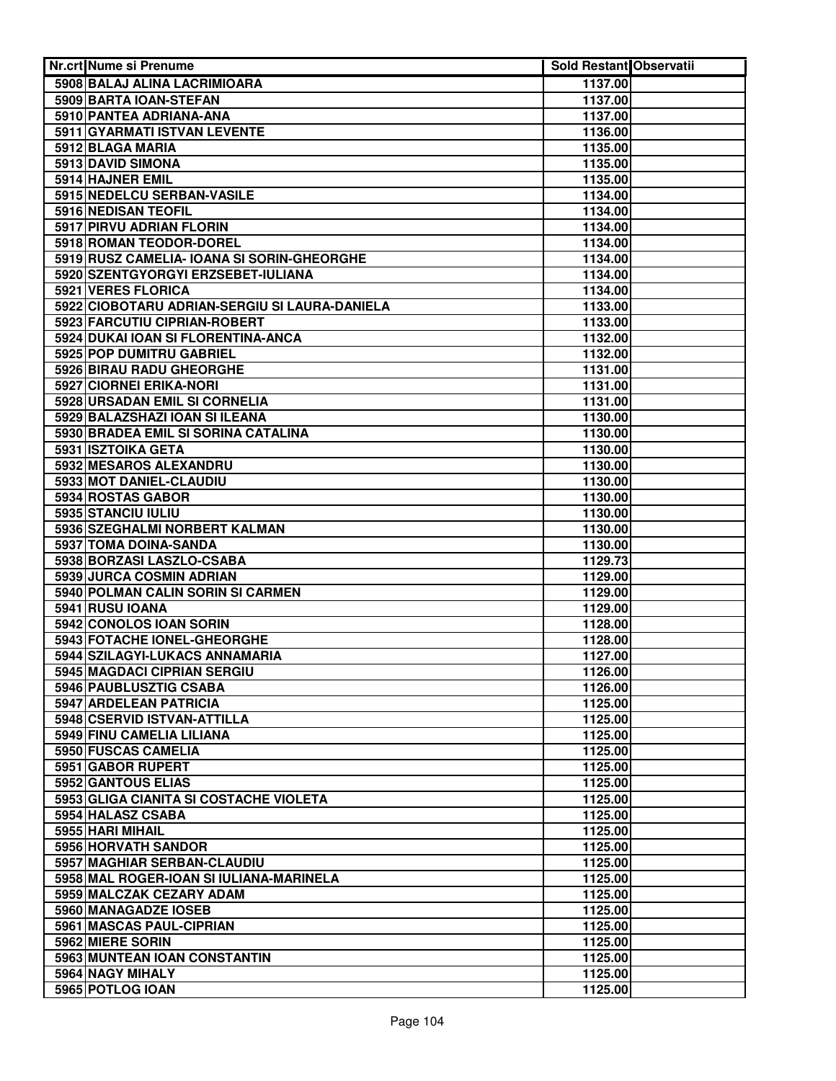| <b>Nr.crt Nume si Prenume</b>                         | <b>Sold Restant Observatii</b> |  |
|-------------------------------------------------------|--------------------------------|--|
| 5908 BALAJ ALINA LACRIMIOARA                          | 1137.00                        |  |
| 5909 BARTA IOAN-STEFAN                                | 1137.00                        |  |
| 5910 PANTEA ADRIANA-ANA                               | 1137.00                        |  |
| 5911 GYARMATI ISTVAN LEVENTE                          | 1136.00                        |  |
| 5912 BLAGA MARIA                                      | 1135.00                        |  |
| 5913 DAVID SIMONA                                     | 1135.00                        |  |
| 5914 HAJNER EMIL                                      | 1135.00                        |  |
| 5915 NEDELCU SERBAN-VASILE                            | 1134.00                        |  |
| 5916 NEDISAN TEOFIL                                   | 1134.00                        |  |
| 5917 PIRVU ADRIAN FLORIN                              | 1134.00                        |  |
| 5918 ROMAN TEODOR-DOREL                               | 1134.00                        |  |
| 5919 RUSZ CAMELIA- IOANA SI SORIN-GHEORGHE            | 1134.00                        |  |
| 5920 SZENTGYORGYI ERZSEBET-IULIANA                    | 1134.00                        |  |
| 5921 VERES FLORICA                                    | 1134.00                        |  |
| 5922 CIOBOTARU ADRIAN-SERGIU SI LAURA-DANIELA         | 1133.00                        |  |
| 5923 FARCUTIU CIPRIAN-ROBERT                          | 1133.00                        |  |
| 5924 DUKAI IOAN SI FLORENTINA-ANCA                    | 1132.00                        |  |
| 5925 POP DUMITRU GABRIEL                              | 1132.00                        |  |
| 5926 BIRAU RADU GHEORGHE                              | 1131.00                        |  |
| 5927 CIORNEI ERIKA-NORI                               | 1131.00                        |  |
| 5928 URSADAN EMIL SI CORNELIA                         | 1131.00                        |  |
| 5929 BALAZSHAZI IOAN SI ILEANA                        | 1130.00                        |  |
| 5930 BRADEA EMIL SI SORINA CATALINA                   | 1130.00                        |  |
| 5931 ISZTOIKA GETA                                    | 1130.00                        |  |
| 5932 MESAROS ALEXANDRU                                | 1130.00                        |  |
| 5933 MOT DANIEL-CLAUDIU                               | 1130.00                        |  |
| 5934 ROSTAS GABOR                                     | 1130.00                        |  |
| 5935 STANCIU IULIU                                    | 1130.00                        |  |
| 5936 SZEGHALMI NORBERT KALMAN                         | 1130.00                        |  |
| 5937 TOMA DOINA-SANDA                                 | 1130.00                        |  |
| 5938 BORZASI LASZLO-CSABA<br>5939 JURCA COSMIN ADRIAN | 1129.73<br>1129.00             |  |
| 5940 POLMAN CALIN SORIN SI CARMEN                     | 1129.00                        |  |
| 5941 RUSU IOANA                                       | 1129.00                        |  |
| 5942 CONOLOS IOAN SORIN                               | 1128.00                        |  |
| 5943 FOTACHE IONEL-GHEORGHE                           | 1128.00                        |  |
| 5944 SZILAGYI-LUKACS ANNAMARIA                        | 1127.00                        |  |
| 5945 MAGDACI CIPRIAN SERGIU                           | 1126.00                        |  |
| 5946 PAUBLUSZTIG CSABA                                | 1126.00                        |  |
| 5947 ARDELEAN PATRICIA                                | 1125.00                        |  |
| 5948 CSERVID ISTVAN-ATTILLA                           | 1125.00                        |  |
| 5949 FINU CAMELIA LILIANA                             | 1125.00                        |  |
| 5950 FUSCAS CAMELIA                                   | 1125.00                        |  |
| 5951 GABOR RUPERT                                     | 1125.00                        |  |
| 5952 GANTOUS ELIAS                                    | 1125.00                        |  |
| 5953 GLIGA CIANITA SI COSTACHE VIOLETA                | 1125.00                        |  |
| 5954 HALASZ CSABA                                     | 1125.00                        |  |
| 5955 HARI MIHAIL                                      | 1125.00                        |  |
| 5956 HORVATH SANDOR                                   | 1125.00                        |  |
| 5957 MAGHIAR SERBAN-CLAUDIU                           | 1125.00                        |  |
| 5958 MAL ROGER-IOAN SI IULIANA-MARINELA               | 1125.00                        |  |
| 5959 MALCZAK CEZARY ADAM                              | 1125.00                        |  |
| 5960 MANAGADZE IOSEB                                  | 1125.00                        |  |
| 5961 MASCAS PAUL-CIPRIAN                              | 1125.00                        |  |
| 5962 MIERE SORIN                                      | 1125.00                        |  |
| 5963 MUNTEAN IOAN CONSTANTIN                          | 1125.00                        |  |
| 5964 NAGY MIHALY                                      | 1125.00                        |  |
| 5965 POTLOG IOAN                                      | 1125.00                        |  |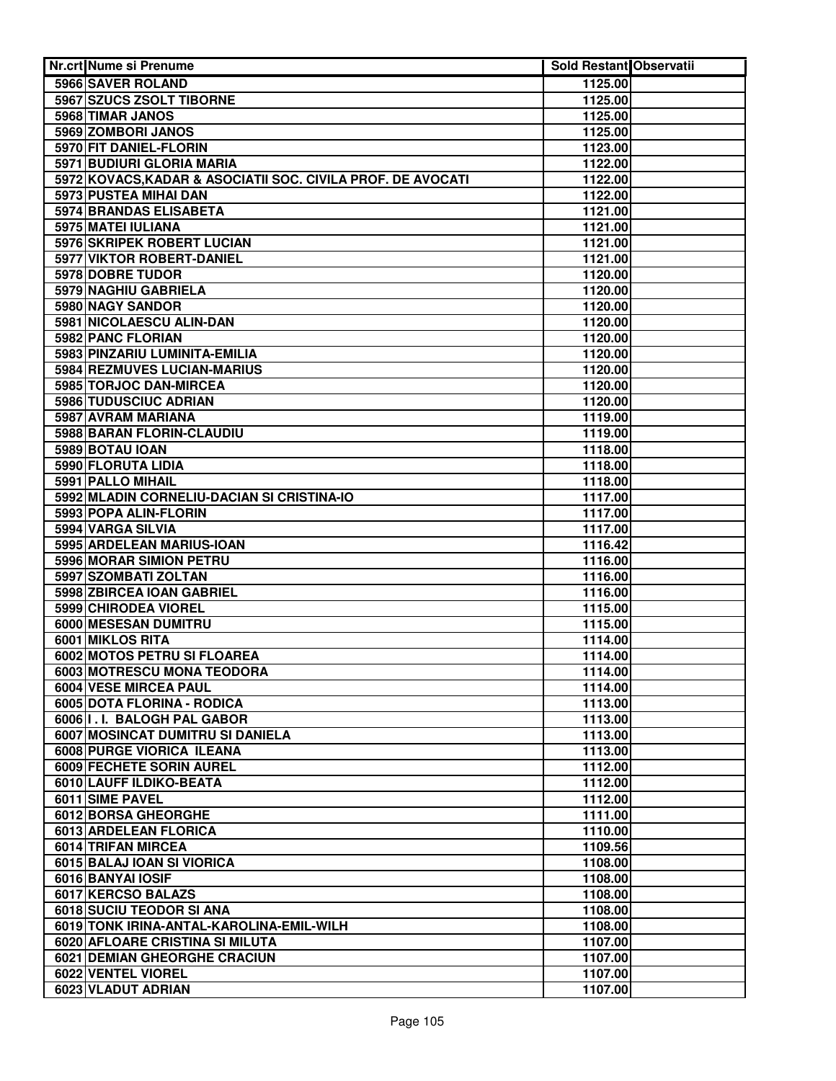| <b>Nr.crt Nume si Prenume</b>                               | Sold Restant Observatii |  |
|-------------------------------------------------------------|-------------------------|--|
| 5966 SAVER ROLAND                                           | 1125.00                 |  |
| 5967 SZUCS ZSOLT TIBORNE                                    | 1125.00                 |  |
| 5968 TIMAR JANOS                                            | 1125.00                 |  |
| 5969 ZOMBORI JANOS                                          | 1125.00                 |  |
| 5970 FIT DANIEL-FLORIN                                      | 1123.00                 |  |
| 5971 BUDIURI GLORIA MARIA                                   | 1122.00                 |  |
| 5972 KOVACS, KADAR & ASOCIATII SOC. CIVILA PROF. DE AVOCATI | 1122.00                 |  |
| 5973 PUSTEA MIHAI DAN                                       | 1122.00                 |  |
| 5974 BRANDAS ELISABETA                                      | 1121.00                 |  |
| 5975 MATEI IULIANA                                          | 1121.00                 |  |
| 5976 SKRIPEK ROBERT LUCIAN                                  | 1121.00                 |  |
| 5977 VIKTOR ROBERT-DANIEL                                   | 1121.00                 |  |
| 5978 DOBRE TUDOR                                            | 1120.00                 |  |
| 5979 NAGHIU GABRIELA                                        | 1120.00                 |  |
| 5980 NAGY SANDOR                                            | 1120.00                 |  |
| 5981 NICOLAESCU ALIN-DAN                                    | 1120.00                 |  |
| 5982 PANC FLORIAN                                           | 1120.00                 |  |
| 5983 PINZARIU LUMINITA-EMILIA                               | 1120.00                 |  |
| 5984 REZMUVES LUCIAN-MARIUS                                 | 1120.00                 |  |
| 5985 TORJOC DAN-MIRCEA                                      | 1120.00                 |  |
| 5986 TUDUSCIUC ADRIAN                                       | 1120.00                 |  |
| 5987 AVRAM MARIANA                                          | 1119.00                 |  |
| 5988 BARAN FLORIN-CLAUDIU                                   | 1119.00                 |  |
| 5989 BOTAU IOAN                                             | 1118.00                 |  |
| 5990 FLORUTA LIDIA                                          | 1118.00                 |  |
| 5991 PALLO MIHAIL                                           | 1118.00                 |  |
| 5992 MLADIN CORNELIU-DACIAN SI CRISTINA-IO                  | 1117.00                 |  |
| 5993 POPA ALIN-FLORIN                                       | 1117.00                 |  |
| 5994 VARGA SILVIA                                           | 1117.00                 |  |
| 5995 ARDELEAN MARIUS-IOAN                                   | 1116.42                 |  |
| 5996 MORAR SIMION PETRU                                     | 1116.00                 |  |
| 5997 SZOMBATI ZOLTAN                                        | 1116.00                 |  |
| 5998 ZBIRCEA IOAN GABRIEL                                   | 1116.00                 |  |
| 5999 CHIRODEA VIOREL<br>6000 MESESAN DUMITRU                | 1115.00                 |  |
| 6001 MIKLOS RITA                                            | 1115.00                 |  |
| 6002 MOTOS PETRU SI FLOAREA                                 | 1114.00                 |  |
| 6003 MOTRESCU MONA TEODORA                                  | 1114.00<br>1114.00      |  |
| 6004 VESE MIRCEA PAUL                                       | 1114.00                 |  |
| 6005 DOTA FLORINA - RODICA                                  | 1113.00                 |  |
| 6006 I.I. BALOGH PAL GABOR                                  | 1113.00                 |  |
| 6007 MOSINCAT DUMITRU SI DANIELA                            | 1113.00                 |  |
| 6008 PURGE VIORICA ILEANA                                   | 1113.00                 |  |
| 6009 FECHETE SORIN AUREL                                    | 1112.00                 |  |
| 6010 LAUFF ILDIKO-BEATA                                     | 1112.00                 |  |
| 6011 SIME PAVEL                                             | 1112.00                 |  |
| 6012 BORSA GHEORGHE                                         | 1111.00                 |  |
| 6013 ARDELEAN FLORICA                                       | 1110.00                 |  |
| 6014 TRIFAN MIRCEA                                          | 1109.56                 |  |
| 6015 BALAJ IOAN SI VIORICA                                  | 1108.00                 |  |
| 6016 BANYAI IOSIF                                           | 1108.00                 |  |
| 6017 KERCSO BALAZS                                          | 1108.00                 |  |
| 6018 SUCIU TEODOR SI ANA                                    | 1108.00                 |  |
| 6019 TONK IRINA-ANTAL-KAROLINA-EMIL-WILH                    | 1108.00                 |  |
| 6020 AFLOARE CRISTINA SI MILUTA                             | 1107.00                 |  |
| <b>6021 DEMIAN GHEORGHE CRACIUN</b>                         | 1107.00                 |  |
| 6022 VENTEL VIOREL                                          | 1107.00                 |  |
| 6023 VLADUT ADRIAN                                          | 1107.00                 |  |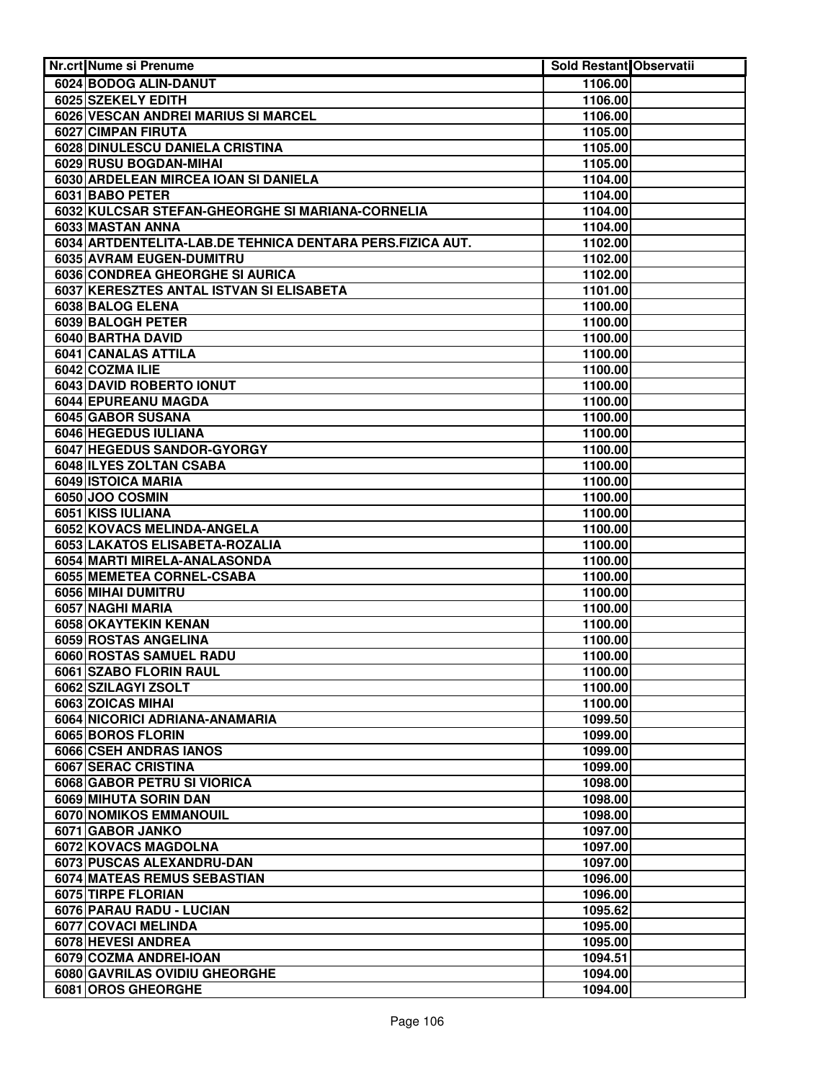|  | Nr.crt Nume si Prenume                                    | Sold Restant Observatii |  |
|--|-----------------------------------------------------------|-------------------------|--|
|  | 6024 BODOG ALIN-DANUT                                     | 1106.00                 |  |
|  | 6025 SZEKELY EDITH                                        | 1106.00                 |  |
|  | 6026 VESCAN ANDREI MARIUS SI MARCEL                       | 1106.00                 |  |
|  | 6027 CIMPAN FIRUTA                                        | 1105.00                 |  |
|  | 6028 DINULESCU DANIELA CRISTINA                           | 1105.00                 |  |
|  | 6029 RUSU BOGDAN-MIHAI                                    | 1105.00                 |  |
|  | 6030 ARDELEAN MIRCEA IOAN SI DANIELA                      | 1104.00                 |  |
|  | 6031 BABO PETER                                           | 1104.00                 |  |
|  | 6032 KULCSAR STEFAN-GHEORGHE SI MARIANA-CORNELIA          | 1104.00                 |  |
|  | 6033 MASTAN ANNA                                          | 1104.00                 |  |
|  | 6034 ARTDENTELITA-LAB.DE TEHNICA DENTARA PERS.FIZICA AUT. | 1102.00                 |  |
|  | 6035 AVRAM EUGEN-DUMITRU                                  | 1102.00                 |  |
|  | 6036 CONDREA GHEORGHE SI AURICA                           | 1102.00                 |  |
|  | 6037 KERESZTES ANTAL ISTVAN SI ELISABETA                  | 1101.00                 |  |
|  | 6038 BALOG ELENA                                          | 1100.00                 |  |
|  | 6039 BALOGH PETER                                         | 1100.00                 |  |
|  | 6040 BARTHA DAVID                                         | 1100.00                 |  |
|  | 6041 CANALAS ATTILA                                       | 1100.00                 |  |
|  | 6042 COZMA ILIE                                           | 1100.00                 |  |
|  | 6043 DAVID ROBERTO IONUT                                  | 1100.00                 |  |
|  | 6044 EPUREANU MAGDA                                       | 1100.00                 |  |
|  | 6045 GABOR SUSANA                                         | 1100.00                 |  |
|  | 6046 HEGEDUS IULIANA                                      | 1100.00                 |  |
|  | 6047 HEGEDUS SANDOR-GYORGY                                | 1100.00                 |  |
|  | 6048 ILYES ZOLTAN CSABA                                   | 1100.00                 |  |
|  | 6049 ISTOICA MARIA                                        | 1100.00                 |  |
|  | 6050 JOO COSMIN                                           | 1100.00                 |  |
|  | 6051 KISS IULIANA                                         | 1100.00                 |  |
|  | 6052 KOVACS MELINDA-ANGELA                                | 1100.00                 |  |
|  | 6053 LAKATOS ELISABETA-ROZALIA                            | 1100.00                 |  |
|  | 6054 MARTI MIRELA-ANALASONDA                              | 1100.00                 |  |
|  | 6055 MEMETEA CORNEL-CSABA                                 | 1100.00                 |  |
|  | 6056 MIHAI DUMITRU                                        | 1100.00                 |  |
|  | 6057 NAGHI MARIA                                          | 1100.00<br>1100.00      |  |
|  | 6058 OKAYTEKIN KENAN                                      |                         |  |
|  | 6059 ROSTAS ANGELINA                                      | 1100.00                 |  |
|  | 6060 ROSTAS SAMUEL RADU<br>6061 SZABO FLORIN RAUL         | 1100.00<br>1100.00      |  |
|  |                                                           | 1100.00                 |  |
|  | 6062 SZILAGYI ZSOLT<br>6063 ZOICAS MIHAI                  | 1100.00                 |  |
|  | 6064 NICORICI ADRIANA-ANAMARIA                            | 1099.50                 |  |
|  | 6065 BOROS FLORIN                                         | 1099.00                 |  |
|  | 6066 CSEH ANDRAS IANOS                                    | 1099.00                 |  |
|  | 6067 SERAC CRISTINA                                       | 1099.00                 |  |
|  | 6068 GABOR PETRU SI VIORICA                               | 1098.00                 |  |
|  | 6069 MIHUTA SORIN DAN                                     | 1098.00                 |  |
|  | 6070 NOMIKOS EMMANOUIL                                    | 1098.00                 |  |
|  | 6071 GABOR JANKO                                          | 1097.00                 |  |
|  | 6072 KOVACS MAGDOLNA                                      | 1097.00                 |  |
|  | 6073 PUSCAS ALEXANDRU-DAN                                 | 1097.00                 |  |
|  | 6074 MATEAS REMUS SEBASTIAN                               | 1096.00                 |  |
|  | 6075 TIRPE FLORIAN                                        | 1096.00                 |  |
|  | 6076 PARAU RADU - LUCIAN                                  | 1095.62                 |  |
|  | 6077 COVACI MELINDA                                       | 1095.00                 |  |
|  | 6078 HEVESI ANDREA                                        | 1095.00                 |  |
|  | 6079 COZMA ANDREI-IOAN                                    | 1094.51                 |  |
|  | 6080 GAVRILAS OVIDIU GHEORGHE                             | 1094.00                 |  |
|  | 6081 OROS GHEORGHE                                        | 1094.00                 |  |
|  |                                                           |                         |  |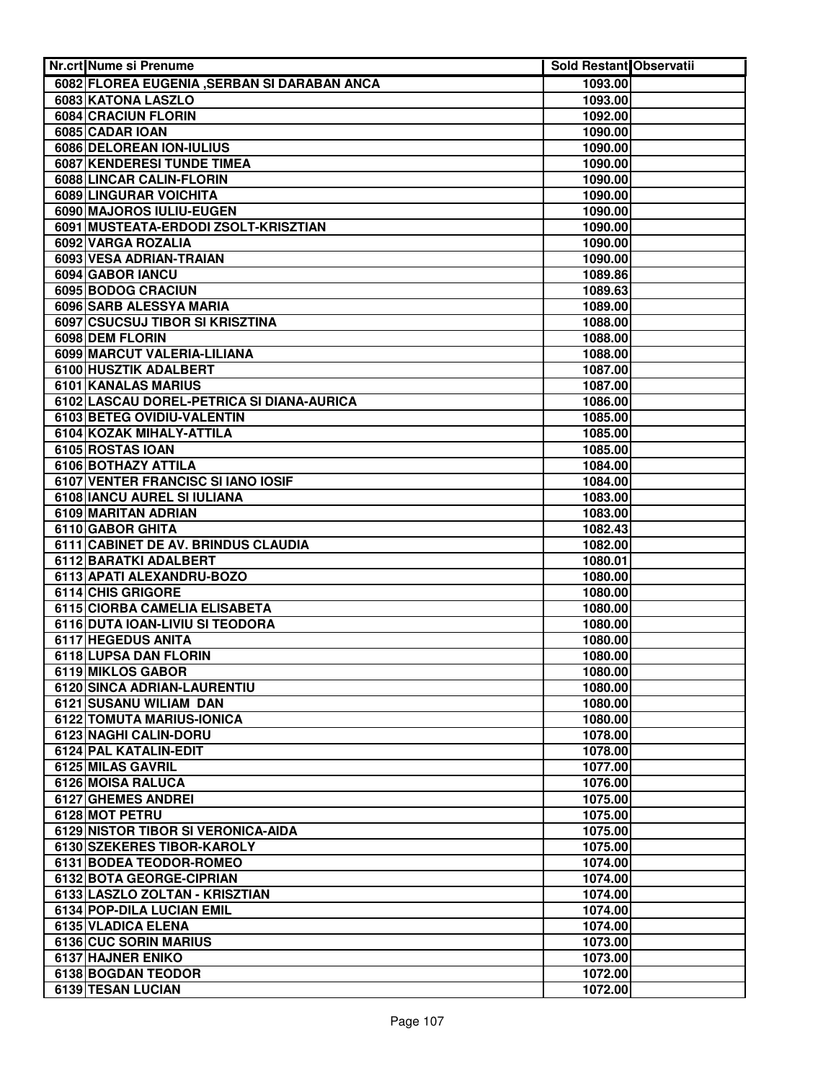| Nr.crt Nume si Prenume                       | <b>Sold Restant Observatii</b> |  |
|----------------------------------------------|--------------------------------|--|
| 6082 FLOREA EUGENIA , SERBAN SI DARABAN ANCA | 1093.00                        |  |
| 6083 KATONA LASZLO                           | 1093.00                        |  |
| <b>6084 CRACIUN FLORIN</b>                   | 1092.00                        |  |
| 6085 CADAR IOAN                              | 1090.00                        |  |
| 6086 DELOREAN ION-IULIUS                     | 1090.00                        |  |
| <b>6087 KENDERESI TUNDE TIMEA</b>            | 1090.00                        |  |
| 6088 LINCAR CALIN-FLORIN                     | 1090.00                        |  |
| 6089 LINGURAR VOICHITA                       | 1090.00                        |  |
| 6090 MAJOROS IULIU-EUGEN                     | 1090.00                        |  |
| 6091 MUSTEATA-ERDODI ZSOLT-KRISZTIAN         | 1090.00                        |  |
| 6092 VARGA ROZALIA                           | 1090.00                        |  |
| 6093 VESA ADRIAN-TRAIAN                      | 1090.00                        |  |
| 6094 GABOR IANCU                             | 1089.86                        |  |
| 6095 BODOG CRACIUN                           | 1089.63                        |  |
| 6096 SARB ALESSYA MARIA                      | 1089.00                        |  |
| 6097 CSUCSUJ TIBOR SI KRISZTINA              | 1088.00                        |  |
| 6098 DEM FLORIN                              | 1088.00                        |  |
| 6099 MARCUT VALERIA-LILIANA                  | 1088.00                        |  |
| 6100 HUSZTIK ADALBERT                        | 1087.00                        |  |
| 6101 KANALAS MARIUS                          | 1087.00                        |  |
| 6102 LASCAU DOREL-PETRICA SI DIANA-AURICA    | 1086.00                        |  |
| 6103 BETEG OVIDIU-VALENTIN                   | 1085.00                        |  |
| 6104 KOZAK MIHALY-ATTILA                     | 1085.00                        |  |
| 6105 ROSTAS IOAN                             | 1085.00                        |  |
| 6106 BOTHAZY ATTILA                          | 1084.00                        |  |
| 6107 VENTER FRANCISC SI IANO IOSIF           | 1084.00                        |  |
| 6108 IANCU AUREL SI IULIANA                  | 1083.00                        |  |
| 6109 MARITAN ADRIAN<br>6110 GABOR GHITA      | 1083.00<br>1082.43             |  |
| 6111 CABINET DE AV. BRINDUS CLAUDIA          | 1082.00                        |  |
| 6112 BARATKI ADALBERT                        | 1080.01                        |  |
| 6113 APATI ALEXANDRU-BOZO                    | 1080.00                        |  |
| 6114 CHIS GRIGORE                            | 1080.00                        |  |
| 6115 CIORBA CAMELIA ELISABETA                | 1080.00                        |  |
| 6116 DUTA IOAN-LIVIU SI TEODORA              | 1080.00                        |  |
| 6117 HEGEDUS ANITA                           | 1080.00                        |  |
| 6118 LUPSA DAN FLORIN                        | 1080.00                        |  |
| 6119 MIKLOS GABOR                            | 1080.00                        |  |
| 6120 SINCA ADRIAN-LAURENTIU                  | 1080.00                        |  |
| 6121 SUSANU WILIAM DAN                       | 1080.00                        |  |
| 6122 TOMUTA MARIUS-IONICA                    | 1080.00                        |  |
| 6123 NAGHI CALIN-DORU                        | 1078.00                        |  |
| 6124 PAL KATALIN-EDIT                        | 1078.00                        |  |
| 6125 MILAS GAVRIL                            | 1077.00                        |  |
| 6126 MOISA RALUCA                            | 1076.00                        |  |
| 6127 GHEMES ANDREI                           | 1075.00                        |  |
| 6128 MOT PETRU                               | 1075.00                        |  |
| 6129 NISTOR TIBOR SI VERONICA-AIDA           | 1075.00                        |  |
| 6130 SZEKERES TIBOR-KAROLY                   | 1075.00                        |  |
| 6131 BODEA TEODOR-ROMEO                      | 1074.00                        |  |
| 6132 BOTA GEORGE-CIPRIAN                     | 1074.00                        |  |
| 6133 LASZLO ZOLTAN - KRISZTIAN               | 1074.00                        |  |
| 6134 POP-DILA LUCIAN EMIL                    | 1074.00                        |  |
| 6135 VLADICA ELENA                           | 1074.00                        |  |
| 6136 CUC SORIN MARIUS                        | 1073.00                        |  |
| 6137 HAJNER ENIKO                            | 1073.00                        |  |
| 6138 BOGDAN TEODOR                           | 1072.00                        |  |
| 6139 TESAN LUCIAN                            | 1072.00                        |  |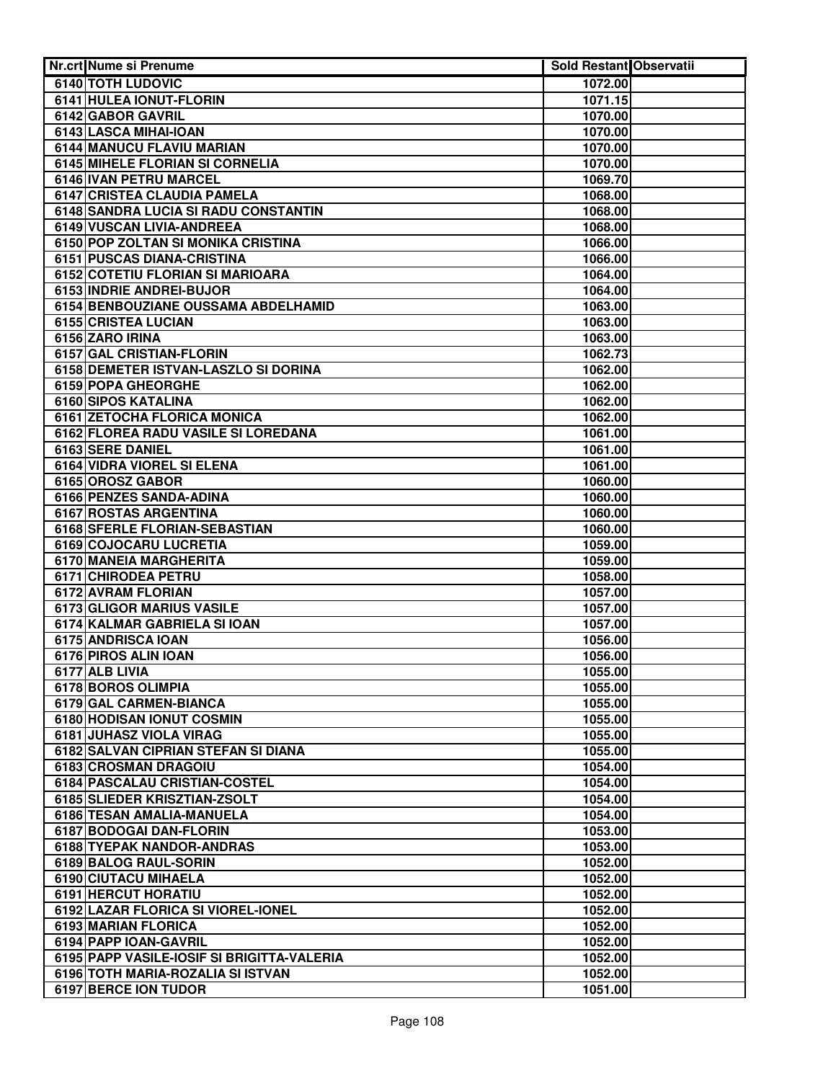| Nr.crt Nume si Prenume                     | <b>Sold Restant Observatii</b> |  |
|--------------------------------------------|--------------------------------|--|
| 6140 TOTH LUDOVIC                          | 1072.00                        |  |
| 6141 HULEA IONUT-FLORIN                    | 1071.15                        |  |
| 6142 GABOR GAVRIL                          | 1070.00                        |  |
| 6143 LASCA MIHAI-IOAN                      | 1070.00                        |  |
| 6144 MANUCU FLAVIU MARIAN                  | 1070.00                        |  |
| 6145 MIHELE FLORIAN SI CORNELIA            | 1070.00                        |  |
| 6146 IVAN PETRU MARCEL                     | 1069.70                        |  |
| 6147 CRISTEA CLAUDIA PAMELA                | 1068.00                        |  |
| 6148 SANDRA LUCIA SI RADU CONSTANTIN       | 1068.00                        |  |
| <b>6149 VUSCAN LIVIA-ANDREEA</b>           | 1068.00                        |  |
| 6150 POP ZOLTAN SI MONIKA CRISTINA         | 1066.00                        |  |
| 6151 PUSCAS DIANA-CRISTINA                 | 1066.00                        |  |
| 6152 COTETIU FLORIAN SI MARIOARA           | 1064.00                        |  |
| 6153 INDRIE ANDREI-BUJOR                   | 1064.00                        |  |
| 6154 BENBOUZIANE OUSSAMA ABDELHAMID        | 1063.00                        |  |
| 6155 CRISTEA LUCIAN                        | 1063.00                        |  |
| 6156 ZARO IRINA                            | 1063.00                        |  |
| 6157 GAL CRISTIAN-FLORIN                   | 1062.73                        |  |
| 6158 DEMETER ISTVAN-LASZLO SI DORINA       | 1062.00                        |  |
| 6159 POPA GHEORGHE                         | 1062.00                        |  |
| 6160 SIPOS KATALINA                        | 1062.00                        |  |
| 6161 ZETOCHA FLORICA MONICA                | 1062.00                        |  |
| 6162 FLOREA RADU VASILE SI LOREDANA        | 1061.00                        |  |
| 6163 SERE DANIEL                           | 1061.00                        |  |
| 6164 VIDRA VIOREL SI ELENA                 | 1061.00                        |  |
| 6165 OROSZ GABOR                           | 1060.00                        |  |
| 6166 PENZES SANDA-ADINA                    | 1060.00                        |  |
| 6167 ROSTAS ARGENTINA                      | 1060.00                        |  |
| 6168 SFERLE FLORIAN-SEBASTIAN              | 1060.00                        |  |
| 6169 COJOCARU LUCRETIA                     | 1059.00                        |  |
| 6170 MANEIA MARGHERITA                     | 1059.00                        |  |
| 6171 CHIRODEA PETRU                        | 1058.00                        |  |
| 6172 AVRAM FLORIAN                         | 1057.00                        |  |
| <b>6173 GLIGOR MARIUS VASILE</b>           | 1057.00                        |  |
| 6174 KALMAR GABRIELA SI IOAN               | 1057.00                        |  |
| 6175 ANDRISCA IOAN                         | 1056.00                        |  |
| 6176 PIROS ALIN IOAN                       | 1056.00                        |  |
| 6177 ALB LIVIA                             | 1055.00                        |  |
| 6178 BOROS OLIMPIA                         | 1055.00                        |  |
| 6179 GAL CARMEN-BIANCA                     | 1055.00                        |  |
| 6180 HODISAN IONUT COSMIN                  | 1055.00                        |  |
| 6181 JUHASZ VIOLA VIRAG                    | 1055.00                        |  |
| 6182 SALVAN CIPRIAN STEFAN SI DIANA        | 1055.00                        |  |
| 6183 CROSMAN DRAGOIU                       | 1054.00                        |  |
| 6184 PASCALAU CRISTIAN-COSTEL              | 1054.00                        |  |
| 6185 SLIEDER KRISZTIAN-ZSOLT               | 1054.00                        |  |
| 6186 TESAN AMALIA-MANUELA                  | 1054.00                        |  |
| 6187 BODOGAI DAN-FLORIN                    | 1053.00                        |  |
| 6188 TYEPAK NANDOR-ANDRAS                  | 1053.00                        |  |
| 6189 BALOG RAUL-SORIN                      | 1052.00                        |  |
| 6190 CIUTACU MIHAELA                       | 1052.00                        |  |
| 6191 HERCUT HORATIU                        | 1052.00                        |  |
| 6192 LAZAR FLORICA SI VIOREL-IONEL         | 1052.00                        |  |
| 6193 MARIAN FLORICA                        | 1052.00                        |  |
| 6194 PAPP IOAN-GAVRIL                      | 1052.00                        |  |
| 6195 PAPP VASILE-IOSIF SI BRIGITTA-VALERIA | 1052.00                        |  |
| 6196 TOTH MARIA-ROZALIA SI ISTVAN          | 1052.00                        |  |
| <b>6197 BERCE ION TUDOR</b>                | 1051.00                        |  |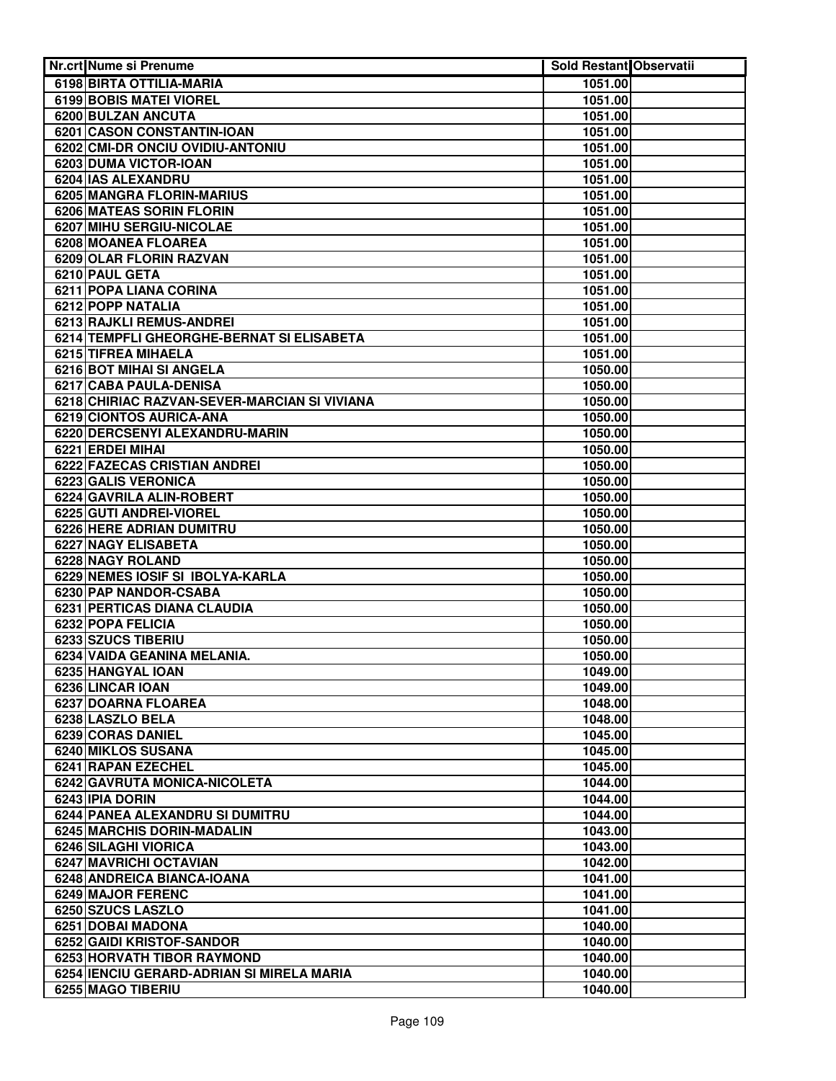| Nr.crt Nume si Prenume                             | <b>Sold Restant Observatii</b> |  |
|----------------------------------------------------|--------------------------------|--|
| 6198 BIRTA OTTILIA-MARIA                           | 1051.00                        |  |
| 6199 BOBIS MATEI VIOREL                            | 1051.00                        |  |
| 6200 BULZAN ANCUTA                                 | 1051.00                        |  |
| 6201 CASON CONSTANTIN-IOAN                         | 1051.00                        |  |
| 6202 CMI-DR ONCIU OVIDIU-ANTONIU                   | 1051.00                        |  |
| 6203 DUMA VICTOR-IOAN                              | 1051.00                        |  |
| 6204 IAS ALEXANDRU                                 | 1051.00                        |  |
| 6205 MANGRA FLORIN-MARIUS                          | 1051.00                        |  |
| <b>6206 MATEAS SORIN FLORIN</b>                    | 1051.00                        |  |
| 6207 MIHU SERGIU-NICOLAE                           | 1051.00                        |  |
| 6208 MOANEA FLOAREA                                | 1051.00                        |  |
| 6209 OLAR FLORIN RAZVAN                            | 1051.00                        |  |
| 6210 PAUL GETA                                     | 1051.00                        |  |
| 6211 POPA LIANA CORINA                             | 1051.00                        |  |
| 6212 POPP NATALIA                                  | 1051.00                        |  |
| 6213 RAJKLI REMUS-ANDREI                           | 1051.00                        |  |
| 6214 TEMPFLI GHEORGHE-BERNAT SI ELISABETA          | 1051.00                        |  |
| 6215 TIFREA MIHAELA                                | 1051.00                        |  |
| 6216 BOT MIHAI SI ANGELA                           | 1050.00                        |  |
| 6217 CABA PAULA-DENISA                             | 1050.00                        |  |
| 6218 CHIRIAC RAZVAN-SEVER-MARCIAN SI VIVIANA       | 1050.00                        |  |
| 6219 CIONTOS AURICA-ANA                            | 1050.00                        |  |
| 6220 DERCSENYI ALEXANDRU-MARIN                     | 1050.00                        |  |
| 6221 ERDEI MIHAI                                   | 1050.00                        |  |
| 6222 FAZECAS CRISTIAN ANDREI                       | 1050.00                        |  |
| 6223 GALIS VERONICA                                | 1050.00                        |  |
| 6224 GAVRILA ALIN-ROBERT                           | 1050.00                        |  |
| 6225 GUTI ANDREI-VIOREL                            | 1050.00                        |  |
| <b>6226 HERE ADRIAN DUMITRU</b>                    | 1050.00                        |  |
| 6227 NAGY ELISABETA                                | 1050.00                        |  |
| 6228 NAGY ROLAND                                   | 1050.00                        |  |
| 6229 NEMES IOSIF SI IBOLYA-KARLA                   | 1050.00                        |  |
| 6230 PAP NANDOR-CSABA                              | 1050.00                        |  |
| <b>6231 PERTICAS DIANA CLAUDIA</b>                 | 1050.00                        |  |
| 6232 POPA FELICIA                                  | 1050.00                        |  |
| 6233 SZUCS TIBERIU                                 | 1050.00                        |  |
| 6234 VAIDA GEANINA MELANIA.                        | 1050.00                        |  |
| 6235 HANGYAL IOAN                                  | 1049.00                        |  |
| 6236 LINCAR IOAN                                   | 1049.00                        |  |
| 6237 DOARNA FLOAREA                                | 1048.00                        |  |
| 6238 LASZLO BELA                                   | 1048.00                        |  |
| 6239 CORAS DANIEL                                  | 1045.00                        |  |
| 6240 MIKLOS SUSANA                                 | 1045.00                        |  |
| 6241 RAPAN EZECHEL                                 | 1045.00                        |  |
| 6242 GAVRUTA MONICA-NICOLETA                       | 1044.00                        |  |
| 6243 IPIA DORIN<br>6244 PANEA ALEXANDRU SI DUMITRU | 1044.00<br>1044.00             |  |
| 6245 MARCHIS DORIN-MADALIN                         | 1043.00                        |  |
| 6246 SILAGHI VIORICA                               | 1043.00                        |  |
| 6247 MAVRICHI OCTAVIAN                             | 1042.00                        |  |
| 6248 ANDREICA BIANCA-IOANA                         | 1041.00                        |  |
| 6249 MAJOR FERENC                                  | 1041.00                        |  |
| 6250 SZUCS LASZLO                                  | 1041.00                        |  |
| 6251 DOBAI MADONA                                  | 1040.00                        |  |
| 6252 GAIDI KRISTOF-SANDOR                          | 1040.00                        |  |
| 6253 HORVATH TIBOR RAYMOND                         | 1040.00                        |  |
| 6254 IENCIU GERARD-ADRIAN SI MIRELA MARIA          | 1040.00                        |  |
| 6255 MAGO TIBERIU                                  | 1040.00                        |  |
|                                                    |                                |  |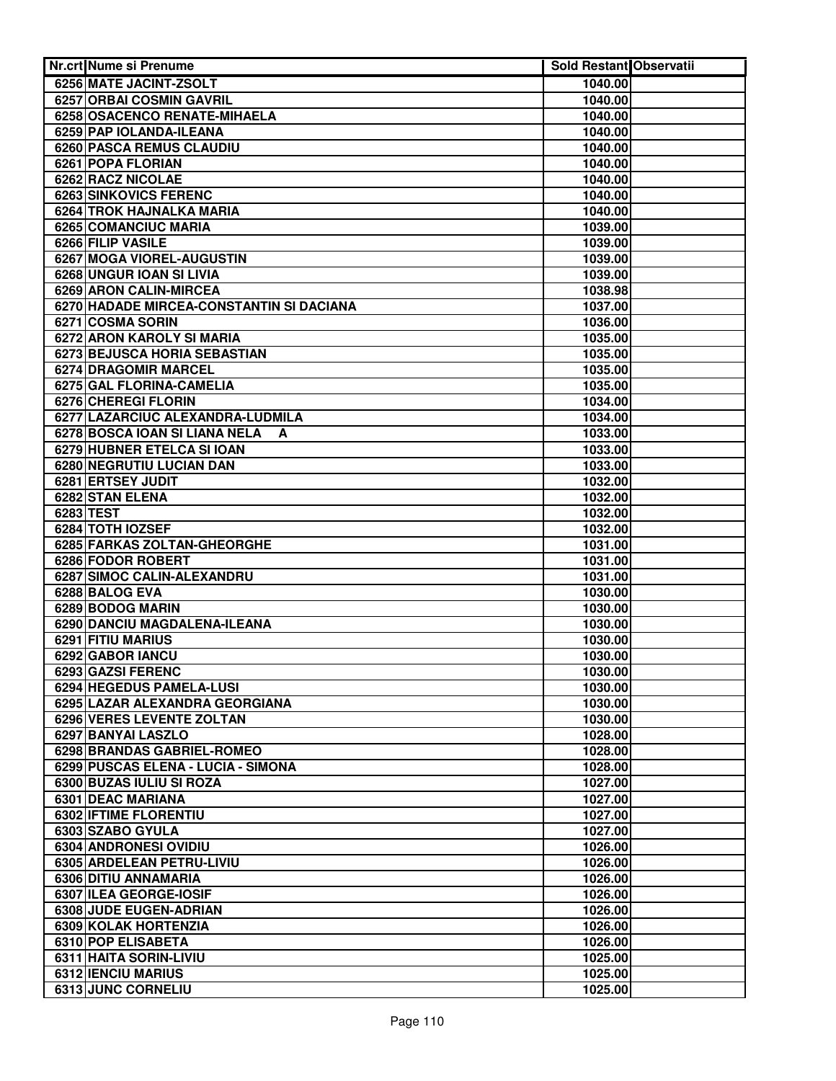| <b>Nr.crt Nume si Prenume</b>                 | Sold Restant Observatii |  |
|-----------------------------------------------|-------------------------|--|
| 6256 MATE JACINT-ZSOLT                        | 1040.00                 |  |
| 6257 ORBAI COSMIN GAVRIL                      | 1040.00                 |  |
| 6258 OSACENCO RENATE-MIHAELA                  | 1040.00                 |  |
| 6259 PAP IOLANDA-ILEANA                       | 1040.00                 |  |
| 6260 PASCA REMUS CLAUDIU                      | 1040.00                 |  |
| 6261 POPA FLORIAN                             | 1040.00                 |  |
| <b>6262 RACZ NICOLAE</b>                      | 1040.00                 |  |
| <b>6263 SINKOVICS FERENC</b>                  | 1040.00                 |  |
| <b>6264 TROK HAJNALKA MARIA</b>               | 1040.00                 |  |
| 6265 COMANCIUC MARIA                          | 1039.00                 |  |
| 6266 FILIP VASILE                             | 1039.00                 |  |
| 6267 MOGA VIOREL-AUGUSTIN                     | 1039.00                 |  |
| 6268 UNGUR IOAN SI LIVIA                      | 1039.00                 |  |
| 6269 ARON CALIN-MIRCEA                        | 1038.98                 |  |
| 6270 HADADE MIRCEA-CONSTANTIN SI DACIANA      | 1037.00                 |  |
| 6271 COSMA SORIN                              | 1036.00                 |  |
| 6272 ARON KAROLY SI MARIA                     | 1035.00                 |  |
| 6273 BEJUSCA HORIA SEBASTIAN                  | 1035.00                 |  |
| 6274 DRAGOMIR MARCEL                          | 1035.00                 |  |
| 6275 GAL FLORINA-CAMELIA                      | 1035.00                 |  |
| 6276 CHEREGI FLORIN                           | 1034.00                 |  |
| 6277 LAZARCIUC ALEXANDRA-LUDMILA              | 1034.00                 |  |
| 6278 BOSCA IOAN SI LIANA NELA<br>A            | 1033.00                 |  |
| 6279 HUBNER ETELCA SI IOAN                    | 1033.00                 |  |
| 6280 NEGRUTIU LUCIAN DAN                      | 1033.00                 |  |
| 6281 ERTSEY JUDIT                             | 1032.00                 |  |
| 6282 STAN ELENA                               | 1032.00                 |  |
| 6283 TEST                                     | 1032.00                 |  |
| 6284 TOTH IOZSEF                              | 1032.00                 |  |
| 6285 FARKAS ZOLTAN-GHEORGHE                   | 1031.00                 |  |
| 6286 FODOR ROBERT                             | 1031.00                 |  |
| 6287 SIMOC CALIN-ALEXANDRU                    | 1031.00                 |  |
| 6288 BALOG EVA                                | 1030.00                 |  |
| 6289 BODOG MARIN                              | 1030.00                 |  |
| 6290 DANCIU MAGDALENA-ILEANA                  | 1030.00                 |  |
| 6291 FITIU MARIUS                             | 1030.00                 |  |
| 6292 GABOR IANCU                              | 1030.00                 |  |
| 6293 GAZSI FERENC                             | 1030.00                 |  |
| 6294 HEGEDUS PAMELA-LUSI                      | 1030.00                 |  |
| 6295 LAZAR ALEXANDRA GEORGIANA                | 1030.00                 |  |
| 6296 VERES LEVENTE ZOLTAN                     | 1030.00                 |  |
| 6297 BANYAI LASZLO                            | 1028.00                 |  |
| 6298 BRANDAS GABRIEL-ROMEO                    | 1028.00                 |  |
| 6299 PUSCAS ELENA - LUCIA - SIMONA            | 1028.00                 |  |
| 6300 BUZAS IULIU SI ROZA<br>6301 DEAC MARIANA | 1027.00<br>1027.00      |  |
| 6302 IFTIME FLORENTIU                         | 1027.00                 |  |
| 6303 SZABO GYULA                              | 1027.00                 |  |
| 6304 ANDRONESI OVIDIU                         | 1026.00                 |  |
| 6305 ARDELEAN PETRU-LIVIU                     | 1026.00                 |  |
| 6306 DITIU ANNAMARIA                          | 1026.00                 |  |
| 6307 ILEA GEORGE-IOSIF                        | 1026.00                 |  |
| 6308 JUDE EUGEN-ADRIAN                        | 1026.00                 |  |
| 6309 KOLAK HORTENZIA                          | 1026.00                 |  |
| 6310 POP ELISABETA                            | 1026.00                 |  |
| 6311 HAITA SORIN-LIVIU                        | 1025.00                 |  |
| <b>6312 IENCIU MARIUS</b>                     | 1025.00                 |  |
| 6313 JUNC CORNELIU                            | 1025.00                 |  |
|                                               |                         |  |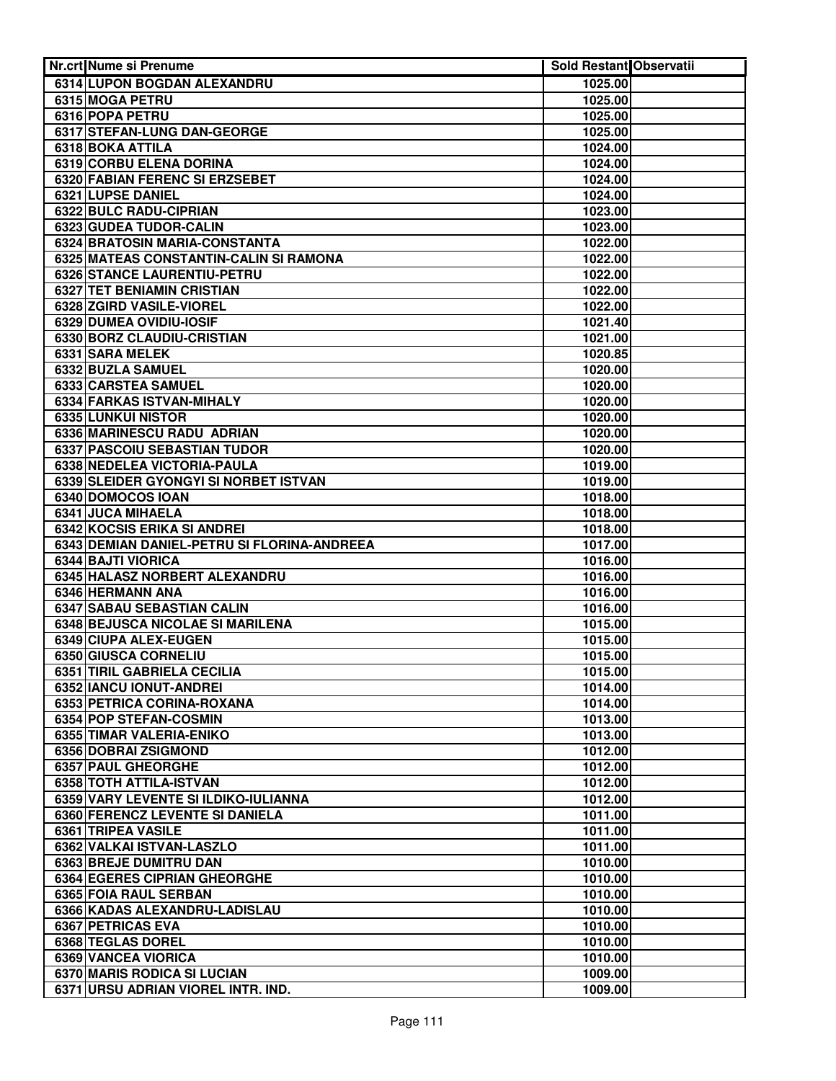| Nr.crt Nume si Prenume                      | <b>Sold Restant Observatii</b> |  |
|---------------------------------------------|--------------------------------|--|
| 6314 LUPON BOGDAN ALEXANDRU                 | 1025.00                        |  |
| 6315 MOGA PETRU                             | 1025.00                        |  |
| 6316 POPA PETRU                             | 1025.00                        |  |
| 6317 STEFAN-LUNG DAN-GEORGE                 | 1025.00                        |  |
| 6318 BOKA ATTILA                            | 1024.00                        |  |
| 6319 CORBU ELENA DORINA                     | 1024.00                        |  |
| 6320 FABIAN FERENC SI ERZSEBET              | 1024.00                        |  |
| 6321 LUPSE DANIEL                           | 1024.00                        |  |
| 6322 BULC RADU-CIPRIAN                      | 1023.00                        |  |
| 6323 GUDEA TUDOR-CALIN                      | 1023.00                        |  |
| 6324 BRATOSIN MARIA-CONSTANTA               | 1022.00                        |  |
| 6325 MATEAS CONSTANTIN-CALIN SI RAMONA      | 1022.00                        |  |
| 6326 STANCE LAURENTIU-PETRU                 | 1022.00                        |  |
| 6327 TET BENIAMIN CRISTIAN                  | 1022.00                        |  |
| 6328 ZGIRD VASILE-VIOREL                    | 1022.00                        |  |
| 6329 DUMEA OVIDIU-IOSIF                     | 1021.40                        |  |
| 6330 BORZ CLAUDIU-CRISTIAN                  | 1021.00                        |  |
| 6331 SARA MELEK                             | 1020.85                        |  |
| 6332 BUZLA SAMUEL                           | 1020.00                        |  |
| 6333 CARSTEA SAMUEL                         | 1020.00                        |  |
| 6334 FARKAS ISTVAN-MIHALY                   | 1020.00                        |  |
| 6335 LUNKUI NISTOR                          | 1020.00                        |  |
| 6336 MARINESCU RADU ADRIAN                  | 1020.00                        |  |
| 6337 PASCOIU SEBASTIAN TUDOR                | 1020.00                        |  |
| 6338 NEDELEA VICTORIA-PAULA                 | 1019.00                        |  |
| 6339 SLEIDER GYONGYI SI NORBET ISTVAN       | 1019.00                        |  |
| 6340 DOMOCOS IOAN                           | 1018.00                        |  |
| 6341 JUCA MIHAELA                           | 1018.00                        |  |
| <b>6342 KOCSIS ERIKA SI ANDREI</b>          | 1018.00                        |  |
| 6343 DEMIAN DANIEL-PETRU SI FLORINA-ANDREEA | 1017.00                        |  |
| 6344 BAJTI VIORICA                          | 1016.00                        |  |
| 6345 HALASZ NORBERT ALEXANDRU               | 1016.00                        |  |
| 6346 HERMANN ANA                            | 1016.00                        |  |
| 6347 SABAU SEBASTIAN CALIN                  | 1016.00                        |  |
| 6348 BEJUSCA NICOLAE SI MARILENA            | 1015.00                        |  |
| 6349 CIUPA ALEX-EUGEN                       | 1015.00                        |  |
| 6350 GIUSCA CORNELIU                        | 1015.00                        |  |
| 6351 TIRIL GABRIELA CECILIA                 | 1015.00                        |  |
| 6352 IANCU IONUT-ANDREI                     | 1014.00                        |  |
| 6353 PETRICA CORINA-ROXANA                  | 1014.00                        |  |
| 6354 POP STEFAN-COSMIN                      | 1013.00                        |  |
| 6355 TIMAR VALERIA-ENIKO                    | 1013.00                        |  |
| 6356 DOBRAI ZSIGMOND                        | 1012.00                        |  |
| 6357 PAUL GHEORGHE                          | 1012.00                        |  |
| 6358 TOTH ATTILA-ISTVAN                     | 1012.00                        |  |
| 6359 VARY LEVENTE SI ILDIKO-IULIANNA        | 1012.00                        |  |
| 6360 FERENCZ LEVENTE SI DANIELA             | 1011.00                        |  |
| 6361 TRIPEA VASILE                          | 1011.00                        |  |
| 6362 VALKAI ISTVAN-LASZLO                   | 1011.00                        |  |
| 6363 BREJE DUMITRU DAN                      | 1010.00                        |  |
| 6364 EGERES CIPRIAN GHEORGHE                | 1010.00                        |  |
| 6365 FOIA RAUL SERBAN                       | 1010.00                        |  |
| 6366 KADAS ALEXANDRU-LADISLAU               | 1010.00                        |  |
| 6367 PETRICAS EVA                           | 1010.00                        |  |
| 6368 TEGLAS DOREL                           | 1010.00                        |  |
| 6369 VANCEA VIORICA                         | 1010.00                        |  |
| 6370 MARIS RODICA SI LUCIAN                 | 1009.00                        |  |
| 6371 URSU ADRIAN VIOREL INTR. IND.          | 1009.00                        |  |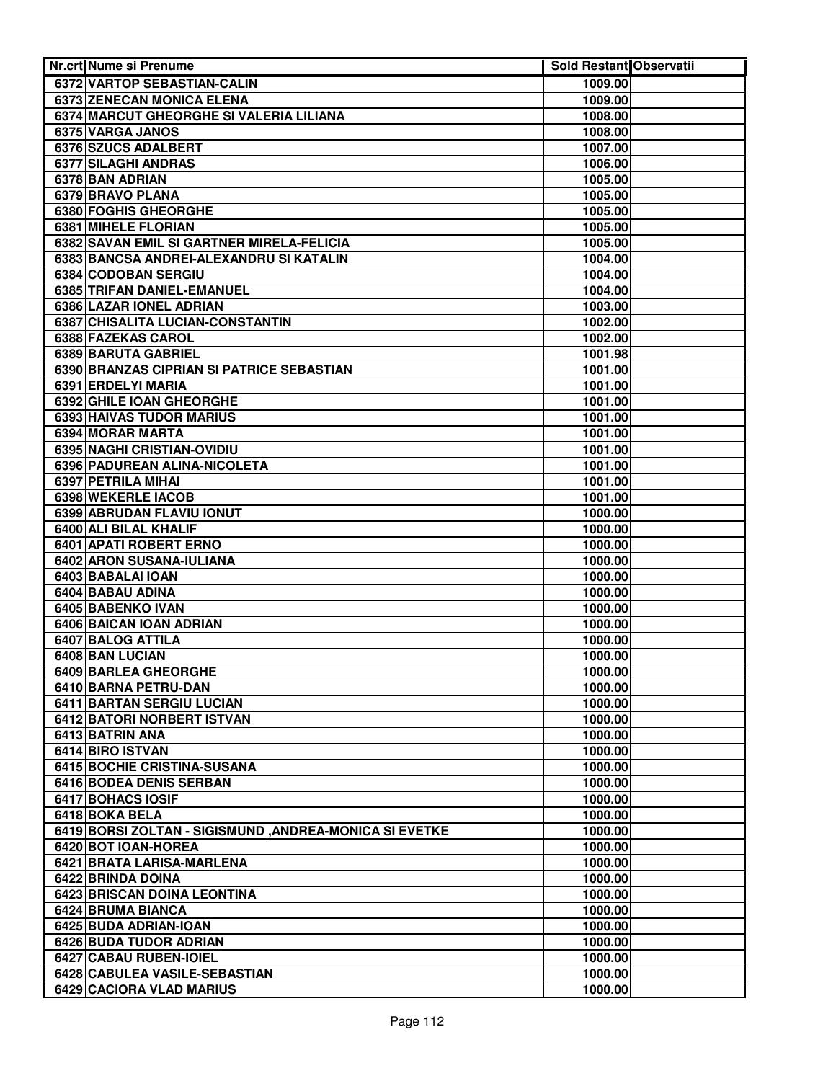| Nr.crt Nume si Prenume                                 | Sold Restant Observatii |  |
|--------------------------------------------------------|-------------------------|--|
| 6372 VARTOP SEBASTIAN-CALIN                            | 1009.00                 |  |
| 6373 ZENECAN MONICA ELENA                              | 1009.00                 |  |
| 6374 MARCUT GHEORGHE SI VALERIA LILIANA                | 1008.00                 |  |
| 6375 VARGA JANOS                                       | 1008.00                 |  |
| 6376 SZUCS ADALBERT                                    | 1007.00                 |  |
| 6377 SILAGHI ANDRAS                                    | 1006.00                 |  |
| 6378 BAN ADRIAN                                        | 1005.00                 |  |
| 6379 BRAVO PLANA                                       | 1005.00                 |  |
| 6380 FOGHIS GHEORGHE                                   | 1005.00                 |  |
| 6381 MIHELE FLORIAN                                    | 1005.00                 |  |
| 6382 SAVAN EMIL SI GARTNER MIRELA-FELICIA              | 1005.00                 |  |
| 6383 BANCSA ANDREI-ALEXANDRU SI KATALIN                | 1004.00                 |  |
| 6384 CODOBAN SERGIU                                    | 1004.00                 |  |
| 6385 TRIFAN DANIEL-EMANUEL                             | 1004.00                 |  |
| 6386 LAZAR IONEL ADRIAN                                | 1003.00                 |  |
| 6387 CHISALITA LUCIAN-CONSTANTIN                       | 1002.00                 |  |
| 6388 FAZEKAS CAROL                                     | 1002.00                 |  |
| 6389 BARUTA GABRIEL                                    | 1001.98                 |  |
| 6390 BRANZAS CIPRIAN SI PATRICE SEBASTIAN              | 1001.00                 |  |
| 6391 ERDELYI MARIA                                     | 1001.00                 |  |
| 6392 GHILE IOAN GHEORGHE                               | 1001.00                 |  |
| <b>6393 HAIVAS TUDOR MARIUS</b>                        | 1001.00                 |  |
| 6394 MORAR MARTA                                       | 1001.00                 |  |
| 6395 NAGHI CRISTIAN-OVIDIU                             | 1001.00                 |  |
| 6396 PADUREAN ALINA-NICOLETA                           | 1001.00                 |  |
| 6397 PETRILA MIHAI                                     | 1001.00                 |  |
| 6398 WEKERLE IACOB                                     | 1001.00                 |  |
| 6399 ABRUDAN FLAVIU IONUT                              | 1000.00                 |  |
| 6400 ALI BILAL KHALIF                                  | 1000.00                 |  |
| 6401 APATI ROBERT ERNO                                 | 1000.00                 |  |
| 6402 ARON SUSANA-IULIANA                               | 1000.00                 |  |
| 6403 BABALAI IOAN                                      | 1000.00                 |  |
| 6404 BABAU ADINA                                       | 1000.00                 |  |
| 6405 BABENKO IVAN                                      | 1000.00                 |  |
| 6406 BAICAN IOAN ADRIAN                                | 1000.00                 |  |
| 6407 BALOG ATTILA                                      | 1000.00                 |  |
| 6408 BAN LUCIAN                                        | 1000.00                 |  |
| <b>6409 BARLEA GHEORGHE</b>                            | 1000.00                 |  |
| 6410 BARNA PETRU-DAN                                   | 1000.00                 |  |
| 6411 BARTAN SERGIU LUCIAN                              | 1000.00                 |  |
| 6412 BATORI NORBERT ISTVAN<br>6413 BATRIN ANA          | 1000.00<br>1000.00      |  |
|                                                        | 1000.00                 |  |
| 6414 BIRO ISTVAN<br>6415 BOCHIE CRISTINA-SUSANA        | 1000.00                 |  |
| 6416 BODEA DENIS SERBAN                                | 1000.00                 |  |
| 6417 BOHACS IOSIF                                      | 1000.00                 |  |
| 6418 BOKA BELA                                         | 1000.00                 |  |
| 6419 BORSI ZOLTAN - SIGISMUND, ANDREA-MONICA SI EVETKE | 1000.00                 |  |
| 6420 BOT IOAN-HOREA                                    | 1000.00                 |  |
| 6421 BRATA LARISA-MARLENA                              | 1000.00                 |  |
| 6422 BRINDA DOINA                                      | 1000.00                 |  |
| 6423 BRISCAN DOINA LEONTINA                            | 1000.00                 |  |
| 6424 BRUMA BIANCA                                      | 1000.00                 |  |
| 6425 BUDA ADRIAN-IOAN                                  | 1000.00                 |  |
| 6426 BUDA TUDOR ADRIAN                                 | 1000.00                 |  |
| 6427 CABAU RUBEN-IOIEL                                 | 1000.00                 |  |
| 6428 CABULEA VASILE-SEBASTIAN                          | 1000.00                 |  |
| <b>6429 CACIORA VLAD MARIUS</b>                        | 1000.00                 |  |
|                                                        |                         |  |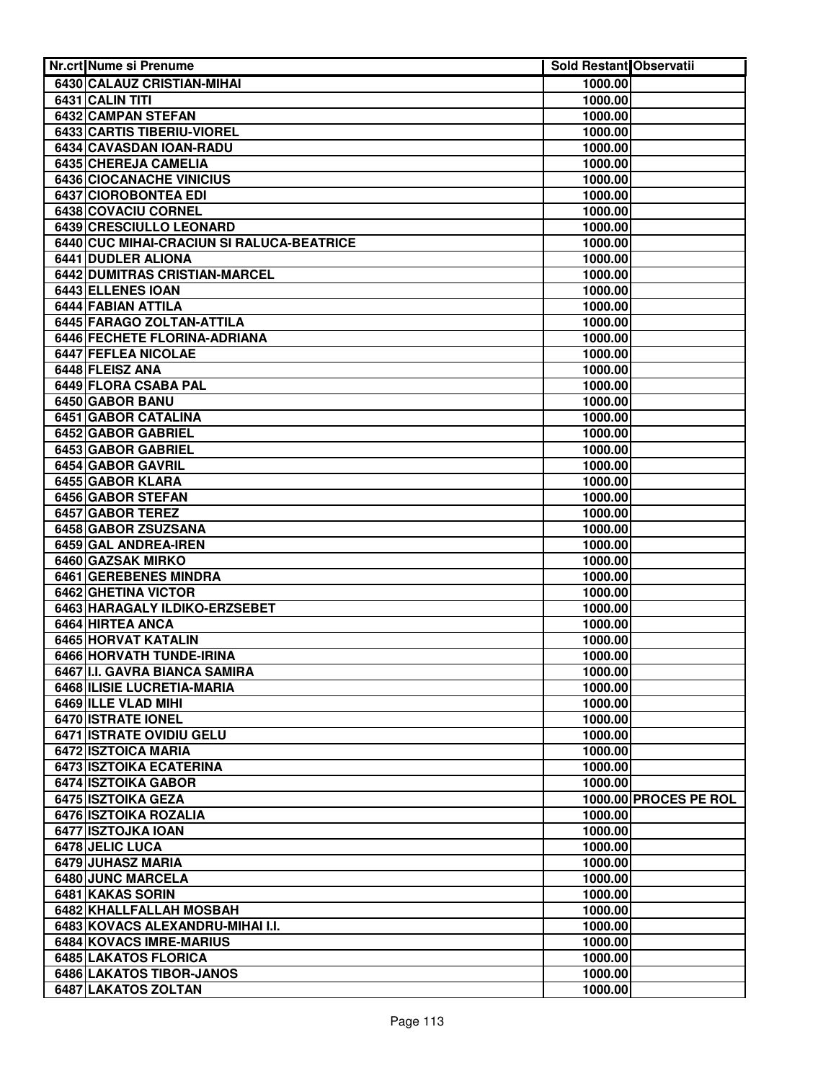| Nr.crt Nume si Prenume                       | Sold Restant Observatii |                       |
|----------------------------------------------|-------------------------|-----------------------|
| 6430 CALAUZ CRISTIAN-MIHAI                   | 1000.00                 |                       |
| 6431 CALIN TITI                              | 1000.00                 |                       |
| 6432 CAMPAN STEFAN                           | 1000.00                 |                       |
| <b>6433 CARTIS TIBERIU-VIOREL</b>            | 1000.00                 |                       |
| 6434 CAVASDAN IOAN-RADU                      | 1000.00                 |                       |
| 6435 CHEREJA CAMELIA                         | 1000.00                 |                       |
| <b>6436 CIOCANACHE VINICIUS</b>              | 1000.00                 |                       |
| <b>6437 CIOROBONTEA EDI</b>                  | 1000.00                 |                       |
| 6438 COVACIU CORNEL                          | 1000.00                 |                       |
| <b>6439 CRESCIULLO LEONARD</b>               | 1000.00                 |                       |
| 6440 CUC MIHAI-CRACIUN SI RALUCA-BEATRICE    | 1000.00                 |                       |
| 6441 DUDLER ALIONA                           | 1000.00                 |                       |
| 6442 DUMITRAS CRISTIAN-MARCEL                | 1000.00                 |                       |
| 6443 ELLENES IOAN                            | 1000.00                 |                       |
| 6444 FABIAN ATTILA                           | 1000.00                 |                       |
| 6445 FARAGO ZOLTAN-ATTILA                    | 1000.00                 |                       |
| 6446 FECHETE FLORINA-ADRIANA                 | 1000.00                 |                       |
| 6447 FEFLEA NICOLAE                          | 1000.00                 |                       |
| 6448 FLEISZ ANA                              | 1000.00                 |                       |
| 6449 FLORA CSABA PAL                         | 1000.00                 |                       |
| 6450 GABOR BANU                              | 1000.00                 |                       |
| 6451 GABOR CATALINA                          | 1000.00                 |                       |
| 6452 GABOR GABRIEL                           | 1000.00                 |                       |
| 6453 GABOR GABRIEL                           | 1000.00                 |                       |
| 6454 GABOR GAVRIL                            | 1000.00                 |                       |
| 6455 GABOR KLARA                             | 1000.00                 |                       |
| 6456 GABOR STEFAN                            | 1000.00                 |                       |
| <b>6457 GABOR TEREZ</b>                      | 1000.00                 |                       |
| 6458 GABOR ZSUZSANA                          | 1000.00                 |                       |
| 6459 GAL ANDREA-IREN                         | 1000.00                 |                       |
| 6460 GAZSAK MIRKO                            | 1000.00                 |                       |
| 6461 GEREBENES MINDRA<br>6462 GHETINA VICTOR | 1000.00                 |                       |
| 6463 HARAGALY ILDIKO-ERZSEBET                | 1000.00<br>1000.00      |                       |
| 6464 HIRTEA ANCA                             | 1000.00                 |                       |
| 6465 HORVAT KATALIN                          | 1000.00                 |                       |
| <b>6466 HORVATH TUNDE-IRINA</b>              | 1000.00                 |                       |
| 6467 I.I. GAVRA BIANCA SAMIRA                | 1000.00                 |                       |
| 6468 ILISIE LUCRETIA-MARIA                   | 1000.00                 |                       |
| 6469 ILLE VLAD MIHI                          | 1000.00                 |                       |
| 6470 ISTRATE IONEL                           | 1000.00                 |                       |
| 6471 ISTRATE OVIDIU GELU                     | 1000.00                 |                       |
| 6472 ISZTOICA MARIA                          | 1000.00                 |                       |
| 6473 ISZTOIKA ECATERINA                      | 1000.00                 |                       |
| 6474 ISZTOIKA GABOR                          | 1000.00                 |                       |
| 6475 ISZTOIKA GEZA                           |                         | 1000.00 PROCES PE ROL |
| 6476 ISZTOIKA ROZALIA                        | 1000.00                 |                       |
| 6477 ISZTOJKA IOAN                           | 1000.00                 |                       |
| 6478 JELIC LUCA                              | 1000.00                 |                       |
| 6479 JUHASZ MARIA                            | 1000.00                 |                       |
| 6480 JUNC MARCELA                            | 1000.00                 |                       |
| 6481 KAKAS SORIN                             | 1000.00                 |                       |
| 6482 KHALLFALLAH MOSBAH                      | 1000.00                 |                       |
| 6483 KOVACS ALEXANDRU-MIHAI I.I.             | 1000.00                 |                       |
| 6484 KOVACS IMRE-MARIUS                      | 1000.00                 |                       |
| 6485 LAKATOS FLORICA                         | 1000.00                 |                       |
| 6486 LAKATOS TIBOR-JANOS                     | 1000.00                 |                       |
| 6487 LAKATOS ZOLTAN                          | 1000.00                 |                       |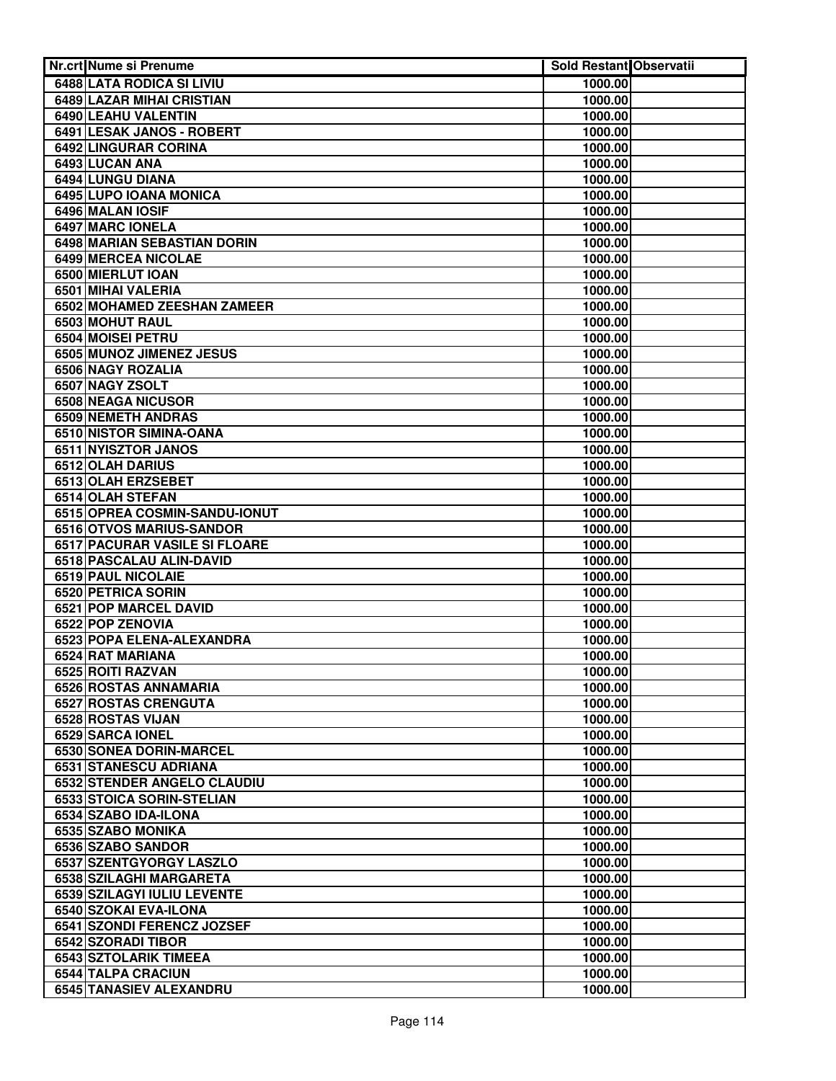| <b>Nr.crt Nume si Prenume</b>                             | Sold Restant Observatii |  |
|-----------------------------------------------------------|-------------------------|--|
| 6488 LATA RODICA SI LIVIU                                 | 1000.00                 |  |
| <b>6489 LAZAR MIHAI CRISTIAN</b>                          | 1000.00                 |  |
| 6490 LEAHU VALENTIN                                       | 1000.00                 |  |
| 6491 LESAK JANOS - ROBERT                                 | 1000.00                 |  |
| 6492 LINGURAR CORINA                                      | 1000.00                 |  |
| 6493 LUCAN ANA                                            | 1000.00                 |  |
| 6494 LUNGU DIANA                                          | 1000.00                 |  |
| 6495 LUPO IOANA MONICA                                    | 1000.00                 |  |
| 6496 MALAN IOSIF                                          | 1000.00                 |  |
| <b>6497 MARC IONELA</b>                                   | 1000.00                 |  |
| 6498 MARIAN SEBASTIAN DORIN                               | 1000.00                 |  |
| 6499 MERCEA NICOLAE                                       | 1000.00                 |  |
| 6500 MIERLUT IOAN                                         | 1000.00                 |  |
| 6501 MIHAI VALERIA                                        | 1000.00                 |  |
| 6502 MOHAMED ZEESHAN ZAMEER                               | 1000.00                 |  |
| 6503 MOHUT RAUL                                           | 1000.00                 |  |
| 6504 MOISEI PETRU                                         | 1000.00                 |  |
| 6505 MUNOZ JIMENEZ JESUS                                  | 1000.00                 |  |
| 6506 NAGY ROZALIA                                         | 1000.00                 |  |
| 6507 NAGY ZSOLT                                           | 1000.00                 |  |
| 6508 NEAGA NICUSOR                                        | 1000.00                 |  |
| 6509 NEMETH ANDRAS                                        | 1000.00                 |  |
| 6510 NISTOR SIMINA-OANA                                   | 1000.00                 |  |
| 6511 NYISZTOR JANOS                                       | 1000.00                 |  |
| 6512 OLAH DARIUS                                          | 1000.00                 |  |
| 6513 OLAH ERZSEBET                                        | 1000.00                 |  |
| 6514 OLAH STEFAN                                          | 1000.00                 |  |
| 6515 OPREA COSMIN-SANDU-IONUT<br>6516 OTVOS MARIUS-SANDOR | 1000.00                 |  |
| 6517 PACURAR VASILE SI FLOARE                             | 1000.00                 |  |
| 6518 PASCALAU ALIN-DAVID                                  | 1000.00<br>1000.00      |  |
| <b>6519 PAUL NICOLAIE</b>                                 | 1000.00                 |  |
| 6520 PETRICA SORIN                                        | 1000.00                 |  |
| 6521 POP MARCEL DAVID                                     | 1000.00                 |  |
| 6522 POP ZENOVIA                                          | 1000.00                 |  |
| 6523 POPA ELENA-ALEXANDRA                                 | 1000.00                 |  |
| 6524 RAT MARIANA                                          | 1000.00                 |  |
| 6525 ROITI RAZVAN                                         | 1000.00                 |  |
| 6526 ROSTAS ANNAMARIA                                     | 1000.00                 |  |
| 6527 ROSTAS CRENGUTA                                      | 1000.00                 |  |
| 6528 ROSTAS VIJAN                                         | 1000.00                 |  |
| 6529 SARCA IONEL                                          | 1000.00                 |  |
| 6530 SONEA DORIN-MARCEL                                   | 1000.00                 |  |
| 6531 STANESCU ADRIANA                                     | 1000.00                 |  |
| 6532 STENDER ANGELO CLAUDIU                               | 1000.00                 |  |
| 6533 STOICA SORIN-STELIAN                                 | 1000.00                 |  |
| 6534 SZABO IDA-ILONA                                      | 1000.00                 |  |
| 6535 SZABO MONIKA                                         | 1000.00                 |  |
| 6536 SZABO SANDOR                                         | 1000.00                 |  |
| 6537 SZENTGYORGY LASZLO                                   | 1000.00                 |  |
| 6538 SZILAGHI MARGARETA                                   | 1000.00                 |  |
| 6539 SZILAGYI IULIU LEVENTE                               | 1000.00                 |  |
| 6540 SZOKAI EVA-ILONA                                     | 1000.00                 |  |
| 6541 SZONDI FERENCZ JOZSEF                                | 1000.00                 |  |
| 6542 SZORADI TIBOR                                        | 1000.00                 |  |
| 6543 SZTOLARIK TIMEEA                                     | 1000.00                 |  |
| <b>6544 TALPA CRACIUN</b>                                 | 1000.00                 |  |
| <b>6545 TANASIEV ALEXANDRU</b>                            | 1000.00                 |  |